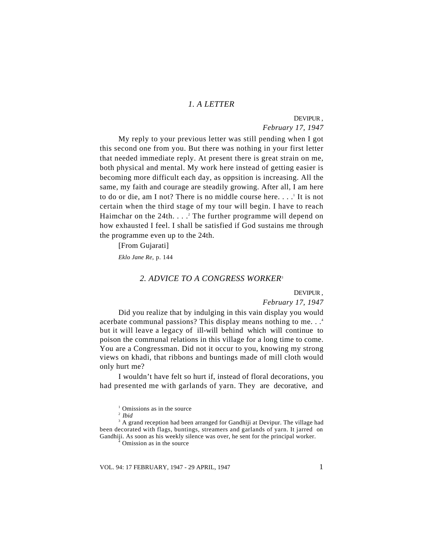#### *1. A LETTER*

DEVIPUR , *February 17, 1947*

My reply to your previous letter was still pending when I got this second one from you. But there was nothing in your first letter that needed immediate reply. At present there is great strain on me, both physical and mental. My work here instead of getting easier is becoming more difficult each day, as oppsition is increasing. All the same, my faith and courage are steadily growing. After all, I am here to do or die, am I not? There is no middle course here....<sup>1</sup> It is not certain when the third stage of my tour will begin. I have to reach Haimchar on the 24th...<sup>2</sup> The further programme will depend on how exhausted I feel. I shall be satisfied if God sustains me through the programme even up to the 24th.

[From Gujarati] *Eklo Jane Re*, p. 144

### *2. ADVICE TO A CONGRESS WORKER*<sup>3</sup>

DEVIPUR , *February 17, 1947*

Did you realize that by indulging in this vain display you would acerbate communal passions? This display means nothing to me. . .<sup>4</sup> but it will leave a legacy of ill-will behind which will continue to poison the communal relations in this village for a long time to come. You are a Congressman. Did not it occur to you, knowing my strong views on khadi, that ribbons and buntings made of mill cloth would only hurt me?

I wouldn't have felt so hurt if, instead of floral decorations, you had presented me with garlands of yarn. They are decorative, and

2 *Ibid*

<sup>4</sup> Omission as in the source

<sup>&</sup>lt;sup>1</sup> Omissions as in the source

<sup>&</sup>lt;sup>3</sup> A grand reception had been arranged for Gandhiji at Devipur. The village had been decorated with flags, buntings, streamers and garlands of yarn. It jarred on Gandhiji. As soon as his weekly silence was over, he sent for the principal worker.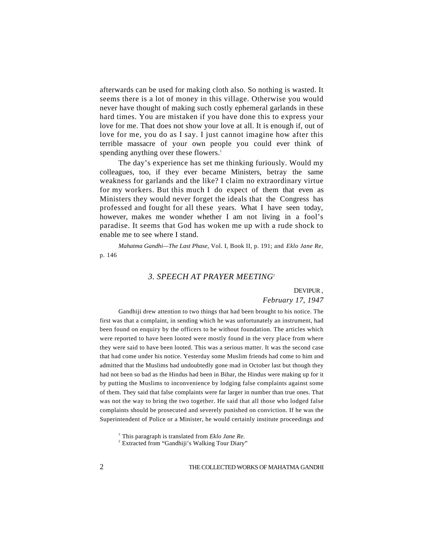afterwards can be used for making cloth also. So nothing is wasted. It seems there is a lot of money in this village. Otherwise you would never have thought of making such costly ephemeral garlands in these hard times. You are mistaken if you have done this to express your love for me. That does not show your love at all. It is enough if, out of love for me, you do as I say. I just cannot imagine how after this terrible massacre of your own people you could ever think of spending anything over these flowers.<sup>1</sup>

The day's experience has set me thinking furiously. Would my colleagues, too, if they ever became Ministers, betray the same weakness for garlands and the like? I claim no extraordinary virtue for my workers. But this much I do expect of them that even as Ministers they would never forget the ideals that the Congress has professed and fought for all these years. What I have seen today, however, makes me wonder whether I am not living in a fool's paradise. It seems that God has woken me up with a rude shock to enable me to see where I stand.

*Mahatma Gandhi—The Last Phase*, Vol. I, Book II, p. 191; and *Eklo Jane Re*, p. 146

## *3. SPEECH AT PRAYER MEETING*<sup>2</sup>

## DEVIPUR , *February 17, 1947*

Gandhiji drew attention to two things that had been brought to his notice. The first was that a complaint, in sending which he was unfortunately an instrument, had been found on enquiry by the officers to be without foundation. The articles which were reported to have been looted were mostly found in the very place from where they were said to have been looted. This was a serious matter. It was the second case that had come under his notice. Yesterday some Muslim friends had come to him and admitted that the Muslims had undoubtedly gone mad in October last but though they had not been so bad as the Hindus had been in Bihar, the Hindus were making up for it by putting the Muslims to inconvenience by lodging false complaints against some of them. They said that false complaints were far larger in number than true ones. That was not the way to bring the two together. He said that all those who lodged false complaints should be prosecuted and severely punished on conviction. If he was the Superintendent of Police or a Minister, he would certainly institute proceedings and

1 This paragraph is translated from *Eklo Jane Re*.

<sup>2</sup> Extracted from "Gandhiji's Walking Tour Diary"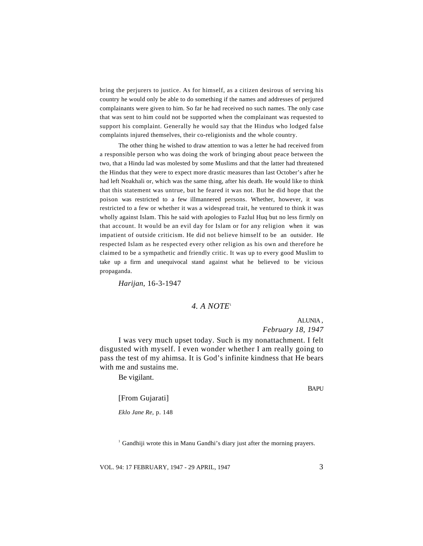bring the perjurers to justice. As for himself, as a citizen desirous of serving his country he would only be able to do something if the names and addresses of perjured complainants were given to him. So far he had received no such names. The only case that was sent to him could not be supported when the complainant was requested to support his complaint. Generally he would say that the Hindus who lodged false complaints injured themselves, their co-religionists and the whole country.

The other thing he wished to draw attention to was a letter he had received from a responsible person who was doing the work of bringing about peace between the two, that a Hindu lad was molested by some Muslims and that the latter had threatened the Hindus that they were to expect more drastic measures than last October's after he had left Noakhali or, which was the same thing, after his death. He would like to think that this statement was untrue, but he feared it was not. But he did hope that the poison was restricted to a few illmannered persons. Whether, however, it was restricted to a few or whether it was a widespread trait, he ventured to think it was wholly against Islam. This he said with apologies to Fazlul Huq but no less firmly on that account. It would be an evil day for Islam or for any religion when it was impatient of outside criticism. He did not believe himself to be an outsider. He respected Islam as he respected every other religion as his own and therefore he claimed to be a sympathetic and friendly critic. It was up to every good Muslim to take up a firm and unequivocal stand against what he believed to be vicious propaganda.

*Harijan*, 16-3-1947

## *4. A NOTE*<sup>1</sup>

ALUNIA , *February 18, 1947*

I was very much upset today. Such is my nonattachment. I felt disgusted with myself. I even wonder whether I am really going to pass the test of my ahimsa. It is God's infinite kindness that He bears with me and sustains me.

Be vigilant.

[From Gujarati]

*Eklo Jane Re*, p. 148

<sup>1</sup> Gandhiji wrote this in Manu Gandhi's diary just after the morning prayers.

BAPU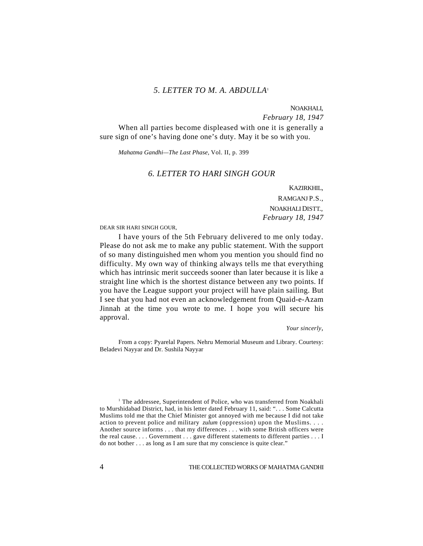## *5. LETTER TO M. A. ABDULLA*<sup>1</sup>

NOAKHALI, *February 18, 1947*

When all parties become displeased with one it is generally a sure sign of one's having done one's duty. May it be so with you.

*Mahatma Gandhi—The Last Phase,* Vol. II, p. 399

## *6. LETTER TO HARI SINGH GOUR*

KAZIRKHIL, RAMGANJ P.S., NOAKHALI DISTT., *February 18, 1947*

DEAR SIR HARI SINGH GOUR,

I have yours of the 5th February delivered to me only today. Please do not ask me to make any public statement. With the support of so many distinguished men whom you mention you should find no difficulty. My own way of thinking always tells me that everything which has intrinsic merit succeeds sooner than later because it is like a straight line which is the shortest distance between any two points. If you have the League support your project will have plain sailing. But I see that you had not even an acknowledgement from Quaid-e-Azam Jinnah at the time you wrote to me. I hope you will secure his approval.

*Your sincerly,*

From a copy: Pyarelal Papers. Nehru Memorial Museum and Library. Courtesy: Beladevi Nayyar and Dr. Sushila Nayyar

<sup>&</sup>lt;sup>1</sup> The addressee, Superintendent of Police, who was transferred from Noakhali to Murshidabad District, had, in his letter dated February 11, said: ". . . Some Calcutta Muslims told me that the Chief Minister got annoyed with me because I did not take action to prevent police and military *zulum* (oppression) upon the Muslims. . . . Another source informs . . . that my differences . . . with some British officers were the real cause. . . . Government . . . gave different statements to different parties . . . I do not bother . . . as long as I am sure that my conscience is quite clear."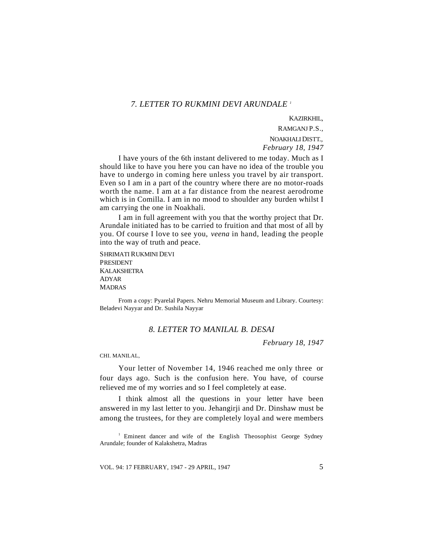## *7. LETTER TO RUKMINI DEVI ARUNDALE <sup>1</sup>*

KAZIRKHIL,

RAMGANI P.S. NOAKHALI DISTT., *February 18, 1947*

I have yours of the 6th instant delivered to me today. Much as I should like to have you here you can have no idea of the trouble you have to undergo in coming here unless you travel by air transport. Even so I am in a part of the country where there are no motor-roads worth the name. I am at a far distance from the nearest aerodrome which is in Comilla. I am in no mood to shoulder any burden whilst I am carrying the one in Noakhali.

I am in full agreement with you that the worthy project that Dr. Arundale initiated has to be carried to fruition and that most of all by you. Of course I love to see you, *veena* in hand, leading the people into the way of truth and peace.

SHRIMATI RUKMINI DEVI PRESIDENT KALAKSHETRA ADYAR **MADRAS** 

From a copy: Pyarelal Papers. Nehru Memorial Museum and Library. Courtesy: Beladevi Nayyar and Dr. Sushila Nayyar

# *8. LETTER TO MANILAL B. DESAI*

*February 18, 1947*

CHI. MANILAL,

Your letter of November 14, 1946 reached me only three or four days ago. Such is the confusion here. You have, of course relieved me of my worries and so I feel completely at ease.

I think almost all the questions in your letter have been answered in my last letter to you. Jehangirji and Dr. Dinshaw must be among the trustees, for they are completely loyal and were members

<sup>&</sup>lt;sup>1</sup> Eminent dancer and wife of the English Theosophist George Sydney Arundale; founder of Kalakshetra, Madras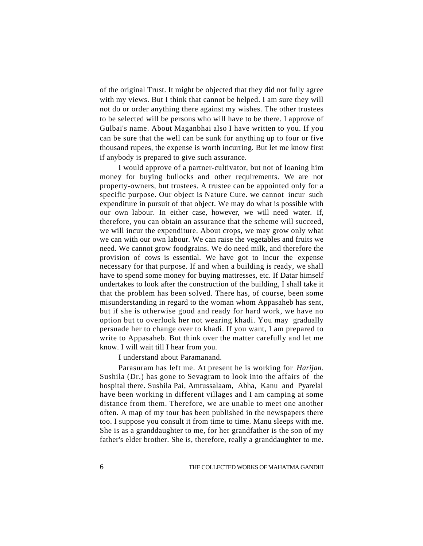of the original Trust. It might be objected that they did not fully agree with my views. But I think that cannot be helped. I am sure they will not do or order anything there against my wishes. The other trustees to be selected will be persons who will have to be there. I approve of Gulbai's name. About Maganbhai also I have written to you. If you can be sure that the well can be sunk for anything up to four or five thousand rupees, the expense is worth incurring. But let me know first if anybody is prepared to give such assurance.

I would approve of a partner-cultivator, but not of loaning him money for buying bullocks and other requirements. We are not property-owners, but trustees. A trustee can be appointed only for a specific purpose. Our object is Nature Cure. we cannot incur such expenditure in pursuit of that object. We may do what is possible with our own labour. In either case, however, we will need water. If, therefore, you can obtain an assurance that the scheme will succeed, we will incur the expenditure. About crops, we may grow only what we can with our own labour. We can raise the vegetables and fruits we need. We cannot grow foodgrains. We do need milk, and therefore the provision of cows is essential. We have got to incur the expense necessary for that purpose. If and when a building is ready, we shall have to spend some money for buying mattresses, etc. If Datar himself undertakes to look after the construction of the building, I shall take it that the problem has been solved. There has, of course, been some misunderstanding in regard to the woman whom Appasaheb has sent, but if she is otherwise good and ready for hard work, we have no option but to overlook her not wearing khadi. You may gradually persuade her to change over to khadi. If you want, I am prepared to write to Appasaheb. But think over the matter carefully and let me know. I will wait till I hear from you.

I understand about Paramanand.

Parasuram has left me. At present he is working for *Harijan.* Sushila (Dr.) has gone to Sevagram to look into the affairs of the hospital there. Sushila Pai, Amtussalaam, Abha, Kanu and Pyarelal have been working in different villages and I am camping at some distance from them. Therefore, we are unable to meet one another often. A map of my tour has been published in the newspapers there too. I suppose you consult it from time to time. Manu sleeps with me. She is as a granddaughter to me, for her grandfather is the son of my father's elder brother. She is, therefore, really a granddaughter to me.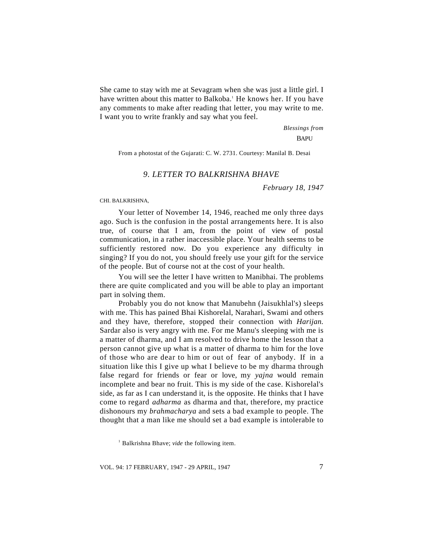She came to stay with me at Sevagram when she was just a little girl. I have written about this matter to Balkoba.<sup>1</sup> He knows her. If you have any comments to make after reading that letter, you may write to me. I want you to write frankly and say what you feel.

> *Blessings from* BAPU

From a photostat of the Gujarati: C. W. 2731. Courtesy: Manilal B. Desai

## *9. LETTER TO BALKRISHNA BHAVE*

*February 18, 1947*

CHI. BALKRISHNA,

Your letter of November 14, 1946, reached me only three days ago. Such is the confusion in the postal arrangements here. It is also true, of course that I am, from the point of view of postal communication, in a rather inaccessible place. Your health seems to be sufficiently restored now. Do you experience any difficulty in singing? If you do not, you should freely use your gift for the service of the people. But of course not at the cost of your health.

You will see the letter I have written to Manibhai. The problems there are quite complicated and you will be able to play an important part in solving them.

Probably you do not know that Manubehn (Jaisukhlal's) sleeps with me. This has pained Bhai Kishorelal, Narahari, Swami and others and they have, therefore, stopped their connection with *Harijan.* Sardar also is very angry with me. For me Manu's sleeping with me is a matter of dharma, and I am resolved to drive home the lesson that a person cannot give up what is a matter of dharma to him for the love of those who are dear to him or out of fear of anybody. If in a situation like this I give up what I believe to be my dharma through false regard for friends or fear or love, my *yajna* would remain incomplete and bear no fruit. This is my side of the case. Kishorelal's side, as far as I can understand it, is the opposite. He thinks that I have come to regard *adharma* as dharma and that, therefore, my practice dishonours my *brahmacharya* and sets a bad example to people. The thought that a man like me should set a bad example is intolerable to

<sup>1</sup> Balkrishna Bhave; *vide* the following item.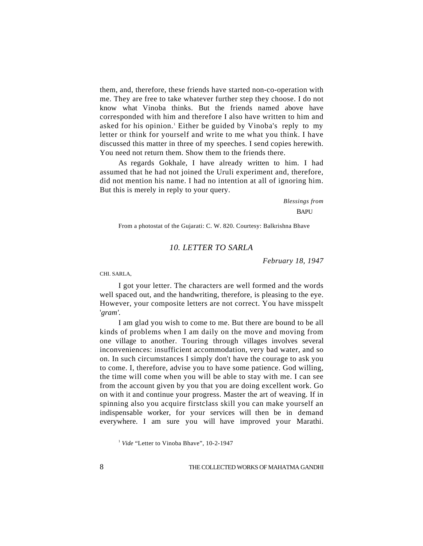them, and, therefore, these friends have started non-co-operation with me. They are free to take whatever further step they choose. I do not know what Vinoba thinks. But the friends named above have corresponded with him and therefore I also have written to him and asked for his opinion.<sup>1</sup> Either be guided by Vinoba's reply to my letter or think for yourself and write to me what you think. I have discussed this matter in three of my speeches. I send copies herewith. You need not return them. Show them to the friends there.

As regards Gokhale, I have already written to him. I had assumed that he had not joined the Uruli experiment and, therefore, did not mention his name. I had no intention at all of ignoring him. But this is merely in reply to your query.

> *Blessings from* **BAPU**

From a photostat of the Gujarati: C. W. 820. Courtesy: Balkrishna Bhave

## *10. LETTER TO SARLA*

*February 18, 1947*

CHI. SARLA,

I got your letter. The characters are well formed and the words well spaced out, and the handwriting, therefore, is pleasing to the eye. However, your composite letters are not correct. You have misspelt '*gram'.*

I am glad you wish to come to me. But there are bound to be all kinds of problems when I am daily on the move and moving from one village to another. Touring through villages involves several inconveniences: insufficient accommodation, very bad water, and so on. In such circumstances I simply don't have the courage to ask you to come. I, therefore, advise you to have some patience. God willing, the time will come when you will be able to stay with me. I can see from the account given by you that you are doing excellent work. Go on with it and continue your progress. Master the art of weaving. If in spinning also you acquire firstclass skill you can make yourself an indispensable worker, for your services will then be in demand everywhere. I am sure you will have improved your Marathi.

<sup>1</sup> *Vide* "Letter to Vinoba Bhave", 10-2-1947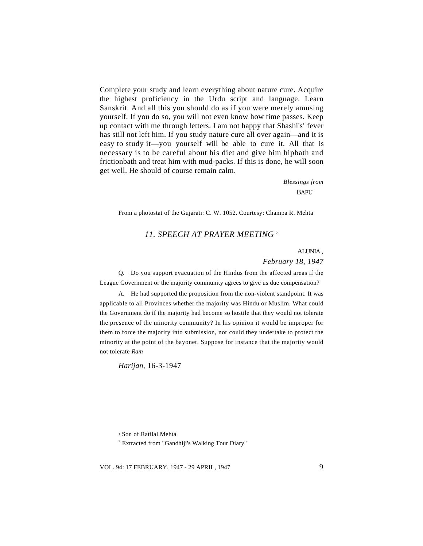Complete your study and learn everything about nature cure. Acquire the highest proficiency in the Urdu script and language. Learn Sanskrit. And all this you should do as if you were merely amusing yourself. If you do so, you will not even know how time passes. Keep up contact with me through letters. I am not happy that Shashi's' fever has still not left him. If you study nature cure all over again—and it is easy to study it—you yourself will be able to cure it. All that is necessary is to be careful about his diet and give him hipbath and frictionbath and treat him with mud-packs. If this is done, he will soon get well. He should of course remain calm.

> *Blessings from* BAPU

From a photostat of the Gujarati: C. W. 1052. Courtesy: Champa R. Mehta

## *11. SPEECH AT PRAYER MEETING* <sup>2</sup>

ALUNIA , *February 18, 1947*

Q. Do you support evacuation of the Hindus from the affected areas if the League Government or the majority community agrees to give us due compensation?

A. He had supported the proposition from the non-violent standpoint. It was applicable to all Provinces whether the majority was Hindu or Muslim. What could the Government do if the majority had become so hostile that they would not tolerate the presence of the minority community? In his opinion it would be improper for them to force the majority into submission, nor could they undertake to protect the minority at the point of the bayonet. Suppose for instance that the majority would not tolerate *Ram*

*Harijan*, 16-3-1947

<sup>1</sup> Son of Ratilal Mehta

<sup>&</sup>lt;sup>2</sup> Extracted from "Gandhiji's Walking Tour Diary"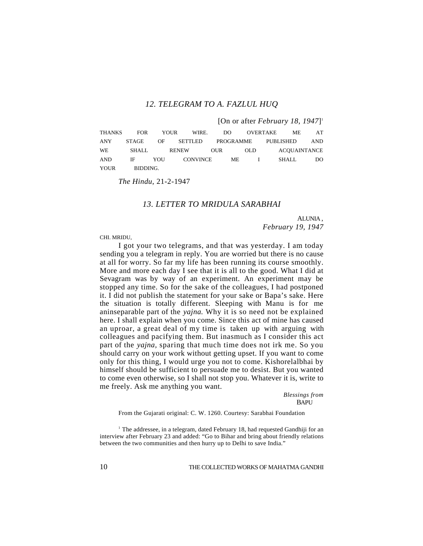#### [On or after *February 18, 1947*] 1

THANKS FOR YOUR WIRE. DO OVERTAKE ME AT ANY STAGE OF SETTLED PROGRAMME PUBLISHED AND WE SHALL RENEW OUR OLD ACQUAINTANCE AND IF YOU CONVINCE ME I SHALL DO YOUR BIDDING

*The Hindu*, 21-2-1947

#### *13. LETTER TO MRIDULA SARABHAI*

ALUNIA , *February 19, 1947*

CHI. MRIDU,

I got your two telegrams, and that was yesterday. I am today sending you a telegram in reply. You are worried but there is no cause at all for worry. So far my life has been running its course smoothly. More and more each day I see that it is all to the good. What I did at Sevagram was by way of an experiment. An experiment may be stopped any time. So for the sake of the colleagues, I had postponed it. I did not publish the statement for your sake or Bapa's sake. Here the situation is totally different. Sleeping with Manu is for me aninseparable part of the *yajna.* Why it is so need not be explained here. I shall explain when you come. Since this act of mine has caused an uproar, a great deal of my time is taken up with arguing with colleagues and pacifying them. But inasmuch as I consider this act part of the *yajna,* sparing that much time does not irk me. So you should carry on your work without getting upset. If you want to come only for this thing, I would urge you not to come. Kishorelalbhai by himself should be sufficient to persuade me to desist. But you wanted to come even otherwise, so I shall not stop you. Whatever it is, write to me freely. Ask me anything you want.

> *Blessings from* **BAPU**

From the Gujarati original: C. W. 1260. Courtesy: Sarabhai Foundation

<sup>1</sup> The addressee, in a telegram, dated February 18, had requested Gandhiji for an interview after February 23 and added: "Go to Bihar and bring about friendly relations between the two communities and then hurry up to Delhi to save India."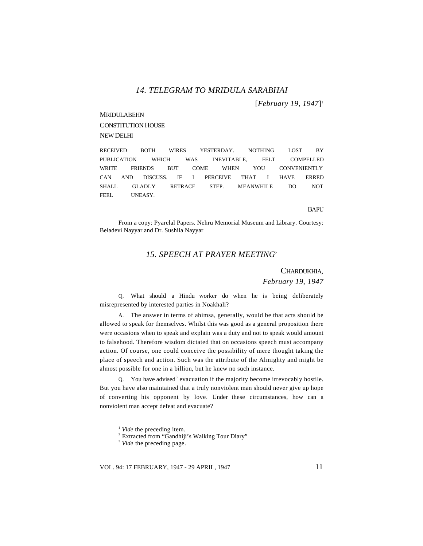## *14. TELEGRAM TO MRIDULA SARABHAI*

[*February 19, 1947*] 1

## MRIDULABEHN CONSTITUTION HOUSE NEW DELHI

RECEIVED BOTH WIRES YESTERDAY. NOTHING LOST BY PUBLICATION WHICH WAS INEVITABLE, FELT COMPELLED WRITE FRIENDS BUT COME WHEN YOU CONVENIENTLY CAN AND DISCUSS. IF I PERCEIVE THAT I HAVE ERRED SHALL GLADLY RETRACE STEP. MEANWHILE DO NOT FEEL UNEASY

**BAPU** 

From a copy: Pyarelal Papers. Nehru Memorial Museum and Library. Courtesy: Beladevi Nayyar and Dr. Sushila Nayyar

#### *15. SPEECH AT PRAYER MEETING*<sup>2</sup>

# CHARDUKHIA, *February 19, 1947*

Q. What should a Hindu worker do when he is being deliberately misrepresented by interested parties in Noakhali?

A. The answer in terms of ahimsa, generally, would be that acts should be allowed to speak for themselves. Whilst this was good as a general proposition there were occasions when to speak and explain was a duty and not to speak would amount to falsehood. Therefore wisdom dictated that on occasions speech must accompany action. Of course, one could conceive the possibility of mere thought taking the place of speech and action. Such was the attribute of the Almighty and might be almost possible for one in a billion, but he knew no such instance.

Q. You have advised<sup>3</sup> evacuation if the majority become irrevocably hostile. But you have also maintained that a truly nonviolent man should never give up hope of converting his opponent by love. Under these circumstances, how can a nonviolent man accept defeat and evacuate?

<sup>1</sup> Vide the preceding item.

<sup>2</sup> Extracted from "Gandhiji's Walking Tour Diary"

<sup>3</sup> *Vide* the preceding page.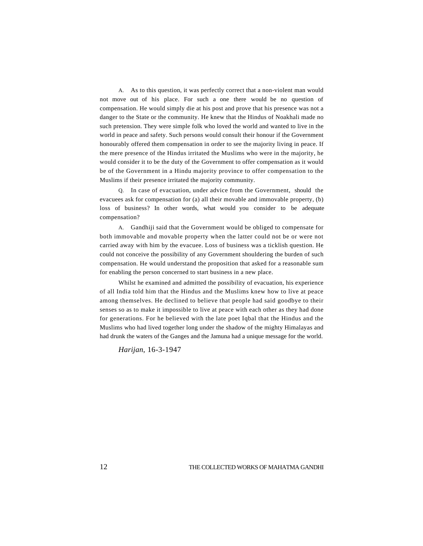A. As to this question, it was perfectly correct that a non-violent man would not move out of his place. For such a one there would be no question of compensation. He would simply die at his post and prove that his presence was not a danger to the State or the community. He knew that the Hindus of Noakhali made no such pretension. They were simple folk who loved the world and wanted to live in the world in peace and safety. Such persons would consult their honour if the Government honourably offered them compensation in order to see the majority living in peace. If the mere presence of the Hindus irritated the Muslims who were in the majority, he would consider it to be the duty of the Government to offer compensation as it would be of the Government in a Hindu majority province to offer compensation to the Muslims if their presence irritated the majority community.

Q. In case of evacuation, under advice from the Government, should the evacuees ask for compensation for (a) all their movable and immovable property, (b) loss of business? In other words, what would you consider to be adequate compensation?

A. Gandhiji said that the Government would be obliged to compensate for both immovable and movable property when the latter could not be or were not carried away with him by the evacuee. Loss of business was a ticklish question. He could not conceive the possibility of any Government shouldering the burden of such compensation. He would understand the proposition that asked for a reasonable sum for enabling the person concerned to start business in a new place.

Whilst he examined and admitted the possibility of evacuation, his experience of all India told him that the Hindus and the Muslims knew how to live at peace among themselves. He declined to believe that people had said goodbye to their senses so as to make it impossible to live at peace with each other as they had done for generations. For he believed with the late poet Iqbal that the Hindus and the Muslims who had lived together long under the shadow of the mighty Himalayas and had drunk the waters of the Ganges and the Jamuna had a unique message for the world.

*Harijan*, 16-3-1947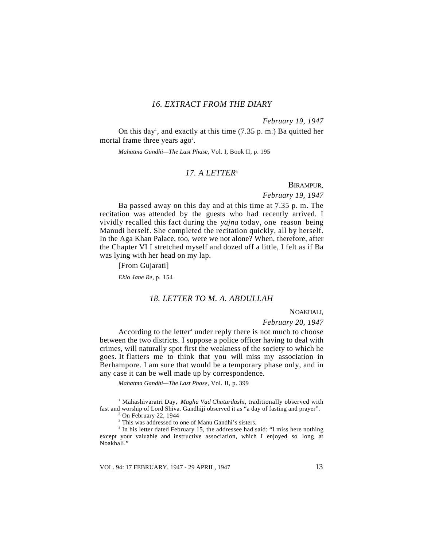#### *16. EXTRACT FROM THE DIARY*

*February 19, 1947*

On this day<sup>1</sup>, and exactly at this time (7.35 p.m.) Ba quitted her mortal frame three years ago<sup>2</sup>.

*Mahatma Gandhi—The Last Phase,* Vol. I, Book II, p. 195

# *17. A LETTER*<sup>3</sup>

BIRAMPUR,

*February 19, 1947*

Ba passed away on this day and at this time at 7.35 p. m. The recitation was attended by the guests who had recently arrived. I vividly recalled this fact during the *yajna* today, one reason being Manudi herself. She completed the recitation quickly, all by herself. In the Aga Khan Palace, too, were we not alone? When, therefore, after the Chapter VI I stretched myself and dozed off a little, I felt as if Ba was lying with her head on my lap.

[From Gujarati]

*Eklo Jane Re,* p. 154

#### *18. LETTER TO M. A. ABDULLAH*

NOAKHALL

*February 20, 1947*

According to the letter<sup>4</sup> under reply there is not much to choose between the two districts. I suppose a police officer having to deal with crimes, will naturally spot first the weakness of the society to which he goes. It flatters me to think that you will miss my association in Berhampore. I am sure that would be a temporary phase only, and in any case it can be well made up by correspondence.

*Mahatma Gandhi—The Last Phase*, Vol. II, p. 399

<sup>1</sup> Mahashivaratri Day, Magha Vad Chaturdashi, traditionally observed with fast and worship of Lord Shiva. Gandhiji observed it as "a day of fasting and prayer".

2 On February 22, 1944

<sup>3</sup> This was addressed to one of Manu Gandhi's sisters.

<sup>4</sup> In his letter dated February 15, the addressee had said: "I miss here nothing except your valuable and instructive association, which I enjoyed so long at Noakhali<sup>"</sup>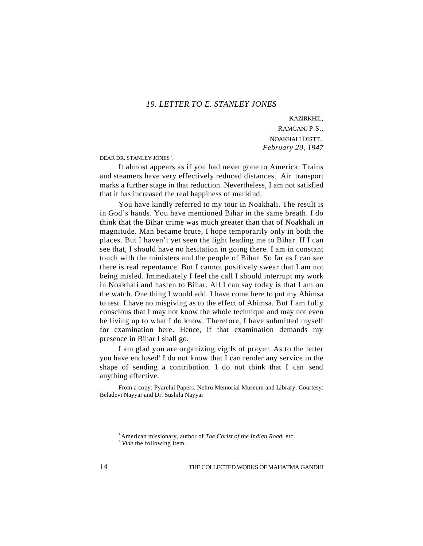## *19. LETTER TO E. STANLEY JONES*

KAZIRKHIL, RAMGANI P.S. NOAKHALI DISTT., *February 20, 1947*

DEAR DR. STANLEY JONES<sup>1</sup>,

It almost appears as if you had never gone to America. Trains and steamers have very effectively reduced distances. Air transport marks a further stage in that reduction. Nevertheless, I am not satisfied that it has increased the real happiness of mankind.

You have kindly referred to my tour in Noakhali. The result is in God's hands. You have mentioned Bihar in the same breath. I do think that the Bihar crime was much greater than that of Noakhali in magnitude. Man became brute, I hope temporarily only in both the places. But I haven't yet seen the light leading me to Bihar. If I can see that, I should have no hesitation in going there. I am in constant touch with the ministers and the people of Bihar. So far as I can see there is real repentance. But I cannot positively swear that I am not being misled. Immediately I feel the call I should interrupt my work in Noakhali and hasten to Bihar. All I can say today is that I am on the watch. One thing I would add. I have come here to put my Ahimsa to test. I have no misgiving as to the effect of Ahimsa*.* But I am fully conscious that I may not know the whole technique and may not even be living up to what I do know. Therefore, I have submitted myself for examination here. Hence, if that examination demands my presence in Bihar I shall go.

I am glad you are organizing vigils of prayer. As to the letter you have enclosed<sup>2</sup> I do not know that I can render any service in the shape of sending a contribution. I do not think that I can send anything effective.

From a copy: Pyarelal Papers. Nehru Memorial Museum and Library. Courtesy: Beladevi Nayyar and Dr. Sushila Nayyar

<sup>&</sup>lt;sup>1</sup> American missionary, author of *The Christ of the Indian Road*, etc.

<sup>2</sup> *Vide* the following item.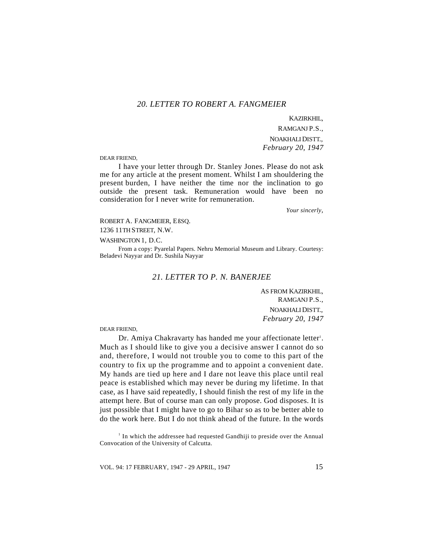## *20. LETTER TO ROBERT A. FANGMEIER*

KAZIRKHIL, RAMGANI P.S. NOAKHALI DISTT., *February 20, 1947*

DEAR FRIEND,

I have your letter through Dr. Stanley Jones. Please do not ask me for any article at the present moment. Whilst I am shouldering the present burden, I have neither the time nor the inclination to go outside the present task. Remuneration would have been no consideration for I never write for remuneration.

*Your sincerly,*

ROBERT A. FANGMEIER, EßSQ. 1236 11TH STREET, N.W.

WASHINGTON 1, D.C.

From a copy: Pyarelal Papers. Nehru Memorial Museum and Library. Courtesy: Beladevi Nayyar and Dr. Sushila Nayyar

### *21. LETTER TO P. N. BANERJEE*

AS FROM KAZIRKHIL, RAMGANJ P.S., NOAKHALI DISTT., *February 20, 1947*

DEAR FRIEND,

Dr. Amiya Chakravarty has handed me your affectionate letter<sup>1</sup>. Much as I should like to give you a decisive answer I cannot do so and, therefore, I would not trouble you to come to this part of the country to fix up the programme and to appoint a convenient date. My hands are tied up here and I dare not leave this place until real peace is established which may never be during my lifetime. In that case, as I have said repeatedly, I should finish the rest of my life in the attempt here. But of course man can only propose. God disposes. It is just possible that I might have to go to Bihar so as to be better able to do the work here. But I do not think ahead of the future. In the words

<sup>1</sup> In which the addressee had requested Gandhiji to preside over the Annual Convocation of the University of Calcutta.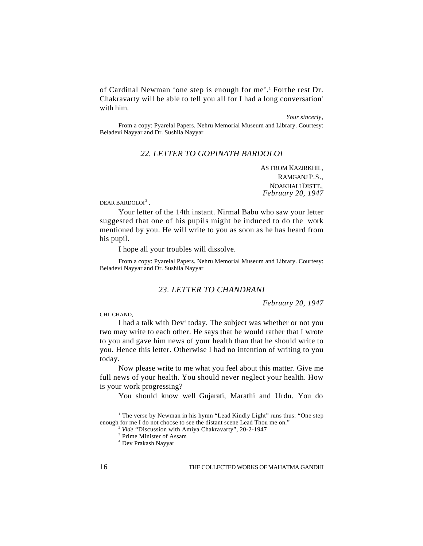### of Cardinal Newman 'one step is enough for me'.<sup>1</sup> Forthe rest Dr. Chakravarty will be able to tell you all for I had a long conversation<sup>2</sup> with him.

*Your sincerly,*

From a copy: Pyarelal Papers. Nehru Memorial Museum and Library. Courtesy: Beladevi Nayyar and Dr. Sushila Nayyar

### *22. LETTER TO GOPINATH BARDOLOI*

AS FROM KAZIRKHIL, RAMGANJ P.S., NOAKHALI DISTT., *February 20, 1947*

 $DEAR$  BARDOLOI $^3$ ,

Your letter of the 14th instant. Nirmal Babu who saw your letter suggested that one of his pupils might be induced to do the work mentioned by you. He will write to you as soon as he has heard from his pupil.

I hope all your troubles will dissolve.

From a copy: Pyarelal Papers. Nehru Memorial Museum and Library. Courtesy: Beladevi Nayyar and Dr. Sushila Nayyar

# *23. LETTER TO CHANDRANI*

*February 20, 1947*

CHI. CHAND,

I had a talk with Dev<sup>4</sup> today. The subject was whether or not you two may write to each other. He says that he would rather that I wrote to you and gave him news of your health than that he should write to you. Hence this letter. Otherwise I had no intention of writing to you today.

Now please write to me what you feel about this matter. Give me full news of your health. You should never neglect your health. How is your work progressing?

You should know well Gujarati, Marathi and Urdu. You do

<sup>1</sup> The verse by Newman in his hymn "Lead Kindly Light" runs thus: "One step enough for me I do not choose to see the distant scene Lead Thou me on."

<sup>2</sup> *Vide* "Discussion with Amiya Chakravarty", 20-2-1947

<sup>3</sup> Prime Minister of Assam

<sup>4</sup> Dev Prakash Nayyar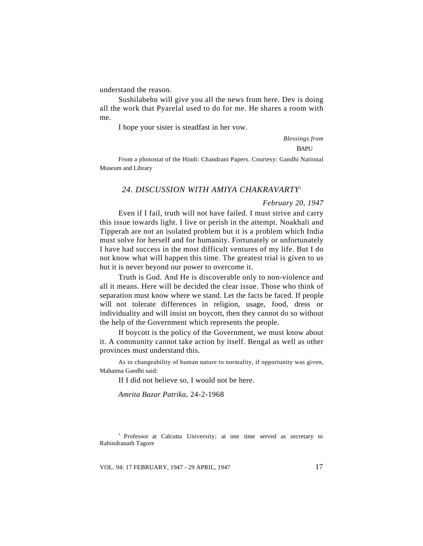understand the reason.

Sushilabehn will give you all the news from here. Dev is doing all the work that Pyarelal used to do for me. He shares a room with me.

I hope your sister is steadfast in her vow.

*Blessings from*

**BAPU** 

From a photostat of the Hindi: Chandrani Papers. Courtesy: Gandhi National Museum and Library

#### *24. DISCUSSION WITH AMIYA CHAKRAVARTY*<sup>1</sup>

#### *February 20, 1947*

Even if I fail, truth will not have failed. I must strive and carry this issue towards light. I live or perish in the attempt. Noakhali and Tipperah are not an isolated problem but it is a problem which India must solve for herself and for humanity. Fortunately or unfortunately I have had success in the most difficult ventures of my life. But I do not know what will happen this time. The greatest trial is given to us but it is never beyond our power to overcome it.

Truth is God. And He is discoverable only to non-violence and all it means. Here will be decided the clear issue. Those who think of separation must know where we stand. Let the facts be faced. If people will not tolerate differences in religion, usage, food, dress or individuality and will insist on boycott, then they cannot do so without the help of the Government which represents the people.

If boycott is the policy of the Government, we must know about it. A community cannot take action by itself. Bengal as well as other provinces must understand this.

As to changeability of human nature to normality, if opportunity was given, Mahatma Gandhi said:

If I did not believe so, I would not be here.

*Amrita Bazar Patrika*, 24-2-1968

<sup>1</sup> Professor at Calcutta University; at one time served as secretary to Rabindranath Tagore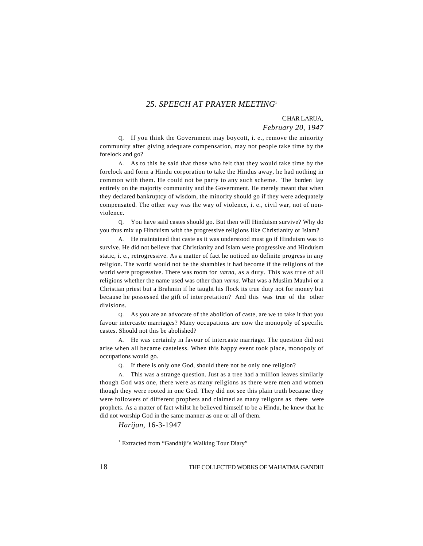### *25. SPEECH AT PRAYER MEETING*<sup>1</sup>

## CHAR LARUA, *February 20, 1947*

Q. If you think the Government may boycott, i. e., remove the minority community after giving adequate compensation, may not people take time by the forelock and go?

A. As to this he said that those who felt that they would take time by the forelock and form a Hindu corporation to take the Hindus away, he had nothing in common with them. He could not be party to any such scheme. The burden lay entirely on the majority community and the Government. He merely meant that when they declared bankruptcy of wisdom, the minority should go if they were adequately compensated. The other way was the way of violence, i. e., civil war, not of nonviolence.

Q. You have said castes should go. But then will Hinduism survive? Why do you thus mix up Hinduism with the progressive religions like Christianity or Islam?

A. He maintained that caste as it was understood must go if Hinduism was to survive. He did not believe that Christianity and Islam were progressive and Hinduism static, i. e., retrogressive. As a matter of fact he noticed no definite progress in any religion. The world would not be the shambles it had become if the religions of the world were progressive. There was room for *varna*, as a duty. This was true of all religions whether the name used was other than *varna*. What was a Muslim Maulvi or a Christian priest but a Brahmin if he taught his flock its true duty not for money but because he possessed the gift of interpretation? And this was true of the other divisions.

Q. As you are an advocate of the abolition of caste, are we to take it that you favour intercaste marriages? Many occupations are now the monopoly of specific castes. Should not this be abolished?

A. He was certainly in favour of intercaste marriage. The question did not arise when all became casteless. When this happy event took place, monopoly of occupations would go.

Q. If there is only one God, should there not be only one religion?

A. This was a strange question. Just as a tree had a million leaves similarly though God was one, there were as many religions as there were men and women though they were rooted in one God. They did not see this plain truth because they were followers of different prophets and claimed as many religons as there were prophets. As a matter of fact whilst he believed himself to be a Hindu, he knew that he did not worship God in the same manner as one or all of them.

#### *Harijan*, 16-3-1947

<sup>1</sup> Extracted from "Gandhiji's Walking Tour Diary"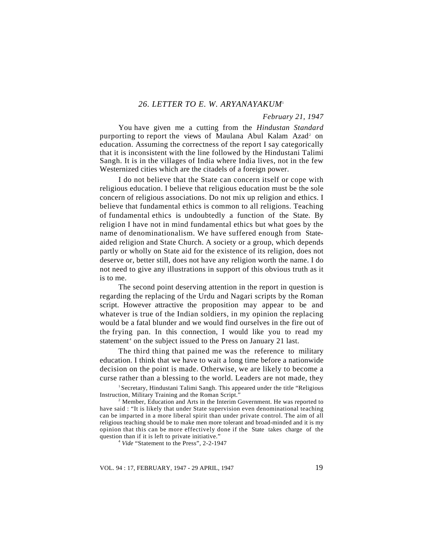#### *26. LETTER TO E. W. ARYANAYAKUM*<sup>1</sup>

#### *February 21, 1947*

You have given me a cutting from the *Hindustan Standard* purporting to report the views of Maulana Abul Kalam Azad<sup>2</sup> on education. Assuming the correctness of the report I say categorically that it is inconsistent with the line followed by the Hindustani Talimi Sangh. It is in the villages of India where India lives, not in the few Westernized cities which are the citadels of a foreign power.

I do not believe that the State can concern itself or cope with religious education. I believe that religious education must be the sole concern of religious associations. Do not mix up religion and ethics. I believe that fundamental ethics is common to all religions. Teaching of fundamental ethics is undoubtedly a function of the State. By religion I have not in mind fundamental ethics but what goes by the name of denominationalism. We have suffered enough from Stateaided religion and State Church. A society or a group, which depends partly or wholly on State aid for the existence of its religion, does not deserve or, better still, does not have any religion worth the name. I do not need to give any illustrations in support of this obvious truth as it is to me.

The second point deserving attention in the report in question is regarding the replacing of the Urdu and Nagari scripts by the Roman script. However attractive the proposition may appear to be and whatever is true of the Indian soldiers, in my opinion the replacing would be a fatal blunder and we would find ourselves in the fire out of the frying pan. In this connection, I would like you to read my statement<sup>4</sup> on the subject issued to the Press on January 21 last.

The third thing that pained me was the reference to military education. I think that we have to wait a long time before a nationwide decision on the point is made. Otherwise, we are likely to become a curse rather than a blessing to the world. Leaders are not made, they

<sup>1</sup> Secretary, Hindustani Talimi Sangh. This appeared under the title "Religious" Instruction, Military Training and the Roman Script."

 $2^2$  Member, Education and Arts in the Interim Government. He was reported to have said : "It is likely that under State supervision even denominational teaching can be imparted in a more liberal spirit than under private control. The aim of all religious teaching should be to make men more tolerant and broad-minded and it is my opinion that this can be more effectively done if the State takes charge of the question than if it is left to private initiative."

<sup>4</sup> *Vide* "Statement to the Press", 2-2-1947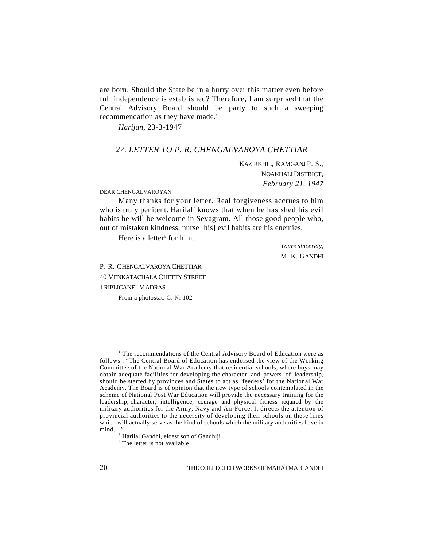are born. Should the State be in a hurry over this matter even before full independence is established? Therefore, I am surprised that the Central Advisory Board should be party to such a sweeping recommendation as they have made.<sup>1</sup>

*Harijan,* 23-3-1947

### *27. LETTER TO P. R. CHENGALVAROYA CHETTIAR*

KAZIRKHIL, RAMGANJ P. S., NOAKHALI DISTRICT, *February 21, 1947*

#### DEAR CHENGALVAROYAN,

Many thanks for your letter. Real forgiveness accrues to him who is truly penitent. Harilal<sup>2</sup> knows that when he has shed his evil habits he will be welcome in Sevagram. All those good people who, out of mistaken kindness, nurse [his] evil habits are his enemies.

Here is a letter<sup>3</sup> for him.

*Yours sincerely,* M. K. GANDHI

P. R. CHENGALVAROYA CHETTIAR 40 VENKATACHALA CHETTY STREET TRIPLICANE, MADRAS

From a photostat: G. N. 102

<sup>1</sup> The recommendations of the Central Advisory Board of Education were as follows : "The Central Board of Education has endorsed the view of the Working Committee of the National War Academy that residential schools, where boys may obtain adequate facilities for developing the character and powers of leadership, should be started by provinces and States to act as 'feeders' for the National War Academy. The Board is of opinion that the new type of schools contemplated in the scheme of National Post War Education will provide the necessary training for the leadership, character, intelligence, courage and physical fitness required by the military authorities for the Army, Navy and Air Force. It directs the attention of provincial authorities to the necessity of developing their schools on these lines which will actually serve as the kind of schools which the military authorities have in mind...."

<sup>2</sup> Harilal Gandhi, eldest son of Gandhiji

<sup>3</sup> The letter is not available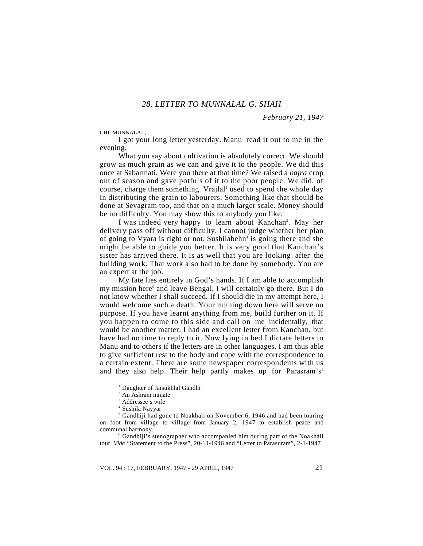*February 21, 1947*

CHI. MUNNALAL,

I got your long letter yesterday. Manu<sup>1</sup> read it out to me in the evening.

What you say about cultivation is absolutely correct. We should grow as much grain as we can and give it to the people. We did this once at Sabarmati. Were you there at that time? We raised a *bajra* crop out of season and gave potfuls of it to the poor people. We did, of course, charge them something. Vrajlal<sup>2</sup> used to spend the whole day in distributing the grain to labourers. Something like that should be done at Sevagram too, and that on a much larger scale. Money should be no difficulty. You may show this to anybody you like.

I was indeed very happy to learn about Kanchan<sup>3</sup>. May her delivery pass off without difficulty. I cannot judge whether her plan of going to Vyara is right or not. Sushilabehn<sup>4</sup> is going there and she might be able to guide you better. It is very good that Kanchan's sister has arrived there. It is as well that you are looking after the building work. That work also had to be done by somebody. You are an expert at the job.

My fate lies entirely in God's hands. If I am able to accomplish my mission here<sup>5</sup> and leave Bengal, I will certainly go there. But I do not know whether I shall succeed. If I should die in my attempt here, I would welcome such a death. Your running down here will serve no purpose. If you have learnt anything from me, build further on it. If you happen to come to this side and call on me incidentally, that would be another matter. I had an excellent letter from Kanchan, but have had no time to reply to it. Now lying in bed I dictate letters to Manu and to others if the letters are in other languages. I am thus able to give sufficient rest to the body and cope with the correspondence to a certain extent. There are some newspaper correspondents with us and they also help. Their help partly makes up for Parasram's<sup> $6$ </sup>

<sup>1</sup> Daughter of Jaisukhlal Gandhi

<sup>2</sup> An Ashram inmate

<sup>3</sup> Addressee's wife

4 Sushila Nayyar

<sup>5</sup> Gandhiji had gone to Noakhali on November 6, 1946 and had been touring on foot from village to village from January 2, 1947 to establish peace and communal harmony.

<sup>6</sup> Gandhiji's stenographer who accompanied him during part of the Noakhali tour. *Vide* "Statement to the Press", 20-11-1946 and "Letter to Parasuram", 2-1-1947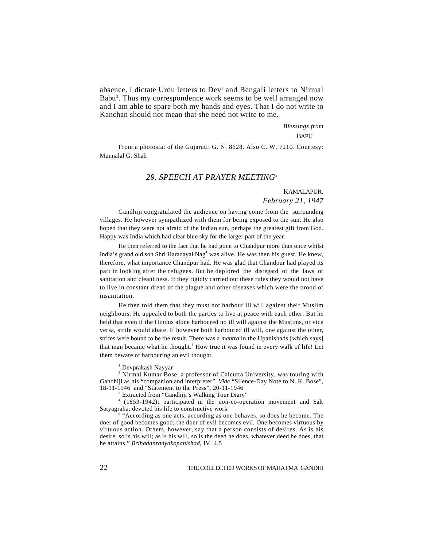absence. I dictate Urdu letters to Dev<sup>1</sup> and Bengali letters to Nirmal Babu<sup>2</sup>. Thus my correspondence work seems to be well arranged now and I am able to spare both my hands and eyes. That I do not write to Kanchan should not mean that she need not write to me.

> *Blessings from* **BAPU**

From a photostat of the Gujarati: G. N. 8628. Also C. W. 7210. Courtesy: Munnalal G. Shah

## *29. SPEECH AT PRAYER MEETING*<sup>3</sup>

#### KAMALAPUR, *February 21, 1947*

Gandhiji congratulated the audience on having come from the surrounding villages. He however sympathized with them for being exposed to the sun. He also hoped that they were not afraid of the Indian sun, perhaps the greatest gift from God. Happy was India which had clear blue sky for the larger part of the year.

He then referred to the fact that he had gone to Chandpur more than once whilst India's grand old son Shri Haradayal Nag<sup>4</sup> was alive. He was then his guest. He knew, therefore, what importance Chandpur had. He was glad that Chandpur had played its part in looking after the refugees. But he deplored the disregard of the laws of sanitation and cleanliness. If they rigidly carried out these rules they would not have to live in constant dread of the plague and other diseases which were the brood of insanitation.

He then told them that they must not harbour ill will against their Muslim neighbours. He appealed to both the parties to live at peace with each other. But he held that even if the Hindus alone harboured no ill will against the Muslims, or vice versa, strife would abate. If however both harboured ill will, one against the other, strifes were bound to be the result. There was a *mantra* in the Upanishads [which says] that man became what he thought.<sup>5</sup> How true it was found in every walk of life! Let them beware of harbouring an evil thought.

1 Devprakash Nayyar

<sup>2</sup> Nirmal Kumar Bose, a professor of Calcutta University, was touring with Gandhiji as his "companion and interpreter". *Vide* "Silence-Day Note to N. K. Bose", 18-11-1946 and "Statement to the Press", 20-11-1946

<sup>3</sup> Extracted from "Gandhiji's Walking Tour Diary"

4 (1853-1942); participated in the non-co-operation movement and Salt Satyagraha; devoted his life to constructive work

<sup>5</sup> "According as one acts, according as one behaves, so does he become. The doer of good becomes good, the doer of evil becomes evil. One becomes virtuous by virtuous action. Others, however, say that a person consists of desires. As is his desire, so is his will; as is his will, so is the deed he does, whatever deed he does, that he attains." *Brihadanranyakopanishad*, IV. 4.5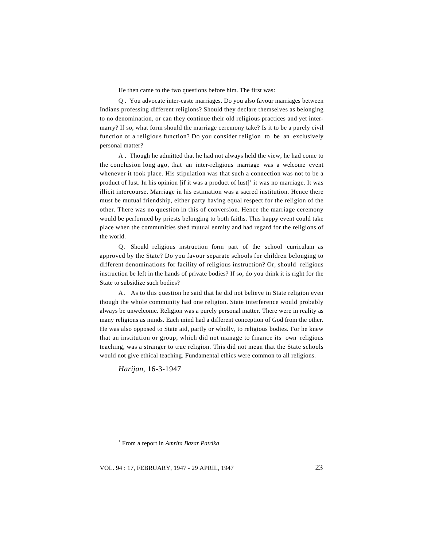He then came to the two questions before him. The first was:

Q . You advocate inter-caste marriages. Do you also favour marriages between Indians professing different religions? Should they declare themselves as belonging to no denomination, or can they continue their old religious practices and yet intermarry? If so, what form should the marriage ceremony take? Is it to be a purely civil function or a religious function? Do you consider religion to be an exclusively personal matter?

A . Though he admitted that he had not always held the view, he had come to the conclusion long ago, that an inter-religious marriage was a welcome event whenever it took place. His stipulation was that such a connection was not to be a product of lust. In his opinion [if it was a product of lust]<sup>1</sup> it was no marriage. It was illicit intercourse. Marriage in his estimation was a sacred institution. Hence there must be mutual friendship, either party having equal respect for the religion of the other. There was no question in this of conversion. Hence the marriage ceremony would be performed by priests belonging to both faiths. This happy event could take place when the communities shed mutual enmity and had regard for the religions of the world.

Q . Should religious instruction form part of the school curriculum as approved by the State? Do you favour separate schools for children belonging to different denominations for facility of religious instruction? Or, should religious instruction be left in the hands of private bodies? If so, do you think it is right for the State to subsidize such bodies?

A . As to this question he said that he did not believe in State religion even though the whole community had one religion. State interference would probably always be unwelcome. Religion was a purely personal matter. There were in reality as many religions as minds. Each mind had a different conception of God from the other. He was also opposed to State aid, partly or wholly, to religious bodies. For he knew that an institution or group, which did not manage to finance its own religious teaching, was a stranger to true religion. This did not mean that the State schools would not give ethical teaching. Fundamental ethics were common to all religions.

*Harijan*, 16-3-1947

1 From a report in *Amrita Bazar Patrika*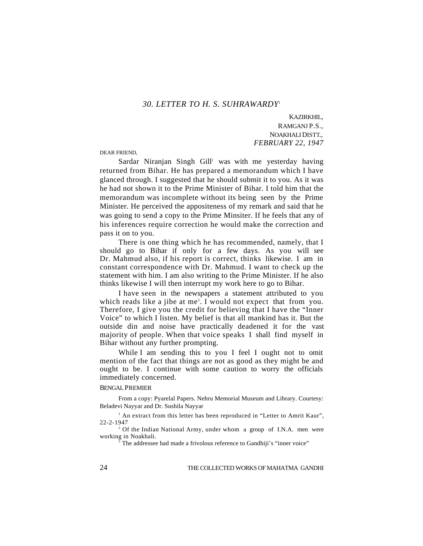### *30. LETTER TO H. S. SUHRAWARDY*<sup>1</sup>

KAZIRKHIL, RAMGANJ P.S., NOAKHALI DISTT., *FEBRUARY 22, 1947*

DEAR FRIEND,

Sardar Niranjan Singh Gill<sup>2</sup> was with me yesterday having returned from Bihar. He has prepared a memorandum which I have glanced through. I suggested that he should submit it to you. As it was he had not shown it to the Prime Minister of Bihar. I told him that the memorandum was incomplete without its being seen by the Prime Minister. He perceived the appositeness of my remark and said that he was going to send a copy to the Prime Minsiter. If he feels that any of his inferences require correction he would make the correction and pass it on to you.

There is one thing which he has recommended, namely, that I should go to Bihar if only for a few days. As you will see Dr. Mahmud also, if his report is correct, thinks likewise. I am in constant correspondence with Dr. Mahmud. I want to check up the statement with him. I am also writing to the Prime Minister. If he also thinks likewise I will then interrupt my work here to go to Bihar.

I have seen in the newspapers a statement attributed to you which reads like a jibe at me<sup>3</sup>. I would not expect that from you. Therefore, I give you the credit for believing that I have the "Inner Voice" to which I listen. My belief is that all mankind has it. But the outside din and noise have practically deadened it for the vast majority of people. When that voice speaks I shall find myself in Bihar without any further prompting.

While I am sending this to you I feel I ought not to omit mention of the fact that things are not as good as they might be and ought to be. I continue with some caution to worry the officials immediately concerned.

#### BENGAL PREMIER

From a copy: Pyarelal Papers. Nehru Memorial Museum and Library. Courtesy: Beladevi Nayyar and Dr. Sushila Nayyar

<sup>1</sup> An extract from this letter has been reproduced in "Letter to Amrit Kaur", 22-2-1947

 $2$  Of the Indian National Army, under whom a group of I.N.A. men were working in Noakhali.

3 The addressee had made a frivolous reference to Gandhiji's "inner voice"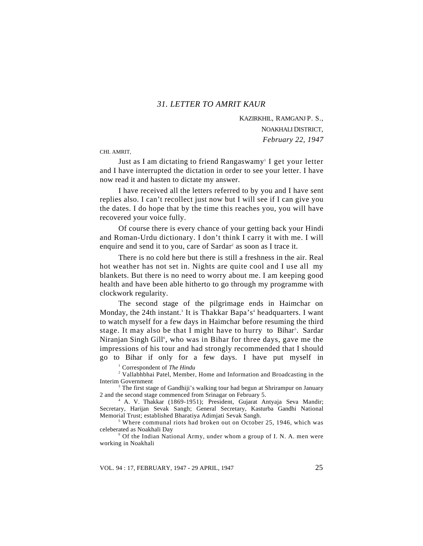#### *31. LETTER TO AMRIT KAUR*

KAZIRKHIL, RAMGANJ P. S., NOAKHALI DISTRICT, *February 22, 1947*

CHI. AMRIT,

Just as I am dictating to friend Rangaswamy<sup>1</sup> I get your letter and I have interrupted the dictation in order to see your letter. I have now read it and hasten to dictate my answer.

I have received all the letters referred to by you and I have sent replies also. I can't recollect just now but I will see if I can give you the dates. I do hope that by the time this reaches you, you will have recovered your voice fully.

Of course there is every chance of your getting back your Hindi and Roman-Urdu dictionary. I don't think I carry it with me. I will enquire and send it to you, care of Sardar<sup>2</sup> as soon as I trace it.

There is no cold here but there is still a freshness in the air. Real hot weather has not set in. Nights are quite cool and I use all my blankets. But there is no need to worry about me. I am keeping good health and have been able hitherto to go through my programme with clockwork regularity.

The second stage of the pilgrimage ends in Haimchar on Monday, the 24th instant.<sup>3</sup> It is Thakkar Bapa's<sup>4</sup> headquarters. I want to watch myself for a few days in Haimchar before resuming the third stage. It may also be that I might have to hurry to Bihar<sup>5</sup>. Sardar Niranjan Singh Gill<sup>6</sup>, who was in Bihar for three days, gave me the impressions of his tour and had strongly recommended that I should go to Bihar if only for a few days. I have put myself in

<sup>1</sup> Correspondent of *The Hindu* 

<sup>2</sup> Vallabhbhai Patel, Member, Home and Information and Broadcasting in the Interim Government

<sup>3</sup> The first stage of Gandhiji's walking tour had begun at Shrirampur on January 2 and the second stage commenced from Srinagar on February 5.

<sup>4</sup> A. V. Thakkar (1869-1951); President, Gujarat Antyaja Seva Mandir; Secretary, Harijan Sevak Sangh; General Secretary, Kasturba Gandhi National Memorial Trust; established Bharatiya Adimjati Sevak Sangh.

<sup>5</sup> Where communal riots had broken out on October 25, 1946, which was celeberated as Noakhali Day

6 Of the Indian National Army, under whom a group of I. N. A. men were working in Noakhali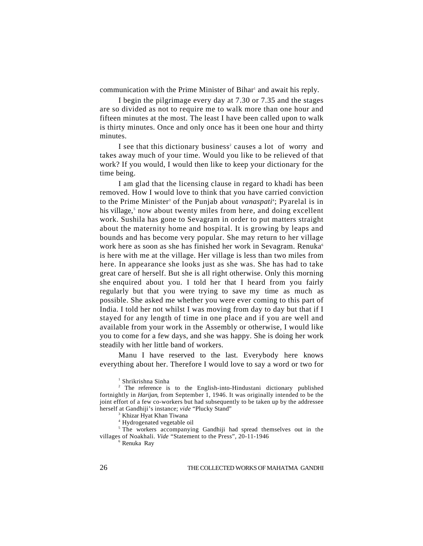communication with the Prime Minister of Bihar<sup>1</sup> and await his reply.

I begin the pilgrimage every day at 7.30 or 7.35 and the stages are so divided as not to require me to walk more than one hour and fifteen minutes at the most. The least I have been called upon to walk is thirty minutes. Once and only once has it been one hour and thirty minutes.

I see that this dictionary business<sup>2</sup> causes a lot of worry and takes away much of your time. Would you like to be relieved of that work? If you would, I would then like to keep your dictionary for the time being.

I am glad that the licensing clause in regard to khadi has been removed. How I would love to think that you have carried conviction to the Prime Minister<sup>3</sup> of the Punjab about *vanaspati*<sup>4</sup>; Pyarelal is in his village,<sup>5</sup> now about twenty miles from here, and doing excellent work. Sushila has gone to Sevagram in order to put matters straight about the maternity home and hospital. It is growing by leaps and bounds and has become very popular. She may return to her village work here as soon as she has finished her work in Sevagram. Renuka<sup>6</sup> is here with me at the village. Her village is less than two miles from here. In appearance she looks just as she was. She has had to take great care of herself. But she is all right otherwise. Only this morning she enquired about you. I told her that I heard from you fairly regularly but that you were trying to save my time as much as possible. She asked me whether you were ever coming to this part of India. I told her not whilst I was moving from day to day but that if I stayed for any length of time in one place and if you are well and available from your work in the Assembly or otherwise, I would like you to come for a few days, and she was happy. She is doing her work steadily with her little band of workers.

Manu I have reserved to the last. Everybody here knows everything about her. Therefore I would love to say a word or two for

1 Shrikrishna Sinha

<sup>3</sup> Khizar Hyat Khan Tiwana

4 Hydrogenated vegetable oil

<sup>5</sup> The workers accompanying Gandhiji had spread themselves out in the villages of Noakhali. *Vide* "Statement to the Press", 20-11-1946

6 Renuka Ray

<sup>&</sup>lt;sup>2</sup> The reference is to the English-into-Hindustani dictionary published fortnightly in *Harijan*, from September 1, 1946. It was originally intended to be the joint effort of a few co-workers but had subsequently to be taken up by the addressee herself at Gandhiji's instance; *vide* "Plucky Stand"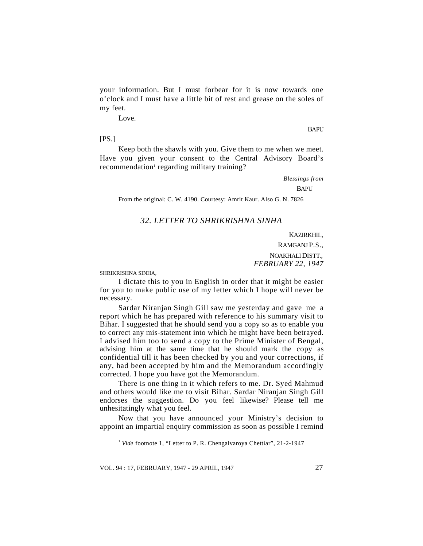your information. But I must forbear for it is now towards one o'clock and I must have a little bit of rest and grease on the soles of my feet.

Love.

[PS.]

Keep both the shawls with you. Give them to me when we meet. Have you given your consent to the Central Advisory Board's recommendation<sup>1</sup> regarding military training?

*Blessings from*

**BAPU** 

From the original: C. W. 4190. Courtesy: Amrit Kaur. Also G. N. 7826

## *32. LETTER TO SHRIKRISHNA SINHA*

KAZIRKHIL,

RAMGANJ P.S.,

NOAKHALI DISTT., *FEBRUARY 22, 1947*

SHRIKRISHNA SINHA,

I dictate this to you in English in order that it might be easier for you to make public use of my letter which I hope will never be necessary.

Sardar Niranjan Singh Gill saw me yesterday and gave me a report which he has prepared with reference to his summary visit to Bihar. I suggested that he should send you a copy so as to enable you to correct any mis-statement into which he might have been betrayed. I advised him too to send a copy to the Prime Minister of Bengal, advising him at the same time that he should mark the copy as confidential till it has been checked by you and your corrections, if any, had been accepted by him and the Memorandum accordingly corrected. I hope you have got the Memorandum.

There is one thing in it which refers to me. Dr. Syed Mahmud and others would like me to visit Bihar. Sardar Niranjan Singh Gill endorses the suggestion. Do you feel likewise? Please tell me unhesitatingly what you feel.

Now that you have announced your Ministry's decision to appoint an impartial enquiry commission as soon as possible I remind

<sup>1</sup> *Vide* footnote 1, "Letter to P. R. Chengalvaroya Chettiar", 21-2-1947

BAPU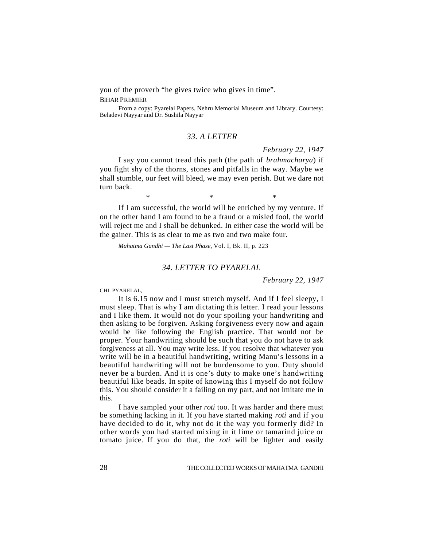you of the proverb "he gives twice who gives in time". BIHAR PREMIER

From a copy: Pyarelal Papers. Nehru Memorial Museum and Library. Courtesy: Beladevi Nayyar and Dr. Sushila Nayyar

## *33. A LETTER*

*February 22, 1947*

I say you cannot tread this path (the path of *brahmacharya*) if you fight shy of the thorns, stones and pitfalls in the way. Maybe we shall stumble, our feet will bleed, we may even perish. But we dare not turn back.

If I am successful, the world will be enriched by my venture. If on the other hand I am found to be a fraud or a misled fool, the world will reject me and I shall be debunked. In either case the world will be the gainer. This is as clear to me as two and two make four.

 $*$   $*$   $*$ 

*Mahatma Gandhi — The Last Phase,* Vol. I, Bk. II, p. 223

#### *34. LETTER TO PYARELAL*

*February 22, 1947*

CHI. PYARELAL,

It is 6.15 now and I must stretch myself. And if I feel sleepy, I must sleep. That is why I am dictating this letter. I read your lessons and I like them. It would not do your spoiling your handwriting and then asking to be forgiven. Asking forgiveness every now and again would be like following the English practice. That would not be proper. Your handwriting should be such that you do not have to ask forgiveness at all. You may write less. If you resolve that whatever you write will be in a beautiful handwriting, writing Manu's lessons in a beautiful handwriting will not be burdensome to you. Duty should never be a burden. And it is one's duty to make one's handwriting beautiful like beads. In spite of knowing this I myself do not follow this. You should consider it a failing on my part, and not imitate me in this.

I have sampled your other *roti* too. It was harder and there must be something lacking in it. If you have started making *roti* and if you have decided to do it, why not do it the way you formerly did? In other words you had started mixing in it lime or tamarind juice or tomato juice. If you do that, the *roti* will be lighter and easily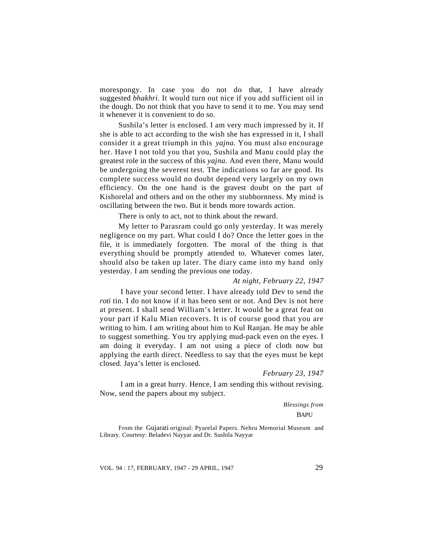morespongy. In case you do not do that, I have already suggested *bhakhri.* It would turn out nice if you add sufficient oil in the dough. Do not think that you have to send it to me. You may send it whenever it is convenient to do so.

Sushila's letter is enclosed. I am very much impressed by it. If she is able to act according to the wish she has expressed in it, I shall consider it a great triumph in this *yajna.* You must also encourage her. Have I not told you that you, Sushila and Manu could play the greatest role in the success of this *yajna.* And even there, Manu would be undergoing the severest test. The indications so far are good. Its complete success would no doubt depend very largely on my own efficiency. On the one hand is the gravest doubt on the part of Kishorelal and others and on the other my stubbornness. My mind is oscillating between the two. But it bends more towards action.

There is only to act, not to think about the reward.

My letter to Parasram could go only yesterday. It was merely negligence on my part. What could I do? Once the letter goes in the file, it is immediately forgotten. The moral of the thing is that everything should be promptly attended to. Whatever comes later, should also be taken up later. The diary came into my hand only yesterday. I am sending the previous one today.

*At night, February 22, 1947*

 I have your second letter. I have already told Dev to send the *roti* tin. I do not know if it has been sent or not. And Dev is not here at present. I shall send William's letter. It would be a great feat on your part if Kalu Mian recovers. It is of course good that you are writing to him. I am writing about him to Kul Ranjan. He may be able to suggest something. You try applying mud-pack even on the eyes. I am doing it everyday. I am not using a piece of cloth now but applying the earth direct. Needless to say that the eyes must be kept closed. Jaya's letter is enclosed.

#### *February 23, 1947*

 I am in a great hurry. Hence, I am sending this without revising. Now, send the papers about my subject.

> *Blessings from* **BAPU**

From the Gujarati original: Pyarelal Papers. Nehru Memorial Museum and Library. Courtesy: Beladevi Nayyar and Dr. Sushila Nayyar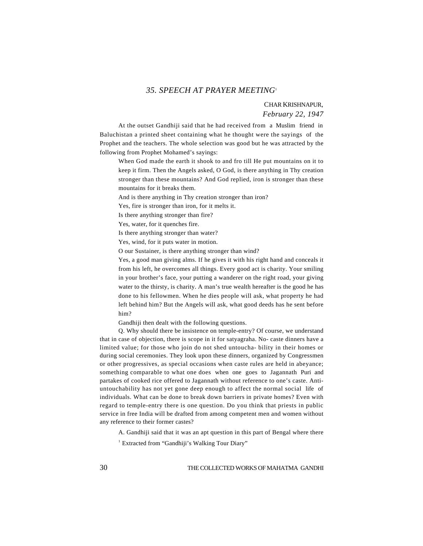## *35. SPEECH AT PRAYER MEETING*<sup>1</sup>

CHAR KRISHNAPUR, *February 22, 1947*

At the outset Gandhiji said that he had received from a Muslim friend in Baluchistan a printed sheet containing what he thought were the sayings of the Prophet and the teachers. The whole selection was good but he was attracted by the following from Prophet Mohamed's sayings:

When God made the earth it shook to and fro till He put mountains on it to keep it firm. Then the Angels asked, O God, is there anything in Thy creation stronger than these mountains? And God replied, iron is stronger than these mountains for it breaks them.

And is there anything in Thy creation stronger than iron?

Yes, fire is stronger than iron, for it melts it.

Is there anything stronger than fire?

Yes, water, for it quenches fire.

Is there anything stronger than water?

Yes, wind, for it puts water in motion.

O our Sustainer, is there anything stronger than wind?

Yes, a good man giving alms. If he gives it with his right hand and conceals it from his left, he overcomes all things. Every good act is charity. Your smiling in your brother's face, your putting a wanderer on the right road, your giving water to the thirsty, is charity. A man's true wealth hereafter is the good he has done to his fellowmen. When he dies people will ask, what property he had left behind him? But the Angels will ask, what good deeds has he sent before him?

Gandhiji then dealt with the following questions.

Q. Why should there be insistence on temple-entry? Of course, we understand that in case of objection, there is scope in it for satyagraha. No- caste dinners have a limited value; for those who join do not shed untoucha- bility in their homes or during social ceremonies. They look upon these dinners, organized by Congressmen or other progressives, as special occasions when caste rules are held in abeyance; something comparable to what one does when one goes to Jagannath Puri and partakes of cooked rice offered to Jagannath without reference to one's caste. Antiuntouchability has not yet gone deep enough to affect the normal social life of individuals. What can be done to break down barriers in private homes? Even with regard to temple-entry there is one question. Do you think that priests in public service in free India will be drafted from among competent men and women without any reference to their former castes?

A. Gandhiji said that it was an apt question in this part of Bengal where there

<sup>1</sup> Extracted from "Gandhiji's Walking Tour Diary"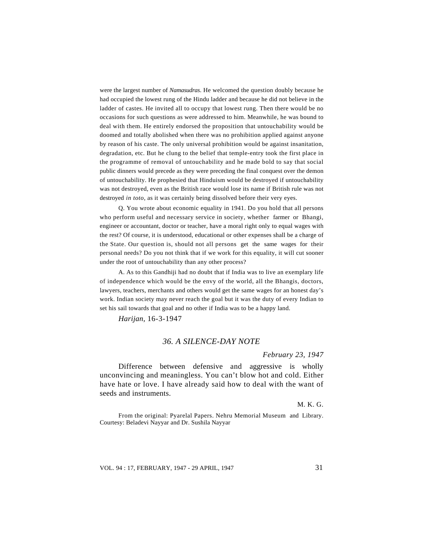were the largest number of *Namasudras*. He welcomed the question doubly because he had occupied the lowest rung of the Hindu ladder and because he did not believe in the ladder of castes. He invited all to occupy that lowest rung. Then there would be no occasions for such questions as were addressed to him. Meanwhile, he was bound to deal with them. He entirely endorsed the proposition that untouchability would be doomed and totally abolished when there was no prohibition applied against anyone by reason of his caste. The only universal prohibition would be against insanitation, degradation, etc. But he clung to the belief that temple-entry took the first place in the programme of removal of untouchability and he made bold to say that social public dinners would precede as they were preceding the final conquest over the demon of untouchability. He prophesied that Hinduism would be destroyed if untouchability was not destroyed, even as the British race would lose its name if British rule was not destroyed *in toto*, as it was certainly being dissolved before their very eyes.

Q. You wrote about economic equality in 1941. Do you hold that all persons who perform useful and necessary service in society, whether farmer or Bhangi, engineer or accountant, doctor or teacher, have a moral right only to equal wages with the rest? Of course, it is understood, educational or other expenses shall be a charge of the State. Our question is, should not all persons get the same wages for their personal needs? Do you not think that if we work for this equality, it will cut sooner under the root of untouchability than any other process?

A. As to this Gandhiji had no doubt that if India was to live an exemplary life of independence which would be the envy of the world, all the Bhangis, doctors, lawyers, teachers, merchants and others would get the same wages for an honest day's work. Indian society may never reach the goal but it was the duty of every Indian to set his sail towards that goal and no other if India was to be a happy land.

*Harijan,* 16-3-1947

## *36. A SILENCE-DAY NOTE*

#### *February 23, 1947*

Difference between defensive and aggressive is wholly unconvincing and meaningless. You can't blow hot and cold. Either have hate or love. I have already said how to deal with the want of seeds and instruments.

#### M. K. G.

From the original: Pyarelal Papers. Nehru Memorial Museum and Library. Courtesy: Beladevi Nayyar and Dr. Sushila Nayyar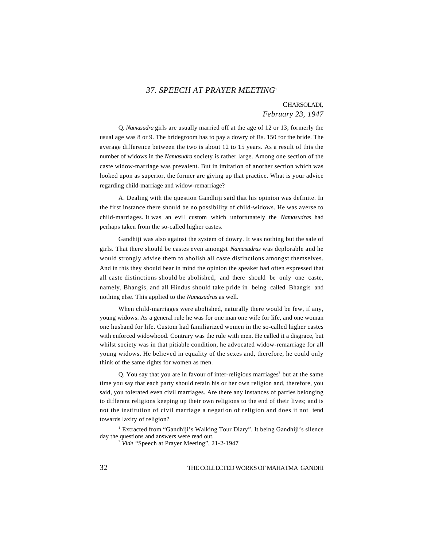## *37. SPEECH AT PRAYER MEETING*<sup>1</sup>

#### CHARSOLADI, *February 23, 1947*

Q. *Namasudra* girls are usually married off at the age of 12 or 13; formerly the usual age was 8 or 9. The bridegroom has to pay a dowry of Rs. 150 for the bride. The average difference between the two is about 12 to 15 years. As a result of this the number of widows in the *Namasudra* society is rather large. Among one section of the caste widow-marriage was prevalent. But in imitation of another section which was looked upon as superior, the former are giving up that practice. What is your advice regarding child-marriage and widow-remarriage?

A. Dealing with the question Gandhiji said that his opinion was definite. In the first instance there should be no possibility of child-widows. He was averse to child-marriages. It was an evil custom which unfortunately the *Namasudras* had perhaps taken from the so-called higher castes.

Gandhiji was also against the system of dowry. It was nothing but the sale of girls. That there should be castes even amongst *Namasudras* was deplorable and he would strongly advise them to abolish all caste distinctions amongst themselves. And in this they should bear in mind the opinion the speaker had often expressed that all caste distinctions should be abolished, and there should be only one caste, namely, Bhangis, and all Hindus should take pride in being called Bhangis and nothing else. This applied to the *Namasudras* as well.

When child-marriages were abolished, naturally there would be few, if any, young widows. As a general rule he was for one man one wife for life, and one woman one husband for life. Custom had familiarized women in the so-called higher castes with enforced widowhood. Contrary was the rule with men. He called it a disgrace, but whilst society was in that pitiable condition, he advocated widow-remarriage for all young widows. He believed in equality of the sexes and, therefore, he could only think of the same rights for women as men.

Q. You say that you are in favour of inter-religious marriages<sup>2</sup> but at the same time you say that each party should retain his or her own religion and, therefore, you said, you tolerated even civil marriages. Are there any instances of parties belonging to different religions keeping up their own religions to the end of their lives; and is not the institution of civil marriage a negation of religion and does it not tend towards laxity of religion?

<sup>1</sup> Extracted from "Gandhiji's Walking Tour Diary". It being Gandhiji's silence day the questions and answers were read out.

<sup>2</sup> *Vide* "Speech at Prayer Meeting", 21-2-1947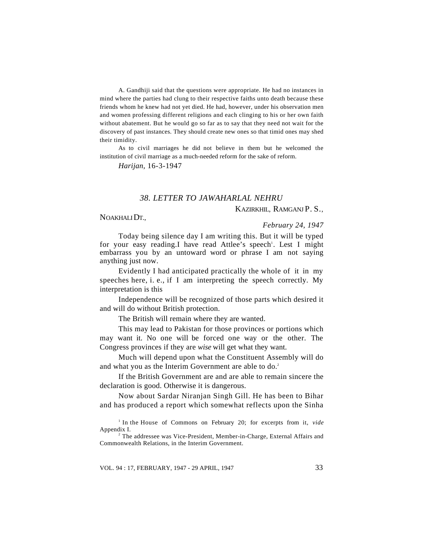A. Gandhiji said that the questions were appropriate. He had no instances in mind where the parties had clung to their respective faiths unto death because these friends whom he knew had not yet died. He had, however, under his observation men and women professing different religions and each clinging to his or her own faith without abatement. But he would go so far as to say that they need not wait for the discovery of past instances. They should create new ones so that timid ones may shed their timidity.

As to civil marriages he did not believe in them but he welcomed the institution of civil marriage as a much-needed reform for the sake of reform.

*Harijan,* 16-3-1947

#### *38. LETTER TO JAWAHARLAL NEHRU*

KAZIRKHIL, RAMGANJ P. S.,

NOAKHALI DT.,

*February 24, 1947*

Today being silence day I am writing this. But it will be typed for your easy reading. I have read Attlee's speech'. Lest I might embarrass you by an untoward word or phrase I am not saying anything just now.

Evidently I had anticipated practically the whole of it in my speeches here, i. e., if I am interpreting the speech correctly. My interpretation is this

Independence will be recognized of those parts which desired it and will do without British protection.

The British will remain where they are wanted.

This may lead to Pakistan for those provinces or portions which may want it. No one will be forced one way or the other. The Congress provinces if they are *wise* will get what they want.

Much will depend upon what the Constituent Assembly will do and what you as the Interim Government are able to do.<sup>2</sup>

If the British Government are and are able to remain sincere the declaration is good. Otherwise it is dangerous.

Now about Sardar Niranjan Singh Gill. He has been to Bihar and has produced a report which somewhat reflects upon the Sinha

<sup>&</sup>lt;sup>1</sup> In the House of Commons on February 20; for excerpts from it, *vide* Appendix I.

<sup>&</sup>lt;sup>2</sup> The addressee was Vice-President, Member-in-Charge, External Affairs and Commonwealth Relations, in the Interim Government.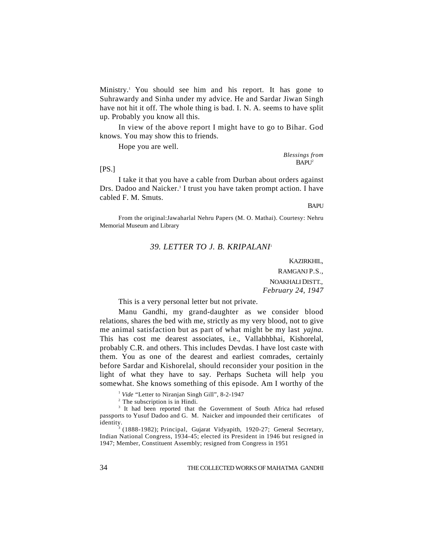Ministry.<sup>1</sup> You should see him and his report. It has gone to Suhrawardy and Sinha under my advice. He and Sardar Jiwan Singh have not hit it off. The whole thing is bad. I. N. A. seems to have split up. Probably you know all this.

In view of the above report I might have to go to Bihar. God knows. You may show this to friends.

Hope you are well.

*Blessings from*  $BAPI<sup>2</sup>$ 

 $[PS.]$ 

I take it that you have a cable from Durban about orders against Drs. Dadoo and Naicker.<sup>3</sup> I trust you have taken prompt action. I have cabled F. M. Smuts.

**BAPU** 

From the original:Jawaharlal Nehru Papers (M. O. Mathai). Courtesy: Nehru Memorial Museum and Library

## *39. LETTER TO J. B. KRIPALANI*<sup>1</sup>

KAZIRKHIL,

RAMGANJ P.S., NOAKHALI DISTT., *February 24, 1947*

This is a very personal letter but not private.

Manu Gandhi, my grand-daughter as we consider blood relations, shares the bed with me, strictly as my very blood, not to give me animal satisfaction but as part of what might be my last *yajna.* This has cost me dearest associates, i.e., Vallabhbhai, Kishorelal, probably C.R. and others. This includes Devdas. I have lost caste with them. You as one of the dearest and earliest comrades, certainly before Sardar and Kishorelal, should reconsider your position in the light of what they have to say. Perhaps Sucheta will help you somewhat. She knows something of this episode. Am I worthy of the

<sup>1</sup> Vide "Letter to Niranjan Singh Gill", 8-2-1947

 $2$  The subscription is in Hindi.

<sup>3</sup> It had been reported that the Government of South Africa had refused passports to Yusuf Dadoo and G. M. Naicker and impounded their certificates of identity.

3 (1888-1982); Principal, Gujarat Vidyapith, 1920-27; General Secretary, Indian National Congress, 1934-45; elected its President in 1946 but resigned in 1947; Member, Constituent Assembly; resigned from Congress in 1951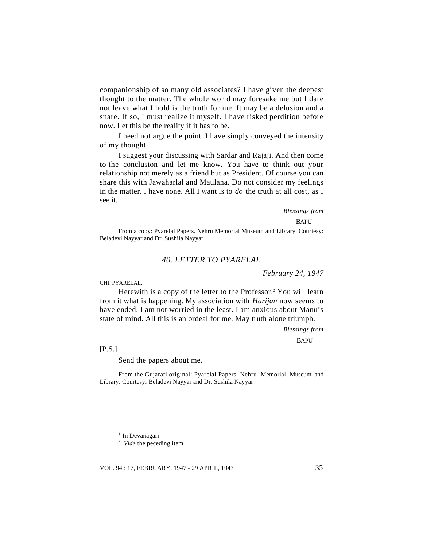companionship of so many old associates? I have given the deepest thought to the matter. The whole world may foresake me but I dare not leave what I hold is the truth for me. It may be a delusion and a snare. If so, I must realize it myself. I have risked perdition before now. Let this be the reality if it has to be.

I need not argue the point. I have simply conveyed the intensity of my thought.

I suggest your discussing with Sardar and Rajaji. And then come to the conclusion and let me know. You have to think out your relationship not merely as a friend but as President. Of course you can share this with Jawaharlal and Maulana. Do not consider my feelings in the matter. I have none. All I want is to *do* the truth at all cost, as I see it.

*Blessings from*

 $\mathbf{R}\mathbf{A}\mathbf{P}\mathbf{U}$ <sup>1</sup>

From a copy: Pyarelal Papers. Nehru Memorial Museum and Library. Courtesy: Beladevi Nayyar and Dr. Sushila Nayyar

# *40. LETTER TO PYARELAL*

*February 24, 1947*

CHI. PYARELAL,

Herewith is a copy of the letter to the Professor.<sup>2</sup> You will learn from it what is happening. My association with *Harijan* now seems to have ended. I am not worried in the least. I am anxious about Manu's state of mind. All this is an ordeal for me. May truth alone triumph.

*Blessings from*

**BAPU** 

 $[P.S.]$ 

Send the papers about me.

From the Gujarati original: Pyarelal Papers. Nehru Memorial Museum and Library. Courtesy: Beladevi Nayyar and Dr. Sushila Nayyar

<sup>1</sup> In Devanagari

<sup>2</sup> *Vide* the peceding item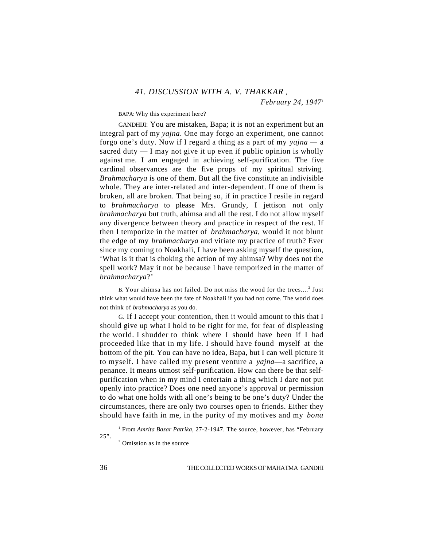#### *41. DISCUSSION WITH A. V. THAKKAR* ,

*February 24, 1947*<sup>1</sup>

BAPA: Why this experiment here?

GANDHIJI: You are mistaken, Bapa; it is not an experiment but an integral part of my *yajna*. One may forgo an experiment, one cannot forgo one's duty. Now if I regard a thing as a part of my *yajna —* a sacred duty  $\overline{\phantom{a}}$  I may not give it up even if public opinion is wholly against me. I am engaged in achieving self-purification. The five cardinal observances are the five props of my spiritual striving. *Brahmacharya* is one of them. But all the five constitute an indivisible whole. They are inter-related and inter-dependent. If one of them is broken, all are broken. That being so, if in practice I resile in regard to *brahmacharya* to please Mrs. Grundy, I jettison not only *brahmacharya* but truth, ahimsa and all the rest. I do not allow myself any divergence between theory and practice in respect of the rest. If then I temporize in the matter of *brahmacharya*, would it not blunt the edge of my *brahmacharya* and vitiate my practice of truth? Ever since my coming to Noakhali, I have been asking myself the question, 'What is it that is choking the action of my ahimsa? Why does not the spell work? May it not be because I have temporized in the matter of *brahmacharya*?'

B. Your ahimsa has not failed. Do not miss the wood for the trees....<sup>2</sup> Just think what would have been the fate of Noakhali if you had not come. The world does not think of *brahmacharya* as you do.

G. If I accept your contention, then it would amount to this that I should give up what I hold to be right for me, for fear of displeasing the world. I shudder to think where I should have been if I had proceeded like that in my life. I should have found myself at the bottom of the pit. You can have no idea, Bapa, but I can well picture it to myself. I have called my present venture a *yajna*—a sacrifice, a penance. It means utmost self-purification. How can there be that selfpurification when in my mind I entertain a thing which I dare not put openly into practice? Does one need anyone's approval or permission to do what one holds with all one's being to be one's duty? Under the circumstances, there are only two courses open to friends. Either they should have faith in me, in the purity of my motives and my *bona*

<sup>&</sup>lt;sup>1</sup> From *Amrita Bazar Patrika*, 27-2-1947. The source, however, has "February 25".

<sup>2</sup> Omission as in the source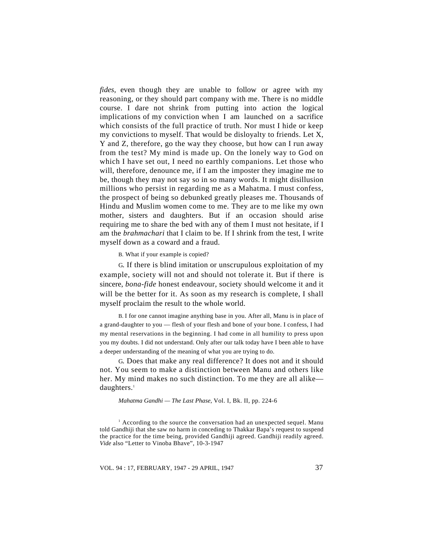*fides,* even though they are unable to follow or agree with my reasoning, or they should part company with me. There is no middle course. I dare not shrink from putting into action the logical implications of my conviction when I am launched on a sacrifice which consists of the full practice of truth. Nor must I hide or keep my convictions to myself. That would be disloyalty to friends. Let  $\overline{X}$ , Y and Z, therefore, go the way they choose, but how can I run away from the test? My mind is made up. On the lonely way to God on which I have set out, I need no earthly companions. Let those who will, therefore, denounce me, if I am the imposter they imagine me to be, though they may not say so in so many words. It might disillusion millions who persist in regarding me as a Mahatma. I must confess, the prospect of being so debunked greatly pleases me. Thousands of Hindu and Muslim women come to me. They are to me like my own mother, sisters and daughters. But if an occasion should arise requiring me to share the bed with any of them I must not hesitate, if I am the *brahmachari* that I claim to be. If I shrink from the test, I write myself down as a coward and a fraud.

B. What if your example is copied?

G. If there is blind imitation or unscrupulous exploitation of my example, society will not and should not tolerate it. But if there is sincere, *bona-fide* honest endeavour, society should welcome it and it will be the better for it. As soon as my research is complete, I shall myself proclaim the result to the whole world.

B. I for one cannot imagine anything base in you. After all, Manu is in place of a grand-daughter to you — flesh of your flesh and bone of your bone. I confess, I had my mental reservations in the beginning. I had come in all humility to press upon you my doubts. I did not understand. Only after our talk today have I been able to have a deeper understanding of the meaning of what you are trying to do.

G. Does that make any real difference? It does not and it should not. You seem to make a distinction between Manu and others like her. My mind makes no such distinction. To me they are all alike daughters.<sup>1</sup>

#### *Mahatma Gandhi — The Last Phase,* Vol. I, Bk. II, pp. 224-6

<sup>1</sup> According to the source the conversation had an unexpected sequel. Manu told Gandhiji that she saw no harm in conceding to Thakkar Bapa's request to suspend the practice for the time being, provided Gandhiji agreed. Gandhiji readily agreed. *Vide* also "Letter to Vinoba Bhave", 10-3-1947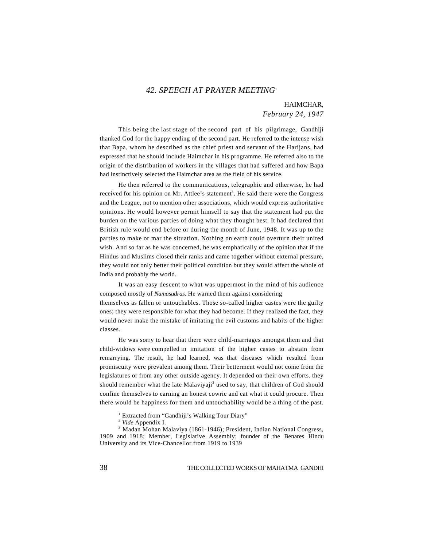# *42. SPEECH AT PRAYER MEETING*<sup>1</sup>

### HAIMCHAR, *February 24, 1947*

This being the last stage of the second part of his pilgrimage, Gandhiji thanked God for the happy ending of the second part. He referred to the intense wish that Bapa, whom he described as the chief priest and servant of the Harijans, had expressed that he should include Haimchar in his programme. He referred also to the origin of the distribution of workers in the villages that had suffered and how Bapa had instinctively selected the Haimchar area as the field of his service.

He then referred to the communications, telegraphic and otherwise, he had received for his opinion on Mr. Attlee's statement<sup>3</sup>. He said there were the Congress and the League, not to mention other associations, which would express authoritative opinions. He would however permit himself to say that the statement had put the burden on the various parties of doing what they thought best. It had declared that British rule would end before or during the month of June, 1948. It was up to the parties to make or mar the situation. Nothing on earth could overturn their united wish. And so far as he was concerned, he was emphatically of the opinion that if the Hindus and Muslims closed their ranks and came together without external pressure, they would not only better their political condition but they would affect the whole of India and probably the world.

It was an easy descent to what was uppermost in the mind of his audience composed mostly of *Namasudras*. He warned them against considering themselves as fallen or untouchables. Those so-called higher castes were the guilty ones; they were responsible for what they had become. If they realized the fact, they would never make the mistake of imitating the evil customs and habits of the higher classes.

He was sorry to hear that there were child-marriages amongst them and that child-widows were compelled in imitation of the higher castes to abstain from remarrying. The result, he had learned, was that diseases which resulted from promiscuity were prevalent among them. Their betterment would not come from the legislatures or from any other outside agency. It depended on their own efforts. they should remember what the late Malaviyaji<sup>3</sup> used to say, that children of God should confine themselves to earning an honest cowrie and eat what it could procure. Then there would be happiness for them and untouchability would be a thing of the past.

<sup>1</sup> Extracted from "Gandhiji's Walking Tour Diary"

2  *Vide* Appendix I.

<sup>3</sup> Madan Mohan Malaviya (1861-1946); President, Indian National Congress, 1909 and 1918; Member, Legislative Assembly; founder of the Benares Hindu University and its Vice-Chancellor from 1919 to 1939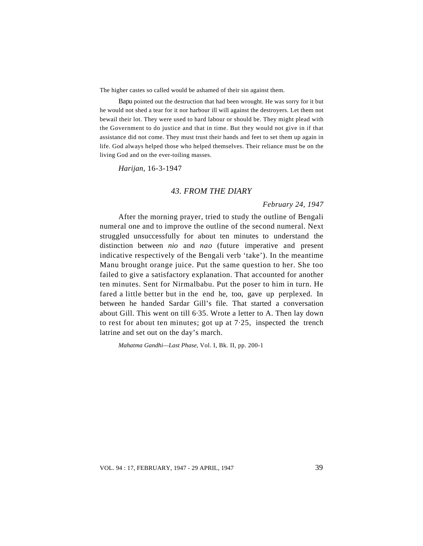The higher castes so called would be ashamed of their sin against them.

Bapu pointed out the destruction that had been wrought. He was sorry for it but he would not shed a tear for it nor harbour ill will against the destroyers. Let them not bewail their lot. They were used to hard labour or should be. They might plead with the Government to do justice and that in time. But they would not give in if that assistance did not come. They must trust their hands and feet to set them up again in life. God always helped those who helped themselves. Their reliance must be on the living God and on the ever-toiling masses.

*Harijan,* 16-3-1947

#### *43. FROM THE DIARY*

#### *February 24, 1947*

After the morning prayer, tried to study the outline of Bengali numeral one and to improve the outline of the second numeral. Next struggled unsuccessfully for about ten minutes to understand the distinction between *nio* and *nao* (future imperative and present indicative respectively of the Bengali verb 'take'). In the meantime Manu brought orange juice. Put the same question to her. She too failed to give a satisfactory explanation. That accounted for another ten minutes. Sent for Nirmalbabu. Put the poser to him in turn. He fared a little better but in the end he, too, gave up perplexed. In between he handed Sardar Gill's file. That started a conversation about Gill. This went on till 6·35. Wrote a letter to A. Then lay down to rest for about ten minutes; got up at 7·25, inspected the trench latrine and set out on the day's march.

*Mahatma Gandhi—Last Phase,* Vol. I, Bk. II, pp. 200-1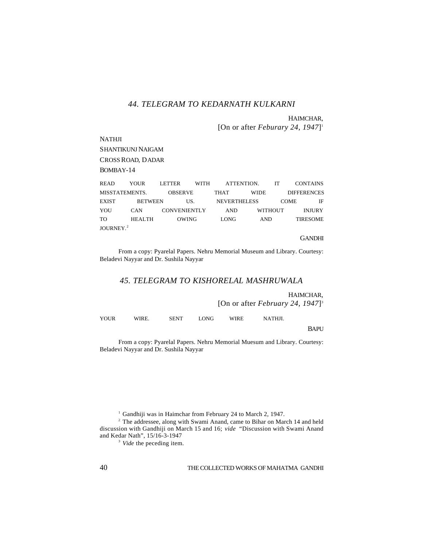# *44. TELEGRAM TO KEDARNATH KULKARNI*

# HAIMCHAR, [On or after *Feburary 24, 1947*] 1

NATHJI

SHANTIKUNJ NAIGAM CROSS ROAD, DADAR BOMBAY-14

READ YOUR LETTER WITH ATTENTION. IT CONTAINS MISSTATEMENTS. OBSERVE THAT WIDE DIFFERENCES EXIST BETWEEN US. NEVERTHELESS COME IF YOU CAN CONVENIENTLY AND WITHOUT INJURY TO HEALTH OWING LONG AND TIRESOME JOURNEY.<sup>2</sup>

#### GANDHI

From a copy: Pyarelal Papers. Nehru Memorial Museum and Library. Courtesy: Beladevi Nayyar and Dr. Sushila Nayyar

# *45. TELEGRAM TO KISHORELAL MASHRUWALA*

HAIMCHAR, [On or after *February 24, 1947*] 3 YOUR WIRE. SENT LONG WIRE NATHJI. **BAPU** 

From a copy: Pyarelal Papers. Nehru Memorial Muesum and Library. Courtesy: Beladevi Nayyar and Dr. Sushila Nayyar

 $1$  Gandhiji was in Haimchar from February 24 to March 2, 1947.

 $2^2$  The addressee, along with Swami Anand, came to Bihar on March 14 and held discussion with Gandhiji on March 15 and 16; *vide* "Discussion with Swami Anand and Kedar Nath", 15/16-3-1947

<sup>3</sup> *Vide* the peceding item.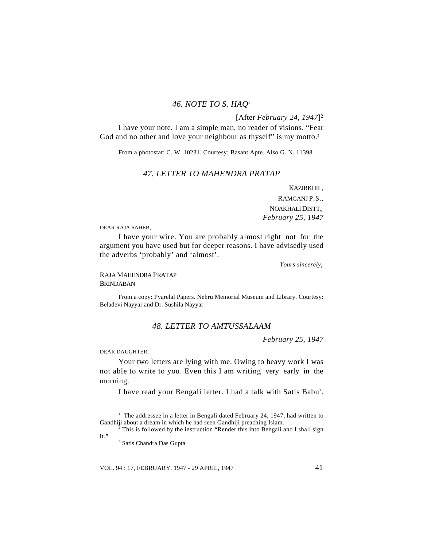# *46. NOTE TO S. HAQ*<sup>1</sup>

[After *February 24, 1947*] 2

I have your note. I am a simple man, no reader of visions. "Fear God and no other and love your neighbour as thyself" is my motto.<sup>2</sup>

From a photostat: C. W. 10231. Courtesy: Basant Apte. Also G. N. 11398

# *47. LETTER TO MAHENDRA PRATAP*

KAZIRKHIL, RAMGANJ P.S., NOAKHALI DISTT., *February 25, 1947*

DEAR RAJA SAHEB,

I have your wire. You are probably almost right not for the argument you have used but for deeper reasons. I have advisedly used the adverbs 'probably' and 'almost'.

*Yours sincerely,*

#### RAJA MAHENDRA PRATAP **BRINDABAN**

From a copy: Pyarelal Papers. Nehru Memorial Museum and Library. Courtesy: Beladevi Nayyar and Dr. Sushila Nayyar

# *48. LETTER TO AMTUSSALAAM*

*February 25, 1947*

DEAR DAUGHTER,

Your two letters are lying with me. Owing to heavy work I was not able to write to you. Even this I am writing very early in the morning.

I have read your Bengali letter. I had a talk with Satis Babu<sup>3</sup>.

<sup>1</sup> The addressee in a letter in Bengali dated February 24, 1947, had written to Gandhiji about a dream in which he had seen Gandhiji preaching Islam.

2 This is followed by the instruction "Render this into Bengali and I shall sign it."

3 Satis Chandra Das Gupta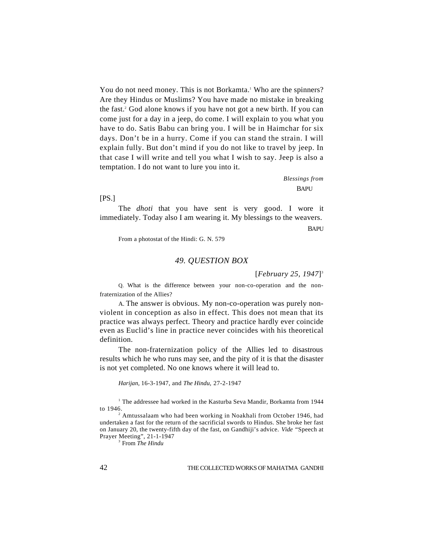You do not need money. This is not Borkamta.<sup>1</sup> Who are the spinners? Are they Hindus or Muslims? You have made no mistake in breaking the fast.<sup>2</sup> God alone knows if you have not got a new birth. If you can come just for a day in a jeep, do come. I will explain to you what you have to do. Satis Babu can bring you. I will be in Haimchar for six days. Don't be in a hurry. Come if you can stand the strain. I will explain fully. But don't mind if you do not like to travel by jeep. In that case I will write and tell you what I wish to say. Jeep is also a temptation. I do not want to lure you into it.

> *Blessings from* **BAPU**

 $[PS.]$ 

The *dhoti* that you have sent is very good. I wore it immediately. Today also I am wearing it. My blessings to the weavers.

**BAPU** 

From a photostat of the Hindi: G. N. 579

### *49. QUESTION BOX*

[*February 25, 1947*] 3

Q. What is the difference between your non-co-operation and the nonfraternization of the Allies?

A. The answer is obvious. My non-co-operation was purely nonviolent in conception as also in effect. This does not mean that its practice was always perfect. Theory and practice hardly ever coincide even as Euclid's line in practice never coincides with his theoretical definition.

The non-fraternization policy of the Allies led to disastrous results which he who runs may see, and the pity of it is that the disaster is not yet completed. No one knows where it will lead to.

*Harijan,* 16-3-1947, and *The Hindu,* 27-2-1947

<sup>1</sup> The addressee had worked in the Kasturba Seva Mandir, Borkamta from 1944 to 1946.

<sup>2</sup> Amtussalaam who had been working in Noakhali from October 1946, had undertaken a fast for the return of the sacrificial swords to Hindus. She broke her fast on January 20, the twenty-fifth day of the fast, on Gandhiji's advice. *Vide* "Speech at Prayer Meeting", 21-1-1947

3 From *The Hindu*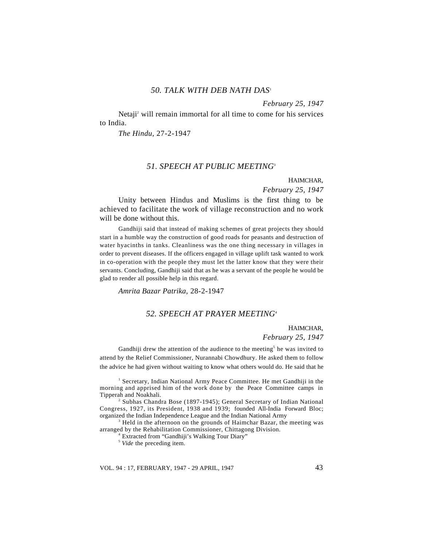# *50. TALK WITH DEB NATH DAS*<sup>1</sup>

*February 25, 1947*

Netaji<sup>2</sup> will remain immortal for all time to come for his services to India.

*The Hindu,* 27-2-1947

### *51. SPEECH AT PUBLIC MEETING*<sup>3</sup>

HAIMCHAR, *February 25, 1947*

Unity between Hindus and Muslims is the first thing to be achieved to facilitate the work of village reconstruction and no work will be done without this.

Gandhiji said that instead of making schemes of great projects they should start in a humble way the construction of good roads for peasants and destruction of water hyacinths in tanks. Cleanliness was the one thing necessary in villages in order to prevent diseases. If the officers engaged in village uplift task wanted to work in co-operation with the people they must let the latter know that they were their servants. Concluding, Gandhiji said that as he was a servant of the people he would be glad to render all possible help in this regard.

*Amrita Bazar Patrika*, 28-2-1947

# *52. SPEECH AT PRAYER MEETING*<sup>4</sup>

HAIMCHAR, *February 25, 1947*

Gandhiji drew the attention of the audience to the meeting<sup>5</sup> he was invited to attend by the Relief Commissioner, Nurannabi Chowdhury. He asked them to follow the advice he had given without waiting to know what others would do. He said that he

<sup>1</sup> Secretary, Indian National Army Peace Committee. He met Gandhiji in the morning and apprised him of the work done by the Peace Committee camps in Tipperah and Noakhali.

<sup>2</sup> Subhas Chandra Bose (1897-1945); General Secretary of Indian National Congress, 1927, its President, 1938 and 1939; founded All-India Forward Bloc; organized the Indian Independence League and the Indian National Army

<sup>3</sup> Held in the afternoon on the grounds of Haimchar Bazar, the meeting was arranged by the Rehabilitation Commissioner, Chittagong Division.

4 Extracted from "Gandhiji's Walking Tour Diary"

<sup>5</sup> *Vide* the preceding item.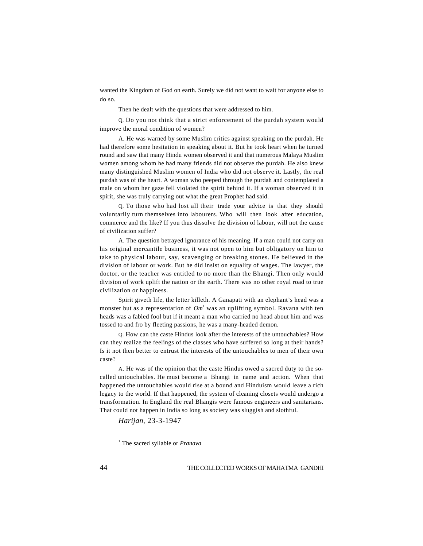wanted the Kingdom of God on earth. Surely we did not want to wait for anyone else to do so.

Then he dealt with the questions that were addressed to him.

Q. Do you not think that a strict enforcement of the purdah system would improve the moral condition of women?

A. He was warned by some Muslim critics against speaking on the purdah. He had therefore some hesitation in speaking about it. But he took heart when he turned round and saw that many Hindu women observed it and that numerous Malaya Muslim women among whom he had many friends did not observe the purdah. He also knew many distinguished Muslim women of India who did not observe it. Lastly, the real purdah was of the heart. A woman who peeped through the purdah and contemplated a male on whom her gaze fell violated the spirit behind it. If a woman observed it in spirit, she was truly carrying out what the great Prophet had said.

Q. To those who had lost all their trade your advice is that they should voluntarily turn themselves into labourers. Who will then look after education, commerce and the like? If you thus dissolve the division of labour, will not the cause of civilization suffer?

A. The question betrayed ignorance of his meaning. If a man could not carry on his original mercantile business, it was not open to him but obligatory on him to take to physical labour, say, scavenging or breaking stones. He believed in the division of labour or work. But he did insist on equality of wages. The lawyer, the doctor, or the teacher was entitled to no more than the Bhangi. Then only would division of work uplift the nation or the earth. There was no other royal road to true civilization or happiness.

Spirit giveth life, the letter killeth. A Ganapati with an elephant's head was a monster but as a representation of *Om*<sup>1</sup> was an uplifting symbol. Ravana with ten heads was a fabled fool but if it meant a man who carried no head about him and was tossed to and fro by fleeting passions, he was a many-headed demon.

Q. How can the caste Hindus look after the interests of the untouchables? How can they realize the feelings of the classes who have suffered so long at their hands? Is it not then better to entrust the interests of the untouchables to men of their own caste?

A. He was of the opinion that the caste Hindus owed a sacred duty to the socalled untouchables. He must become a Bhangi in name and action. When that happened the untouchables would rise at a bound and Hinduism would leave a rich legacy to the world. If that happened, the system of cleaning closets would undergo a transformation. In England the real Bhangis were famous engineers and sanitarians. That could not happen in India so long as society was sluggish and slothful.

*Harijan*, 23-3-1947

1 The sacred syllable or *Pranava*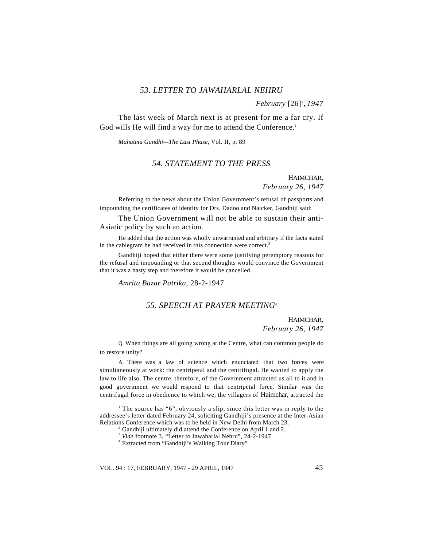# *53. LETTER TO JAWAHARLAL NEHRU*

*February* [26]<sup>*'*</sup>, 1947

The last week of March next is at present for me a far cry. If God wills He will find a way for me to attend the Conference.<sup>2</sup>

*Mahatma Gandhi—The Last Phase,* Vol. II, p. 89

# *54. STATEMENT TO THE PRESS*

HAIMCHAR, *February 26, 1947*

Referring to the news about the Union Government's refusal of passports and impounding the certificates of identity for Drs. Dadoo and Naicker, Gandhiji said:

The Union Government will not be able to sustain their anti-Asiatic policy by such an action.

He added that the action was wholly unwarranted and arbitrary if the facts stated in the cablegram he had received in this connection were correct.<sup>3</sup>

Gandhiji hoped that either there were some justifying peremptory reasons for the refusal and impounding or that second thoughts would convince the Government that it was a hasty step and therefore it would be cancelled.

*Amrita Bazar Patrika*, 28-2-1947

# *55. SPEECH AT PRAYER MEETING*<sup>4</sup>

HAIMCHAR, *February 26, 1947*

Q. When things are all going wrong at the Centre, what can common people do to restore unity?

A. There was a law of science which enunciated that two forces were simultaneously at work: the centripetal and the centrifugal. He wanted to apply the law to life also. The centre, therefore, of the Government attracted us all to it and in good government we would respond to that centripetal force. Similar was the centrifugal force in obedience to which we, the villagers of Haimchar, attracted the

<sup>1</sup> The source has "6", obviously a slip, since this letter was in reply to the addressee's letter dated February 24, soliciting Gandhiji's presence at the Inter-Asian Relations Conference which was to be held in New Delhi from March 23.

<sup>2</sup> Gandhiji ultimately did attend the Conference on April 1 and 2.

<sup>3</sup> Vide footnote 3, "Letter to Jawaharlal Nehru", 24-2-1947

4 Extracted from "Gandhiji's Walking Tour Diary"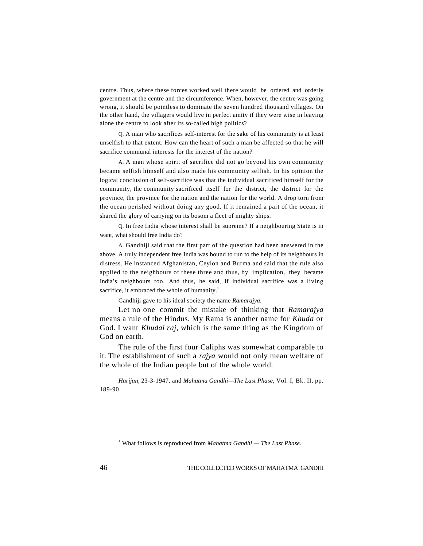centre. Thus, where these forces worked well there would be ordered and orderly government at the centre and the circumference. When, however, the centre was going wrong, it should be pointless to dominate the seven hundred thousand villages. On the other hand, the villagers would live in perfect amity if they were wise in leaving alone the centre to look after its so-called high politics?

Q. A man who sacrifices self-interest for the sake of his community is at least unselfish to that extent. How can the heart of such a man be affected so that he will sacrifice communal interests for the interest of the nation?

A. A man whose spirit of sacrifice did not go beyond his own community became selfish himself and also made his community selfish. In his opinion the logical conclusion of self-sacrifice was that the individual sacrificed himself for the community, the community sacrificed itself for the district, the district for the province, the province for the nation and the nation for the world. A drop torn from the ocean perished without doing any good. If it remained a part of the ocean, it shared the glory of carrying on its bosom a fleet of mighty ships.

Q. In free India whose interest shall be supreme? If a neighbouring State is in want, what should free India do?

A. Gandhiji said that the first part of the question had been answered in the above. A truly independent free India was bound to run to the help of its neighbours in distress. He instanced Afghanistan, Ceylon and Burma and said that the rule also applied to the neighbours of these three and thus, by implication, they became India's neighbours too. And thus, he said, if individual sacrifice was a living sacrifice, it embraced the whole of humanity.<sup>1</sup>

Gandhiji gave to his ideal society the name *Ramarajya*.

Let no one commit the mistake of thinking that *Ramarajya* means a rule of the Hindus. My Rama is another name for *Khuda* or God. I want *Khudai raj*, which is the same thing as the Kingdom of God on earth.

The rule of the first four Caliphs was somewhat comparable to it. The establishment of such a *rajya* would not only mean welfare of the whole of the Indian people but of the whole world.

*Harijan,* 23-3-1947, and *Mahatma Gandhi—The Last Phase,* Vol. I, Bk. II, pp. 189-90

<sup>1</sup> What follows is reproduced from *Mahatma Gandhi* — The Last Phase.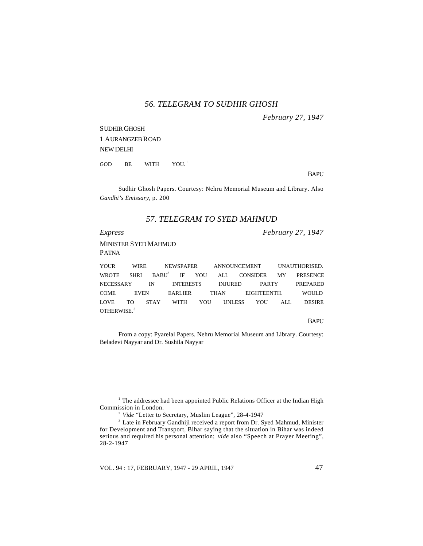#### *56. TELEGRAM TO SUDHIR GHOSH*

*February 27, 1947*

SUDHIR GHOSH 1 AURANGZEB ROAD NEW DELHI

GOD BE WITH  $\sqrt{10}$ 

**BAPU** 

Sudhir Ghosh Papers. Courtesy: Nehru Memorial Museum and Library. Also *Gandhi's Emissary,* p. 200

#### *57. TELEGRAM TO SYED MAHMUD*

*Express February 27, 1947*

MINISTER SYED MAHMUD PATNA

YOUR WIRE. NEWSPAPER ANNOUNCEMENT UNAUTHORISED. WROTE SHRI BABU<sup>2</sup> IF YOU ALL CONSIDER MY PRESENCE NECESSARY IN INTERESTS INJURED PARTY PREPARED COME EVEN EARLIER THAN EIGHTEENTH. WOULD LOVE TO STAY WITH YOU UNLESS YOU ALL DESIRE OTHERWISE. <sup>3</sup>

**BAPU** 

From a copy: Pyarelal Papers. Nehru Memorial Museum and Library. Courtesy: Beladevi Nayyar and Dr. Sushila Nayyar

<sup>1</sup> The addressee had been appointed Public Relations Officer at the Indian High Commission in London.

<sup>2</sup> *Vide* "Letter to Secretary, Muslim League", 28-4-1947

<sup>3</sup> Late in February Gandhiji received a report from Dr. Syed Mahmud, Minister for Development and Transport, Bihar saying that the situation in Bihar was indeed serious and required his personal attention; *vide* also "Speech at Prayer Meeting", 28-2-1947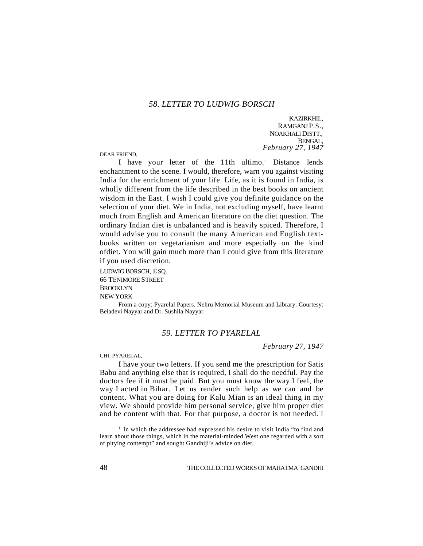# *58. LETTER TO LUDWIG BORSCH*

KAZIRKHIL, RAMGANJ P.S., NOAKHALI DISTT., BENGAL, *February 27, 1947*

DEAR FRIEND,

I have your letter of the 11th ultimo.<sup>1</sup> Distance lends enchantment to the scene. I would, therefore, warn you against visiting India for the enrichment of your life. Life, as it is found in India, is wholly different from the life described in the best books on ancient wisdom in the East. I wish I could give you definite guidance on the selection of your diet. We in India, not excluding myself, have learnt much from English and American literature on the diet question. The ordinary Indian diet is unbalanced and is heavily spiced. Therefore, I would advise you to consult the many American and English textbooks written on vegetarianism and more especially on the kind ofdiet. You will gain much more than I could give from this literature if you used discretion.

LUDWIG BORSCH, ESQ. 66 TENIMORE STREET BROOKLYN NEW YORK

From a copy: Pyarelal Papers. Nehru Memorial Museum and Library. Courtesy: Beladevi Nayyar and Dr. Sushila Nayyar

# *59. LETTER TO PYARELAL*

*February 27, 1947*

CHI. PYARELAL,

I have your two letters. If you send me the prescription for Satis Babu and anything else that is required, I shall do the needful. Pay the doctors fee if it must be paid. But you must know the way I feel, the way I acted in Bihar. Let us render such help as we can and be content. What you are doing for Kalu Mian is an ideal thing in my view. We should provide him personal service, give him proper diet and be content with that. For that purpose, a doctor is not needed. I

<sup>1</sup> In which the addressee had expressed his desire to visit India "to find and learn about those things, which in the material-minded West one regarded with a sort of pitying contempt" and sought Gandhiji's advice on diet.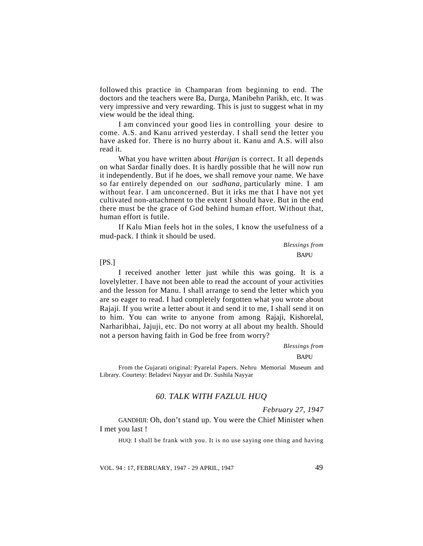followed this practice in Champaran from beginning to end. The doctors and the teachers were Ba, Durga, Manibehn Parikh, etc. It was very impressive and very rewarding. This is just to suggest what in my view would be the ideal thing.

I am convinced your good lies in controlling your desire to come. A.S. and Kanu arrived yesterday. I shall send the letter you have asked for. There is no hurry about it. Kanu and A.S. will also read it.

What you have written about *Harijan* is correct. It all depends on what Sardar finally does. It is hardly possible that he will now run it independently. But if he does, we shall remove your name. We have so far entirely depended on our *sadhana,* particularly mine. I am without fear. I am unconcerned. But it irks me that I have not yet cultivated non-attachment to the extent I should have. But in the end there must be the grace of God behind human effort. Without that, human effort is futile.

If Kalu Mian feels hot in the soles, I know the usefulness of a mud-pack. I think it should be used.

> *Blessings from* **BAPU**

 $[PS.]$ 

I received another letter just while this was going. It is a lovelyletter. I have not been able to read the account of your activities and the lesson for Manu. I shall arrange to send the letter which you are so eager to read. I had completely forgotten what you wrote about Rajaji. If you write a letter about it and send it to me, I shall send it on to him. You can write to anyone from among Rajaji, Kishorelal, Narharibhai, Jajuji, etc. Do not worry at all about my health. Should not a person having faith in God be free from worry?

*Blessings from*

**BAPU** 

From the Gujarati original: Pyarelal Papers. Nehru Memorial Museum and Library. Courtesy: Beladevi Nayyar and Dr. Sushila Nayyar

### *60. TALK WITH FAZLUL HUQ*

*February 27, 1947*

GANDHIJI: Oh, don't stand up. You were the Chief Minister when I met you last !

HUQ: I shall be frank with you. It is no use saying one thing and having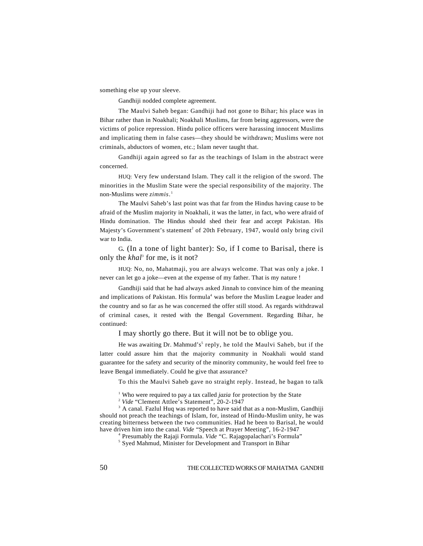something else up your sleeve.

Gandhiji nodded complete agreement.

The Maulvi Saheb began: Gandhiji had not gone to Bihar; his place was in Bihar rather than in Noakhali; Noakhali Muslims, far from being aggressors, were the victims of police repression. Hindu police officers were harassing innocent Muslims and implicating them in false cases—they should be withdrawn; Muslims were not criminals, abductors of women, etc.; Islam never taught that.

Gandhiji again agreed so far as the teachings of Islam in the abstract were concerned.

HUQ: Very few understand Islam. They call it the religion of the sword. The minorities in the Muslim State were the special responsibility of the majority. The non-Muslims were *zimmis*. 1

The Maulvi Saheb's last point was that far from the Hindus having cause to be afraid of the Muslim majority in Noakhali, it was the latter, in fact, who were afraid of Hindu domination. The Hindus should shed their fear and accept Pakistan. His Majesty's Government's statement<sup>2</sup> of 20th February, 1947, would only bring civil war to India.

G. (In a tone of light banter): So, if I come to Barisal, there is only the *khal*<sup>3</sup> for me, is it not?

HUQ: No, no, Mahatmaji, you are always welcome. That was only a joke. I never can let go a joke—even at the expense of my father. That is my nature !

Gandhiji said that he had always asked Jinnah to convince him of the meaning and implications of Pakistan. His formula<sup>4</sup> was before the Muslim League leader and the country and so far as he was concerned the offer still stood. As regards withdrawal of criminal cases, it rested with the Bengal Government. Regarding Bihar, he continued:

I may shortly go there. But it will not be to oblige you.

He was awaiting Dr. Mahmud's<sup>5</sup> reply, he told the Maulvi Saheb, but if the latter could assure him that the majority community in Noakhali would stand guarantee for the safety and security of the minority community, he would feel free to leave Bengal immediately. Could he give that assurance?

To this the Maulvi Saheb gave no straight reply. Instead, he bagan to talk

<sup>1</sup> Who were required to pay a tax called *jazia* for protection by the State

<sup>2</sup> Vide "Clement Attlee's Statement", 20-2-1947

<sup>3</sup> A canal. Fazlul Huq was reported to have said that as a non-Muslim, Gandhiji should not preach the teachings of Islam, for, instead of Hindu-Muslim unity, he was creating bitterness between the two communities. Had he been to Barisal, he would have driven him into the canal. *Vide* "Speech at Prayer Meeting", 16-2-1947

<sup>4</sup> Presumably the Rajaji Formula. *Vide* "C. Rajagopalachari's Formula"

<sup>5</sup> Syed Mahmud, Minister for Development and Transport in Bihar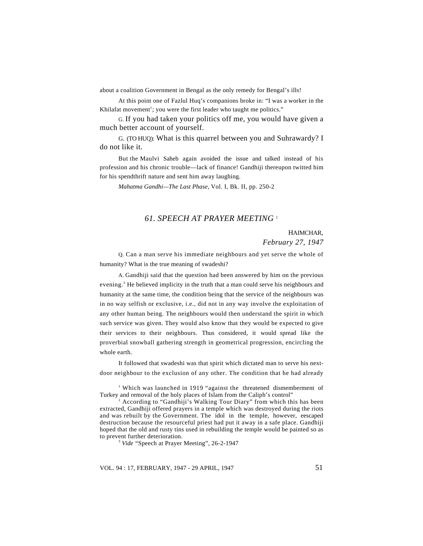about a coalition Government in Bengal as the only remedy for Bengal's ills!

At this point one of Fazlul Huq's companions broke in: "I was a worker in the Khilafat movement<sup>1</sup>; you were the first leader who taught me politics."

G. If you had taken your politics off me, you would have given a much better account of yourself.

G. (TO HUQ): What is this quarrel between you and Suhrawardy? I do not like it.

But the Maulvi Saheb again avoided the issue and talked instead of his profession and his chronic trouble—lack of finance! Gandhiji thereupon twitted him for his spendthrift nature and sent him away laughing.

*Mahatma Gandhi—The Last Phase,* Vol. I, Bk. II, pp. 250-2

#### *61. SPEECH AT PRAYER MEETING* <sup>2</sup>

# HAIMCHAR, *February 27, 1947*

Q. Can a man serve his immediate neighbours and yet serve the whole of humanity? What is the true meaning of swadeshi?

A. Gandhiji said that the question had been answered by him on the previous evening.<sup>3</sup> He believed implicity in the truth that a man could serve his neighbours and humanity at the same time, the condition being that the service of the neighbours was in no way selfish or exclusive, i.e., did not in any way involve the exploitation of any other human being. The neighbours would then understand the spirit in which such service was given. They would also know that they would be expected to give their services to their neighbours. Thus considered, it would spread like the proverbial snowball gathering strength in geometrical progression, encircling the whole earth.

It followed that swadeshi was that spirit which dictated man to serve his nextdoor neighbour to the exclusion of any other. The condition that he had already

<sup>1</sup> Which was launched in 1919 "against the threatened dismemberment of Turkey and removal of the holy places of Islam from the Caliph's control"

<sup>2</sup> According to "Gandhiji's Walking Tour Diary" from which this has been extracted, Gandhiji offered prayers in a temple which was destroyed during the riots and was rebuilt by the Government. The idol in the temple, however, eescaped destruction because the resourceful priest had put it away in a safe place. Gandhiji hoped that the old and rusty tins used in rebuilding the temple would be painted so as to prevent further deterioration.

<sup>3</sup> *Vide* "Speech at Prayer Meeting", 26-2-1947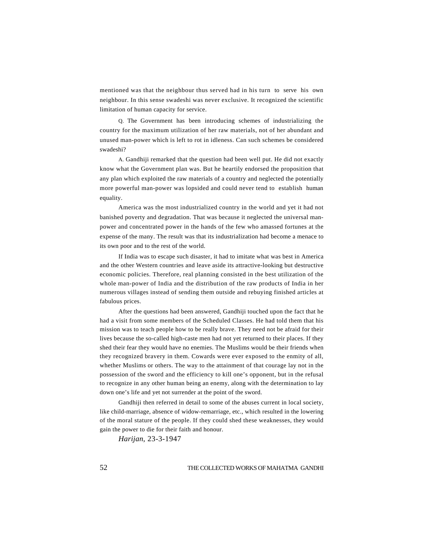mentioned was that the neighbour thus served had in his turn to serve his own neighbour. In this sense swadeshi was never exclusive. It recognized the scientific limitation of human capacity for service.

Q. The Government has been introducing schemes of industrializing the country for the maximum utilization of her raw materials, not of her abundant and unused man-power which is left to rot in idleness. Can such schemes be considered swadeshi?

A. Gandhiji remarked that the question had been well put. He did not exactly know what the Government plan was. But he heartily endorsed the proposition that any plan which exploited the raw materials of a country and neglected the potentially more powerful man-power was lopsided and could never tend to establish human equality.

America was the most industrialized country in the world and yet it had not banished poverty and degradation. That was because it neglected the universal manpower and concentrated power in the hands of the few who amassed fortunes at the expense of the many. The result was that its industrialization had become a menace to its own poor and to the rest of the world.

If India was to escape such disaster, it had to imitate what was best in America and the other Western countries and leave aside its attractive-looking but destructive economic policies. Therefore, real planning consisted in the best utilization of the whole man-power of India and the distribution of the raw products of India in her numerous villages instead of sending them outside and rebuying finished articles at fabulous prices.

After the questions had been answered, Gandhiji touched upon the fact that he had a visit from some members of the Scheduled Classes. He had told them that his mission was to teach people how to be really brave. They need not be afraid for their lives because the so-called high-caste men had not yet returned to their places. If they shed their fear they would have no enemies. The Muslims would be their friends when they recognized bravery in them. Cowards were ever exposed to the enmity of all, whether Muslims or others. The way to the attainment of that courage lay not in the possession of the sword and the efficiency to kill one's opponent, but in the refusal to recognize in any other human being an enemy, along with the determination to lay down one's life and yet not surrender at the point of the sword.

Gandhiji then referred in detail to some of the abuses current in local society, like child-marriage, absence of widow-remarriage, etc., which resulted in the lowering of the moral stature of the people. If they could shed these weaknesses, they would gain the power to die for their faith and honour.

*Harijan*, 23-3-1947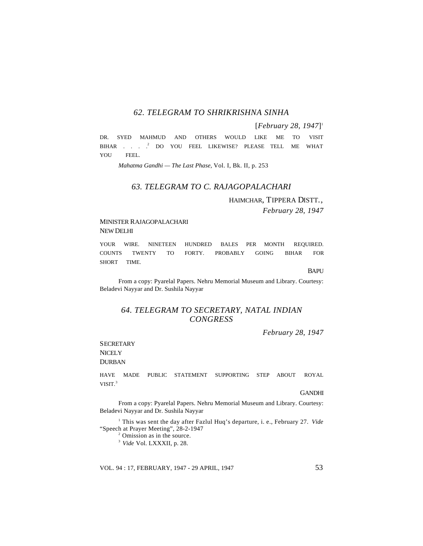# *62. TELEGRAM TO SHRIKRISHNA SINHA*

[*February 28, 1947*] 1

DR. SYED MAHMUD AND OTHERS WOULD LIKE ME TO VISIT BIHAR . . . . <sup>2</sup> DO YOU FEEL LIKEWISE? PLEASE TELL ME WHAT YOU FEEL.

*Mahatma Gandhi — The Last Phase,* Vol. I, Bk. II, p. 253

# *63. TELEGRAM TO C. RAJAGOPALACHARI*

# HAIMCHAR, TIPPERA DISTT.,

*February 28, 1947*

### MINISTER RAJAGOPALACHARI NEW DELHI

YOUR WIRE. NINETEEN HUNDRED BALES PER MONTH REQUIRED. COUNTS TWENTY TO FORTY. PROBABLY GOING BIHAR FOR SHORT TIME.

BAPU

From a copy: Pyarelal Papers. Nehru Memorial Museum and Library. Courtesy: Beladevi Nayyar and Dr. Sushila Nayyar

# *64. TELEGRAM TO SECRETARY, NATAL INDIAN CONGRESS*

*February 28, 1947*

**SECRETARY NICELY DURBAN** 

HAVE MADE PUBLIC STATEMENT SUPPORTING STEP ABOUT ROYAL VISIT. $3$ 

**GANDHI** 

From a copy: Pyarelal Papers. Nehru Memorial Museum and Library. Courtesy: Beladevi Nayyar and Dr. Sushila Nayyar

<sup>1</sup> This was sent the day after Fazlul Huq's departure, i. e., February 27. *Vide* "Speech at Prayer Meeting", 28-2-1947

2 Omission as in the source.

<sup>3</sup> *Vide* Vol. LXXXII, p. 28.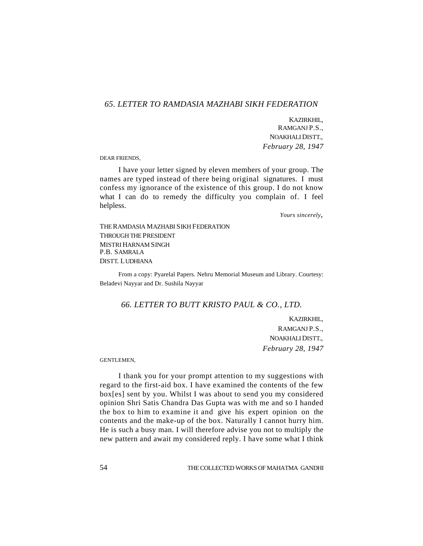# *65. LETTER TO RAMDASIA MAZHABI SIKH FEDERATION*

KAZIRKHIL, RAMGANJ P.S., NOAKHALI DISTT., *February 28, 1947*

DEAR FRIENDS,

I have your letter signed by eleven members of your group. The names are typed instead of there being original signatures. I must confess my ignorance of the existence of this group. I do not know what I can do to remedy the difficulty you complain of. I feel helpless.

*Yours sincerely,*

THE RAMDASIA MAZHABI SIKH FEDERATION THROUGH THE PRESIDENT MISTRI HARNAM SINGH P.B. SAMRALA DISTT. LUDHIANA

From a copy: Pyarelal Papers. Nehru Memorial Museum and Library. Courtesy: Beladevi Nayyar and Dr. Sushila Nayyar

# *66. LETTER TO BUTT KRISTO PAUL & CO., LTD.*

KAZIRKHIL, RAMGANJ P.S., NOAKHALI DISTT., *February 28, 1947*

#### GENTLEMEN,

I thank you for your prompt attention to my suggestions with regard to the first-aid box. I have examined the contents of the few box[es] sent by you. Whilst I was about to send you my considered opinion Shri Satis Chandra Das Gupta was with me and so I handed the box to him to examine it and give his expert opinion on the contents and the make-up of the box. Naturally I cannot hurry him. He is such a busy man. I will therefore advise you not to multiply the new pattern and await my considered reply. I have some what I think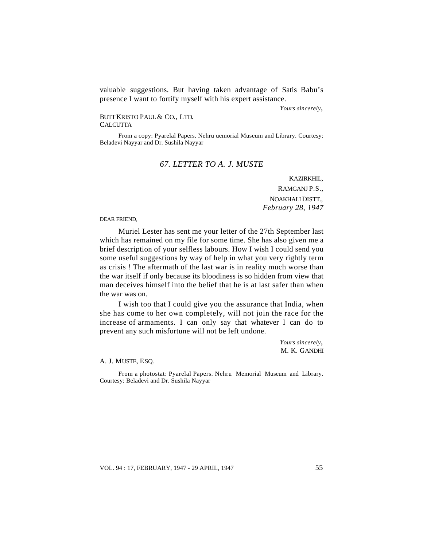valuable suggestions. But having taken advantage of Satis Babu's presence I want to fortify myself with his expert assistance.

*Yours sincerely,*

#### BUTT KRISTO PAUL & CO., LTD. CALCUTTA

From a copy: Pyarelal Papers. Nehru uemorial Museum and Library. Courtesy: Beladevi Nayyar and Dr. Sushila Nayyar

# *67. LETTER TO A. J. MUSTE*

KAZIRKHIL,

RAMGANI P.S. NOAKHALI DISTT., *February 28, 1947*

DEAR FRIEND,

Muriel Lester has sent me your letter of the 27th September last which has remained on my file for some time. She has also given me a brief description of your selfless labours. How I wish I could send you some useful suggestions by way of help in what you very rightly term as crisis ! The aftermath of the last war is in reality much worse than the war itself if only because its bloodiness is so hidden from view that man deceives himself into the belief that he is at last safer than when the war was on.

I wish too that I could give you the assurance that India, when she has come to her own completely, will not join the race for the increase of armaments. I can only say that whatever I can do to prevent any such misfortune will not be left undone.

> *Yours sincerely,* M. K. GANDHI

#### A. J. MUSTE, ESQ.

From a photostat: Pyarelal Papers. Nehru Memorial Museum and Library. Courtesy: Beladevi and Dr. Sushila Nayyar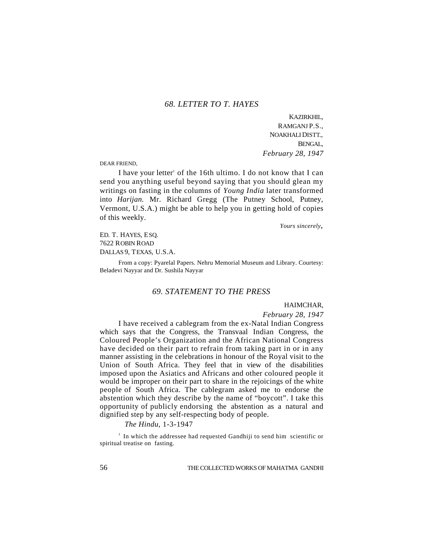# *68. LETTER TO T. HAYES*

KAZIRKHIL, RAMGANJ P.S., NOAKHALI DISTT., BENGAL, *February 28, 1947*

DEAR FRIEND,

I have your letter<sup>1</sup> of the 16th ultimo. I do not know that I can send you anything useful beyond saying that you should glean my writings on fasting in the columns of *Young India* later transformed into *Harijan.* Mr. Richard Gregg (The Putney School, Putney, Vermont, U.S.A.) might be able to help you in getting hold of copies of this weekly.

*Yours sincerely,*

ED. T. HAYES, ESQ. 7622 ROBIN ROAD DALLAS 9, TEXAS, U.S.A.

From a copy: Pyarelal Papers. Nehru Memorial Museum and Library. Courtesy: Beladevi Nayyar and Dr. Sushila Nayyar

# *69. STATEMENT TO THE PRESS*

#### HAIMCHAR,

*February 28, 1947*

I have received a cablegram from the ex-Natal Indian Congress which says that the Congress, the Transvaal Indian Congress, the Coloured People's Organization and the African National Congress have decided on their part to refrain from taking part in or in any manner assisting in the celebrations in honour of the Royal visit to the Union of South Africa. They feel that in view of the disabilities imposed upon the Asiatics and Africans and other coloured people it would be improper on their part to share in the rejoicings of the white people of South Africa. The cablegram asked me to endorse the abstention which they describe by the name of "boycott". I take this opportunity of publicly endorsing the abstention as a natural and dignified step by any self-respecting body of people.

*The Hindu,* 1-3-1947

<sup>1</sup> In which the addressee had requested Gandhiji to send him scientific or spiritual treatise on fasting.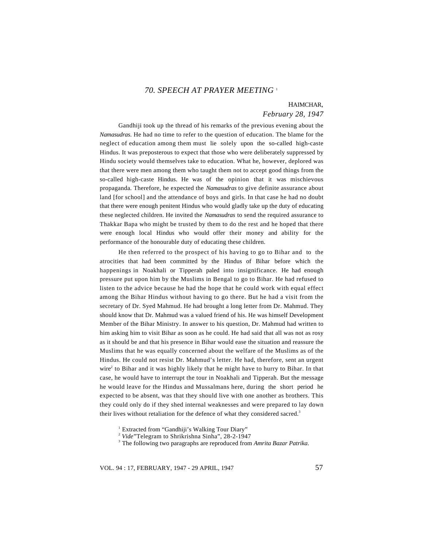# *70. SPEECH AT PRAYER MEETING* <sup>1</sup>

# HAIMCHAR, *February 28, 1947*

Gandhiji took up the thread of his remarks of the previous evening about the *Namasudras*. He had no time to refer to the question of education. The blame for the neglect of education among them must lie solely upon the so-called high-caste Hindus. It was preposterous to expect that those who were deliberately suppressed by Hindu society would themselves take to education. What he, however, deplored was that there were men among them who taught them not to accept good things from the so-called high-caste Hindus. He was of the opinion that it was mischievous propaganda. Therefore, he expected the *Namasudras* to give definite assurance about land [for school] and the attendance of boys and girls. In that case he had no doubt that there were enough penitent Hindus who would gladly take up the duty of educating these neglected children. He invited the *Namasudras* to send the required assurance to Thakkar Bapa who might be trusted by them to do the rest and he hoped that there were enough local Hindus who would offer their money and ability for the performance of the honourable duty of educating these children.

He then referred to the prospect of his having to go to Bihar and to the atrocities that had been committed by the Hindus of Bihar before which the happenings in Noakhali or Tipperah paled into insignificance. He had enough pressure put upon him by the Muslims in Bengal to go to Bihar. He had refused to listen to the advice because he had the hope that he could work with equal effect among the Bihar Hindus without having to go there. But he had a visit from the secretary of Dr. Syed Mahmud. He had brought a long letter from Dr. Mahmud. They should know that Dr. Mahmud was a valued friend of his. He was himself Development Member of the Bihar Ministry. In answer to his question, Dr. Mahmud had written to him asking him to visit Bihar as soon as he could. He had said that all was not as rosy as it should be and that his presence in Bihar would ease the situation and reassure the Muslims that he was equally concerned about the welfare of the Muslims as of the Hindus. He could not resist Dr. Mahmud's letter. He had, therefore, sent an urgent wire<sup>2</sup> to Bihar and it was highly likely that he might have to hurry to Bihar. In that case, he would have to interrupt the tour in Noakhali and Tipperah. But the message he would leave for the Hindus and Mussalmans here, during the short period he expected to be absent, was that they should live with one another as brothers. This they could only do if they shed internal weaknesses and were prepared to lay down their lives without retaliation for the defence of what they considered sacred.<sup>3</sup>

<sup>1</sup> Extracted from "Gandhiji's Walking Tour Diary"

<sup>2</sup> *Vide*"Telegram to Shrikrishna Sinha", 28-2-1947

3 The following two paragraphs are reproduced from *Amrita Bazar Patrika.*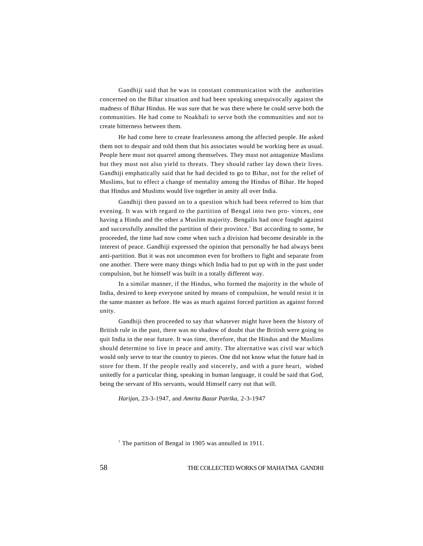Gandhiji said that he was in constant communication with the authorities concerned on the Bihar situation and had been speaking unequivocally against the madness of Bihar Hindus. He was sure that he was there where he could serve both the communities. He had come to Noakhali to serve both the communities and not to create bitterness between them.

He had come here to create fearlessness among the affected people. He asked them not to despair and told them that his associates would be working here as usual. People here must not quarrel among themselves. They must not antagonize Muslims but they must not also yield to threats. They should rather lay down their lives. Gandhiji emphatically said that he had decided to go to Bihar, not for the relief of Muslims, but to effect a change of mentality among the Hindus of Bihar. He hoped that Hindus and Muslims would live together in amity all over India.

Gandhiji then passed on to a question which had been referred to him that evening. It was with regard to the partition of Bengal into two pro- vinces, one having a Hindu and the other a Muslim majority. Bengalis had once fought against and successfully annulled the partition of their province.<sup>1</sup> But according to some, he proceeded, the time had now come when such a division had become desirable in the interest of peace. Gandhiji expressed the opinion that personally he had always been anti-partition. But it was not uncommon even for brothers to fight and separate from one another. There were many things which India had to put up with in the past under compulsion, but he himself was built in a totally different way.

In a similar manner, if the Hindus, who formed the majority in the whole of India, desired to keep everyone united by means of compulsion, he would resist it in the same manner as before. He was as much against forced partition as against forced unity.

Gandhiji then proceeded to say that whatever might have been the history of British rule in the past, there was no shadow of doubt that the British were going to quit India in the near future. It was time, therefore, that the Hindus and the Muslims should determine to live in peace and amity. The alternative was civil war which would only serve to tear the country to pieces. One did not know what the future had in store for them. If the people really and sincerely, and with a pure heart, wished unitedly for a particular thing, speaking in human language, it could be said that God, being the servant of His servants, would Himself carry out that will.

*Harijan,* 23-3-1947, and *Amrita Bazar Patrika*, 2-3-1947

<sup>1</sup> The partition of Bengal in 1905 was annulled in 1911.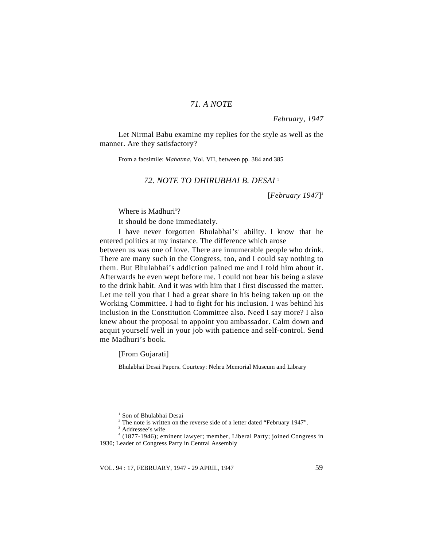# *71. A NOTE*

*February, 1947*

Let Nirmal Babu examine my replies for the style as well as the manner. Are they satisfactory?

From a facsimile: *Mahatma,* Vol. VII, between pp. 384 and 385

#### *72. NOTE TO DHIRUBHAI B. DESAI* <sup>1</sup>

[*February 1947*] 2

Where is Madhuri<sup>3</sup>?

It should be done immediately.

I have never forgotten Bhulabhai's<sup>4</sup> ability. I know that he entered politics at my instance. The difference which arose between us was one of love. There are innumerable people who drink. There are many such in the Congress, too, and I could say nothing to them. But Bhulabhai's addiction pained me and I told him about it. Afterwards he even wept before me. I could not bear his being a slave to the drink habit. And it was with him that I first discussed the matter. Let me tell you that I had a great share in his being taken up on the Working Committee. I had to fight for his inclusion. I was behind his inclusion in the Constitution Committee also. Need I say more? I also knew about the proposal to appoint you ambassador. Calm down and acquit yourself well in your job with patience and self-control. Send me Madhuri's book.

[From Gujarati]

Bhulabhai Desai Papers. Courtesy: Nehru Memorial Museum and Library

<sup>2</sup> The note is written on the reverse side of a letter dated "February 1947".

<sup>&</sup>lt;sup>1</sup> Son of Bhulabhai Desai

<sup>3</sup> Addressee's wife

<sup>4</sup> (1877-1946); eminent lawyer; member, Liberal Party; joined Congress in 1930; Leader of Congress Party in Central Assembly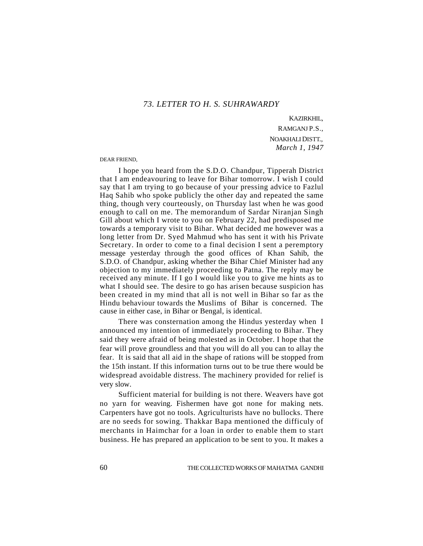# *73. LETTER TO H. S. SUHRAWARDY*

KAZIRKHIL, RAMGANJ P.S., NOAKHALI DISTT., *March 1, 1947*

#### DEAR FRIEND,

I hope you heard from the S.D.O. Chandpur, Tipperah District that I am endeavouring to leave for Bihar tomorrow. I wish I could say that I am trying to go because of your pressing advice to Fazlul Haq Sahib who spoke publicly the other day and repeated the same thing, though very courteously, on Thursday last when he was good enough to call on me. The memorandum of Sardar Niranjan Singh Gill about which I wrote to you on February 22, had predisposed me towards a temporary visit to Bihar. What decided me however was a long letter from Dr. Syed Mahmud who has sent it with his Private Secretary. In order to come to a final decision I sent a peremptory message yesterday through the good offices of Khan Sahib, the S.D.O. of Chandpur, asking whether the Bihar Chief Minister had any objection to my immediately proceeding to Patna. The reply may be received any minute. If I go I would like you to give me hints as to what I should see. The desire to go has arisen because suspicion has been created in my mind that all is not well in Bihar so far as the Hindu behaviour towards the Muslims of Bihar is concerned. The cause in either case, in Bihar or Bengal, is identical.

There was consternation among the Hindus yesterday when I announced my intention of immediately proceeding to Bihar. They said they were afraid of being molested as in October. I hope that the fear will prove groundless and that you will do all you can to allay the fear. It is said that all aid in the shape of rations will be stopped from the 15th instant. If this information turns out to be true there would be widespread avoidable distress. The machinery provided for relief is very slow.

Sufficient material for building is not there. Weavers have got no yarn for weaving. Fishermen have got none for making nets. Carpenters have got no tools. Agriculturists have no bullocks. There are no seeds for sowing. Thakkar Bapa mentioned the difficuly of merchants in Haimchar for a loan in order to enable them to start business. He has prepared an application to be sent to you. It makes a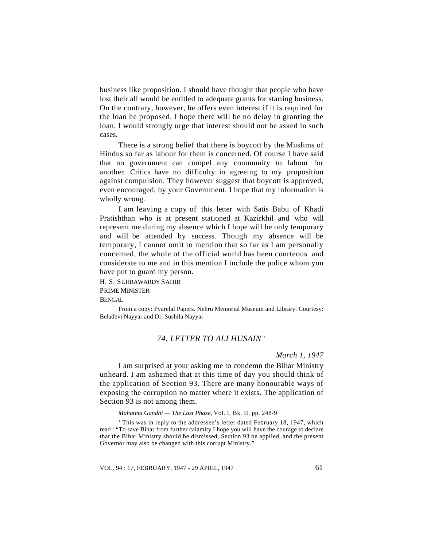business like proposition. I should have thought that people who have lost their all would be entitled to adequate grants for starting business. On the contrary, however, he offers even interest if it is required for the loan he proposed. I hope there will be no delay in granting the loan. I would strongly urge that interest should not be asked in such cases.

There is a strong belief that there is boycott by the Muslims of Hindus so far as labour for them is concerned. Of course I have said that no government can compel any community to labour for another. Critics have no difficulty in agreeing to my proposition against compulsion. They however suggest that boycott is approved, even encouraged, by your Government. I hope that my information is wholly wrong.

I am leaving a copy of this letter with Satis Babu of Khadi Pratishthan who is at present stationed at Kazirkhil and who will represent me during my absence which I hope will be only temporary and will be attended by success. Though my absence will be temporary, I cannot omit to mention that so far as I am personally concerned, the whole of the official world has been courteous and considerate to me and in this mention I include the police whom you have put to guard my person.

H. S. SUHRAWARDY SAHIB PRIME MINISTER BENGAL

From a copy: Pyarelal Papers. Nehru Memorial Museum and Library. Courtesy: Beladevi Nayyar and Dr. Sushila Nayyar

# *74. LETTER TO ALI HUSAIN* <sup>1</sup>

#### *March 1, 1947*

I am surprised at your asking me to condemn the Bihar Ministry unheard. I am ashamed that at this time of day you should think of the application of Section 93. There are many honourable ways of exposing the corruption no matter where it exists. The application of Section 93 is not among them.

#### *Mahatma Gandhi — The Last Phase,* Vol. I, Bk. II, pp. 248-9

<sup>1</sup> This was in reply to the addressee's letter dated February 18, 1947, which read : "To save Bihar from further calamity I hope you will have the courage to declare that the Bihar Ministry should be dismissed, Section 93 be applied, and the present Governor may also be changed with this corrupt Ministry."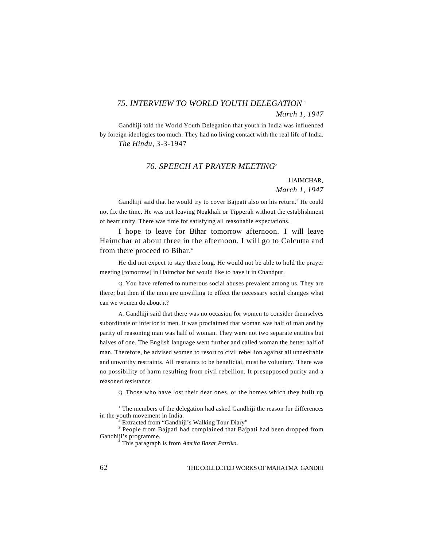# *75. INTERVIEW TO WORLD YOUTH DELEGATION* <sup>1</sup> *March 1, 1947*

Gandhiji told the World Youth Delegation that youth in India was influenced by foreign ideologies too much. They had no living contact with the real life of India. *The Hindu,* 3-3-1947

# *76. SPEECH AT PRAYER MEETING*<sup>2</sup>

# HAIMCHAR, *March 1, 1947*

Gandhiji said that he would try to cover Bajpati also on his return.<sup>3</sup> He could not fix the time. He was not leaving Noakhali or Tipperah without the establishment of heart unity. There was time for satisfying all reasonable expectations.

I hope to leave for Bihar tomorrow afternoon. I will leave Haimchar at about three in the afternoon. I will go to Calcutta and from there proceed to Bihar.<sup>4</sup>

He did not expect to stay there long. He would not be able to hold the prayer meeting [tomorrow] in Haimchar but would like to have it in Chandpur.

Q. You have referred to numerous social abuses prevalent among us. They are there; but then if the men are unwilling to effect the necessary social changes what can we women do about it?

A. Gandhiji said that there was no occasion for women to consider themselves subordinate or inferior to men. It was proclaimed that woman was half of man and by parity of reasoning man was half of woman. They were not two separate entities but halves of one. The English language went further and called woman the better half of man. Therefore, he advised women to resort to civil rebellion against all undesirable and unworthy restraints. All restraints to be beneficial, must be voluntary. There was no possibility of harm resulting from civil rebellion. It presupposed purity and a reasoned resistance.

Q. Those who have lost their dear ones, or the homes which they built up

<sup>1</sup> The members of the delegation had asked Gandhiji the reason for differences in the youth movement in India.

<sup>2</sup> Extracted from "Gandhiji's Walking Tour Diary"

<sup>3</sup> People from Bajpati had complained that Bajpati had been dropped from Gandhiji's programme.

4 This paragraph is from *Amrita Bazar Patrika*.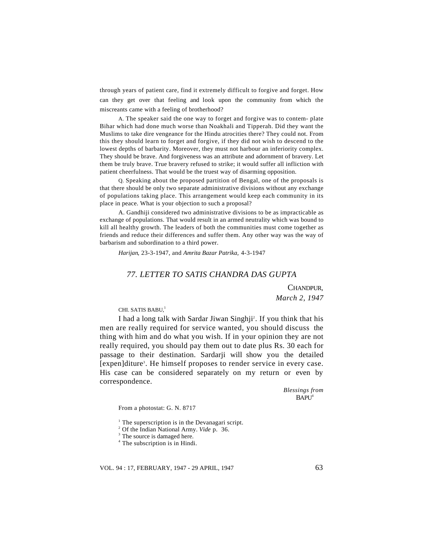through years of patient care, find it extremely difficult to forgive and forget. How can they get over that feeling and look upon the community from which the miscreants came with a feeling of brotherhood?

A. The speaker said the one way to forget and forgive was to contem- plate Bihar which had done much worse than Noakhali and Tipperah. Did they want the Muslims to take dire vengeance for the Hindu atrocities there? They could not. From this they should learn to forget and forgive, if they did not wish to descend to the lowest depths of barbarity. Moreover, they must not harbour an inferiority complex. They should be brave. And forgiveness was an attribute and adornment of bravery. Let them be truly brave. True bravery refused to strike; it would suffer all infliction with patient cheerfulness. That would be the truest way of disarming opposition.

Q. Speaking about the proposed partition of Bengal, one of the proposals is that there should be only two separate administrative divisions without any exchange of populations taking place. This arrangement would keep each community in its place in peace. What is your objection to such a proposal?

A. Gandhiji considered two administrative divisions to be as impracticable as exchange of populations. That would result in an armed neutrality which was bound to kill all healthy growth. The leaders of both the communities must come together as friends and reduce their differences and suffer them. Any other way was the way of barbarism and subordination to a third power.

*Harijan*, 23-3-1947, and *Amrita Bazar Patrika,* 4-3-1947

# *77. LETTER TO SATIS CHANDRA DAS GUPTA*

CHANDPUR, *March 2, 1947*

CHI. SATIS BABU,<sup>1</sup>

I had a long talk with Sardar Jiwan Singhji<sup>2</sup>. If you think that his men are really required for service wanted, you should discuss the thing with him and do what you wish. If in your opinion they are not really required, you should pay them out to date plus Rs. 30 each for passage to their destination. Sardarji will show you the detailed [expen]diture<sup>3</sup>. He himself proposes to render service in every case. His case can be considered separately on my return or even by correspondence.

> *Blessings from*  $BAPI<sup>4</sup>$

From a photostat: G. N. 8717

 $<sup>1</sup>$  The superscription is in the Devanagari script.</sup>

2 Of the Indian National Army. *Vide* p. 36.

<sup>3</sup> The source is damaged here.

4 The subscription is in Hindi.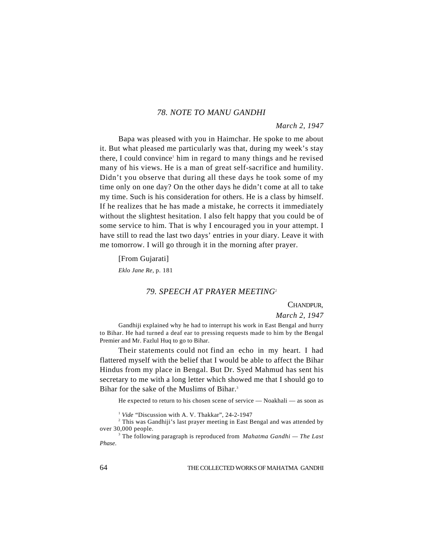# *78. NOTE TO MANU GANDHI*

#### *March 2, 1947*

Bapa was pleased with you in Haimchar. He spoke to me about it. But what pleased me particularly was that, during my week's stay there, I could convince<sup>1</sup> him in regard to many things and he revised many of his views. He is a man of great self-sacrifice and humility. Didn't you observe that during all these days he took some of my time only on one day? On the other days he didn't come at all to take my time. Such is his consideration for others. He is a class by himself. If he realizes that he has made a mistake, he corrects it immediately without the slightest hesitation. I also felt happy that you could be of some service to him. That is why I encouraged you in your attempt. I have still to read the last two days' entries in your diary. Leave it with me tomorrow. I will go through it in the morning after prayer.

[From Gujarati] *Eklo Jane Re,* p. 181

# *79. SPEECH AT PRAYER MEETING*<sup>2</sup>

CHANDPUR, *March 2, 1947*

Gandhiji explained why he had to interrupt his work in East Bengal and hurry to Bihar. He had turned a deaf ear to pressing requests made to him by the Bengal Premier and Mr. Fazlul Huq to go to Bihar.

Their statements could not find an echo in my heart. I had flattered myself with the belief that I would be able to affect the Bihar Hindus from my place in Bengal. But Dr. Syed Mahmud has sent his secretary to me with a long letter which showed me that I should go to Bihar for the sake of the Muslims of Bihar.<sup>3</sup>

He expected to return to his chosen scene of service — Noakhali — as soon as

<sup>1</sup> Vide "Discussion with A. V. Thakkar", 24-2-1947

 $2$  This was Gandhiji's last prayer meeting in East Bengal and was attended by over 30,000 people.

3 The following paragraph is reproduced from *Mahatma Gandhi — The Last Phase*.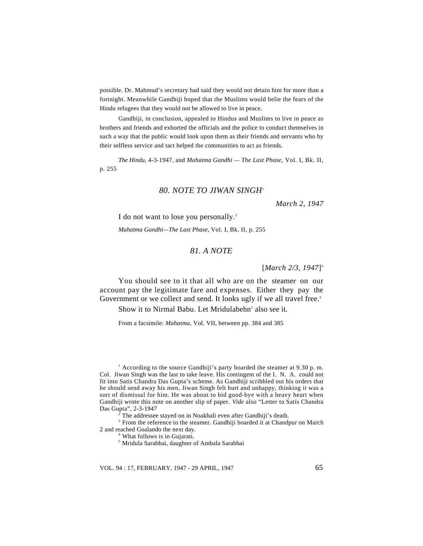possible. Dr. Mahmud's secretary had said they would not detain him for more than a fortnight. Meanwhile Gandhiji hoped that the Muslims would belie the fears of the Hindu refugees that they would not be allowed to live in peace.

Gandhiji, in conclusion, appealed to Hindus and Muslims to live in peace as brothers and friends and exhorted the officials and the police to conduct themselves in such a way that the public would look upon them as their friends and servants who by their selfless service and tact helped the communities to act as friends.

*The Hindu,* 4-3-1947, and *Mahatma Gandhi — The Last Phase*, Vol. I, Bk. II, p. 255

### *80. NOTE TO JIWAN SINGH*<sup>1</sup>

*March 2, 1947*

I do not want to lose you personally.<sup>2</sup>

*Mahatma Gandhi—The Last Phase,* Vol. I, Bk. II, p. 255

# *81. A NOTE*

[*March 2/3, 1947*] 3

You should see to it that all who are on the steamer on our account pay the legitimate fare and expenses. Either they pay the Government or we collect and send. It looks ugly if we all travel free.<sup>4</sup>

Show it to Nirmal Babu. Let Mridulabehn<sup>5</sup> also see it.

From a facsimile: *Mahatma,* Vol. VII, between pp. 384 and 385

<sup>1</sup> According to the source Gandhiji's party boarded the steamer at 9.30 p.m. Col. Jiwan Singh was the last to take leave. His contingent of the I. N. A. could not fit into Satis Chandra Das Gupta's scheme. As Gandhiji scribbled out his orders that he should send away his men, Jiwan Singh felt hurt and unhappy, thinking it was a sort of dismissal for him. He was about to bid good-bye with a heavy heart when Gandhiji wrote this note on another slip of paper. *Vide* also "Letter to Satis Chandra Das Gupta", 2-3-1947

2 The addressee stayed on in Noakhali even after Gandhiji's death.

<sup>3</sup> From the reference to the steamer. Gandhiji boarded it at Chandpur on March 2 and reached Goalando the next day.

4 What follows is in Gujarati.

5 Mridula Sarabhai, daughter of Ambala Sarabhai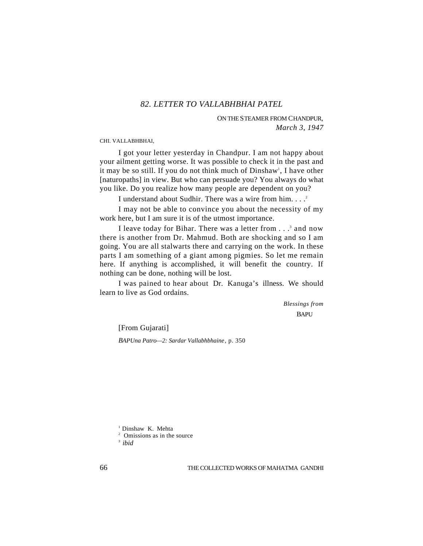# *82. LETTER TO VALLABHBHAI PATEL*

ON THE STEAMER FROM CHANDPUR *March 3, 1947*

CHI. VALLABHBHAI,

I got your letter yesterday in Chandpur. I am not happy about your ailment getting worse. It was possible to check it in the past and it may be so still. If you do not think much of Dinshaw', I have other [naturopaths] in view. But who can persuade you? You always do what you like. Do you realize how many people are dependent on you?

I understand about Sudhir. There was a wire from him.  $\ldots$ <sup>2</sup>

I may not be able to convince you about the necessity of my work here, but I am sure it is of the utmost importance.

I leave today for Bihar. There was a letter from . . .<sup>3</sup> and now there is another from Dr. Mahmud. Both are shocking and so I am going. You are all stalwarts there and carrying on the work. In these parts I am something of a giant among pigmies. So let me remain here. If anything is accomplished, it will benefit the country. If nothing can be done, nothing will be lost.

I was pained to hear about Dr. Kanuga's illness. We should learn to live as God ordains.

> *Blessings from* BAPU

[From Gujarati]

*BAPUna Patro—2: Sardar Vallabhbhaine*, p. 350

1 Dinshaw K. Mehta

2 Omissions as in the source

3 *ibid*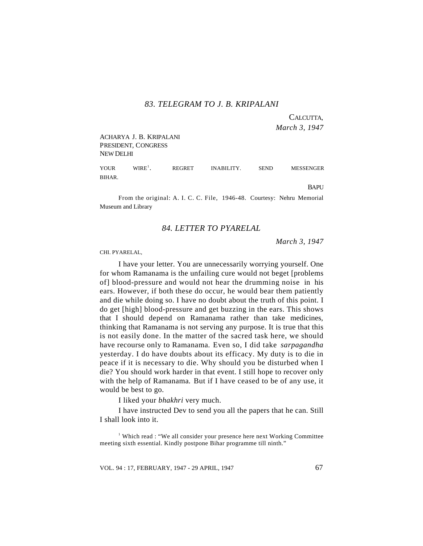### *83. TELEGRAM TO J. B. KRIPALANI*

CALCUTTA, *March 3, 1947*

#### ACHARYA J. B. KRIPALANI PRESIDENT, CONGRESS NEW DELHI

YOUR WIRE<sup>1</sup> . REGRET INABILITY. SEND MESSENGER BIHAR.

BAPU

From the original: A. I. C. C. File, 1946-48. Courtesy: Nehru Memorial Museum and Library

### *84. LETTER TO PYARELAL*

*March 3, 1947*

CHI. PYARELAL,

I have your letter. You are unnecessarily worrying yourself. One for whom Ramanama is the unfailing cure would not beget [problems of] blood-pressure and would not hear the drumming noise in his ears. However, if both these do occur, he would bear them patiently and die while doing so. I have no doubt about the truth of this point. I do get [high] blood-pressure and get buzzing in the ears. This shows that I should depend on Ramanama rather than take medicines, thinking that Ramanama is not serving any purpose. It is true that this is not easily done. In the matter of the sacred task here, we should have recourse only to Ramanama*.* Even so, I did take *sarpagandha* yesterday. I do have doubts about its efficacy. My duty is to die in peace if it is necessary to die. Why should you be disturbed when I die? You should work harder in that event. I still hope to recover only with the help of Ramanama*.* But if I have ceased to be of any use, it would be best to go.

I liked your *bhakhri* very much.

I have instructed Dev to send you all the papers that he can. Still I shall look into it.

<sup>1</sup> Which read : "We all consider your presence here next Working Committee meeting sixth essential. Kindly postpone Bihar programme till ninth."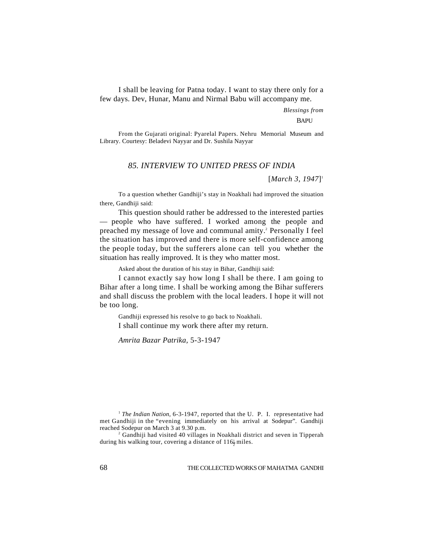I shall be leaving for Patna today. I want to stay there only for a few days. Dev, Hunar, Manu and Nirmal Babu will accompany me.

*Blessings from*

**BAPU** 

From the Gujarati original: Pyarelal Papers. Nehru Memorial Museum and Library. Courtesy: Beladevi Nayyar and Dr. Sushila Nayyar

### *85. INTERVIEW TO UNITED PRESS OF INDIA*

[*March 3, 1947*] 1

To a question whether Gandhiji's stay in Noakhali had improved the situation there, Gandhiji said:

This question should rather be addressed to the interested parties — people who have suffered. I worked among the people and preached my message of love and communal amity.<sup>2</sup> Personally I feel the situation has improved and there is more self-confidence among the people today, but the sufferers alone can tell you whether the situation has really improved. It is they who matter most.

Asked about the duration of his stay in Bihar, Gandhiji said:

I cannot exactly say how long I shall be there. I am going to Bihar after a long time. I shall be working among the Bihar sufferers and shall discuss the problem with the local leaders. I hope it will not be too long.

Gandhiji expressed his resolve to go back to Noakhali.

I shall continue my work there after my return.

*Amrita Bazar Patrika,* 5-3-1947

<sup>&</sup>lt;sup>1</sup> The Indian Nation, 6-3-1947, reported that the U. P. I. representative had met Gandhiji in the "evening immediately on his arrival at Sodepur". Gandhiji reached Sodepur on March 3 at 9.30 p.m.

<sup>&</sup>lt;sup>2</sup> Gandhiji had visited 40 villages in Noakhali district and seven in Tipperah during his walking tour, covering a distance of  $116\frac{1}{2}$  miles.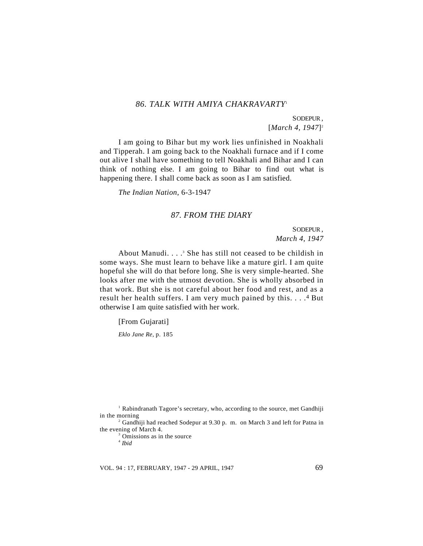# *86. TALK WITH AMIYA CHAKRAVARTY*<sup>1</sup>

SODEPUR , [*March 4, 1947*] 2

I am going to Bihar but my work lies unfinished in Noakhali and Tipperah. I am going back to the Noakhali furnace and if I come out alive I shall have something to tell Noakhali and Bihar and I can think of nothing else. I am going to Bihar to find out what is happening there. I shall come back as soon as I am satisfied.

*The Indian Nation*, 6-3-1947

# *87. FROM THE DIARY*

SODEPUR , *March 4, 1947*

About Manudi....<sup>3</sup> She has still not ceased to be childish in some ways. She must learn to behave like a mature girl. I am quite hopeful she will do that before long. She is very simple-hearted. She looks after me with the utmost devotion. She is wholly absorbed in that work. But she is not careful about her food and rest, and as a result her health suffers. I am very much pained by this.  $\ldots$  4 But otherwise I am quite satisfied with her work.

[From Gujarati]

*Eklo Jane Re,* p. 185

<sup>1</sup> Rabindranath Tagore's secretary, who, according to the source, met Gandhiji in the morning

<sup>2</sup> Gandhiji had reached Sodepur at 9.30 p. m. on March 3 and left for Patna in the evening of March 4.

3 Omissions as in the source

4 *Ibid*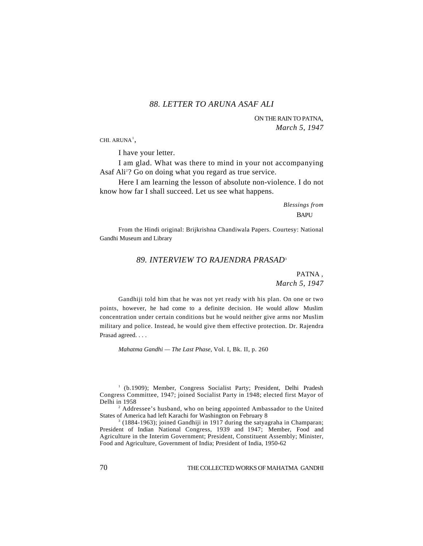# *88. LETTER TO ARUNA ASAF ALI*

ON THE RAIN TO PATNA, *March 5, 1947*

CHI. ARUNA $^1$ ,

I have your letter.

I am glad. What was there to mind in your not accompanying Asaf Ali<sup>2</sup>? Go on doing what you regard as true service.

Here I am learning the lesson of absolute non-violence. I do not know how far I shall succeed. Let us see what happens.

*Blessings from*

**BAPU** 

From the Hindi original: Brijkrishna Chandiwala Papers. Courtesy: National Gandhi Museum and Library

# *89. INTERVIEW TO RAJENDRA PRASAD*<sup>3</sup>

PATNA , *March 5, 1947*

Gandhiji told him that he was not yet ready with his plan. On one or two points, however, he had come to a definite decision. He would allow Muslim concentration under certain conditions but he would neither give arms nor Muslim military and police. Instead, he would give them effective protection. Dr. Rajendra Prasad agreed. . . .

*Mahatma Gandhi — The Last Phase,* Vol. I, Bk. II, p. 260

<sup>1</sup> (b.1909); Member, Congress Socialist Party; President, Delhi Pradesh Congress Committee, 1947; joined Socialist Party in 1948; elected first Mayor of Delhi in 1958

<sup>2</sup> Addressee's husband, who on being appointed Ambassador to the United States of America had left Karachi for Washington on February 8

 $3$  (1884-1963); joined Gandhiji in 1917 during the satyagraha in Champaran; President of Indian National Congress, 1939 and 1947; Member, Food and Agriculture in the Interim Government; President, Constituent Assembly; Minister, Food and Agriculture, Government of India; President of India, 1950-62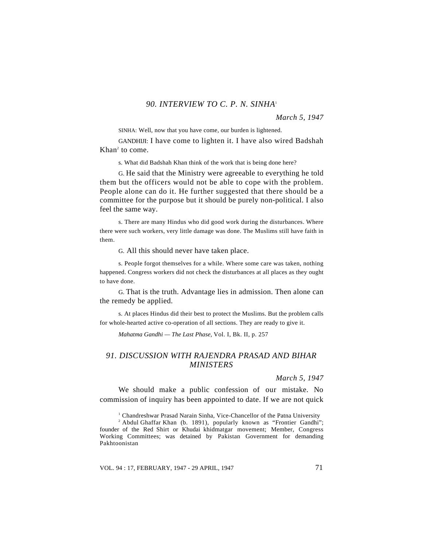### *90. INTERVIEW TO C. P. N. SINHA*<sup>1</sup>

*March 5, 1947*

SINHA: Well, now that you have come, our burden is lightened.

GANDHIJI: I have come to lighten it. I have also wired Badshah Khan<sup>2</sup> to come.

s. What did Badshah Khan think of the work that is being done here?

G. He said that the Ministry were agreeable to everything he told them but the officers would not be able to cope with the problem. People alone can do it. He further suggested that there should be a committee for the purpose but it should be purely non-political. I also feel the same way.

s. There are many Hindus who did good work during the disturbances. Where there were such workers, very little damage was done. The Muslims still have faith in them.

G. All this should never have taken place.

s. People forgot themselves for a while. Where some care was taken, nothing happened. Congress workers did not check the disturbances at all places as they ought to have done.

G. That is the truth. Advantage lies in admission. Then alone can the remedy be applied.

s. At places Hindus did their best to protect the Muslims. But the problem calls for whole-hearted active co-operation of all sections. They are ready to give it.

*Mahatma Gandhi — The Last Phase,* Vol. I, Bk. II, p. 257

# *91. DISCUSSION WITH RAJENDRA PRASAD AND BIHAR MINISTERS*

*March 5, 1947*

We should make a public confession of our mistake. No commission of inquiry has been appointed to date. If we are not quick

<sup>1</sup> Chandreshwar Prasad Narain Sinha, Vice-Chancellor of the Patna University

<sup>&</sup>lt;sup>2</sup> Abdul Ghaffar Khan (b. 1891), popularly known as "Frontier Gandhi"; founder of the Red Shirt or Khudai khidmatgar movement; Member, Congress Working Committees; was detained by Pakistan Government for demanding Pakhtoonistan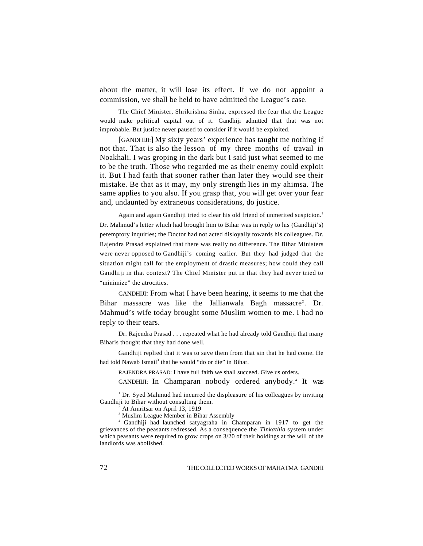about the matter, it will lose its effect. If we do not appoint a commission, we shall be held to have admitted the League's case.

The Chief Minister, Shrikrishna Sinha, expressed the fear that the League would make political capital out of it. Gandhiji admitted that that was not improbable. But justice never paused to consider if it would be exploited.

[GANDHIJI:] My sixty years' experience has taught me nothing if not that. That is also the lesson of my three months of travail in Noakhali. I was groping in the dark but I said just what seemed to me to be the truth. Those who regarded me as their enemy could exploit it. But I had faith that sooner rather than later they would see their mistake. Be that as it may, my only strength lies in my ahimsa. The same applies to you also. If you grasp that, you will get over your fear and, undaunted by extraneous considerations, do justice.

Again and again Gandhiji tried to clear his old friend of unmerited suspicion.<sup>1</sup> Dr. Mahmud's letter which had brought him to Bihar was in reply to his (Gandhiji's) peremptory inquiries; the Doctor had not acted disloyally towards his colleagues. Dr. Rajendra Prasad explained that there was really no difference. The Bihar Ministers were never opposed to Gandhiji's coming earlier. But they had judged that the situation might call for the employment of drastic measures; how could they call Gandhiji in that context? The Chief Minister put in that they had never tried to "minimize" the atrocities.

GANDHIJI: From what I have been hearing, it seems to me that the Bihar massacre was like the Jallianwala Bagh massacre<sup>2</sup>. Dr. Mahmud's wife today brought some Muslim women to me. I had no reply to their tears.

Dr. Rajendra Prasad . . . repeated what he had already told Gandhiji that many Biharis thought that they had done well.

Gandhiji replied that it was to save them from that sin that he had come. He had told Nawab Ismail<sup>3</sup> that he would "do or die" in Bihar.

RAJENDRA PRASAD: I have full faith we shall succeed. Give us orders.

GANDHIJI: In Champaran nobody ordered anybody.<sup>4</sup> It was

<sup>1</sup> Dr. Syed Mahmud had incurred the displeasure of his colleagues by inviting Gandhiji to Bihar without consulting them.

<sup>2</sup> At Amritsar on April 13, 1919

<sup>3</sup> Muslim League Member in Bihar Assembly

<sup>4</sup> Gandhiji had launched satyagraha in Champaran in 1917 to get the grievances of the peasants redressed. As a consequence the *Tinkathia* system under which peasants were required to grow crops on  $3/20$  of their holdings at the will of the landlords was abolished.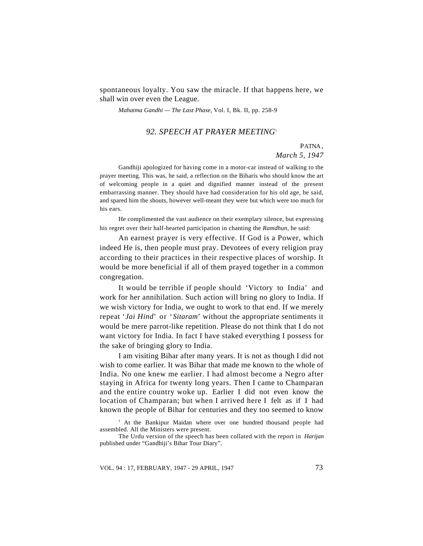spontaneous loyalty. You saw the miracle. If that happens here, we shall win over even the League.

*Mahatma Gandhi — The Last Phase,* Vol. I, Bk. II, pp. 258-9

# *92. SPEECH AT PRAYER MEETING*<sup>1</sup>

PATNA , *March 5, 1947*

Gandhiji apologized for having come in a motor-car instead of walking to the prayer meeting. This was, he said, a reflection on the Biharis who should know the art of welcoming people in a quiet and dignified manner instead of the present embarrassing manner. They should have had consideration for his old age, he said, and spared him the shouts, however well-meant they were but which were too much for his ears.

He complimented the vast audience on their exemplary silence, but expressing his regret over their half-hearted participation in chanting the *Ramdhun,* he said:

An earnest prayer is very effective. If God is a Power, which indeed He is, then people must pray. Devotees of every religion pray according to their practices in their respective places of worship. It would be more beneficial if all of them prayed together in a common congregation.

It would be terrible if people should 'Victory to India' and work for her annihilation. Such action will bring no glory to India. If we wish victory for India, we ought to work to that end. If we merely repeat '*Jai Hind*' or '*Sitaram*' without the appropriate sentiments it would be mere parrot-like repetition. Please do not think that I do not want victory for India. In fact I have staked everything I possess for the sake of bringing glory to India.

I am visiting Bihar after many years. It is not as though I did not wish to come earlier. It was Bihar that made me known to the whole of India. No one knew me earlier. I had almost become a Negro after staying in Africa for twenty long years. Then I came to Champaran and the entire country woke up. Earlier I did not even know the location of Champaran; but when I arrived here I felt as if I had known the people of Bihar for centuries and they too seemed to know

<sup>&</sup>lt;sup>1</sup> At the Bankipur Maidan where over one hundred thousand people had assembled. All the Ministers were present.

The Urdu version of the speech has been collated with the report in *Harijan* published under "Gandhiji's Bihar Tour Diary".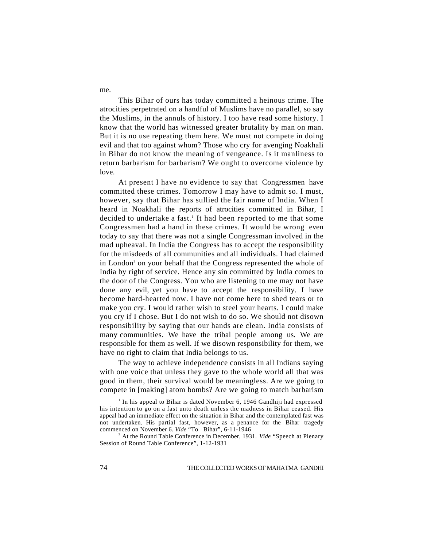me.

This Bihar of ours has today committed a heinous crime. The atrocities perpetrated on a handful of Muslims have no parallel, so say the Muslims, in the annuls of history. I too have read some history. I know that the world has witnessed greater brutality by man on man. But it is no use repeating them here. We must not compete in doing evil and that too against whom? Those who cry for avenging Noakhali in Bihar do not know the meaning of vengeance. Is it manliness to return barbarism for barbarism? We ought to overcome violence by love.

At present I have no evidence to say that Congressmen have committed these crimes. Tomorrow I may have to admit so. I must, however, say that Bihar has sullied the fair name of India. When I heard in Noakhali the reports of atrocities committed in Bihar, I decided to undertake a fast.<sup>1</sup> It had been reported to me that some Congressmen had a hand in these crimes. It would be wrong even today to say that there was not a single Congressman involved in the mad upheaval. In India the Congress has to accept the responsibility for the misdeeds of all communities and all individuals. I had claimed in London<sup>2</sup> on your behalf that the Congress represented the whole of India by right of service. Hence any sin committed by India comes to the door of the Congress. You who are listening to me may not have done any evil, yet you have to accept the responsibility. I have become hard-hearted now. I have not come here to shed tears or to make you cry. I would rather wish to steel your hearts. I could make you cry if I chose. But I do not wish to do so. We should not disown responsibility by saying that our hands are clean. India consists of many communities. We have the tribal people among us. We are responsible for them as well. If we disown responsibility for them, we have no right to claim that India belongs to us.

The way to achieve independence consists in all Indians saying with one voice that unless they gave to the whole world all that was good in them, their survival would be meaningless. Are we going to compete in [making] atom bombs? Are we going to match barbarism

<sup>1</sup> In his appeal to Bihar is dated November 6, 1946 Gandhiji had expressed his intention to go on a fast unto death unless the madness in Bihar ceased. His appeal had an immediate effect on the situation in Bihar and the contemplated fast was not undertaken. His partial fast, however, as a penance for the Bihar tragedy commenced on November 6. *Vide* "To Bihar", 6-11-1946

<sup>2</sup> At the Round Table Conference in December, 1931. *Vide* "Speech at Plenary Session of Round Table Conference", 1-12-1931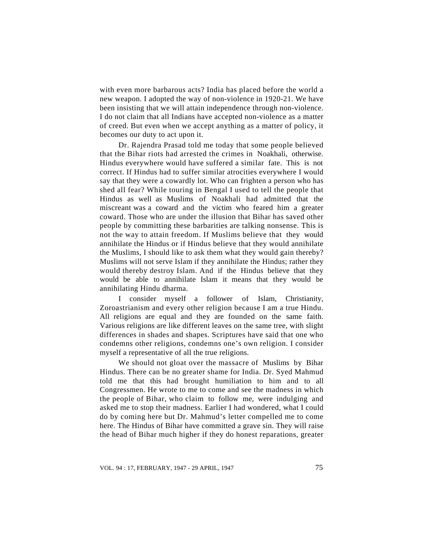with even more barbarous acts? India has placed before the world a new weapon. I adopted the way of non-violence in 1920-21. We have been insisting that we will attain independence through non-violence. I do not claim that all Indians have accepted non-violence as a matter of creed. But even when we accept anything as a matter of policy, it becomes our duty to act upon it.

Dr. Rajendra Prasad told me today that some people believed that the Bihar riots had arrested the crimes in Noakhali, otherwise. Hindus everywhere would have suffered a similar fate. This is not correct. If Hindus had to suffer similar atrocities everywhere I would say that they were a cowardly lot. Who can frighten a person who has shed all fear? While touring in Bengal I used to tell the people that Hindus as well as Muslims of Noakhali had admitted that the miscreant was a coward and the victim who feared him a greater coward. Those who are under the illusion that Bihar has saved other people by committing these barbarities are talking nonsense. This is not the way to attain freedom. If Muslims believe that they would annihilate the Hindus or if Hindus believe that they would annihilate the Muslims, I should like to ask them what they would gain thereby? Muslims will not serve Islam if they annihilate the Hindus; rather they would thereby destroy Islam. And if the Hindus believe that they would be able to annihilate Islam it means that they would be annihilating Hindu dharma.

I consider myself a follower of Islam, Christianity, Zoroastrianism and every other religion because I am a true Hindu. All religions are equal and they are founded on the same faith. Various religions are like different leaves on the same tree, with slight differences in shades and shapes. Scriptures have said that one who condemns other religions, condemns one's own religion. I consider myself a representative of all the true religions.

We should not gloat over the massacre of Muslims by Bihar Hindus. There can be no greater shame for India. Dr. Syed Mahmud told me that this had brought humiliation to him and to all Congressmen. He wrote to me to come and see the madness in which the people of Bihar, who claim to follow me, were indulging and asked me to stop their madness. Earlier I had wondered, what I could do by coming here but Dr. Mahmud's letter compelled me to come here. The Hindus of Bihar have committed a grave sin. They will raise the head of Bihar much higher if they do honest reparations, greater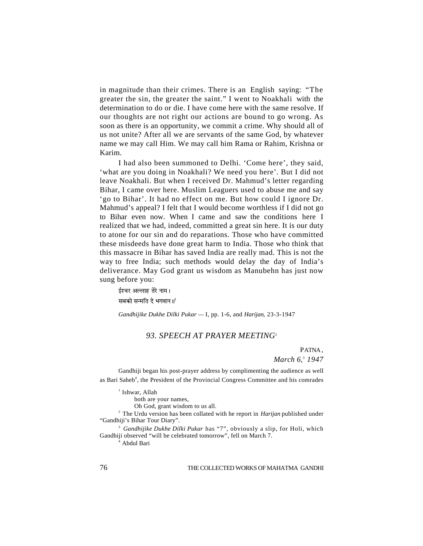in magnitude than their crimes. There is an English saying: "The greater the sin, the greater the saint." I went to Noakhali with the determination to do or die. I have come here with the same resolve. If our thoughts are not right our actions are bound to go wrong. As soon as there is an opportunity, we commit a crime. Why should all of us not unite? After all we are servants of the same God, by whatever name we may call Him. We may call him Rama or Rahim, Krishna or Karim.

I had also been summoned to Delhi. 'Come here', they said, 'what are you doing in Noakhali? We need you here'. But I did not leave Noakhali. But when I received Dr. Mahmud's letter regarding Bihar, I came over here. Muslim Leaguers used to abuse me and say 'go to Bihar'. It had no effect on me. But how could I ignore Dr. Mahmud's appeal? I felt that I would become worthless if I did not go to Bihar even now. When I came and saw the conditions here I realized that we had, indeed, committed a great sin here. It is our duty to atone for our sin and do reparations. Those who have committed these misdeeds have done great harm to India. Those who think that this massacre in Bihar has saved India are really mad. This is not the way to free India; such methods would delay the day of India's deliverance. May God grant us wisdom as Manubehn has just now sung before you:

ईश्वर अल्लाह तेरे नाम। सबको सन्मति दे भगवान॥1

*Gandhijike Dukhe Dilki Pukar —* I, pp. 1-6, and *Harijan*, 23-3-1947

# *93. SPEECH AT PRAYER MEETING*<sup>2</sup>

PATNA , *March 6,*<sup>3</sup>  *1947*

Gandhiji began his post-prayer address by complimenting the audience as well as Bari Saheb<sup>4</sup>, the President of the Provincial Congress Committee and his comrades

1 Ishwar, Allah

both are your names,

Oh God, grant wisdom to us all.

<sup>2</sup> The Urdu version has been collated with he report in *Harijan* published under "Gandhiji's Bihar Tour Diary".

<sup>3</sup> *Gandhijike Dukhe Dilki Pukar* has "7", obviously a slip, for Holi, which Gandhiji observed "will be celebrated tomorrow", fell on March 7.

4 Abdul Bari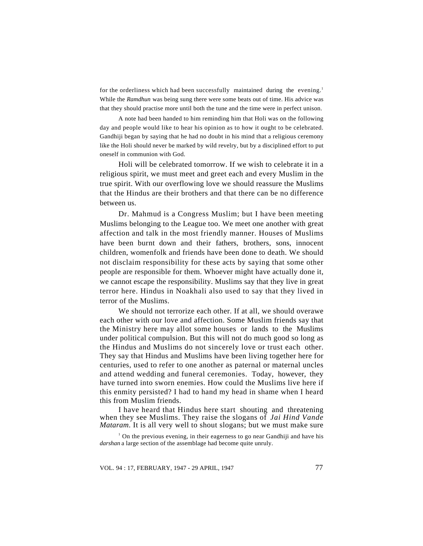for the orderliness which had been successfully maintained during the evening.<sup>1</sup> While the *Ramdhun* was being sung there were some beats out of time. His advice was that they should practise more until both the tune and the time were in perfect unison.

A note had been handed to him reminding him that Holi was on the following day and people would like to hear his opinion as to how it ought to be celebrated. Gandhiji began by saying that he had no doubt in his mind that a religious ceremony like the Holi should never be marked by wild revelry, but by a disciplined effort to put oneself in communion with God.

Holi will be celebrated tomorrow. If we wish to celebrate it in a religious spirit, we must meet and greet each and every Muslim in the true spirit. With our overflowing love we should reassure the Muslims that the Hindus are their brothers and that there can be no difference between us.

Dr. Mahmud is a Congress Muslim; but I have been meeting Muslims belonging to the League too. We meet one another with great affection and talk in the most friendly manner. Houses of Muslims have been burnt down and their fathers, brothers, sons, innocent children, womenfolk and friends have been done to death. We should not disclaim responsibility for these acts by saying that some other people are responsible for them. Whoever might have actually done it, we cannot escape the responsibility. Muslims say that they live in great terror here. Hindus in Noakhali also used to say that they lived in terror of the Muslims.

We should not terrorize each other. If at all, we should overawe each other with our love and affection. Some Muslim friends say that the Ministry here may allot some houses or lands to the Muslims under political compulsion. But this will not do much good so long as the Hindus and Muslims do not sincerely love or trust each other. They say that Hindus and Muslims have been living together here for centuries, used to refer to one another as paternal or maternal uncles and attend wedding and funeral ceremonies. Today, however, they have turned into sworn enemies. How could the Muslims live here if this enmity persisted? I had to hand my head in shame when I heard this from Muslim friends.

I have heard that Hindus here start shouting and threatening when they see Muslims. They raise the slogans of *Jai Hind Vande Mataram*. It is all very well to shout slogans; but we must make sure

<sup>1</sup> On the previous evening, in their eagerness to go near Gandhiji and have his *darshan* a large section of the assemblage had become quite unruly.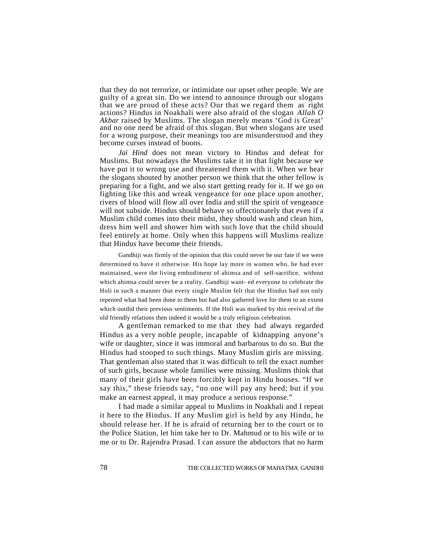that they do not terrorize, or intimidate our upset other people. We are guilty of a great sin. Do we intend to announce through our slogans that we are proud of these acts? Our that we regard them as right actions? Hindus in Noakhali were also afraid of the slogan *Allah O Akbar* raised by Muslims. The slogan merely means 'God is Great' and no one need be afraid of this slogan. But when slogans are used for a wrong purpose, their meanings too are misunderstood and they become curses instead of boons.

*Jai Hind* does not mean victory to Hindus and defeat for Muslims. But nowadays the Muslims take it in that light because we have put it to wrong use and threatened them with it. When we hear the slogans shouted by another person we think that the other fellow is preparing for a fight, and we also start getting ready for it. If we go on fighting like this and wreak vengeance for one place upon another, rivers of blood will flow all over India and still the spirit of vengeance will not subside. Hindus should behave so uffectionately that even if a Muslim child comes into their midst, they should wash and clean him, dress him well and shower him with such love that the child should feel entirely at home. Only when this happens will Muslims realize that Hindus have become their friends.

Gandhiji was firmly of the opinion that this could never be our fate if we were determined to have it otherwise. His hope lay more in women who, he had ever maintained, were the living embodiment of ahimsa and of self-sacrifice, without which ahimsa could never be a reality. Gandhiji want- ed everyone to celebrate the Holi in such a manner that every single Muslim felt that the Hindus had not only repented what had been done to them but had also gathered love for them to an extent which outdid their previous sentiments. If the Holi was marked by this revival of the old friendly relations then indeed it would be a truly religious celebration.

A gentleman remarked to me that they had always regarded Hindus as a very noble people, incapable of kidnapping anyone's wife or daughter, since it was immoral and barbarous to do so. But the Hindus had stooped to such things. Many Muslim girls are missing. That gentleman also stated that it was difficult to tell the exact number of such girls, because whole families were missing. Muslims think that many of their girls have been forcibly kept in Hindu houses. "If we say this," these friends say, "no one will pay any heed; but if you make an earnest appeal, it may produce a serious response."

I had made a similar appeal to Muslims in Noakhali and I repeat it here to the Hindus. If any Muslim girl is held by any Hindu, he should release her. If he is afraid of returning her to the court or to the Police Station, let him take her to Dr. Mahmud or to his wife or to me or to Dr. Rajendra Prasad. I can assure the abductors that no harm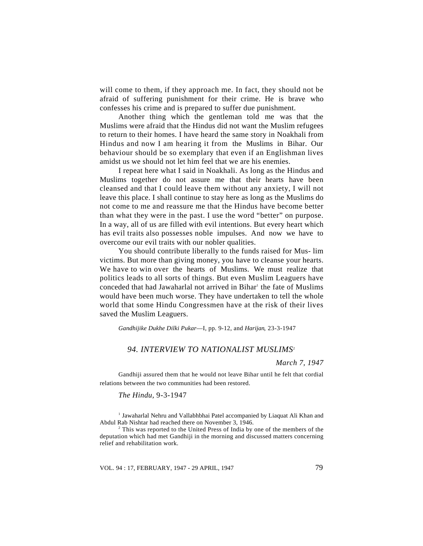will come to them, if they approach me. In fact, they should not be afraid of suffering punishment for their crime. He is brave who confesses his crime and is prepared to suffer due punishment.

Another thing which the gentleman told me was that the Muslims were afraid that the Hindus did not want the Muslim refugees to return to their homes. I have heard the same story in Noakhali from Hindus and now I am hearing it from the Muslims in Bihar. Our behaviour should be so exemplary that even if an Englishman lives amidst us we should not let him feel that we are his enemies.

I repeat here what I said in Noakhali. As long as the Hindus and Muslims together do not assure me that their hearts have been cleansed and that I could leave them without any anxiety, I will not leave this place. I shall continue to stay here as long as the Muslims do not come to me and reassure me that the Hindus have become better than what they were in the past. I use the word "better" on purpose. In a way, all of us are filled with evil intentions. But every heart which has evil traits also possesses noble impulses. And now we have to overcome our evil traits with our nobler qualities.

You should contribute liberally to the funds raised for Mus- lim victims. But more than giving money, you have to cleanse your hearts. We have to win over the hearts of Muslims. We must realize that politics leads to all sorts of things. But even Muslim Leaguers have conceded that had Jawaharlal not arrived in Bihar<sup>1</sup> the fate of Muslims would have been much worse. They have undertaken to tell the whole world that some Hindu Congressmen have at the risk of their lives saved the Muslim Leaguers.

*Gandhijike Dukhe Dilki Pukar*—I, pp. 9-12, and *Harijan*, 23-3-1947

# *94. INTERVIEW TO NATIONALIST MUSLIMS*<sup>2</sup>

*March 7, 1947*

Gandhiji assured them that he would not leave Bihar until he felt that cordial relations between the two communities had been restored.

*The Hindu,* 9-3-1947

<sup>1</sup> Jawaharlal Nehru and Vallabhbhai Patel accompanied by Liaquat Ali Khan and Abdul Rab Nishtar had reached there on November 3, 1946.

<sup>2</sup> This was reported to the United Press of India by one of the members of the deputation which had met Gandhiji in the morning and discussed matters concerning relief and rehabilitation work.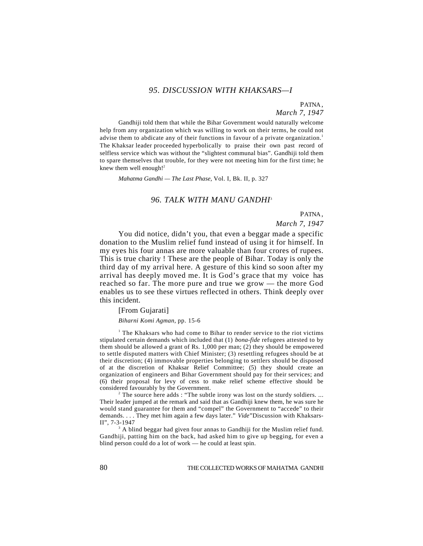# *95. DISCUSSION WITH KHAKSARS—I*

PATNA , *March 7, 1947*

Gandhiji told them that while the Bihar Government would naturally welcome help from any organization which was willing to work on their terms, he could not advise them to abdicate any of their functions in favour of a private organization.<sup>1</sup> The Khaksar leader proceeded hyperbolically to praise their own past record of selfless service which was without the "slightest communal bias". Gandhiji told them to spare themselves that trouble, for they were not meeting him for the first time; he knew them well enough! $^{2}$ 

*Mahatma Gandhi — The Last Phase,* Vol. I, Bk. II, p. 327

#### *96. TALK WITH MANU GANDHI*<sup>3</sup>

PATNA , *March 7, 1947*

You did notice, didn't you, that even a beggar made a specific donation to the Muslim relief fund instead of using it for himself. In my eyes his four annas are more valuable than four crores of rupees. This is true charity ! These are the people of Bihar. Today is only the third day of my arrival here. A gesture of this kind so soon after my arrival has deeply moved me. It is God's grace that my voice has reached so far. The more pure and true we grow — the more God enables us to see these virtues reflected in others. Think deeply over this incident.

[From Gujarati]

*Biharni Komi Agman,* pp. 15-6

<sup>1</sup> The Khaksars who had come to Bihar to render service to the riot victims stipulated certain demands which included that (1) *bona-fide* refugees attested to by them should be allowed a grant of Rs. 1,000 per man; (2) they should be empowered to settle disputed matters with Chief Minister; (3) resettling refugees should be at their discretion; (4) immovable properties belonging to settlers should be disposed of at the discretion of Khaksar Relief Committee; (5) they should create an organization of engineers and Bihar Government should pay for their services; and (6) their proposal for levy of cess to make relief scheme effective should be considered favourably by the Government.

<sup>2</sup> The source here adds : "The subtle irony was lost on the sturdy soldiers. ... Their leader jumped at the remark and said that as Gandhiji knew them, he was sure he would stand guarantee for them and "compel" the Government to "accede" to their demands. . . . They met him again a few days later." *Vide*"Discussion with Khaksars-II", 7-3-1947

<sup>3</sup> A blind beggar had given four annas to Gandhiji for the Muslim relief fund. Gandhiji, patting him on the back, had asked him to give up begging, for even a blind person could do a lot of work — he could at least spin.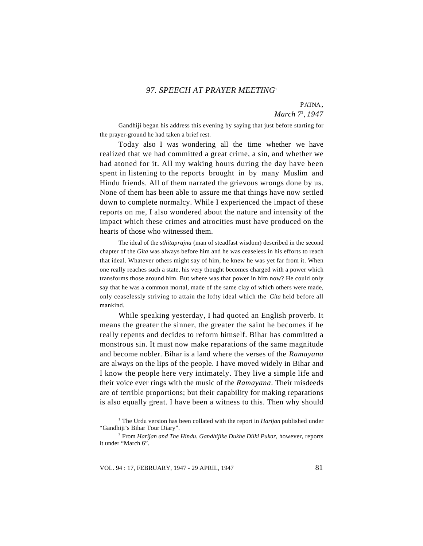# *97. SPEECH AT PRAYER MEETING*<sup>1</sup>

PATNA , *March 7*<sup>2</sup> , *1947*

Gandhiji began his address this evening by saying that just before starting for the prayer-ground he had taken a brief rest.

Today also I was wondering all the time whether we have realized that we had committed a great crime, a sin, and whether we had atoned for it. All my waking hours during the day have been spent in listening to the reports brought in by many Muslim and Hindu friends. All of them narrated the grievous wrongs done by us. None of them has been able to assure me that things have now settled down to complete normalcy. While I experienced the impact of these reports on me, I also wondered about the nature and intensity of the impact which these crimes and atrocities must have produced on the hearts of those who witnessed them.

The ideal of the *sthitaprajna* (man of steadfast wisdom) described in the second chapter of the *Gita* was always before him and he was ceaseless in his efforts to reach that ideal. Whatever others might say of him, he knew he was yet far from it. When one really reaches such a state, his very thought becomes charged with a power which transforms those around him. But where was that power in him now? He could only say that he was a common mortal, made of the same clay of which others were made, only ceaselessly striving to attain the lofty ideal which the *Gita* held before all mankind.

While speaking yesterday, I had quoted an English proverb. It means the greater the sinner, the greater the saint he becomes if he really repents and decides to reform himself. Bihar has committed a monstrous sin. It must now make reparations of the same magnitude and become nobler. Bihar is a land where the verses of the *Ramayana* are always on the lips of the people. I have moved widely in Bihar and I know the people here very intimately. They live a simple life and their voice ever rings with the music of the *Ramayana*. Their misdeeds are of terrible proportions; but their capability for making reparations is also equally great. I have been a witness to this. Then why should

<sup>&</sup>lt;sup>1</sup> The Urdu version has been collated with the report in *Harijan* published under "Gandhiji's Bihar Tour Diary".

<sup>2</sup> From *Harijan and The Hindu. Gandhijike Dukhe Dilki Pukar*, however, reports it under "March 6".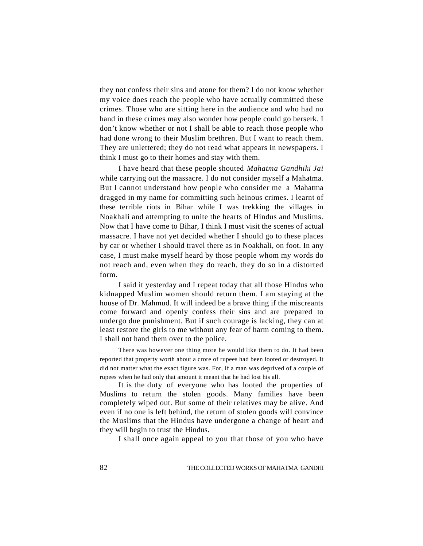they not confess their sins and atone for them? I do not know whether my voice does reach the people who have actually committed these crimes. Those who are sitting here in the audience and who had no hand in these crimes may also wonder how people could go berserk. I don't know whether or not I shall be able to reach those people who had done wrong to their Muslim brethren. But I want to reach them. They are unlettered; they do not read what appears in newspapers. I think I must go to their homes and stay with them.

I have heard that these people shouted *Mahatma Gandhiki Jai* while carrying out the massacre. I do not consider myself a Mahatma. But I cannot understand how people who consider me a Mahatma dragged in my name for committing such heinous crimes. I learnt of these terrible riots in Bihar while I was trekking the villages in Noakhali and attempting to unite the hearts of Hindus and Muslims. Now that I have come to Bihar, I think I must visit the scenes of actual massacre. I have not yet decided whether I should go to these places by car or whether I should travel there as in Noakhali, on foot. In any case, I must make myself heard by those people whom my words do not reach and, even when they do reach, they do so in a distorted form.

I said it yesterday and I repeat today that all those Hindus who kidnapped Muslim women should return them. I am staying at the house of Dr. Mahmud. It will indeed be a brave thing if the miscreants come forward and openly confess their sins and are prepared to undergo due punishment. But if such courage is lacking, they can at least restore the girls to me without any fear of harm coming to them. I shall not hand them over to the police.

There was however one thing more he would like them to do. It had been reported that property worth about a crore of rupees had been looted or destroyed. It did not matter what the exact figure was. For, if a man was deprived of a couple of rupees when he had only that amount it meant that he had lost his all.

It is the duty of everyone who has looted the properties of Muslims to return the stolen goods. Many families have been completely wiped out. But some of their relatives may be alive. And even if no one is left behind, the return of stolen goods will convince the Muslims that the Hindus have undergone a change of heart and they will begin to trust the Hindus.

I shall once again appeal to you that those of you who have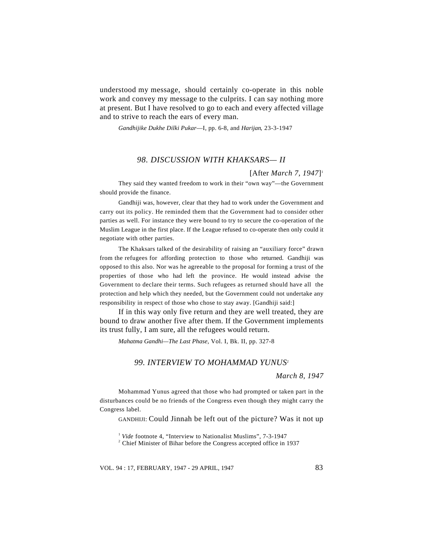understood my message, should certainly co-operate in this noble work and convey my message to the culprits. I can say nothing more at present. But I have resolved to go to each and every affected village and to strive to reach the ears of every man.

*Gandhijike Dukhe Dilki Pukar*—I, pp. 6-8, and *Harijan*, 23-3-1947

# *98. DISCUSSION WITH KHAKSARS— II*

[After *March 7, 1947*] 1

They said they wanted freedom to work in their "own way"—the Government should provide the finance.

Gandhiji was, however, clear that they had to work under the Government and carry out its policy. He reminded them that the Government had to consider other parties as well. For instance they were bound to try to secure the co-operation of the Muslim League in the first place. If the League refused to co-operate then only could it negotiate with other parties.

The Khaksars talked of the desirability of raising an "auxiliary force" drawn from the refugees for affording protection to those who returned. Gandhiji was opposed to this also. Nor was he agreeable to the proposal for forming a trust of the properties of those who had left the province. He would instead advise the Government to declare their terms. Such refugees as returned should have all the protection and help which they needed, but the Government could not undertake any responsibility in respect of those who chose to stay away. [Gandhiji said:]

If in this way only five return and they are well treated, they are bound to draw another five after them. If the Government implements its trust fully, I am sure, all the refugees would return.

*Mahatma Gandhi—The Last Phase*, Vol. I, Bk. II, pp. 327-8

## 99. INTERVIEW TO MOHAMMAD YUNUS<sup>2</sup>

*March 8, 1947*

Mohammad Yunus agreed that those who had prompted or taken part in the disturbances could be no friends of the Congress even though they might carry the Congress label.

GANDHIJI: Could Jinnah be left out of the picture? Was it not up

<sup>1</sup> *Vide* footnote 4, "Interview to Nationalist Muslims", 7-3-1947

 $2^2$  Chief Minister of Bihar before the Congress accepted office in 1937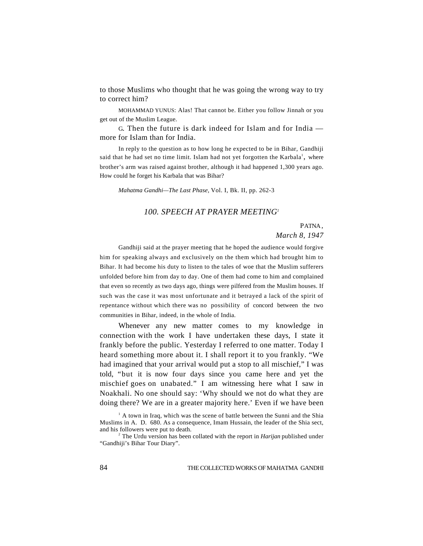to those Muslims who thought that he was going the wrong way to try to correct him?

MOHAMMAD YUNUS: Alas! That cannot be. Either you follow Jinnah or you get out of the Muslim League.

G. Then the future is dark indeed for Islam and for India more for Islam than for India.

In reply to the question as to how long he expected to be in Bihar, Gandhiji said that he had set no time limit. Islam had not yet forgotten the Karbala<sup>1</sup>, where brother's arm was raised against brother, although it had happened 1,300 years ago. How could he forget his Karbala that was Bihar?

*Mahatma Gandhi—The Last Phase,* Vol. I, Bk. II, pp. 262-3

# *100. SPEECH AT PRAYER MEETING*<sup>2</sup>

**PATNA** *March 8, 1947*

Gandhiji said at the prayer meeting that he hoped the audience would forgive him for speaking always and exclusively on the them which had brought him to Bihar. It had become his duty to listen to the tales of woe that the Muslim sufferers unfolded before him from day to day. One of them had come to him and complained that even so recently as two days ago, things were pilfered from the Muslim houses. If such was the case it was most unfortunate and it betrayed a lack of the spirit of repentance without which there was no possibility of concord between the two communities in Bihar, indeed, in the whole of India.

Whenever any new matter comes to my knowledge in connection with the work I have undertaken these days, I state it frankly before the public. Yesterday I referred to one matter. Today I heard something more about it. I shall report it to you frankly. "We had imagined that your arrival would put a stop to all mischief," I was told, "but it is now four days since you came here and yet the mischief goes on unabated." I am witnessing here what I saw in Noakhali. No one should say: 'Why should we not do what they are doing there? We are in a greater majority here.' Even if we have been

<sup>&</sup>lt;sup>1</sup> A town in Iraq, which was the scene of battle between the Sunni and the Shia Muslims in A. D. 680. As a consequence, Imam Hussain, the leader of the Shia sect, and his followers were put to death.

<sup>2</sup> The Urdu version has been collated with the report in *Harijan* published under "Gandhiji's Bihar Tour Diary".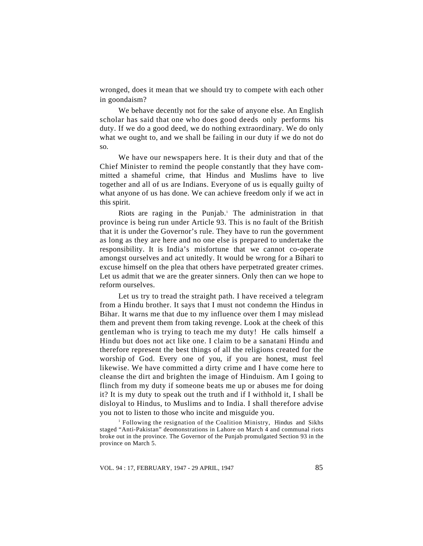wronged, does it mean that we should try to compete with each other in goondaism?

We behave decently not for the sake of anyone else. An English scholar has said that one who does good deeds only performs his duty. If we do a good deed, we do nothing extraordinary. We do only what we ought to, and we shall be failing in our duty if we do not do so.

We have our newspapers here. It is their duty and that of the Chief Minister to remind the people constantly that they have committed a shameful crime, that Hindus and Muslims have to live together and all of us are Indians. Everyone of us is equally guilty of what anyone of us has done. We can achieve freedom only if we act in this spirit.

Riots are raging in the Punjab.<sup>1</sup> The administration in that province is being run under Article 93. This is no fault of the British that it is under the Governor's rule. They have to run the government as long as they are here and no one else is prepared to undertake the responsibility. It is India's misfortune that we cannot co-operate amongst ourselves and act unitedly. It would be wrong for a Bihari to excuse himself on the plea that others have perpetrated greater crimes. Let us admit that we are the greater sinners. Only then can we hope to reform ourselves.

Let us try to tread the straight path. I have received a telegram from a Hindu brother. It says that I must not condemn the Hindus in Bihar. It warns me that due to my influence over them I may mislead them and prevent them from taking revenge. Look at the cheek of this gentleman who is trying to teach me my duty! He calls himself a Hindu but does not act like one. I claim to be a sanatani Hindu and therefore represent the best things of all the religions created for the worship of God. Every one of you, if you are honest, must feel likewise. We have committed a dirty crime and I have come here to cleanse the dirt and brighten the image of Hinduism. Am I going to flinch from my duty if someone beats me up or abuses me for doing it? It is my duty to speak out the truth and if I withhold it, I shall be disloyal to Hindus, to Muslims and to India. I shall therefore advise you not to listen to those who incite and misguide you.

<sup>1</sup> Following the resignation of the Coalition Ministry, Hindus and Sikhs staged "Anti-Pakistan" deomonstrations in Lahore on March 4 and communal riots broke out in the province. The Governor of the Punjab promulgated Section 93 in the province on March 5.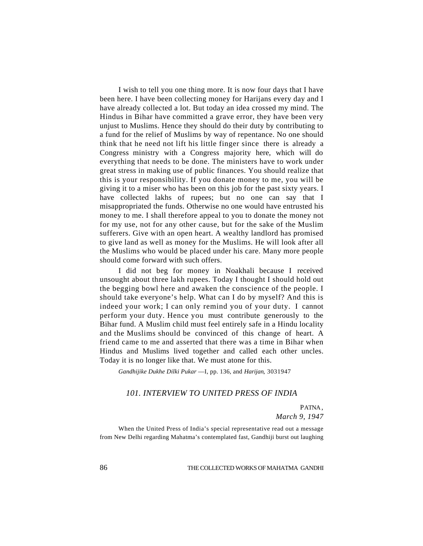I wish to tell you one thing more. It is now four days that I have been here. I have been collecting money for Harijans every day and I have already collected a lot. But today an idea crossed my mind. The Hindus in Bihar have committed a grave error, they have been very unjust to Muslims. Hence they should do their duty by contributing to a fund for the relief of Muslims by way of repentance. No one should think that he need not lift his little finger since there is already a Congress ministry with a Congress majority here, which will do everything that needs to be done. The ministers have to work under great stress in making use of public finances. You should realize that this is your responsibility. If you donate money to me, you will be giving it to a miser who has been on this job for the past sixty years. I have collected lakhs of rupees; but no one can say that I misappropriated the funds. Otherwise no one would have entrusted his money to me. I shall therefore appeal to you to donate the money not for my use, not for any other cause, but for the sake of the Muslim sufferers. Give with an open heart. A wealthy landlord has promised to give land as well as money for the Muslims. He will look after all the Muslims who would be placed under his care. Many more people should come forward with such offers.

I did not beg for money in Noakhali because I received unsought about three lakh rupees. Today I thought I should hold out the begging bowl here and awaken the conscience of the people. I should take everyone's help. What can I do by myself? And this is indeed your work; I can only remind you of your duty. I cannot perform your duty. Hence you must contribute generously to the Bihar fund. A Muslim child must feel entirely safe in a Hindu locality and the Muslims should be convinced of this change of heart. A friend came to me and asserted that there was a time in Bihar when Hindus and Muslims lived together and called each other uncles. Today it is no longer like that. We must atone for this.

*Gandhijike Dukhe Dilki Pukar* —I, pp. 136, and *Harijan*, 3031947

## *101. INTERVIEW TO UNITED PRESS OF INDIA*

PATNA , *March 9, 1947*

When the United Press of India's special representative read out a message from New Delhi regarding Mahatma's contemplated fast, Gandhiji burst out laughing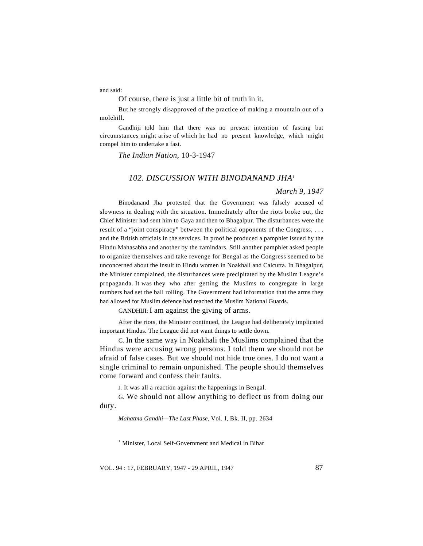and said:

Of course, there is just a little bit of truth in it.

But he strongly disapproved of the practice of making a mountain out of a molehill.

Gandhiji told him that there was no present intention of fasting but circumstances might arise of which he had no present knowledge, which might compel him to undertake a fast.

*The Indian Nation*, 10-3-1947

## *102. DISCUSSION WITH BINODANAND JHA*<sup>1</sup>

#### *March 9, 1947*

Binodanand Jha protested that the Government was falsely accused of slowness in dealing with the situation. Immediately after the riots broke out, the Chief Minister had sent him to Gaya and then to Bhagalpur. The disturbances were the result of a "joint conspiracy" between the political opponents of the Congress, . . . and the British officials in the services. In proof he produced a pamphlet issued by the Hindu Mahasabha and another by the zamindars. Still another pamphlet asked people to organize themselves and take revenge for Bengal as the Congress seemed to be unconcerned about the insult to Hindu women in Noakhali and Calcutta. In Bhagalpur, the Minister complained, the disturbances were precipitated by the Muslim League's propaganda. It was they who after getting the Muslims to congregate in large numbers had set the ball rolling. The Government had information that the arms they had allowed for Muslim defence had reached the Muslim National Guards.

GANDHIJI: I am against the giving of arms.

After the riots, the Minister continued, the League had deliberately implicated important Hindus. The League did not want things to settle down.

G. In the same way in Noakhali the Muslims complained that the Hindus were accusing wrong persons. I told them we should not be afraid of false cases. But we should not hide true ones. I do not want a single criminal to remain unpunished. The people should themselves come forward and confess their faults.

J. It was all a reaction against the happenings in Bengal.

G. We should not allow anything to deflect us from doing our duty.

*Mahatma Gandhi—The Last Phase,* Vol. I, Bk. II, pp. 2634

<sup>1</sup> Minister, Local Self-Government and Medical in Bihar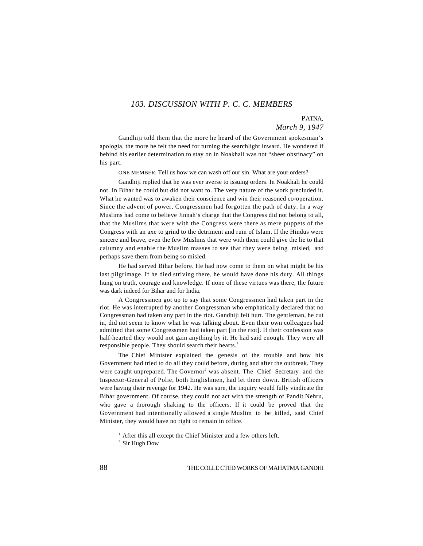# *103. DISCUSSION WITH P. C. C. MEMBERS*

# **PATNA** *March 9, 1947*

Gandhiji told them that the more he heard of the Government spokesman's apologia, the more he felt the need for turning the searchlight inward. He wondered if behind his earlier determination to stay on in Noakhali was not "sheer obstinacy" on his part.

ONE MEMBER: Tell us how we can wash off our sin. What are your orders?

Gandhiji replied that he was ever averse to issuing orders. In Noakhali he could not. In Bihar he could but did not want to. The very nature of the work precluded it. What he wanted was to awaken their conscience and win their reasoned co-operation. Since the advent of power, Congressmen had forgotten the path of duty. In a way Muslims had come to believe Jinnah's charge that the Congress did not belong to all, that the Muslims that were with the Congress were there as mere puppets of the Congress with an axe to grind to the detriment and ruin of Islam. If the Hindus were sincere and brave, even the few Muslims that were with them could give the lie to that calumny and enable the Muslim masses to see that they were being misled, and perhaps save them from being so misled.

He had served Bihar before. He had now come to them on what might be his last pilgrimage. If he died striving there, he would have done his duty. All things hung on truth, courage and knowledge. If none of these virtues was there, the future was dark indeed for Bihar and for India.

A Congressmen got up to say that some Congressmen had taken part in the riot. He was interrupted by another Congressman who emphatically declared that no Congressman had taken any part in the riot. Gandhiji felt hurt. The gentleman, he cut in, did not seem to know what he was talking about. Even their own colleagues had admitted that some Congressmen had taken part [in the riot]. If their confession was half-hearted they would not gain anything by it. He had said enough. They were all responsible people. They should search their hearts.<sup>1</sup>

The Chief Minister explained the genesis of the trouble and how his Government had tried to do all they could before, during and after the outbreak. They were caught unprepared. The Governor<sup>2</sup> was absent. The Chief Secretary and the Inspector-General of Polie, both Englishmen, had let them down. British officers were having their revenge for 1942. He was sure, the inquiry would fully vindicate the Bihar government. Of course, they could not act with the strength of Pandit Nehru, who gave a thorough shaking to the officers. If it could be proved that the Government had intentionally allowed a single Muslim to be killed, said Chief Minister, they would have no right to remain in office.

<sup>1</sup> After this all except the Chief Minister and a few others left.

2 Sir Hugh Dow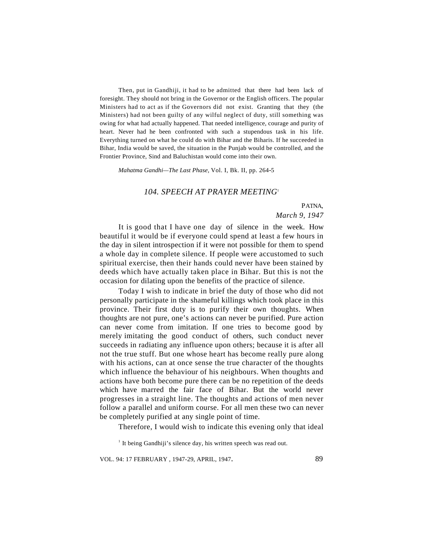Then, put in Gandhiji, it had to be admitted that there had been lack of foresight. They should not bring in the Governor or the English officers. The popular Ministers had to act as if the Governors did not exist. Granting that they (the Ministers) had not been guilty of any wilful neglect of duty, still something was owing for what had actually happened. That needed intelligence, courage and purity of heart. Never had he been confronted with such a stupendous task in his life. Everything turned on what he could do with Bihar and the Biharis. If he succeeded in Bihar, India would be saved, the situation in the Punjab would be controlled, and the Frontier Province, Sind and Baluchistan would come into their own.

*Mahatma Gandhi—The Last Phase,* Vol. I, Bk. II, pp. 264-5

# *104. SPEECH AT PRAYER MEETING*<sup>1</sup>

PATNA, *March 9, 1947*

It is good that I have one day of silence in the week. How beautiful it would be if everyone could spend at least a few hours in the day in silent introspection if it were not possible for them to spend a whole day in complete silence. If people were accustomed to such spiritual exercise, then their hands could never have been stained by deeds which have actually taken place in Bihar. But this is not the occasion for dilating upon the benefits of the practice of silence.

Today I wish to indicate in brief the duty of those who did not personally participate in the shameful killings which took place in this province. Their first duty is to purify their own thoughts. When thoughts are not pure, one's actions can never be purified. Pure action can never come from imitation. If one tries to become good by merely imitating the good conduct of others, such conduct never succeeds in radiating any influence upon others; because it is after all not the true stuff. But one whose heart has become really pure along with his actions, can at once sense the true character of the thoughts which influence the behaviour of his neighbours. When thoughts and actions have both become pure there can be no repetition of the deeds which have marred the fair face of Bihar. But the world never progresses in a straight line. The thoughts and actions of men never follow a parallel and uniform course. For all men these two can never be completely purified at any single point of time.

Therefore, I would wish to indicate this evening only that ideal

<sup>1</sup> It being Gandhiji's silence day, his written speech was read out.

VOL. 94: 17 FEBRUARY , 1947-29, APRIL, 1947. 89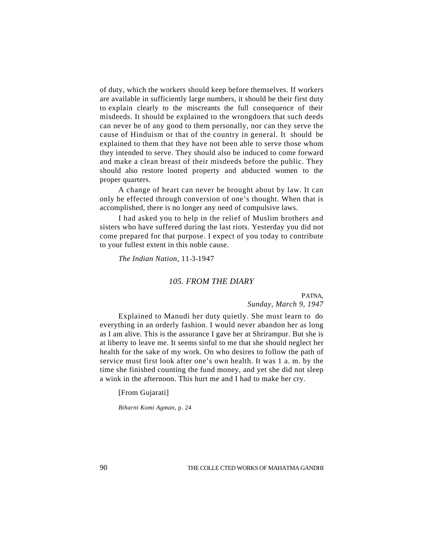of duty, which the workers should keep before themselves. If workers are available in sufficiently large numbers, it should be their first duty to explain clearly to the miscreants the full consequence of their misdeeds. It should be explained to the wrongdoers that such deeds can never be of any good to them personally, nor can they serve the cause of Hinduism or that of the country in general. It should be explained to them that they have not been able to serve those whom they intended to serve. They should also be induced to come forward and make a clean breast of their misdeeds before the public. They should also restore looted property and abducted women to the proper quarters.

A change of heart can never be brought about by law. It can only be effected through conversion of one's thought. When that is accomplished, there is no longer any need of compulsive laws.

I had asked you to help in the relief of Muslim brothers and sisters who have suffered during the last riots. Yesterday you did not come prepared for that purpose. I expect of you today to contribute to your fullest extent in this noble cause.

*The Indian Nation,* 11-3-1947

# *105. FROM THE DIARY*

PATNA, *Sunday, March 9, 1947*

Explained to Manudi her duty quietly. She must learn to do everything in an orderly fashion. I would never abandon her as long as I am alive. This is the assurance I gave her at Shrirampur. But she is at liberty to leave me. It seems sinful to me that she should neglect her health for the sake of my work. On who desires to follow the path of service must first look after one's own health. It was 1 a. m. by the time she finished counting the fund money, and yet she did not sleep a wink in the afternoon. This hurt me and I had to make her cry.

[From Gujarati]

*Biharni Komi Agman,* p. 24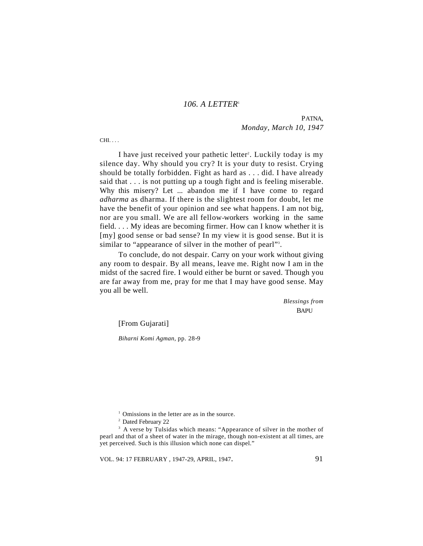# *106. A LETTER*<sup>1</sup>

**PATNA** *Monday, March 10, 1947*

CHI. . . .

I have just received your pathetic letter<sup>2</sup>. Luckily today is my silence day. Why should you cry? It is your duty to resist. Crying should be totally forbidden. Fight as hard as . . . did. I have already said that . . . is not putting up a tough fight and is feeling miserable. Why this misery? Let ... abandon me if I have come to regard *adharma* as dharma. If there is the slightest room for doubt, let me have the benefit of your opinion and see what happens. I am not big, nor are you small. We are all fellow-workers working in the same field. . . . My ideas are becoming firmer. How can I know whether it is [my] good sense or bad sense? In my view it is good sense. But it is similar to "appearance of silver in the mother of pearl"<sup>3</sup>.

To conclude, do not despair. Carry on your work without giving any room to despair. By all means, leave me. Right now I am in the midst of the sacred fire. I would either be burnt or saved. Though you are far away from me, pray for me that I may have good sense. May you all be well.

> *Blessings from* **BAPU**

[From Gujarati]

*Biharni Komi Agman,* pp. 28-9

<sup>2</sup> Dated February 22

VOL. 94: 17 FEBRUARY, 1947-29, APRIL, 1947. 91

 $<sup>1</sup>$  Omissions in the letter are as in the source.</sup>

<sup>&</sup>lt;sup>3</sup> A verse by Tulsidas which means: "Appearance of silver in the mother of pearl and that of a sheet of water in the mirage, though non-existent at all times, are yet perceived. Such is this illusion which none can dispel."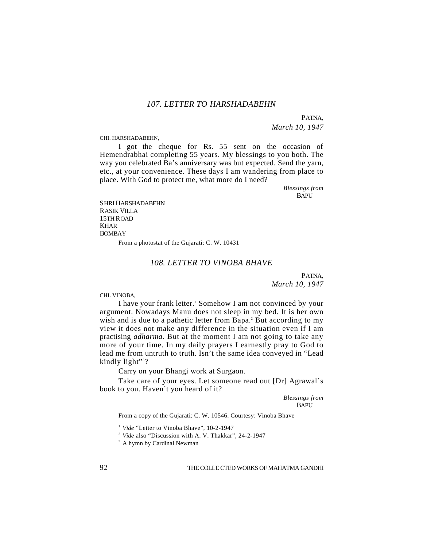# *107. LETTER TO HARSHADABEHN*

PATNA, *March 10, 1947*

CHI. HARSHADABEHN,

I got the cheque for Rs. 55 sent on the occasion of Hemendrabhai completing 55 years. My blessings to you both. The way you celebrated Ba's anniversary was but expected. Send the yarn, etc., at your convenience. These days I am wandering from place to place. With God to protect me, what more do I need?

> *Blessings from* **BAPU**

SHRI HARSHADABEHN RASIK VILLA 15TH ROAD KHAR BOMBAY

From a photostat of the Gujarati: C. W. 10431

# *108. LETTER TO VINOBA BHAVE*

PATNA, *March 10, 1947*

CHI. VINOBA,

I have your frank letter.<sup>1</sup> Somehow I am not convinced by your argument. Nowadays Manu does not sleep in my bed. It is her own wish and is due to a pathetic letter from Bapa.<sup>2</sup> But according to my view it does not make any difference in the situation even if I am practising *adharma*. But at the moment I am not going to take any more of your time. In my daily prayers I earnestly pray to God to lead me from untruth to truth. Isn't the same idea conveyed in "Lead kindly light"<sup>3</sup>?

Carry on your Bhangi work at Surgaon.

Take care of your eyes. Let someone read out [Dr] Agrawal's book to you. Haven't you heard of it?

> *Blessings from* **BAPU**

From a copy of the Gujarati: C. W. 10546. Courtesy: Vinoba Bhave

<sup>1</sup> *Vide* "Letter to Vinoba Bhave", 10-2-1947

<sup>2</sup> *Vide* also "Discussion with A. V. Thakkar", 24-2-1947

<sup>3</sup> A hymn by Cardinal Newman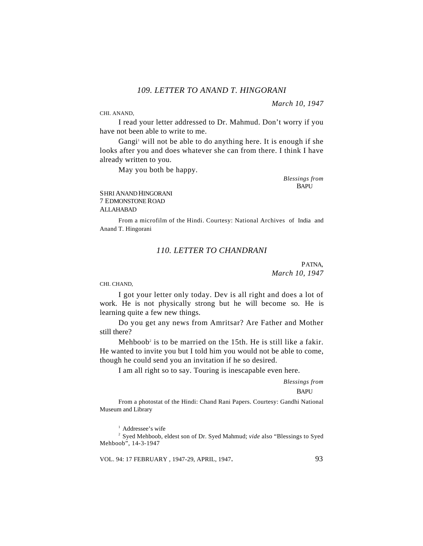*March 10, 1947*

CHI. ANAND,

I read your letter addressed to Dr. Mahmud. Don't worry if you have not been able to write to me.

Gangi<sup>1</sup> will not be able to do anything here. It is enough if she looks after you and does whatever she can from there. I think I have already written to you.

May you both be happy.

*Blessings from* **BAPU** 

#### SHRI ANAND HINGORANI 7 EDMONSTONE ROAD ALL AHARAD

From a microfilm of the Hindi. Courtesy: National Archives of India and Anand T. Hingorani

# *110. LETTER TO CHANDRANI*

PATNA, *March 10, 1947*

CHI. CHAND,

I got your letter only today. Dev is all right and does a lot of work. He is not physically strong but he will become so. He is learning quite a few new things.

Do you get any news from Amritsar? Are Father and Mother still there?

Mehboob<sup>2</sup> is to be married on the 15th. He is still like a fakir. He wanted to invite you but I told him you would not be able to come, though he could send you an invitation if he so desired.

I am all right so to say. Touring is inescapable even here.

*Blessings from* **BAPU** 

From a photostat of the Hindi: Chand Rani Papers. Courtesy: Gandhi National Museum and Library

<sup>1</sup> Addressee's wife

<sup>2</sup> Syed Mehboob, eldest son of Dr. Syed Mahmud; *vide* also "Blessings to Syed Mehboob", 14-3-1947

VOL. 94: 17 FEBRUARY , 1947-29, APRIL, 1947. 93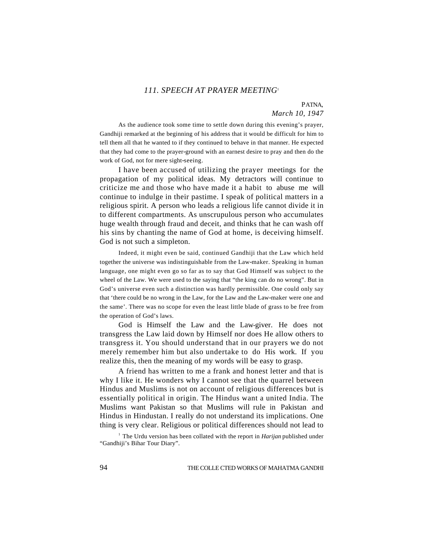# *111. SPEECH AT PRAYER MEETING*<sup>1</sup>

# PATNA, *March 10, 1947*

As the audience took some time to settle down during this evening's prayer, Gandhiji remarked at the beginning of his address that it would be difficult for him to tell them all that he wanted to if they continued to behave in that manner. He expected that they had come to the prayer-ground with an earnest desire to pray and then do the work of God, not for mere sight-seeing.

I have been accused of utilizing the prayer meetings for the propagation of my political ideas. My detractors will continue to criticize me and those who have made it a habit to abuse me will continue to indulge in their pastime. I speak of political matters in a religious spirit. A person who leads a religious life cannot divide it in to different compartments. As unscrupulous person who accumulates huge wealth through fraud and deceit, and thinks that he can wash off his sins by chanting the name of God at home, is deceiving himself. God is not such a simpleton.

Indeed, it might even be said, continued Gandhiji that the Law which held together the universe was indistinguishable from the Law-maker. Speaking in human language, one might even go so far as to say that God Himself was subject to the wheel of the Law. We were used to the saying that "the king can do no wrong". But in God's universe even such a distinction was hardly permissible. One could only say that 'there could be no wrong in the Law, for the Law and the Law-maker were one and the same'. There was no scope for even the least little blade of grass to be free from the operation of God's laws.

God is Himself the Law and the Law-giver. He does not transgress the Law laid down by Himself nor does He allow others to transgress it. You should understand that in our prayers we do not merely remember him but also undertake to do His work. If you realize this, then the meaning of my words will be easy to grasp.

A friend has written to me a frank and honest letter and that is why I like it. He wonders why I cannot see that the quarrel between Hindus and Muslims is not on account of religious differences but is essentially political in origin. The Hindus want a united India. The Muslims want Pakistan so that Muslims will rule in Pakistan and Hindus in Hindustan. I really do not understand its implications. One thing is very clear. Religious or political differences should not lead to

<sup>&</sup>lt;sup>1</sup> The Urdu version has been collated with the report in *Harijan* published under "Gandhiji's Bihar Tour Diary".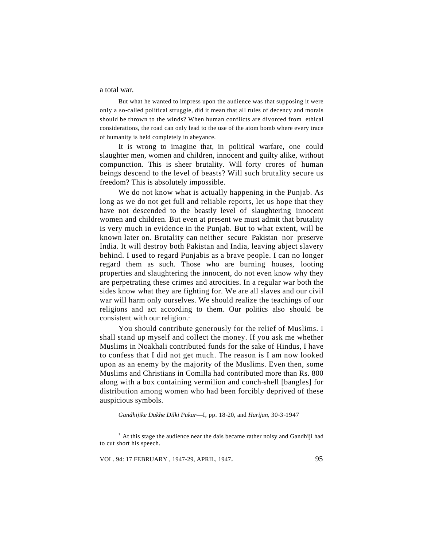a total war.

But what he wanted to impress upon the audience was that supposing it were only a so-called political struggle, did it mean that all rules of decency and morals should be thrown to the winds? When human conflicts are divorced from ethical considerations, the road can only lead to the use of the atom bomb where every trace of humanity is held completely in abeyance.

It is wrong to imagine that, in political warfare, one could slaughter men, women and children, innocent and guilty alike, without compunction. This is sheer brutality. Will forty crores of human beings descend to the level of beasts? Will such brutality secure us freedom? This is absolutely impossible.

We do not know what is actually happening in the Punjab. As long as we do not get full and reliable reports, let us hope that they have not descended to the beastly level of slaughtering innocent women and children. But even at present we must admit that brutality is very much in evidence in the Punjab. But to what extent, will be known later on. Brutality can neither secure Pakistan nor preserve India. It will destroy both Pakistan and India, leaving abject slavery behind. I used to regard Punjabis as a brave people. I can no longer regard them as such. Those who are burning houses, looting properties and slaughtering the innocent, do not even know why they are perpetrating these crimes and atrocities. In a regular war both the sides know what they are fighting for. We are all slaves and our civil war will harm only ourselves. We should realize the teachings of our religions and act according to them. Our politics also should be consistent with our religion.<sup>1</sup>

You should contribute generously for the relief of Muslims. I shall stand up myself and collect the money. If you ask me whether Muslims in Noakhali contributed funds for the sake of Hindus, I have to confess that I did not get much. The reason is I am now looked upon as an enemy by the majority of the Muslims. Even then, some Muslims and Christians in Comilla had contributed more than Rs. 800 along with a box containing vermilion and conch-shell [bangles] for distribution among women who had been forcibly deprived of these auspicious symbols.

*Gandhijike Dukhe Dilki Pukar*—I, pp. 18-20, and *Harijan*, 30-3-1947

 $<sup>1</sup>$  At this stage the audience near the dais became rather noisy and Gandhiji had</sup> to cut short his speech.

VOL. 94: 17 FEBRUARY , 1947-29, APRIL, 1947. 95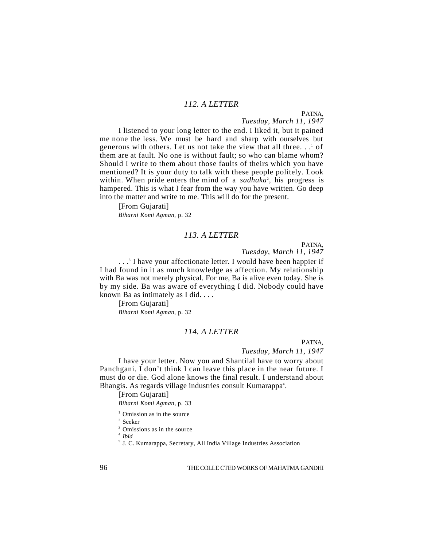# *112. A LETTER*

PATNA, *Tuesday, March 11, 1947*

I listened to your long letter to the end. I liked it, but it pained me none the less. We must be hard and sharp with ourselves but generous with others. Let us not take the view that all three. . .<sup>1</sup> of them are at fault. No one is without fault; so who can blame whom? Should I write to them about those faults of theirs which you have mentioned? It is your duty to talk with these people politely. Look within. When pride enters the mind of a *sadhaka*<sup>2</sup>, his progress is hampered. This is what I fear from the way you have written. Go deep into the matter and write to me. This will do for the present.

[From Gujarati] *Biharni Komi Agman*, p. 32

# *113. A LETTER*

PATNA, *Tuesday, March 11, 1947*

...<sup>3</sup> I have your affectionate letter. I would have been happier if I had found in it as much knowledge as affection. My relationship with Ba was not merely physical. For me, Ba is alive even today. She is by my side. Ba was aware of everything I did. Nobody could have known Ba as intimately as I did. . . .

[From Gujarati] *Biharni Komi Agman*, p. 32

## *114. A LETTER*

PATNA, *Tuesday, March 11, 1947*

I have your letter. Now you and Shantilal have to worry about Panchgani. I don't think I can leave this place in the near future. I must do or die. God alone knows the final result. I understand about Bhangis. As regards village industries consult Kumarappa<sup>4</sup>.

## [From Gujarati]

*Biharni Komi Agman,* p. 33

 $1$  Omission as in the source

2 Seeker

<sup>3</sup> Omissions as in the source

4 *Ibid*

5 J. C. Kumarappa, Secretary, All India Village Industries Association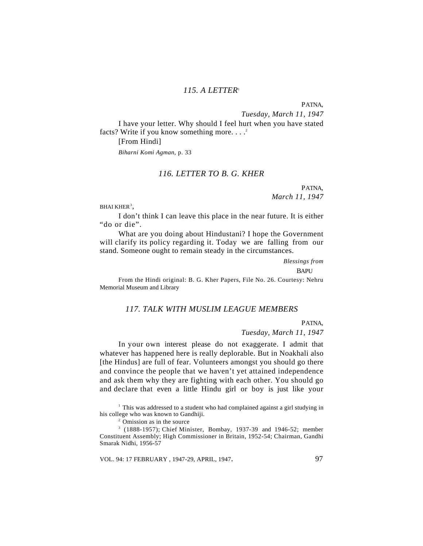# *115. A LETTER*<sup>1</sup>

PATNA,

*Tuesday, March 11, 1947*

I have your letter. Why should I feel hurt when you have stated facts? Write if you know something more....<sup>2</sup>

[From Hindi]

*Biharni Komi Agman*, p. 33

# *116. LETTER TO B. G. KHER*

PATNA, *March 11, 1947*

BHAI KHER $^3,$ 

I don't think I can leave this place in the near future. It is either "do or die".

What are you doing about Hindustani? I hope the Government will clarify its policy regarding it. Today we are falling from our stand. Someone ought to remain steady in the circumstances.

*Blessings from*

BAPU

From the Hindi original: B. G. Kher Papers, File No. 26. Courtesy: Nehru Memorial Museum and Library

#### *117. TALK WITH MUSLIM LEAGUE MEMBERS*

PATNA,

*Tuesday, March 11, 1947*

In your own interest please do not exaggerate. I admit that whatever has happened here is really deplorable. But in Noakhali also [the Hindus] are full of fear. Volunteers amongst you should go there and convince the people that we haven't yet attained independence and ask them why they are fighting with each other. You should go and declare that even a little Hindu girl or boy is just like your

 $1$ . This was addressed to a student who had complained against a girl studying in his college who was known to Gandhiji.

<sup>2</sup> Omission as in the source

3 (1888-1957); Chief Minister, Bombay, 1937-39 and 1946-52; member Constituent Assembly; High Commissioner in Britain, 1952-54; Chairman, Gandhi Smarak Nidhi, 1956-57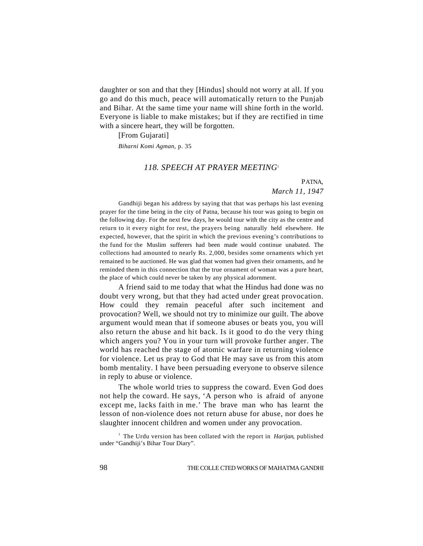daughter or son and that they [Hindus] should not worry at all. If you go and do this much, peace will automatically return to the Punjab and Bihar. At the same time your name will shine forth in the world. Everyone is liable to make mistakes; but if they are rectified in time with a sincere heart, they will be forgotten.

[From Gujarati]

*Biharni Komi Agman*, p. 35

# *118. SPEECH AT PRAYER MEETING*<sup>1</sup>

# PATNA, *March 11, 1947*

Gandhiji began his address by saying that that was perhaps his last evening prayer for the time being in the city of Patna, because his tour was going to begin on the following day. For the next few days, he would tour with the city as the centre and return to it every night for rest, the prayers being naturally held elsewhere. He expected, however, that the spirit in which the previous evening's contributions to the fund for the Muslim sufferers had been made would continue unabated. The collections had amounted to nearly Rs. 2,000, besides some ornaments which yet remained to be auctioned. He was glad that women had given their ornaments, and he reminded them in this connection that the true ornament of woman was a pure heart, the place of which could never be taken by any physical adornment.

A friend said to me today that what the Hindus had done was no doubt very wrong, but that they had acted under great provocation. How could they remain peaceful after such incitement and provocation? Well, we should not try to minimize our guilt. The above argument would mean that if someone abuses or beats you, you will also return the abuse and hit back. Is it good to do the very thing which angers you? You in your turn will provoke further anger. The world has reached the stage of atomic warfare in returning violence for violence. Let us pray to God that He may save us from this atom bomb mentality. I have been persuading everyone to observe silence in reply to abuse or violence.

The whole world tries to suppress the coward. Even God does not help the coward. He says, 'A person who is afraid of anyone except me, lacks faith in me.' The brave man who has learnt the lesson of non-violence does not return abuse for abuse, nor does he slaughter innocent children and women under any provocation.

<sup>&</sup>lt;sup>1</sup> The Urdu version has been collated with the report in *Harijan*, published under "Gandhiji's Bihar Tour Diary".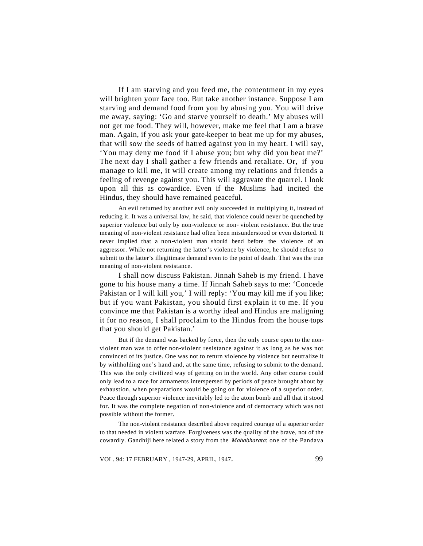If I am starving and you feed me, the contentment in my eyes will brighten your face too. But take another instance. Suppose I am starving and demand food from you by abusing you. You will drive me away, saying: 'Go and starve yourself to death.' My abuses will not get me food. They will, however, make me feel that I am a brave man. Again, if you ask your gate-keeper to beat me up for my abuses, that will sow the seeds of hatred against you in my heart. I will say, 'You may deny me food if I abuse you; but why did you beat me?' The next day I shall gather a few friends and retaliate. Or, if you manage to kill me, it will create among my relations and friends a feeling of revenge against you. This will aggravate the quarrel. I look upon all this as cowardice. Even if the Muslims had incited the Hindus, they should have remained peaceful.

An evil returned by another evil only succeeded in multiplying it, instead of reducing it. It was a universal law, he said, that violence could never be quenched by superior violence but only by non-violence or non- violent resistance. But the true meaning of non-violent resistance had often been misunderstood or even distorted. It never implied that a non-violent man should bend before the violence of an aggressor. While not returning the latter's violence by violence, he should refuse to submit to the latter's illegitimate demand even to the point of death. That was the true meaning of non-violent resistance.

I shall now discuss Pakistan. Jinnah Saheb is my friend. I have gone to his house many a time. If Jinnah Saheb says to me: 'Concede Pakistan or I will kill you,' I will reply: 'You may kill me if you like; but if you want Pakistan, you should first explain it to me. If you convince me that Pakistan is a worthy ideal and Hindus are maligning it for no reason, I shall proclaim to the Hindus from the house-tops that you should get Pakistan.'

But if the demand was backed by force, then the only course open to the nonviolent man was to offer non-violent resistance against it as long as he was not convinced of its justice. One was not to return violence by violence but neutralize it by withholding one's hand and, at the same time, refusing to submit to the demand. This was the only civilized way of getting on in the world. Any other course could only lead to a race for armaments interspersed by periods of peace brought about by exhaustion, when preparations would be going on for violence of a superior order. Peace through superior violence inevitably led to the atom bomb and all that it stood for. It was the complete negation of non-violence and of democracy which was not possible without the former.

The non-violent resistance described above required courage of a superior order to that needed in violent warfare. Forgiveness was the quality of the brave, not of the cowardly. Gandhiji here related a story from the *Mahabharata*: one of the Pandava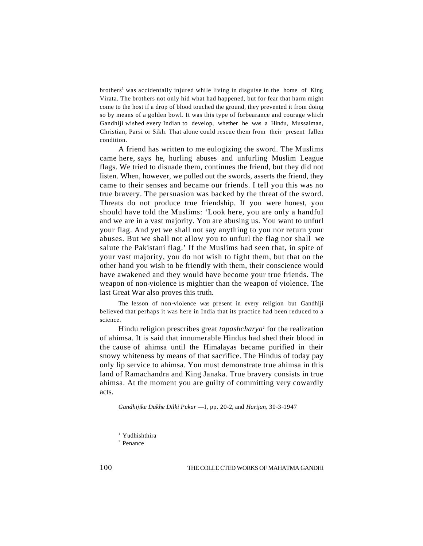brothers<sup>1</sup> was accidentally injured while living in disguise in the home of King Virata. The brothers not only hid what had happened, but for fear that harm might come to the host if a drop of blood touched the ground, they prevented it from doing so by means of a golden bowl. It was this type of forbearance and courage which Gandhiji wished every Indian to develop, whether he was a Hindu, Mussalman, Christian, Parsi or Sikh. That alone could rescue them from their present fallen condition.

A friend has written to me eulogizing the sword. The Muslims came here, says he, hurling abuses and unfurling Muslim League flags. We tried to disuade them, continues the friend, but they did not listen. When, however, we pulled out the swords, asserts the friend, they came to their senses and became our friends. I tell you this was no true bravery. The persuasion was backed by the threat of the sword. Threats do not produce true friendship. If you were honest, you should have told the Muslims: 'Look here, you are only a handful and we are in a vast majority. You are abusing us. You want to unfurl your flag. And yet we shall not say anything to you nor return your abuses. But we shall not allow you to unfurl the flag nor shall we salute the Pakistani flag.' If the Muslims had seen that, in spite of your vast majority, you do not wish to fight them, but that on the other hand you wish to be friendly with them, their conscience would have awakened and they would have become your true friends. The weapon of non-violence is mightier than the weapon of violence. The last Great War also proves this truth.

The lesson of non-violence was present in every religion but Gandhiji believed that perhaps it was here in India that its practice had been reduced to a science.

Hindu religion prescribes great *tapashcharya*<sup>2</sup> for the realization of ahimsa. It is said that innumerable Hindus had shed their blood in the cause of ahimsa until the Himalayas became purified in their snowy whiteness by means of that sacrifice. The Hindus of today pay only lip service to ahimsa. You must demonstrate true ahimsa in this land of Ramachandra and King Janaka. True bravery consists in true ahimsa. At the moment you are guilty of committing very cowardly acts.

*Gandhijike Dukhe Dilki Pukar* —I, pp. 20-2, and *Harijan*, 30-3-1947

<sup>1</sup> Yudhishthira

2 Penance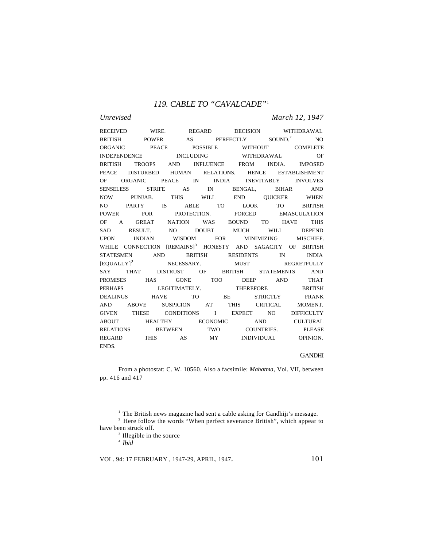# *119. CABLE TO "CAVALCADE"*<sup>1</sup>

#### *Unrevised March 12, 1947*

RECEIVED WIRE. REGARD DECISION WITHDRAWAL BRITISH POWER AS PERFECTLY SOUND.<sup>2</sup> NO ORGANIC PEACE POSSIBLE WITHOUT COMPLETE INDEPENDENCE INCLUDING WITHDRAWAL OF BRITISH TROOPS AND INFLUENCE FROM INDIA. IMPOSED PEACE DISTURBED HUMAN RELATIONS. HENCE ESTABLISHMENT OF ORGANIC PEACE IN INDIA INEVITABLY INVOLVES SENSELESS STRIFE AS IN BENGAL, BIHAR AND NOW PUNJAB. THIS WILL END QUICKER WHEN NO PARTY IS ABLE TO LOOK TO BRITISH POWER FOR PROTECTION. FORCED EMASCULATION OF A GREAT NATION WAS BOUND TO HAVE THIS SAD RESULT. NO DOUBT MUCH WILL DEPEND UPON INDIAN WISDOM FOR MINIMIZING MISCHIEF. WHILE CONNECTION **[REMAINS]<sup>3</sup>** HONESTY AND SAGACITY OF BRITISH STATESMEN AND BRITISH RESIDENTS IN INDIA [EQUALLY]<sup>2</sup> NECESSARY. MUST REGRETFULLY SAY THAT DISTRUST OF BRITISH STATEMENTS AND PROMISES HAS GONE TOO DEEP AND THAT PERHAPS LEGITIMATELY. THEREFORE BRITISH DEALINGS HAVE TO BE STRICTLY FRANK AND ABOVE SUSPICION AT THIS CRITICAL MOMENT. GIVEN THESE CONDITIONS I EXPECT NO DIFFICULTY ABOUT HEALTHY ECONOMIC AND CULTURAL RELATIONS BETWEEN TWO COUNTRIES. PLEASE REGARD THIS AS MY INDIVIDUAL OPINION. ENDS.

#### **GANDHI**

From a photostat: C. W. 10560. Also a facsimile: *Mahatma*, Vol. VII, between pp. 416 and 417

<sup>1</sup> The British news magazine had sent a cable asking for Gandhiji's message.

<sup>2</sup> Here follow the words "When perfect severance British", which appear to have been struck off.

<sup>3</sup> Illegible in the source

4 *Ibid*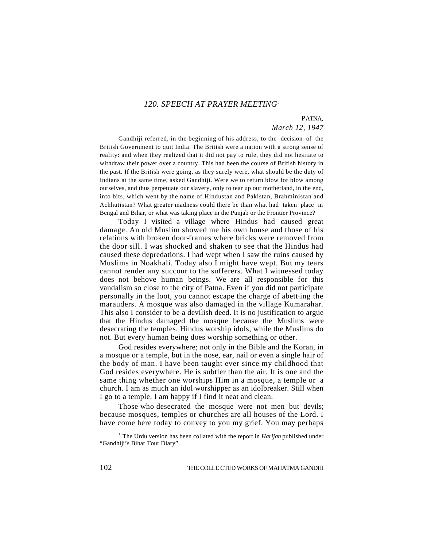# *120. SPEECH AT PRAYER MEETING*<sup>1</sup>

# **PATNA** *March 12, 1947*

Gandhiji referred, in the beginning of his address, to the decision of the British Government to quit India. The British were a nation with a strong sense of reality: and when they realized that it did not pay to rule, they did not hesitate to withdraw their power over a country. This had been the course of British history in the past. If the British were going, as they surely were, what should be the duty of Indians at the same time, asked Gandhiji. Were we to return blow for blow among ourselves, and thus perpetuate our slavery, only to tear up our motherland, in the end, into bits, which went by the name of Hindustan and Pakistan, Brahministan and Achhutistan? What greater madness could there be than what had taken place in Bengal and Bihar, or what was taking place in the Punjab or the Frontier Province?

Today I visited a village where Hindus had caused great damage. An old Muslim showed me his own house and those of his relations with broken door-frames where bricks were removed from the door-sill. I was shocked and shaken to see that the Hindus had caused these depredations. I had wept when I saw the ruins caused by Muslims in Noakhali. Today also I might have wept. But my tears cannot render any succour to the sufferers. What I witnessed today does not behove human beings. We are all responsible for this vandalism so close to the city of Patna. Even if you did not participate personally in the loot, you cannot escape the charge of abett-ing the marauders. A mosque was also damaged in the village Kumarahar. This also I consider to be a devilish deed. It is no justification to argue that the Hindus damaged the mosque because the Muslims were desecrating the temples. Hindus worship idols, while the Muslims do not. But every human being does worship something or other.

God resides everywhere; not only in the Bible and the Koran, in a mosque or a temple, but in the nose, ear, nail or even a single hair of the body of man. I have been taught ever since my childhood that God resides everywhere. He is subtler than the air. It is one and the same thing whether one worships Him in a mosque, a temple or a church. I am as much an idol-worshipper as an idolbreaker. Still when I go to a temple, I am happy if I find it neat and clean.

Those who desecrated the mosque were not men but devils; because mosques, temples or churches are all houses of the Lord. I have come here today to convey to you my grief. You may perhaps

<sup>1</sup> The Urdu version has been collated with the report in *Harijan* published under "Gandhiji's Bihar Tour Diary".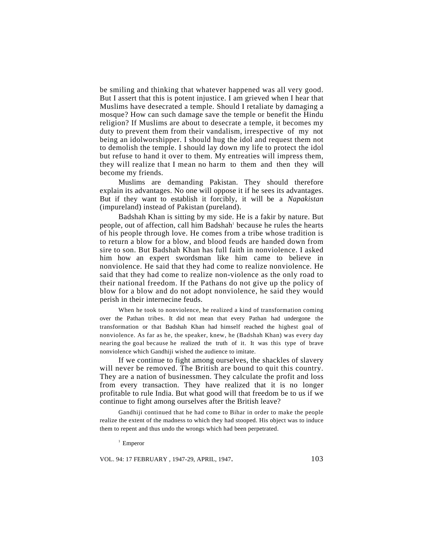be smiling and thinking that whatever happened was all very good. But I assert that this is potent injustice. I am grieved when I hear that Muslims have desecrated a temple. Should I retaliate by damaging a mosque? How can such damage save the temple or benefit the Hindu religion? If Muslims are about to desecrate a temple, it becomes my duty to prevent them from their vandalism, irrespective of my not being an idolworshipper. I should hug the idol and request them not to demolish the temple. I should lay down my life to protect the idol but refuse to hand it over to them. My entreaties will impress them, they will realize that I mean no harm to them and then they will become my friends.

Muslims are demanding Pakistan. They should therefore explain its advantages. No one will oppose it if he sees its advantages. But if they want to establish it forcibly, it will be a *Napakistan* (impureland) instead of Pakistan (pureland).

Badshah Khan is sitting by my side. He is a fakir by nature. But people, out of affection, call him Badshah<sup>1</sup> because he rules the hearts of his people through love. He comes from a tribe whose tradition is to return a blow for a blow, and blood feuds are handed down from sire to son. But Badshah Khan has full faith in nonviolence. I asked him how an expert swordsman like him came to believe in nonviolence. He said that they had come to realize nonviolence. He said that they had come to realize non-violence as the only road to their national freedom. If the Pathans do not give up the policy of blow for a blow and do not adopt nonviolence, he said they would perish in their internecine feuds.

When he took to nonviolence, he realized a kind of transformation coming over the Pathan tribes. It did not mean that every Pathan had undergone the transformation or that Badshah Khan had himself reached the highest goal of nonviolence. As far as he, the speaker, knew, he (Badshah Khan) was every day nearing the goal because he realized the truth of it. It was this type of brave nonviolence which Gandhiji wished the audience to imitate.

If we continue to fight among ourselves, the shackles of slavery will never be removed. The British are bound to quit this country. They are a nation of businessmen. They calculate the profit and loss from every transaction. They have realized that it is no longer profitable to rule India. But what good will that freedom be to us if we continue to fight among ourselves after the British leave?

Gandhiji continued that he had come to Bihar in order to make the people realize the extent of the madness to which they had stooped. His object was to induce them to repent and thus undo the wrongs which had been perpetrated.

<sup>1</sup> Emperor

VOL. 94: 17 FEBRUARY, 1947-29, APRIL, 1947. 103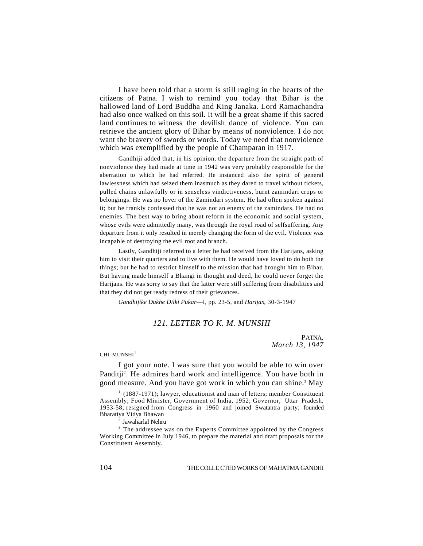I have been told that a storm is still raging in the hearts of the citizens of Patna. I wish to remind you today that Bihar is the hallowed land of Lord Buddha and King Janaka. Lord Ramachandra had also once walked on this soil. It will be a great shame if this sacred land continues to witness the devilish dance of violence. You can retrieve the ancient glory of Bihar by means of nonviolence. I do not want the bravery of swords or words. Today we need that nonviolence which was exemplified by the people of Champaran in 1917.

Gandhiji added that, in his opinion, the departure from the straight path of nonviolence they had made at time in 1942 was very probably responsible for the aberration to which he had referred. He instanced also the spirit of general lawlessness which had seized them inasmuch as they dared to travel without tickets, pulled chains unlawfully or in senseless vindictiveness, burnt zamindari crops or belongings. He was no lover of the Zamindari system. He had often spoken against it; but he frankly confessed that he was not an enemy of the zamindars. He had no enemies. The best way to bring about reform in the economic and social system, whose evils were admittedly many, was through the royal road of selfsuffering. Any departure from it only resulted in merely changing the form of the evil. Violence was incapable of destroying the evil root and branch.

Lastly, Gandhiji referred to a letter he had received from the Harijans, asking him to visit their quarters and to live with them. He would have loved to do both the things; but he had to restrict himself to the mission that had brought him to Bihar. But having made himself a Bhangi in thought and deed, he could never forget the Harijans. He was sorry to say that the latter were still suffering from disabilities and that they did not get ready redress of their grievances.

*Gandhijike Dukhe Dilki Pukar*—I, pp. 23-5, and *Harijan*, 30-3-1947

# *121. LETTER TO K. M. MUNSHI*

**PATNA** *March 13, 1947*

CHI MUNSHI $<sup>1</sup>$ </sup>

I got your note. I was sure that you would be able to win over Panditji<sup>2</sup>. He admires hard work and intelligence. You have both in good measure. And you have got work in which you can shine.<sup>3</sup> May

 $1$  (1887-1971); lawyer, educationist and man of letters; member Constituent Assembly; Food Minister, Government of India, 1952; Governor, Uttar Pradesh, 1953-58; resigned from Congress in 1960 and joined Swatantra party; founded Bharatiya Vidya Bhawan

2 Jawaharlal Nehru

<sup>3</sup> The addressee was on the Experts Committee appointed by the Congress Working Committee in July 1946, to prepare the material and draft proposals for the Constitutent Assembly.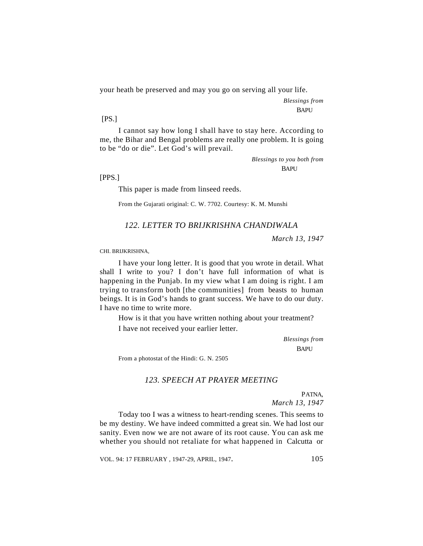your heath be preserved and may you go on serving all your life.

*Blessings from* **BAPU** 

 $[PS.]$ 

I cannot say how long I shall have to stay here. According to me, the Bihar and Bengal problems are really one problem. It is going to be "do or die". Let God's will prevail.

> *Blessings to you both from* **BAPU**

[PPS.]

This paper is made from linseed reeds.

From the Gujarati original: C. W. 7702. Courtesy: K. M. Munshi

# *122. LETTER TO BRIJKRISHNA CHANDIWALA*

*March 13, 1947*

CHI. BRIJKRISHNA,

I have your long letter. It is good that you wrote in detail. What shall I write to you? I don't have full information of what is happening in the Punjab. In my view what I am doing is right. I am trying to transform both [the communities] from beasts to human beings. It is in God's hands to grant success. We have to do our duty. I have no time to write more.

How is it that you have written nothing about your treatment? I have not received your earlier letter.

> *Blessings from* **BAPU**

From a photostat of the Hindi: G. N. 2505

# *123. SPEECH AT PRAYER MEETING*

PATNA, *March 13, 1947*

Today too I was a witness to heart-rending scenes. This seems to be my destiny. We have indeed committed a great sin. We had lost our sanity. Even now we are not aware of its root cause. You can ask me whether you should not retaliate for what happened in Calcutta or

VOL. 94: 17 FEBRUARY, 1947-29, APRIL, 1947. 105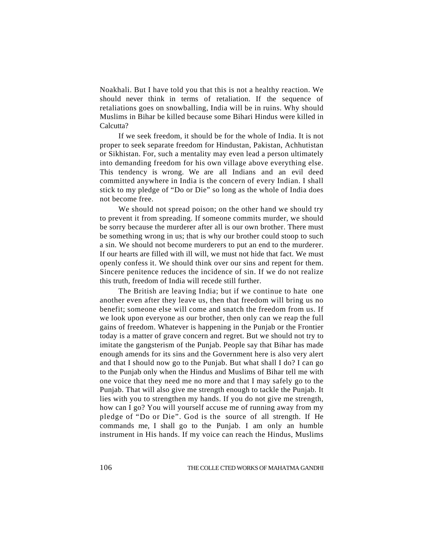Noakhali. But I have told you that this is not a healthy reaction. We should never think in terms of retaliation. If the sequence of retaliations goes on snowballing, India will be in ruins. Why should Muslims in Bihar be killed because some Bihari Hindus were killed in Calcutta?

If we seek freedom, it should be for the whole of India. It is not proper to seek separate freedom for Hindustan, Pakistan, Achhutistan or Sikhistan. For, such a mentality may even lead a person ultimately into demanding freedom for his own village above everything else. This tendency is wrong. We are all Indians and an evil deed committed anywhere in India is the concern of every Indian. I shall stick to my pledge of "Do or Die" so long as the whole of India does not become free.

We should not spread poison; on the other hand we should try to prevent it from spreading. If someone commits murder, we should be sorry because the murderer after all is our own brother. There must be something wrong in us; that is why our brother could stoop to such a sin. We should not become murderers to put an end to the murderer. If our hearts are filled with ill will, we must not hide that fact. We must openly confess it. We should think over our sins and repent for them. Sincere penitence reduces the incidence of sin. If we do not realize this truth, freedom of India will recede still further.

The British are leaving India; but if we continue to hate one another even after they leave us, then that freedom will bring us no benefit; someone else will come and snatch the freedom from us. If we look upon everyone as our brother, then only can we reap the full gains of freedom. Whatever is happening in the Punjab or the Frontier today is a matter of grave concern and regret. But we should not try to imitate the gangsterism of the Punjab. People say that Bihar has made enough amends for its sins and the Government here is also very alert and that I should now go to the Punjab. But what shall I do? I can go to the Punjab only when the Hindus and Muslims of Bihar tell me with one voice that they need me no more and that I may safely go to the Punjab. That will also give me strength enough to tackle the Punjab. It lies with you to strengthen my hands. If you do not give me strength, how can I go? You will yourself accuse me of running away from my pledge of "Do or Die". God is the source of all strength. If He commands me, I shall go to the Punjab. I am only an humble instrument in His hands. If my voice can reach the Hindus, Muslims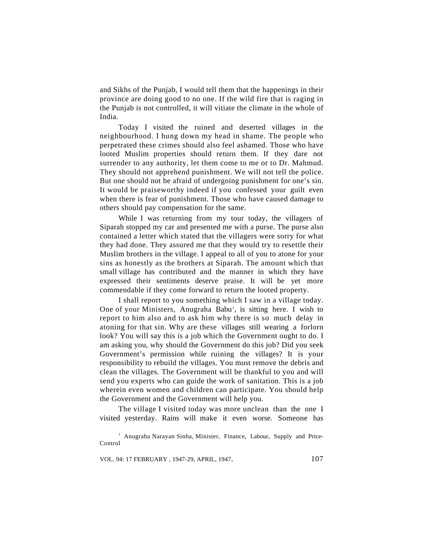and Sikhs of the Punjab, I would tell them that the happenings in their province are doing good to no one. If the wild fire that is raging in the Punjab is not controlled, it will vitiate the climate in the whole of India.

Today I visited the ruined and deserted villages in the neighbourhood. I hung down my head in shame. The people who perpetrated these crimes should also feel ashamed. Those who have looted Muslim properties should return them. If they dare not surrender to any authority, let them come to me or to Dr. Mahmud. They should not apprehend punishment. We will not tell the police. But one should not be afraid of undergoing punishment for one's sin. It would be praiseworthy indeed if you confessed your guilt even when there is fear of punishment. Those who have caused damage to others should pay compensation for the same.

While I was returning from my tour today, the villagers of Siparah stopped my car and presented me with a purse. The purse also contained a letter which stated that the villagers were sorry for what they had done. They assured me that they would try to resettle their Muslim brothers in the village. I appeal to all of you to atone for your sins as honestly as the brothers at Siparah. The amount which that small village has contributed and the manner in which they have expressed their sentiments deserve praise. It will be yet more commendable if they come forward to return the looted property.

I shall report to you something which I saw in a village today. One of your Ministers, Anugraha Babu<sup>1</sup>, is sitting here. I wish to report to him also and to ask him why there is so much delay in atoning for that sin. Why are these villages still wearing a forlorn look? You will say this is a job which the Government ought to do. I am asking you, why should the Government do this job? Did you seek Government's permission while ruining the villages? It is your responsibility to rebuild the villages. You must remove the debris and clean the villages. The Government will be thankful to you and will send you experts who can guide the work of sanitation. This is a job wherein even women and children can participate. You should help the Government and the Government will help you.

The village I visited today was more unclean than the one I visited yesterday. Rains will make it even worse. Someone has

<sup>&</sup>lt;sup>1</sup> Anugraha Narayan Sinha, Minister, Finance, Labour, Supply and Price-Control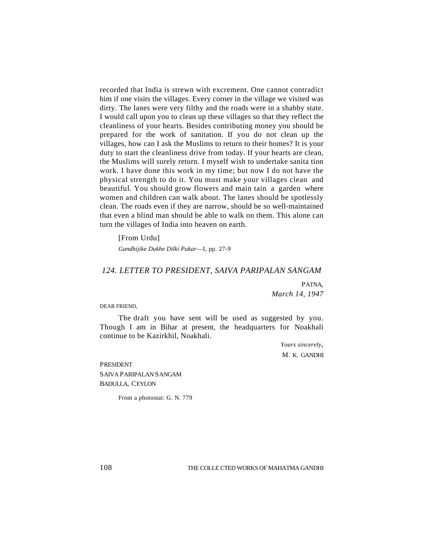recorded that India is strewn with excrement. One cannot contradict him if one visits the villages. Every corner in the village we visited was dirty. The lanes were very filthy and the roads were in a shabby state. I would call upon you to clean up these villages so that they reflect the cleanliness of your hearts. Besides contributing money you should be prepared for the work of sanitation. If you do not clean up the villages, how can I ask the Muslims to return to their homes? It is your duty to start the cleanliness drive from today. If your hearts are clean, the Muslims will surely return. I myself wish to undertake sanita tion work. I have done this work in my time; but now I do not have the physical strength to do it. You must make your villages clean and beautiful. You should grow flowers and main tain a garden where women and children can walk about. The lanes should be spotlessly clean. The roads even if they are narrow, should be so well-maintained that even a blind man should be able to walk on them. This alone can turn the villages of India into heaven on earth.

[From Urdu] *Gandhijike Dukhe Dilki Pukar*—I, pp. 27-9

# *124. LETTER TO PRESIDENT, SAIVA PARIPALAN SANGAM*

PATNA, *March 14, 1947*

DEAR FRIEND,

The draft you have sent will be used as suggested by you. Though I am in Bihar at present, the headquarters for Noakhali continue to be Kazirkhil, Noakhali.

> *Yours sincerely*, M. K. GANDHI

PRESIDENT SAIVA PARIPALAN SANGAM BADULLA, CEYLON

From a photostat: G. N. 779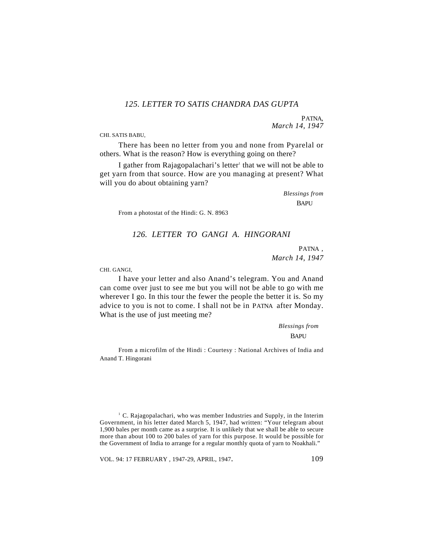**PATNA** *March 14, 1947*

CHI. SATIS BABU,

There has been no letter from you and none from Pyarelal or others. What is the reason? How is everything going on there?

I gather from Rajagopalachari's letter that we will not be able to get yarn from that source. How are you managing at present? What will you do about obtaining yarn?

> *Blessings from* **BAPU**

From a photostat of the Hindi: G. N. 8963

### *126. LETTER TO GANGI A. HINGORANI*

PATNA , *March 14, 1947*

CHI. GANGI,

I have your letter and also Anand's telegram. You and Anand can come over just to see me but you will not be able to go with me wherever I go. In this tour the fewer the people the better it is. So my advice to you is not to come. I shall not be in PATNA after Monday. What is the use of just meeting me?

> *Blessings from* BAPU

From a microfilm of the Hindi : Courtesy : National Archives of India and Anand T. Hingorani

 $1 \text{ C}$ . Rajagopalachari, who was member Industries and Supply, in the Interim Government, in his letter dated March 5, 1947, had written: "Your telegram about 1,900 bales per month came as a surprise. It is unlikely that we shall be able to secure more than about 100 to 200 bales of yarn for this purpose. It would be possible for the Government of India to arrange for a regular monthly quota of yarn to Noakhali."

VOL. 94: 17 FEBRUARY, 1947-29, APRIL, 1947. 109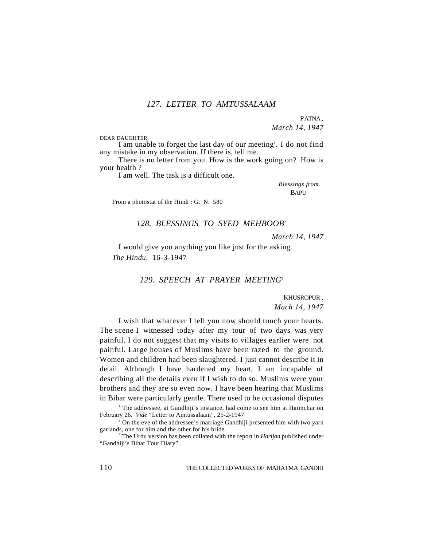### *127. LETTER TO AMTUSSALAAM*

PATNA , *March 14, 1947*

DEAR DAUGHTER,

I am unable to forget the last day of our meeting<sup>1</sup>. I do not find any mistake in my observation. If there is, tell me.

There is no letter from you. How is the work going on? How is your health ?

I am well. The task is a difficult one.

*Blessings from* **BAPU** 

From a photostat of the Hindi : G. N. 580

#### *128. BLESSINGS TO SYED MEHBOOB*<sup>2</sup>

*March 14, 1947*

I would give you anything you like just for the asking. *The Hindu,* 16-3-1947

### *129. SPEECH AT PRAYER MEETING*<sup>3</sup>

KHUSROPUR , *Mach 14, 1947*

I wish that whatever I tell you now should touch your hearts. The scene I witnessed today after my tour of two days was very painful. I do not suggest that my visits to villages earlier were not painful. Large houses of Muslims have been razed to the ground. Women and children had been slaughtered. I just cannot describe it in detail. Although I have hardened my heart, I am incapable of describing all the details even if I wish to do so. Muslims were your brothers and they are so even now. I have been hearing that Muslims in Bihar were particularly gentle. There used to be occasional disputes

<sup>1</sup> The addressee, at Gandhiji's instance, had come to see him at Haimchar on February 26. *Vide* "Letter to Amtussalaam", 25-2-1947

 $2^{2}$  On the eve of the addressee's marriage Gandhiji presented him with two yarn garlands, one for him and the other for his bride.

3 The Urdu version has been collated with the report in *Harijan* published under "Gandhiji's Bihar Tour Diary".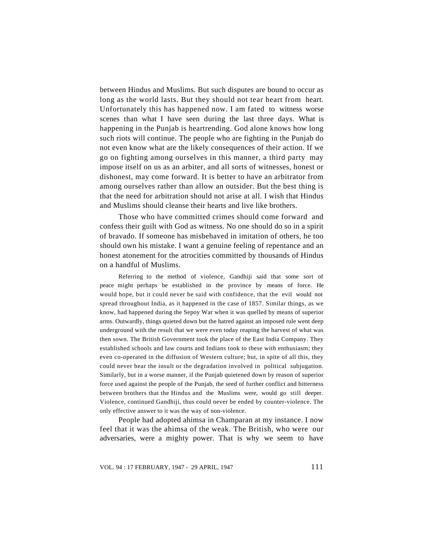between Hindus and Muslims. But such disputes are bound to occur as long as the world lasts. But they should not tear heart from heart. Unfortunately this has happened now. I am fated to witness worse scenes than what I have seen during the last three days. What is happening in the Punjab is heartrending. God alone knows how long such riots will continue. The people who are fighting in the Punjab do not even know what are the likely consequences of their action. If we go on fighting among ourselves in this manner, a third party may impose itself on us as an arbiter, and all sorts of witnesses, honest or dishonest, may come forward. It is better to have an arbitrator from among ourselves rather than allow an outsider. But the best thing is that the need for arbitration should not arise at all. I wish that Hindus and Muslims should cleanse their hearts and live like brothers.

Those who have committed crimes should come forward and confess their guilt with God as witness. No one should do so in a spirit of bravado. If someone has misbehaved in imitation of others, he too should own his mistake. I want a genuine feeling of repentance and an honest atonement for the atrocities committed by thousands of Hindus on a handful of Muslims.

Referring to the method of violence, Gandhiji said that some sort of peace might perhaps be established in the province by means of force. He would hope, but it could never be said with confidence, that the evil would not spread throughout India, as it happened in the case of 1857. Similar things, as we know, had happened during the Sepoy War when it was quelled by means of superior arms. Outwardly, things quieted down but the hatred against an imposed rule went deep underground with the result that we were even today reaping the harvest of what was then sown. The British Government took the place of the East India Company. They established schools and law courts and Indians took to these with enthusiasm; they even co-operated in the diffusion of Western culture; but, in spite of all this, they could never bear the insult or the degradation involved in political subjugation. Similarly, but in a worse manner, if the Punjab quietened down by reason of superior force used against the people of the Punjab, the seed of further conflict and bitterness between brothers that the Hindus and the Muslims were, would go still deeper. Violence, continued Gandhiji, thus could never be ended by counter-violence. The only effective answer to it was the way of non-violence.

People had adopted ahimsa in Champaran at my instance. I now feel that it was the ahimsa of the weak. The British, who were our adversaries, were a mighty power. That is why we seem to have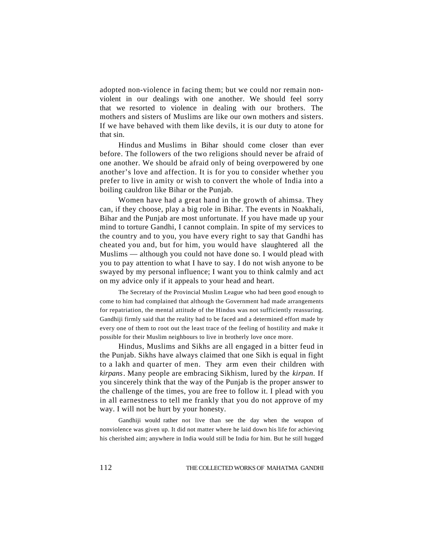adopted non-violence in facing them; but we could nor remain nonviolent in our dealings with one another. We should feel sorry that we resorted to violence in dealing with our brothers. The mothers and sisters of Muslims are like our own mothers and sisters. If we have behaved with them like devils, it is our duty to atone for that sin.

Hindus and Muslims in Bihar should come closer than ever before. The followers of the two religions should never be afraid of one another. We should be afraid only of being overpowered by one another's love and affection. It is for you to consider whether you prefer to live in amity or wish to convert the whole of India into a boiling cauldron like Bihar or the Punjab.

Women have had a great hand in the growth of ahimsa. They can, if they choose, play a big role in Bihar. The events in Noakhali, Bihar and the Punjab are most unfortunate. If you have made up your mind to torture Gandhi, I cannot complain. In spite of my services to the country and to you, you have every right to say that Gandhi has cheated you and, but for him, you would have slaughtered all the Muslims — although you could not have done so. I would plead with you to pay attention to what I have to say. I do not wish anyone to be swayed by my personal influence; I want you to think calmly and act on my advice only if it appeals to your head and heart.

The Secretary of the Provincial Muslim League who had been good enough to come to him had complained that although the Government had made arrangements for repatriation, the mental attitude of the Hindus was not sufficiently reassuring. Gandhiji firmly said that the reality had to be faced and a determined effort made by every one of them to root out the least trace of the feeling of hostility and make it possible for their Muslim neighbours to live in brotherly love once more.

Hindus, Muslims and Sikhs are all engaged in a bitter feud in the Punjab. Sikhs have always claimed that one Sikh is equal in fight to a lakh and quarter of men. They arm even their children with *kirpans*. Many people are embracing Sikhism, lured by the *kirpan*. If you sincerely think that the way of the Punjab is the proper answer to the challenge of the times, you are free to follow it. I plead with you in all earnestness to tell me frankly that you do not approve of my way. I will not be hurt by your honesty.

Gandhiji would rather not live than see the day when the weapon of nonviolence was given up. It did not matter where he laid down his life for achieving his cherished aim; anywhere in India would still be India for him. But he still hugged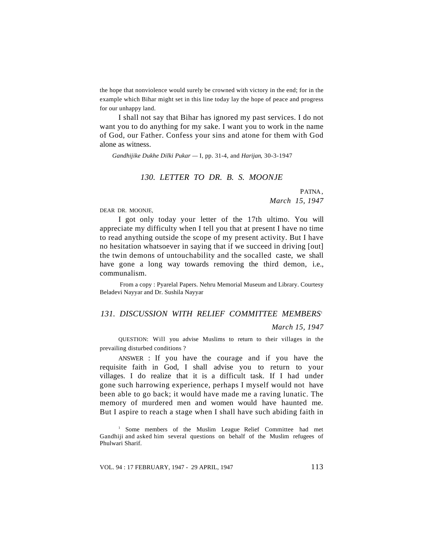the hope that nonviolence would surely be crowned with victory in the end; for in the example which Bihar might set in this line today lay the hope of peace and progress for our unhappy land.

I shall not say that Bihar has ignored my past services. I do not want you to do anything for my sake. I want you to work in the name of God, our Father. Confess your sins and atone for them with God alone as witness.

*Gandhijike Dukhe Dilki Pukar —* I, pp. 31-4, and *Harijan*, 30-3-1947

#### *130. LETTER TO DR. B. S. MOONJE*

PATNA , *March 15, 1947*

DEAR DR. MOONJE,

I got only today your letter of the 17th ultimo. You will appreciate my difficulty when I tell you that at present I have no time to read anything outside the scope of my present activity. But I have no hesitation whatsoever in saying that if we succeed in driving [out] the twin demons of untouchability and the socalled caste, we shall have gone a long way towards removing the third demon, *i.e.*, communalism.

From a copy : Pyarelal Papers. Nehru Memorial Museum and Library. Courtesy Beladevi Nayyar and Dr. Sushila Nayyar

### *131. DISCUSSION WITH RELIEF COMMITTEE MEMBERS*<sup>1</sup>

*March 15, 1947*

QUESTION: Will you advise Muslims to return to their villages in the prevailing disturbed conditions ?

ANSWER : If you have the courage and if you have the requisite faith in God, I shall advise you to return to your villages. I do realize that it is a difficult task. If I had under gone such harrowing experience, perhaps I myself would not have been able to go back; it would have made me a raving lunatic. The memory of murdered men and women would have haunted me. But I aspire to reach a stage when I shall have such abiding faith in

<sup>&</sup>lt;sup>1</sup> Some members of the Muslim League Relief Committee had met Gandhiji and asked him several questions on behalf of the Muslim refugees of Phulwari Sharif.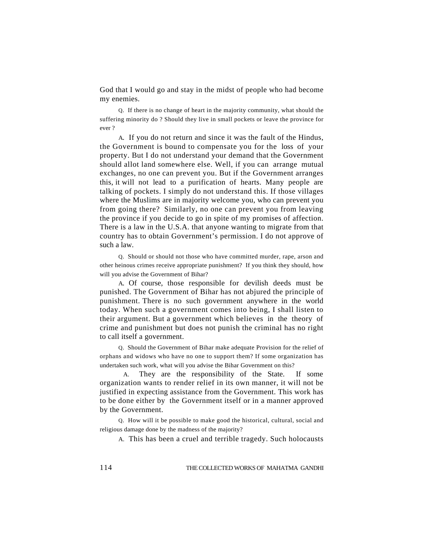God that I would go and stay in the midst of people who had become my enemies.

Q. If there is no change of heart in the majority community, what should the suffering minority do ? Should they live in small pockets or leave the province for ever ?

A. If you do not return and since it was the fault of the Hindus, the Government is bound to compensate you for the loss of your property. But I do not understand your demand that the Government should allot land somewhere else. Well, if you can arrange mutual exchanges, no one can prevent you. But if the Government arranges this, it will not lead to a purification of hearts. Many people are talking of pockets. I simply do not understand this. If those villages where the Muslims are in majority welcome you, who can prevent you from going there? Similarly, no one can prevent you from leaving the province if you decide to go in spite of my promises of affection. There is a law in the U.S.A. that anyone wanting to migrate from that country has to obtain Government's permission. I do not approve of such a law.

Q. Should or should not those who have committed murder, rape, arson and other heinous crimes receive appropriate punishment? If you think they should, how will you advise the Government of Bihar?

A. Of course, those responsible for devilish deeds must be punished. The Government of Bihar has not abjured the principle of punishment. There is no such government anywhere in the world today. When such a government comes into being, I shall listen to their argument. But a government which believes in the theory of crime and punishment but does not punish the criminal has no right to call itself a government.

Q. Should the Government of Bihar make adequate Provision for the relief of orphans and widows who have no one to support them? If some organization has undertaken such work, what will you advise the Bihar Government on this?

A. They are the responsibility of the State. If some organization wants to render relief in its own manner, it will not be justified in expecting assistance from the Government. This work has to be done either by the Government itself or in a manner approved by the Government.

Q. How will it be possible to make good the historical, cultural, social and religious damage done by the madness of the majority?

A. This has been a cruel and terrible tragedy. Such holocausts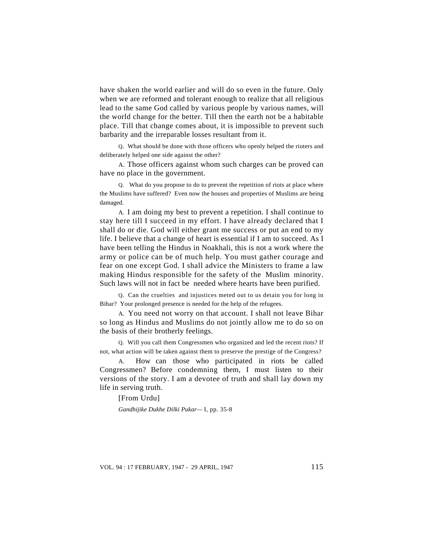have shaken the world earlier and will do so even in the future. Only when we are reformed and tolerant enough to realize that all religious lead to the same God called by various people by various names, will the world change for the better. Till then the earth not be a habitable place. Till that change comes about, it is impossible to prevent such barbarity and the irreparable losses resultant from it.

Q. What should be done with those officers who openly helped the rioters and deliberately helped one side against the other?

A. Those officers against whom such charges can be proved can have no place in the government.

Q. What do you propose to do to prevent the repetition of riots at place where the Muslims have suffered? Even now the houses and properties of Muslims are being damaged.

A. I am doing my best to prevent a repetition. I shall continue to stay here till I succeed in my effort. I have already declared that I shall do or die. God will either grant me success or put an end to my life. I believe that a change of heart is essential if I am to succeed. As I have been telling the Hindus in Noakhali, this is not a work where the army or police can be of much help. You must gather courage and fear on one except God. I shall advice the Ministers to frame a law making Hindus responsible for the safety of the Muslim minority. Such laws will not in fact be needed where hearts have been purified.

Q. Can the cruelties and injustices meted out to us detain you for long in Bihar? Your prolonged presence is needed for the help of the refugees.

A. You need not worry on that account. I shall not leave Bihar so long as Hindus and Muslims do not jointly allow me to do so on the basis of their brotherly feelings.

Q. Will you call them Congressmen who organized and led the recent riots? If not, what action will be taken against them to preserve the prestige of the Congress?

A. How can those who participated in riots be called Congressmen? Before condemning them, I must listen to their versions of the story. I am a devotee of truth and shall lay down my life in serving truth.

[From Urdu]

*Gandhijike Dukhe Dilki Pukar—* I, pp. 35-8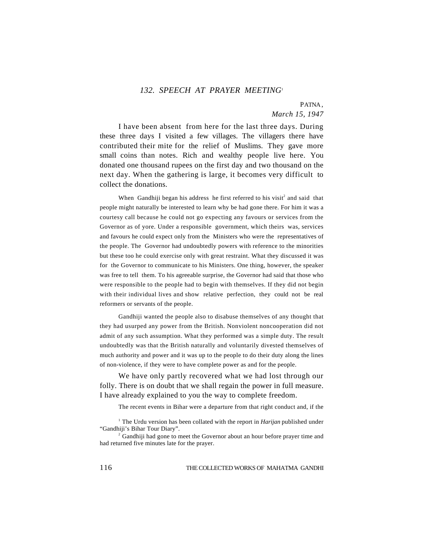### *132. SPEECH AT PRAYER MEETING*<sup>1</sup>

PATNA , *March 15, 1947*

I have been absent from here for the last three days. During these three days I visited a few villages. The villagers there have contributed their mite for the relief of Muslims. They gave more small coins than notes. Rich and wealthy people live here. You donated one thousand rupees on the first day and two thousand on the next day. When the gathering is large, it becomes very difficult to collect the donations.

When Gandhiji began his address he first referred to his visit<sup>2</sup> and said that people might naturally be interested to learn why be had gone there. For him it was a courtesy call because he could not go expecting any favours or services from the Governor as of yore. Under a responsible government, which theirs was, services and favours he could expect only from the Ministers who were the representatives of the people. The Governor had undoubtedly powers with reference to the minorities but these too he could exercise only with great restraint. What they discussed it was for the Governor to communicate to his Ministers. One thing, however, the speaker was free to tell them. To his agreeable surprise, the Governor had said that those who were responsible to the people had to begin with themselves. If they did not begin with their individual lives and show relative perfection, they could not be real reformers or servants of the people.

Gandhiji wanted the people also to disabuse themselves of any thought that they had usurped any power from the British. Nonviolent noncooperation did not admit of any such assumption. What they performed was a simple duty. The result undoubtedly was that the British naturally and voluntarily divested themselves of much authority and power and it was up to the people to do their duty along the lines of non-violence, if they were to have complete power as and for the people.

We have only partly recovered what we had lost through our folly. There is on doubt that we shall regain the power in full measure. I have already explained to you the way to complete freedom.

The recent events in Bihar were a departure from that right conduct and, if the

<sup>1</sup> The Urdu version has been collated with the report in *Harijan* published under "Gandhiji's Bihar Tour Diary".

<sup>2</sup> Gandhiji had gone to meet the Governor about an hour before prayer time and had returned five minutes late for the prayer.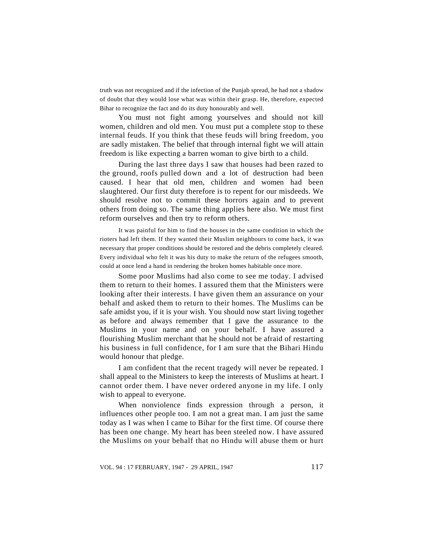truth was not recognized and if the infection of the Punjab spread, he had not a shadow of doubt that they would lose what was within their grasp. He, therefore, expected Bihar to recognize the fact and do its duty honourably and well.

You must not fight among yourselves and should not kill women, children and old men. You must put a complete stop to these internal feuds. If you think that these feuds will bring freedom, you are sadly mistaken. The belief that through internal fight we will attain freedom is like expecting a barren woman to give birth to a child.

During the last three days I saw that houses had been razed to the ground, roofs pulled down and a lot of destruction had been caused. I hear that old men, children and women had been slaughtered. Our first duty therefore is to repent for our misdeeds. We should resolve not to commit these horrors again and to prevent others from doing so. The same thing applies here also. We must first reform ourselves and then try to reform others.

It was painful for him to find the houses in the same condition in which the rioters had left them. If they wanted their Muslim neighbours to come back, it was necessary that proper conditions should be restored and the debris completely cleared. Every individual who felt it was his duty to make the return of the refugees smooth, could at once lend a hand in rendering the broken homes habitable once more.

Some poor Muslims had also come to see me today. I advised them to return to their homes. I assured them that the Ministers were looking after their interests. I have given them an assurance on your behalf and asked them to return to their homes. The Muslims can be safe amidst you, if it is your wish. You should now start living together as before and always remember that I gave the assurance to the Muslims in your name and on your behalf. I have assured a flourishing Muslim merchant that he should not be afraid of restarting his business in full confidence, for I am sure that the Bihari Hindu would honour that pledge.

I am confident that the recent tragedy will never be repeated. I shall appeal to the Ministers to keep the interests of Muslims at heart. I cannot order them. I have never ordered anyone in my life. I only wish to appeal to everyone.

When nonviolence finds expression through a person, it influences other people too. I am not a great man. I am just the same today as I was when I came to Bihar for the first time. Of course there has been one change. My heart has been steeled now. I have assured the Muslims on your behalf that no Hindu will abuse them or hurt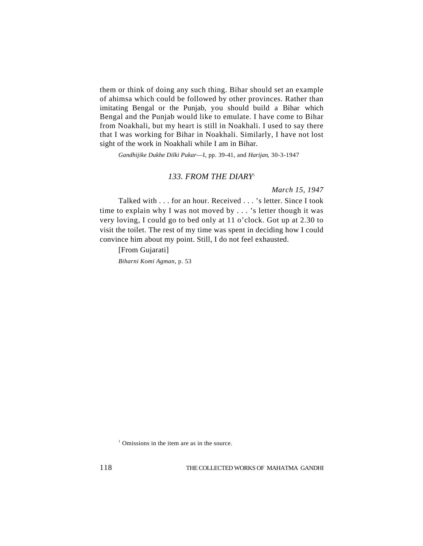them or think of doing any such thing. Bihar should set an example of ahimsa which could be followed by other provinces. Rather than imitating Bengal or the Punjab, you should build a Bihar which Bengal and the Punjab would like to emulate. I have come to Bihar from Noakhali, but my heart is still in Noakhali. I used to say there that I was working for Bihar in Noakhali. Similarly, I have not lost sight of the work in Noakhali while I am in Bihar.

*Gandhijike Dukhe Dilki Pukar*—I, pp. 39-41, and *Harijan*, 30-3-1947

# *133. FROM THE DIARY*<sup>1</sup>

*March 15, 1947*

Talked with . . . for an hour. Received . . . 's letter. Since I took time to explain why I was not moved by . . . 's letter though it was very loving, I could go to bed only at 11 o'clock. Got up at 2.30 to visit the toilet. The rest of my time was spent in deciding how I could convince him about my point. Still, I do not feel exhausted.

[From Gujarati]

*Biharni Komi Agman,* p. 53

<sup>1</sup> Omissions in the item are as in the source.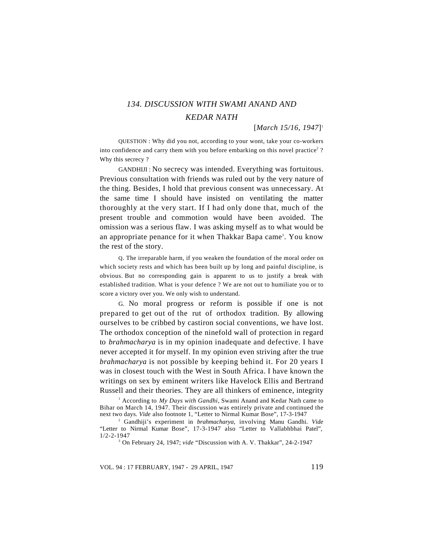# *134. DISCUSSION WITH SWAMI ANAND AND KEDAR NATH*

[*March 15/16, 1947*] 1

QUESTION : Why did you not, according to your wont, take your co-workers into confidence and carry them with you before embarking on this novel practice<sup>2</sup>? Why this secrecy ?

GANDHIJI : No secrecy was intended. Everything was fortuitous. Previous consultation with friends was ruled out by the very nature of the thing. Besides, I hold that previous consent was unnecessary. At the same time I should have insisted on ventilating the matter thoroughly at the very start. If I had only done that, much of the present trouble and commotion would have been avoided. The omission was a serious flaw. I was asking myself as to what would be an appropriate penance for it when Thakkar Bapa came<sup>3</sup>. You know the rest of the story.

Q. The irreparable harm, if you weaken the foundation of the moral order on which society rests and which has been built up by long and painful discipline, is obvious. But no corresponding gain is apparent to us to justify a break with established tradition. What is your defence ? We are not out to humiliate you or to score a victory over you. We only wish to understand.

G. No moral progress or reform is possible if one is not prepared to get out of the rut of orthodox tradition. By allowing ourselves to be cribbed by castiron social conventions, we have lost. The orthodox conception of the ninefold wall of protection in regard to *brahmacharya* is in my opinion inadequate and defective. I have never accepted it for myself. In my opinion even striving after the true *brahmacharya* is not possible by keeping behind it. For 20 years I was in closest touch with the West in South Africa. I have known the writings on sex by eminent writers like Havelock Ellis and Bertrand Russell and their theories. They are all thinkers of eminence, integrity

<sup>1</sup> According to *My Days with Gandhi*, Swami Anand and Kedar Nath came to Bihar on March 14, 1947. Their discussion was entirely private and continued the next two days. *Vide* also footnote 1, "Letter to Nirmal Kumar Bose", 17-3-1947

<sup>2</sup> Gandhiji's experiment in *brahmacharya*, involving Manu Gandhi. *Vide* "Letter to Nirmal Kumar Bose", 17-3-1947 also "Letter to Vallabhbhai Patel", 1/2-2-1947

<sup>3</sup> On February 24, 1947; *vide* "Discussion with A. V. Thakkar", 24-2-1947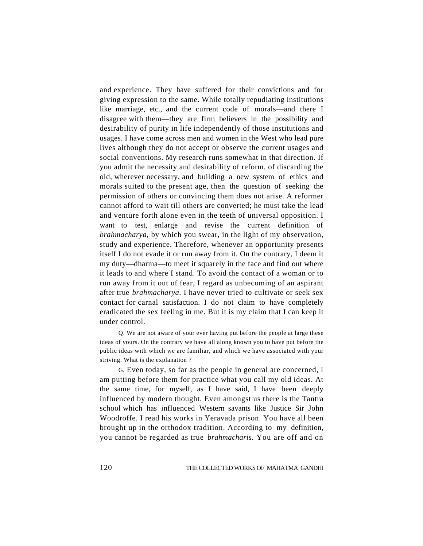and experience. They have suffered for their convictions and for giving expression to the same. While totally repudiating institutions like marriage, etc., and the current code of morals—and there I disagree with them—they are firm believers in the possibility and desirability of purity in life independently of those institutions and usages. I have come across men and women in the West who lead pure lives although they do not accept or observe the current usages and social conventions. My research runs somewhat in that direction. If you admit the necessity and desirability of reform, of discarding the old, wherever necessary, and building a new system of ethics and morals suited to the present age, then the question of seeking the permission of others or convincing them does not arise. A reformer cannot afford to wait till others are converted; he must take the lead and venture forth alone even in the teeth of universal opposition. I want to test, enlarge and revise the current definition of *brahmacharya*, by which you swear, in the light of my observation, study and experience. Therefore, whenever an opportunity presents itself I do not evade it or run away from it. On the contrary, I deem it my duty—dharma—to meet it squarely in the face and find out where it leads to and where I stand. To avoid the contact of a woman or to run away from it out of fear, I regard as unbecoming of an aspirant after true *brahmacharya*. I have never tried to cultivate or seek sex contact for carnal satisfaction. I do not claim to have completely eradicated the sex feeling in me. But it is my claim that I can keep it under control.

Q. We are not aware of your ever having put before the people at large these ideas of yours. On the contrary we have all along known you to have put before the public ideas with which we are familiar, and which we have associated with your striving. What is the explanation ?

G. Even today, so far as the people in general are concerned, I am putting before them for practice what you call my old ideas. At the same time, for myself, as I have said, I have been deeply influenced by modern thought. Even amongst us there is the Tantra school which has influenced Western savants like Justice Sir John Woodroffe. I read his works in Yeravada prison. You have all been brought up in the orthodox tradition. According to my definition, you cannot be regarded as true *brahmacharis*. You are off and on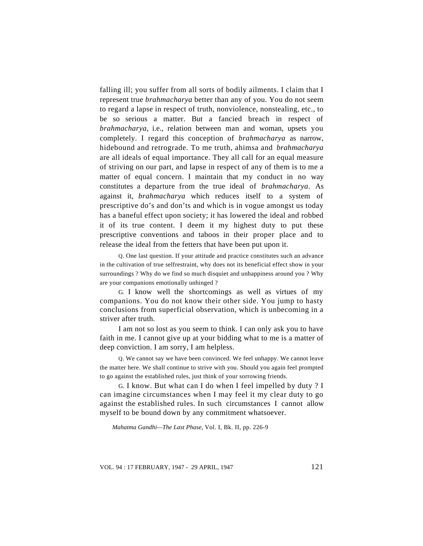falling ill; you suffer from all sorts of bodily ailments. I claim that I represent true *brahmacharya* better than any of you. You do not seem to regard a lapse in respect of truth, nonviolence, nonstealing, etc., to be so serious a matter. But a fancied breach in respect of *brahmacharya*, i.e., relation between man and woman, upsets you completely. I regard this conception of *brahmacharya* as narrow, hidebound and retrograde. To me truth, ahimsa and *brahmacharya* are all ideals of equal importance. They all call for an equal measure of striving on our part, and lapse in respect of any of them is to me a matter of equal concern. I maintain that my conduct in no way constitutes a departure from the true ideal of *brahmacharya*. As against it, *brahmacharya* which reduces itself to a system of prescriptive do's and don'ts and which is in vogue amongst us today has a baneful effect upon society; it has lowered the ideal and robbed it of its true content. I deem it my highest duty to put these prescriptive conventions and taboos in their proper place and to release the ideal from the fetters that have been put upon it.

Q. One last question. If your attitude and practice constitutes such an advance in the cultivation of true selfrestraint, why does not its beneficial effect show in your surroundings ? Why do we find so much disquiet and unhappiness around you ? Why are your companions emotionally unhinged ?

G. I know well the shortcomings as well as virtues of my companions. You do not know their other side. You jump to hasty conclusions from superficial observation, which is unbecoming in a striver after truth.

I am not so lost as you seem to think. I can only ask you to have faith in me. I cannot give up at your bidding what to me is a matter of deep conviction. I am sorry, I am helpless.

Q. We cannot say we have been convinced. We feel unhappy. We cannot leave the matter here. We shall continue to strive with you. Should you again feel prompted to go against the established rules, just think of your sorrowing friends.

G. I know. But what can I do when I feel impelled by duty ? I can imagine circumstances when I may feel it my clear duty to go against the established rules. In such circumstances I cannot allow myself to be bound down by any commitment whatsoever.

*Mahatma Gandhi—The Last Phase,* Vol. I, Bk. II, pp. 226-9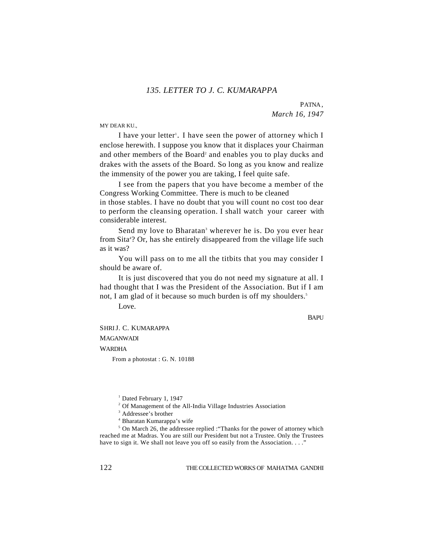# *135. LETTER TO J. C. KUMARAPPA*

PATNA , *March 16, 1947*

MY DEAR KU.,

I have your letter<sup>1</sup>. I have seen the power of attorney which I enclose herewith. I suppose you know that it displaces your Chairman and other members of the Board<sup>2</sup> and enables you to play ducks and drakes with the assets of the Board. So long as you know and realize the immensity of the power you are taking, I feel quite safe.

I see from the papers that you have become a member of the Congress Working Committee. There is much to be cleaned in those stables. I have no doubt that you will count no cost too dear to perform the cleansing operation. I shall watch your career with

considerable interest.

Send my love to Bharatan<sup>3</sup> wherever he is. Do you ever hear from Sita<sup>4</sup>? Or, has she entirely disappeared from the village life such as it was?

You will pass on to me all the titbits that you may consider I should be aware of.

It is just discovered that you do not need my signature at all. I had thought that I was the President of the Association. But if I am not, I am glad of it because so much burden is off my shoulders.<sup>5</sup>

Love.

**BAPU** 

SHRI J. C. KUMARAPPA **MAGANWADI** WARDHA

From a photostat : G. N. 10188

<sup>1</sup> Dated February 1, 1947

<sup>2</sup> Of Management of the All-India Village Industries Association

3 Addressee's brother

4 Bharatan Kumarappa's wife

<sup>5</sup> On March 26, the addressee replied : "Thanks for the power of attorney which reached me at Madras. You are still our President but not a Trustee. Only the Trustees have to sign it. We shall not leave you off so easily from the Association. . . ."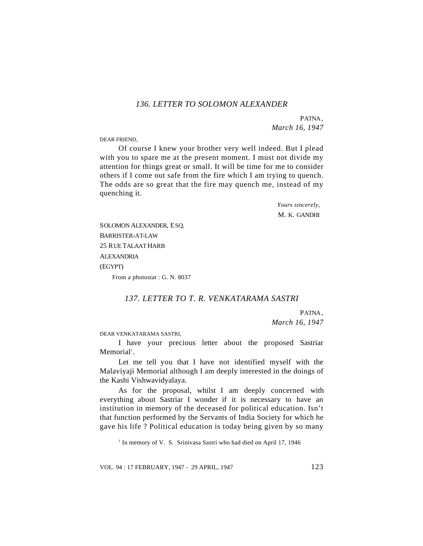### *136. LETTER TO SOLOMON ALEXANDER*

**PATNA** *March 16, 1947*

DEAR FRIEND,

Of course I knew your brother very well indeed. But I plead with you to spare me at the present moment. I must not divide my attention for things great or small. It will be time for me to consider others if I come out safe from the fire which I am trying to quench. The odds are so great that the fire may quench me, instead of my quenching it.

> *Yours sincerely,* M. K. GANDHI

SOLOMON ALEXANDER, ESQ. BARRISTER-AT-LAW 25 RUE TALAAT HARB ALEXANDRIA

(EGYPT)

From a photostat : G. N. 8037

#### *137. LETTER TO T. R. VENKATARAMA SASTRI*

PATNA , *March 16, 1947*

DEAR VENKATARAMA SASTRI,

I have your precious letter about the proposed Sastriar Memorial<sup>1</sup>.

Let me tell you that I have not identified myself with the Malaviyaji Memorial although I am deeply interested in the doings of the Kashi Vishwavidyalaya.

As for the proposal, whilst I am deeply concerned with everything about Sastriar I wonder if it is necessary to have an institution in memory of the deceased for political education. Isn't that function performed by the Servants of India Society for which he gave his life ? Political education is today being given by so many

<sup>1</sup> In memory of V. S. Srinivasa Sastri who had died on April 17, 1946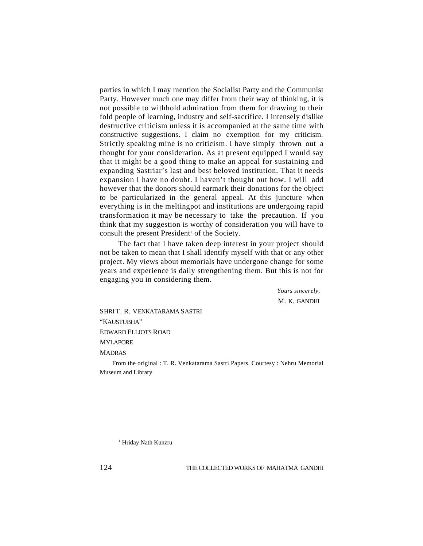parties in which I may mention the Socialist Party and the Communist Party. However much one may differ from their way of thinking, it is not possible to withhold admiration from them for drawing to their fold people of learning, industry and self-sacrifice. I intensely dislike destructive criticism unless it is accompanied at the same time with constructive suggestions. I claim no exemption for my criticism. Strictly speaking mine is no criticism. I have simply thrown out a thought for your consideration. As at present equipped I would say that it might be a good thing to make an appeal for sustaining and expanding Sastriar's last and best beloved institution. That it needs expansion I have no doubt. I haven't thought out how. I will add however that the donors should earmark their donations for the object to be particularized in the general appeal. At this juncture when everything is in the meltingpot and institutions are undergoing rapid transformation it may be necessary to take the precaution. If you think that my suggestion is worthy of consideration you will have to consult the present President<sup>1</sup> of the Society.

The fact that I have taken deep interest in your project should not be taken to mean that I shall identify myself with that or any other project. My views about memorials have undergone change for some years and experience is daily strengthening them. But this is not for engaging you in considering them.

> *Yours sincerely,* M. K. GANDHI

SHRI T. R. VENKATARAMA SASTRI "KAUSTUBHA" EDWARD ELLIOTS ROAD MYLAPORE MADRAS

From the original : T. R. Venkatarama Sastri Papers. Courtesy : Nehru Memorial Museum and Library

1 Hriday Nath Kunzru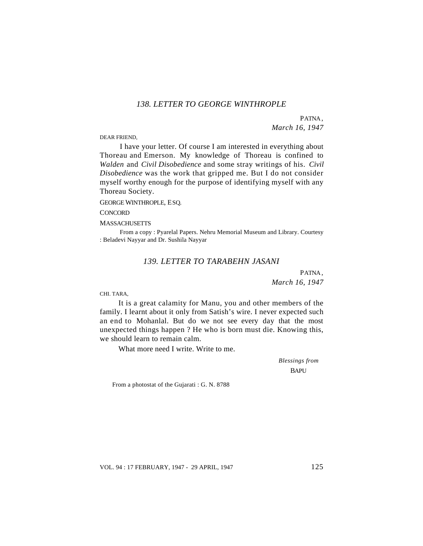# *138. LETTER TO GEORGE WINTHROPLE*

**PATNA** *March 16, 1947*

DEAR FRIEND,

I have your letter. Of course I am interested in everything about Thoreau and Emerson. My knowledge of Thoreau is confined to *Walden* and *Civil Disobedience* and some stray writings of his. *Civil Disobedience* was the work that gripped me. But I do not consider myself worthy enough for the purpose of identifying myself with any Thoreau Society.

GEORGE WINTHROPLE, ESQ.

**CONCORD** 

**MASSACHUSETTS** 

From a copy : Pyarelal Papers. Nehru Memorial Museum and Library. Courtesy : Beladevi Nayyar and Dr. Sushila Nayyar

### *139. LETTER TO TARABEHN JASANI*

PATNA , *March 16, 1947*

CHI. TARA,

It is a great calamity for Manu, you and other members of the family. I learnt about it only from Satish's wire. I never expected such an end to Mohanlal. But do we not see every day that the most unexpected things happen ? He who is born must die. Knowing this, we should learn to remain calm.

What more need I write. Write to me.

*Blessings from* **BAPU** 

From a photostat of the Gujarati : G. N. 8788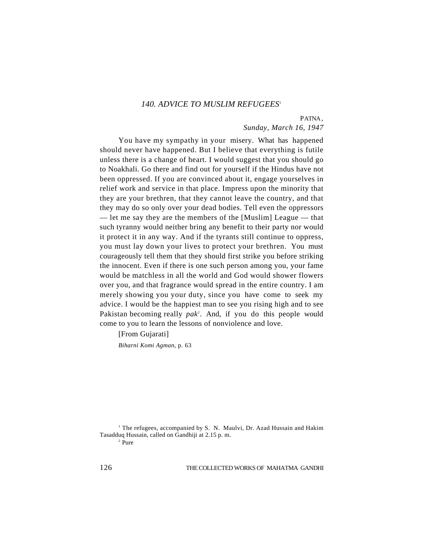### *140. ADVICE TO MUSLIM REFUGEES*<sup>1</sup>

**PATNA** *Sunday, March 16, 1947*

You have my sympathy in your misery. What has happened should never have happened. But I believe that everything is futile unless there is a change of heart. I would suggest that you should go to Noakhali. Go there and find out for yourself if the Hindus have not been oppressed. If you are convinced about it, engage yourselves in relief work and service in that place. Impress upon the minority that they are your brethren, that they cannot leave the country, and that they may do so only over your dead bodies. Tell even the oppressors — let me say they are the members of the [Muslim] League — that such tyranny would neither bring any benefit to their party nor would it protect it in any way. And if the tyrants still continue to oppress, you must lay down your lives to protect your brethren. You must courageously tell them that they should first strike you before striking the innocent. Even if there is one such person among you, your fame would be matchless in all the world and God would shower flowers over you, and that fragrance would spread in the entire country. I am merely showing you your duty, since you have come to seek my advice. I would be the happiest man to see you rising high and to see Pakistan becoming really *pak*<sup>2</sup> . And, if you do this people would come to you to learn the lessons of nonviolence and love.

[From Gujarati] *Biharni Komi Agman*, p. 63

<sup>1</sup> The refugees, accompanied by S. N. Maulvi, Dr. Azad Hussain and Hakim Tasadduq Hussain, called on Gandhiji at 2.15 p. m.

<sup>2</sup> Pure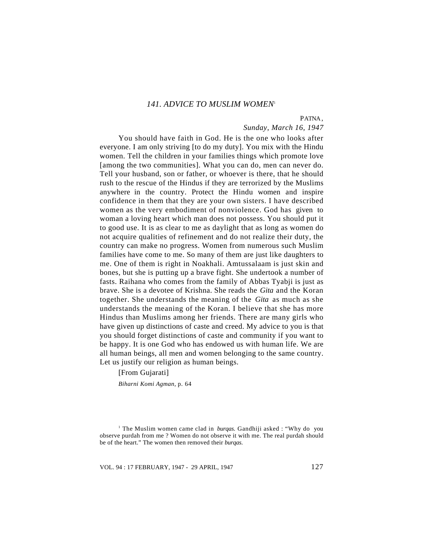#### *141. ADVICE TO MUSLIM WOMEN*<sup>1</sup>

# PATNA , *Sunday, March 16, 1947*

You should have faith in God. He is the one who looks after everyone. I am only striving [to do my duty]. You mix with the Hindu women. Tell the children in your families things which promote love [among the two communities]. What you can do, men can never do. Tell your husband, son or father, or whoever is there, that he should rush to the rescue of the Hindus if they are terrorized by the Muslims anywhere in the country. Protect the Hindu women and inspire confidence in them that they are your own sisters. I have described women as the very embodiment of nonviolence. God has given to woman a loving heart which man does not possess. You should put it to good use. It is as clear to me as daylight that as long as women do not acquire qualities of refinement and do not realize their duty, the country can make no progress. Women from numerous such Muslim families have come to me. So many of them are just like daughters to me. One of them is right in Noakhali. Amtussalaam is just skin and bones, but she is putting up a brave fight. She undertook a number of fasts. Raihana who comes from the family of Abbas Tyabji is just as brave. She is a devotee of Krishna. She reads the *Gita* and the Koran together. She understands the meaning of the *Gita* as much as she understands the meaning of the Koran. I believe that she has more Hindus than Muslims among her friends. There are many girls who have given up distinctions of caste and creed. My advice to you is that you should forget distinctions of caste and community if you want to be happy. It is one God who has endowed us with human life. We are all human beings, all men and women belonging to the same country. Let us justify our religion as human beings.

[From Gujarati]

*Biharni Komi Agman,* p. 64

<sup>&</sup>lt;sup>1</sup> The Muslim women came clad in *burqas*. Gandhiji asked : "Why do you observe purdah from me ? Women do not observe it with me. The real purdah should be of the heart." The women then removed their *burqas*.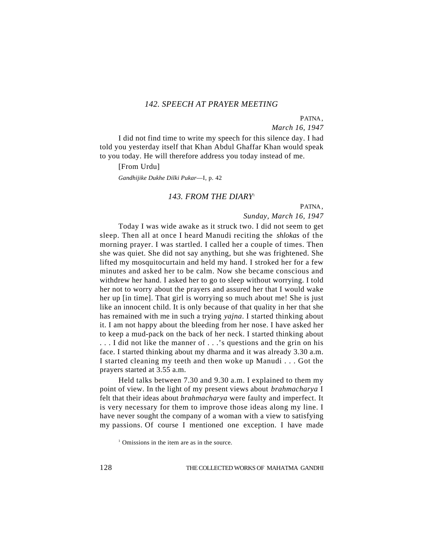#### *142. SPEECH AT PRAYER MEETING*

PATNA , *March 16, 1947*

I did not find time to write my speech for this silence day. I had told you yesterday itself that Khan Abdul Ghaffar Khan would speak to you today. He will therefore address you today instead of me.

[From Urdu]

*Gandhijike Dukhe Dilki Pukar*—I, p. 42

#### *143. FROM THE DIARY*<sup>1</sup>

PATNA ,

### *Sunday, March 16, 1947*

Today I was wide awake as it struck two. I did not seem to get sleep. Then all at once I heard Manudi reciting the *shlokas* of the morning prayer. I was startled. I called her a couple of times. Then she was quiet. She did not say anything, but she was frightened. She lifted my mosquitocurtain and held my hand. I stroked her for a few minutes and asked her to be calm. Now she became conscious and withdrew her hand. I asked her to go to sleep without worrying. I told her not to worry about the prayers and assured her that I would wake her up [in time]. That girl is worrying so much about me! She is just like an innocent child. It is only because of that quality in her that she has remained with me in such a trying *yajna*. I started thinking about it. I am not happy about the bleeding from her nose. I have asked her to keep a mud-pack on the back of her neck. I started thinking about . . . I did not like the manner of . . .'s questions and the grin on his face. I started thinking about my dharma and it was already 3.30 a.m. I started cleaning my teeth and then woke up Manudi . . . Got the prayers started at 3.55 a.m.

Held talks between 7.30 and 9.30 a.m. I explained to them my point of view. In the light of my present views about *brahmacharya* I felt that their ideas about *brahmacharya* were faulty and imperfect. It is very necessary for them to improve those ideas along my line. I have never sought the company of a woman with a view to satisfying my passions. Of course I mentioned one exception. I have made

<sup>&</sup>lt;sup>1</sup> Omissions in the item are as in the source.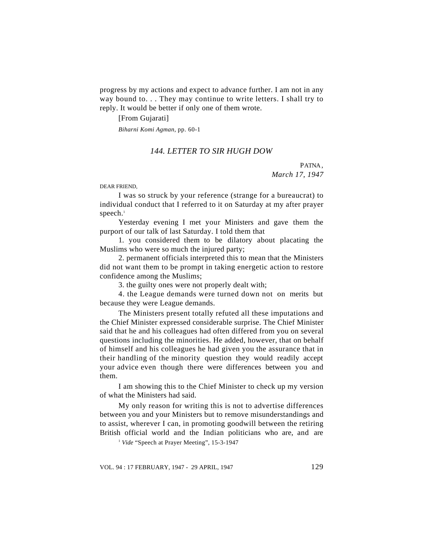progress by my actions and expect to advance further. I am not in any way bound to... They may continue to write letters. I shall try to reply. It would be better if only one of them wrote.

[From Gujarati]

*Biharni Komi Agman,* pp. 60-1

# *144. LETTER TO SIR HUGH DOW*

PATNA , *March 17, 1947*

DEAR FRIEND,

I was so struck by your reference (strange for a bureaucrat) to individual conduct that I referred to it on Saturday at my after prayer speech. $1$ 

Yesterday evening I met your Ministers and gave them the purport of our talk of last Saturday. I told them that

1. you considered them to be dilatory about placating the Muslims who were so much the injured party;

2. permanent officials interpreted this to mean that the Ministers did not want them to be prompt in taking energetic action to restore confidence among the Muslims;

3. the guilty ones were not properly dealt with;

4. the League demands were turned down not on merits but because they were League demands.

The Ministers present totally refuted all these imputations and the Chief Minister expressed considerable surprise. The Chief Minister said that he and his colleagues had often differed from you on several questions including the minorities. He added, however, that on behalf of himself and his colleagues he had given you the assurance that in their handling of the minority question they would readily accept your advice even though there were differences between you and them.

I am showing this to the Chief Minister to check up my version of what the Ministers had said.

My only reason for writing this is not to advertise differences between you and your Ministers but to remove misunderstandings and to assist, wherever I can, in promoting goodwill between the retiring British official world and the Indian politicians who are, and are

<sup>1</sup> *Vide* "Speech at Prayer Meeting", 15-3-1947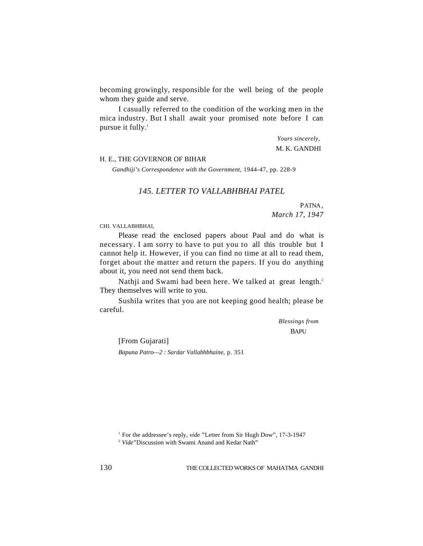becoming growingly, responsible for the well being of the people whom they guide and serve.

I casually referred to the condition of the working men in the mica industry. But I shall await your promised note before I can pursue it fully.<sup>1</sup>

> *Yours sincerely,* M. K. GANDHI

#### H. E., THE GOVERNOR OF BIHAR

*Gandhiji's Correspondence with the Government*, 1944-47, pp. 228-9

### *145. LETTER TO VALLABHBHAI PATEL*

PATNA , *March 17, 1947*

CHI. VALLABHBHAI

Please read the enclosed papers about Paul and do what is necessary. I am sorry to have to put you to all this trouble but I cannot help it. However, if you can find no time at all to read them, forget about the matter and return the papers. If you do anything about it, you need not send them back.

Nathji and Swami had been here. We talked at great length.<sup>2</sup> They themselves will write to you.

Sushila writes that you are not keeping good health; please be careful.

> *Blessings from* **BAPU**

[From Gujarati] *Bapuna Patro—2 : Sardar Vallabhbhaine*, p. 351

<sup>1</sup> For the addressee's reply, *vide* "Letter from Sir Hugh Dow", 17-3-1947

<sup>2</sup> Vide"Discussion with Swami Anand and Kedar Nath"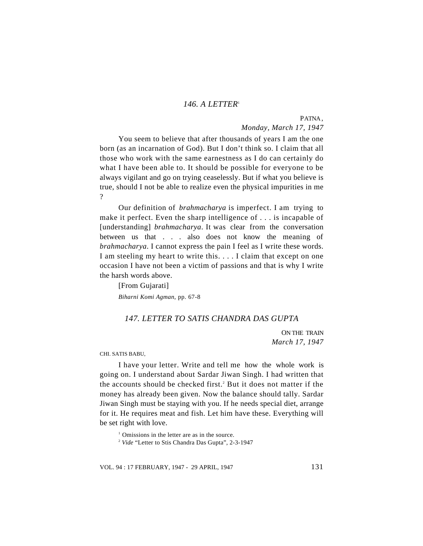### *146. A LETTER*<sup>1</sup>

# PATNA , *Monday, March 17, 1947*

You seem to believe that after thousands of years I am the one born (as an incarnation of God). But I don't think so. I claim that all those who work with the same earnestness as I do can certainly do what I have been able to. It should be possible for everyone to be always vigilant and go on trying ceaselessly. But if what you believe is true, should I not be able to realize even the physical impurities in me  $\gamma$ 

Our definition of *brahmacharya* is imperfect. I am trying to make it perfect. Even the sharp intelligence of . . . is incapable of [understanding] *brahmacharya*. It was clear from the conversation between us that . . . also does not know the meaning of *brahmacharya*. I cannot express the pain I feel as I write these words. I am steeling my heart to write this. . . . I claim that except on one occasion I have not been a victim of passions and that is why I write the harsh words above.

[From Gujarati] *Biharni Komi Agman*, pp. 67-8

# *147. LETTER TO SATIS CHANDRA DAS GUPTA*

ON THE TRAIN *March 17, 1947*

CHI. SATIS BABU,

I have your letter. Write and tell me how the whole work is going on. I understand about Sardar Jiwan Singh. I had written that the accounts should be checked first.<sup>2</sup> But it does not matter if the money has already been given. Now the balance should tally. Sardar Jiwan Singh must be staying with you. If he needs special diet, arrange for it. He requires meat and fish. Let him have these. Everything will be set right with love.

<sup>1</sup> Omissions in the letter are as in the source.

<sup>2</sup> *Vide* "Letter to Stis Chandra Das Gupta", 2-3-1947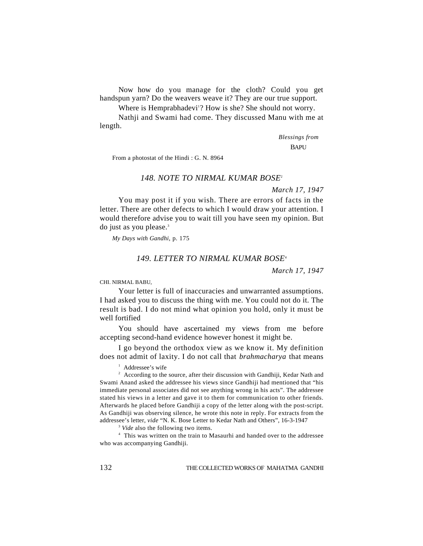Now how do you manage for the cloth? Could you get handspun yarn? Do the weavers weave it? They are our true support.

Where is Hemprabhadevi<sup>1</sup>? How is she? She should not worry.

Nathji and Swami had come. They discussed Manu with me at length.

> *Blessings from* **BAPU**

From a photostat of the Hindi : G. N. 8964

### *148. NOTE TO NIRMAL KUMAR BOSE*<sup>2</sup>

*March 17, 1947*

You may post it if you wish. There are errors of facts in the letter. There are other defects to which I would draw your attention. I would therefore advise you to wait till you have seen my opinion. But do just as you please.<sup>3</sup>

*My Days with Gandhi*, p. 175

#### *149. LETTER TO NIRMAL KUMAR BOSE*<sup>4</sup>

*March 17, 1947*

CHI. NIRMAL BABU,

Your letter is full of inaccuracies and unwarranted assumptions. I had asked you to discuss the thing with me. You could not do it. The result is bad. I do not mind what opinion you hold, only it must be well fortified

You should have ascertained my views from me before accepting second-hand evidence however honest it might be.

I go beyond the orthodox view as we know it. My definition does not admit of laxity. I do not call that *brahmacharya* that means

<sup>1</sup> Addressee's wife

 $2$  According to the source, after their discussion with Gandhiji, Kedar Nath and Swami Anand asked the addressee his views since Gandhiji had mentioned that "his immediate personal associates did not see anything wrong in his acts". The addressee stated his views in a letter and gave it to them for communication to other friends. Afterwards he placed before Gandhiji a copy of the letter along with the post-script. As Gandhiji was observing silence, he wrote this note in reply. For extracts from the addressee's letter, *vide* "N. K. Bose Letter to Kedar Nath and Others", 16-3-1947

<sup>3</sup> *Vide* also the following two items.

4 This was written on the train to Masaurhi and handed over to the addressee who was accompanying Gandhiji.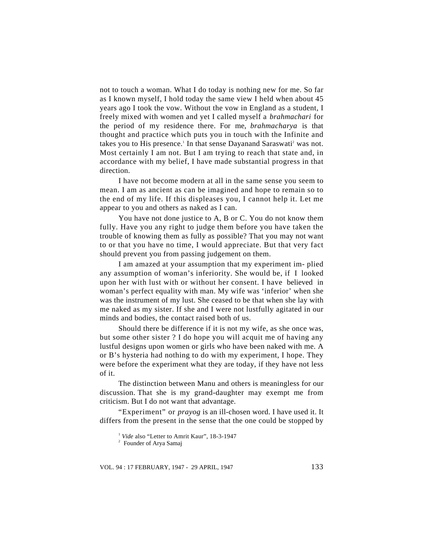not to touch a woman. What I do today is nothing new for me. So far as I known myself, I hold today the same view I held when about 45 years ago I took the vow. Without the vow in England as a student, I freely mixed with women and yet I called myself a *brahmachari* for the period of my residence there. For me, *brahmacharya* is that thought and practice which puts you in touch with the Infinite and takes you to His presence.<sup>1</sup> In that sense Dayanand Saraswati<sup>2</sup> was not. Most certainly I am not. But I am trying to reach that state and, in accordance with my belief, I have made substantial progress in that direction.

I have not become modern at all in the same sense you seem to mean. I am as ancient as can be imagined and hope to remain so to the end of my life. If this displeases you, I cannot help it. Let me appear to you and others as naked as I can.

You have not done justice to A, B or C. You do not know them fully. Have you any right to judge them before you have taken the trouble of knowing them as fully as possible? That you may not want to or that you have no time, I would appreciate. But that very fact should prevent you from passing judgement on them.

I am amazed at your assumption that my experiment im- plied any assumption of woman's inferiority. She would be, if I looked upon her with lust with or without her consent. I have believed in woman's perfect equality with man. My wife was 'inferior' when she was the instrument of my lust. She ceased to be that when she lay with me naked as my sister. If she and I were not lustfully agitated in our minds and bodies, the contact raised both of us.

Should there be difference if it is not my wife, as she once was, but some other sister ? I do hope you will acquit me of having any lustful designs upon women or girls who have been naked with me. A or B's hysteria had nothing to do with my experiment, I hope. They were before the experiment what they are today, if they have not less of it.

The distinction between Manu and others is meaningless for our discussion. That she is my grand-daughter may exempt me from criticism. But I do not want that advantage.

"Experiment" or *prayog* is an ill-chosen word. I have used it. It differs from the present in the sense that the one could be stopped by

<sup>&</sup>lt;sup>1</sup> Vide also "Letter to Amrit Kaur", 18-3-1947

<sup>&</sup>lt;sup>2</sup> Founder of Arya Samaj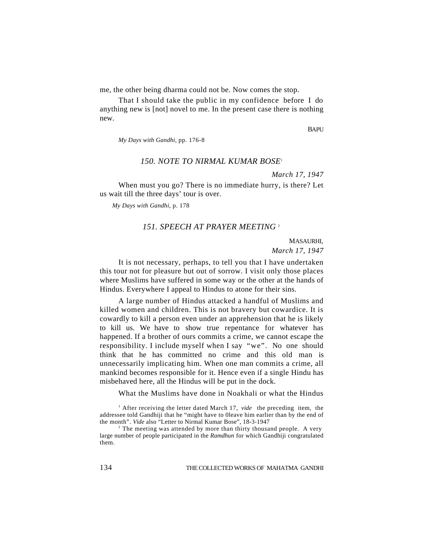me, the other being dharma could not be. Now comes the stop.

That I should take the public in my confidence before I do anything new is [not] novel to me. In the present case there is nothing new.

BAPU

*My Days with Gandhi,* pp. 176-8

#### *150. NOTE TO NIRMAL KUMAR BOSE*<sup>1</sup>

*March 17, 1947*

When must you go? There is no immediate hurry, is there? Let us wait till the three days' tour is over.

*My Days with Gandhi,* p. 178

### *151. SPEECH AT PRAYER MEETING* <sup>2</sup>

MASAURHI, *March 17, 1947*

It is not necessary, perhaps, to tell you that I have undertaken this tour not for pleasure but out of sorrow. I visit only those places where Muslims have suffered in some way or the other at the hands of Hindus. Everywhere I appeal to Hindus to atone for their sins.

A large number of Hindus attacked a handful of Muslims and killed women and children. This is not bravery but cowardice. It is cowardly to kill a person even under an apprehension that he is likely to kill us. We have to show true repentance for whatever has happened. If a brother of ours commits a crime, we cannot escape the responsibility. I include myself when I say "we". No one should think that he has committed no crime and this old man is unnecessarily implicating him. When one man commits a crime, all mankind becomes responsible for it. Hence even if a single Hindu has misbehaved here, all the Hindus will be put in the dock.

What the Muslims have done in Noakhali or what the Hindus

<sup>1</sup> After receiving the letter dated March 17, *vide* the preceding item, the addressee told Gandhiji that he "might have to 0leave him earlier than by the end of the month". *Vide* also "Letter to Nirmal Kumar Bose", 18-3-1947

 $2^2$  The meeting was attended by more than thirty thousand people. A very large number of people participated in the *Ramdhun* for which Gandhiji congratulated them.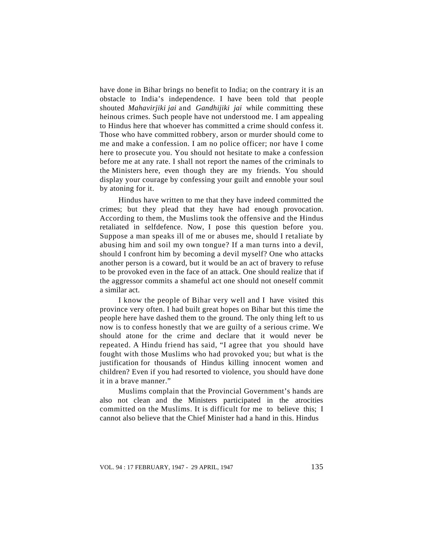have done in Bihar brings no benefit to India; on the contrary it is an obstacle to India's independence. I have been told that people shouted *Mahavirjiki jai* and *Gandhijiki jai* while committing these heinous crimes. Such people have not understood me. I am appealing to Hindus here that whoever has committed a crime should confess it. Those who have committed robbery, arson or murder should come to me and make a confession. I am no police officer; nor have I come here to prosecute you. You should not hesitate to make a confession before me at any rate. I shall not report the names of the criminals to the Ministers here, even though they are my friends. You should display your courage by confessing your guilt and ennoble your soul by atoning for it.

Hindus have written to me that they have indeed committed the crimes; but they plead that they have had enough provocation. According to them, the Muslims took the offensive and the Hindus retaliated in selfdefence. Now, I pose this question before you. Suppose a man speaks ill of me or abuses me, should I retaliate by abusing him and soil my own tongue? If a man turns into a devil, should I confront him by becoming a devil myself? One who attacks another person is a coward, but it would be an act of bravery to refuse to be provoked even in the face of an attack. One should realize that if the aggressor commits a shameful act one should not oneself commit a similar act.

I know the people of Bihar very well and I have visited this province very often. I had built great hopes on Bihar but this time the people here have dashed them to the ground. The only thing left to us now is to confess honestly that we are guilty of a serious crime. We should atone for the crime and declare that it would never be repeated. A Hindu friend has said, "I agree that you should have fought with those Muslims who had provoked you; but what is the justification for thousands of Hindus killing innocent women and children? Even if you had resorted to violence, you should have done it in a brave manner."

Muslims complain that the Provincial Government's hands are also not clean and the Ministers participated in the atrocities committed on the Muslims. It is difficult for me to believe this; I cannot also believe that the Chief Minister had a hand in this. Hindus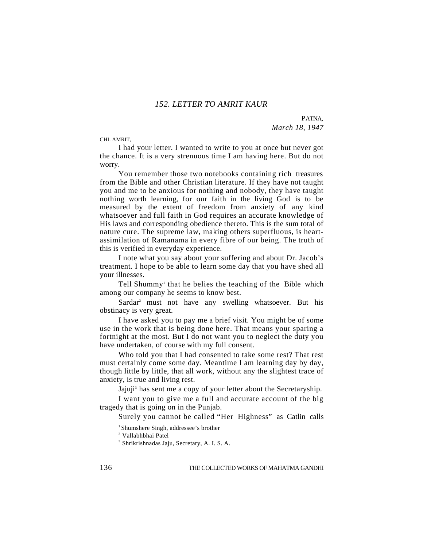# *152. LETTER TO AMRIT KAUR*

**PATNA** *March 18, 1947*

CHI. AMRIT,

I had your letter. I wanted to write to you at once but never got the chance. It is a very strenuous time I am having here. But do not worry.

You remember those two notebooks containing rich treasures from the Bible and other Christian literature. If they have not taught you and me to be anxious for nothing and nobody, they have taught nothing worth learning, for our faith in the living God is to be measured by the extent of freedom from anxiety of any kind whatsoever and full faith in God requires an accurate knowledge of His laws and corresponding obedience thereto. This is the sum total of nature cure. The supreme law, making others superfluous, is heartassimilation of Ramanama in every fibre of our being. The truth of this is verified in everyday experience.

I note what you say about your suffering and about Dr. Jacob's treatment. I hope to be able to learn some day that you have shed all your illnesses.

Tell Shummy<sup>1</sup> that he belies the teaching of the Bible which among our company he seems to know best.

Sardar<sup>2</sup> must not have any swelling whatsoever. But his obstinacy is very great.

I have asked you to pay me a brief visit. You might be of some use in the work that is being done here. That means your sparing a fortnight at the most. But I do not want you to neglect the duty you have undertaken, of course with my full consent.

Who told you that I had consented to take some rest? That rest must certainly come some day. Meantime I am learning day by day, though little by little, that all work, without any the slightest trace of anxiety, is true and living rest.

Jajuji<sup>3</sup> has sent me a copy of your letter about the Secretaryship.

I want you to give me a full and accurate account of the big tragedy that is going on in the Punjab.

Surely you cannot be called "Her Highness" as Catlin calls

<sup>1</sup>Shumshere Singh, addressee's brother

2 Vallabhbhai Patel

3 Shrikrishnadas Jaju, Secretary, A. I. S. A.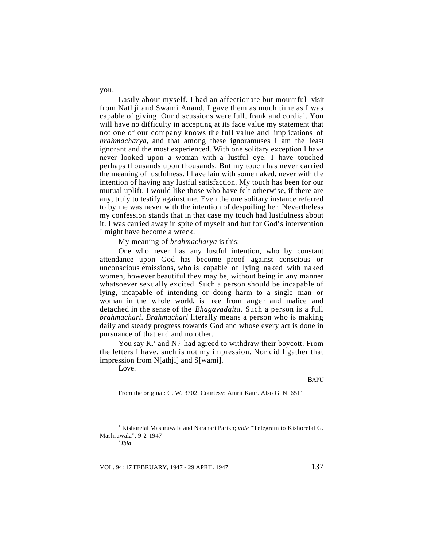you.

Lastly about myself. I had an affectionate but mournful visit from Nathji and Swami Anand. I gave them as much time as I was capable of giving. Our discussions were full, frank and cordial. You will have no difficulty in accepting at its face value my statement that not one of our company knows the full value and implications of *brahmacharya*, and that among these ignoramuses I am the least ignorant and the most experienced. With one solitary exception I have never looked upon a woman with a lustful eye. I have touched perhaps thousands upon thousands. But my touch has never carried the meaning of lustfulness. I have lain with some naked, never with the intention of having any lustful satisfaction. My touch has been for our mutual uplift. I would like those who have felt otherwise, if there are any, truly to testify against me. Even the one solitary instance referred to by me was never with the intention of despoiling her. Nevertheless my confession stands that in that case my touch had lustfulness about it. I was carried away in spite of myself and but for God's intervention I might have become a wreck.

My meaning of *brahmacharya* is this:

One who never has any lustful intention, who by constant attendance upon God has become proof against conscious or unconscious emissions, who is capable of lying naked with naked women, however beautiful they may be, without being in any manner whatsoever sexually excited. Such a person should be incapable of lying, incapable of intending or doing harm to a single man or woman in the whole world, is free from anger and malice and detached in the sense of the *Bhagavadgita*. Such a person is a full *brahmachari*. *Brahmachari* literally means a person who is making daily and steady progress towards God and whose every act is done in pursuance of that end and no other.

You say K.<sup>1</sup> and N.<sup>2</sup> had agreed to withdraw their boycott. From the letters I have, such is not my impression. Nor did I gather that impression from N[athji] and S[wami].

Love.

**BAPU** 

From the original: C. W. 3702. Courtesy: Amrit Kaur. Also G. N. 6511

<sup>1</sup> Kishorelal Mashruwala and Narahari Parikh; *vide* "Telegram to Kishorelal G. Mashruwala", 9-2-1947 <sup>2</sup>*Ibid*

VOL. 94: 17 FEBRUARY, 1947 - 29 APRIL 1947 137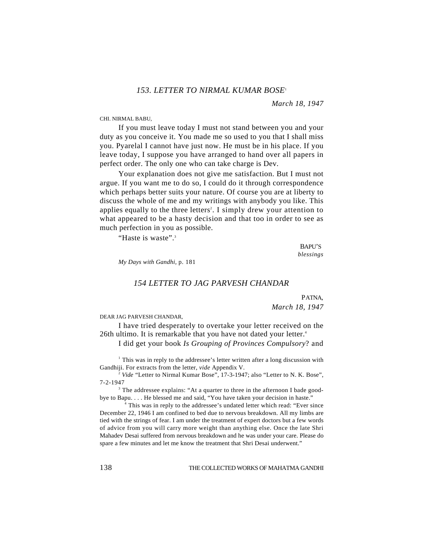*March 18, 1947*

#### CHI. NIRMAL BABU,

If you must leave today I must not stand between you and your duty as you conceive it. You made me so used to you that I shall miss you. Pyarelal I cannot have just now. He must be in his place. If you leave today, I suppose you have arranged to hand over all papers in perfect order. The only one who can take charge is Dev.

Your explanation does not give me satisfaction. But I must not argue. If you want me to do so, I could do it through correspondence which perhaps better suits your nature. Of course you are at liberty to discuss the whole of me and my writings with anybody you like. This applies equally to the three letters<sup>2</sup>. I simply drew your attention to what appeared to be a hasty decision and that too in order to see as much perfection in you as possible.

"Haste is waste"<sup>3</sup>

BAPU'S *blessings*

*My Days with Gandhi,* p. 181

#### *154 LETTER TO JAG PARVESH CHANDAR*

PATNA, *March 18, 1947*

DEAR JAG PARVESH CHANDAR,

I have tried desperately to overtake your letter received on the 26th ultimo. It is remarkable that you have not dated your letter.<sup>4</sup>

I did get your book *Is Grouping of Provinces Compulsory*? and

<sup>1</sup> This was in reply to the addressee's letter written after a long discussion with Gandhiji. For extracts from the letter, *vide* Appendix V.

<sup>2</sup> Vide "Letter to Nirmal Kumar Bose", 17-3-1947; also "Letter to N. K. Bose", 7-2-1947

<sup>3</sup> The addressee explains: "At a quarter to three in the afternoon I bade goodbye to Bapu. . . . He blessed me and said, "You have taken your decision in haste."

<sup>4</sup> This was in reply to the addressee's undated letter which read: "Ever since December 22, 1946 I am confined to bed due to nervous breakdown. All my limbs are tied with the strings of fear. I am under the treatment of expert doctors but a few words of advice from you will carry more weight than anything else. Once the late Shri Mahadev Desai suffered from nervous breakdown and he was under your care. Please do spare a few minutes and let me know the treatment that Shri Desai underwent."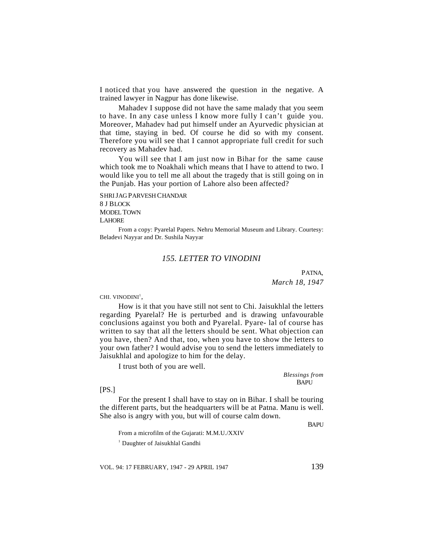I noticed that you have answered the question in the negative. A trained lawyer in Nagpur has done likewise.

Mahadev I suppose did not have the same malady that you seem to have. In any case unless I know more fully I can't guide you. Moreover, Mahadev had put himself under an Ayurvedic physician at that time, staying in bed. Of course he did so with my consent. Therefore you will see that I cannot appropriate full credit for such recovery as Mahadev had.

You will see that I am just now in Bihar for the same cause which took me to Noakhali which means that I have to attend to two. I would like you to tell me all about the tragedy that is still going on in the Punjab. Has your portion of Lahore also been affected?

SHRI JAG PARVESH CHANDAR 8 J BLOCK MODEL TOWN LAHORE

From a copy: Pyarelal Papers. Nehru Memorial Museum and Library. Courtesy: Beladevi Nayyar and Dr. Sushila Nayyar

# *155. LETTER TO VINODINI*

PATNA, *March 18, 1947*

CHI. VINODINI $^1$ ,

How is it that you have still not sent to Chi. Jaisukhlal the letters regarding Pyarelal? He is perturbed and is drawing unfavourable conclusions against you both and Pyarelal. Pyare- lal of course has written to say that all the letters should be sent. What objection can you have, then? And that, too, when you have to show the letters to your own father? I would advise you to send the letters immediately to Jaisukhlal and apologize to him for the delay.

I trust both of you are well.

*Blessings from* BAPU

#### $[PS.]$

For the present I shall have to stay on in Bihar. I shall be touring the different parts, but the headquarters will be at Patna. Manu is well. She also is angry with you, but will of course calm down.

**BAPU** 

From a microfilm of the Gujarati: M.M.U./XXIV

<sup>1</sup> Daughter of Jaisukhlal Gandhi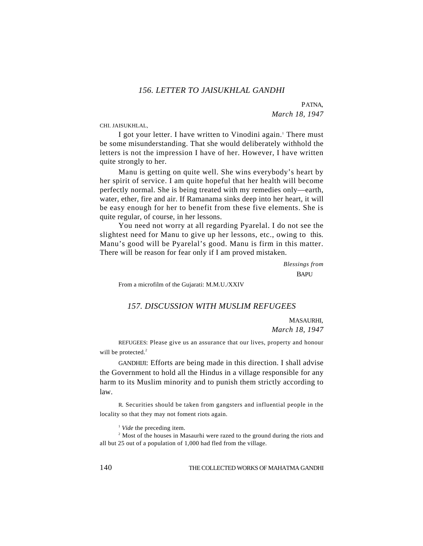# *156. LETTER TO JAISUKHLAL GANDHI*

PATNA, *March 18, 1947*

CHI. JAISUKHLAL,

I got your letter. I have written to Vinodini again.<sup>1</sup> There must be some misunderstanding. That she would deliberately withhold the letters is not the impression I have of her. However, I have written quite strongly to her.

Manu is getting on quite well. She wins everybody's heart by her spirit of service. I am quite hopeful that her health will become perfectly normal. She is being treated with my remedies only—earth, water, ether, fire and air. If Ramanama sinks deep into her heart, it will be easy enough for her to benefit from these five elements. She is quite regular, of course, in her lessons.

You need not worry at all regarding Pyarelal. I do not see the slightest need for Manu to give up her lessons, etc., owing to this. Manu's good will be Pyarelal's good. Manu is firm in this matter. There will be reason for fear only if I am proved mistaken.

> *Blessings from* **BAPU**

From a microfilm of the Gujarati: M.M.U./XXIV

#### *157. DISCUSSION WITH MUSLIM REFUGEES*

MASAURHI, *March 18, 1947*

REFUGEES: Please give us an assurance that our lives, property and honour will be protected.<sup>2</sup>

GANDHIJI: Efforts are being made in this direction. I shall advise the Government to hold all the Hindus in a village responsible for any harm to its Muslim minority and to punish them strictly according to law.

R. Securities should be taken from gangsters and influential people in the locality so that they may not foment riots again.

<sup>1</sup> *Vide* the preceding item.

<sup>2</sup> Most of the houses in Masaurhi were razed to the ground during the riots and all but 25 out of a population of 1,000 had fled from the village.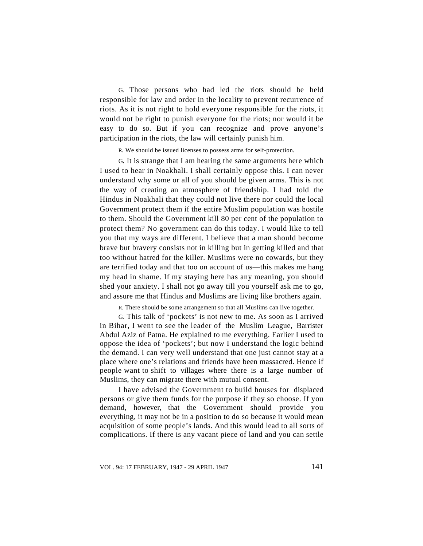G. Those persons who had led the riots should be held responsible for law and order in the locality to prevent recurrence of riots. As it is not right to hold everyone responsible for the riots, it would not be right to punish everyone for the riots; nor would it be easy to do so. But if you can recognize and prove anyone's participation in the riots, the law will certainly punish him.

R. We should be issued licenses to possess arms for self-protection.

G. It is strange that I am hearing the same arguments here which I used to hear in Noakhali. I shall certainly oppose this. I can never understand why some or all of you should be given arms. This is not the way of creating an atmosphere of friendship. I had told the Hindus in Noakhali that they could not live there nor could the local Government protect them if the entire Muslim population was hostile to them. Should the Government kill 80 per cent of the population to protect them? No government can do this today. I would like to tell you that my ways are different. I believe that a man should become brave but bravery consists not in killing but in getting killed and that too without hatred for the killer. Muslims were no cowards, but they are terrified today and that too on account of us—this makes me hang my head in shame. If my staying here has any meaning, you should shed your anxiety. I shall not go away till you yourself ask me to go, and assure me that Hindus and Muslims are living like brothers again.

R. There should be some arrangement so that all Muslims can live together.

G. This talk of 'pockets' is not new to me. As soon as I arrived in Bihar, I went to see the leader of the Muslim League, Barrister Abdul Aziz of Patna. He explained to me everything. Earlier I used to oppose the idea of 'pockets'; but now I understand the logic behind the demand. I can very well understand that one just cannot stay at a place where one's relations and friends have been massacred. Hence if people want to shift to villages where there is a large number of Muslims, they can migrate there with mutual consent.

I have advised the Government to build houses for displaced persons or give them funds for the purpose if they so choose. If you demand, however, that the Government should provide you everything, it may not be in a position to do so because it would mean acquisition of some people's lands. And this would lead to all sorts of complications. If there is any vacant piece of land and you can settle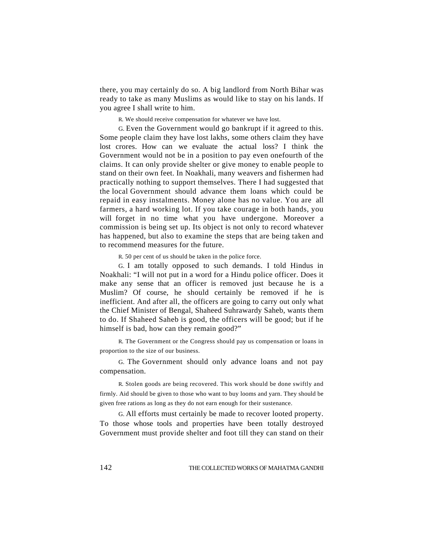there, you may certainly do so. A big landlord from North Bihar was ready to take as many Muslims as would like to stay on his lands. If you agree I shall write to him.

R. We should receive compensation for whatever we have lost.

G. Even the Government would go bankrupt if it agreed to this. Some people claim they have lost lakhs, some others claim they have lost crores. How can we evaluate the actual loss? I think the Government would not be in a position to pay even onefourth of the claims. It can only provide shelter or give money to enable people to stand on their own feet. In Noakhali, many weavers and fishermen had practically nothing to support themselves. There I had suggested that the local Government should advance them loans which could be repaid in easy instalments. Money alone has no value. You are all farmers, a hard working lot. If you take courage in both hands, you will forget in no time what you have undergone. Moreover a commission is being set up. Its object is not only to record whatever has happened, but also to examine the steps that are being taken and to recommend measures for the future.

R. 50 per cent of us should be taken in the police force.

G. I am totally opposed to such demands. I told Hindus in Noakhali: "I will not put in a word for a Hindu police officer. Does it make any sense that an officer is removed just because he is a Muslim? Of course, he should certainly be removed if he is inefficient. And after all, the officers are going to carry out only what the Chief Minister of Bengal, Shaheed Suhrawardy Saheb, wants them to do. If Shaheed Saheb is good, the officers will be good; but if he himself is bad, how can they remain good?"

R. The Government or the Congress should pay us compensation or loans in proportion to the size of our business.

G. The Government should only advance loans and not pay compensation.

R. Stolen goods are being recovered. This work should be done swiftly and firmly. Aid should be given to those who want to buy looms and yarn. They should be given free rations as long as they do not earn enough for their sustenance.

G. All efforts must certainly be made to recover looted property. To those whose tools and properties have been totally destroyed Government must provide shelter and foot till they can stand on their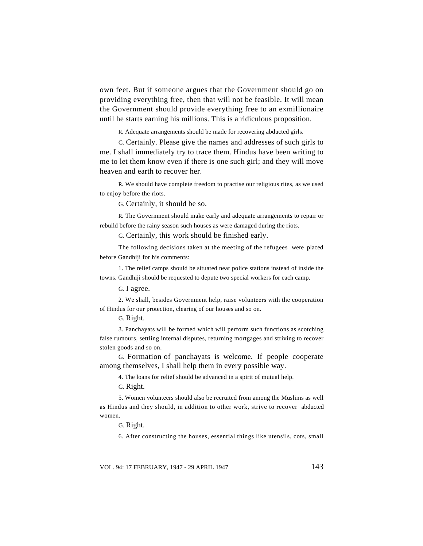own feet. But if someone argues that the Government should go on providing everything free, then that will not be feasible. It will mean the Government should provide everything free to an exmillionaire until he starts earning his millions. This is a ridiculous proposition.

R. Adequate arrangements should be made for recovering abducted girls.

G. Certainly. Please give the names and addresses of such girls to me. I shall immediately try to trace them. Hindus have been writing to me to let them know even if there is one such girl; and they will move heaven and earth to recover her.

R. We should have complete freedom to practise our religious rites, as we used to enjoy before the riots.

G. Certainly, it should be so.

R. The Government should make early and adequate arrangements to repair or rebuild before the rainy season such houses as were damaged during the riots.

G. Certainly, this work should be finished early.

The following decisions taken at the meeting of the refugees were placed before Gandhiji for his comments:

1. The relief camps should be situated near police stations instead of inside the towns. Gandhiji should be requested to depute two special workers for each camp.

G. I agree.

2. We shall, besides Government help, raise volunteers with the cooperation of Hindus for our protection, clearing of our houses and so on.

G. Right.

3. Panchayats will be formed which will perform such functions as scotching false rumours, settling internal disputes, returning mortgages and striving to recover stolen goods and so on.

G. Formation of panchayats is welcome. If people cooperate among themselves, I shall help them in every possible way.

4. The loans for relief should be advanced in a spirit of mutual help.

G. Right.

5. Women volunteers should also be recruited from among the Muslims as well as Hindus and they should, in addition to other work, strive to recover abducted women.

G. Right.

6. After constructing the houses, essential things like utensils, cots, small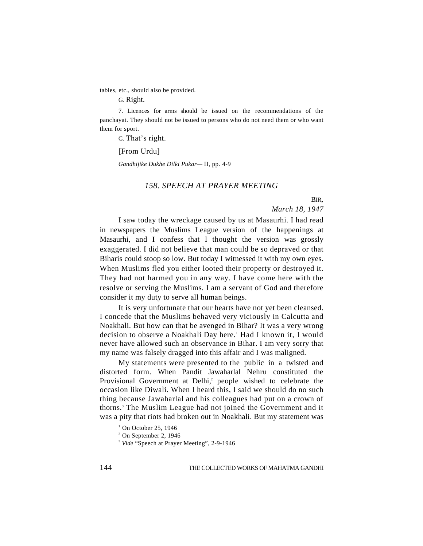tables, etc., should also be provided.

G. Right.

7. Licences for arms should be issued on the recommendations of the panchayat. They should not be issued to persons who do not need them or who want them for sport.

G. That's right.

[From Urdu]

*Gandhijike Dukhe Dilki Pukar—* II, pp. 4-9

### *158. SPEECH AT PRAYER MEETING*

BIR, *March 18, 1947*

I saw today the wreckage caused by us at Masaurhi. I had read in newspapers the Muslims League version of the happenings at Masaurhi, and I confess that I thought the version was grossly exaggerated. I did not believe that man could be so depraved or that Biharis could stoop so low. But today I witnessed it with my own eyes. When Muslims fled you either looted their property or destroyed it. They had not harmed you in any way. I have come here with the resolve or serving the Muslims. I am a servant of God and therefore consider it my duty to serve all human beings.

It is very unfortunate that our hearts have not yet been cleansed. I concede that the Muslims behaved very viciously in Calcutta and Noakhali. But how can that be avenged in Bihar? It was a very wrong decision to observe a Noakhali Day here.<sup>1</sup> Had I known it, I would never have allowed such an observance in Bihar. I am very sorry that my name was falsely dragged into this affair and I was maligned.

My statements were presented to the public in a twisted and distorted form. When Pandit Jawaharlal Nehru constituted the Provisional Government at Delhi,<sup>2</sup> people wished to celebrate the occasion like Diwali. When I heard this, I said we should do no such thing because Jawaharlal and his colleagues had put on a crown of thorns.<sup>3</sup> The Muslim League had not joined the Government and it was a pity that riots had broken out in Noakhali. But my statement was

 $1$  On October 25, 1946

<sup>&</sup>lt;sup>2</sup> On September 2, 1946

<sup>&</sup>lt;sup>3</sup> Vide "Speech at Prayer Meeting", 2-9-1946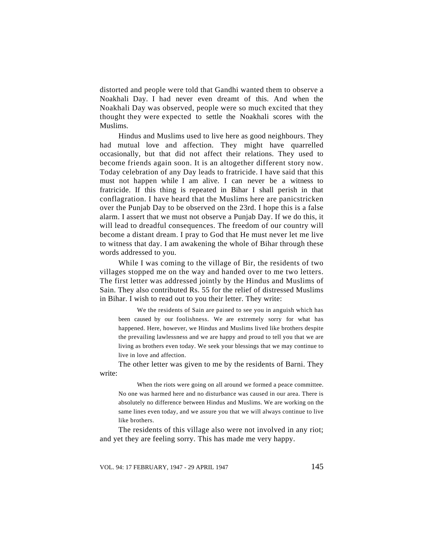distorted and people were told that Gandhi wanted them to observe a Noakhali Day. I had never even dreamt of this. And when the Noakhali Day was observed, people were so much excited that they thought they were expected to settle the Noakhali scores with the Muslims.

Hindus and Muslims used to live here as good neighbours. They had mutual love and affection. They might have quarrelled occasionally, but that did not affect their relations. They used to become friends again soon. It is an altogether different story now. Today celebration of any Day leads to fratricide. I have said that this must not happen while I am alive. I can never be a witness to fratricide. If this thing is repeated in Bihar I shall perish in that conflagration. I have heard that the Muslims here are panicstricken over the Punjab Day to be observed on the 23rd. I hope this is a false alarm. I assert that we must not observe a Punjab Day. If we do this, it will lead to dreadful consequences. The freedom of our country will become a distant dream. I pray to God that He must never let me live to witness that day. I am awakening the whole of Bihar through these words addressed to you.

While I was coming to the village of Bir, the residents of two villages stopped me on the way and handed over to me two letters. The first letter was addressed jointly by the Hindus and Muslims of Sain. They also contributed Rs. 55 for the relief of distressed Muslims in Bihar. I wish to read out to you their letter. They write:

We the residents of Sain are pained to see you in anguish which has been caused by our foolishness. We are extremely sorry for what has happened. Here, however, we Hindus and Muslims lived like brothers despite the prevailing lawlessness and we are happy and proud to tell you that we are living as brothers even today. We seek your blessings that we may continue to live in love and affection.

The other letter was given to me by the residents of Barni. They write:

When the riots were going on all around we formed a peace committee. No one was harmed here and no disturbance was caused in our area. There is absolutely no difference between Hindus and Muslims. We are working on the same lines even today, and we assure you that we will always continue to live like brothers.

The residents of this village also were not involved in any riot; and yet they are feeling sorry. This has made me very happy.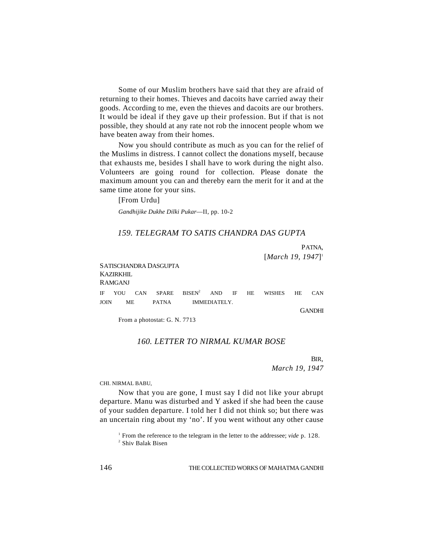Some of our Muslim brothers have said that they are afraid of returning to their homes. Thieves and dacoits have carried away their goods. According to me, even the thieves and dacoits are our brothers. It would be ideal if they gave up their profession. But if that is not possible, they should at any rate not rob the innocent people whom we have beaten away from their homes.

Now you should contribute as much as you can for the relief of the Muslims in distress. I cannot collect the donations myself, because that exhausts me, besides I shall have to work during the night also. Volunteers are going round for collection. Please donate the maximum amount you can and thereby earn the merit for it and at the same time atone for your sins.

[From Urdu]

*Gandhijike Dukhe Dilki Pukar*—II, pp. 10-2

### *159. TELEGRAM TO SATIS CHANDRA DAS GUPTA*

PATNA, [*March 19, 1947*] 1

### SATISCHANDRA DASGUPTA KAZIRKHIL RAMGANJ

IF YOU CAN SPARE BISEN<sup>2</sup> AND IF HE WISHES HE CAN JOIN ME PATNA IMMEDIATELY.

**GANDHI** 

From a photostat: G. N. 7713

# *160. LETTER TO NIRMAL KUMAR BOSE*

BIR, *March 19, 1947*

CHI. NIRMAL BABU,

Now that you are gone, I must say I did not like your abrupt departure. Manu was disturbed and Y asked if she had been the cause of your sudden departure. I told her I did not think so; but there was an uncertain ring about my 'no'. If you went without any other cause

<sup>1</sup> From the reference to the telegram in the letter to the addressee; *vide* p. 128.

<sup>2</sup> Shiv Balak Bisen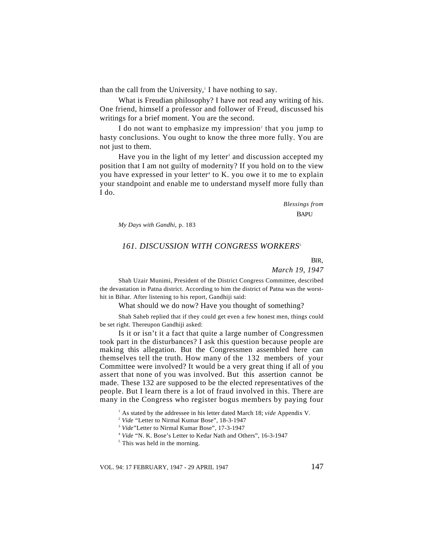than the call from the University,<sup>1</sup> I have nothing to say.

What is Freudian philosophy? I have not read any writing of his. One friend, himself a professor and follower of Freud, discussed his writings for a brief moment. You are the second.

I do not want to emphasize my impression<sup>2</sup> that you jump to hasty conclusions. You ought to know the three more fully. You are not just to them.

Have you in the light of my letter<sup>3</sup> and discussion accepted my position that I am not guilty of modernity? If you hold on to the view you have expressed in your letter<sup>4</sup> to K. you owe it to me to explain your standpoint and enable me to understand myself more fully than I do.

> *Blessings from* BAPU

*My Days with Gandhi*, p. 183

#### *161. DISCUSSION WITH CONGRESS WORKERS*<sup>5</sup>

BIR,

*March 19, 1947*

Shah Uzair Munimi, President of the District Congress Committee, described the devastation in Patna district. According to him the district of Patna was the worsthit in Bihar. After listening to his report, Gandhiji said:

What should we do now? Have you thought of something?

Shah Saheb replied that if they could get even a few honest men, things could be set right. Thereupon Gandhiji asked:

Is it or isn't it a fact that quite a large number of Congressmen took part in the disturbances? I ask this question because people are making this allegation. But the Congressmen assembled here can themselves tell the truth. How many of the 132 members of your Committee were involved? It would be a very great thing if all of you assert that none of you was involved. But this assertion cannot be made. These 132 are supposed to be the elected representatives of the people. But I learn there is a lot of fraud involved in this. There are many in the Congress who register bogus members by paying four

<sup>&</sup>lt;sup>1</sup> As stated by the addressee in his letter dated March 18; *vide* Appendix V.

<sup>2</sup> *Vide* "Letter to Nirmal Kumar Bose", 18-3-1947

<sup>3</sup> *Vide*"Letter to Nirmal Kumar Bose", 17-3-1947

<sup>4</sup> *Vide* "N. K. Bose's Letter to Kedar Nath and Others", 16-3-1947

<sup>&</sup>lt;sup>5</sup> This was held in the morning.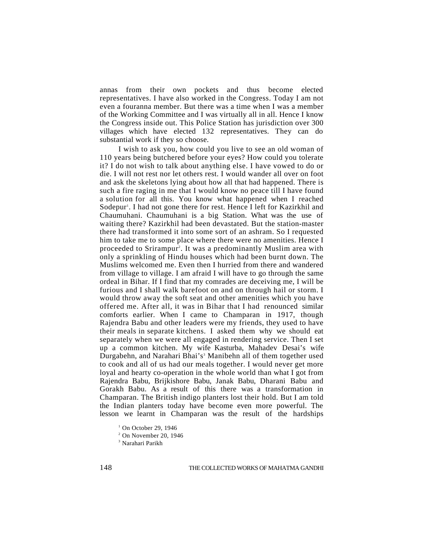annas from their own pockets and thus become elected representatives. I have also worked in the Congress. Today I am not even a fouranna member. But there was a time when I was a member of the Working Committee and I was virtually all in all. Hence I know the Congress inside out. This Police Station has jurisdiction over 300 villages which have elected 132 representatives. They can do substantial work if they so choose.

I wish to ask you, how could you live to see an old woman of 110 years being butchered before your eyes? How could you tolerate it? I do not wish to talk about anything else. I have vowed to do or die. I will not rest nor let others rest. I would wander all over on foot and ask the skeletons lying about how all that had happened. There is such a fire raging in me that I would know no peace till I have found a solution for all this. You know what happened when I reached Sodepur<sup>1</sup>. I had not gone there for rest. Hence I left for Kazirkhil and Chaumuhani. Chaumuhani is a big Station. What was the use of waiting there? Kazirkhil had been devastated. But the station-master there had transformed it into some sort of an ashram. So I requested him to take me to some place where there were no amenities. Hence I proceeded to Srirampur<sup>2</sup>. It was a predominantly Muslim area with only a sprinkling of Hindu houses which had been burnt down. The Muslims welcomed me. Even then I hurried from there and wandered from village to village. I am afraid I will have to go through the same ordeal in Bihar. If I find that my comrades are deceiving me, I will be furious and I shall walk barefoot on and on through hail or storm. I would throw away the soft seat and other amenities which you have offered me. After all, it was in Bihar that I had renounced similar comforts earlier. When I came to Champaran in 1917, though Rajendra Babu and other leaders were my friends, they used to have their meals in separate kitchens. I asked them why we should eat separately when we were all engaged in rendering service. Then I set up a common kitchen. My wife Kasturba, Mahadev Desai's wife Durgabehn, and Narahari Bhai's<sup>3</sup> Manibehn all of them together used to cook and all of us had our meals together. I would never get more loyal and hearty co-operation in the whole world than what I got from Rajendra Babu, Brijkishore Babu, Janak Babu, Dharani Babu and Gorakh Babu. As a result of this there was a transformation in Champaran. The British indigo planters lost their hold. But I am told the Indian planters today have become even more powerful. The lesson we learnt in Champaran was the result of the hardships

 $1$  On October 29, 1946

2 On November 20, 1946

<sup>3</sup> Narahari Parikh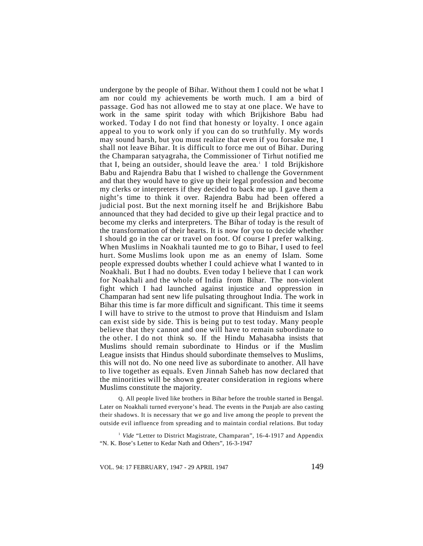undergone by the people of Bihar. Without them I could not be what I am nor could my achievements be worth much. I am a bird of passage. God has not allowed me to stay at one place. We have to work in the same spirit today with which Brijkishore Babu had worked. Today I do not find that honesty or loyalty. I once again appeal to you to work only if you can do so truthfully. My words may sound harsh, but you must realize that even if you forsake me, I shall not leave Bihar. It is difficult to force me out of Bihar. During the Champaran satyagraha, the Commissioner of Tirhut notified me that I, being an outsider, should leave the area.<sup>1</sup> I told Brijkishore Babu and Rajendra Babu that I wished to challenge the Government and that they would have to give up their legal profession and become my clerks or interpreters if they decided to back me up. I gave them a night's time to think it over. Rajendra Babu had been offered a judicial post. But the next morning itself he and Brijkishore Babu announced that they had decided to give up their legal practice and to become my clerks and interpreters. The Bihar of today is the result of the transformation of their hearts. It is now for you to decide whether I should go in the car or travel on foot. Of course I prefer walking. When Muslims in Noakhali taunted me to go to Bihar, I used to feel hurt. Some Muslims look upon me as an enemy of Islam. Some people expressed doubts whether I could achieve what I wanted to in Noakhali. But I had no doubts. Even today I believe that I can work for Noakhali and the whole of India from Bihar. The non-violent fight which I had launched against injustice and oppression in Champaran had sent new life pulsating throughout India. The work in Bihar this time is far more difficult and significant. This time it seems I will have to strive to the utmost to prove that Hinduism and Islam can exist side by side. This is being put to test today. Many people believe that they cannot and one will have to remain subordinate to the other. I do not think so. If the Hindu Mahasabha insists that Muslims should remain subordinate to Hindus or if the Muslim League insists that Hindus should subordinate themselves to Muslims, this will not do. No one need live as subordinate to another. All have to live together as equals. Even Jinnah Saheb has now declared that the minorities will be shown greater consideration in regions where Muslims constitute the majority.

Q. All people lived like brothers in Bihar before the trouble started in Bengal. Later on Noakhali turned everyone's head. The events in the Punjab are also casting their shadows. It is necessary that we go and live among the people to prevent the outside evil influence from spreading and to maintain cordial relations. But today

<sup>1</sup> *Vide* "Letter to District Magistrate, Champaran", 16-4-1917 and Appendix "N. K. Bose's Letter to Kedar Nath and Others", 16-3-1947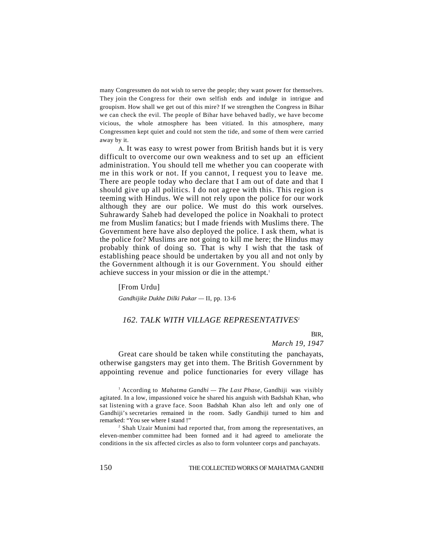many Congressmen do not wish to serve the people; they want power for themselves. They join the Congress for their own selfish ends and indulge in intrigue and groupism. How shall we get out of this mire? If we strengthen the Congress in Bihar we can check the evil. The people of Bihar have behaved badly, we have become vicious, the whole atmosphere has been vitiated. In this atmosphere, many Congressmen kept quiet and could not stem the tide, and some of them were carried away by it.

A. It was easy to wrest power from British hands but it is very difficult to overcome our own weakness and to set up an efficient administration. You should tell me whether you can cooperate with me in this work or not. If you cannot, I request you to leave me. There are people today who declare that I am out of date and that I should give up all politics. I do not agree with this. This region is teeming with Hindus. We will not rely upon the police for our work although they are our police. We must do this work ourselves. Suhrawardy Saheb had developed the police in Noakhali to protect me from Muslim fanatics; but I made friends with Muslims there. The Government here have also deployed the police. I ask them, what is the police for? Muslims are not going to kill me here; the Hindus may probably think of doing so. That is why I wish that the task of establishing peace should be undertaken by you all and not only by the Government although it is our Government. You should either achieve success in your mission or die in the attempt.<sup>1</sup>

[From Urdu] *Gandhijike Dukhe Dilki Pukar —* II, pp. 13-6

#### 162. TALK WITH VILLAGE REPRESENTATIVES<sup>2</sup>

BIR,

*March 19, 1947*

Great care should be taken while constituting the panchayats, otherwise gangsters may get into them. The British Government by appointing revenue and police functionaries for every village has

<sup>1</sup> According to *Mahatma Gandhi — The Last Phase*, Gandhiji was visibly agitated. In a low, impassioned voice he shared his anguish with Badshah Khan, who sat listening with a grave face. Soon Badshah Khan also left and only one of Gandhiji's secretaries remained in the room. Sadly Gandhiji turned to him and remarked: "You see where I stand !"

 $2$  Shah Uzair Munimi had reported that, from among the representatives, an eleven-member committee had been formed and it had agreed to ameliorate the conditions in the six affected circles as also to form volunteer corps and panchayats.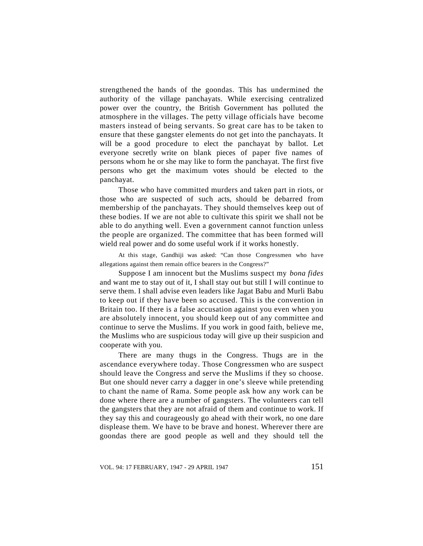strengthened the hands of the goondas. This has undermined the authority of the village panchayats. While exercising centralized power over the country, the British Government has polluted the atmosphere in the villages. The petty village officials have become masters instead of being servants. So great care has to be taken to ensure that these gangster elements do not get into the panchayats. It will be a good procedure to elect the panchayat by ballot. Let everyone secretly write on blank pieces of paper five names of persons whom he or she may like to form the panchayat. The first five persons who get the maximum votes should be elected to the panchayat.

Those who have committed murders and taken part in riots, or those who are suspected of such acts, should be debarred from membership of the panchayats. They should themselves keep out of these bodies. If we are not able to cultivate this spirit we shall not be able to do anything well. Even a government cannot function unless the people are organized. The committee that has been formed will wield real power and do some useful work if it works honestly.

At this stage, Gandhiji was asked: "Can those Congressmen who have allegations against them remain office bearers in the Congress?"

Suppose I am innocent but the Muslims suspect my *bona fides* and want me to stay out of it, I shall stay out but still I will continue to serve them. I shall advise even leaders like Jagat Babu and Murli Babu to keep out if they have been so accused. This is the convention in Britain too. If there is a false accusation against you even when you are absolutely innocent, you should keep out of any committee and continue to serve the Muslims. If you work in good faith, believe me, the Muslims who are suspicious today will give up their suspicion and cooperate with you.

There are many thugs in the Congress. Thugs are in the ascendance everywhere today. Those Congressmen who are suspect should leave the Congress and serve the Muslims if they so choose. But one should never carry a dagger in one's sleeve while pretending to chant the name of Rama. Some people ask how any work can be done where there are a number of gangsters. The volunteers can tell the gangsters that they are not afraid of them and continue to work. If they say this and courageously go ahead with their work, no one dare displease them. We have to be brave and honest. Wherever there are goondas there are good people as well and they should tell the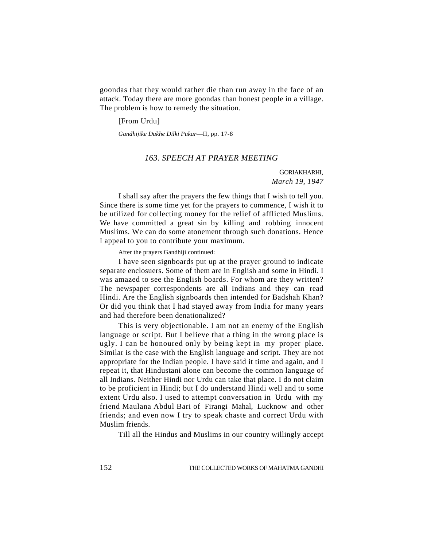goondas that they would rather die than run away in the face of an attack. Today there are more goondas than honest people in a village. The problem is how to remedy the situation.

[From Urdu] *Gandhijike Dukhe Dilki Pukar*—II, pp. 17-8

#### *163. SPEECH AT PRAYER MEETING*

GORIAKHARHI, *March 19, 1947*

I shall say after the prayers the few things that I wish to tell you. Since there is some time yet for the prayers to commence, I wish it to be utilized for collecting money for the relief of afflicted Muslims. We have committed a great sin by killing and robbing innocent Muslims. We can do some atonement through such donations. Hence I appeal to you to contribute your maximum.

After the prayers Gandhiji continued:

I have seen signboards put up at the prayer ground to indicate separate enclosuers. Some of them are in English and some in Hindi. I was amazed to see the English boards. For whom are they written? The newspaper correspondents are all Indians and they can read Hindi. Are the English signboards then intended for Badshah Khan? Or did you think that I had stayed away from India for many years and had therefore been denationalized?

This is very objectionable. I am not an enemy of the English language or script. But I believe that a thing in the wrong place is ugly. I can be honoured only by being kept in my proper place. Similar is the case with the English language and script. They are not appropriate for the Indian people. I have said it time and again, and I repeat it, that Hindustani alone can become the common language of all Indians. Neither Hindi nor Urdu can take that place. I do not claim to be proficient in Hindi; but I do understand Hindi well and to some extent Urdu also. I used to attempt conversation in Urdu with my friend Maulana Abdul Bari of Firangi Mahal, Lucknow and other friends; and even now I try to speak chaste and correct Urdu with Muslim friends.

Till all the Hindus and Muslims in our country willingly accept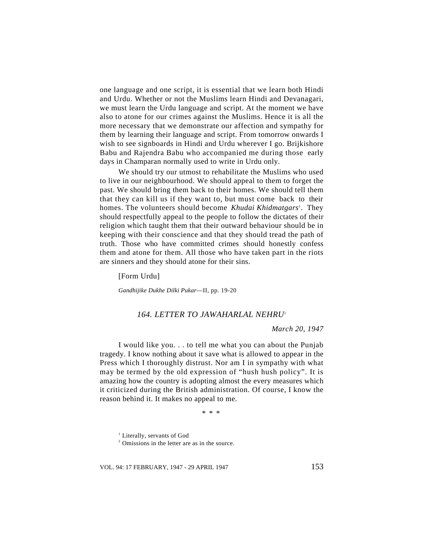one language and one script, it is essential that we learn both Hindi and Urdu. Whether or not the Muslims learn Hindi and Devanagari, we must learn the Urdu language and script. At the moment we have also to atone for our crimes against the Muslims. Hence it is all the more necessary that we demonstrate our affection and sympathy for them by learning their language and script. From tomorrow onwards I wish to see signboards in Hindi and Urdu wherever I go. Brijkishore Babu and Rajendra Babu who accompanied me during those early days in Champaran normally used to write in Urdu only.

We should try our utmost to rehabilitate the Muslims who used to live in our neighbourhood. We should appeal to them to forget the past. We should bring them back to their homes. We should tell them that they can kill us if they want to, but must come back to their homes. The volunteers should become Khudai Khidmatgars<sup>1</sup>. They should respectfully appeal to the people to follow the dictates of their religion which taught them that their outward behaviour should be in keeping with their conscience and that they should tread the path of truth. Those who have committed crimes should honestly confess them and atone for them. All those who have taken part in the riots are sinners and they should atone for their sins.

[Form Urdu]

*Gandhijike Dukhe Dilki Pukar*—II, pp. 19-20

#### *164. LETTER TO JAWAHARLAL NEHRU*<sup>2</sup>

*March 20, 1947*

I would like you. . . to tell me what you can about the Punjab tragedy. I know nothing about it save what is allowed to appear in the Press which I thoroughly distrust. Nor am I in sympathy with what may be termed by the old expression of "hush hush policy". It is amazing how the country is adopting almost the every measures which it criticized during the British administration. Of course, I know the reason behind it. It makes no appeal to me.

\* \* \*

<sup>&</sup>lt;sup>1</sup> Literally, servants of God

<sup>&</sup>lt;sup>2</sup> Omissions in the letter are as in the source.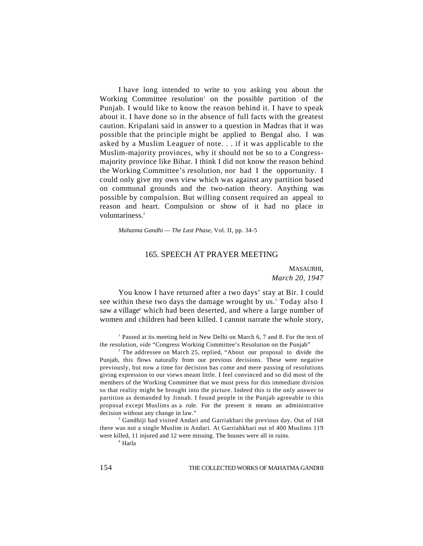I have long intended to write to you asking you about the Working Committee resolution<sup>1</sup> on the possible partition of the Punjab. I would like to know the reason behind it. I have to speak about it. I have done so in the absence of full facts with the greatest caution. Kripalani said in answer to a question in Madras that it was possible that the principle might be applied to Bengal also. I was asked by a Muslim Leaguer of note. . . if it was applicable to the Muslim-majority provinces, why it should not be so to a Congressmajority province like Bihar. I think I did not know the reason behind the Working Committee's resolution, nor had I the opportunity. I could only give my own view which was against any partition based on communal grounds and the two-nation theory. Anything was possible by compulsion. But willing consent required an appeal to reason and heart. Compulsion or show of it had no place in voluntariness<sup>2</sup>

*Mahatma Gandhi — The Last Phase,* Vol. II, pp. 34-5

#### 165. SPEECH AT PRAYER MEETING

MASAURHI, *March 20, 1947*

You know I have returned after a two days' stay at Bir. I could see within these two days the damage wrought by us.<sup>3</sup> Today also I saw a village<sup>4</sup> which had been deserted, and where a large number of women and children had been killed. I cannot narrate the whole story,

<sup>1</sup> Passed at its meeting held in New Delhi on March 6, 7 and 8. For the text of the resolution, *vide* "Congress Working Committee's Resolution on the Punjab"

<sup>2</sup> The addressee on March 25, replied, "About our proposal to divide the Punjab, this flows naturally from our previous decisions. These were negative previously, but now a time for decision has come and mere passing of resolutions giving expression to our views meant little. I feel convinced and so did most of the members of the Working Committee that we must press for this immediate division so that reality might be brought into the picture. Indeed this is the only answer to partition as demanded by Jinnah. I found people in the Punjab agreeable to this proposal except Muslims as a rule. For the present it means an administrative decision without any change in law."

<sup>3</sup> Gandhiji had visited Andari and Garriakhari the previous day. Out of 168 there was not a single Muslim in Andari. At Garriahkhari out of 400 Muslims 119 were killed, 11 injured and 12 were missing. The houses were all in ruins.

4 Harla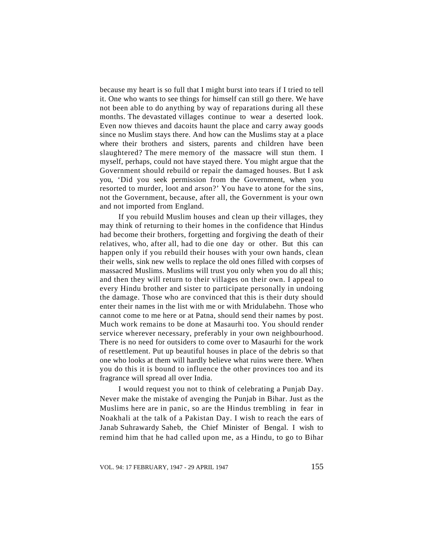because my heart is so full that I might burst into tears if I tried to tell it. One who wants to see things for himself can still go there. We have not been able to do anything by way of reparations during all these months. The devastated villages continue to wear a deserted look. Even now thieves and dacoits haunt the place and carry away goods since no Muslim stays there. And how can the Muslims stay at a place where their brothers and sisters, parents and children have been slaughtered? The mere memory of the massacre will stun them. I myself, perhaps, could not have stayed there. You might argue that the Government should rebuild or repair the damaged houses. But I ask you, 'Did you seek permission from the Government, when you resorted to murder, loot and arson?' You have to atone for the sins, not the Government, because, after all, the Government is your own and not imported from England.

If you rebuild Muslim houses and clean up their villages, they may think of returning to their homes in the confidence that Hindus had become their brothers, forgetting and forgiving the death of their relatives, who, after all, had to die one day or other. But this can happen only if you rebuild their houses with your own hands, clean their wells, sink new wells to replace the old ones filled with corpses of massacred Muslims. Muslims will trust you only when you do all this; and then they will return to their villages on their own. I appeal to every Hindu brother and sister to participate personally in undoing the damage. Those who are convinced that this is their duty should enter their names in the list with me or with Mridulabehn. Those who cannot come to me here or at Patna, should send their names by post. Much work remains to be done at Masaurhi too. You should render service wherever necessary, preferably in your own neighbourhood. There is no need for outsiders to come over to Masaurhi for the work of resettlement. Put up beautiful houses in place of the debris so that one who looks at them will hardly believe what ruins were there. When you do this it is bound to influence the other provinces too and its fragrance will spread all over India.

I would request you not to think of celebrating a Punjab Day. Never make the mistake of avenging the Punjab in Bihar. Just as the Muslims here are in panic, so are the Hindus trembling in fear in Noakhali at the talk of a Pakistan Day. I wish to reach the ears of Janab Suhrawardy Saheb, the Chief Minister of Bengal. I wish to remind him that he had called upon me, as a Hindu, to go to Bihar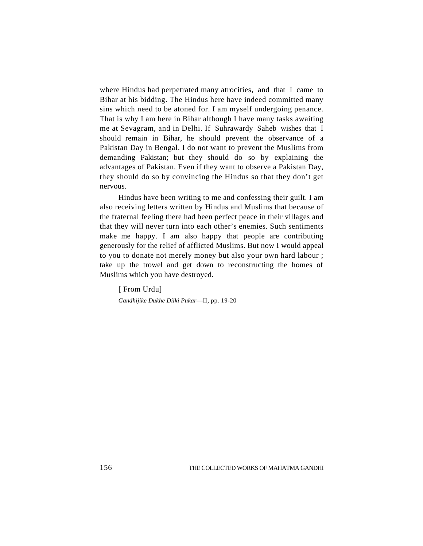where Hindus had perpetrated many atrocities, and that I came to Bihar at his bidding. The Hindus here have indeed committed many sins which need to be atoned for. I am myself undergoing penance. That is why I am here in Bihar although I have many tasks awaiting me at Sevagram, and in Delhi. If Suhrawardy Saheb wishes that I should remain in Bihar, he should prevent the observance of a Pakistan Day in Bengal. I do not want to prevent the Muslims from demanding Pakistan; but they should do so by explaining the advantages of Pakistan. Even if they want to observe a Pakistan Day, they should do so by convincing the Hindus so that they don't get nervous.

Hindus have been writing to me and confessing their guilt. I am also receiving letters written by Hindus and Muslims that because of the fraternal feeling there had been perfect peace in their villages and that they will never turn into each other's enemies. Such sentiments make me happy. I am also happy that people are contributing generously for the relief of afflicted Muslims. But now I would appeal to you to donate not merely money but also your own hard labour ; take up the trowel and get down to reconstructing the homes of Muslims which you have destroyed.

[ From Urdu] *Gandhijike Dukhe Dilki Pukar*—II, pp. 19-20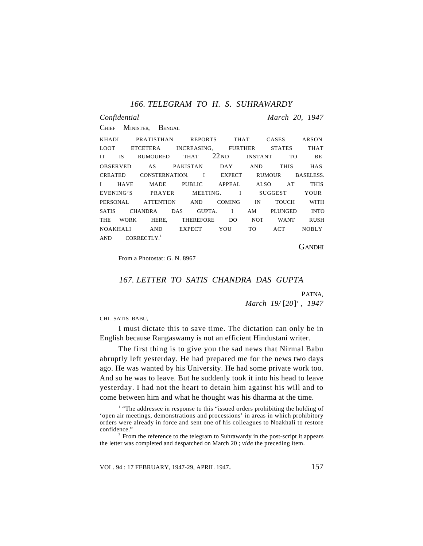*Confidential March 20, 1947*

CHIEF MINISTER, BENGAL

KHADI PRATISTHAN REPORTS THAT CASES ARSON LOOT ETCETERA INCREASING, FURTHER STATES THAT IT IS RUMOURED THAT 22ND INSTANT TO BE OBSERVED AS PAKISTAN DAY AND THIS HAS CREATED CONSTERNATION. I EXPECT RUMOUR BASELESS. I HAVE MADE PUBLIC APPEAL ALSO AT THIS EVENING'S PRAYER MEETING. I SUGGEST YOUR PERSONAL ATTENTION AND COMING IN TOUCH WITH SATIS CHANDRA DAS GUPTA. I AM PLUNGED INTO THE WORK HERE, THEREFORE DO NOT WANT RUSH NOAKHALI AND EXPECT YOU TO ACT NOBLY  $AND$  CORRECTLY.<sup>1</sup>

**GANDHI** 

From a Photostat: G. N. 8967

#### *167. LETTER TO SATIS CHANDRA DAS GUPTA*

PATNA, *March 19/* [*20*] 1 *, 1947*

CHI. SATIS BABU,

I must dictate this to save time. The dictation can only be in English because Rangaswamy is not an efficient Hindustani writer.

The first thing is to give you the sad news that Nirmal Babu abruptly left yesterday. He had prepared me for the news two days ago. He was wanted by his University. He had some private work too. And so he was to leave. But he suddenly took it into his head to leave yesterday. I had not the heart to detain him against his will and to come between him and what he thought was his dharma at the time.

<sup>&</sup>lt;sup>1</sup> "The addressee in response to this "issued orders prohibiting the holding of 'open air meetings, demonstrations and processions' in areas in which prohibitory orders were already in force and sent one of his colleagues to Noakhali to restore confidence."

 $2^2$  From the reference to the telegram to Suhrawardy in the post-script it appears the letter was completed and despatched on March 20 ; *vide* the preceding item.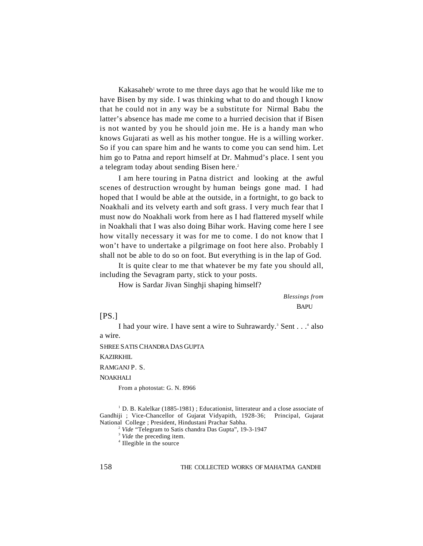$Kakasaheb<sup>1</sup>$  wrote to me three days ago that he would like me to have Bisen by my side. I was thinking what to do and though I know that he could not in any way be a substitute for Nirmal Babu the latter's absence has made me come to a hurried decision that if Bisen is not wanted by you he should join me. He is a handy man who knows Gujarati as well as his mother tongue. He is a willing worker. So if you can spare him and he wants to come you can send him. Let him go to Patna and report himself at Dr. Mahmud's place. I sent you a telegram today about sending Bisen here.<sup>2</sup>

I am here touring in Patna district and looking at the awful scenes of destruction wrought by human beings gone mad. I had hoped that I would be able at the outside, in a fortnight, to go back to Noakhali and its velvety earth and soft grass. I very much fear that I must now do Noakhali work from here as I had flattered myself while in Noakhali that I was also doing Bihar work. Having come here I see how vitally necessary it was for me to come. I do not know that I won't have to undertake a pilgrimage on foot here also. Probably I shall not be able to do so on foot. But everything is in the lap of God.

It is quite clear to me that whatever be my fate you should all, including the Sevagram party, stick to your posts.

How is Sardar Jivan Singhji shaping himself?

*Blessings from* **BAPU** 

# $[PS.]$

I had your wire. I have sent a wire to Suhrawardy.<sup>3</sup> Sent . . .<sup>4</sup> also a wire.

SHREE SATIS CHANDRA DAS GUPTA KAZIRKHIL RAMGANJ P. S. NOAKHALI

From a photostat: G. N. 8966

<sup>1</sup> D. B. Kalelkar (1885-1981) ; Educationist, litterateur and a close associate of Gandhiji ; Vice-Chancellor of Gujarat Vidyapith, 1928-36; Principal, Gujarat National College ; President, Hindustani Prachar Sabha.

<sup>2</sup> *Vide* "Telegram to Satis chandra Das Gupta", 19-3-1947

4 Illegible in the source

<sup>&</sup>lt;sup>3</sup> *Vide* the preceding item.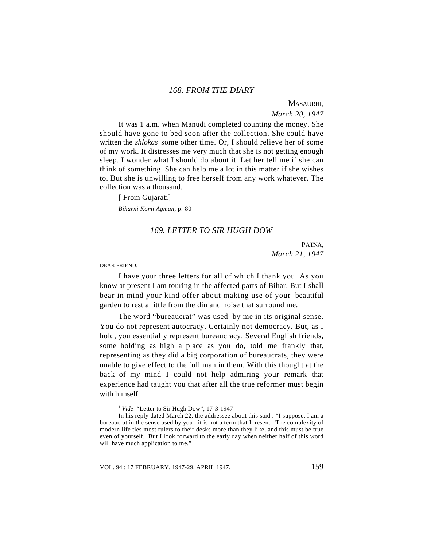#### *168. FROM THE DIARY*

**MASAURHI** *March 20, 1947*

It was 1 a.m. when Manudi completed counting the money. She should have gone to bed soon after the collection. She could have written the *shlokas* some other time. Or, I should relieve her of some of my work. It distresses me very much that she is not getting enough sleep. I wonder what I should do about it. Let her tell me if she can think of something. She can help me a lot in this matter if she wishes to. But she is unwilling to free herself from any work whatever. The collection was a thousand.

[ From Gujarati] *Biharni Komi Agman,* p. 80

#### *169. LETTER TO SIR HUGH DOW*

**PATNA** *March 21, 1947*

DEAR FRIEND,

I have your three letters for all of which I thank you. As you know at present I am touring in the affected parts of Bihar. But I shall bear in mind your kind offer about making use of your beautiful garden to rest a little from the din and noise that surround me.

The word "bureaucrat" was used by me in its original sense. You do not represent autocracy. Certainly not democracy. But, as I hold, you essentially represent bureaucracy. Several English friends, some holding as high a place as you do, told me frankly that, representing as they did a big corporation of bureaucrats, they were unable to give effect to the full man in them. With this thought at the back of my mind I could not help admiring your remark that experience had taught you that after all the true reformer must begin with himself

<sup>1</sup> *Vide* "Letter to Sir Hugh Dow", 17-3-1947

In his reply dated March 22, the addressee about this said : "I suppose, I am a bureaucrat in the sense used by you : it is not a term that I resent. The complexity of modern life ties most rulers to their desks more than they like, and this must be true even of yourself. But I look forward to the early day when neither half of this word will have much application to me."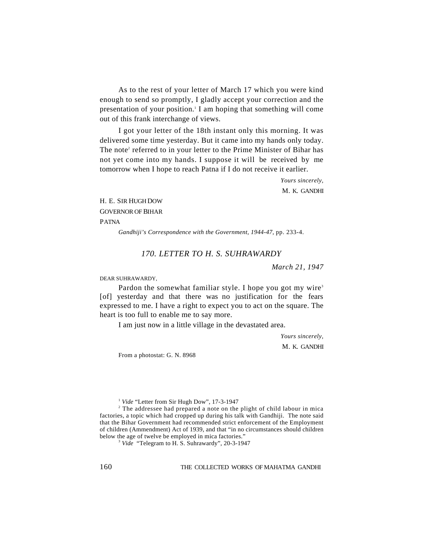As to the rest of your letter of March 17 which you were kind enough to send so promptly, I gladly accept your correction and the presentation of your position.<sup>1</sup> I am hoping that something will come out of this frank interchange of views.

I got your letter of the 18th instant only this morning. It was delivered some time yesterday. But it came into my hands only today. The note<sup>2</sup> referred to in your letter to the Prime Minister of Bihar has not yet come into my hands. I suppose it will be received by me tomorrow when I hope to reach Patna if I do not receive it earlier.

> *Yours sincerely,* M. K. GANDHI

H. E. SIR HUGH DOW GOVERNOR OF BIHAR PATNA

*Gandhiji's Correspondence with the Government, 1944-47,* pp. 233-4.

#### *170. LETTER TO H. S. SUHRAWARDY*

*March 21, 1947*

#### DEAR SUHRAWARDY,

Pardon the somewhat familiar style. I hope you got my wire<sup>3</sup> [of] yesterday and that there was no justification for the fears expressed to me. I have a right to expect you to act on the square. The heart is too full to enable me to say more.

I am just now in a little village in the devastated area.

*Yours sincerely,* M. K. GANDHI

From a photostat: G. N. 8968

<sup>1</sup> *Vide* "Letter from Sir Hugh Dow", 17-3-1947

<sup>2</sup> The addressee had prepared a note on the plight of child labour in mica factories, a topic which had cropped up during his talk with Gandhiji. The note said that the Bihar Government had recommended strict enforcement of the Employment of children (Ammendment) Act of 1939, and that "in no circumstances should children below the age of twelve be employed in mica factories."

<sup>3</sup> Vide "Telegram to H. S. Suhrawardy", 20-3-1947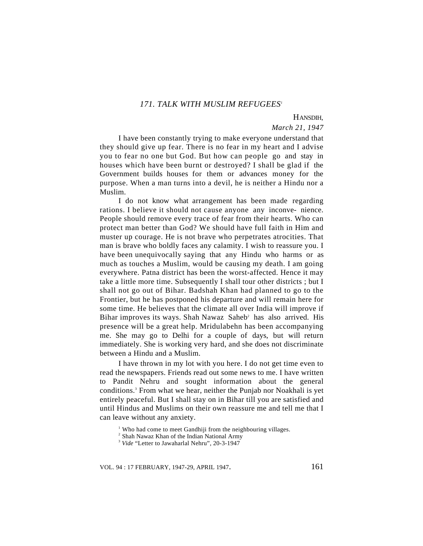#### *171. TALK WITH MUSLIM REFUGEES<sup>1</sup>*

HANSDIH, *March 21, 1947*

I have been constantly trying to make everyone understand that they should give up fear. There is no fear in my heart and I advise you to fear no one but God. But how can people go and stay in houses which have been burnt or destroyed? I shall be glad if the Government builds houses for them or advances money for the purpose. When a man turns into a devil, he is neither a Hindu nor a Muslim.

I do not know what arrangement has been made regarding rations. I believe it should not cause anyone any inconve- nience. People should remove every trace of fear from their hearts. Who can protect man better than God? We should have full faith in Him and muster up courage. He is not brave who perpetrates atrocities. That man is brave who boldly faces any calamity. I wish to reassure you. I have been unequivocally saying that any Hindu who harms or as much as touches a Muslim, would be causing my death. I am going everywhere. Patna district has been the worst-affected. Hence it may take a little more time. Subsequently I shall tour other districts ; but I shall not go out of Bihar. Badshah Khan had planned to go to the Frontier, but he has postponed his departure and will remain here for some time. He believes that the climate all over India will improve if Bihar improves its ways. Shah Nawaz Saheb<sup>2</sup> has also arrived. His presence will be a great help. Mridulabehn has been accompanying me. She may go to Delhi for a couple of days, but will return immediately. She is working very hard, and she does not discriminate between a Hindu and a Muslim.

I have thrown in my lot with you here. I do not get time even to read the newspapers. Friends read out some news to me. I have written to Pandit Nehru and sought information about the general conditions.<sup>3</sup> From what we hear, neither the Punjab nor Noakhali is yet entirely peaceful. But I shall stay on in Bihar till you are satisfied and until Hindus and Muslims on their own reassure me and tell me that I can leave without any anxiety.

<sup>&</sup>lt;sup>1</sup> Who had come to meet Gandhiji from the neighbouring villages.

<sup>&</sup>lt;sup>2</sup> Shah Nawaz Khan of the Indian National Army

<sup>&</sup>lt;sup>3</sup> Vide "Letter to Jawaharlal Nehru", 20-3-1947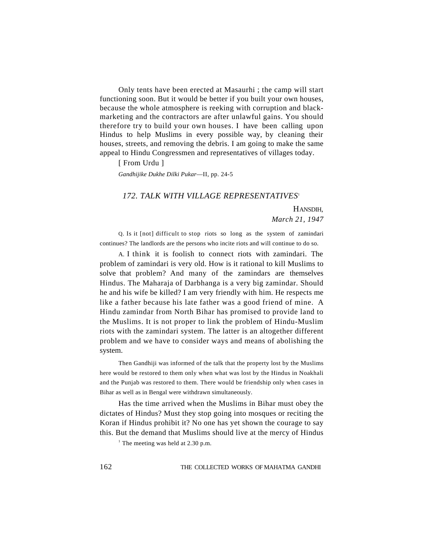Only tents have been erected at Masaurhi ; the camp will start functioning soon. But it would be better if you built your own houses, because the whole atmosphere is reeking with corruption and blackmarketing and the contractors are after unlawful gains. You should therefore try to build your own houses. I have been calling upon Hindus to help Muslims in every possible way, by cleaning their houses, streets, and removing the debris. I am going to make the same appeal to Hindu Congressmen and representatives of villages today.

[ From Urdu ]

*Gandhijike Dukhe Dilki Pukar*—II, pp. 24-5

# *172. TALK WITH VILLAGE REPRESENTATIVES*<sup>1</sup>

**HANSDIH** *March 21, 1947*

Q. Is it [not] difficult to stop riots so long as the system of zamindari continues? The landlords are the persons who incite riots and will continue to do so.

A. I think it is foolish to connect riots with zamindari. The problem of zamindari is very old. How is it rational to kill Muslims to solve that problem? And many of the zamindars are themselves Hindus. The Maharaja of Darbhanga is a very big zamindar. Should he and his wife be killed? I am very friendly with him. He respects me like a father because his late father was a good friend of mine. A Hindu zamindar from North Bihar has promised to provide land to the Muslims. It is not proper to link the problem of Hindu-Muslim riots with the zamindari system. The latter is an altogether different problem and we have to consider ways and means of abolishing the system.

Then Gandhiji was informed of the talk that the property lost by the Muslims here would be restored to them only when what was lost by the Hindus in Noakhali and the Punjab was restored to them. There would be friendship only when cases in Bihar as well as in Bengal were withdrawn simultaneously.

Has the time arrived when the Muslims in Bihar must obey the dictates of Hindus? Must they stop going into mosques or reciting the Koran if Hindus prohibit it? No one has yet shown the courage to say this. But the demand that Muslims should live at the mercy of Hindus

<sup>1</sup> The meeting was held at 2.30 p.m.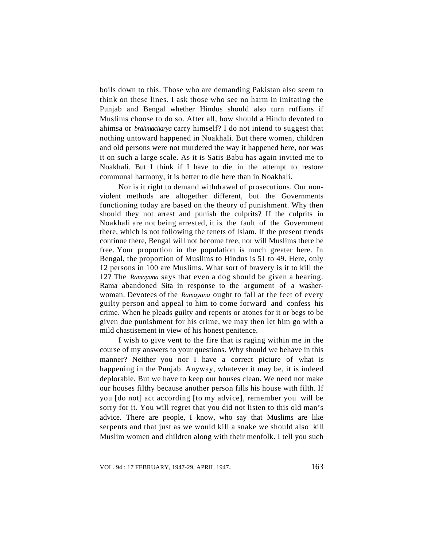boils down to this. Those who are demanding Pakistan also seem to think on these lines. I ask those who see no harm in imitating the Punjab and Bengal whether Hindus should also turn ruffians if Muslims choose to do so. After all, how should a Hindu devoted to ahimsa or *brahmacharya* carry himself? I do not intend to suggest that nothing untoward happened in Noakhali. But there women, children and old persons were not murdered the way it happened here, nor was it on such a large scale. As it is Satis Babu has again invited me to Noakhali. But I think if I have to die in the attempt to restore communal harmony, it is better to die here than in Noakhali.

Nor is it right to demand withdrawal of prosecutions. Our nonviolent methods are altogether different, but the Governments functioning today are based on the theory of punishment. Why then should they not arrest and punish the culprits? If the culprits in Noakhali are not being arrested, it is the fault of the Government there, which is not following the tenets of Islam. If the present trends continue there, Bengal will not become free, nor will Muslims there be free. Your proportion in the population is much greater here. In Bengal, the proportion of Muslims to Hindus is 51 to 49. Here, only 12 persons in 100 are Muslims. What sort of bravery is it to kill the 12? The *Ramayana* says that even a dog should be given a hearing. Rama abandoned Sita in response to the argument of a washerwoman. Devotees of the *Ramayana* ought to fall at the feet of every guilty person and appeal to him to come forward and confess his crime. When he pleads guilty and repents or atones for it or begs to be given due punishment for his crime, we may then let him go with a mild chastisement in view of his honest penitence.

I wish to give vent to the fire that is raging within me in the course of my answers to your questions. Why should we behave in this manner? Neither you nor I have a correct picture of what is happening in the Punjab. Anyway, whatever it may be, it is indeed deplorable. But we have to keep our houses clean. We need not make our houses filthy because another person fills his house with filth. If you [do not] act according [to my advice], remember you will be sorry for it. You will regret that you did not listen to this old man's advice. There are people, I know, who say that Muslims are like serpents and that just as we would kill a snake we should also kill Muslim women and children along with their menfolk. I tell you such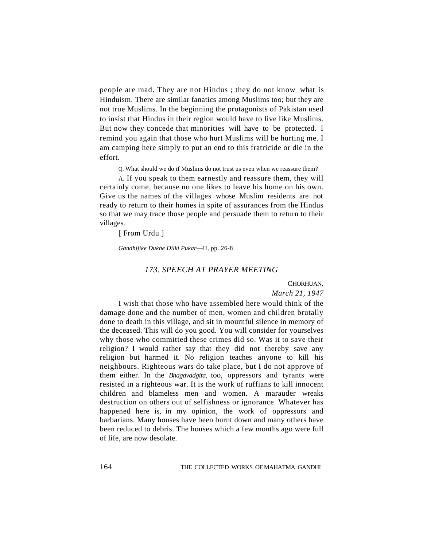people are mad. They are not Hindus ; they do not know what is Hinduism. There are similar fanatics among Muslims too; but they are not true Muslims. In the beginning the protagonists of Pakistan used to insist that Hindus in their region would have to live like Muslims. But now they concede that minorities will have to be protected. I remind you again that those who hurt Muslims will be hurting me. I am camping here simply to put an end to this fratricide or die in the effort.

Q. What should we do if Muslims do not trust us even when we reassure them?

A. If you speak to them earnestly and reassure them, they will certainly come, because no one likes to leave his home on his own. Give us the names of the villages whose Muslim residents are not ready to return to their homes in spite of assurances from the Hindus so that we may trace those people and persuade them to return to their villages.

[ From Urdu ]

*Gandhijike Dukhe Dilki Pukar*—II, pp. 26-8

### *173. SPEECH AT PRAYER MEETING*

CHORHUAN, *March 21, 1947*

I wish that those who have assembled here would think of the damage done and the number of men, women and children brutally done to death in this village, and sit in mournful silence in memory of the deceased. This will do you good. You will consider for yourselves why those who committed these crimes did so. Was it to save their religion? I would rather say that they did not thereby save any religion but harmed it. No religion teaches anyone to kill his neighbours. Righteous wars do take place, but I do not approve of them either. In the *Bhagavadgita,* too, oppressors and tyrants were resisted in a righteous war. It is the work of ruffians to kill innocent children and blameless men and women. A marauder wreaks destruction on others out of selfishness or ignorance. Whatever has happened here is, in my opinion, the work of oppressors and barbarians. Many houses have been burnt down and many others have been reduced to debris. The houses which a few months ago were full of life, are now desolate.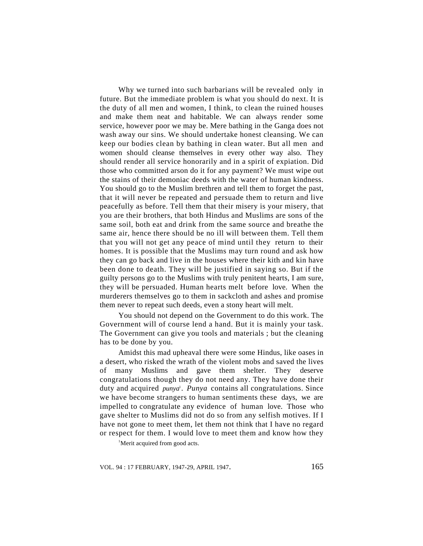Why we turned into such barbarians will be revealed only in future. But the immediate problem is what you should do next. It is the duty of all men and women, I think, to clean the ruined houses and make them neat and habitable. We can always render some service, however poor we may be. Mere bathing in the Ganga does not wash away our sins. We should undertake honest cleansing. We can keep our bodies clean by bathing in clean water. But all men and women should cleanse themselves in every other way also. They should render all service honorarily and in a spirit of expiation. Did those who committed arson do it for any payment? We must wipe out the stains of their demoniac deeds with the water of human kindness. You should go to the Muslim brethren and tell them to forget the past, that it will never be repeated and persuade them to return and live peacefully as before. Tell them that their misery is your misery, that you are their brothers, that both Hindus and Muslims are sons of the same soil, both eat and drink from the same source and breathe the same air, hence there should be no ill will between them. Tell them that you will not get any peace of mind until they return to their homes. It is possible that the Muslims may turn round and ask how they can go back and live in the houses where their kith and kin have been done to death. They will be justified in saying so. But if the guilty persons go to the Muslims with truly penitent hearts, I am sure, they will be persuaded. Human hearts melt before love. When the murderers themselves go to them in sackcloth and ashes and promise them never to repeat such deeds, even a stony heart will melt.

You should not depend on the Government to do this work. The Government will of course lend a hand. But it is mainly your task. The Government can give you tools and materials ; but the cleaning has to be done by you.

Amidst this mad upheaval there were some Hindus, like oases in a desert, who risked the wrath of the violent mobs and saved the lives of many Muslims and gave them shelter. They deserve congratulations though they do not need any. They have done their duty and acquired *punya<sup>1</sup>*. *Punya* contains all congratulations. Since we have become strangers to human sentiments these days, we are impelled to congratulate any evidence of human love. Those who gave shelter to Muslims did not do so from any selfish motives. If I have not gone to meet them, let them not think that I have no regard or respect for them. I would love to meet them and know how they

<sup>1</sup>Merit acquired from good acts.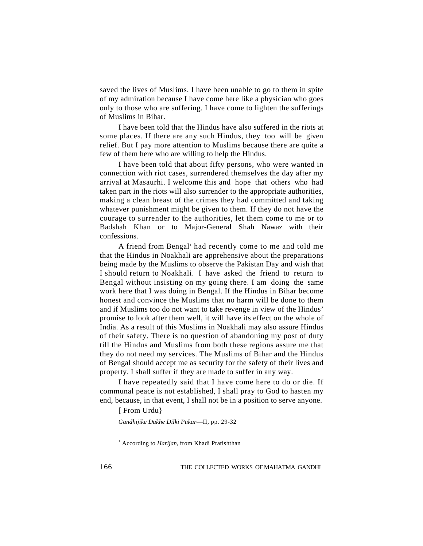saved the lives of Muslims. I have been unable to go to them in spite of my admiration because I have come here like a physician who goes only to those who are suffering. I have come to lighten the sufferings of Muslims in Bihar.

I have been told that the Hindus have also suffered in the riots at some places. If there are any such Hindus, they too will be given relief. But I pay more attention to Muslims because there are quite a few of them here who are willing to help the Hindus.

I have been told that about fifty persons, who were wanted in connection with riot cases, surrendered themselves the day after my arrival at Masaurhi. I welcome this and hope that others who had taken part in the riots will also surrender to the appropriate authorities, making a clean breast of the crimes they had committed and taking whatever punishment might be given to them. If they do not have the courage to surrender to the authorities, let them come to me or to Badshah Khan or to Major-General Shah Nawaz with their confessions.

A friend from Bengal<sup>1</sup> had recently come to me and told me that the Hindus in Noakhali are apprehensive about the preparations being made by the Muslims to observe the Pakistan Day and wish that I should return to Noakhali. I have asked the friend to return to Bengal without insisting on my going there. I am doing the same work here that I was doing in Bengal. If the Hindus in Bihar become honest and convince the Muslims that no harm will be done to them and if Muslims too do not want to take revenge in view of the Hindus' promise to look after them well, it will have its effect on the whole of India. As a result of this Muslims in Noakhali may also assure Hindus of their safety. There is no question of abandoning my post of duty till the Hindus and Muslims from both these regions assure me that they do not need my services. The Muslims of Bihar and the Hindus of Bengal should accept me as security for the safety of their lives and property. I shall suffer if they are made to suffer in any way.

I have repeatedly said that I have come here to do or die. If communal peace is not established, I shall pray to God to hasten my end, because, in that event, I shall not be in a position to serve anyone.

[ From Urdu}

*Gandhijike Dukhe Dilki Pukar*—II, pp. 29-32

<sup>1</sup> According to *Harijan*, from Khadi Pratishthan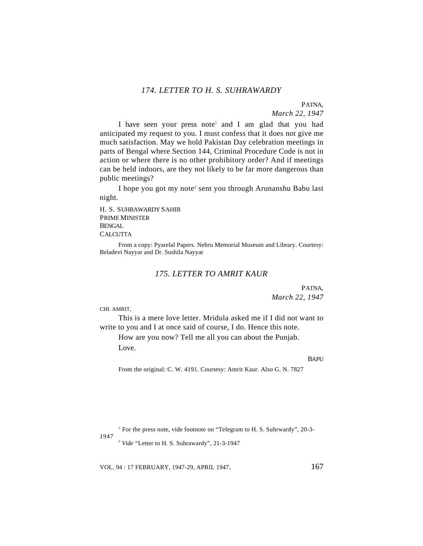#### *174. LETTER TO H. S. SUHRAWARDY*

PATNA, *March 22, 1947*

I have seen your press note<sup>1</sup> and I am glad that you had anticipated my request to you. I must confess that it does not give me much satisfaction. May we hold Pakistan Day celebration meetings in parts of Bengal where Section 144, Criminal Procedure Code is not in action or where there is no other prohibitory order? And if meetings can be held indoors, are they not likely to be far more dangerous than public meetings?

I hope you got my note<sup>2</sup> sent you through Arunanshu Babu last night.

H. S. SUHRAWARDY SAHIB PRIME MINISTER BENGAL **CALCUTTA** 

From a copy: Pyarelal Papers. Nehru Memorial Museum and Library. Courtesy: Beladevi Nayyar and Dr. Sushila Nayyar

#### *175. LETTER TO AMRIT KAUR*

PATNA, *March 22, 1947*

CHI. AMRIT,

This is a mere love letter. Mridula asked me if I did not want to write to you and I at once said of course, I do. Hence this note.

How are you now? Tell me all you can about the Punjab. Love.

**BAPU** 

From the original: C. W. 4191. Courtesy: Amrit Kaur. Also G. N. 7827

<sup>1</sup> For the press note, vide footnote on "Telegram to H. S. Suhrwardy", 20-3-1947

<sup>2</sup> *Vide* "Letter to H. S. Suhrawardy", 21-3-1947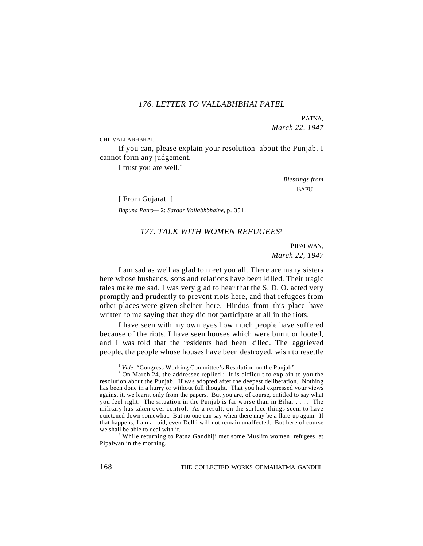**PATNA** *March 22, 1947*

CHI. VALLABHBHAI,

If you can, please explain your resolution<sup>1</sup> about the Punjab. I cannot form any judgement.

I trust you are well. $2$ 

*Blessings from* BAPU

[ From Gujarati ]

*Bapuna Patro*— 2: *Sardar Vallabhbhaine,* p. 351.

#### *177. TALK WITH WOMEN REFUGEES<sup>3</sup>*

PIPALWAN, *March 22, 1947*

I am sad as well as glad to meet you all. There are many sisters here whose husbands, sons and relations have been killed. Their tragic tales make me sad. I was very glad to hear that the S. D. O. acted very promptly and prudently to prevent riots here, and that refugees from other places were given shelter here. Hindus from this place have written to me saying that they did not participate at all in the riots.

I have seen with my own eyes how much people have suffered because of the riots. I have seen houses which were burnt or looted, and I was told that the residents had been killed. The aggrieved people, the people whose houses have been destroyed, wish to resettle

<sup>1</sup> *Vide* "Congress Working Committee's Resolution on the Punjab"

 $2^2$  On March 24, the addressee replied : It is difficult to explain to you the resolution about the Punjab. If was adopted after the deepest deliberation. Nothing has been done in a hurry or without full thought. That you had expressed your views against it, we learnt only from the papers. But you are, of course, entitled to say what you feel right. The situation in the Punjab is far worse than in Bihar . . . . The military has taken over control. As a result, on the surface things seem to have quietened down somewhat. But no one can say when there may be a flare-up again. If that happens, I am afraid, even Delhi will not remain unaffected. But here of course we shall be able to deal with it.

<sup>3</sup> While returning to Patna Gandhiji met some Muslim women refugees at Pipalwan in the morning.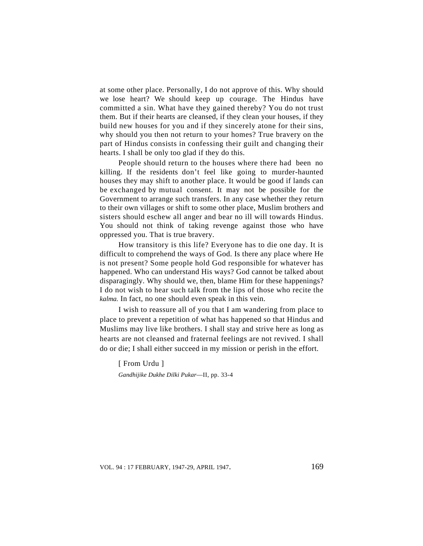at some other place. Personally, I do not approve of this. Why should we lose heart? We should keep up courage. The Hindus have committed a sin. What have they gained thereby? You do not trust them. But if their hearts are cleansed, if they clean your houses, if they build new houses for you and if they sincerely atone for their sins, why should you then not return to your homes? True bravery on the part of Hindus consists in confessing their guilt and changing their hearts. I shall be only too glad if they do this.

People should return to the houses where there had been no killing. If the residents don't feel like going to murder-haunted houses they may shift to another place. It would be good if lands can be exchanged by mutual consent. It may not be possible for the Government to arrange such transfers. In any case whether they return to their own villages or shift to some other place, Muslim brothers and sisters should eschew all anger and bear no ill will towards Hindus. You should not think of taking revenge against those who have oppressed you. That is true bravery.

How transitory is this life? Everyone has to die one day. It is difficult to comprehend the ways of God. Is there any place where He is not present? Some people hold God responsible for whatever has happened. Who can understand His ways? God cannot be talked about disparagingly. Why should we, then, blame Him for these happenings? I do not wish to hear such talk from the lips of those who recite the *kalma.* In fact, no one should even speak in this vein.

I wish to reassure all of you that I am wandering from place to place to prevent a repetition of what has happened so that Hindus and Muslims may live like brothers. I shall stay and strive here as long as hearts are not cleansed and fraternal feelings are not revived. I shall do or die; I shall either succeed in my mission or perish in the effort.

[ From Urdu ] *Gandhijike Dukhe Dilki Pukar*—II, pp. 33-4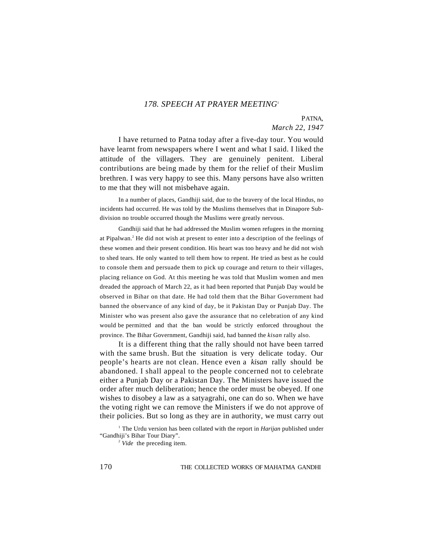#### *178. SPEECH AT PRAYER MEETING*<sup>1</sup>

**PATNA** *March 22, 1947*

I have returned to Patna today after a five-day tour. You would have learnt from newspapers where I went and what I said. I liked the attitude of the villagers. They are genuinely penitent. Liberal contributions are being made by them for the relief of their Muslim brethren. I was very happy to see this. Many persons have also written to me that they will not misbehave again.

In a number of places, Gandhiji said, due to the bravery of the local Hindus, no incidents had occurred. He was told by the Muslims themselves that in Dinapore Subdivision no trouble occurred though the Muslims were greatly nervous.

Gandhiji said that he had addressed the Muslim women refugees in the morning at Pipalwan.<sup>2</sup> He did not wish at present to enter into a description of the feelings of these women and their present condition. His heart was too heavy and he did not wish to shed tears. He only wanted to tell them how to repent. He tried as best as he could to console them and persuade them to pick up courage and return to their villages, placing reliance on God. At this meeting he was told that Muslim women and men dreaded the approach of March 22, as it had been reported that Punjab Day would be observed in Bihar on that date. He had told them that the Bihar Government had banned the observance of any kind of day, be it Pakistan Day or Punjab Day. The Minister who was present also gave the assurance that no celebration of any kind would be permitted and that the ban would be strictly enforced throughout the province. The Bihar Government, Gandhiji said, had banned the *kisan* rally also.

It is a different thing that the rally should not have been tarred with the same brush. But the situation is very delicate today. Our people's hearts are not clean. Hence even a *kisan* rally should be abandoned. I shall appeal to the people concerned not to celebrate either a Punjab Day or a Pakistan Day. The Ministers have issued the order after much deliberation; hence the order must be obeyed. If one wishes to disobey a law as a satyagrahi, one can do so. When we have the voting right we can remove the Ministers if we do not approve of their policies. But so long as they are in authority, we must carry out

<sup>&</sup>lt;sup>1</sup> The Urdu version has been collated with the report in *Harijan* published under "Gandhiji's Bihar Tour Diary".

<sup>2</sup> *Vide* the preceding item.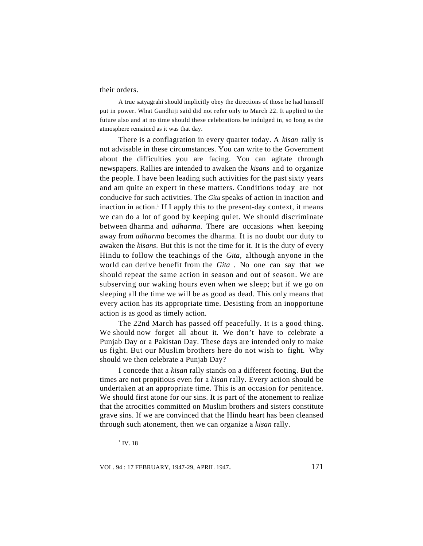their orders.

A true satyagrahi should implicitly obey the directions of those he had himself put in power. What Gandhiji said did not refer only to March 22. It applied to the future also and at no time should these celebrations be indulged in, so long as the atmosphere remained as it was that day.

There is a conflagration in every quarter today. A *kisan* rally is not advisable in these circumstances. You can write to the Government about the difficulties you are facing. You can agitate through newspapers. Rallies are intended to awaken the *kisans* and to organize the people. I have been leading such activities for the past sixty years and am quite an expert in these matters. Conditions today are not conducive for such activities. The *Gita* speaks of action in inaction and inaction in action.<sup>1</sup> If I apply this to the present-day context, it means we can do a lot of good by keeping quiet. We should discriminate between dharma and *adharma.* There are occasions when keeping away from *adharma* becomes the dharma. It is no doubt our duty to awaken the *kisans.* But this is not the time for it. It is the duty of every Hindu to follow the teachings of the *Gita*, although anyone in the world can derive benefit from the *Gita* . No one can say that we should repeat the same action in season and out of season. We are subserving our waking hours even when we sleep; but if we go on sleeping all the time we will be as good as dead. This only means that every action has its appropriate time. Desisting from an inopportune action is as good as timely action.

The 22nd March has passed off peacefully. It is a good thing. We should now forget all about it. We don't have to celebrate a Punjab Day or a Pakistan Day. These days are intended only to make us fight. But our Muslim brothers here do not wish to fight. Why should we then celebrate a Punjab Day?

I concede that a *kisan* rally stands on a different footing. But the times are not propitious even for a *kisan* rally. Every action should be undertaken at an appropriate time. This is an occasion for penitence. We should first atone for our sins. It is part of the atonement to realize that the atrocities committed on Muslim brothers and sisters constitute grave sins. If we are convinced that the Hindu heart has been cleansed through such atonement, then we can organize a *kisan* rally.

 $1$  IV. 18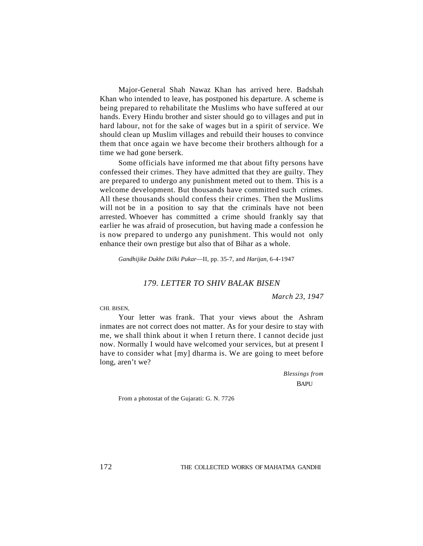Major-General Shah Nawaz Khan has arrived here. Badshah Khan who intended to leave, has postponed his departure. A scheme is being prepared to rehabilitate the Muslims who have suffered at our hands. Every Hindu brother and sister should go to villages and put in hard labour, not for the sake of wages but in a spirit of service. We should clean up Muslim villages and rebuild their houses to convince them that once again we have become their brothers although for a time we had gone berserk.

Some officials have informed me that about fifty persons have confessed their crimes. They have admitted that they are guilty. They are prepared to undergo any punishment meted out to them. This is a welcome development. But thousands have committed such crimes. All these thousands should confess their crimes. Then the Muslims will not be in a position to say that the criminals have not been arrested. Whoever has committed a crime should frankly say that earlier he was afraid of prosecution, but having made a confession he is now prepared to undergo any punishment. This would not only enhance their own prestige but also that of Bihar as a whole.

*Gandhijike Dukhe Dilki Pukar*—II, pp. 35-7, and *Harijan,* 6-4-1947

#### *179. LETTER TO SHIV BALAK BISEN*

*March 23, 1947*

CHI. BISEN,

Your letter was frank. That your views about the Ashram inmates are not correct does not matter. As for your desire to stay with me, we shall think about it when I return there. I cannot decide just now. Normally I would have welcomed your services, but at present I have to consider what [my] dharma is. We are going to meet before long, aren't we?

> *Blessings from* **BAPU**

From a photostat of the Gujarati: G. N. 7726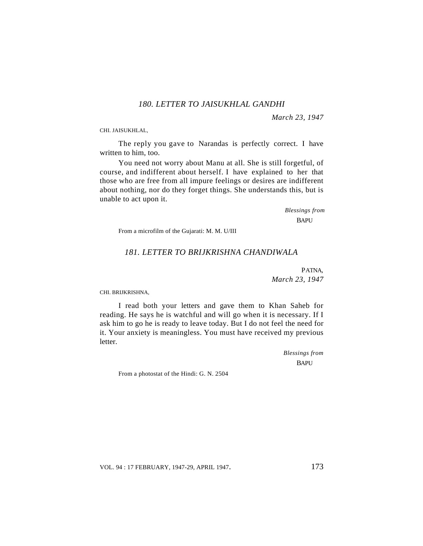*March 23, 1947*

CHI. JAISUKHLAL,

The reply you gave to Narandas is perfectly correct. I have written to him, too.

You need not worry about Manu at all. She is still forgetful, of course, and indifferent about herself. I have explained to her that those who are free from all impure feelings or desires are indifferent about nothing, nor do they forget things. She understands this, but is unable to act upon it.

> *Blessings from* **BAPU**

From a microfilm of the Gujarati: M. M. U/III

#### *181. LETTER TO BRIJKRISHNA CHANDIWALA*

PATNA, *March 23, 1947*

CHI. BRIJKRISHNA,

I read both your letters and gave them to Khan Saheb for reading. He says he is watchful and will go when it is necessary. If I ask him to go he is ready to leave today. But I do not feel the need for it. Your anxiety is meaningless. You must have received my previous **letter** 

> *Blessings from* BAPU

From a photostat of the Hindi: G. N. 2504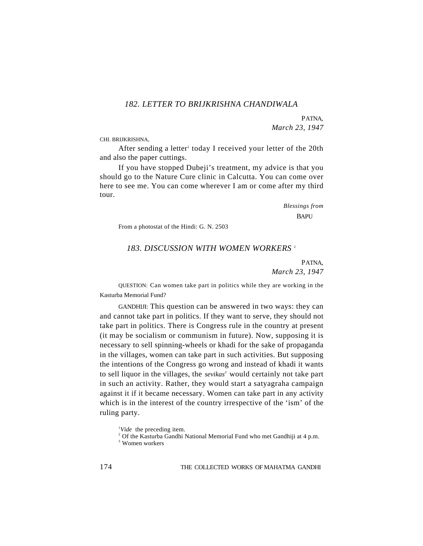**PATNA** *March 23, 1947*

CHI. BRIJKRISHNA,

After sending a letter<sup>1</sup> today I received your letter of the 20th and also the paper cuttings.

If you have stopped Dubeji's treatment, my advice is that you should go to the Nature Cure clinic in Calcutta. You can come over here to see me. You can come wherever I am or come after my third tour.

> *Blessings from* **BAPU**

From a photostat of the Hindi: G. N. 2503

#### *183. DISCUSSION WITH WOMEN WORKERS* <sup>2</sup>

PATNA, *March 23, 1947*

QUESTION: Can women take part in politics while they are working in the Kasturba Memorial Fund?

GANDHIJI: This question can be answered in two ways: they can and cannot take part in politics. If they want to serve, they should not take part in politics. There is Congress rule in the country at present (it may be socialism or communism in future). Now, supposing it is necessary to sell spinning-wheels or khadi for the sake of propaganda in the villages, women can take part in such activities. But supposing the intentions of the Congress go wrong and instead of khadi it wants to sell liquor in the villages, the *sevikas<sup>3</sup>* would certainly not take part in such an activity. Rather, they would start a satyagraha campaign against it if it became necessary. Women can take part in any activity which is in the interest of the country irrespective of the 'ism' of the ruling party.

<sup>1</sup>*Vide* the preceding item.

 $2$  Of the Kasturba Gandhi National Memorial Fund who met Gandhiji at 4 p.m.

<sup>3</sup> Women workers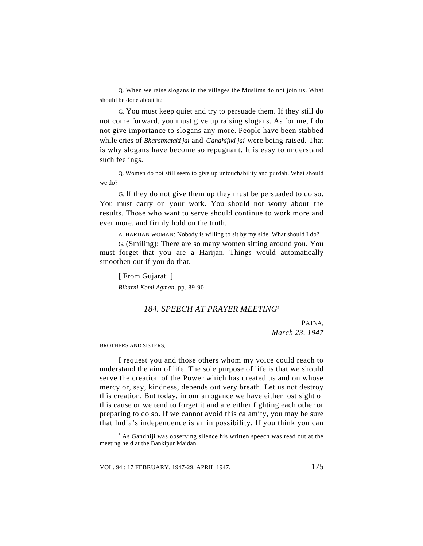Q. When we raise slogans in the villages the Muslims do not join us. What should be done about it?

G. You must keep quiet and try to persuade them. If they still do not come forward, you must give up raising slogans. As for me, I do not give importance to slogans any more. People have been stabbed while cries of *Bharatmataki jai* and *Gandhijiki jai* were being raised. That is why slogans have become so repugnant. It is easy to understand such feelings.

Q. Women do not still seem to give up untouchability and purdah. What should we do?

G. If they do not give them up they must be persuaded to do so. You must carry on your work. You should not worry about the results. Those who want to serve should continue to work more and ever more, and firmly hold on the truth.

A. HARIJAN WOMAN: Nobody is willing to sit by my side. What should I do?

G. (Smiling): There are so many women sitting around you. You must forget that you are a Harijan. Things would automatically smoothen out if you do that.

[ From Gujarati ] *Biharni Komi Agman*, pp. 89-90

# *184. SPEECH AT PRAYER MEETING<sup>1</sup>*

PATNA, *March 23, 1947*

BROTHERS AND SISTERS,

I request you and those others whom my voice could reach to understand the aim of life. The sole purpose of life is that we should serve the creation of the Power which has created us and on whose mercy or, say, kindness, depends out very breath. Let us not destroy this creation. But today, in our arrogance we have either lost sight of this cause or we tend to forget it and are either fighting each other or preparing to do so. If we cannot avoid this calamity, you may be sure that India's independence is an impossibility. If you think you can

<sup>1</sup> As Gandhiji was observing silence his written speech was read out at the meeting held at the Bankipur Maidan.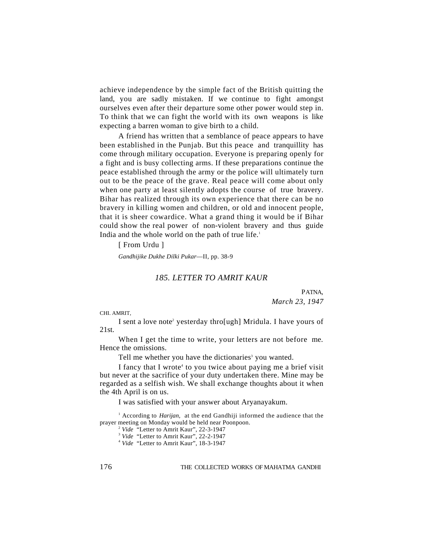achieve independence by the simple fact of the British quitting the land, you are sadly mistaken. If we continue to fight amongst ourselves even after their departure some other power would step in. To think that we can fight the world with its own weapons is like expecting a barren woman to give birth to a child.

A friend has written that a semblance of peace appears to have been established in the Punjab. But this peace and tranquillity has come through military occupation. Everyone is preparing openly for a fight and is busy collecting arms. If these preparations continue the peace established through the army or the police will ultimately turn out to be the peace of the grave. Real peace will come about only when one party at least silently adopts the course of true bravery. Bihar has realized through its own experience that there can be no bravery in killing women and children, or old and innocent people, that it is sheer cowardice. What a grand thing it would be if Bihar could show the real power of non-violent bravery and thus guide India and the whole world on the path of true life.<sup>1</sup>

[ From Urdu ]

*Gandhijike Dukhe Dilki Pukar*—II, pp. 38-9

# *185. LETTER TO AMRIT KAUR*

PATNA, *March 23, 1947*

CHI. AMRIT,

I sent a love note<sup>2</sup> yesterday thro[ugh] Mridula. I have yours of 21st.

When I get the time to write, your letters are not before me. Hence the omissions.

Tell me whether you have the dictionaries<sup>3</sup> you wanted.

I fancy that I wrote<sup>4</sup> to you twice about paying me a brief visit but never at the sacrifice of your duty undertaken there. Mine may be regarded as a selfish wish. We shall exchange thoughts about it when the 4th April is on us.

I was satisfied with your answer about Aryanayakum.

<sup>1</sup> According to *Harijan*, at the end Gandhiji informed the audience that the prayer meeting on Monday would be held near Poonpoon.

<sup>2</sup> *Vide* "Letter to Amrit Kaur", 22-3-1947

<sup>3</sup> *Vide* "Letter to Amrit Kaur", 22-2-1947

<sup>4</sup> *Vide* "Letter to Amrit Kaur", 18-3-1947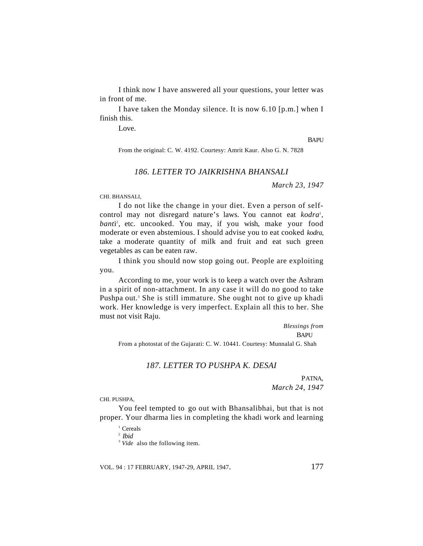I think now I have answered all your questions, your letter was in front of me.

I have taken the Monday silence. It is now 6.10 [p.m.] when I finish this.

Love.

**BAPU** 

From the original: C. W. 4192. Courtesy: Amrit Kaur. Also G. N. 7828

### *186. LETTER TO JAIKRISHNA BHANSALI*

*March 23, 1947*

CHI. BHANSALI,

I do not like the change in your diet. Even a person of selfcontrol may not disregard nature's laws. You cannot eat *kodra*<sup>1</sup>, banti<sup>2</sup>, etc. uncooked. You may, if you wish, make your food moderate or even abstemious. I should advise you to eat cooked *kodra,* take a moderate quantity of milk and fruit and eat such green vegetables as can be eaten raw.

I think you should now stop going out. People are exploiting you.

According to me, your work is to keep a watch over the Ashram in a spirit of non-attachment. In any case it will do no good to take Pushpa out.<sup>3</sup> She is still immature. She ought not to give up khadi work. Her knowledge is very imperfect. Explain all this to her. She must not visit Raju.

> *Blessings from* **BAPU**

From a photostat of the Gujarati: C. W. 10441. Courtesy: Munnalal G. Shah

# *187. LETTER TO PUSHPA K. DESAI*

PATNA, *March 24, 1947*

CHI. PUSHPA,

You feel tempted to go out with Bhansalibhai, but that is not proper. Your dharma lies in completing the khadi work and learning

<sup>1</sup> Cereals 2 *Ibid* <sup>3</sup> *Vide* also the following item.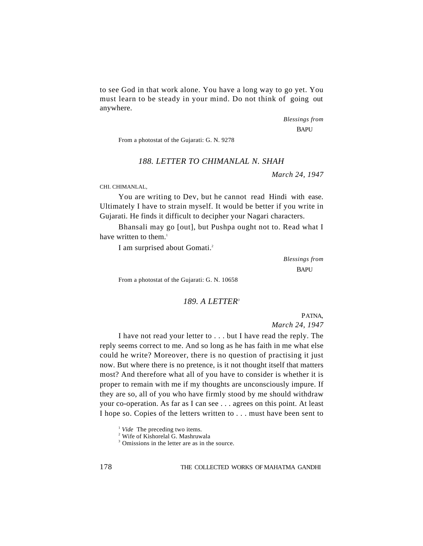to see God in that work alone. You have a long way to go yet. You must learn to be steady in your mind. Do not think of going out anywhere.

> *Blessings from* BAPU

From a photostat of the Gujarati: G. N. 9278

#### *188. LETTER TO CHIMANLAL N. SHAH*

*March 24, 1947*

CHI. CHIMANLAL,

You are writing to Dev, but he cannot read Hindi with ease. Ultimately I have to strain myself. It would be better if you write in Gujarati. He finds it difficult to decipher your Nagari characters.

Bhansali may go [out], but Pushpa ought not to. Read what I have written to them.<sup>1</sup>

I am surprised about Gomati.<sup>2</sup>

*Blessings from* **BAPU** 

From a photostat of the Gujarati: G. N. 10658

#### *189. A LETTER<sup>3</sup>*

PATNA, *March 24, 1947*

I have not read your letter to . . . but I have read the reply. The reply seems correct to me. And so long as he has faith in me what else could he write? Moreover, there is no question of practising it just now. But where there is no pretence, is it not thought itself that matters most? And therefore what all of you have to consider is whether it is proper to remain with me if my thoughts are unconsciously impure. If they are so, all of you who have firmly stood by me should withdraw your co-operation. As far as I can see . . . agrees on this point. At least I hope so. Copies of the letters written to . . . must have been sent to

<sup>&</sup>lt;sup>1</sup> *Vide* The preceding two items.

<sup>&</sup>lt;sup>2</sup> Wife of Kishorelal G. Mashruwala

<sup>&</sup>lt;sup>3</sup> Omissions in the letter are as in the source.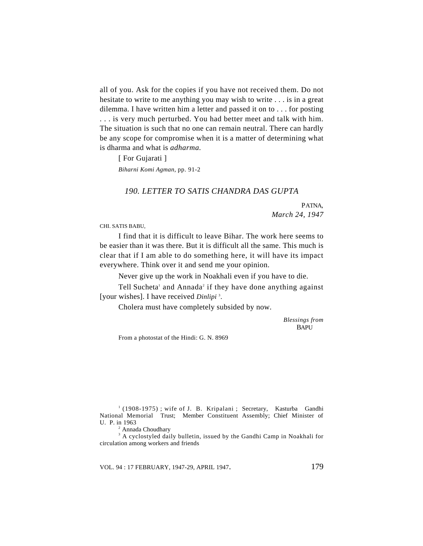all of you. Ask for the copies if you have not received them. Do not hesitate to write to me anything you may wish to write . . . is in a great dilemma. I have written him a letter and passed it on to . . . for posting . . . is very much perturbed. You had better meet and talk with him. The situation is such that no one can remain neutral. There can hardly be any scope for compromise when it is a matter of determining what is dharma and what is *adharma.*

[ For Gujarati ] *Biharni Komi Agman,* pp. 91-2

### *190. LETTER TO SATIS CHANDRA DAS GUPTA*

PATNA, *March 24, 1947*

CHI. SATIS BABU,

I find that it is difficult to leave Bihar. The work here seems to be easier than it was there. But it is difficult all the same. This much is clear that if I am able to do something here, it will have its impact everywhere. Think over it and send me your opinion.

Never give up the work in Noakhali even if you have to die.

Tell Sucheta<sup>1</sup> and Annada<sup>2</sup> if they have done anything against [your wishes]. I have received *Dinlipi* <sup>3</sup> *.*

Cholera must have completely subsided by now.

*Blessings from* **BAPU** 

From a photostat of the Hindi: G. N. 8969

<sup>1</sup> (1908-1975); wife of J. B. Kripalani; Secretary, Kasturba Gandhi National Memorial Trust; Member Constituent Assembly; Chief Minister of U. P. in 1963

2 Annada Choudhary

<sup>3</sup> A cyclostyled daily bulletin, issued by the Gandhi Camp in Noakhali for circulation among workers and friends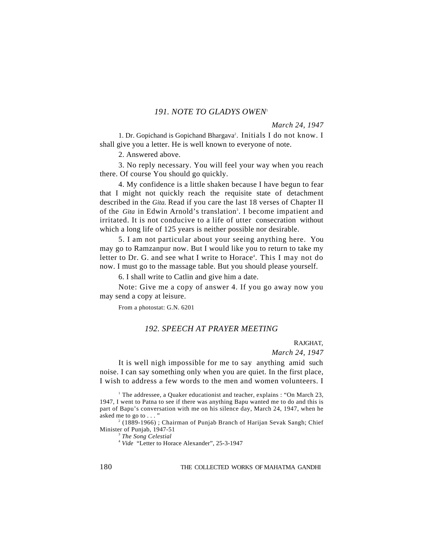#### *191. NOTE TO GLADYS OWEN*<sup>1</sup>

*March 24, 1947*

1. Dr. Gopichand is Gopichand Bhargava<sup>2</sup>. Initials I do not know. I shall give you a letter. He is well known to everyone of note.

2. Answered above.

3. No reply necessary. You will feel your way when you reach there. Of course You should go quickly.

4. My confidence is a little shaken because I have begun to fear that I might not quickly reach the requisite state of detachment described in the *Gita.* Read if you care the last 18 verses of Chapter II of the *Gita* in Edwin Arnold's translation<sup>3</sup>. I become impatient and irritated. It is not conducive to a life of utter consecration without which a long life of 125 years is neither possible nor desirable.

5. I am not particular about your seeing anything here. You may go to Ramzanpur now. But I would like you to return to take my letter to Dr. G. and see what I write to Horace<sup>4</sup>. This I may not do now. I must go to the massage table. But you should please yourself.

6. I shall write to Catlin and give him a date.

Note: Give me a copy of answer 4. If you go away now you may send a copy at leisure.

From a photostat: G.N. 6201

#### *192. SPEECH AT PRAYER MEETING*

RAJGHAT, *March 24, 1947*

It is well nigh impossible for me to say anything amid such noise. I can say something only when you are quiet. In the first place, I wish to address a few words to the men and women volunteers. I

<sup>1</sup> The addressee, a Quaker educationist and teacher, explains : "On March 23, 1947, I went to Patna to see if there was anything Bapu wanted me to do and this is part of Bapu's conversation with me on his silence day, March 24, 1947, when he asked me to go to . . . "

 $2(1889-1966)$ ; Chairman of Punjab Branch of Harijan Sevak Sangh; Chief Minister of Punjab, 1947-51

3 *The Song Celestial*

<sup>4</sup> *Vide* "Letter to Horace Alexander", 25-3-1947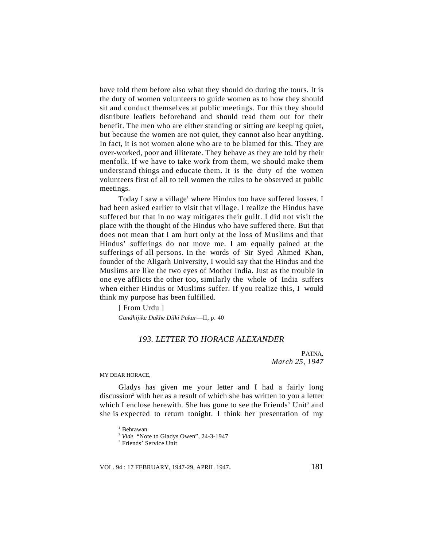have told them before also what they should do during the tours. It is the duty of women volunteers to guide women as to how they should sit and conduct themselves at public meetings. For this they should distribute leaflets beforehand and should read them out for their benefit. The men who are either standing or sitting are keeping quiet, but because the women are not quiet, they cannot also hear anything. In fact, it is not women alone who are to be blamed for this. They are over-worked, poor and illiterate. They behave as they are told by their menfolk. If we have to take work from them, we should make them understand things and educate them. It is the duty of the women volunteers first of all to tell women the rules to be observed at public meetings.

Today I saw a village<sup>1</sup> where Hindus too have suffered losses. I had been asked earlier to visit that village. I realize the Hindus have suffered but that in no way mitigates their guilt. I did not visit the place with the thought of the Hindus who have suffered there. But that does not mean that I am hurt only at the loss of Muslims and that Hindus' sufferings do not move me. I am equally pained at the sufferings of all persons. In the words of Sir Syed Ahmed Khan, founder of the Aligarh University, I would say that the Hindus and the Muslims are like the two eyes of Mother India. Just as the trouble in one eye afflicts the other too, similarly the whole of India suffers when either Hindus or Muslims suffer. If you realize this, I would think my purpose has been fulfilled.

[ From Urdu ] *Gandhijike Dukhe Dilki Pukar*—II, p. 40

## *193. LETTER TO HORACE ALEXANDER*

PATNA, *March 25, 1947*

MY DEAR HORACE,

Gladys has given me your letter and I had a fairly long discussion<sup>2</sup> with her as a result of which she has written to you a letter which I enclose herewith. She has gone to see the Friends' Unit<sup>3</sup> and she is expected to return tonight. I think her presentation of my

1 Behrawan <sup>2</sup> *Vide* "Note to Gladys Owen", 24-3-1947 <sup>3</sup> Friends' Service Unit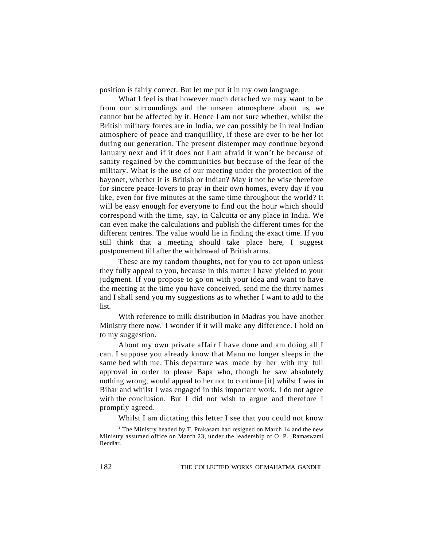position is fairly correct. But let me put it in my own language.

What I feel is that however much detached we may want to be from our surroundings and the unseen atmosphere about us, we cannot but be affected by it. Hence I am not sure whether, whilst the British military forces are in India, we can possibly be in real Indian atmosphere of peace and tranquillity, if these are ever to be her lot during our generation. The present distemper may continue beyond January next and if it does not I am afraid it won't be because of sanity regained by the communities but because of the fear of the military. What is the use of our meeting under the protection of the bayonet, whether it is British or Indian? May it not be wise therefore for sincere peace-lovers to pray in their own homes, every day if you like, even for five minutes at the same time throughout the world? It will be easy enough for everyone to find out the hour which should correspond with the time, say, in Calcutta or any place in India. We can even make the calculations and publish the different times for the different centres. The value would lie in finding the exact time. If you still think that a meeting should take place here, I suggest postponement till after the withdrawal of British arms.

These are my random thoughts, not for you to act upon unless they fully appeal to you, because in this matter I have yielded to your judgment. If you propose to go on with your idea and want to have the meeting at the time you have conceived, send me the thirty names and I shall send you my suggestions as to whether I want to add to the list.

With reference to milk distribution in Madras you have another Ministry there now.<sup>1</sup> I wonder if it will make any difference. I hold on to my suggestion.

About my own private affair I have done and am doing all I can. I suppose you already know that Manu no longer sleeps in the same bed with me. This departure was made by her with my full approval in order to please Bapa who, though he saw absolutely nothing wrong, would appeal to her not to continue [it] whilst I was in Bihar and whilst I was engaged in this important work. I do not agree with the conclusion. But I did not wish to argue and therefore I promptly agreed.

Whilst I am dictating this letter I see that you could not know

<sup>1</sup> The Ministry headed by T. Prakasam had resigned on March 14 and the new Ministry assumed office on March 23, under the leadership of O. P. Ramaswami Reddiar.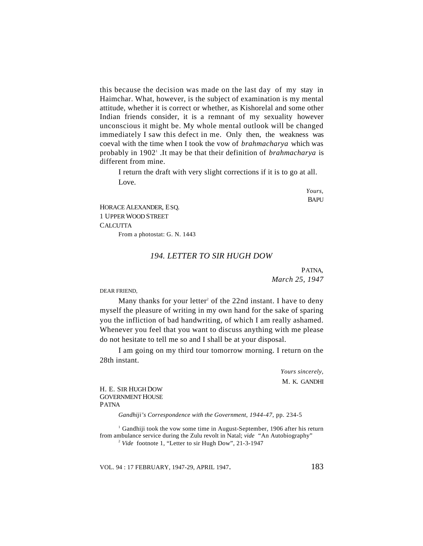this because the decision was made on the last day of my stay in Haimchar. What, however, is the subject of examination is my mental attitude, whether it is correct or whether, as Kishorelal and some other Indian friends consider, it is a remnant of my sexuality however unconscious it might be. My whole mental outlook will be changed immediately I saw this defect in me. Only then, the weakness was coeval with the time when I took the vow of *brahmacharya* which was probably in 1902<sup>1</sup>. It may be that their definition of *brahmacharya* is different from mine.

I return the draft with very slight corrections if it is to go at all.  $\overline{L}$  ove.

> *Yours,* **BAPU**

HORACE ALEXANDER, ESQ. 1 UPPER WOOD STREET **CALCUTTA** From a photostat: G. N. 1443

### *194. LETTER TO SIR HUGH DOW*

PATNA, *March 25, 1947*

DEAR FRIEND,

Many thanks for your letter<sup>2</sup> of the 22nd instant. I have to deny myself the pleasure of writing in my own hand for the sake of sparing you the infliction of bad handwriting, of which I am really ashamed. Whenever you feel that you want to discuss anything with me please do not hesitate to tell me so and I shall be at your disposal.

I am going on my third tour tomorrow morning. I return on the 28th instant.

> *Yours sincerely,* M. K. GANDHI

H. E. SIR HUGH DOW GOVERNMENT HOUSE PATNA

*Gandhiji's Correspondence with the Government*, *1944-47*, pp. 234-5

<sup>1</sup> Gandhiji took the vow some time in August-September, 1906 after his return from ambulance service during the Zulu revolt in Natal; *vide* "An Autobiography" <sup>2</sup> *Vide* footnote 1, "Letter to sir Hugh Dow", 21-3-1947

VOL. 94 : 17 FEBRUARY, 1947-29, APRIL 1947. 183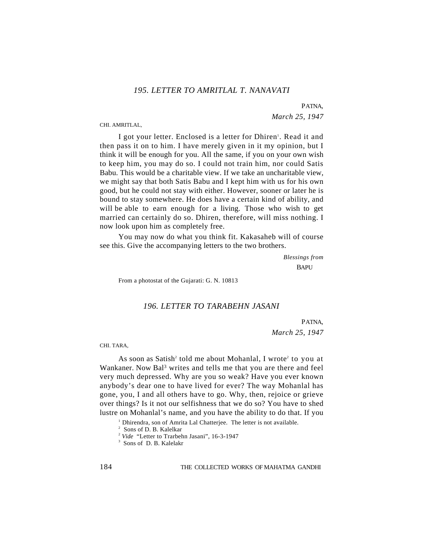## *195. LETTER TO AMRITLAL T. NANAVATI*

PATNA, *March 25, 1947*

CHI. AMRITLAL,

I got your letter. Enclosed is a letter for Dhiren<sup>1</sup>. Read it and then pass it on to him. I have merely given in it my opinion, but I think it will be enough for you. All the same, if you on your own wish to keep him, you may do so. I could not train him, nor could Satis Babu. This would be a charitable view. If we take an uncharitable view, we might say that both Satis Babu and I kept him with us for his own good, but he could not stay with either. However, sooner or later he is bound to stay somewhere. He does have a certain kind of ability, and will be able to earn enough for a living. Those who wish to get married can certainly do so. Dhiren, therefore, will miss nothing. I now look upon him as completely free.

You may now do what you think fit. Kakasaheb will of course see this. Give the accompanying letters to the two brothers.

> *Blessings from* **BAPU**

From a photostat of the Gujarati: G. N. 10813

### *196. LETTER TO TARABEHN JASANI*

PATNA, *March 25, 1947*

CHI. TARA,

As soon as Satish<sup>2</sup> told me about Mohanlal, I wrote<sup>2</sup> to you at Wankaner. Now Bal<sup>3</sup> writes and tells me that you are there and feel very much depressed. Why are you so weak? Have you ever known anybody's dear one to have lived for ever? The way Mohanlal has gone, you, I and all others have to go. Why, then, rejoice or grieve over things? Is it not our selfishness that we do so? You have to shed lustre on Mohanlal's name, and you have the ability to do that. If you

<sup>&</sup>lt;sup>1</sup> Dhirendra, son of Amrita Lal Chatterjee. The letter is not available.

<sup>2</sup> Sons of D. B. Kalelkar

<sup>2</sup> *Vide* "Letter to Trarbehn Jasani", 16-3-1947

<sup>&</sup>lt;sup>3</sup> Sons of D. B. Kalelakr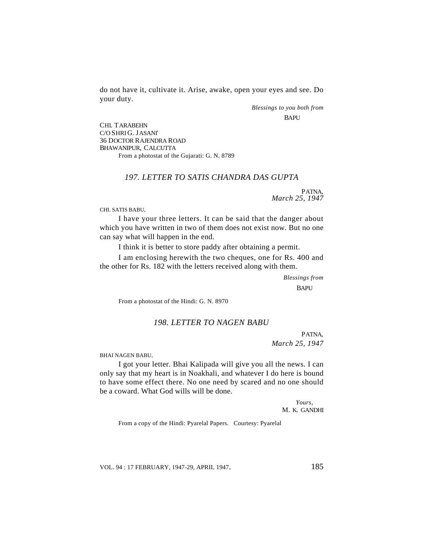do not have it, cultivate it. Arise, awake, open your eyes and see. Do your duty.

> *Blessings to you both from* BAPU

CHI. TARABEHN C/O SHRI G. JASANI' 36 DOCTOR RAJENDRA ROAD BHAWANIPUR, CALCUTTA From a photostat of the Gujarati: G. N. 8789

## *197. LETTER TO SATIS CHANDRA DAS GUPTA*

PATNA, *March 25, 1947*

CHI. SATIS BABU,

I have your three letters. It can be said that the danger about which you have written in two of them does not exist now. But no one can say what will happen in the end.

I think it is better to store paddy after obtaining a permit.

I am enclosing herewith the two cheques, one for Rs. 400 and the other for Rs. 182 with the letters received along with them.

*Blessings from*

**BAPU** 

From a photostat of the Hindi: G. N. 8970

## *198. LETTER TO NAGEN BABU*

PATNA, *March 25, 1947*

BHAI NAGEN BABU,

I got your letter. Bhai Kalipada will give you all the news. I can only say that my heart is in Noakhali, and whatever I do here is bound to have some effect there. No one need by scared and no one should be a coward. What God wills will be done.

> *Yours,* M. K. GANDHI

From a copy of the Hindi: Pyarelal Papers. Courtesy: Pyarelal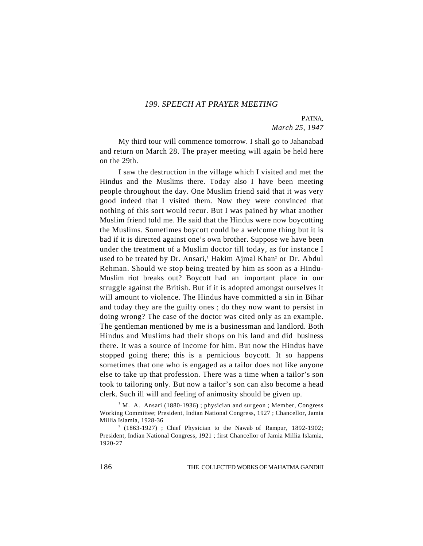### *199. SPEECH AT PRAYER MEETING*

**PATNA** *March 25, 1947*

My third tour will commence tomorrow. I shall go to Jahanabad and return on March 28. The prayer meeting will again be held here on the 29th.

I saw the destruction in the village which I visited and met the Hindus and the Muslims there. Today also I have been meeting people throughout the day. One Muslim friend said that it was very good indeed that I visited them. Now they were convinced that nothing of this sort would recur. But I was pained by what another Muslim friend told me. He said that the Hindus were now boycotting the Muslims. Sometimes boycott could be a welcome thing but it is bad if it is directed against one's own brother. Suppose we have been under the treatment of a Muslim doctor till today, as for instance I used to be treated by Dr. Ansari, 'Hakim Ajmal Khan<sup>2</sup> or Dr. Abdul Rehman. Should we stop being treated by him as soon as a Hindu-Muslim riot breaks out? Boycott had an important place in our struggle against the British. But if it is adopted amongst ourselves it will amount to violence. The Hindus have committed a sin in Bihar and today they are the guilty ones ; do they now want to persist in doing wrong? The case of the doctor was cited only as an example. The gentleman mentioned by me is a businessman and landlord. Both Hindus and Muslims had their shops on his land and did business there. It was a source of income for him. But now the Hindus have stopped going there; this is a pernicious boycott. It so happens sometimes that one who is engaged as a tailor does not like anyone else to take up that profession. There was a time when a tailor's son took to tailoring only. But now a tailor's son can also become a head clerk. Such ill will and feeling of animosity should be given up.

<sup>&</sup>lt;sup>1</sup> M. A. Ansari (1880-1936); physician and surgeon; Member, Congress Working Committee; President, Indian National Congress, 1927 ; Chancellor, Jamia Millia Islamia, 1928-36

 $2(1863-1927)$ ; Chief Physician to the Nawab of Rampur, 1892-1902; President, Indian National Congress, 1921 ; first Chancellor of Jamia Millia Islamia, 1920-27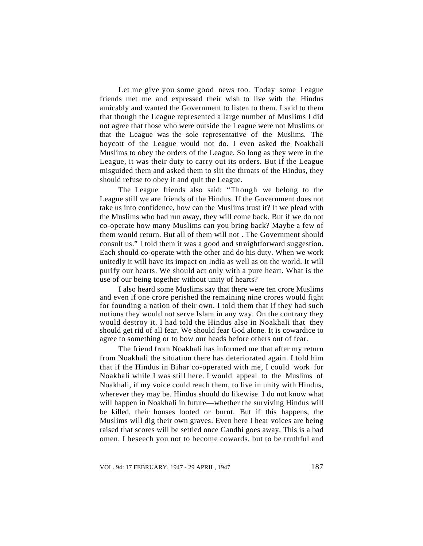Let me give you some good news too. Today some League friends met me and expressed their wish to live with the Hindus amicably and wanted the Government to listen to them. I said to them that though the League represented a large number of Muslims I did not agree that those who were outside the League were not Muslims or that the League was the sole representative of the Muslims. The boycott of the League would not do. I even asked the Noakhali Muslims to obey the orders of the League. So long as they were in the League, it was their duty to carry out its orders. But if the League misguided them and asked them to slit the throats of the Hindus, they should refuse to obey it and quit the League.

The League friends also said: "Though we belong to the League still we are friends of the Hindus. If the Government does not take us into confidence, how can the Muslims trust it? It we plead with the Muslims who had run away, they will come back. But if we do not co-operate how many Muslims can you bring back? Maybe a few of them would return. But all of them will not . The Government should consult us." I told them it was a good and straightforward suggestion. Each should co-operate with the other and do his duty. When we work unitedly it will have its impact on India as well as on the world. It will purify our hearts. We should act only with a pure heart. What is the use of our being together without unity of hearts?

I also heard some Muslims say that there were ten crore Muslims and even if one crore perished the remaining nine crores would fight for founding a nation of their own. I told them that if they had such notions they would not serve Islam in any way. On the contrary they would destroy it. I had told the Hindus also in Noakhali that they should get rid of all fear. We should fear God alone. It is cowardice to agree to something or to bow our heads before others out of fear.

The friend from Noakhali has informed me that after my return from Noakhali the situation there has deteriorated again. I told him that if the Hindus in Bihar co-operated with me, I could work for Noakhali while I was still here. I would appeal to the Muslims of Noakhali, if my voice could reach them, to live in unity with Hindus, wherever they may be. Hindus should do likewise. I do not know what will happen in Noakhali in future—whether the surviving Hindus will be killed, their houses looted or burnt. But if this happens, the Muslims will dig their own graves. Even here I hear voices are being raised that scores will be settled once Gandhi goes away. This is a bad omen. I beseech you not to become cowards, but to be truthful and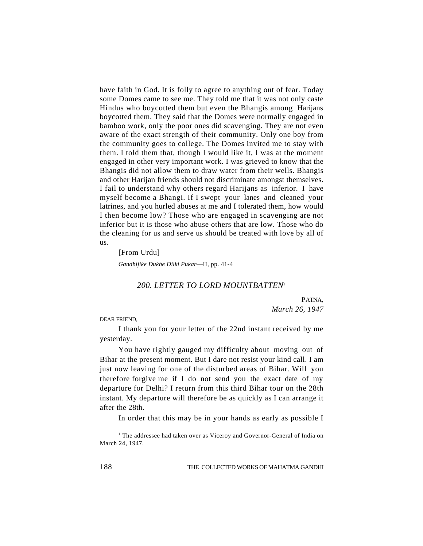have faith in God. It is folly to agree to anything out of fear. Today some Domes came to see me. They told me that it was not only caste Hindus who boycotted them but even the Bhangis among Harijans boycotted them. They said that the Domes were normally engaged in bamboo work, only the poor ones did scavenging. They are not even aware of the exact strength of their community. Only one boy from the community goes to college. The Domes invited me to stay with them. I told them that, though I would like it, I was at the moment engaged in other very important work. I was grieved to know that the Bhangis did not allow them to draw water from their wells. Bhangis and other Harijan friends should not discriminate amongst themselves. I fail to understand why others regard Harijans as inferior. I have myself become a Bhangi. If I swept your lanes and cleaned your latrines, and you hurled abuses at me and I tolerated them, how would I then become low? Those who are engaged in scavenging are not inferior but it is those who abuse others that are low. Those who do the cleaning for us and serve us should be treated with love by all of us.

[From Urdu]

*Gandhijike Dukhe Dilki Pukar*—II, pp. 41-4

## *200. LETTER TO LORD MOUNTBATTEN*<sup>1</sup>

PATNA, *March 26, 1947*

DEAR FRIEND,

I thank you for your letter of the 22nd instant received by me yesterday.

You have rightly gauged my difficulty about moving out of Bihar at the present moment. But I dare not resist your kind call. I am just now leaving for one of the disturbed areas of Bihar. Will you therefore forgive me if I do not send you the exact date of my departure for Delhi? I return from this third Bihar tour on the 28th instant. My departure will therefore be as quickly as I can arrange it after the 28th.

In order that this may be in your hands as early as possible I

<sup>1</sup> The addressee had taken over as Viceroy and Governor-General of India on March 24, 1947.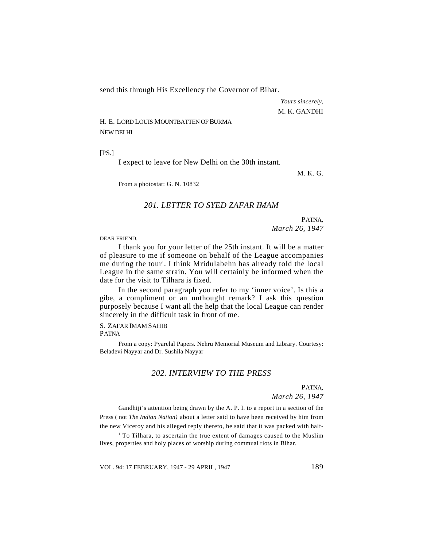send this through His Excellency the Governor of Bihar.

*Yours sincerely,* M. K. GANDHI

### H. E. LORD LOUIS MOUNTBATTEN OF BURMA

NEW DELHI

 $[PS.]$ 

I expect to leave for New Delhi on the 30th instant.

M. K. G.

From a photostat: G. N. 10832

## *201. LETTER TO SYED ZAFAR IMAM*

PATNA, *March 26, 1947*

DEAR FRIEND,

I thank you for your letter of the 25th instant. It will be a matter of pleasure to me if someone on behalf of the League accompanies me during the tour<sup>1</sup>. I think Mridulabehn has already told the local League in the same strain. You will certainly be informed when the date for the visit to Tilhara is fixed.

In the second paragraph you refer to my 'inner voice'. Is this a gibe, a compliment or an unthought remark? I ask this question purposely because I want all the help that the local League can render sincerely in the difficult task in front of me.

#### S. ZAFAR IMAM SAHIB PATNA

From a copy: Pyarelal Papers. Nehru Memorial Museum and Library. Courtesy: Beladevi Nayyar and Dr. Sushila Nayyar

## *202. INTERVIEW TO THE PRESS*

PATNA, *March 26, 1947*

Gandhiji's attention being drawn by the A. P. I. to a report in a section of the Press ( not *The Indian Nation)* about a letter said to have been received by him from the new Viceroy and his alleged reply thereto, he said that it was packed with half-

<sup>1</sup> To Tilhara, to ascertain the true extent of damages caused to the Muslim lives, properties and holy places of worship during commual riots in Bihar.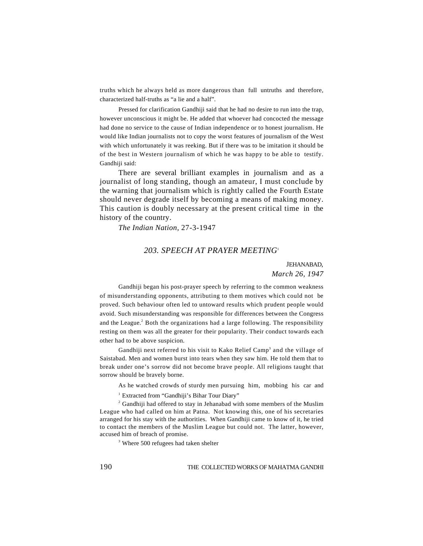truths which he always held as more dangerous than full untruths and therefore, characterized half-truths as "a lie and a half".

Pressed for clarification Gandhiji said that he had no desire to run into the trap, however unconscious it might be. He added that whoever had concocted the message had done no service to the cause of Indian independence or to honest journalism. He would like Indian journalists not to copy the worst features of journalism of the West with which unfortunately it was reeking. But if there was to be imitation it should be of the best in Western journalism of which he was happy to be able to testify. Gandhiji said:

There are several brilliant examples in journalism and as a journalist of long standing, though an amateur, I must conclude by the warning that journalism which is rightly called the Fourth Estate should never degrade itself by becoming a means of making money. This caution is doubly necessary at the present critical time in the history of the country.

*The Indian Nation,* 27-3-1947

## *203. SPEECH AT PRAYER MEETING*<sup>1</sup>

JEHANABAD, *March 26, 1947*

Gandhiji began his post-prayer speech by referring to the common weakness of misunderstanding opponents, attributing to them motives which could not be proved. Such behaviour often led to untoward results which prudent people would avoid. Such misunderstanding was responsible for differences between the Congress and the League.<sup>2</sup> Both the organizations had a large following. The responsibility resting on them was all the greater for their popularity. Their conduct towards each other had to be above suspicion.

Gandhiji next referred to his visit to Kako Relief Camp<sup>3</sup> and the village of Saistabad. Men and women burst into tears when they saw him. He told them that to break under one's sorrow did not become brave people. All religions taught that sorrow should be bravely borne.

As he watched crowds of sturdy men pursuing him, mobbing his car and

<sup>1</sup> Extracted from "Gandhiji's Bihar Tour Diary"

 $2^2$  Gandhiji had offered to stay in Jehanabad with some members of the Muslim League who had called on him at Patna. Not knowing this, one of his secretaries arranged for his stay with the authorities. When Gandhiji came to know of it, he tried to contact the members of the Muslim League but could not. The latter, however, accused him of breach of promise.

<sup>3</sup> Where 500 refugees had taken shelter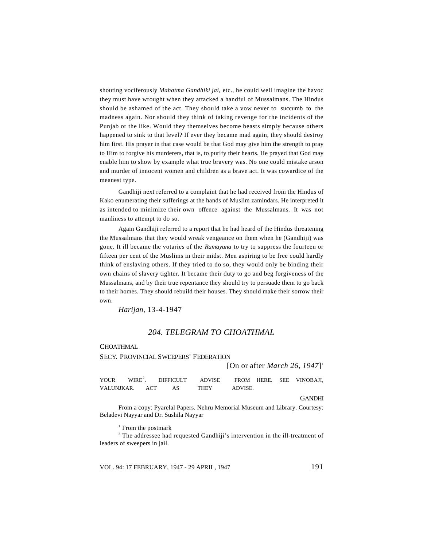shouting vociferously *Mahatma Gandhiki jai,* etc., he could well imagine the havoc they must have wrought when they attacked a handful of Mussalmans. The Hindus should be ashamed of the act. They should take a vow never to succumb to the madness again. Nor should they think of taking revenge for the incidents of the Punjab or the like. Would they themselves become beasts simply because others happened to sink to that level? If ever they became mad again, they should destroy him first. His prayer in that case would be that God may give him the strength to pray to Him to forgive his murderers, that is, to purify their hearts. He prayed that God may enable him to show by example what true bravery was. No one could mistake arson and murder of innocent women and children as a brave act. It was cowardice of the meanest type.

Gandhiji next referred to a complaint that he had received from the Hindus of Kako enumerating their sufferings at the hands of Muslim zamindars. He interpreted it as intended to minimize their own offence against the Mussalmans. It was not manliness to attempt to do so.

Again Gandhiji referred to a report that he had heard of the Hindus threatening the Mussalmans that they would wreak vengeance on them when he (Gandhiji) was gone. It ill became the votaries of the *Ramayana* to try to suppress the fourteen or fifteen per cent of the Muslims in their midst. Men aspiring to be free could hardly think of enslaving others. If they tried to do so, they would only be binding their own chains of slavery tighter. It became their duty to go and beg forgiveness of the Mussalmans, and by their true repentance they should try to persuade them to go back to their homes. They should rebuild their houses. They should make their sorrow their own.

*Harijan,* 13-4-1947

## *204. TELEGRAM TO CHOATHMAL*

CHOATHMAL

SECY. PROVINCIAL SWEEPERS' FEDERATION

[On or after *March 26, 1947*] 1

YOUR WIRE<sup>2</sup>. . DIFFICULT ADVISE FROM HERE. SEE VINOBAJI, VALUNJKAR. ACT AS THEY ADVISE.

**GANDHI** 

From a copy: Pyarelal Papers. Nehru Memorial Museum and Library. Courtesy: Beladevi Nayyar and Dr. Sushila Nayyar

<sup>1</sup> From the postmark

<sup>2</sup> The addressee had requested Gandhiji's intervention in the ill-treatment of leaders of sweepers in jail.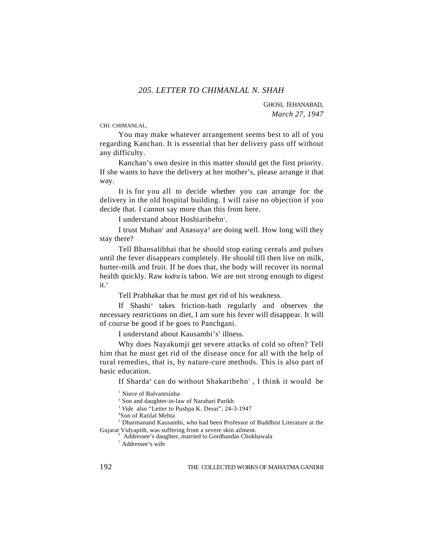## *205. LETTER TO CHIMANLAL N. SHAH*

GHOSI, JEHANABAD, *March 27, 1947*

CHI. CHIMANLAL,

You may make whatever arrangement seems best to all of you regarding Kanchan. It is essential that her delivery pass off without any difficulty.

Kanchan's own desire in this matter should get the first priority. If she wants to have the delivery at her mother's, please arrange it that way.

It is for you all to decide whether you can arrange for the delivery in the old hospital building. I will raise no objection if you decide that. I cannot say more than this from here.

I understand about Hoshiaribehn<sup>1</sup>.

I trust Mohan<sup>2</sup> and Anasuya<sup>3</sup> are doing well. How long will they stay there?

Tell Bhansalibhai that he should stop eating cereals and pulses until the fever disappears completely. He should till then live on milk, butter-milk and fruit. If he does that, the body will recover its normal health quickly. Raw *kodra* is taboo. We are not strong enough to digest  $it<sup>3</sup>$ 

Tell Prabhakar that he must get rid of his weakness.

If Shashi<sup>4</sup> takes friction-bath regularly and observes the necessary restrictions on diet, I am sure his fever will disappear. It will of course be good if he goes to Panchgani.

I understand about Kausambi's<sup>5</sup> illness.

Why does Nayakumji get severe attacks of cold so often? Tell him that he must get rid of the disease once for all with the help of rural remedies, that is, by nature-cure methods. This is also part of basic education.

If Sharda<sup>6</sup> can do without Shakaribehn<sup>7</sup>, I think it would be

<sup>1</sup> Niece of Balvantsinha

<sup>2</sup> Son and daughter-in-law of Narahari Parikh

<sup>3</sup> *Vide* also "Letter to Pushpa K. Desai", 24-3-1947

4 Son of Ratilal Mehta

5 Dharmanand Kausambi, who had been Professor of Buddhist Literature at the Gujarat Vidyapith, was suffering from a severe skin ailment.

6 Addressee's daughter, married to Gordhandas Chokhawala

7 Addressee's wife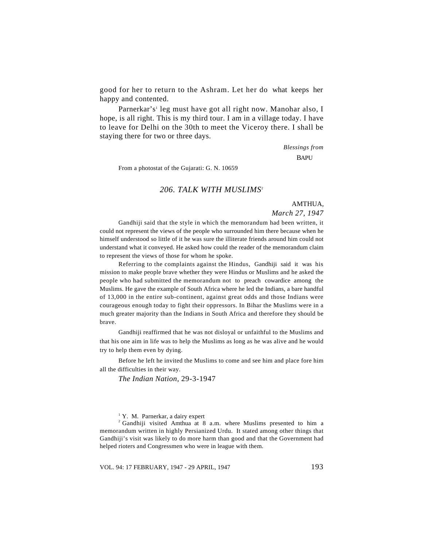good for her to return to the Ashram. Let her do what keeps her happy and contented.

Parnerkar's' leg must have got all right now. Manohar also, I hope, is all right. This is my third tour. I am in a village today. I have to leave for Delhi on the 30th to meet the Viceroy there. I shall be staying there for two or three days.

> *Blessings from* **BAPU**

From a photostat of the Gujarati: G. N. 10659

## *206. TALK WITH MUSLIMS*<sup>2</sup>

## AMTHUA, *March 27, 1947*

Gandhiji said that the style in which the memorandum had been written, it could not represent the views of the people who surrounded him there because when he himself understood so little of it he was sure the illiterate friends around him could not understand what it conveyed. He asked how could the reader of the memorandum claim to represent the views of those for whom he spoke.

Referring to the complaints against the Hindus, Gandhiji said it was his mission to make people brave whether they were Hindus or Muslims and he asked the people who had submitted the memorandum not to preach cowardice among the Muslims. He gave the example of South Africa where he led the Indians, a bare handful of 13,000 in the entire sub-continent, against great odds and those Indians were courageous enough today to fight their oppressors. In Bihar the Muslims were in a much greater majority than the Indians in South Africa and therefore they should be brave.

Gandhiji reaffirmed that he was not disloyal or unfaithful to the Muslims and that his one aim in life was to help the Muslims as long as he was alive and he would try to help them even by dying.

Before he left he invited the Muslims to come and see him and place fore him all the difficulties in their way.

*The Indian Nation,* 29-3-1947

<sup>1</sup> Y. M. Parnerkar, a dairy expert

<sup>2</sup> Gandhiji visited Amthua at 8 a.m. where Muslims presented to him a memorandum written in highly Persianized Urdu. It stated among other things that Gandhiji's visit was likely to do more harm than good and that the Government had helped rioters and Congressmen who were in league with them.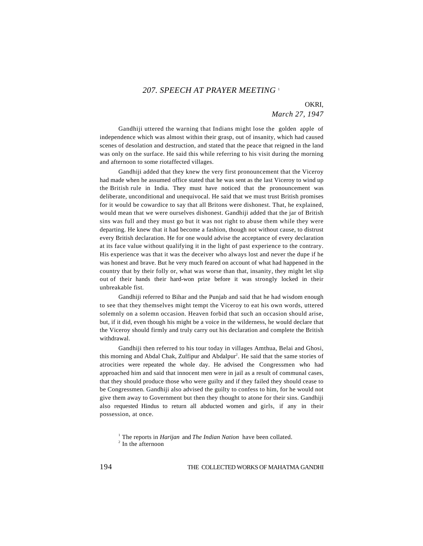## *207. SPEECH AT PRAYER MEETING* <sup>1</sup>

## OKRI, *March 27, 1947*

Gandhiji uttered the warning that Indians might lose the golden apple of independence which was almost within their grasp, out of insanity, which had caused scenes of desolation and destruction, and stated that the peace that reigned in the land was only on the surface. He said this while referring to his visit during the morning and afternoon to some riotaffected villages.

Gandhiji added that they knew the very first pronouncement that the Viceroy had made when he assumed office stated that he was sent as the last Viceroy to wind up the British rule in India. They must have noticed that the pronouncement was deliberate, unconditional and unequivocal. He said that we must trust British promises for it would be cowardice to say that all Britons were dishonest. That, he explained, would mean that we were ourselves dishonest. Gandhiji added that the jar of British sins was full and they must go but it was not right to abuse them while they were departing. He knew that it had become a fashion, though not without cause, to distrust every British declaration. He for one would advise the acceptance of every declaration at its face value without qualifying it in the light of past experience to the contrary. His experience was that it was the deceiver who always lost and never the dupe if he was honest and brave. But he very much feared on account of what had happened in the country that by their folly or, what was worse than that, insanity, they might let slip out of their hands their hard-won prize before it was strongly locked in their unbreakable fist.

Gandhiji referred to Bihar and the Punjab and said that he had wisdom enough to see that they themselves might tempt the Viceroy to eat his own words, uttered solemnly on a solemn occasion. Heaven forbid that such an occasion should arise, but, if it did, even though his might be a voice in the wilderness, he would declare that the Viceroy should firmly and truly carry out his declaration and complete the British withdrawal.

Gandhiji then referred to his tour today in villages Amthua, Belai and Ghosi, this morning and Abdal Chak, Zulfipur and Abdalpur<sup>2</sup>. He said that the same stories of atrocities were repeated the whole day. He advised the Congressmen who had approached him and said that innocent men were in jail as a result of communal cases, that they should produce those who were guilty and if they failed they should cease to be Congressmen. Gandhiji also advised the guilty to confess to him, for he would not give them away to Government but then they thought to atone for their sins. Gandhiji also requested Hindus to return all abducted women and girls, if any in their possession, at once.

<sup>&</sup>lt;sup>1</sup> The reports in *Harijan* and *The Indian Nation* have been collated.

<sup>2</sup> In the afternoon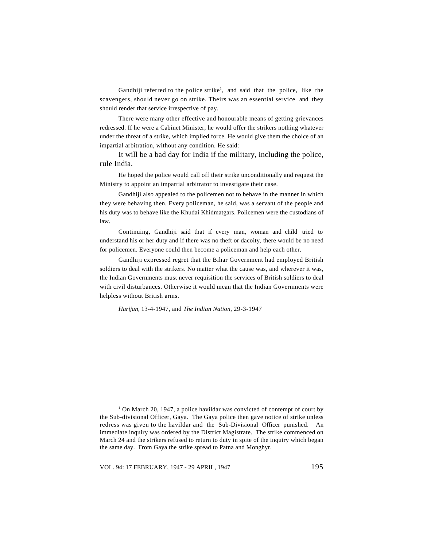Gandhiji referred to the police strike<sup>1</sup>, and said that the police, like the scavengers, should never go on strike. Theirs was an essential service and they should render that service irrespective of pay.

There were many other effective and honourable means of getting grievances redressed. If he were a Cabinet Minister, he would offer the strikers nothing whatever under the threat of a strike, which implied force. He would give them the choice of an impartial arbitration, without any condition. He said:

It will be a bad day for India if the military, including the police, rule India.

He hoped the police would call off their strike unconditionally and request the Ministry to appoint an impartial arbitrator to investigate their case.

Gandhiji also appealed to the policemen not to behave in the manner in which they were behaving then. Every policeman, he said, was a servant of the people and his duty was to behave like the Khudai Khidmatgars. Policemen were the custodians of law.

Continuing, Gandhiji said that if every man, woman and child tried to understand his or her duty and if there was no theft or dacoity, there would be no need for policemen. Everyone could then become a policeman and help each other.

Gandhiji expressed regret that the Bihar Government had employed British soldiers to deal with the strikers. No matter what the cause was, and wherever it was, the Indian Governments must never requisition the services of British soldiers to deal with civil disturbances. Otherwise it would mean that the Indian Governments were helpless without British arms.

*Harijan,* 13-4-1947, and *The Indian Nation,* 29-3-1947

<sup>1</sup> On March 20, 1947, a police havildar was convicted of contempt of court by the Sub-divisional Officer, Gaya. The Gaya police then gave notice of strike unless redress was given to the havildar and the Sub-Divisional Officer punished. An immediate inquiry was ordered by the District Magistrate. The strike commenced on March 24 and the strikers refused to return to duty in spite of the inquiry which began the same day. From Gaya the strike spread to Patna and Monghyr.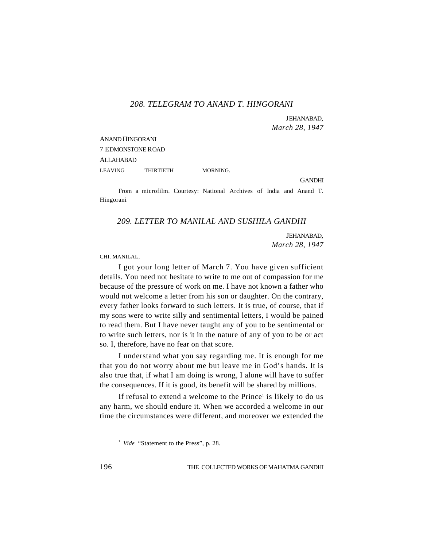## *208. TELEGRAM TO ANAND T. HINGORANI*

*IFHANABAD March 28, 1947*

ANAND HINGORANI 7 EDMONSTONE ROAD

#### ALLAHABAD

LEAVING THIRTIETH MORNING.

**GANDHI** 

From a microfilm. Courtesy: National Archives of India and Anand T. Hingorani

## *209. LETTER TO MANILAL AND SUSHILA GANDHI*

JEHANABAD, *March 28, 1947*

CHI. MANILAL,

I got your long letter of March 7. You have given sufficient details. You need not hesitate to write to me out of compassion for me because of the pressure of work on me. I have not known a father who would not welcome a letter from his son or daughter. On the contrary, every father looks forward to such letters. It is true, of course, that if my sons were to write silly and sentimental letters, I would be pained to read them. But I have never taught any of you to be sentimental or to write such letters, nor is it in the nature of any of you to be or act so. I, therefore, have no fear on that score.

I understand what you say regarding me. It is enough for me that you do not worry about me but leave me in God's hands. It is also true that, if what I am doing is wrong, I alone will have to suffer the consequences. If it is good, its benefit will be shared by millions.

If refusal to extend a welcome to the Prince<sup>1</sup> is likely to do us any harm, we should endure it. When we accorded a welcome in our time the circumstances were different, and moreover we extended the

<sup>&</sup>lt;sup>1</sup> Vide "Statement to the Press", p. 28.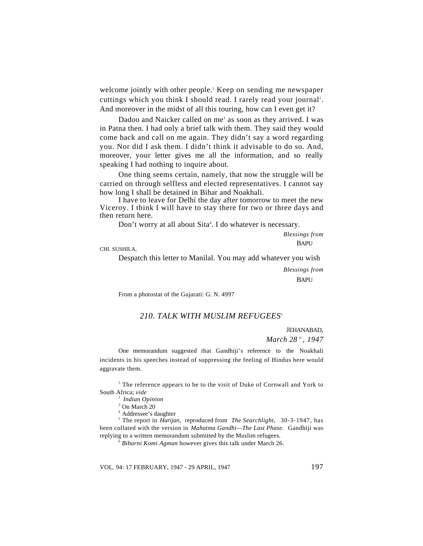welcome jointly with other people.<sup>1</sup> Keep on sending me newspaper cuttings which you think I should read. I rarely read your journal<sup>2</sup>. And moreover in the midst of all this touring, how can I even get it?

Dadoo and Naicker called on me<sup>3</sup> as soon as they arrived. I was in Patna then. I had only a brief talk with them. They said they would come back and call on me again. They didn't say a word regarding you. Nor did I ask them. I didn't think it advisable to do so. And, moreover, your letter gives me all the information, and so really speaking I had nothing to inquire about.

One thing seems certain, namely, that now the struggle will be carried on through selfless and elected representatives. I cannot say how long I shall be detained in Bihar and Noakhali.

I have to leave for Delhi the day after tomorrow to meet the new Viceroy. I think I will have to stay there for two or three days and then return here.

Don't worry at all about Sita<sup>4</sup>. I do whatever is necessary.

*Blessings from* **BAPU** 

CHI. SUSHILA,

Despatch this letter to Manilal. You may add whatever you wish

*Blessings from*

**BAPU** 

From a photostat of the Gujarati: G. N. 4997

### *210. TALK WITH MUSLIM REFUGEES*<sup>5</sup>

JEHANABAD, *March 28* <sup>6</sup> *, 1947*

One memorandum suggested that Gandhiji's reference to the Noakhali incidents in his speeches instead of suppressing the feeling of Hindus here would aggravate them.

<sup>1</sup> The reference appears to be to the visit of Duke of Cornwall and York to South Africa; *vide*

2 *Indian Opinion*

3 On March 20

4 Addressee's daughter

5 The report in *Harijan,* reproduced from *The Searchlight,* 30-3-1947, has been collated with the version in *Mahatma Gandhi—The Last Phase.* Gandhiji was replying to a written memorandum submitted by the Muslim refugees.

<sup>6</sup> *Biharni Komi Agman* however gives this talk under March 26.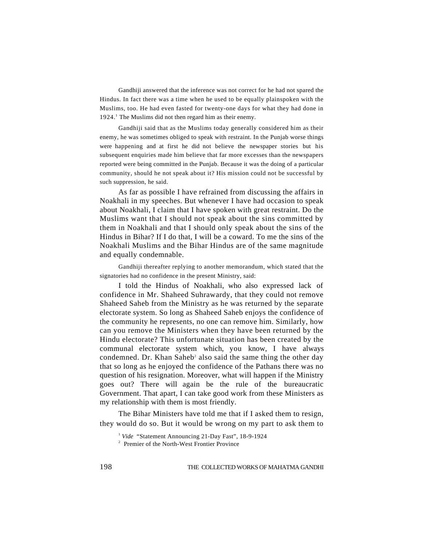Gandhiji answered that the inference was not correct for he had not spared the Hindus. In fact there was a time when he used to be equally plainspoken with the Muslims, too. He had even fasted for twenty-one days for what they had done in 1924.<sup>1</sup> The Muslims did not then regard him as their enemy.

Gandhiji said that as the Muslims today generally considered him as their enemy, he was sometimes obliged to speak with restraint. In the Punjab worse things were happening and at first he did not believe the newspaper stories but his subsequent enquiries made him believe that far more excesses than the newspapers reported were being committed in the Punjab. Because it was the doing of a particular community, should he not speak about it? His mission could not be successful by such suppression, he said.

As far as possible I have refrained from discussing the affairs in Noakhali in my speeches. But whenever I have had occasion to speak about Noakhali, I claim that I have spoken with great restraint. Do the Muslims want that I should not speak about the sins committed by them in Noakhali and that I should only speak about the sins of the Hindus in Bihar? If I do that, I will be a coward. To me the sins of the Noakhali Muslims and the Bihar Hindus are of the same magnitude and equally condemnable.

Gandhiji thereafter replying to another memorandum, which stated that the signatories had no confidence in the present Ministry, said:

I told the Hindus of Noakhali, who also expressed lack of confidence in Mr. Shaheed Suhrawardy, that they could not remove Shaheed Saheb from the Ministry as he was returned by the separate electorate system. So long as Shaheed Saheb enjoys the confidence of the community he represents, no one can remove him. Similarly, how can you remove the Ministers when they have been returned by the Hindu electorate? This unfortunate situation has been created by the communal electorate system which, you know, I have always condemned. Dr. Khan Saheb<sup>2</sup> also said the same thing the other day that so long as he enjoyed the confidence of the Pathans there was no question of his resignation. Moreover, what will happen if the Ministry goes out? There will again be the rule of the bureaucratic Government. That apart, I can take good work from these Ministers as my relationship with them is most friendly.

The Bihar Ministers have told me that if I asked them to resign, they would do so. But it would be wrong on my part to ask them to

<sup>&</sup>lt;sup>1</sup> *Vide* "Statement Announcing 21-Day Fast", 18-9-1924

<sup>2</sup> Premier of the North-West Frontier Province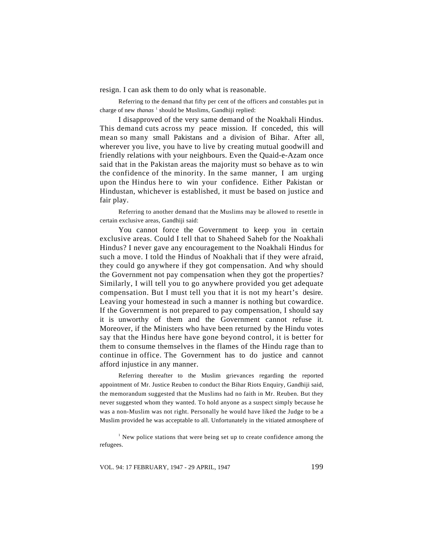resign. I can ask them to do only what is reasonable.

Referring to the demand that fifty per cent of the officers and constables put in charge of new *thanas* <sup>1</sup> should be Muslims, Gandhiji replied:

I disapproved of the very same demand of the Noakhali Hindus. This demand cuts across my peace mission. If conceded, this will mean so many small Pakistans and a division of Bihar. After all, wherever you live, you have to live by creating mutual goodwill and friendly relations with your neighbours. Even the Quaid-e-Azam once said that in the Pakistan areas the majority must so behave as to win the confidence of the minority. In the same manner, I am urging upon the Hindus here to win your confidence. Either Pakistan or Hindustan, whichever is established, it must be based on justice and fair play.

Referring to another demand that the Muslims may be allowed to resettle in certain exclusive areas, Gandhiji said:

You cannot force the Government to keep you in certain exclusive areas. Could I tell that to Shaheed Saheb for the Noakhali Hindus? I never gave any encouragement to the Noakhali Hindus for such a move. I told the Hindus of Noakhali that if they were afraid, they could go anywhere if they got compensation. And why should the Government not pay compensation when they got the properties? Similarly, I will tell you to go anywhere provided you get adequate compensation. But I must tell you that it is not my heart's desire. Leaving your homestead in such a manner is nothing but cowardice. If the Government is not prepared to pay compensation, I should say it is unworthy of them and the Government cannot refuse it. Moreover, if the Ministers who have been returned by the Hindu votes say that the Hindus here have gone beyond control, it is better for them to consume themselves in the flames of the Hindu rage than to continue in office. The Government has to do justice and cannot afford injustice in any manner.

Referring thereafter to the Muslim grievances regarding the reported appointment of Mr. Justice Reuben to conduct the Bihar Riots Enquiry, Gandhiji said, the memorandum suggested that the Muslims had no faith in Mr. Reuben. But they never suggested whom they wanted. To hold anyone as a suspect simply because he was a non-Muslim was not right. Personally he would have liked the Judge to be a Muslim provided he was acceptable to all. Unfortunately in the vitiated atmosphere of

<sup>1</sup> New police stations that were being set up to create confidence among the refugees.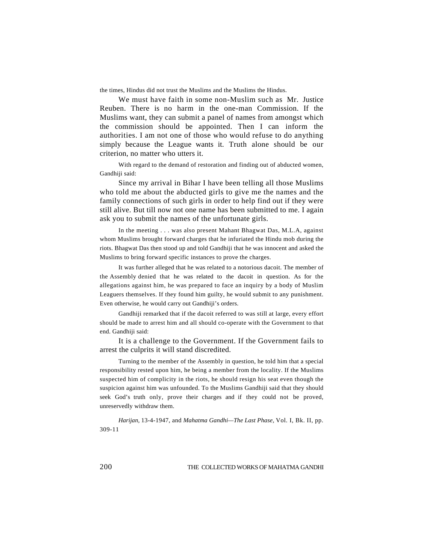the times, Hindus did not trust the Muslims and the Muslims the Hindus.

We must have faith in some non-Muslim such as Mr. Justice Reuben. There is no harm in the one-man Commission. If the Muslims want, they can submit a panel of names from amongst which the commission should be appointed. Then I can inform the authorities. I am not one of those who would refuse to do anything simply because the League wants it. Truth alone should be our criterion, no matter who utters it.

With regard to the demand of restoration and finding out of abducted women, Gandhiji said:

Since my arrival in Bihar I have been telling all those Muslims who told me about the abducted girls to give me the names and the family connections of such girls in order to help find out if they were still alive. But till now not one name has been submitted to me. I again ask you to submit the names of the unfortunate girls.

In the meeting . . . was also present Mahant Bhagwat Das, M.L.A, against whom Muslims brought forward charges that he infuriated the Hindu mob during the riots. Bhagwat Das then stood up and told Gandhiji that he was innocent and asked the Muslims to bring forward specific instances to prove the charges.

It was further alleged that he was related to a notorious dacoit. The member of the Assembly denied that he was related to the dacoit in question. As for the allegations against him, he was prepared to face an inquiry by a body of Muslim Leaguers themselves. If they found him guilty, he would submit to any punishment. Even otherwise, he would carry out Gandhiji's orders.

Gandhiji remarked that if the dacoit referred to was still at large, every effort should be made to arrest him and all should co-operate with the Government to that end. Gandhiji said:

It is a challenge to the Government. If the Government fails to arrest the culprits it will stand discredited.

Turning to the member of the Assembly in question, he told him that a special responsibility rested upon him, he being a member from the locality. If the Muslims suspected him of complicity in the riots, he should resign his seat even though the suspicion against him was unfounded. To the Muslims Gandhiji said that they should seek God's truth only, prove their charges and if they could not be proved, unreservedly withdraw them.

*Harijan,* 13-4-1947, and *Mahatma Gandhi—The Last Phase,* Vol. I, Bk. II, pp. 309-11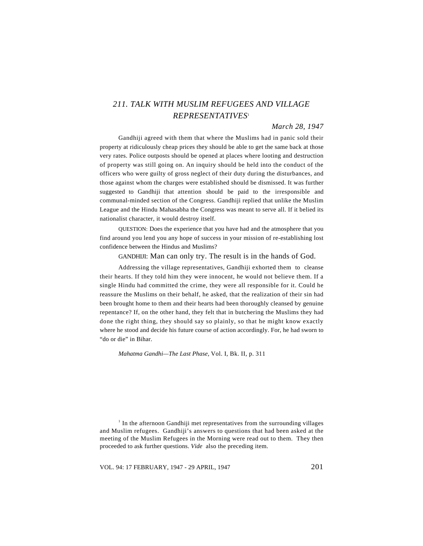# *211. TALK WITH MUSLIM REFUGEES AND VILLAGE REPRESENTATIVES*<sup>1</sup>

### *March 28, 1947*

Gandhiji agreed with them that where the Muslims had in panic sold their property at ridiculously cheap prices they should be able to get the same back at those very rates. Police outposts should be opened at places where looting and destruction of property was still going on. An inquiry should be held into the conduct of the officers who were guilty of gross neglect of their duty during the disturbances, and those against whom the charges were established should be dismissed. It was further suggested to Gandhiji that attention should be paid to the irresponsible and communal-minded section of the Congress. Gandhiji replied that unlike the Muslim League and the Hindu Mahasabha the Congress was meant to serve all. If it belied its nationalist character, it would destroy itself.

QUESTION: Does the experience that you have had and the atmosphere that you find around you lend you any hope of success in your mission of re-establishing lost confidence between the Hindus and Muslims?

GANDHIJI: Man can only try. The result is in the hands of God.

Addressing the village representatives, Gandhiji exhorted them to cleanse their hearts. If they told him they were innocent, he would not believe them. If a single Hindu had committed the crime, they were all responsible for it. Could he reassure the Muslims on their behalf, he asked, that the realization of their sin had been brought home to them and their hearts had been thoroughly cleansed by genuine repentance? If, on the other hand, they felt that in butchering the Muslims they had done the right thing, they should say so plainly, so that he might know exactly where he stood and decide his future course of action accordingly. For, he had sworn to "do or die" in Bihar.

*Mahatma Gandhi—The Last Phase,* Vol. I, Bk. II, p. 311

<sup>1</sup> In the afternoon Gandhiji met representatives from the surrounding villages and Muslim refugees. Gandhiji's answers to questions that had been asked at the meeting of the Muslim Refugees in the Morning were read out to them. They then proceeded to ask further questions. *Vide* also the preceding item.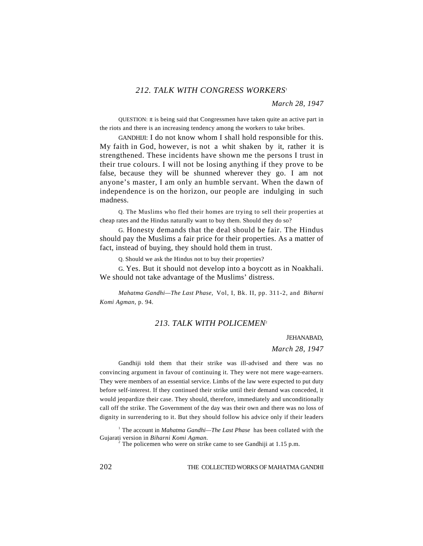## *212. TALK WITH CONGRESS WORKERS*<sup>1</sup>

*March 28, 1947*

QUESTION: It is being said that Congressmen have taken quite an active part in the riots and there is an increasing tendency among the workers to take bribes.

GANDHIJI: I do not know whom I shall hold responsible for this. My faith in God, however, is not a whit shaken by it, rather it is strengthened. These incidents have shown me the persons I trust in their true colours. I will not be losing anything if they prove to be false, because they will be shunned wherever they go. I am not anyone's master, I am only an humble servant. When the dawn of independence is on the horizon, our people are indulging in such madness.

Q. The Muslims who fled their homes are trying to sell their properties at cheap rates and the Hindus naturally want to buy them. Should they do so?

G. Honesty demands that the deal should be fair. The Hindus should pay the Muslims a fair price for their properties. As a matter of fact, instead of buying, they should hold them in trust.

Q. Should we ask the Hindus not to buy their properties?

G. Yes. But it should not develop into a boycott as in Noakhali. We should not take advantage of the Muslims' distress.

*Mahatma Gandhi—The Last Phase,* Vol, I, Bk. II, pp. 311-2, and *Biharni Komi Agman,* p. 94.

## *213. TALK WITH POLICEMEN*<sup>2</sup>

JEHANABAD,

*March 28, 1947*

Gandhiji told them that their strike was ill-advised and there was no convincing argument in favour of continuing it. They were not mere wage-earners. They were members of an essential service. Limbs of the law were expected to put duty before self-interest. If they continued their strike until their demand was conceded, it would jeopardize their case. They should, therefore, immediately and unconditionally call off the strike. The Government of the day was their own and there was no loss of dignity in surrendering to it. But they should follow his advice only if their leaders

<sup>1</sup> The account in *Mahatma Gandhi—The Last Phase* has been collated with the Gujarati version in *Biharni Komi Agman.*

2 The policemen who were on strike came to see Gandhiji at 1.15 p.m.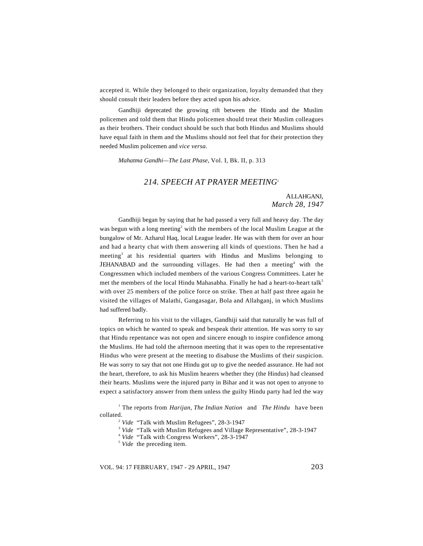accepted it. While they belonged to their organization, loyalty demanded that they should consult their leaders before they acted upon his advice.

Gandhiji deprecated the growing rift between the Hindu and the Muslim policemen and told them that Hindu policemen should treat their Muslim colleagues as their brothers. Their conduct should be such that both Hindus and Muslims should have equal faith in them and the Muslims should not feel that for their protection they needed Muslim policemen and *vice versa.*

*Mahatma Gandhi—The Last Phase,* Vol. I, Bk. II, p. 313

### *214. SPEECH AT PRAYER MEETING*<sup>1</sup>

 ALLAHGANJ, *March 28, 1947*

Gandhiji began by saying that he had passed a very full and heavy day. The day was begun with a long meeting<sup>2</sup> with the members of the local Muslim League at the bungalow of Mr. Azharul Haq, local League leader. He was with them for over an hour and had a hearty chat with them answering all kinds of questions. Then he had a meeting<sup>3</sup> at his residential quarters with Hindus and Muslims belonging to JEHANABAD and the surrounding villages. He had then a meeting<sup>4</sup> with the Congressmen which included members of the various Congress Committees. Later he met the members of the local Hindu Mahasabha. Finally he had a heart-to-heart talk<sup>5</sup> with over 25 members of the police force on strike. Then at half past three again he visited the villages of Malathi, Gangasagar, Bola and Allahganj, in which Muslims had suffered badly.

Referring to his visit to the villages, Gandhiji said that naturally he was full of topics on which he wanted to speak and bespeak their attention. He was sorry to say that Hindu repentance was not open and sincere enough to inspire confidence among the Muslims. He had told the afternoon meeting that it was open to the representative Hindus who were present at the meeting to disabuse the Muslims of their suspicion. He was sorry to say that not one Hindu got up to give the needed assurance. He had not the heart, therefore, to ask his Muslim hearers whether they (the Hindus) had cleansed their hearts. Muslims were the injured party in Bihar and it was not open to anyone to expect a satisfactory answer from them unless the guilty Hindu party had led the way

<sup>1</sup> The reports from *Harijan, The Indian Nation* and *The Hindu* have been collated.

<sup>2</sup> *Vide* "Talk with Muslim Refugees", 28-3-1947

- <sup>3</sup> *Vide* "Talk with Muslim Refugees and Village Representative", 28-3-1947
- <sup>4</sup> *Vide* "Talk with Congress Workers", 28-3-1947
- <sup>5</sup> *Vide* the preceding item.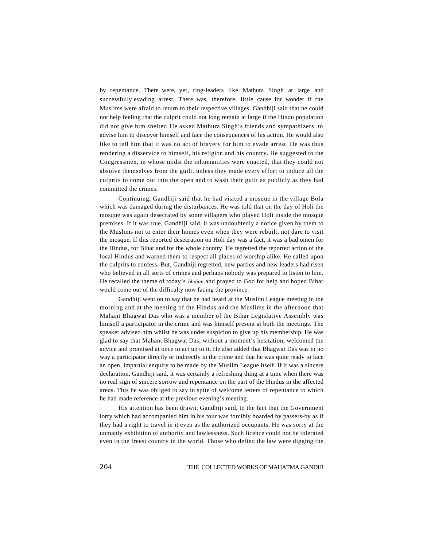by repentance. There were, yet, ring-leaders like Mathura Singh at large and successfully evading arrest. There was, therefore, little cause for wonder if the Muslims were afraid to return to their respective villages. Gandhiji said that he could not help feeling that the culprit could not long remain at large if the Hindu population did not give him shelter. He asked Mathura Singh's friends and sympathizers to advise him to discover himself and face the consequences of his action. He would also like to tell him that it was no act of bravery for him to evade arrest. He was thus rendering a disservice to himself, his religion and his country. He suggested to the Congressmen, in whose midst the inhumanities were enacted, that they could not absolve themselves from the guilt, unless they made every effort to induce all the culprits to come out into the open and to wash their guilt as publicly as they had committed the crimes.

Continuing, Gandhiji said that he had visited a mosque in the village Bola which was damaged during the disturbances. He was told that on the day of Holi the mosque was again desecrated by some villagers who played Holi inside the mosque premises. If it was true, Gandhiji said, it was undoubtedly a notice given by them to the Muslims not to enter their homes even when they were rebuilt, not dare to visit the mosque. If this reported desecration on Holi day was a fact, it was a bad omen for the Hindus, for Bihar and for the whole country. He regretted the reported action of the local Hindus and warned them to respect all places of worship alike. He called upon the culprits to confess. But, Gandhiji regretted, new parties and new leaders had risen who believed in all sorts of crimes and perhaps nobody was prepared to listen to him. He recalled the theme of today's *bhajan* and prayed to God for help and hoped Bihar would come out of the difficulty now facing the province.

Gandhiji went on to say that he had heard at the Muslim League meeting in the morning and at the meeting of the Hindus and the Muslims in the afternoon that Mahant Bhagwat Das who was a member of the Bihar Legislative Assembly was himself a participator in the crime and was himself present at both the meetings. The speaker advised him whilst he was under suspicion to give up his membership. He was glad to say that Mahant Bhagwat Das, without a moment's hesitation, welcomed the advice and promised at once to act up to it. He also added that Bhagwat Das was in no way a participator directly or indirectly in the crime and that he was quite ready to face an open, impartial enquiry to be made by the Muslim League itself. If it was a sincere declaration, Gandhiji said, it was certainly a refreshing thing at a time when there was no real sign of sincere sorrow and repentance on the part of the Hindus in the affected areas. This he was obliged to say in spite of welcome letters of repentance to which he had made reference at the previous evening's meeting.

His attention has been drawn, Gandhiji said, to the fact that the Government lorry which had accompanied him in his tour was forcibly boarded by passers-by as if they had a right to travel in it even as the authorized occupants. He was sorry at the unmanly exhibition of authority and lawlessness. Such licence could not be tolerated even in the freest country in the world. Those who defied the law were digging the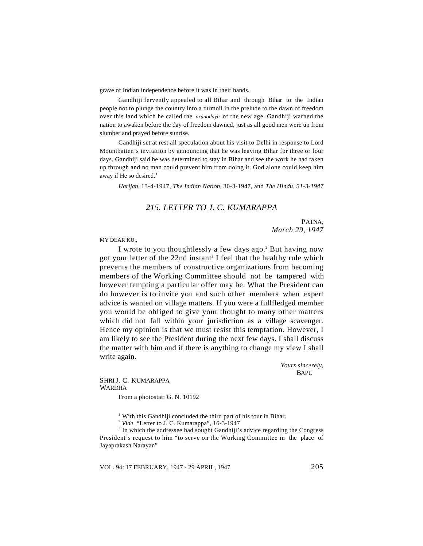grave of Indian independence before it was in their hands.

Gandhiji fervently appealed to all Bihar and through Bihar to the Indian people not to plunge the country into a turmoil in the prelude to the dawn of freedom over this land which he called the *arunodaya* of the new age. Gandhiji warned the nation to awaken before the day of freedom dawned, just as all good men were up from slumber and prayed before sunrise.

Gandhiji set at rest all speculation about his visit to Delhi in response to Lord Mountbatten's invitation by announcing that he was leaving Bihar for three or four days. Gandhiji said he was determined to stay in Bihar and see the work he had taken up through and no man could prevent him from doing it. God alone could keep him away if He so desired.<sup>1</sup>

*Harijan,* 13-4-1947, *The Indian Nation,* 30-3-1947, and *The Hindu, 31-3-1947*

## *215. LETTER TO J. C. KUMARAPPA*

PATNA, *March 29, 1947*

MY DEAR KU.,

I wrote to you thoughtlessly a few days ago.<sup>2</sup> But having now got your letter of the 22nd instant<sup>3</sup> I feel that the healthy rule which prevents the members of constructive organizations from becoming members of the Working Committee should not be tampered with however tempting a particular offer may be. What the President can do however is to invite you and such other members when expert advice is wanted on village matters. If you were a fullfledged member you would be obliged to give your thought to many other matters which did not fall within your jurisdiction as a village scavenger. Hence my opinion is that we must resist this temptation. However, I am likely to see the President during the next few days. I shall discuss the matter with him and if there is anything to change my view I shall write again.

> *Yours sincerely,* **BAPU**

SHRI J. C. KUMARAPPA WARDHA

From a photostat: G. N. 10192

<sup>1</sup> With this Gandhiji concluded the third part of his tour in Bihar.

<sup>2</sup> *Vide* "Letter to J. C. Kumarappa", 16-3-1947

<sup>3</sup> In which the addressee had sought Gandhiji's advice regarding the Congress President's request to him "to serve on the Working Committee in the place of Jayaprakash Narayan"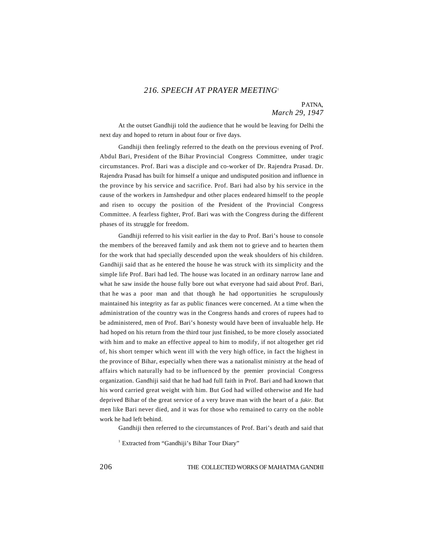## *216. SPEECH AT PRAYER MEETING*<sup>1</sup>

PATNA, *March 29, 1947*

At the outset Gandhiji told the audience that he would be leaving for Delhi the next day and hoped to return in about four or five days.

Gandhiji then feelingly referred to the death on the previous evening of Prof. Abdul Bari, President of the Bihar Provincial Congress Committee, under tragic circumstances. Prof. Bari was a disciple and co-worker of Dr. Rajendra Prasad. Dr. Rajendra Prasad has built for himself a unique and undisputed position and influence in the province by his service and sacrifice. Prof. Bari had also by his service in the cause of the workers in Jamshedpur and other places endeared himself to the people and risen to occupy the position of the President of the Provincial Congress Committee. A fearless fighter, Prof. Bari was with the Congress during the different phases of its struggle for freedom.

Gandhiji referred to his visit earlier in the day to Prof. Bari's house to console the members of the bereaved family and ask them not to grieve and to hearten them for the work that had specially descended upon the weak shoulders of his children. Gandhiji said that as he entered the house he was struck with its simplicity and the simple life Prof. Bari had led. The house was located in an ordinary narrow lane and what he saw inside the house fully bore out what everyone had said about Prof. Bari, that he was a poor man and that though he had opportunities he scrupulously maintained his integrity as far as public finances were concerned. At a time when the administration of the country was in the Congress hands and crores of rupees had to be administered, men of Prof. Bari's honesty would have been of invaluable help. He had hoped on his return from the third tour just finished, to be more closely associated with him and to make an effective appeal to him to modify, if not altogether get rid of, his short temper which went ill with the very high office, in fact the highest in the province of Bihar, especially when there was a nationalist ministry at the head of affairs which naturally had to be influenced by the premier provincial Congress organization. Gandhiji said that he had had full faith in Prof. Bari and had known that his word carried great weight with him. But God had willed otherwise and He had deprived Bihar of the great service of a very brave man with the heart of a *fakir.* But men like Bari never died, and it was for those who remained to carry on the noble work he had left behind.

Gandhiji then referred to the circumstances of Prof. Bari's death and said that

<sup>1</sup> Extracted from "Gandhiji's Bihar Tour Diary"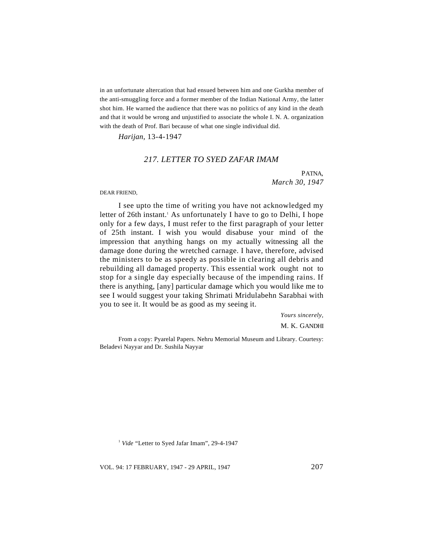in an unfortunate altercation that had ensued between him and one Gurkha member of the anti-smuggling force and a former member of the Indian National Army, the latter shot him. He warned the audience that there was no politics of any kind in the death and that it would be wrong and unjustified to associate the whole I. N. A. organization with the death of Prof. Bari because of what one single individual did.

*Harijan,* 13-4-1947

## *217. LETTER TO SYED ZAFAR IMAM*

PATNA, *March 30, 1947*

#### DEAR FRIEND,

I see upto the time of writing you have not acknowledged my letter of 26th instant.<sup>1</sup> As unfortunately I have to go to Delhi, I hope only for a few days, I must refer to the first paragraph of your letter of 25th instant. I wish you would disabuse your mind of the impression that anything hangs on my actually witnessing all the damage done during the wretched carnage. I have, therefore, advised the ministers to be as speedy as possible in clearing all debris and rebuilding all damaged property. This essential work ought not to stop for a single day especially because of the impending rains. If there is anything, [any] particular damage which you would like me to see I would suggest your taking Shrimati Mridulabehn Sarabhai with you to see it. It would be as good as my seeing it.

*Yours sincerely,*

M. K. GANDHI

From a copy: Pyarelal Papers. Nehru Memorial Museum and Library. Courtesy: Beladevi Nayyar and Dr. Sushila Nayyar

<sup>1</sup> *Vide* "Letter to Syed Jafar Imam", 29-4-1947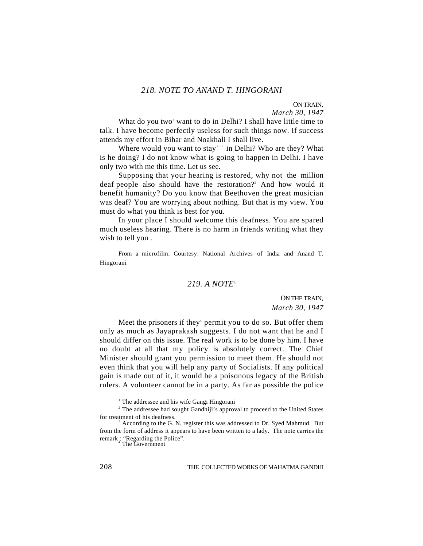## *218. NOTE TO ANAND T. HINGORANI*

ON TRAIN, *March 30, 1947*

What do you two<sup>1</sup> want to do in Delhi? I shall have little time to talk. I have become perfectly useless for such things now. If success attends my effort in Bihar and Noakhali I shall live.

Where would you want to stay  $\cdots$  in Delhi? Who are they? What is he doing? I do not know what is going to happen in Delhi. I have only two with me this time. Let us see.

Supposing that your hearing is restored, why not the million deaf people also should have the restoration?<sup>2</sup> And how would it benefit humanity? Do you know that Beethoven the great musician was deaf? You are worrying about nothing. But that is my view. You must do what you think is best for you.

In your place I should welcome this deafness. You are spared much useless hearing. There is no harm in friends writing what they wish to tell you .

From a microfilm. Courtesy: National Archives of India and Anand T. Hingorani

### *219. A NOTE*<sup>3</sup>

ON THE TRAIN, *March 30, 1947*

Meet the prisoners if they<sup>4</sup> permit you to do so. But offer them only as much as Jayaprakash suggests. I do not want that he and I should differ on this issue. The real work is to be done by him. I have no doubt at all that my policy is absolutely correct. The Chief Minister should grant you permission to meet them. He should not even think that you will help any party of Socialists. If any political gain is made out of it, it would be a poisonous legacy of the British rulers. A volunteer cannot be in a party. As far as possible the police

<sup>1</sup> The addressee and his wife Gangi Hingorani

<sup>&</sup>lt;sup>2</sup> The addressee had sought Gandhiji's approval to proceed to the United States for treatment of his deafness.

<sup>3</sup> According to the G. N. register this was addressed to Dr. Syed Mahmud. But from the form of address it appears to have been written to a lady. The note carries the remark : "Regarding the Police". 4 The Government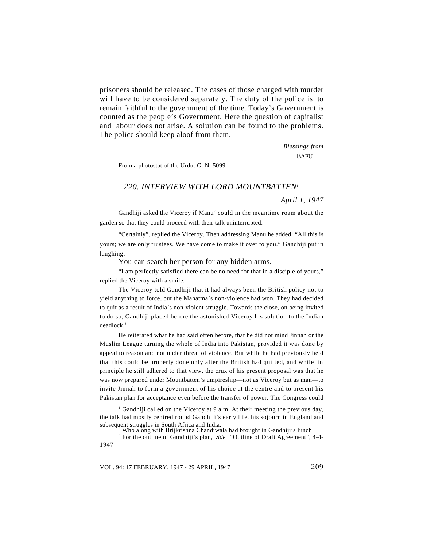prisoners should be released. The cases of those charged with murder will have to be considered separately. The duty of the police is to remain faithful to the government of the time. Today's Government is counted as the people's Government. Here the question of capitalist and labour does not arise. A solution can be found to the problems. The police should keep aloof from them.

> *Blessings from* **BAPU**

From a photostat of the Urdu: G. N. 5099

### *220. INTERVIEW WITH LORD MOUNTBATTEN*<sup>1</sup>

#### *April 1, 1947*

Gandhiji asked the Viceroy if Manu<sup>2</sup> could in the meantime roam about the garden so that they could proceed with their talk uninterrupted.

"Certainly", replied the Viceroy. Then addressing Manu he added: "All this is yours; we are only trustees. We have come to make it over to you." Gandhiji put in laughing:

You can search her person for any hidden arms.

"I am perfectly satisfied there can be no need for that in a disciple of yours," replied the Viceroy with a smile.

The Viceroy told Gandhiji that it had always been the British policy not to yield anything to force, but the Mahatma's non-violence had won. They had decided to quit as a result of India's non-violent struggle. Towards the close, on being invited to do so, Gandhiji placed before the astonished Viceroy his solution to the Indian  $deadlock$ <sup>3</sup>

He reiterated what he had said often before, that he did not mind Jinnah or the Muslim League turning the whole of India into Pakistan, provided it was done by appeal to reason and not under threat of violence. But while he had previously held that this could be properly done only after the British had quitted, and while in principle he still adhered to that view, the crux of his present proposal was that he was now prepared under Mountbatten's umpireship—not as Viceroy but as man—to invite Jinnah to form a government of his choice at the centre and to present his Pakistan plan for acceptance even before the transfer of power. The Congress could

 $1$  Gandhiji called on the Viceroy at 9 a.m. At their meeting the previous day, the talk had mostly centred round Gandhiji's early life, his sojourn in England and subsequent struggles in South Africa and India. 2

Who along with Brijkrishna Chandiwala had brought in Gandhiji's lunch

<sup>3</sup> For the outline of Gandhiji's plan, *vide* "Outline of Draft Agreement", 4-4-1947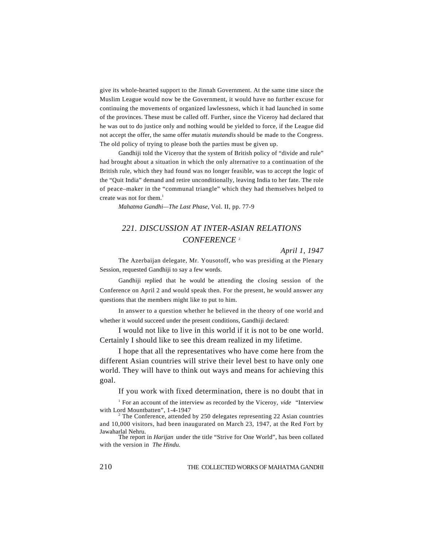give its whole-hearted support to the Jinnah Government. At the same time since the Muslim League would now be the Government, it would have no further excuse for continuing the movements of organized lawlessness, which it had launched in some of the provinces. These must be called off. Further, since the Viceroy had declared that he was out to do justice only and nothing would be yielded to force, if the League did not accept the offer, the same offer *mutatis mutandis* should be made to the Congress. The old policy of trying to please both the parties must be given up.

Gandhiji told the Viceroy that the system of British policy of "divide and rule" had brought about a situation in which the only alternative to a continuation of the British rule, which they had found was no longer feasible, was to accept the logic of the "Quit India" demand and retire unconditionally, leaving India to her fate. The role of peace–maker in the "communal triangle" which they had themselves helped to create was not for them.<sup>1</sup>

*Mahatma Gandhi—The Last Phase,* Vol. II, pp. 77-9

# *221. DISCUSSION AT INTER-ASIAN RELATIONS CONFERENCE* <sup>2</sup>

*April 1, 1947*

The Azerbaijan delegate, Mr. Yousotoff, who was presiding at the Plenary Session, requested Gandhiji to say a few words.

Gandhiji replied that he would be attending the closing session of the Conference on April 2 and would speak then. For the present, he would answer any questions that the members might like to put to him.

In answer to a question whether he believed in the theory of one world and whether it would succeed under the present conditions, Gandhiji declared:

I would not like to live in this world if it is not to be one world. Certainly I should like to see this dream realized in my lifetime.

I hope that all the representatives who have come here from the different Asian countries will strive their level best to have only one world. They will have to think out ways and means for achieving this goal.

If you work with fixed determination, there is no doubt that in

<sup>1</sup> For an account of the interview as recorded by the Viceroy, *vide* "Interview with Lord Mountbatten", 1-4-1947

 $2^2$  The Conference, attended by 250 delegates representing 22 Asian countries and 10,000 visitors, had been inaugurated on March 23, 1947, at the Red Fort by Jawaharlal Nehru.

The report in *Harijan* under the title "Strive for One World", has been collated with the version in *The Hindu.*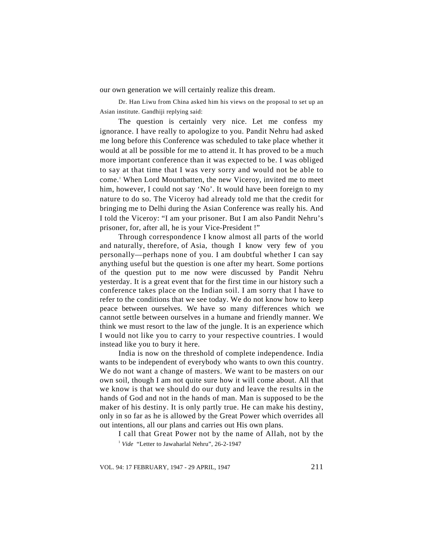our own generation we will certainly realize this dream.

Dr. Han Liwu from China asked him his views on the proposal to set up an Asian institute. Gandhiji replying said:

The question is certainly very nice. Let me confess my ignorance. I have really to apologize to you. Pandit Nehru had asked me long before this Conference was scheduled to take place whether it would at all be possible for me to attend it. It has proved to be a much more important conference than it was expected to be. I was obliged to say at that time that I was very sorry and would not be able to come.<sup>1</sup> When Lord Mountbatten, the new Viceroy, invited me to meet him, however, I could not say 'No'. It would have been foreign to my nature to do so. The Viceroy had already told me that the credit for bringing me to Delhi during the Asian Conference was really his. And I told the Viceroy: "I am your prisoner. But I am also Pandit Nehru's prisoner, for, after all, he is your Vice-President !"

Through correspondence I know almost all parts of the world and naturally, therefore, of Asia, though I know very few of you personally—perhaps none of you. I am doubtful whether I can say anything useful but the question is one after my heart. Some portions of the question put to me now were discussed by Pandit Nehru yesterday. It is a great event that for the first time in our history such a conference takes place on the Indian soil. I am sorry that I have to refer to the conditions that we see today. We do not know how to keep peace between ourselves. We have so many differences which we cannot settle between ourselves in a humane and friendly manner. We think we must resort to the law of the jungle. It is an experience which I would not like you to carry to your respective countries. I would instead like you to bury it here.

India is now on the threshold of complete independence. India wants to be independent of everybody who wants to own this country. We do not want a change of masters. We want to be masters on our own soil, though I am not quite sure how it will come about. All that we know is that we should do our duty and leave the results in the hands of God and not in the hands of man. Man is supposed to be the maker of his destiny. It is only partly true. He can make his destiny, only in so far as he is allowed by the Great Power which overrides all out intentions, all our plans and carries out His own plans.

I call that Great Power not by the name of Allah, not by the <sup>1</sup> *Vide* "Letter to Jawaharlal Nehru", 26-2-1947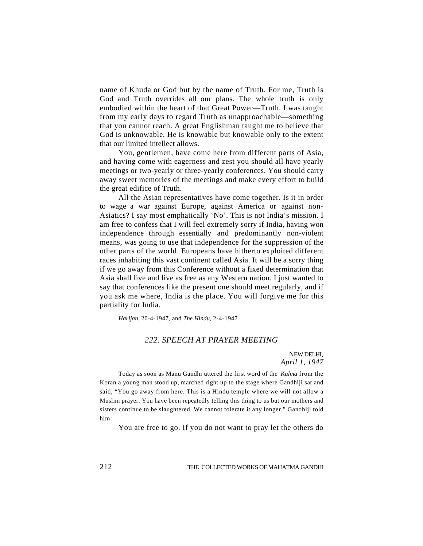name of Khuda or God but by the name of Truth. For me, Truth is God and Truth overrides all our plans. The whole truth is only embodied within the heart of that Great Power—Truth. I was taught from my early days to regard Truth as unapproachable—something that you cannot reach. A great Englishman taught me to believe that God is unknowable. He is knowable but knowable only to the extent that our limited intellect allows.

You, gentlemen, have come here from different parts of Asia, and having come with eagerness and zest you should all have yearly meetings or two-yearly or three-yearly conferences. You should carry away sweet memories of the meetings and make every effort to build the great edifice of Truth.

All the Asian representatives have come together. Is it in order to wage a war against Europe, against America or against non-Asiatics? I say most emphatically 'No'. This is not India's mission. I am free to confess that I will feel extremely sorry if India, having won independence through essentially and predominantly non-violent means, was going to use that independence for the suppression of the other parts of the world. Europeans have hitherto exploited different races inhabiting this vast continent called Asia. It will be a sorry thing if we go away from this Conference without a fixed determination that Asia shall live and live as free as any Western nation. I just wanted to say that conferences like the present one should meet regularly, and if you ask me where, India is the place. You will forgive me for this partiality for India.

*Harijan,* 20-4-1947, and *The Hindu,* 2-4-1947

## *222. SPEECH AT PRAYER MEETING*

NEW DELHI, *April 1, 1947*

Today as soon as Manu Gandhi uttered the first word of the *Kalma* from the Koran a young man stood up, marched right up to the stage where Gandhiji sat and said, "You go away from here. This is a Hindu temple where we will not allow a Muslim prayer. You have been repeatedly telling this thing to us but our mothers and sisters continue to be slaughtered. We cannot tolerate it any longer." Gandhiji told him:

You are free to go. If you do not want to pray let the others do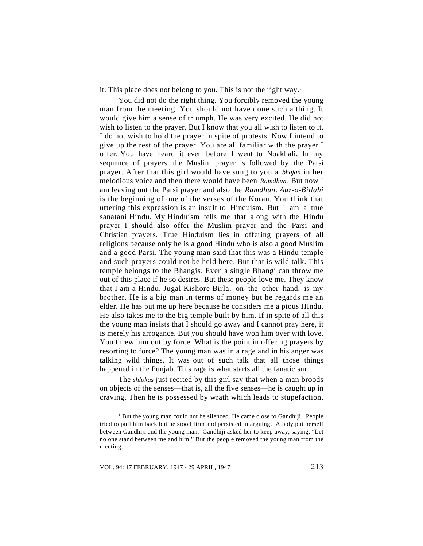it. This place does not belong to you. This is not the right way.<sup>1</sup>

You did not do the right thing. You forcibly removed the young man from the meeting. You should not have done such a thing. It would give him a sense of triumph. He was very excited. He did not wish to listen to the prayer. But I know that you all wish to listen to it. I do not wish to hold the prayer in spite of protests. Now I intend to give up the rest of the prayer. You are all familiar with the prayer I offer. You have heard it even before I went to Noakhali. In my sequence of prayers, the Muslim prayer is followed by the Parsi prayer. After that this girl would have sung to you a *bhajan* in her melodious voice and then there would have been *Ramdhun.* But now I am leaving out the Parsi prayer and also the *Ramdhun. Auz-o-Billahi* is the beginning of one of the verses of the Koran. You think that uttering this expression is an insult to Hinduism. But I am a true sanatani Hindu. My Hinduism tells me that along with the Hindu prayer I should also offer the Muslim prayer and the Parsi and Christian prayers. True Hinduism lies in offering prayers of all religions because only he is a good Hindu who is also a good Muslim and a good Parsi. The young man said that this was a Hindu temple and such prayers could not be held here. But that is wild talk. This temple belongs to the Bhangis. Even a single Bhangi can throw me out of this place if he so desires. But these people love me. They know that I am a Hindu. Jugal Kishore Birla, on the other hand, is my brother. He is a big man in terms of money but he regards me an elder. He has put me up here because he considers me a pious HIndu. He also takes me to the big temple built by him. If in spite of all this the young man insists that I should go away and I cannot pray here, it is merely his arrogance. But you should have won him over with love. You threw him out by force. What is the point in offering prayers by resorting to force? The young man was in a rage and in his anger was talking wild things. It was out of such talk that all those things happened in the Punjab. This rage is what starts all the fanaticism.

The *shlokas* just recited by this girl say that when a man broods on objects of the senses—that is, all the five senses—he is caught up in craving. Then he is possessed by wrath which leads to stupefaction,

<sup>&</sup>lt;sup>1</sup> But the young man could not be silenced. He came close to Gandhiji. People tried to pull him back but he stood firm and persisted in arguing. A lady put herself between Gandhiji and the young man. Gandhiji asked her to keep away, saying, "Let no one stand between me and him." But the people removed the young man from the meeting.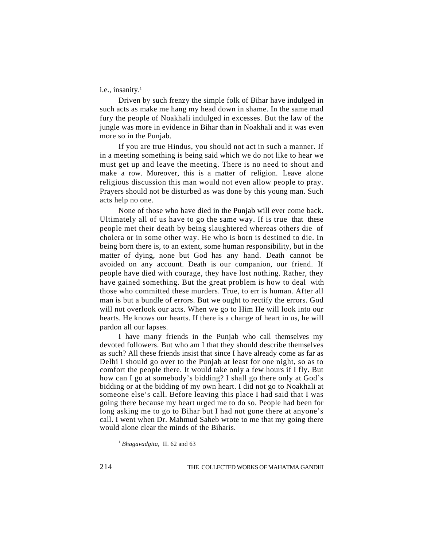i.e., insanity.<sup>1</sup>

Driven by such frenzy the simple folk of Bihar have indulged in such acts as make me hang my head down in shame. In the same mad fury the people of Noakhali indulged in excesses. But the law of the jungle was more in evidence in Bihar than in Noakhali and it was even more so in the Punjab.

If you are true Hindus, you should not act in such a manner. If in a meeting something is being said which we do not like to hear we must get up and leave the meeting. There is no need to shout and make a row. Moreover, this is a matter of religion. Leave alone religious discussion this man would not even allow people to pray. Prayers should not be disturbed as was done by this young man. Such acts help no one.

None of those who have died in the Punjab will ever come back. Ultimately all of us have to go the same way. If is true that these people met their death by being slaughtered whereas others die of cholera or in some other way. He who is born is destined to die. In being born there is, to an extent, some human responsibility, but in the matter of dying, none but God has any hand. Death cannot be avoided on any account. Death is our companion, our friend. If people have died with courage, they have lost nothing. Rather, they have gained something. But the great problem is how to deal with those who committed these murders. True, to err is human. After all man is but a bundle of errors. But we ought to rectify the errors. God will not overlook our acts. When we go to Him He will look into our hearts. He knows our hearts. If there is a change of heart in us, he will pardon all our lapses.

I have many friends in the Punjab who call themselves my devoted followers. But who am I that they should describe themselves as such? All these friends insist that since I have already come as far as Delhi I should go over to the Punjab at least for one night, so as to comfort the people there. It would take only a few hours if I fly. But how can I go at somebody's bidding? I shall go there only at God's bidding or at the bidding of my own heart. I did not go to Noakhali at someone else's call. Before leaving this place I had said that I was going there because my heart urged me to do so. People had been for long asking me to go to Bihar but I had not gone there at anyone's call. I went when Dr. Mahmud Saheb wrote to me that my going there would alone clear the minds of the Biharis.

<sup>1</sup> *Bhagavadgita,* II. 62 and 63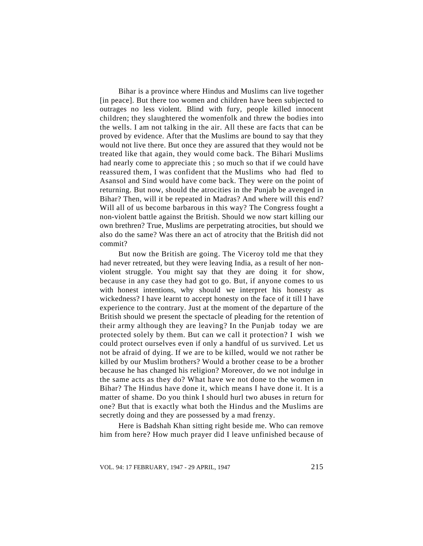Bihar is a province where Hindus and Muslims can live together [in peace]. But there too women and children have been subjected to outrages no less violent. Blind with fury, people killed innocent children; they slaughtered the womenfolk and threw the bodies into the wells. I am not talking in the air. All these are facts that can be proved by evidence. After that the Muslims are bound to say that they would not live there. But once they are assured that they would not be treated like that again, they would come back. The Bihari Muslims had nearly come to appreciate this ; so much so that if we could have reassured them, I was confident that the Muslims who had fled to Asansol and Sind would have come back. They were on the point of returning. But now, should the atrocities in the Punjab be avenged in Bihar? Then, will it be repeated in Madras? And where will this end? Will all of us become barbarous in this way? The Congress fought a non-violent battle against the British. Should we now start killing our own brethren? True, Muslims are perpetrating atrocities, but should we also do the same? Was there an act of atrocity that the British did not commit?

But now the British are going. The Viceroy told me that they had never retreated, but they were leaving India, as a result of her nonviolent struggle. You might say that they are doing it for show, because in any case they had got to go. But, if anyone comes to us with honest intentions, why should we interpret his honesty as wickedness? I have learnt to accept honesty on the face of it till I have experience to the contrary. Just at the moment of the departure of the British should we present the spectacle of pleading for the retention of their army although they are leaving? In the Punjab today we are protected solely by them. But can we call it protection? I wish we could protect ourselves even if only a handful of us survived. Let us not be afraid of dying. If we are to be killed, would we not rather be killed by our Muslim brothers? Would a brother cease to be a brother because he has changed his religion? Moreover, do we not indulge in the same acts as they do? What have we not done to the women in Bihar? The Hindus have done it, which means I have done it. It is a matter of shame. Do you think I should hurl two abuses in return for one? But that is exactly what both the Hindus and the Muslims are secretly doing and they are possessed by a mad frenzy.

Here is Badshah Khan sitting right beside me. Who can remove him from here? How much prayer did I leave unfinished because of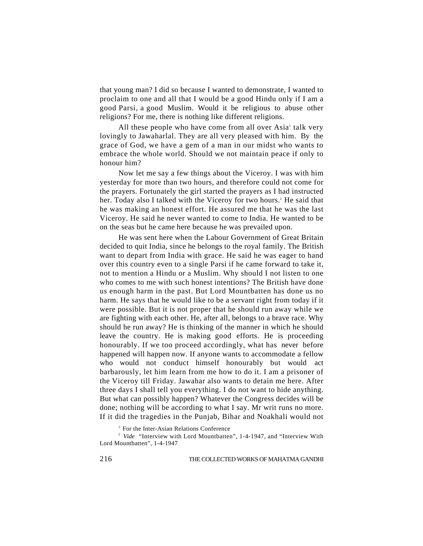that young man? I did so because I wanted to demonstrate, I wanted to proclaim to one and all that I would be a good Hindu only if I am a good Parsi, a good Muslim. Would it be religious to abuse other religions? For me, there is nothing like different religions.

All these people who have come from all over Asia<sup>1</sup> talk very lovingly to Jawaharlal. They are all very pleased with him. By the grace of God, we have a gem of a man in our midst who wants to embrace the whole world. Should we not maintain peace if only to honour him?

Now let me say a few things about the Viceroy. I was with him yesterday for more than two hours, and therefore could not come for the prayers. Fortunately the girl started the prayers as I had instructed her. Today also I talked with the Viceroy for two hours.<sup>2</sup> He said that he was making an honest effort. He assured me that he was the last Viceroy. He said he never wanted to come to India. He wanted to be on the seas but he came here because he was prevailed upon.

He was sent here when the Labour Government of Great Britain decided to quit India, since he belongs to the royal family. The British want to depart from India with grace. He said he was eager to hand over this country even to a single Parsi if he came forward to take it, not to mention a Hindu or a Muslim. Why should I not listen to one who comes to me with such honest intentions? The British have done us enough harm in the past. But Lord Mountbatten has done us no harm. He says that he would like to be a servant right from today if it were possible. But it is not proper that he should run away while we are fighting with each other. He, after all, belongs to a brave race. Why should he run away? He is thinking of the manner in which he should leave the country. He is making good efforts. He is proceeding honourably. If we too proceed accordingly, what has never before happened will happen now. If anyone wants to accommodate a fellow who would not conduct himself honourably but would act barbarously, let him learn from me how to do it. I am a prisoner of the Viceroy till Friday. Jawahar also wants to detain me here. After three days I shall tell you everything. I do not want to hide anything. But what can possibly happen? Whatever the Congress decides will be done; nothing will be according to what I say. Mr writ runs no more. If it did the tragedies in the Punjab, Bihar and Noakhali would not

<sup>1</sup> For the Inter-Asian Relations Conference

<sup>2</sup> *Vide* "Interview with Lord Mountbatten", 1-4-1947, and "Interview With Lord Mountbatten", 1-4-1947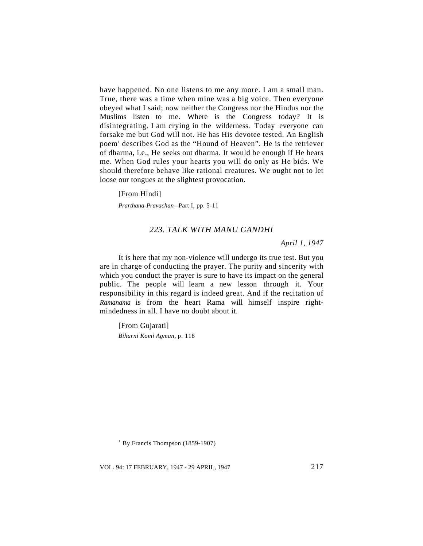have happened. No one listens to me any more. I am a small man. True, there was a time when mine was a big voice. Then everyone obeyed what I said; now neither the Congress nor the Hindus nor the Muslims listen to me. Where is the Congress today? It is disintegrating. I am crying in the wilderness. Today everyone can forsake me but God will not. He has His devotee tested. An English poem<sup>1</sup> describes God as the "Hound of Heaven". He is the retriever of dharma, i.e., He seeks out dharma. It would be enough if He hears me. When God rules your hearts you will do only as He bids. We should therefore behave like rational creatures. We ought not to let loose our tongues at the slightest provocation.

[From Hindi] *Prarthana-Pravachan—*Part I, pp. 5-11

### *223. TALK WITH MANU GANDHI*

*April 1, 1947*

It is here that my non-violence will undergo its true test. But you are in charge of conducting the prayer. The purity and sincerity with which you conduct the prayer is sure to have its impact on the general public. The people will learn a new lesson through it. Your responsibility in this regard is indeed great. And if the recitation of *Ramanama* is from the heart Rama will himself inspire rightmindedness in all. I have no doubt about it.

[From Gujarati] *Biharni Komi Agman,* p. 118

 $1$  By Francis Thompson (1859-1907)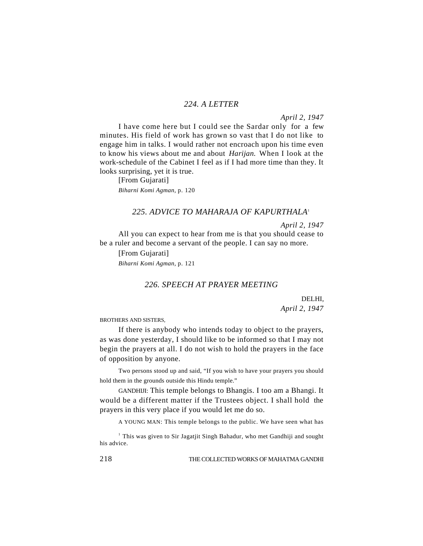# *224. A LETTER*

*April 2, 1947*

I have come here but I could see the Sardar only for a few minutes. His field of work has grown so vast that I do not like to engage him in talks. I would rather not encroach upon his time even to know his views about me and about *Harijan.* When I look at the work-schedule of the Cabinet I feel as if I had more time than they. It looks surprising, yet it is true.

[From Gujarati] *Biharni Komi Agman,* p. 120

## *225. ADVICE TO MAHARAJA OF KAPURTHALA*<sup>1</sup>

*April 2, 1947*

All you can expect to hear from me is that you should cease to be a ruler and become a servant of the people. I can say no more.

[From Gujarati] *Biharni Komi Agman,* p. 121

# *226. SPEECH AT PRAYER MEETING*

DELHI, *April 2, 1947*

BROTHERS AND SISTERS,

If there is anybody who intends today to object to the prayers, as was done yesterday, I should like to be informed so that I may not begin the prayers at all. I do not wish to hold the prayers in the face of opposition by anyone.

Two persons stood up and said, "If you wish to have your prayers you should hold them in the grounds outside this Hindu temple."

GANDHIJI: This temple belongs to Bhangis. I too am a Bhangi. It would be a different matter if the Trustees object. I shall hold the prayers in this very place if you would let me do so.

A YOUNG MAN: This temple belongs to the public. We have seen what has

 $1$  This was given to Sir Jagatjit Singh Bahadur, who met Gandhiji and sought his advice.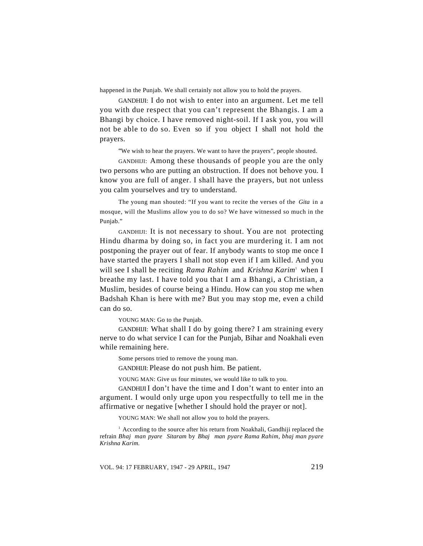happened in the Punjab. We shall certainly not allow you to hold the prayers.

GANDHIJI: I do not wish to enter into an argument. Let me tell you with due respect that you can't represent the Bhangis. I am a Bhangi by choice. I have removed night-soil. If I ask you, you will not be able to do so. Even so if you object I shall not hold the prayers.

"We wish to hear the prayers. We want to have the prayers", people shouted.

GANDHIJI: Among these thousands of people you are the only two persons who are putting an obstruction. If does not behove you. I know you are full of anger. I shall have the prayers, but not unless you calm yourselves and try to understand.

The young man shouted: "If you want to recite the verses of the *Gita* in a mosque, will the Muslims allow you to do so? We have witnessed so much in the Punjab."

GANDHIJI: It is not necessary to shout. You are not protecting Hindu dharma by doing so, in fact you are murdering it. I am not postponing the prayer out of fear. If anybody wants to stop me once I have started the prayers I shall not stop even if I am killed. And you will see I shall be reciting *Rama Rahim* and *Krishna Karim*<sup>1</sup> when I breathe my last. I have told you that I am a Bhangi, a Christian, a Muslim, besides of course being a Hindu. How can you stop me when Badshah Khan is here with me? But you may stop me, even a child can do so.

YOUNG MAN: Go to the Punjab.

GANDHIJI: What shall I do by going there? I am straining every nerve to do what service I can for the Punjab, Bihar and Noakhali even while remaining here.

Some persons tried to remove the young man.

GANDHIJI: Please do not push him. Be patient.

YOUNG MAN: Give us four minutes, we would like to talk to you.

GANDHIJI I don't have the time and I don't want to enter into an argument. I would only urge upon you respectfully to tell me in the affirmative or negative [whether I should hold the prayer or not].

YOUNG MAN: We shall not allow you to hold the prayers.

 $1$  According to the source after his return from Noakhali, Gandhiji replaced the refrain *Bhaj man pyare Sitaram* by *Bhaj man pyare Rama Rahim, bhaj man pyare Krishna Karim.*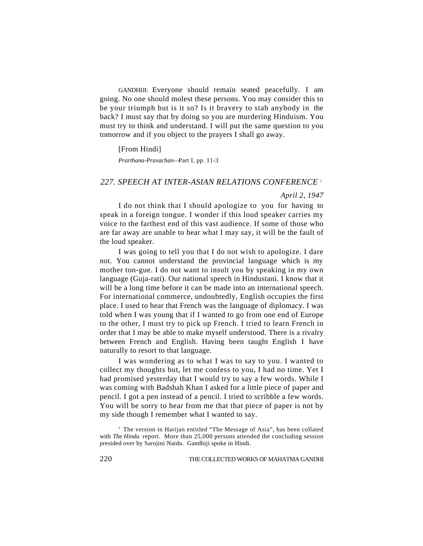GANDHIJI: Everyone should remain seated peacefully. I am going. No one should molest these persons. You may consider this to be your triumph but is it so? Is it bravery to stab anybody in the back? I must say that by doing so you are murdering Hinduism. You must try to think and understand. I will put the same question to you tomorrow and if you object to the prayers I shall go away.

### [From Hindi]

*Prarthana-Pravachan—*Part I, pp. 11-3

### *227. SPEECH AT INTER-ASIAN RELATIONS CONFERENCE* <sup>1</sup>

#### *April 2, 1947*

I do not think that I should apologize to you for having to speak in a foreign tongue. I wonder if this loud speaker carries my voice to the farthest end of this vast audience. If some of those who are far away are unable to hear what I may say, it will be the fault of the loud speaker.

I was going to tell you that I do not wish to apologize. I dare not. You cannot understand the provincial language which is my mother ton-gue. I do not want to insult you by speaking in my own language (Guja-rati). Our national speech in Hindustani. I know that it will be a long time before it can be made into an international speech. For international commerce, undoubtedly, English occupies the first place. I used to hear that French was the language of diplomacy. I was told when I was young that if I wanted to go from one end of Europe to the other, I must try to pick up French. I tried to learn French in order that I may be able to make myself understood. There is a rivalry between French and English. Having been taught English I have naturally to resort to that language.

I was wondering as to what I was to say to you. I wanted to collect my thoughts but, let me confess to you, I had no time. Yet I had promised yesterday that I would try to say a few words. While I was coming with Badshah Khan I asked for a little piece of paper and pencil. I got a pen instead of a pencil. I tried to scribble a few words. You will be sorry to hear from me that that piece of paper is not by my side though I remember what I wanted to say.

<sup>&</sup>lt;sup>1</sup> The version in Harijan entitled "The Message of Asia", has been collated with *The Hindu* report. More than 25,000 persons attended the concluding session presided over by Sarojini Naidu. Gandhiji spoke in Hindi.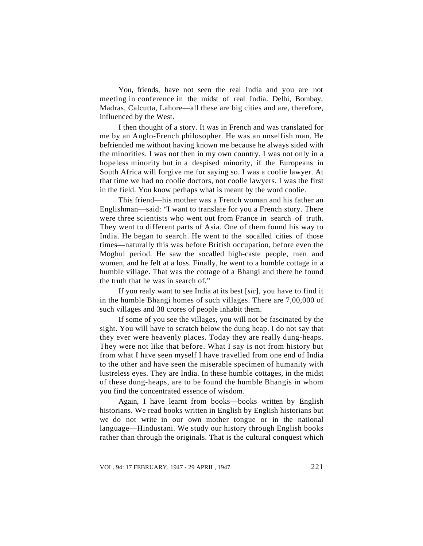You, friends, have not seen the real India and you are not meeting in conference in the midst of real India. Delhi, Bombay, Madras, Calcutta, Lahore—all these are big cities and are, therefore, influenced by the West.

I then thought of a story. It was in French and was translated for me by an Anglo-French philosopher. He was an unselfish man. He befriended me without having known me because he always sided with the minorities. I was not then in my own country. I was not only in a hopeless minority but in a despised minority, if the Europeans in South Africa will forgive me for saying so. I was a coolie lawyer. At that time we had no coolie doctors, not coolie lawyers. I was the first in the field. You know perhaps what is meant by the word coolie.

This friend—his mother was a French woman and his father an Englishman—said: "I want to translate for you a French story. There were three scientists who went out from France in search of truth. They went to different parts of Asia. One of them found his way to India. He began to search. He went to the socalled cities of those times—naturally this was before British occupation, before even the Moghul period. He saw the socalled high-caste people, men and women, and he felt at a loss. Finally, he went to a humble cottage in a humble village. That was the cottage of a Bhangi and there he found the truth that he was in search of."

If you realy want to see India at its best [*sic*], you have to find it in the humble Bhangi homes of such villages. There are 7,00,000 of such villages and 38 crores of people inhabit them.

If some of you see the villages, you will not be fascinated by the sight. You will have to scratch below the dung heap. I do not say that they ever were heavenly places. Today they are really dung-heaps. They were not like that before. What I say is not from history but from what I have seen myself I have travelled from one end of India to the other and have seen the miserable specimen of humanity with lustreless eyes. They are India. In these humble cottages, in the midst of these dung-heaps, are to be found the humble Bhangis in whom you find the concentrated essence of wisdom.

Again, I have learnt from books—books written by English historians. We read books written in English by English historians but we do not write in our own mother tongue or in the national language—Hindustani. We study our history through English books rather than through the originals. That is the cultural conquest which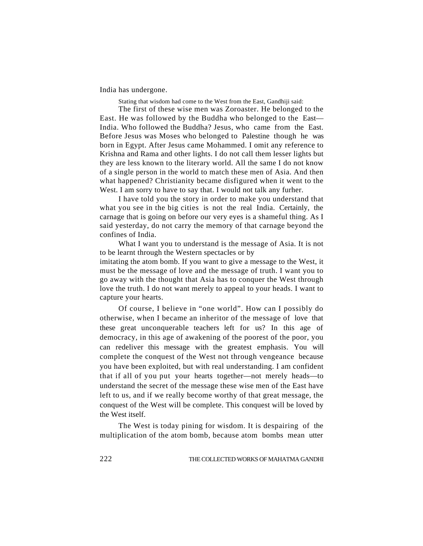India has undergone.

Stating that wisdom had come to the West from the East, Gandhiji said:

The first of these wise men was Zoroaster. He belonged to the East. He was followed by the Buddha who belonged to the East— India. Who followed the Buddha? Jesus, who came from the East. Before Jesus was Moses who belonged to Palestine though he was born in Egypt. After Jesus came Mohammed. I omit any reference to Krishna and Rama and other lights. I do not call them lesser lights but they are less known to the literary world. All the same I do not know of a single person in the world to match these men of Asia. And then what happened? Christianity became disfigured when it went to the West. I am sorry to have to say that. I would not talk any furher.

I have told you the story in order to make you understand that what you see in the big cities is not the real India. Certainly, the carnage that is going on before our very eyes is a shameful thing. As I said yesterday, do not carry the memory of that carnage beyond the confines of India.

What I want you to understand is the message of Asia. It is not to be learnt through the Western spectacles or by imitating the atom bomb. If you want to give a message to the West, it must be the message of love and the message of truth. I want you to go away with the thought that Asia has to conquer the West through love the truth. I do not want merely to appeal to your heads. I want to capture your hearts.

Of course, I believe in "one world". How can I possibly do otherwise, when I became an inheritor of the message of love that these great unconquerable teachers left for us? In this age of democracy, in this age of awakening of the poorest of the poor, you can redeliver this message with the greatest emphasis. You will complete the conquest of the West not through vengeance because you have been exploited, but with real understanding. I am confident that if all of you put your hearts together—not merely heads—to understand the secret of the message these wise men of the East have left to us, and if we really become worthy of that great message, the conquest of the West will be complete. This conquest will be loved by the West itself.

The West is today pining for wisdom. It is despairing of the multiplication of the atom bomb, because atom bombs mean utter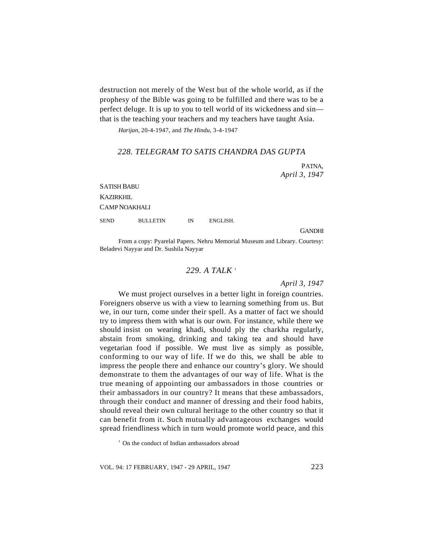destruction not merely of the West but of the whole world, as if the prophesy of the Bible was going to be fulfilled and there was to be a perfect deluge. It is up to you to tell world of its wickedness and sin that is the teaching your teachers and my teachers have taught Asia.

*Harijan,* 20-4-1947, and *The Hindu,* 3-4-1947

### *228. TELEGRAM TO SATIS CHANDRA DAS GUPTA*

**PATNA** *April 3, 1947*

SATISH BABU KAZIRKHIL CAMP NOAKHALI

SEND BULLETIN IN ENGLISH.

**GANDHI** 

From a copy: Pyarelal Papers. Nehru Memorial Museum and Library. Courtesy: Beladevi Nayyar and Dr. Sushila Nayyar

### *229. A TALK* <sup>1</sup>

*April 3, 1947*

We must project ourselves in a better light in foreign countries. Foreigners observe us with a view to learning something from us. But we, in our turn, come under their spell. As a matter of fact we should try to impress them with what is our own. For instance, while there we should insist on wearing khadi, should ply the charkha regularly, abstain from smoking, drinking and taking tea and should have vegetarian food if possible. We must live as simply as possible, conforming to our way of life. If we do this, we shall be able to impress the people there and enhance our country's glory. We should demonstrate to them the advantages of our way of life. What is the true meaning of appointing our ambassadors in those countries or their ambassadors in our country? It means that these ambassadors, through their conduct and manner of dressing and their food habits, should reveal their own cultural heritage to the other country so that it can benefit from it. Such mutually advantageous exchanges would spread friendliness which in turn would promote world peace, and this

 $<sup>1</sup>$  On the conduct of Indian ambassadors abroad</sup>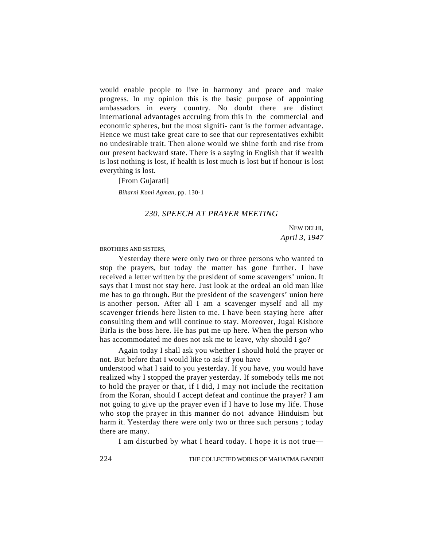would enable people to live in harmony and peace and make progress. In my opinion this is the basic purpose of appointing ambassadors in every country. No doubt there are distinct international advantages accruing from this in the commercial and economic spheres, but the most signifi- cant is the former advantage. Hence we must take great care to see that our representatives exhibit no undesirable trait. Then alone would we shine forth and rise from our present backward state. There is a saying in English that if wealth is lost nothing is lost, if health is lost much is lost but if honour is lost everything is lost.

[From Gujarati]

*Biharni Komi Agman,* pp. 130-1

## *230. SPEECH AT PRAYER MEETING*

NEW DELHI, *April 3, 1947*

BROTHERS AND SISTERS,

Yesterday there were only two or three persons who wanted to stop the prayers, but today the matter has gone further. I have received a letter written by the president of some scavengers' union. It says that I must not stay here. Just look at the ordeal an old man like me has to go through. But the president of the scavengers' union here is another person. After all I am a scavenger myself and all my scavenger friends here listen to me. I have been staying here after consulting them and will continue to stay. Moreover, Jugal Kishore Birla is the boss here. He has put me up here. When the person who has accommodated me does not ask me to leave, why should I go?

Again today I shall ask you whether I should hold the prayer or not. But before that I would like to ask if you have understood what I said to you yesterday. If you have, you would have

realized why I stopped the prayer yesterday. If somebody tells me not to hold the prayer or that, if I did, I may not include the recitation from the Koran, should I accept defeat and continue the prayer? I am not going to give up the prayer even if I have to lose my life. Those who stop the prayer in this manner do not advance Hinduism but harm it. Yesterday there were only two or three such persons ; today there are many.

I am disturbed by what I heard today. I hope it is not true—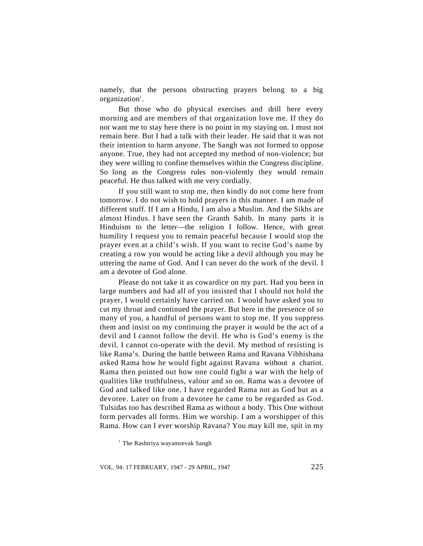namely, that the persons obstructing prayers belong to a big organization<sup>1</sup>.

But those who do physical exercises and drill here every morning and are members of that organization love me. If they do not want me to stay here there is no point in my staying on. I must not remain here. But I had a talk with their leader. He said that it was not their intention to harm anyone. The Sangh was not formed to oppose anyone. True, they had not accepted my method of non-violence; but they were willing to confine themselves within the Congress discipline. So long as the Congress rules non-violently they would remain peaceful. He thus talked with me very cordially.

If you still want to stop me, then kindly do not come here from tomorrow. I do not wish to hold prayers in this manner. I am made of different stuff. If I am a Hindu, I am also a Muslim. And the Sikhs are almost Hindus. I have seen the Granth Sahib. In many parts it is Hinduism to the letter—the religion I follow. Hence, with great humility I request you to remain peaceful because I would stop the prayer even at a child's wish. If you want to recite God's name by creating a row you would be acting like a devil although you may be uttering the name of God. And I can never do the work of the devil. I am a devotee of God alone.

Please do not take it as cowardice on my part. Had you been in large numbers and had all of you insisted that I should not hold the prayer, I would certainly have carried on. I would have asked you to cut my throat and continued the prayer. But here in the presence of so many of you, a handful of persons want to stop me. If you suppress them and insist on my continuing the prayer it would be the act of a devil and I cannot follow the devil. He who is God's enemy is the devil. I cannot co-operate with the devil. My method of resisting is like Rama's. During the battle between Rama and Ravana Vibhishana asked Rama how he would fight against Ravana without a chariot. Rama then pointed out how one could fight a war with the help of qualities like truthfulness, valour and so on. Rama was a devotee of God and talked like one. I have regarded Rama not as God but as a devotee. Later on from a devotee he came to be regarded as God. Tulsidas too has described Rama as without a body. This One without form pervades all forms. Him we worship. I am a worshipper of this Rama. How can I ever worship Ravana? You may kill me, spit in my

<sup>&</sup>lt;sup>1</sup> The Rashtriya wayamsevak Sangh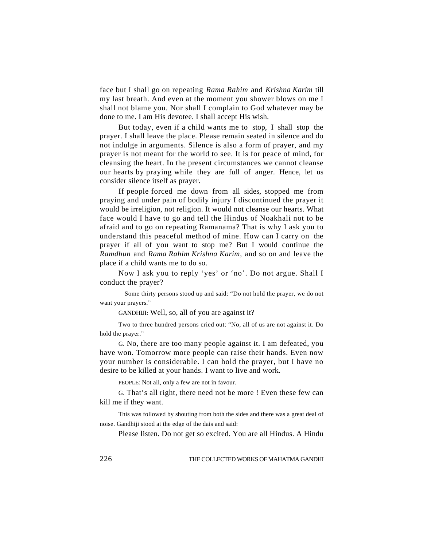face but I shall go on repeating *Rama Rahim* and *Krishna Karim* till my last breath. And even at the moment you shower blows on me I shall not blame you. Nor shall I complain to God whatever may be done to me. I am His devotee. I shall accept His wish.

But today, even if a child wants me to stop, I shall stop the prayer. I shall leave the place. Please remain seated in silence and do not indulge in arguments. Silence is also a form of prayer, and my prayer is not meant for the world to see. It is for peace of mind, for cleansing the heart. In the present circumstances we cannot cleanse our hearts by praying while they are full of anger. Hence, let us consider silence itself as prayer.

If people forced me down from all sides, stopped me from praying and under pain of bodily injury I discontinued the prayer it would be irreligion, not religion. It would not cleanse our hearts. What face would I have to go and tell the Hindus of Noakhali not to be afraid and to go on repeating Ramanama? That is why I ask you to understand this peaceful method of mine. How can I carry on the prayer if all of you want to stop me? But I would continue the *Ramdhun* and *Rama Rahim Krishna Karim,* and so on and leave the place if a child wants me to do so.

Now I ask you to reply 'yes' or 'no'. Do not argue. Shall I conduct the prayer?

Some thirty persons stood up and said: "Do not hold the prayer, we do not want your prayers."

GANDHIJI: Well, so, all of you are against it?

Two to three hundred persons cried out: "No, all of us are not against it. Do hold the prayer."

G. No, there are too many people against it. I am defeated, you have won. Tomorrow more people can raise their hands. Even now your number is considerable. I can hold the prayer, but I have no desire to be killed at your hands. I want to live and work.

PEOPLE: Not all, only a few are not in favour.

G. That's all right, there need not be more ! Even these few can kill me if they want.

This was followed by shouting from both the sides and there was a great deal of noise. Gandhiji stood at the edge of the dais and said:

Please listen. Do not get so excited. You are all Hindus. A Hindu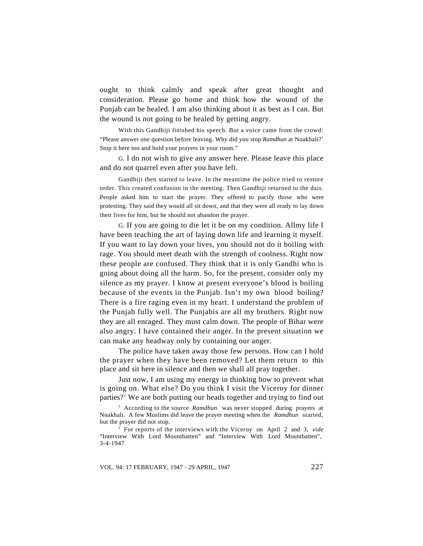ought to think calmly and speak after great thought and consideration. Please go home and think how the wound of the Punjab can be healed. I am also thinking about it as best as I can. But the wound is not going to be healed by getting angry.

With this Gandhiji finished his speech. But a voice came from the crowd: "Please answer one question before leaving. Why did you stop *Ramdhun* at Noakhali?<sup>1</sup> Stop it here too and hold your prayers in your room."

G. I do not wish to give any answer here. Please leave this place and do not quarrel even after you have left.

Gandhiji then started to leave. In the meantime the police tried to restore order. This created confusion in the meeting. Then Gandhiji returned to the dais. People asked him to start the prayer. They offered to pacify those who were protesting. They said they would all sit down, and that they were all ready to lay down their lives for him, but he should not abandon the prayer.

G. If you are going to die let it be on my condition. Allmy life I have been teaching the art of laying down life and learning it myself. If you want to lay down your lives, you should not do it boiling with rage. You should meet death with the strength of coolness. Right now these people are confused. They think that it is only Gandhi who is going about doing all the harm. So, for the present, consider only my silence as my prayer. I know at present everyone's blood is boiling because of the events in the Punjab. Isn't my own blood boiling? There is a fire raging even in my heart. I understand the problem of the Punjab fully well. The Punjabis are all my brothers. Right now they are all enraged. They must calm down. The people of Bihar were also angry. I have contained their anger. In the present situation we can make any headway only by containing our anger.

The police have taken away those few persons. How can I hold the prayer when they have been removed? Let them return to this place and sit here in silence and then we shall all pray together.

Just now, I am using my energy in thinking how to prevent what is going on. What else? Do you think I visit the Viceroy for dinner parties?<sup>2</sup> We are both putting our heads together and trying to find out

<sup>&</sup>lt;sup>1</sup> According to the source *Ramdhun* was never stopped during prayers at Noakhali. A few Muslims did leave the prayer meeting when the *Ramdhun* started, but the prayer did not stop.

<sup>2</sup> For reports of the interviews with the Viceroy on April 2 and 3, *vide* "Interview With Lord Mountbatten" and "Interview With Lord Mountbatten", 3-4-1947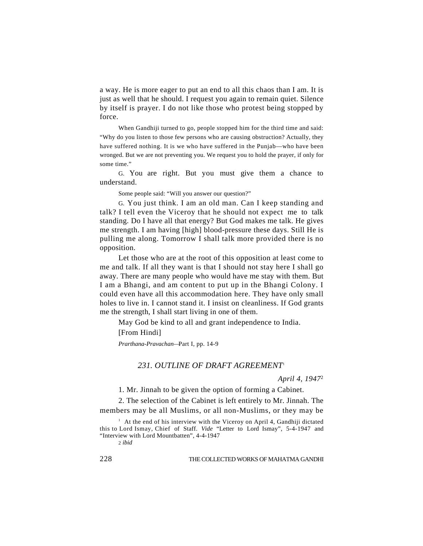a way. He is more eager to put an end to all this chaos than I am. It is just as well that he should. I request you again to remain quiet. Silence by itself is prayer. I do not like those who protest being stopped by force.

When Gandhiji turned to go, people stopped him for the third time and said: "Why do you listen to those few persons who are causing obstruction? Actually, they have suffered nothing. It is we who have suffered in the Punjab—who have been wronged. But we are not preventing you. We request you to hold the prayer, if only for some time."

G. You are right. But you must give them a chance to understand.

Some people said: "Will you answer our question?"

G. You just think. I am an old man. Can I keep standing and talk? I tell even the Viceroy that he should not expect me to talk standing. Do I have all that energy? But God makes me talk. He gives me strength. I am having [high] blood-pressure these days. Still He is pulling me along. Tomorrow I shall talk more provided there is no opposition.

Let those who are at the root of this opposition at least come to me and talk. If all they want is that I should not stay here I shall go away. There are many people who would have me stay with them. But I am a Bhangi, and am content to put up in the Bhangi Colony. I could even have all this accommodation here. They have only small holes to live in. I cannot stand it. I insist on cleanliness. If God grants me the strength, I shall start living in one of them.

May God be kind to all and grant independence to India.

[From Hindi]

*Prarthana-Pravachan—*Part I, pp. 14-9

# *231. OUTLINE OF DRAFT AGREEMENT*<sup>1</sup>

*April 4, 1947*<sup>2</sup>

1. Mr. Jinnah to be given the option of forming a Cabinet.

2. The selection of the Cabinet is left entirely to Mr. Jinnah. The members may be all Muslims, or all non-Muslims, or they may be

2 *ibid*

<sup>&</sup>lt;sup>1</sup> At the end of his interview with the Viceroy on April 4, Gandhiji dictated this to Lord Ismay, Chief of Staff. *Vide* "Letter to Lord Ismay", 5-4-1947 and "Interview with Lord Mountbatten", 4-4-1947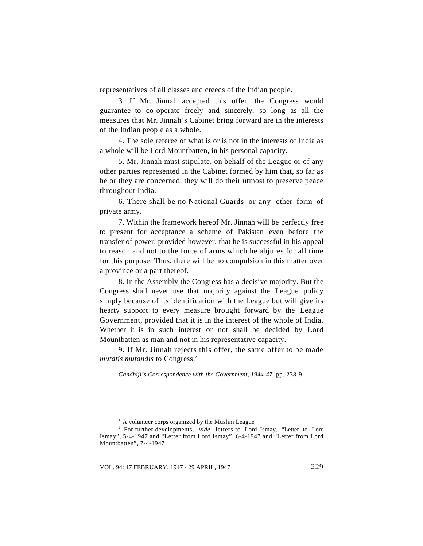representatives of all classes and creeds of the Indian people.

3. If Mr. Jinnah accepted this offer, the Congress would guarantee to co-operate freely and sincerely, so long as all the measures that Mr. Jinnah's Cabinet bring forward are in the interests of the Indian people as a whole.

4. The sole referee of what is or is not in the interests of India as a whole will be Lord Mountbatten, in his personal capacity.

5. Mr. Jinnah must stipulate, on behalf of the League or of any other parties represented in the Cabinet formed by him that, so far as he or they are concerned, they will do their utmost to preserve peace throughout India.

6. There shall be no National Guards<sup>1</sup> or any other form of private army.

7. Within the framework hereof Mr. Jinnah will be perfectly free to present for acceptance a scheme of Pakistan even before the transfer of power, provided however, that he is successful in his appeal to reason and not to the force of arms which he abjures for all time for this purpose. Thus, there will be no compulsion in this matter over a province or a part thereof.

8. In the Assembly the Congress has a decisive majority. But the Congress shall never use that majority against the League policy simply because of its identification with the League but will give its hearty support to every measure brought forward by the League Government, provided that it is in the interest of the whole of India. Whether it is in such interest or not shall be decided by Lord Mountbatten as man and not in his representative capacity.

9. If Mr. Jinnah rejects this offer, the same offer to be made *mutatis mutandis* to Congress.<sup>2</sup>

*Gandhiji's Correspondence with the Government, 1944-47*, pp. 238-9

 $<sup>1</sup>$  A volunteer corps organized by the Muslim League</sup>

<sup>&</sup>lt;sup>2</sup> For further developments, *vide* letters to Lord Ismay, "Letter to Lord Ismay", 5-4-1947 and "Letter from Lord Ismay", 6-4-1947 and "Letter from Lord Mountbatten", 7-4-1947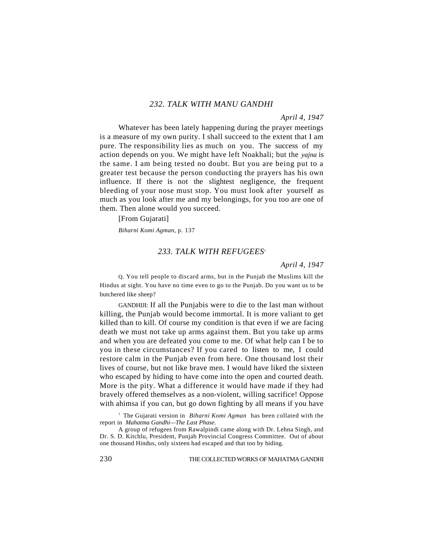### *232. TALK WITH MANU GANDHI*

#### *April 4, 1947*

Whatever has been lately happening during the prayer meetings is a measure of my own purity. I shall succeed to the extent that I am pure. The responsibility lies as much on you. The success of my action depends on you. We might have left Noakhali; but the *yajna* is the same. I am being tested no doubt. But you are being put to a greater test because the person conducting the prayers has his own influence. If there is not the slightest negligence, the frequent bleeding of your nose must stop. You must look after yourself as much as you look after me and my belongings, for you too are one of them. Then alone would you succeed.

[From Gujarati]

*Biharni Komi Agman,* p. 137

## *233. TALK WITH REFUGEES*<sup>1</sup>

*April 4, 1947*

Q. You tell people to discard arms, but in the Punjab the Muslims kill the Hindus at sight. You have no time even to go to the Punjab. Do you want us to be butchered like sheep?

GANDHIJI: If all the Punjabis were to die to the last man without killing, the Punjab would become immortal. It is more valiant to get killed than to kill. Of course my condition is that even if we are facing death we must not take up arms against them. But you take up arms and when you are defeated you come to me. Of what help can I be to you in these circumstances? If you cared to listen to me, I could restore calm in the Punjab even from here. One thousand lost their lives of course, but not like brave men. I would have liked the sixteen who escaped by hiding to have come into the open and courted death. More is the pity. What a difference it would have made if they had bravely offered themselves as a non-violent, willing sacrifice! Oppose with ahimsa if you can, but go down fighting by all means if you have

<sup>1</sup> The Gujarati version in *Biharni Komi Agman* has been collated with the report in *Mahatma Gandhi—The Last Phase*.

A group of refugees from Rawalpindi came along with Dr. Lehna Singh, and Dr. S. D. Kitchlu, President, Punjab Provincial Congress Committee. Out of about one thousand Hindus, only sixteen had escaped and that too by hiding.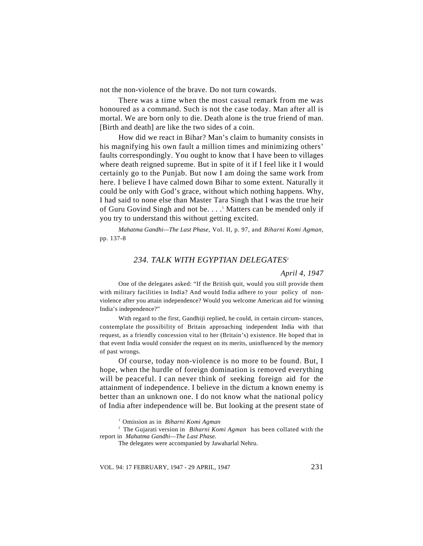not the non-violence of the brave. Do not turn cowards.

There was a time when the most casual remark from me was honoured as a command. Such is not the case today. Man after all is mortal. We are born only to die. Death alone is the true friend of man. [Birth and death] are like the two sides of a coin.

How did we react in Bihar? Man's claim to humanity consists in his magnifying his own fault a million times and minimizing others' faults correspondingly. You ought to know that I have been to villages where death reigned supreme. But in spite of it if I feel like it I would certainly go to the Punjab. But now I am doing the same work from here. I believe I have calmed down Bihar to some extent. Naturally it could be only with God's grace, without which nothing happens. Why, I had said to none else than Master Tara Singh that I was the true heir of Guru Govind Singh and not be. . . .<sup>1</sup> Matters can be mended only if you try to understand this without getting excited.

*Mahatma Gandhi—The Last Phase,* Vol. II, p. 97, and *Biharni Komi Agman,* pp. 137-8

### *234. TALK WITH EGYPTIAN DELEGATES*<sup>2</sup>

### *April 4, 1947*

One of the delegates asked: "If the British quit, would you still provide them with military facilities in India? And would India adhere to your policy of nonviolence after you attain independence? Would you welcome American aid for winning India's independence?"

With regard to the first, Gandhiji replied, he could, in certain circum- stances, contemplate the possibility of Britain approaching independent India with that request, as a friendly concession vital to her (Britain's) existence. He hoped that in that event India would consider the request on its merits, uninfluenced by the memory of past wrongs.

Of course, today non-violence is no more to be found. But, I hope, when the hurdle of foreign domination is removed everything will be peaceful. I can never think of seeking foreign aid for the attainment of independence. I believe in the dictum a known enemy is better than an unknown one. I do not know what the national policy of India after independence will be. But looking at the present state of

<sup>1</sup> Omission as in *Biharni Komi Agman*

<sup>2</sup> The Gujarati version in *Biharni Komi Agman* has been collated with the report in *Mahatma Gandhi—The Last Phase.*

The delegates were accompanied by Jawaharlal Nehru.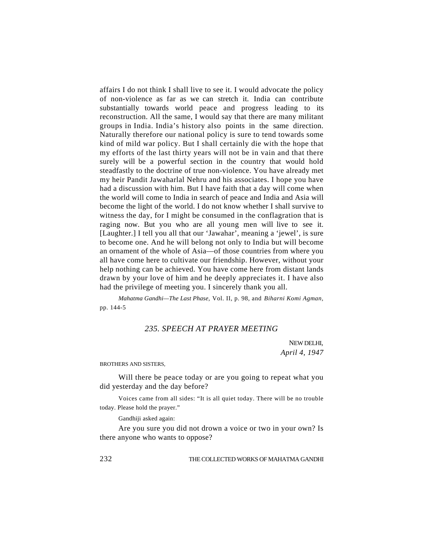affairs I do not think I shall live to see it. I would advocate the policy of non-violence as far as we can stretch it. India can contribute substantially towards world peace and progress leading to its reconstruction. All the same, I would say that there are many militant groups in India. India's history also points in the same direction. Naturally therefore our national policy is sure to tend towards some kind of mild war policy. But I shall certainly die with the hope that my efforts of the last thirty years will not be in vain and that there surely will be a powerful section in the country that would hold steadfastly to the doctrine of true non-violence. You have already met my heir Pandit Jawaharlal Nehru and his associates. I hope you have had a discussion with him. But I have faith that a day will come when the world will come to India in search of peace and India and Asia will become the light of the world. I do not know whether I shall survive to witness the day, for I might be consumed in the conflagration that is raging now. But you who are all young men will live to see it. [Laughter.] I tell you all that our 'Jawahar', meaning a 'jewel', is sure to become one. And he will belong not only to India but will become an ornament of the whole of Asia—of those countries from where you all have come here to cultivate our friendship. However, without your help nothing can be achieved. You have come here from distant lands drawn by your love of him and he deeply appreciates it. I have also had the privilege of meeting you. I sincerely thank you all.

*Mahatma Gandhi—The Last Phase,* Vol. II, p. 98, and *Biharni Komi Agman,* pp. 144-5

### *235. SPEECH AT PRAYER MEETING*

NEW DELHI, *April 4, 1947*

BROTHERS AND SISTERS,

Will there be peace today or are you going to repeat what you did yesterday and the day before?

Voices came from all sides: "It is all quiet today. There will be no trouble today. Please hold the prayer."

Gandhiji asked again:

Are you sure you did not drown a voice or two in your own? Is there anyone who wants to oppose?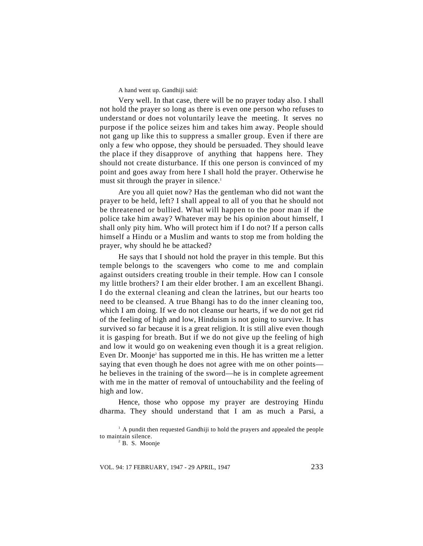A hand went up. Gandhiji said:

Very well. In that case, there will be no prayer today also. I shall not hold the prayer so long as there is even one person who refuses to understand or does not voluntarily leave the meeting. It serves no purpose if the police seizes him and takes him away. People should not gang up like this to suppress a smaller group. Even if there are only a few who oppose, they should be persuaded. They should leave the place if they disapprove of anything that happens here. They should not create disturbance. If this one person is convinced of my point and goes away from here I shall hold the prayer. Otherwise he must sit through the prayer in silence.<sup>1</sup>

Are you all quiet now? Has the gentleman who did not want the prayer to be held, left? I shall appeal to all of you that he should not be threatened or bullied. What will happen to the poor man if the police take him away? Whatever may be his opinion about himself, I shall only pity him. Who will protect him if I do not? If a person calls himself a Hindu or a Muslim and wants to stop me from holding the prayer, why should he be attacked?

He says that I should not hold the prayer in this temple. But this temple belongs to the scavengers who come to me and complain against outsiders creating trouble in their temple. How can I console my little brothers? I am their elder brother. I am an excellent Bhangi. I do the external cleaning and clean the latrines, but our hearts too need to be cleansed. A true Bhangi has to do the inner cleaning too, which I am doing. If we do not cleanse our hearts, if we do not get rid of the feeling of high and low, Hinduism is not going to survive. It has survived so far because it is a great religion. It is still alive even though it is gasping for breath. But if we do not give up the feeling of high and low it would go on weakening even though it is a great religion. Even Dr. Moonje<sup>2</sup> has supported me in this. He has written me a letter saying that even though he does not agree with me on other points he believes in the training of the sword—he is in complete agreement with me in the matter of removal of untouchability and the feeling of high and low.

Hence, those who oppose my prayer are destroying Hindu dharma. They should understand that I am as much a Parsi, a

 $<sup>1</sup>$  A pundit then requested Gandhiji to hold the prayers and appealed the people</sup> to maintain silence.

<sup>&</sup>lt;sup>2</sup> B. S. Moonje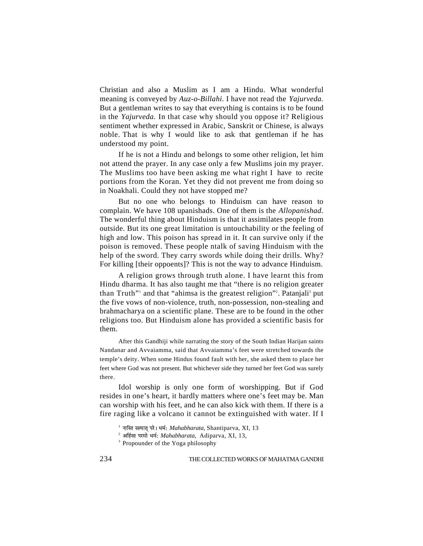Christian and also a Muslim as I am a Hindu. What wonderful meaning is conveyed by *Auz-o-Billahi.* I have not read the *Yajurveda.* But a gentleman writes to say that everything is contains is to be found in the *Yajurveda.* In that case why should you oppose it? Religious sentiment whether expressed in Arabic, Sanskrit or Chinese, is always noble. That is why I would like to ask that gentleman if he has understood my point.

If he is not a Hindu and belongs to some other religion, let him not attend the prayer. In any case only a few Muslims join my prayer. The Muslims too have been asking me what right I have to recite portions from the Koran. Yet they did not prevent me from doing so in Noakhali. Could they not have stopped me?

But no one who belongs to Hinduism can have reason to complain. We have 108 upanishads. One of them is the *Allopanishad.* The wonderful thing about Hinduism is that it assimilates people from outside. But its one great limitation is untouchability or the feeling of high and low. This poison has spread in it. It can survive only if the poison is removed. These people ntalk of saving Hinduism with the help of the sword. They carry swords while doing their drills. Why? For killing [their oppoents]? This is not the way to advance Hinduism.

A religion grows through truth alone. I have learnt this from Hindu dharma. It has also taught me that "there is no religion greater than Truth" and that "ahimsa is the greatest religion"<sup>2</sup>. Patanjali<sup>3</sup> put the five vows of non-violence, truth, non-possession, non-stealing and brahmacharya on a scientific plane. These are to be found in the other religions too. But Hinduism alone has provided a scientific basis for them.

After this Gandhiji while narrating the story of the South Indian Harijan saints Nandanar and Avvaiamma, said that Avvaiamma's feet were stretched towards the temple's deity. When some Hindus found fault with her, she asked them to place her feet where God was not present. But whichever side they turned her feet God was surely there.

Idol worship is only one form of worshipping. But if God resides in one's heart, it hardly matters where one's feet may be. Man can worship with his feet, and he can also kick with them. If there is a fire raging like a volcano it cannot be extinguished with water. If I

<sup>&</sup>lt;sup>1</sup> नास्ति सत्यात् परे। धर्म: *Mahabharata*, Shantiparva, XI, 13

<sup>2</sup> *Mahabharata,* Adiparva, XI, 13,

<sup>&</sup>lt;sup>3</sup> Propounder of the Yoga philosophy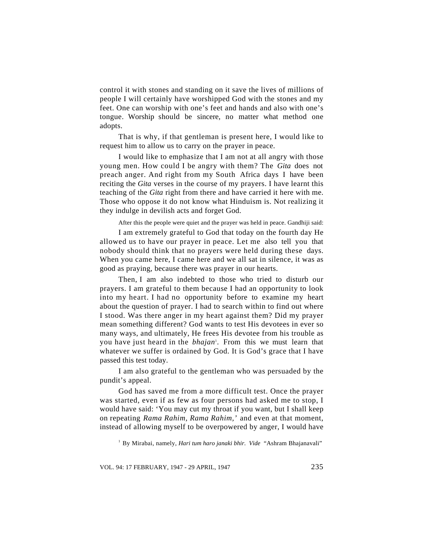control it with stones and standing on it save the lives of millions of people I will certainly have worshipped God with the stones and my feet. One can worship with one's feet and hands and also with one's tongue. Worship should be sincere, no matter what method one adopts.

That is why, if that gentleman is present here, I would like to request him to allow us to carry on the prayer in peace.

I would like to emphasize that I am not at all angry with those young men. How could I be angry with them? The *Gita* does not preach anger. And right from my South Africa days I have been reciting the *Gita* verses in the course of my prayers. I have learnt this teaching of the *Gita* right from there and have carried it here with me. Those who oppose it do not know what Hinduism is. Not realizing it they indulge in devilish acts and forget God.

After this the people were quiet and the prayer was held in peace. Gandhiji said:

I am extremely grateful to God that today on the fourth day He allowed us to have our prayer in peace. Let me also tell you that nobody should think that no prayers were held during these days. When you came here, I came here and we all sat in silence, it was as good as praying, because there was prayer in our hearts.

Then, I am also indebted to those who tried to disturb our prayers. I am grateful to them because I had an opportunity to look into my heart. I had no opportunity before to examine my heart about the question of prayer. I had to search within to find out where I stood. Was there anger in my heart against them? Did my prayer mean something different? God wants to test His devotees in ever so many ways, and ultimately, He frees His devotee from his trouble as you have just heard in the *bhajan*<sup>1</sup> *.* From this we must learn that whatever we suffer is ordained by God. It is God's grace that I have passed this test today.

I am also grateful to the gentleman who was persuaded by the pundit's appeal.

God has saved me from a more difficult test. Once the prayer was started, even if as few as four persons had asked me to stop, I would have said: 'You may cut my throat if you want, but I shall keep on repeating *Rama Rahim, Rama Rahim,'* and even at that moment, instead of allowing myself to be overpowered by anger, I would have

<sup>1</sup> By Mirabai, namely, *Hari tum haro janaki bhir. Vide* "Ashram Bhajanavali"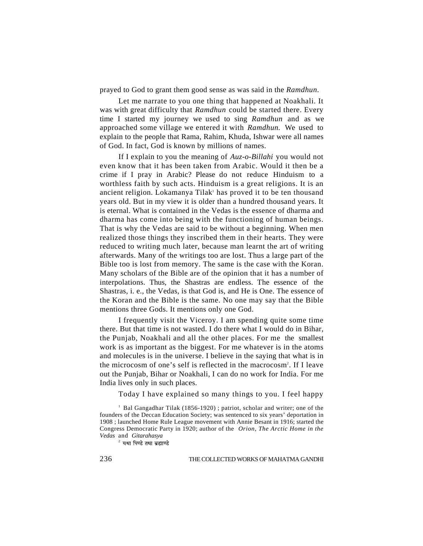prayed to God to grant them good sense as was said in the *Ramdhun.*

Let me narrate to you one thing that happened at Noakhali. It was with great difficulty that *Ramdhun* could be started there. Every time I started my journey we used to sing *Ramdhun* and as we approached some village we entered it with *Ramdhun.* We used to explain to the people that Rama, Rahim, Khuda, Ishwar were all names of God. In fact, God is known by millions of names.

If I explain to you the meaning of *Auz-o-Billahi* you would not even know that it has been taken from Arabic. Would it then be a crime if I pray in Arabic? Please do not reduce Hinduism to a worthless faith by such acts. Hinduism is a great religions. It is an ancient religion. Lokamanya Tilak<sup>1</sup> has proved it to be ten thousand years old. But in my view it is older than a hundred thousand years. It is eternal. What is contained in the Vedas is the essence of dharma and dharma has come into being with the functioning of human beings. That is why the Vedas are said to be without a beginning. When men realized those things they inscribed them in their hearts. They were reduced to writing much later, because man learnt the art of writing afterwards. Many of the writings too are lost. Thus a large part of the Bible too is lost from memory. The same is the case with the Koran. Many scholars of the Bible are of the opinion that it has a number of interpolations. Thus, the Shastras are endless. The essence of the Shastras, i. e., the Vedas, is that God is, and He is One. The essence of the Koran and the Bible is the same. No one may say that the Bible mentions three Gods. It mentions only one God.

I frequently visit the Viceroy. I am spending quite some time there. But that time is not wasted. I do there what I would do in Bihar, the Punjab, Noakhali and all the other places. For me the smallest work is as important as the biggest. For me whatever is in the atoms and molecules is in the universe. I believe in the saying that what is in the microcosm of one's self is reflected in the macrocosm<sup>2</sup> . If I leave out the Punjab, Bihar or Noakhali, I can do no work for India. For me India lives only in such places.

Today I have explained so many things to you. I feel happy

 $^2$  यथा पिण्डे तथा बंह्याण्डे

 $1$  Bal Gangadhar Tilak (1856-1920); patriot, scholar and writer; one of the founders of the Deccan Education Society; was sentenced to six years' deportation in 1908 ; launched Home Rule League movement with Annie Besant in 1916; started the Congress Democratic Party in 1920; author of the *Orion, The Arctic Home in the Vedas* and *Gitarahasya*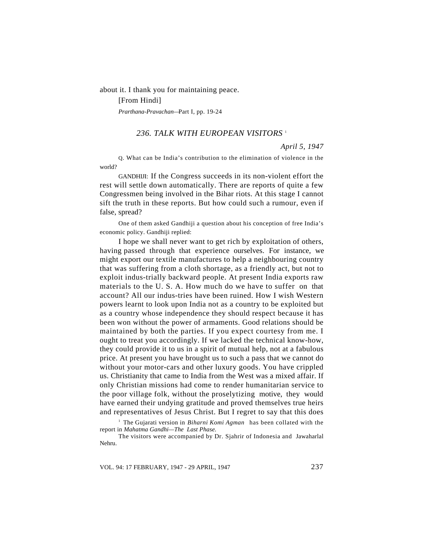about it. I thank you for maintaining peace.

[From Hindi]

*Prarthana-Pravachan—*Part I, pp. 19-24

### *236. TALK WITH EUROPEAN VISITORS* <sup>1</sup>

*April 5, 1947*

Q. What can be India's contribution to the elimination of violence in the world?

GANDHIJI: If the Congress succeeds in its non-violent effort the rest will settle down automatically. There are reports of quite a few Congressmen being involved in the Bihar riots. At this stage I cannot sift the truth in these reports. But how could such a rumour, even if false, spread?

One of them asked Gandhiji a question about his conception of free India's economic policy. Gandhiji replied:

I hope we shall never want to get rich by exploitation of others, having passed through that experience ourselves. For instance, we might export our textile manufactures to help a neighbouring country that was suffering from a cloth shortage, as a friendly act, but not to exploit indus-trially backward people. At present India exports raw materials to the U. S. A. How much do we have to suffer on that account? All our indus-tries have been ruined. How I wish Western powers learnt to look upon India not as a country to be exploited but as a country whose independence they should respect because it has been won without the power of armaments. Good relations should be maintained by both the parties. If you expect courtesy from me. I ought to treat you accordingly. If we lacked the technical know-how, they could provide it to us in a spirit of mutual help, not at a fabulous price. At present you have brought us to such a pass that we cannot do without your motor-cars and other luxury goods. You have crippled us. Christianity that came to India from the West was a mixed affair. If only Christian missions had come to render humanitarian service to the poor village folk, without the proselytizing motive, they would have earned their undying gratitude and proved themselves true heirs and representatives of Jesus Christ. But I regret to say that this does

<sup>1</sup> The Gujarati version in *Biharni Komi Agman* has been collated with the report in *Mahatma Gandhi—The Last Phase.*

The visitors were accompanied by Dr. Sjahrir of Indonesia and Jawaharlal Nehru.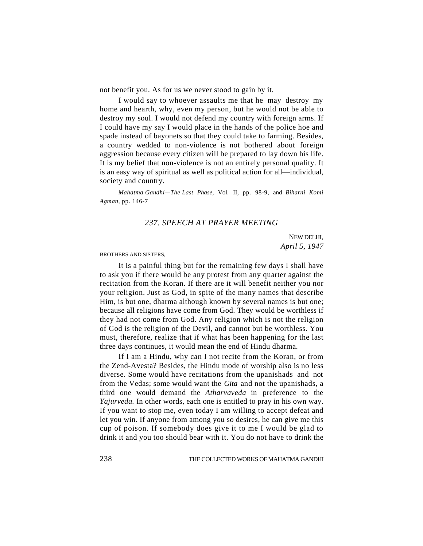not benefit you. As for us we never stood to gain by it.

I would say to whoever assaults me that he may destroy my home and hearth, why, even my person, but he would not be able to destroy my soul. I would not defend my country with foreign arms. If I could have my say I would place in the hands of the police hoe and spade instead of bayonets so that they could take to farming. Besides, a country wedded to non-violence is not bothered about foreign aggression because every citizen will be prepared to lay down his life. It is my belief that non-violence is not an entirely personal quality. It is an easy way of spiritual as well as political action for all—individual, society and country.

*Mahatma Gandhi—The Last Phase,* Vol. II, pp. 98-9, and *Biharni Komi Agman,* pp. 146-7

# *237. SPEECH AT PRAYER MEETING*

NEW DELHI, *April 5, 1947*

#### BROTHERS AND SISTERS,

It is a painful thing but for the remaining few days I shall have to ask you if there would be any protest from any quarter against the recitation from the Koran. If there are it will benefit neither you nor your religion. Just as God, in spite of the many names that describe Him, is but one, dharma although known by several names is but one; because all religions have come from God. They would be worthless if they had not come from God. Any religion which is not the religion of God is the religion of the Devil, and cannot but be worthless. You must, therefore, realize that if what has been happening for the last three days continues, it would mean the end of Hindu dharma.

If I am a Hindu, why can I not recite from the Koran, or from the Zend-Avesta? Besides, the Hindu mode of worship also is no less diverse. Some would have recitations from the upanishads and not from the Vedas; some would want the *Gita* and not the upanishads, a third one would demand the *Atharvaveda* in preference to the *Yajurveda.* In other words, each one is entitled to pray in his own way. If you want to stop me, even today I am willing to accept defeat and let you win. If anyone from among you so desires, he can give me this cup of poison. If somebody does give it to me I would be glad to drink it and you too should bear with it. You do not have to drink the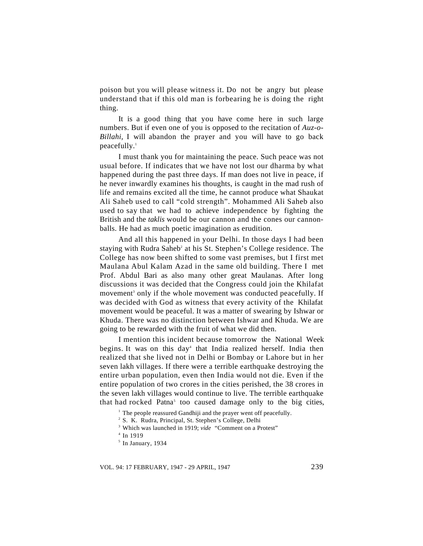poison but you will please witness it. Do not be angry but please understand that if this old man is forbearing he is doing the right thing.

It is a good thing that you have come here in such large numbers. But if even one of you is opposed to the recitation of *Auz-o-Billahi,* I will abandon the prayer and you will have to go back peacefully.<sup>1</sup>

I must thank you for maintaining the peace. Such peace was not usual before. If indicates that we have not lost our dharma by what happened during the past three days. If man does not live in peace, if he never inwardly examines his thoughts, is caught in the mad rush of life and remains excited all the time, he cannot produce what Shaukat Ali Saheb used to call "cold strength". Mohammed Ali Saheb also used to say that we had to achieve independence by fighting the British and the *taklis* would be our cannon and the cones our cannonballs. He had as much poetic imagination as erudition.

And all this happened in your Delhi. In those days I had been staying with Rudra Saheb<sup>2</sup> at his St. Stephen's College residence. The College has now been shifted to some vast premises, but I first met Maulana Abul Kalam Azad in the same old building. There I met Prof. Abdul Bari as also many other great Maulanas. After long discussions it was decided that the Congress could join the Khilafat movement<sup>3</sup> only if the whole movement was conducted peacefully. If was decided with God as witness that every activity of the Khilafat movement would be peaceful. It was a matter of swearing by Ishwar or Khuda. There was no distinction between Ishwar and Khuda. We are going to be rewarded with the fruit of what we did then.

I mention this incident because tomorrow the National Week begins. It was on this day<sup>4</sup> that India realized herself. India then realized that she lived not in Delhi or Bombay or Lahore but in her seven lakh villages. If there were a terrible earthquake destroying the entire urban population, even then India would not die. Even if the entire population of two crores in the cities perished, the 38 crores in the seven lakh villages would continue to live. The terrible earthquake that had rocked Patna<sup>5</sup> too caused damage only to the big cities,

<sup>&</sup>lt;sup>1</sup> The people reassured Gandhiji and the prayer went off peacefully.

<sup>&</sup>lt;sup>2</sup> S. K. Rudra, Principal, St. Stephen's College, Delhi

<sup>&</sup>lt;sup>3</sup> Which was launched in 1919; *vide* "Comment on a Protest"

<sup>4</sup> In 1919

<sup>&</sup>lt;sup>5</sup> In January, 1934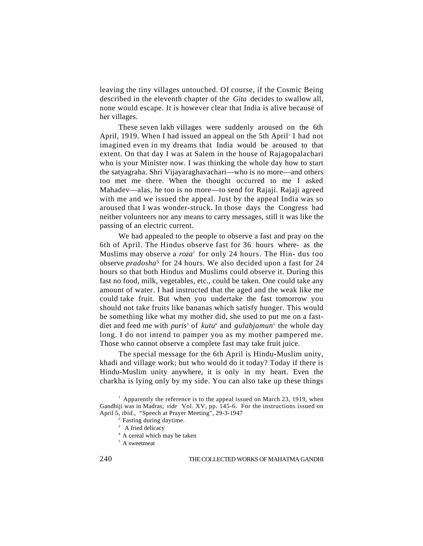leaving the tiny villages untouched. Of course, if the Cosmic Being described in the eleventh chapter of the *Gita* decides to swallow all, none would escape. It is however clear that India is alive because of her villages.

These seven lakh villages were suddenly aroused on the 6th April, 1919. When I had issued an appeal on the 5th April<sup>1</sup> I had not imagined even in my dreams that India would be aroused to that extent. On that day I was at Salem in the house of Rajagopalachari who is your Minister now. I was thinking the whole day how to start the satyagraha. Shri Vijayaraghavachari—who is no more—and others too met me there. When the thought occurred to me I asked Mahadev—alas, he too is no more—to send for Rajaji. Rajaji agreed with me and we issued the appeal. Just by the appeal India was so aroused that I was wonder-struck. In those days the Congress had neither volunteers nor any means to carry messages, still it was like the passing of an electric current.

We had appealed to the people to observe a fast and pray on the 6th of April. The Hindus observe fast for 36 hours where- as the Muslims may observe a *roza*<sup>2</sup> for only 24 hours. The Hin- dus too observe *pradosha*<sup>5</sup> for 24 hours. We also decided upon a fast for 24 hours so that both Hindus and Muslims could observe it. During this fast no food, milk, vegetables, etc., could be taken. One could take any amount of water. I had instructed that the aged and the weak like me could take fruit. But when you undertake the fast tomorrow you should not take fruits like bananas which satisfy hunger. This would be something like what my mother did, she used to put me on a fastdiet and feed me with *puris*<sup>3</sup> of *kutu*<sup>4</sup> and *gulabjamun*<sup>5</sup> the whole day long. I do not intend to pamper you as my mother pampered me. Those who cannot observe a complete fast may take fruit juice.

The special message for the 6th April is Hindu-Muslim unity, khadi and village work; but who would do it today? Today if there is Hindu-Muslim unity anywhere, it is only in my heart. Even the charkha is lying only by my side. You can also take up these things

 $1$  Apparently the reference is to the appeal issued on March 23, 1919, when Gandhiji was in Madras; *vide* Vol. XV, pp. 145-6. For the instructions issued on April 5, *ibid.,* "Speech at Prayer Meeting", 29-3-1947

<sup>&</sup>lt;sup>2</sup> Fasting during daytime.

<sup>&</sup>lt;sup>3</sup> A fried delicacy

<sup>4</sup> A cereal which may be taken

 $5$  A sweetmeat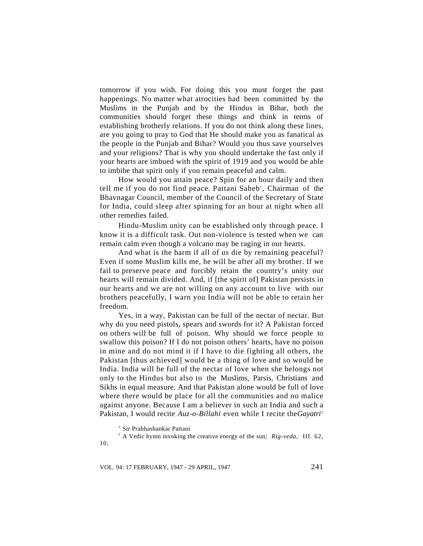tomorrow if you wish. For doing this you must forget the past happenings. No matter what atrocities had been committed by the Muslims in the Punjab and by the Hindus in Bihar, both the communities should forget these things and think in terms of establishing brotherly relations. If you do not think along these lines, are you going to pray to God that He should make you as fanatical as the people in the Punjab and Bihar? Would you thus save yourselves and your religions? That is why you should undertake the fast only if your hearts are imbued with the spirit of 1919 and you would be able to imbibe that spirit only if you remain peaceful and calm.

How would you attain peace? Spin for an hour daily and then tell me if you do not find peace. Pattani Saheb<sup>1</sup>, Chairman of the Bhavnagar Council, member of the Council of the Secretary of State for India, could sleep after spinning for an hour at night when all other remedies failed.

Hindu-Muslim unity can be established only through peace. I know it is a difficult task. Out non-violence is tested when we can remain calm even though a volcano may be raging in our hearts.

And what is the harm if all of us die by remaining peaceful? Even if some Muslim kills me, he will be after all my brother. If we fail to preserve peace and forcibly retain the country's unity our hearts will remain divided. And, if [the spirit of] Pakistan persists in our hearts and we are not willing on any account to live with our brothers peacefully, I warn you India will not be able to retain her freedom.

Yes, in a way, Pakistan can be full of the nectar of nectar. But why do you need pistols, spears and swords for it? A Pakistan forced on others will be full of poison. Why should we force people to swallow this poison? If I do not poison others' hearts, have no poison in mine and do not mind it if I have to die fighting all others, the Pakistan [thus achieved] would be a thing of love and so would be India. India will be full of the nectar of love when she belongs not only to the Hindus but also to the Muslims, Parsis, Christians and Sikhs in equal measure. And that Pakistan alone would be full of love where there would be place for all the communities and no malice against anyone. Because I am a believer in such an India and such a Pakistan, I would recite *Auz-o-Billahi* even while I recite the *Gayatri<sup>2</sup>* 

1 Sir Prabhashankar Pattani

<sup>2</sup> A Vedic hymn invoking the creative energy of the sun; *Rig-veda,* III. 62, 10.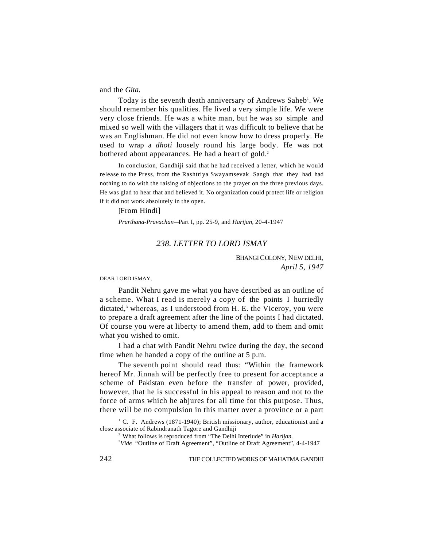and the *Gita.*

Today is the seventh death anniversary of Andrews Saheb<sup>1</sup>. We should remember his qualities. He lived a very simple life. We were very close friends. He was a white man, but he was so simple and mixed so well with the villagers that it was difficult to believe that he was an Englishman. He did not even know how to dress properly. He used to wrap a *dhoti* loosely round his large body. He was not bothered about appearances. He had a heart of gold.<sup>2</sup>

In conclusion, Gandhiji said that he had received a letter, which he would release to the Press, from the Rashtriya Swayamsevak Sangh that they had had nothing to do with the raising of objections to the prayer on the three previous days. He was glad to hear that and believed it. No organization could protect life or religion if it did not work absolutely in the open.

[From Hindi]

*Prarthana-Pravachan—*Part I, pp. 25-9, and *Harijan,* 20-4-1947

# *238. LETTER TO LORD ISMAY*

BHANGI COLONY, NEW DELHI, *April 5, 1947*

DEAR LORD ISMAY,

Pandit Nehru gave me what you have described as an outline of a scheme. What I read is merely a copy of the points I hurriedly dictated,<sup>3</sup> whereas, as I understood from H. E. the Viceroy, you were to prepare a draft agreement after the line of the points I had dictated. Of course you were at liberty to amend them, add to them and omit what you wished to omit.

I had a chat with Pandit Nehru twice during the day, the second time when he handed a copy of the outline at 5 p.m.

The seventh point should read thus: "Within the framework hereof Mr. Jinnah will be perfectly free to present for acceptance a scheme of Pakistan even before the transfer of power, provided, however, that he is successful in his appeal to reason and not to the force of arms which he abjures for all time for this purpose. Thus, there will be no compulsion in this matter over a province or a part

 $1^{\circ}$  C. F. Andrews (1871-1940); British missionary, author, educationist and a close associate of Rabindranath Tagore and Gandhiji

<sup>2</sup> What follows is reproduced from "The Delhi Interlude" in *Harijan.*

<sup>&</sup>lt;sup>3</sup>Vide "Outline of Draft Agreement", "Outline of Draft Agreement", 4-4-1947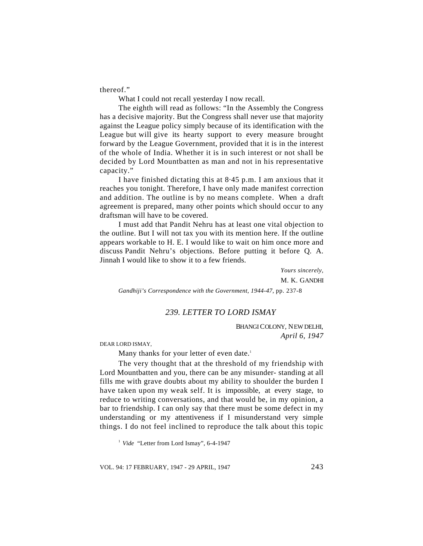thereof."

What I could not recall yesterday I now recall.

The eighth will read as follows: "In the Assembly the Congress has a decisive majority. But the Congress shall never use that majority against the League policy simply because of its identification with the League but will give its hearty support to every measure brought forward by the League Government, provided that it is in the interest of the whole of India. Whether it is in such interest or not shall be decided by Lord Mountbatten as man and not in his representative capacity."

I have finished dictating this at 8·45 p.m. I am anxious that it reaches you tonight. Therefore, I have only made manifest correction and addition. The outline is by no means complete. When a draft agreement is prepared, many other points which should occur to any draftsman will have to be covered.

I must add that Pandit Nehru has at least one vital objection to the outline. But I will not tax you with its mention here. If the outline appears workable to H. E. I would like to wait on him once more and discuss Pandit Nehru's objections. Before putting it before Q. A. Jinnah I would like to show it to a few friends.

> *Yours sincerely,* M. K. GANDHI

*Gandhiji's Correspondence with the Government, 1944-47,* pp. 237-8

### *239. LETTER TO LORD ISMAY*

BHANGI COLONY, NEW DELHI, *April 6, 1947*

DEAR LORD ISMAY,

Many thanks for your letter of even date.<sup>1</sup>

The very thought that at the threshold of my friendship with Lord Mountbatten and you, there can be any misunder- standing at all fills me with grave doubts about my ability to shoulder the burden I have taken upon my weak self. It is impossible, at every stage, to reduce to writing conversations, and that would be, in my opinion, a bar to friendship. I can only say that there must be some defect in my understanding or my attentiveness if I misunderstand very simple things. I do not feel inclined to reproduce the talk about this topic

<sup>1</sup> *Vide* "Letter from Lord Ismay", 6-4-1947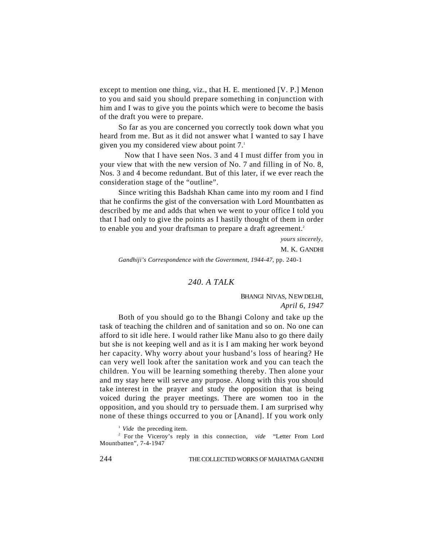except to mention one thing, viz., that H. E. mentioned [V. P.] Menon to you and said you should prepare something in conjunction with him and I was to give you the points which were to become the basis of the draft you were to prepare.

So far as you are concerned you correctly took down what you heard from me. But as it did not answer what I wanted to say I have given you my considered view about point  $7<sup>1</sup>$ 

Now that I have seen Nos. 3 and 4 I must differ from you in your view that with the new version of No. 7 and filling in of No. 8, Nos. 3 and 4 become redundant. But of this later, if we ever reach the consideration stage of the "outline".

Since writing this Badshah Khan came into my room and I find that he confirms the gist of the conversation with Lord Mountbatten as described by me and adds that when we went to your office I told you that I had only to give the points as I hastily thought of them in order to enable you and your draftsman to prepare a draft agreement.<sup>2</sup>

*yours sincerely,*

M. K. GANDHI

*Gandhiji's Correspondence with the Government, 1944-47,* pp. 240-1

## *240. A TALK*

# BHANGI NIVAS, NEW DELHI, *April 6, 1947*

Both of you should go to the Bhangi Colony and take up the task of teaching the children and of sanitation and so on. No one can afford to sit idle here. I would rather like Manu also to go there daily but she is not keeping well and as it is I am making her work beyond her capacity. Why worry about your husband's loss of hearing? He can very well look after the sanitation work and you can teach the children. You will be learning something thereby. Then alone your and my stay here will serve any purpose. Along with this you should take interest in the prayer and study the opposition that is being voiced during the prayer meetings. There are women too in the opposition, and you should try to persuade them. I am surprised why none of these things occurred to you or [Anand]. If you work only

<sup>1</sup> *Vide* the preceding item.

2 For the Viceroy's reply in this connection, *vide* "Letter From Lord Mountbatten", 7-4-1947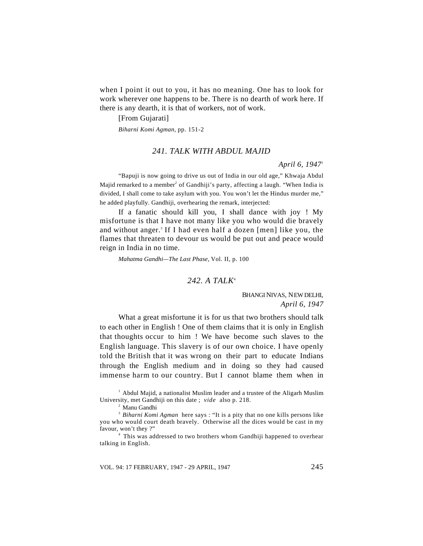when I point it out to you, it has no meaning. One has to look for work wherever one happens to be. There is no dearth of work here. If there is any dearth, it is that of workers, not of work.

[From Gujarati]

*Biharni Komi Agman,* pp. 151-2

### *241. TALK WITH ABDUL MAJID*

*April 6, 1947*<sup>1</sup>

"Bapuji is now going to drive us out of India in our old age," Khwaja Abdul Majid remarked to a member<sup>2</sup> of Gandhiji's party, affecting a laugh. "When India is divided, I shall come to take asylum with you. You won't let the Hindus murder me," he added playfully. Gandhiji, overhearing the remark, interjected:

If a fanatic should kill you, I shall dance with joy ! My misfortune is that I have not many like you who would die bravely and without anger.<sup>3</sup> If I had even half a dozen [men] like you, the flames that threaten to devour us would be put out and peace would reign in India in no time.

*Mahatma Gandhi—The Last Phase,* Vol. II, p. 100

# *242. A TALK*<sup>4</sup>

BHANGI NIVAS, NEW DELHI, *April 6, 1947*

What a great misfortune it is for us that two brothers should talk to each other in English ! One of them claims that it is only in English that thoughts occur to him ! We have become such slaves to the English language. This slavery is of our own choice. I have openly told the British that it was wrong on their part to educate Indians through the English medium and in doing so they had caused immense harm to our country. But I cannot blame them when in

 $1$  Abdul Majid, a nationalist Muslim leader and a trustee of the Aligarh Muslim University, met Gandhiji on this date ; *vide* also p. 218.

<sup>&</sup>lt;sup>2</sup> Manu Gandhi

<sup>3</sup> *Biharni Komi Agman* here says : "It is a pity that no one kills persons like you who would court death bravely. Otherwise all the dices would be cast in my favour, won't they ?"

<sup>&</sup>lt;sup>4</sup> This was addressed to two brothers whom Gandhiji happened to overhear talking in English.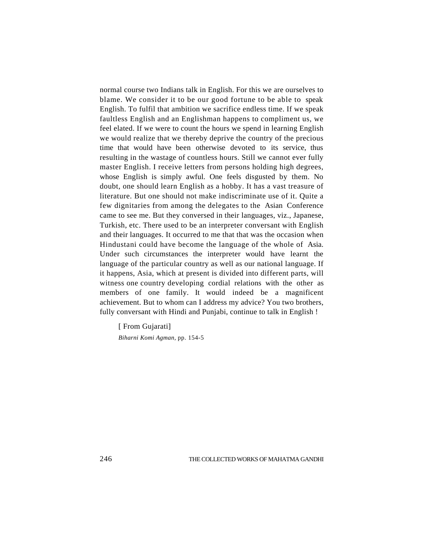normal course two Indians talk in English. For this we are ourselves to blame. We consider it to be our good fortune to be able to speak English. To fulfil that ambition we sacrifice endless time. If we speak faultless English and an Englishman happens to compliment us, we feel elated. If we were to count the hours we spend in learning English we would realize that we thereby deprive the country of the precious time that would have been otherwise devoted to its service, thus resulting in the wastage of countless hours. Still we cannot ever fully master English. I receive letters from persons holding high degrees, whose English is simply awful. One feels disgusted by them. No doubt, one should learn English as a hobby. It has a vast treasure of literature. But one should not make indiscriminate use of it. Quite a few dignitaries from among the delegates to the Asian Conference came to see me. But they conversed in their languages, viz., Japanese, Turkish, etc. There used to be an interpreter conversant with English and their languages. It occurred to me that that was the occasion when Hindustani could have become the language of the whole of Asia. Under such circumstances the interpreter would have learnt the language of the particular country as well as our national language. If it happens, Asia, which at present is divided into different parts, will witness one country developing cordial relations with the other as members of one family. It would indeed be a magnificent achievement. But to whom can I address my advice? You two brothers, fully conversant with Hindi and Punjabi, continue to talk in English !

[ From Gujarati] *Biharni Komi Agman,* pp. 154-5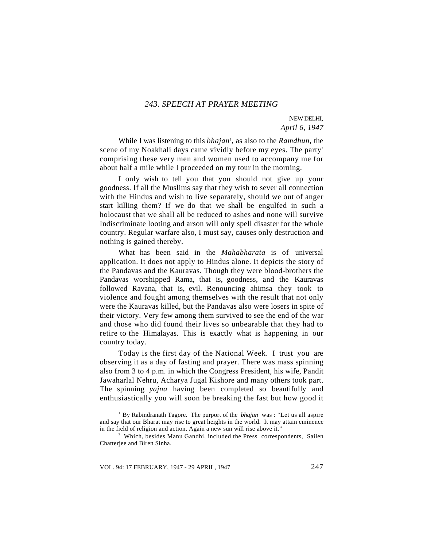### *243. SPEECH AT PRAYER MEETING*

NEW DELHI *April 6, 1947*

While I was listening to this *bhajan*<sup>1</sup>, as also to the *Ramdhun*, the scene of my Noakhali days came vividly before my eyes. The party<sup>2</sup> comprising these very men and women used to accompany me for about half a mile while I proceeded on my tour in the morning.

I only wish to tell you that you should not give up your goodness. If all the Muslims say that they wish to sever all connection with the Hindus and wish to live separately, should we out of anger start killing them? If we do that we shall be engulfed in such a holocaust that we shall all be reduced to ashes and none will survive Indiscriminate looting and arson will only spell disaster for the whole country. Regular warfare also, I must say, causes only destruction and nothing is gained thereby.

What has been said in the *Mahabharata* is of universal application. It does not apply to Hindus alone. It depicts the story of the Pandavas and the Kauravas. Though they were blood-brothers the Pandavas worshipped Rama, that is, goodness, and the Kauravas followed Ravana, that is, evil. Renouncing ahimsa they took to violence and fought among themselves with the result that not only were the Kauravas killed, but the Pandavas also were losers in spite of their victory. Very few among them survived to see the end of the war and those who did found their lives so unbearable that they had to retire to the Himalayas. This is exactly what is happening in our country today.

Today is the first day of the National Week. I trust you are observing it as a day of fasting and prayer. There was mass spinning also from 3 to 4 p.m. in which the Congress President, his wife, Pandit Jawaharlal Nehru, Acharya Jugal Kishore and many others took part. The spinning *yajna* having been completed so beautifully and enthusiastically you will soon be breaking the fast but how good it

<sup>1</sup> By Rabindranath Tagore. The purport of the *bhajan* was : "Let us all aspire and say that our Bharat may rise to great heights in the world. It may attain eminence in the field of religion and action. Again a new sun will rise above it."

<sup>&</sup>lt;sup>2</sup> Which, besides Manu Gandhi, included the Press correspondents, Sailen Chatterjee and Biren Sinha.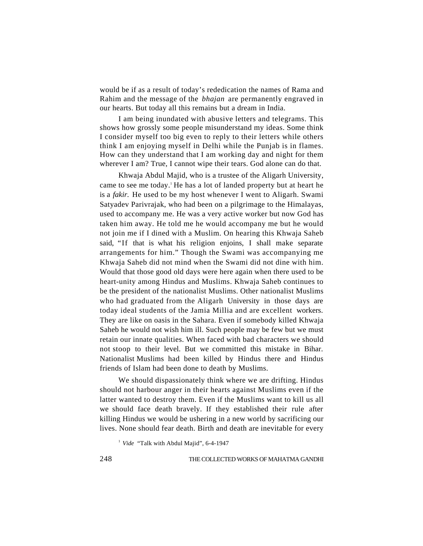would be if as a result of today's rededication the names of Rama and Rahim and the message of the *bhajan* are permanently engraved in our hearts. But today all this remains but a dream in India.

I am being inundated with abusive letters and telegrams. This shows how grossly some people misunderstand my ideas. Some think I consider myself too big even to reply to their letters while others think I am enjoying myself in Delhi while the Punjab is in flames. How can they understand that I am working day and night for them wherever I am? True, I cannot wipe their tears. God alone can do that.

Khwaja Abdul Majid, who is a trustee of the Aligarh University, came to see me today.<sup>1</sup> He has a lot of landed property but at heart he is a *fakir.* He used to be my host whenever I went to Aligarh. Swami Satyadev Parivrajak, who had been on a pilgrimage to the Himalayas, used to accompany me. He was a very active worker but now God has taken him away. He told me he would accompany me but he would not join me if I dined with a Muslim. On hearing this Khwaja Saheb said, "If that is what his religion enjoins, I shall make separate arrangements for him." Though the Swami was accompanying me Khwaja Saheb did not mind when the Swami did not dine with him. Would that those good old days were here again when there used to be heart-unity among Hindus and Muslims. Khwaja Saheb continues to be the president of the nationalist Muslims. Other nationalist Muslims who had graduated from the Aligarh University in those days are today ideal students of the Jamia Millia and are excellent workers. They are like on oasis in the Sahara. Even if somebody killed Khwaja Saheb he would not wish him ill. Such people may be few but we must retain our innate qualities. When faced with bad characters we should not stoop to their level. But we committed this mistake in Bihar. Nationalist Muslims had been killed by Hindus there and Hindus friends of Islam had been done to death by Muslims.

We should dispassionately think where we are drifting. Hindus should not harbour anger in their hearts against Muslims even if the latter wanted to destroy them. Even if the Muslims want to kill us all we should face death bravely. If they established their rule after killing Hindus we would be ushering in a new world by sacrificing our lives. None should fear death. Birth and death are inevitable for every

<sup>1</sup> *Vide* "Talk with Abdul Majid", 6-4-1947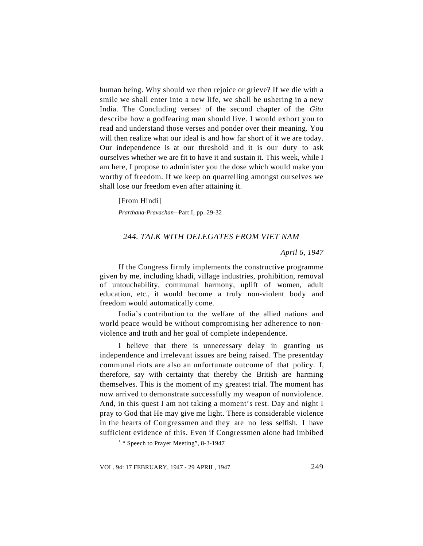human being. Why should we then rejoice or grieve? If we die with a smile we shall enter into a new life, we shall be ushering in a new India. The Concluding verses<sup>1</sup> of the second chapter of the *Gita* describe how a godfearing man should live. I would exhort you to read and understand those verses and ponder over their meaning. You will then realize what our ideal is and how far short of it we are today. Our independence is at our threshold and it is our duty to ask ourselves whether we are fit to have it and sustain it. This week, while I am here, I propose to administer you the dose which would make you worthy of freedom. If we keep on quarrelling amongst ourselves we shall lose our freedom even after attaining it.

[From Hindi] *Prarthana-Pravachan—*Part I, pp. 29-32

### *244. TALK WITH DELEGATES FROM VIET NAM*

*April 6, 1947*

If the Congress firmly implements the constructive programme given by me, including khadi, village industries, prohibition, removal of untouchability, communal harmony, uplift of women, adult education, etc., it would become a truly non-violent body and freedom would automatically come.

India's contribution to the welfare of the allied nations and world peace would be without compromising her adherence to nonviolence and truth and her goal of complete independence.

I believe that there is unnecessary delay in granting us independence and irrelevant issues are being raised. The presentday communal riots are also an unfortunate outcome of that policy. I, therefore, say with certainty that thereby the British are harming themselves. This is the moment of my greatest trial. The moment has now arrived to demonstrate successfully my weapon of nonviolence. And, in this quest I am not taking a moment's rest. Day and night I pray to God that He may give me light. There is considerable violence in the hearts of Congressmen and they are no less selfish. I have sufficient evidence of this. Even if Congressmen alone had imbibed

<sup>1</sup> "Speech to Prayer Meeting", 8-3-1947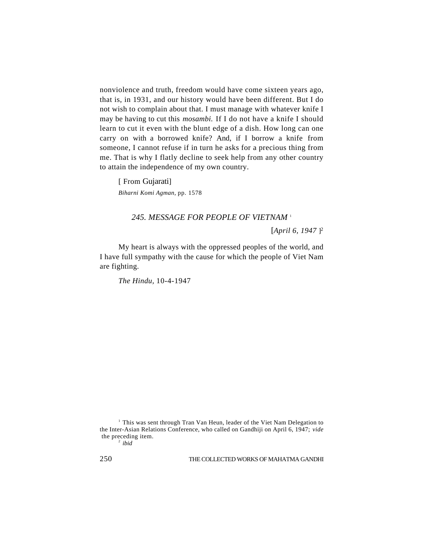nonviolence and truth, freedom would have come sixteen years ago, that is, in 1931, and our history would have been different. But I do not wish to complain about that. I must manage with whatever knife I may be having to cut this *mosambi.* If I do not have a knife I should learn to cut it even with the blunt edge of a dish. How long can one carry on with a borrowed knife? And, if I borrow a knife from someone, I cannot refuse if in turn he asks for a precious thing from me. That is why I flatly decline to seek help from any other country to attain the independence of my own country.

[ From Gujarati] *Biharni Komi Agman,* pp. 1578

# *245. MESSAGE FOR PEOPLE OF VIETNAM* <sup>1</sup>

[*April 6, 1947* ] 2

My heart is always with the oppressed peoples of the world, and I have full sympathy with the cause for which the people of Viet Nam are fighting.

*The Hindu,* 10-4-1947

 $1$  This was sent through Tran Van Heun, leader of the Viet Nam Delegation to the Inter-Asian Relations Conference, who called on Gandhiji on April 6, 1947; *vide* the preceding item.

<sup>2</sup>*ibid*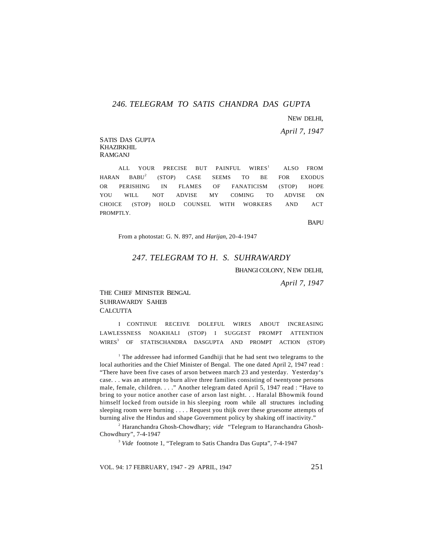# *246. TELEGRAM TO SATIS CHANDRA DAS GUPTA*

NEW DELHI,

*April 7, 1947*

#### SATIS DAS GUPTA KHAZIRKHIL RAMGANJ

ALL YOUR PRECISE BUT PAINFUL WIRES<sup>1</sup> ALSO FROM HARAN BABU<sup>2</sup> (STOP) CASE SEEMS TO BE FOR EXODUS OR PERISHING IN FLAMES OF FANATICISM (STOP) HOPE YOU WILL NOT ADVISE MY COMING TO ADVISE ON CHOICE (STOP) HOLD COUNSEL WITH WORKERS AND ACT PROMPTLY.

**BAPU** 

From a photostat: G. N. 897, and *Harijan,* 20-4-1947

### *247. TELEGRAM TO H. S. SUHRAWARDY*

BHANGI COLONY, NEW DELHI,

*April 7, 1947*

THE CHIEF MINISTER BENGAL SUHRAWARDY SAHEB CALCUTTA

I CONTINUE RECEIVE DOLEFUL WIRES ABOUT INCREASING LAWLESSNESS NOAKHALI (STOP) I SUGGEST PROMPT ATTENTION WIRES<sup>3</sup> OF STATISCHANDRA DASGUPTA AND PROMPT ACTION (STOP)

<sup>1</sup> The addressee had informed Gandhiji that he had sent two telegrams to the local authorities and the Chief Minister of Bengal. The one dated April 2, 1947 read : "There have been five cases of arson between march 23 and yesterday. Yesterday's case. . . was an attempt to burn alive three families consisting of twentyone persons male, female, children. . . ." Another telegram dated April 5, 1947 read : "Have to bring to your notice another case of arson last night. . . Haralal Bhowmik found himself locked from outside in his sleeping room while all structures including sleeping room were burning . . . . Request you thijk over these gruesome attempts of burning alive the Hindus and shape Government policy by shaking off inactivity."

2 Haranchandra Ghosh-Chowdhary; *vide* "Telegram to Haranchandra Ghosh-Chowdhury", 7-4-1947

<sup>3</sup> *Vide* footnote 1, "Telegram to Satis Chandra Das Gupta", 7-4-1947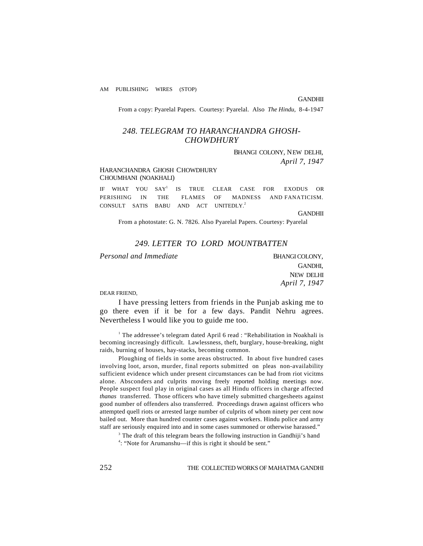**GANDHII** 

From a copy: Pyarelal Papers. Courtesy: Pyarelal. Also *The Hindu,* 8-4-1947

# *248. TELEGRAM TO HARANCHANDRA GHOSH-CHOWDHURY*

BHANGI COLONY, NEW DELHI, *April 7, 1947*

#### HARANCHANDRA GHOSH CHOWDHURY CHOUMHANI (NOAKHALI)

IF WHAT YOU SAY<sup>1</sup> IS TRUE CLEAR CASE FOR EXODUS OR PERISHING IN THE FLAMES OF MADNESS AND FANATICISM. CONSULT SATIS BABU AND ACT UNITEDLY.<sup>2</sup>

**GANDHII** 

From a photostate: G. N. 7826. Also Pyarelal Papers. Courtesy: Pyarelal

# *249. LETTER TO LORD MOUNTBATTEN*

*Personal and Immediate* and the BHANGI COLONY,

GANDHI, NEW DELHI *April 7, 1947*

DEAR FRIEND,

I have pressing letters from friends in the Punjab asking me to go there even if it be for a few days. Pandit Nehru agrees. Nevertheless I would like you to guide me too.

<sup>1</sup> The addressee's telegram dated April 6 read : "Rehabilitation in Noakhali is becoming increasingly difficult. Lawlessness, theft, burglary, house-breaking, night raids, burning of houses, hay-stacks, becoming common.

Ploughing of fields in some areas obstructed. In about five hundred cases involving loot, arson, murder, final reports submitted on pleas non-availability sufficient evidence which under present circumstances can be had from riot vicitms alone. Absconders and culprits moving freely reported holding meetings now. People suspect foul play in original cases as all Hindu officers in charge affected *thanas* transferred. Those officers who have timely submitted chargesheets against good number of offenders also transferred. Proceedings drawn against officers who attempted quell riots or arrested large number of culprits of whom ninety per cent now bailed out. More than hundred counter cases against workers. Hindu police and army staff are seriously enquired into and in some cases summoned or otherwise harassed."

<sup>3</sup> The draft of this telegram bears the following instruction in Gandhiji's hand <sup>4</sup>: "Note for Arumanshu—if this is right it should be sent."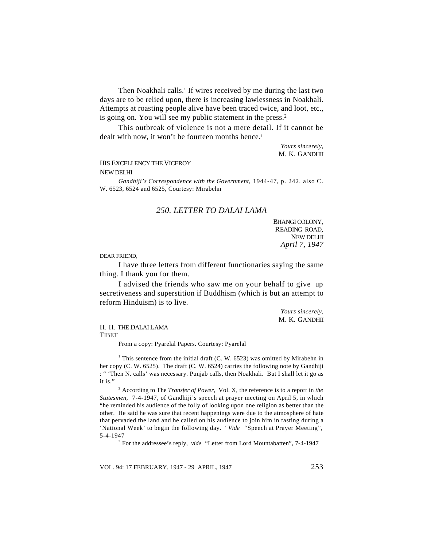Then Noakhali calls. 1 If wires received by me during the last two days are to be relied upon, there is increasing lawlessness in Noakhali. Attempts at roasting people alive have been traced twice, and loot, etc., is going on. You will see my public statement in the press.<sup>2</sup>

This outbreak of violence is not a mere detail. If it cannot be dealt with now, it won't be fourteen months hence.<sup>2</sup>

> *Yours sincerely,* M. K. GANDHII

### HIS EXCELLENCY THE VICEROY NEW DELHI

*Gandhiji's Correspondence with the Government,* 1944-47, p. 242. also C. W. 6523, 6524 and 6525, Courtesy: Mirabehn

# *250. LETTER TO DALAI LAMA*

BHANGI COLONY, READING ROAD, NEW DELHI *April 7, 1947*

DEAR FRIEND,

I have three letters from different functionaries saying the same thing. I thank you for them.

I advised the friends who saw me on your behalf to give up secretiveness and superstition if Buddhism (which is but an attempt to reform Hinduism) is to live.

> *Yours sincerely,* M. K. GANDHII

#### H. H. THE DALAI LAMA **TIBET**

From a copy: Pyarelal Papers. Courtesy: Pyarelal

<sup>1</sup> This sentence from the initial draft (C. W. 6523) was omitted by Mirabehn in her copy (C. W. 6525). The draft (C. W. 6524) carries the following note by Gandhiji : " 'Then N. calls' was necessary. Punjab calls, then Noakhali. But I shall let it go as it is."

2 According to The *Transfer of Power,* Vol. X, the reference is to a report in *the Statesmen,* 7-4-1947, of Gandhiji's speech at prayer meeting on April 5, in which "he reminded his audience of the folly of looking upon one religion as better than the other. He said he was sure that recent happenings were due to the atmosphere of hate that pervaded the land and he called on his audience to join him in fasting during a 'National Week' to begin the following day. "*Vide* "Speech at Prayer Meeting", 5-4-1947

<sup>3</sup> For the addressee's reply, *vide* "Letter from Lord Mountabatten", 7-4-1947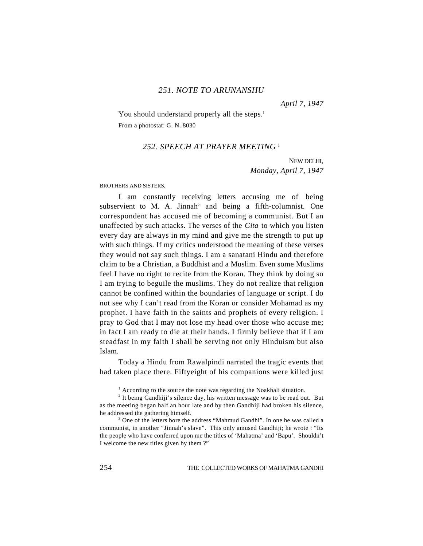## *251. NOTE TO ARUNANSHU*

*April 7, 1947*

You should understand properly all the steps.<sup>1</sup>

From a photostat: G. N. 8030

## *252. SPEECH AT PRAYER MEETING* <sup>1</sup>

NEW DELHI, *Monday, April 7, 1947*

BROTHERS AND SISTERS,

I am constantly receiving letters accusing me of being subservient to M. A. Jinnah<sup>2</sup> and being a fifth-columnist. One correspondent has accused me of becoming a communist. But I an unaffected by such attacks. The verses of the *Gita* to which you listen every day are always in my mind and give me the strength to put up with such things. If my critics understood the meaning of these verses they would not say such things. I am a sanatani Hindu and therefore claim to be a Christian, a Buddhist and a Muslim. Even some Muslims feel I have no right to recite from the Koran. They think by doing so I am trying to beguile the muslims. They do not realize that religion cannot be confined within the boundaries of language or script. I do not see why I can't read from the Koran or consider Mohamad as my prophet. I have faith in the saints and prophets of every religion. I pray to God that I may not lose my head over those who accuse me; in fact I am ready to die at their hands. I firmly believe that if I am steadfast in my faith I shall be serving not only Hinduism but also Islam.

Today a Hindu from Rawalpindi narrated the tragic events that had taken place there. Fiftyeight of his companions were killed just

<sup>1</sup> According to the source the note was regarding the Noakhali situation.

<sup>3</sup> One of the letters bore the address "Mahmud Gandhi". In one he was called a communist, in another "Jinnah's slave". This only amused Gandhiji; he wrote : "Its the people who have conferred upon me the titles of 'Mahatma' and 'Bapu'. Shouldn't I welcome the new titles given by them ?"

<sup>&</sup>lt;sup>2</sup> It being Gandhiji's silence day, his written message was to be read out. But as the meeting began half an hour late and by then Gandhiji had broken his silence, he addressed the gathering himself.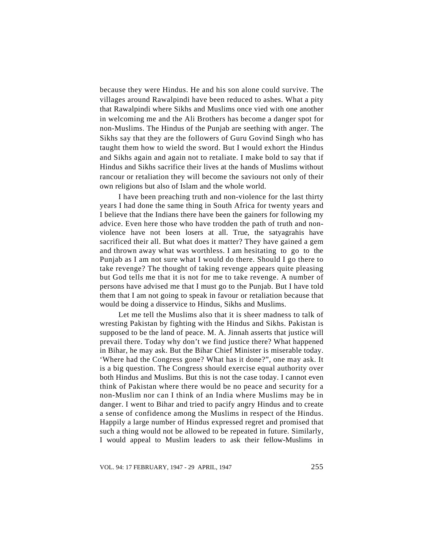because they were Hindus. He and his son alone could survive. The villages around Rawalpindi have been reduced to ashes. What a pity that Rawalpindi where Sikhs and Muslims once vied with one another in welcoming me and the Ali Brothers has become a danger spot for non-Muslims. The Hindus of the Punjab are seething with anger. The Sikhs say that they are the followers of Guru Govind Singh who has taught them how to wield the sword. But I would exhort the Hindus and Sikhs again and again not to retaliate. I make bold to say that if Hindus and Sikhs sacrifice their lives at the hands of Muslims without rancour or retaliation they will become the saviours not only of their own religions but also of Islam and the whole world.

I have been preaching truth and non-violence for the last thirty years I had done the same thing in South Africa for twenty years and I believe that the Indians there have been the gainers for following my advice. Even here those who have trodden the path of truth and nonviolence have not been losers at all. True, the satyagrahis have sacrificed their all. But what does it matter? They have gained a gem and thrown away what was worthless. I am hesitating to go to the Punjab as I am not sure what I would do there. Should I go there to take revenge? The thought of taking revenge appears quite pleasing but God tells me that it is not for me to take revenge. A number of persons have advised me that I must go to the Punjab. But I have told them that I am not going to speak in favour or retaliation because that would be doing a disservice to Hindus, Sikhs and Muslims.

Let me tell the Muslims also that it is sheer madness to talk of wresting Pakistan by fighting with the Hindus and Sikhs. Pakistan is supposed to be the land of peace. M. A. Jinnah asserts that justice will prevail there. Today why don't we find justice there? What happened in Bihar, he may ask. But the Bihar Chief Minister is miserable today. 'Where had the Congress gone? What has it done?", one may ask. It is a big question. The Congress should exercise equal authority over both Hindus and Muslims. But this is not the case today. I cannot even think of Pakistan where there would be no peace and security for a non-Muslim nor can I think of an India where Muslims may be in danger. I went to Bihar and tried to pacify angry Hindus and to create a sense of confidence among the Muslims in respect of the Hindus. Happily a large number of Hindus expressed regret and promised that such a thing would not be allowed to be repeated in future. Similarly, I would appeal to Muslim leaders to ask their fellow-Muslims in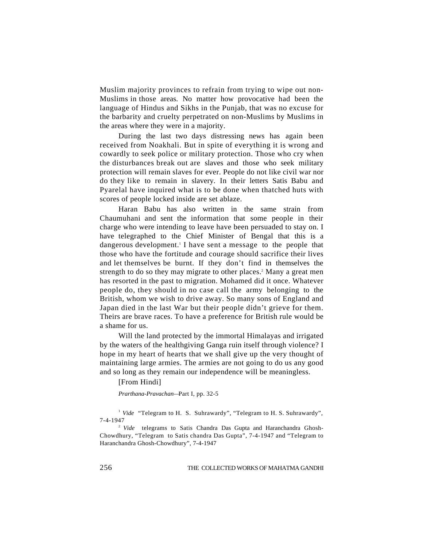Muslim majority provinces to refrain from trying to wipe out non-Muslims in those areas. No matter how provocative had been the language of Hindus and Sikhs in the Punjab, that was no excuse for the barbarity and cruelty perpetrated on non-Muslims by Muslims in the areas where they were in a majority.

During the last two days distressing news has again been received from Noakhali. But in spite of everything it is wrong and cowardly to seek police or military protection. Those who cry when the disturbances break out are slaves and those who seek military protection will remain slaves for ever. People do not like civil war nor do they like to remain in slavery. In their letters Satis Babu and Pyarelal have inquired what is to be done when thatched huts with scores of people locked inside are set ablaze.

Haran Babu has also written in the same strain from Chaumuhani and sent the information that some people in their charge who were intending to leave have been persuaded to stay on. I have telegraphed to the Chief Minister of Bengal that this is a dangerous development.<sup>1</sup> I have sent a message to the people that those who have the fortitude and courage should sacrifice their lives and let themselves be burnt. If they don't find in themselves the strength to do so they may migrate to other places.<sup>2</sup> Many a great men has resorted in the past to migration. Mohamed did it once. Whatever people do, they should in no case call the army belonging to the British, whom we wish to drive away. So many sons of England and Japan died in the last War but their people didn't grieve for them. Theirs are brave races. To have a preference for British rule would be a shame for us.

Will the land protected by the immortal Himalayas and irrigated by the waters of the healthgiving Ganga ruin itself through violence? I hope in my heart of hearts that we shall give up the very thought of maintaining large armies. The armies are not going to do us any good and so long as they remain our independence will be meaningless.

[From Hindi]

*Prarthana-Pravachan—*Part I, pp. 32-5

<sup>1</sup> Vide "Telegram to H. S. Suhrawardy", "Telegram to H. S. Suhrawardy", 7-4-1947

<sup>2</sup> *Vide* telegrams to Satis Chandra Das Gupta and Haranchandra Ghosh-Chowdhury, "Telegram to Satis chandra Das Gupta", 7-4-1947 and "Telegram to Haranchandra Ghosh-Chowdhury", 7-4-1947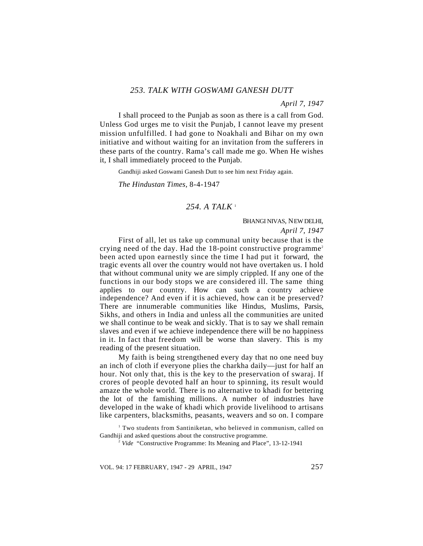# *253. TALK WITH GOSWAMI GANESH DUTT*

*April 7, 1947*

I shall proceed to the Punjab as soon as there is a call from God. Unless God urges me to visit the Punjab, I cannot leave my present mission unfulfilled. I had gone to Noakhali and Bihar on my own initiative and without waiting for an invitation from the sufferers in these parts of the country. Rama's call made me go. When He wishes it, I shall immediately proceed to the Punjab.

Gandhiji asked Goswami Ganesh Dutt to see him next Friday again.

*The Hindustan Times,* 8-4-1947

# *254. A TALK* <sup>1</sup>

#### BHANGI NIVAS, NEW DELHI,

#### *April 7, 1947*

First of all, let us take up communal unity because that is the crying need of the day. Had the  $18$ -point constructive programme<sup>2</sup> been acted upon earnestly since the time I had put it forward, the tragic events all over the country would not have overtaken us. I hold that without communal unity we are simply crippled. If any one of the functions in our body stops we are considered ill. The same thing applies to our country. How can such a country achieve independence? And even if it is achieved, how can it be preserved? There are innumerable communities like Hindus, Muslims, Parsis, Sikhs, and others in India and unless all the communities are united we shall continue to be weak and sickly. That is to say we shall remain slaves and even if we achieve independence there will be no happiness in it. In fact that freedom will be worse than slavery. This is my reading of the present situation.

My faith is being strengthened every day that no one need buy an inch of cloth if everyone plies the charkha daily—just for half an hour. Not only that, this is the key to the preservation of swaraj. If crores of people devoted half an hour to spinning, its result would amaze the whole world. There is no alternative to khadi for bettering the lot of the famishing millions. A number of industries have developed in the wake of khadi which provide livelihood to artisans like carpenters, blacksmiths, peasants, weavers and so on. I compare

<sup>&</sup>lt;sup>1</sup> Two students from Santiniketan, who believed in communism, called on Gandhiji and asked questions about the constructive programme.

<sup>&</sup>lt;sup>2</sup> *Vide* "Constructive Programme: Its Meaning and Place", 13-12-1941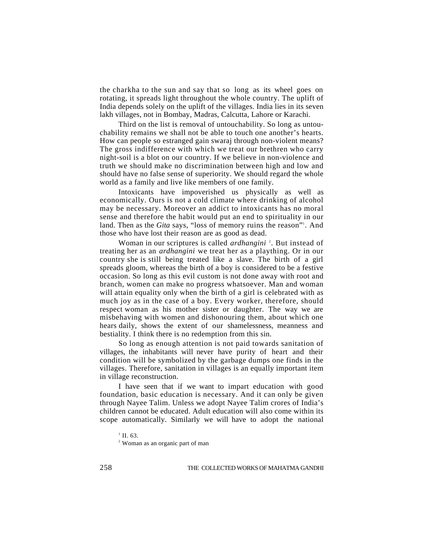the charkha to the sun and say that so long as its wheel goes on rotating, it spreads light throughout the whole country. The uplift of India depends solely on the uplift of the villages. India lies in its seven lakh villages, not in Bombay, Madras, Calcutta, Lahore or Karachi.

Third on the list is removal of untouchability. So long as untouchability remains we shall not be able to touch one another's hearts. How can people so estranged gain swaraj through non-violent means? The gross indifference with which we treat our brethren who carry night-soil is a blot on our country. If we believe in non-violence and truth we should make no discrimination between high and low and should have no false sense of superiority. We should regard the whole world as a family and live like members of one family.

Intoxicants have impoverished us physically as well as economically. Ours is not a cold climate where drinking of alcohol may be necessary. Moreover an addict to intoxicants has no moral sense and therefore the habit would put an end to spirituality in our land. Then as the *Gita* says, "loss of memory ruins the reason"<sup>1</sup>. And those who have lost their reason are as good as dead.

Woman in our scriptures is called *ardhangini*<sup>2</sup>. But instead of treating her as an *ardhangini* we treat her as a plaything. Or in our country she is still being treated like a slave. The birth of a girl spreads gloom, whereas the birth of a boy is considered to be a festive occasion. So long as this evil custom is not done away with root and branch, women can make no progress whatsoever. Man and woman will attain equality only when the birth of a girl is celebrated with as much joy as in the case of a boy. Every worker, therefore, should respect woman as his mother sister or daughter. The way we are misbehaving with women and dishonouring them, about which one hears daily, shows the extent of our shamelessness, meanness and bestiality. I think there is no redemption from this sin.

So long as enough attention is not paid towards sanitation of villages, the inhabitants will never have purity of heart and their condition will be symbolized by the garbage dumps one finds in the villages. Therefore, sanitation in villages is an equally important item in village reconstruction.

I have seen that if we want to impart education with good foundation, basic education is necessary. And it can only be given through Nayee Talim. Unless we adopt Nayee Talim crores of India's children cannot be educated. Adult education will also come within its scope automatically. Similarly we will have to adopt the national

 $1$  II. 63. <sup>2</sup> Woman as an organic part of man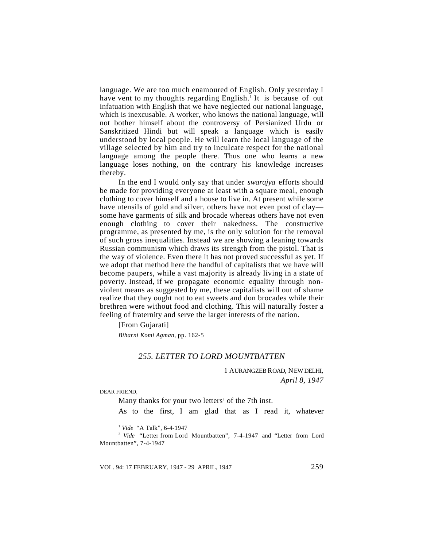language. We are too much enamoured of English. Only yesterday I have vent to my thoughts regarding English.<sup>1</sup> It is because of out infatuation with English that we have neglected our national language, which is inexcusable. A worker, who knows the national language, will not bother himself about the controversy of Persianized Urdu or Sanskritized Hindi but will speak a language which is easily understood by local people. He will learn the local language of the village selected by him and try to inculcate respect for the national language among the people there. Thus one who learns a new language loses nothing, on the contrary his knowledge increases thereby.

In the end I would only say that under *swarajya* efforts should be made for providing everyone at least with a square meal, enough clothing to cover himself and a house to live in. At present while some have utensils of gold and silver, others have not even post of clay some have garments of silk and brocade whereas others have not even enough clothing to cover their nakedness. The constructive programme, as presented by me, is the only solution for the removal of such gross inequalities. Instead we are showing a leaning towards Russian communism which draws its strength from the pistol. That is the way of violence. Even there it has not proved successful as yet. If we adopt that method here the handful of capitalists that we have will become paupers, while a vast majority is already living in a state of poverty. Instead, if we propagate economic equality through nonviolent means as suggested by me, these capitalists will out of shame realize that they ought not to eat sweets and don brocades while their brethren were without food and clothing. This will naturally foster a feeling of fraternity and serve the larger interests of the nation.

[From Gujarati]

*Biharni Komi Agman,* pp. 162-5

# *255. LETTER TO LORD MOUNTBATTEN*

1 AURANGZEB ROAD, NEW DELHI, *April 8, 1947*

DEAR FRIEND,

Many thanks for your two letters<sup>2</sup> of the 7th inst.

As to the first, I am glad that as I read it, whatever

<sup>1</sup> *Vide* "A Talk", 6-4-1947

<sup>2</sup> Vide "Letter from Lord Mountbatten", 7-4-1947 and "Letter from Lord Mountbatten", 7-4-1947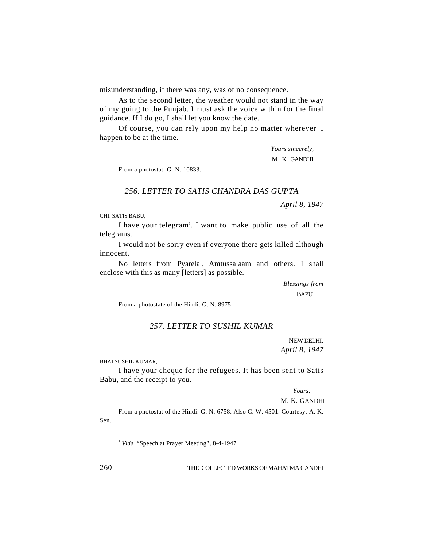misunderstanding, if there was any, was of no consequence.

As to the second letter, the weather would not stand in the way of my going to the Punjab. I must ask the voice within for the final guidance. If I do go, I shall let you know the date.

Of course, you can rely upon my help no matter wherever I happen to be at the time.

> *Yours sincerely,* M. K. GANDHI

From a photostat: G. N. 10833.

## *256. LETTER TO SATIS CHANDRA DAS GUPTA*

*April 8, 1947*

#### CHI. SATIS BABU,

I have your telegram<sup>1</sup>. I want to make public use of all the telegrams.

I would not be sorry even if everyone there gets killed although innocent.

No letters from Pyarelal, Amtussalaam and others. I shall enclose with this as many [letters] as possible.

> *Blessings from* **BAPU**

From a photostate of the Hindi: G. N. 8975

### *257. LETTER TO SUSHIL KUMAR*

 NEW DELHI, *April 8, 1947*

BHAI SUSHIL KUMAR,

I have your cheque for the refugees. It has been sent to Satis Babu, and the receipt to you.

*Yours,*

M. K. GANDHI

From a photostat of the Hindi: G. N. 6758. Also C. W. 4501. Courtesy: A. K. Sen.

<sup>1</sup> *Vide* "Speech at Prayer Meeting", 8-4-1947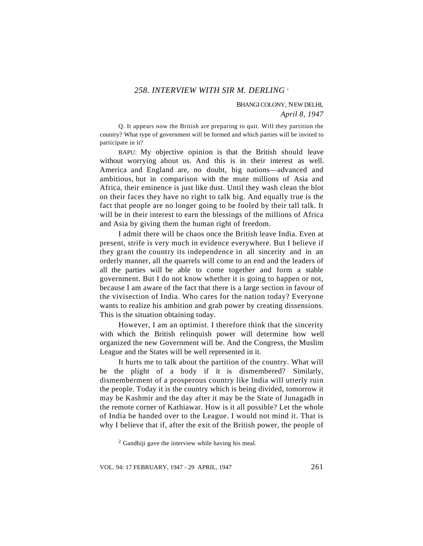# *258. INTERVIEW WITH SIR M. DERLING* <sup>1</sup>

## BHANGI COLONY, NEW DELHI, *April 8, 1947*

Q. It appears now the British are preparing to quit. Will they partition the country? What type of government will be formed and which parties will be invited to participate in it?

BAPU: My objective opinion is that the British should leave without worrying about us. And this is in their interest as well. America and England are, no doubt, big nations—advanced and ambitious, but in comparison with the mute millions of Asia and Africa, their eminence is just like dust. Until they wash clean the blot on their faces they have no right to talk big. And equally true is the fact that people are no longer going to be fooled by their tall talk. It will be in their interest to earn the blessings of the millions of Africa and Asia by giving them the human right of freedom.

I admit there will be chaos once the British leave India. Even at present, strife is very much in evidence everywhere. But I believe if they grant the country its independence in all sincerity and in an orderly manner, all the quarrels will come to an end and the leaders of all the parties will be able to come together and form a stable government. But I do not know whether it is going to happen or not, because I am aware of the fact that there is a large section in favour of the vivisection of India. Who cares for the nation today? Everyone wants to realize his ambition and grab power by creating dissensions. This is the situation obtaining today.

However, I am an optimist. I therefore think that the sincerity with which the British relinquish power will determine how well organized the new Government will be. And the Congress, the Muslim League and the States will be well represented in it.

It hurts me to talk about the partition of the country. What will be the plight of a body if it is dismembered? Similarly, dismemberment of a prosperous country like India will utterly ruin the people. Today it is the country which is being divided, tomorrow it may be Kashmir and the day after it may be the State of Junagadh in the remote corner of Kathiawar. How is it all possible? Let the whole of India be handed over to the League. I would not mind it. That is why I believe that if, after the exit of the British power, the people of

<sup>2</sup> Gandhiji gave the interview while having his meal.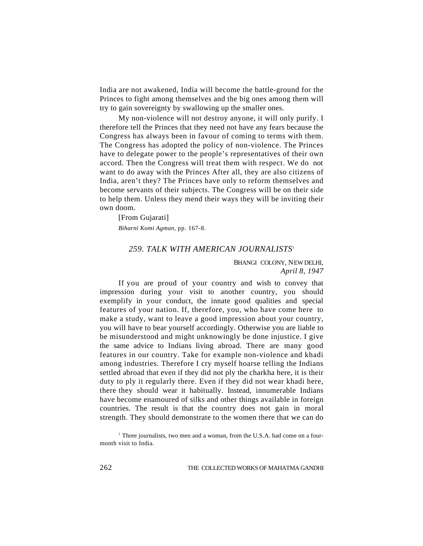India are not awakened, India will become the battle-ground for the Princes to fight among themselves and the big ones among them will try to gain sovereignty by swallowing up the smaller ones.

My non-violence will not destroy anyone, it will only purify. I therefore tell the Princes that they need not have any fears because the Congress has always been in favour of coming to terms with them. The Congress has adopted the policy of non-violence. The Princes have to delegate power to the people's representatives of their own accord. Then the Congress will treat them with respect. We do not want to do away with the Princes After all, they are also citizens of India, aren't they? The Princes have only to reform themselves and become servants of their subjects. The Congress will be on their side to help them. Unless they mend their ways they will be inviting their own doom.

[From Gujarati]

*Biharni Komi Agman,* pp. 167-8.

# *259. TALK WITH AMERICAN JOURNALISTS*<sup>1</sup>

# BHANGI COLONY, NEW DELHI, *April 8, 1947*

If you are proud of your country and wish to convey that impression during your visit to another country, you should exemplify in your conduct, the innate good qualities and special features of your nation. If, therefore, you, who have come here to make a study, want to leave a good impression about your country, you will have to bear yourself accordingly. Otherwise you are liable to be misunderstood and might unknowingly be done injustice. I give the same advice to Indians living abroad. There are many good features in our country. Take for example non-violence and khadi among industries. Therefore I cry myself hoarse telling the Indians settled abroad that even if they did not ply the charkha here, it is their duty to ply it regularly there. Even if they did not wear khadi here, there they should wear it habitually. Instead, innumerable Indians have become enamoured of silks and other things available in foreign countries. The result is that the country does not gain in moral strength. They should demonstrate to the women there that we can do

<sup>&</sup>lt;sup>1</sup> Three journalists, two men and a woman, from the U.S.A. had come on a fourmonth visit to India.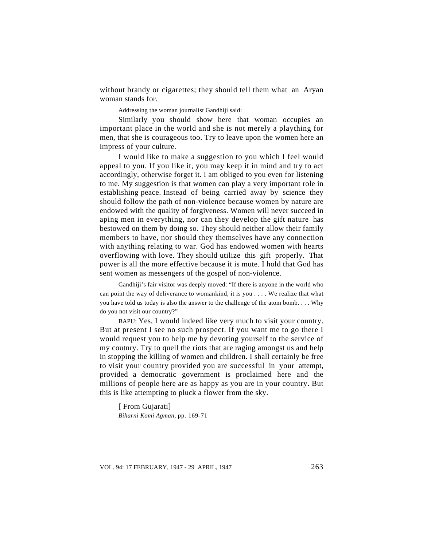without brandy or cigarettes; they should tell them what an Aryan woman stands for.

Addressing the woman journalist Gandhiji said:

Similarly you should show here that woman occupies an important place in the world and she is not merely a plaything for men, that she is courageous too. Try to leave upon the women here an impress of your culture.

I would like to make a suggestion to you which I feel would appeal to you. If you like it, you may keep it in mind and try to act accordingly, otherwise forget it. I am obliged to you even for listening to me. My suggestion is that women can play a very important role in establishing peace. Instead of being carried away by science they should follow the path of non-violence because women by nature are endowed with the quality of forgiveness. Women will never succeed in aping men in everything, nor can they develop the gift nature has bestowed on them by doing so. They should neither allow their family members to have, nor should they themselves have any connection with anything relating to war. God has endowed women with hearts overflowing with love. They should utilize this gift properly. That power is all the more effective because it is mute. I hold that God has sent women as messengers of the gospel of non-violence.

Gandhiji's fair visitor was deeply moved: "If there is anyone in the world who can point the way of deliverance to womankind, it is you . . . . We realize that what you have told us today is also the answer to the challenge of the atom bomb. . . . Why do you not visit our country?"

BAPU: Yes, I would indeed like very much to visit your country. But at present I see no such prospect. If you want me to go there I would request you to help me by devoting yourself to the service of my coutnry. Try to quell the riots that are raging amongst us and help in stopping the killing of women and children. I shall certainly be free to visit your country provided you are successful in your attempt, provided a democratic government is proclaimed here and the millions of people here are as happy as you are in your country. But this is like attempting to pluck a flower from the sky.

[ From Gujarati] *Biharni Komi Agman,* pp. 169-71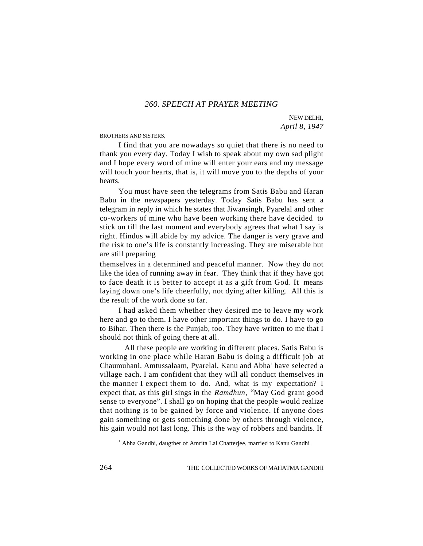# *260. SPEECH AT PRAYER MEETING*

NEW DELHI, *April 8, 1947*

BROTHERS AND SISTERS,

I find that you are nowadays so quiet that there is no need to thank you every day. Today I wish to speak about my own sad plight and I hope every word of mine will enter your ears and my message will touch your hearts, that is, it will move you to the depths of your hearts.

You must have seen the telegrams from Satis Babu and Haran Babu in the newspapers yesterday. Today Satis Babu has sent a telegram in reply in which he states that Jiwansingh, Pyarelal and other co-workers of mine who have been working there have decided to stick on till the last moment and everybody agrees that what I say is right. Hindus will abide by my advice. The danger is very grave and the risk to one's life is constantly increasing. They are miserable but are still preparing

themselves in a determined and peaceful manner. Now they do not like the idea of running away in fear. They think that if they have got to face death it is better to accept it as a gift from God. It means laying down one's life cheerfully, not dying after killing. All this is the result of the work done so far.

I had asked them whether they desired me to leave my work here and go to them. I have other important things to do. I have to go to Bihar. Then there is the Punjab, too. They have written to me that I should not think of going there at all.

All these people are working in different places. Satis Babu is working in one place while Haran Babu is doing a difficult job at Chaumuhani. Amtussalaam, Pyarelal, Kanu and Abha<sup>1</sup> have selected a village each. I am confident that they will all conduct themselves in the manner I expect them to do. And, what is my expectation? I expect that, as this girl sings in the *Ramdhun,* "May God grant good sense to everyone". I shall go on hoping that the people would realize that nothing is to be gained by force and violence. If anyone does gain something or gets something done by others through violence, his gain would not last long. This is the way of robbers and bandits. If

<sup>&</sup>lt;sup>1</sup> Abha Gandhi, daugther of Amrita Lal Chatterjee, married to Kanu Gandhi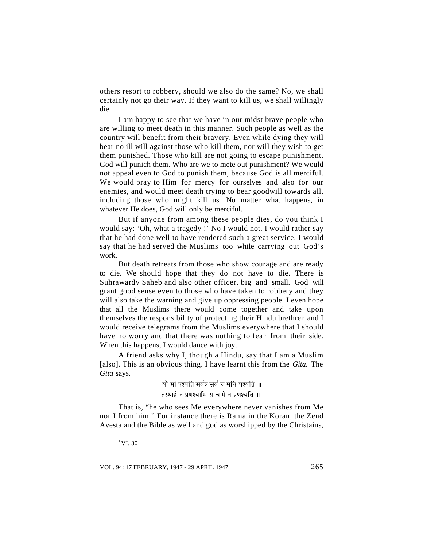others resort to robbery, should we also do the same? No, we shall certainly not go their way. If they want to kill us, we shall willingly die.

I am happy to see that we have in our midst brave people who are willing to meet death in this manner. Such people as well as the country will benefit from their bravery. Even while dying they will bear no ill will against those who kill them, nor will they wish to get them punished. Those who kill are not going to escape punishment. God will punich them. Who are we to mete out punishment? We would not appeal even to God to punish them, because God is all merciful. We would pray to Him for mercy for ourselves and also for our enemies, and would meet death trying to bear goodwill towards all, including those who might kill us. No matter what happens, in whatever He does, God will only be merciful.

But if anyone from among these people dies, do you think I would say: 'Oh, what a tragedy !' No I would not. I would rather say that he had done well to have rendered such a great service. I would say that he had served the Muslims too while carrying out God's work.

But death retreats from those who show courage and are ready to die. We should hope that they do not have to die. There is Suhrawardy Saheb and also other officer, big and small. God will grant good sense even to those who have taken to robbery and they will also take the warning and give up oppressing people. I even hope that all the Muslims there would come together and take upon themselves the responsibility of protecting their Hindu brethren and I would receive telegrams from the Muslims everywhere that I should have no worry and that there was nothing to fear from their side. When this happens, I would dance with joy.

A friend asks why I, though a Hindu, say that I am a Muslim [also]. This is an obvious thing. I have learnt this from the *Gita.* The *Gita* says.

> यो मां पश्यति सर्वत्र सर्वं च मयि पश्यति ॥ तस्थाहं न प्रणश्यामि स च मे न प्रणश्यति ॥

That is, "he who sees Me everywhere never vanishes from Me nor I from him." For instance there is Rama in the Koran, the Zend Avesta and the Bible as well and god as worshipped by the Christains,

 $1$  VI. 30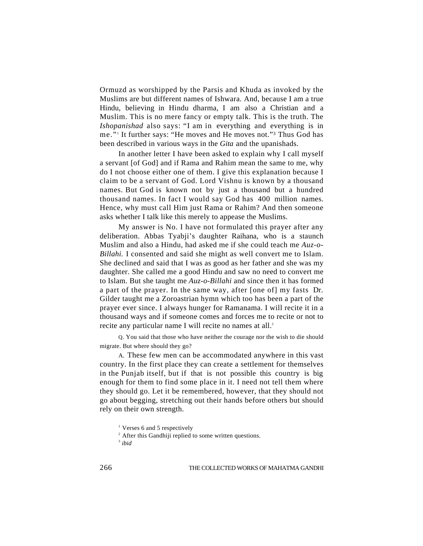Ormuzd as worshipped by the Parsis and Khuda as invoked by the Muslims are but different names of Ishwara. And, because I am a true Hindu, believing in Hindu dharma, I am also a Christian and a Muslim. This is no mere fancy or empty talk. This is the truth. The *Ishopanishad* also says: "I am in everything and everything is in me."<sup>1</sup> It further says: "He moves and He moves not."<sup>3</sup> Thus God has been described in various ways in the *Gita* and the upanishads.

In another letter I have been asked to explain why I call myself a servant [of God] and if Rama and Rahim mean the same to me, why do I not choose either one of them. I give this explanation because I claim to be a servant of God. Lord Vishnu is known by a thousand names. But God is known not by just a thousand but a hundred thousand names. In fact I would say God has 400 million names. Hence, why must call Him just Rama or Rahim? And then someone asks whether I talk like this merely to appease the Muslims.

My answer is No. I have not formulated this prayer after any deliberation. Abbas Tyabji's daughter Raihana, who is a staunch Muslim and also a Hindu, had asked me if she could teach me *Auz-o-Billahi.* I consented and said she might as well convert me to Islam. She declined and said that I was as good as her father and she was my daughter. She called me a good Hindu and saw no need to convert me to Islam. But she taught me *Auz-o-Billahi* and since then it has formed a part of the prayer. In the same way, after [one of] my fasts Dr. Gilder taught me a Zoroastrian hymn which too has been a part of the prayer ever since. I always hunger for Ramanama. I will recite it in a thousand ways and if someone comes and forces me to recite or not to recite any particular name I will recite no names at all.<sup>2</sup>

Q. You said that those who have neither the courage nor the wish to die should migrate. But where should they go?

A. These few men can be accommodated anywhere in this vast country. In the first place they can create a settlement for themselves in the Punjab itself, but if that is not possible this country is big enough for them to find some place in it. I need not tell them where they should go. Let it be remembered, however, that they should not go about begging, stretching out their hands before others but should rely on their own strength.

<sup>1</sup> Verses 6 and 5 respectively

<sup>2</sup> After this Gandhiji replied to some written questions.

3 *ibid*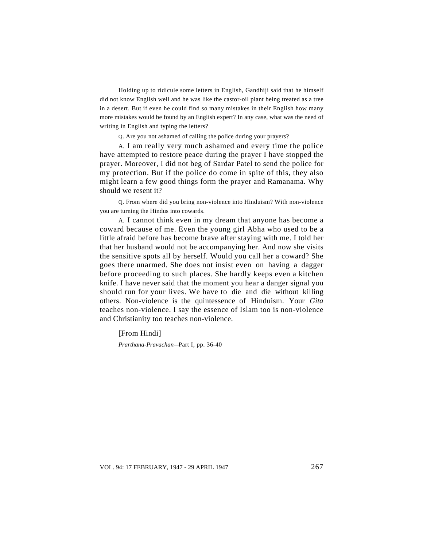Holding up to ridicule some letters in English, Gandhiji said that he himself did not know English well and he was like the castor-oil plant being treated as a tree in a desert. But if even he could find so many mistakes in their English how many more mistakes would be found by an English expert? In any case, what was the need of writing in English and typing the letters?

Q. Are you not ashamed of calling the police during your prayers?

A. I am really very much ashamed and every time the police have attempted to restore peace during the prayer I have stopped the prayer. Moreover, I did not beg of Sardar Patel to send the police for my protection. But if the police do come in spite of this, they also might learn a few good things form the prayer and Ramanama. Why should we resent it?

Q. From where did you bring non-violence into Hinduism? With non-violence you are turning the Hindus into cowards.

A. I cannot think even in my dream that anyone has become a coward because of me. Even the young girl Abha who used to be a little afraid before has become brave after staying with me. I told her that her husband would not be accompanying her. And now she visits the sensitive spots all by herself. Would you call her a coward? She goes there unarmed. She does not insist even on having a dagger before proceeding to such places. She hardly keeps even a kitchen knife. I have never said that the moment you hear a danger signal you should run for your lives. We have to die and die without killing others. Non-violence is the quintessence of Hinduism. Your *Gita* teaches non-violence. I say the essence of Islam too is non-violence and Christianity too teaches non-violence.

[From Hindi] *Prarthana-Pravachan—*Part I, pp. 36-40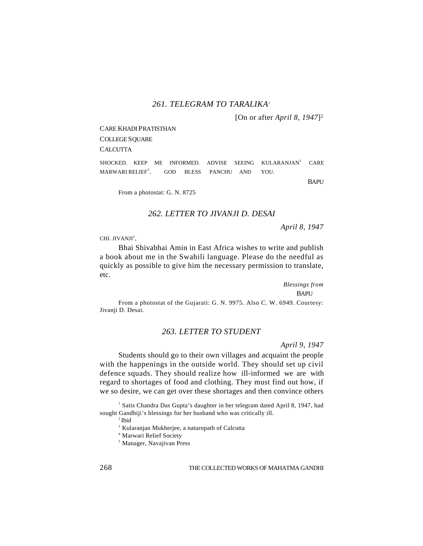# *261. TELEGRAM TO TARALIKA*<sup>1</sup>

[On or after *April 8, 1947*] 2

CARE KHADI PRATISTHAN

COLLEGE SOUARE

**CALCUTTA** 

SHOCKED. KEEP ME INFORMED. ADVISE SEEING KULARANJAN<sup>3</sup> CARE  $MARWARI RELIEF<sup>2</sup>$ . GOD BLESS PANCHU AND YOU.

**BAPU** 

From a photostat: G. N. 8725

### *262. LETTER TO JIVANJI D. DESAI*

*April 8, 1947*

CHI. JIVANJI $^3$ ,

Bhai Shivabhai Amin in East Africa wishes to write and publish a book about me in the Swahili language. Please do the needful as quickly as possible to give him the necessary permission to translate, etc.

> *Blessings from* BAPU

From a photostat of the Gujarati: G. N. 9975. Also C. W. 6949. Courtesy: Jivanji D. Desai.

# *263. LETTER TO STUDENT*

*April 9, 1947*

Students should go to their own villages and acquaint the people with the happenings in the outside world. They should set up civil defence squads. They should realize how ill-informed we are with regard to shortages of food and clothing. They must find out how, if we so desire, we can get over these shortages and then convince others

<sup>1</sup> Satis Chandra Das Gupta's daughter in her telegram dated April 8, 1947, had sought Gandhiji's blessings for her husband who was critically ill.

 $2$  Ibid

<sup>3</sup> Kularanjan Mukherjee, a naturopath of Calcutta

4 Marwari Relief Society

5 Manager, Navajivan Press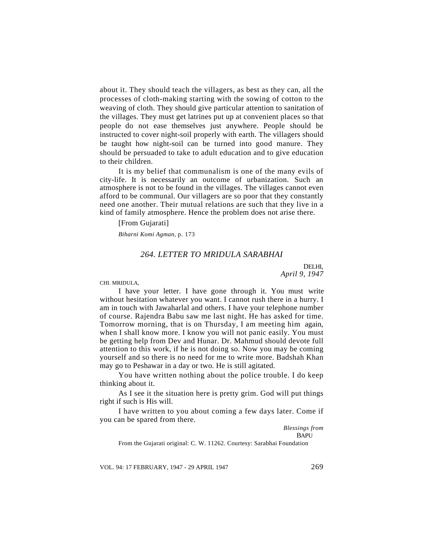about it. They should teach the villagers, as best as they can, all the processes of cloth-making starting with the sowing of cotton to the weaving of cloth. They should give particular attention to sanitation of the villages. They must get latrines put up at convenient places so that people do not ease themselves just anywhere. People should be instructed to cover night-soil properly with earth. The villagers should be taught how night-soil can be turned into good manure. They should be persuaded to take to adult education and to give education to their children.

It is my belief that communalism is one of the many evils of city-life. It is necessarily an outcome of urbanization. Such an atmosphere is not to be found in the villages. The villages cannot even afford to be communal. Our villagers are so poor that they constantly need one another. Their mutual relations are such that they live in a kind of family atmosphere. Hence the problem does not arise there.

[From Gujarati]

*Biharni Komi Agman,* p. 173

# *264. LETTER TO MRIDULA SARABHAI*

DELHI, *April 9, 1947*

CHI. MRIDULA,

I have your letter. I have gone through it. You must write without hesitation whatever you want. I cannot rush there in a hurry. I am in touch with Jawaharlal and others. I have your telephone number of course. Rajendra Babu saw me last night. He has asked for time. Tomorrow morning, that is on Thursday, I am meeting him again, when I shall know more. I know you will not panic easily. You must be getting help from Dev and Hunar. Dr. Mahmud should devote full attention to this work, if he is not doing so. Now you may be coming yourself and so there is no need for me to write more. Badshah Khan may go to Peshawar in a day or two. He is still agitated.

You have written nothing about the police trouble. I do keep thinking about it.

As I see it the situation here is pretty grim. God will put things right if such is His will.

I have written to you about coming a few days later. Come if you can be spared from there.

> *Blessings from* **BAPU**

From the Gujarati original: C. W. 11262. Courtesy: Sarabhai Foundation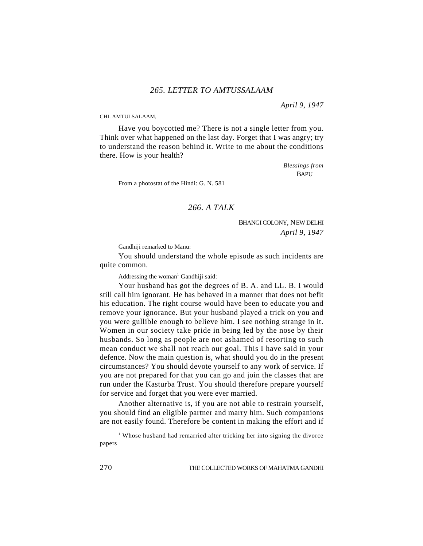# *265. LETTER TO AMTUSSALAAM*

*April 9, 1947*

#### CHI. AMTULSALAAM,

Have you boycotted me? There is not a single letter from you. Think over what happened on the last day. Forget that I was angry; try to understand the reason behind it. Write to me about the conditions there. How is your health?

> *Blessings from* **BAPU**

From a photostat of the Hindi: G. N. 581

# *266. A TALK*

BHANGI COLONY, NEW DELHI *April 9, 1947*

Gandhiji remarked to Manu:

You should understand the whole episode as such incidents are quite common.

Addressing the woman<sup>1</sup> Gandhiji said:

Your husband has got the degrees of B. A. and LL. B. I would still call him ignorant. He has behaved in a manner that does not befit his education. The right course would have been to educate you and remove your ignorance. But your husband played a trick on you and you were gullible enough to believe him. I see nothing strange in it. Women in our society take pride in being led by the nose by their husbands. So long as people are not ashamed of resorting to such mean conduct we shall not reach our goal. This I have said in your defence. Now the main question is, what should you do in the present circumstances? You should devote yourself to any work of service. If you are not prepared for that you can go and join the classes that are run under the Kasturba Trust. You should therefore prepare yourself for service and forget that you were ever married.

Another alternative is, if you are not able to restrain yourself, you should find an eligible partner and marry him. Such companions are not easily found. Therefore be content in making the effort and if

<sup>1</sup> Whose husband had remarried after tricking her into signing the divorce papers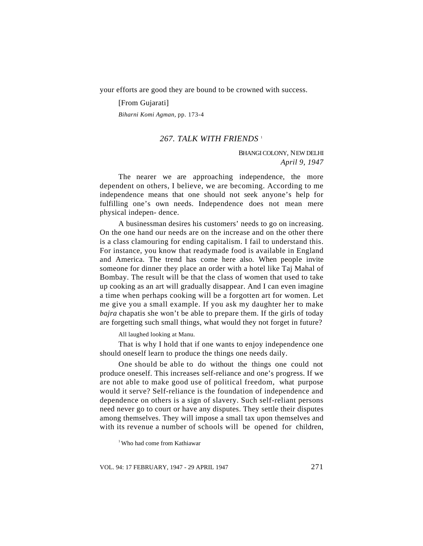your efforts are good they are bound to be crowned with success.

[From Gujarati]

*Biharni Komi Agman,* pp. 173-4

### *267. TALK WITH FRIENDS* <sup>1</sup>

# BHANGI COLONY, NEW DELHI *April 9, 1947*

The nearer we are approaching independence, the more dependent on others, I believe, we are becoming. According to me independence means that one should not seek anyone's help for fulfilling one's own needs. Independence does not mean mere physical indepen- dence.

A businessman desires his customers' needs to go on increasing. On the one hand our needs are on the increase and on the other there is a class clamouring for ending capitalism. I fail to understand this. For instance, you know that readymade food is available in England and America. The trend has come here also. When people invite someone for dinner they place an order with a hotel like Taj Mahal of Bombay. The result will be that the class of women that used to take up cooking as an art will gradually disappear. And I can even imagine a time when perhaps cooking will be a forgotten art for women. Let me give you a small example. If you ask my daughter her to make *bajra* chapatis she won't be able to prepare them. If the girls of today are forgetting such small things, what would they not forget in future?

All laughed looking at Manu.

That is why I hold that if one wants to enjoy independence one should oneself learn to produce the things one needs daily.

One should be able to do without the things one could not produce oneself. This increases self-reliance and one's progress. If we are not able to make good use of political freedom, what purpose would it serve? Self-reliance is the foundation of independence and dependence on others is a sign of slavery. Such self-reliant persons need never go to court or have any disputes. They settle their disputes among themselves. They will impose a small tax upon themselves and with its revenue a number of schools will be opened for children,

<sup>1</sup> Who had come from Kathiawar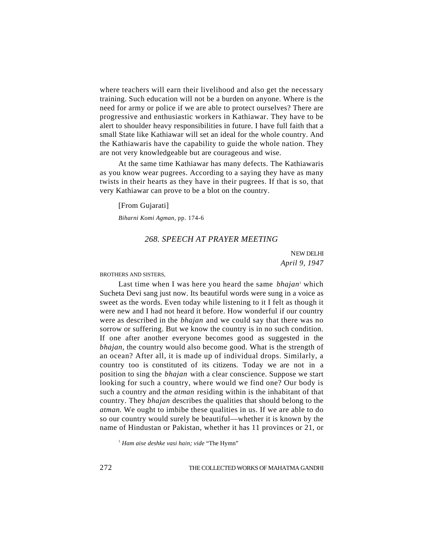where teachers will earn their livelihood and also get the necessary training. Such education will not be a burden on anyone. Where is the need for army or police if we are able to protect ourselves? There are progressive and enthusiastic workers in Kathiawar. They have to be alert to shoulder heavy responsibilities in future. I have full faith that a small State like Kathiawar will set an ideal for the whole country. And the Kathiawaris have the capability to guide the whole nation. They are not very knowledgeable but are courageous and wise.

At the same time Kathiawar has many defects. The Kathiawaris as you know wear pugrees. According to a saying they have as many twists in their hearts as they have in their pugrees. If that is so, that very Kathiawar can prove to be a blot on the country.

[From Gujarati] *Biharni Komi Agman,* pp. 174-6

# *268. SPEECH AT PRAYER MEETING*

 NEW DELHI *April 9, 1947*

BROTHERS AND SISTERS,

Last time when I was here you heard the same *bhajan*<sup>1</sup> which Sucheta Devi sang just now. Its beautiful words were sung in a voice as sweet as the words. Even today while listening to it I felt as though it were new and I had not heard it before. How wonderful if our country were as described in the *bhajan* and we could say that there was no sorrow or suffering. But we know the country is in no such condition. If one after another everyone becomes good as suggested in the *bhajan,* the country would also become good. What is the strength of an ocean? After all, it is made up of individual drops. Similarly, a country too is constituted of its citizens. Today we are not in a position to sing the *bhajan* with a clear conscience. Suppose we start looking for such a country, where would we find one? Our body is such a country and the *atman* residing within is the inhabitant of that country. They *bhajan* describes the qualities that should belong to the *atman.* We ought to imbibe these qualities in us. If we are able to do so our country would surely be beautiful—whether it is known by the name of Hindustan or Pakistan, whether it has 11 provinces or 21, or

<sup>1</sup> *Ham aise deshke vasi hain; vide* "The Hymn"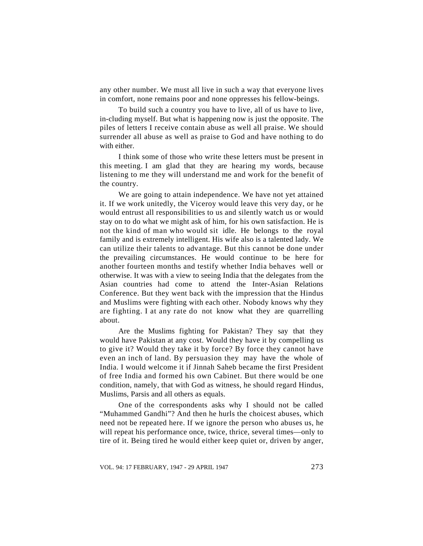any other number. We must all live in such a way that everyone lives in comfort, none remains poor and none oppresses his fellow-beings.

To build such a country you have to live, all of us have to live, in-cluding myself. But what is happening now is just the opposite. The piles of letters I receive contain abuse as well all praise. We should surrender all abuse as well as praise to God and have nothing to do with either.

I think some of those who write these letters must be present in this meeting. I am glad that they are hearing my words, because listening to me they will understand me and work for the benefit of the country.

We are going to attain independence. We have not yet attained it. If we work unitedly, the Viceroy would leave this very day, or he would entrust all responsibilities to us and silently watch us or would stay on to do what we might ask of him, for his own satisfaction. He is not the kind of man who would sit idle. He belongs to the royal family and is extremely intelligent. His wife also is a talented lady. We can utilize their talents to advantage. But this cannot be done under the prevailing circumstances. He would continue to be here for another fourteen months and testify whether India behaves well or otherwise. It was with a view to seeing India that the delegates from the Asian countries had come to attend the Inter-Asian Relations Conference. But they went back with the impression that the Hindus and Muslims were fighting with each other. Nobody knows why they are fighting. I at any rate do not know what they are quarrelling about.

Are the Muslims fighting for Pakistan? They say that they would have Pakistan at any cost. Would they have it by compelling us to give it? Would they take it by force? By force they cannot have even an inch of land. By persuasion they may have the whole of India. I would welcome it if Jinnah Saheb became the first President of free India and formed his own Cabinet. But there would be one condition, namely, that with God as witness, he should regard Hindus, Muslims, Parsis and all others as equals.

One of the correspondents asks why I should not be called "Muhammed Gandhi"? And then he hurls the choicest abuses, which need not be repeated here. If we ignore the person who abuses us, he will repeat his performance once, twice, thrice, several times—only to tire of it. Being tired he would either keep quiet or, driven by anger,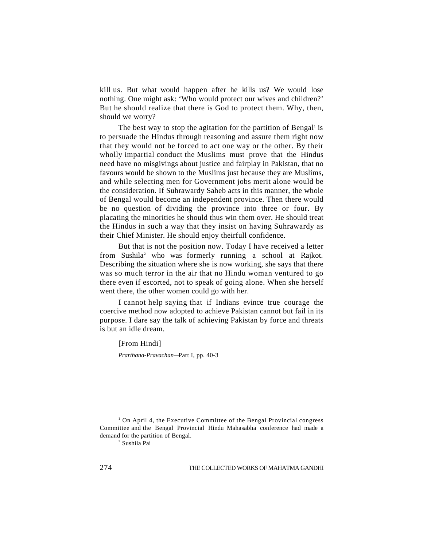kill us. But what would happen after he kills us? We would lose nothing. One might ask: 'Who would protect our wives and children?' But he should realize that there is God to protect them. Why, then, should we worry?

The best way to stop the agitation for the partition of Bengal<sup>1</sup> is to persuade the Hindus through reasoning and assure them right now that they would not be forced to act one way or the other. By their wholly impartial conduct the Muslims must prove that the Hindus need have no misgivings about justice and fairplay in Pakistan, that no favours would be shown to the Muslims just because they are Muslims, and while selecting men for Government jobs merit alone would be the consideration. If Suhrawardy Saheb acts in this manner, the whole of Bengal would become an independent province. Then there would be no question of dividing the province into three or four. By placating the minorities he should thus win them over. He should treat the Hindus in such a way that they insist on having Suhrawardy as their Chief Minister. He should enjoy theirfull confidence.

But that is not the position now. Today I have received a letter from Sushila<sup>2</sup> who was formerly running a school at Rajkot. Describing the situation where she is now working, she says that there was so much terror in the air that no Hindu woman ventured to go there even if escorted, not to speak of going alone. When she herself went there, the other women could go with her.

I cannot help saying that if Indians evince true courage the coercive method now adopted to achieve Pakistan cannot but fail in its purpose. I dare say the talk of achieving Pakistan by force and threats is but an idle dream.

[From Hindi] *Prarthana-Pravachan—*Part I, pp. 40-3

<sup>1</sup> On April 4, the Executive Committee of the Bengal Provincial congress Committee and the Bengal Provincial Hindu Mahasabha conference had made a demand for the partition of Bengal.

2 Sushila Pai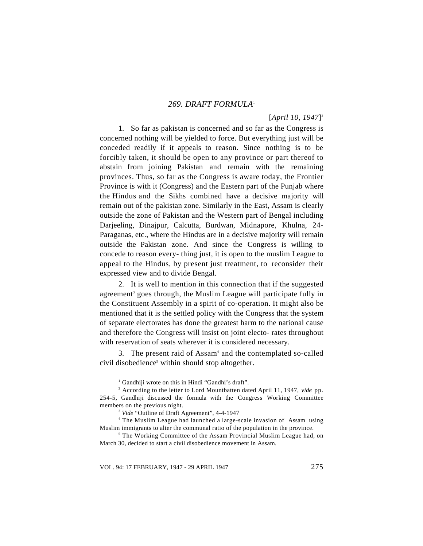# *269. DRAFT FORMULA*<sup>1</sup>

### [*April 10, 1947*] 2

1. So far as pakistan is concerned and so far as the Congress is concerned nothing will be yielded to force. But everything just will be conceded readily if it appeals to reason. Since nothing is to be forcibly taken, it should be open to any province or part thereof to abstain from joining Pakistan and remain with the remaining provinces. Thus, so far as the Congress is aware today, the Frontier Province is with it (Congress) and the Eastern part of the Punjab where the Hindus and the Sikhs combined have a decisive majority will remain out of the pakistan zone. Similarly in the East, Assam is clearly outside the zone of Pakistan and the Western part of Bengal including Darjeeling, Dinajpur, Calcutta, Burdwan, Midnapore, Khulna, 24- Paraganas, etc., where the Hindus are in a decisive majority will remain outside the Pakistan zone. And since the Congress is willing to concede to reason every- thing just, it is open to the muslim League to appeal to the Hindus, by present just treatment, to reconsider their expressed view and to divide Bengal.

2. It is well to mention in this connection that if the suggested agreement<sup>3</sup> goes through, the Muslim League will participate fully in the Constituent Assembly in a spirit of co-operation. It might also be mentioned that it is the settled policy with the Congress that the system of separate electorates has done the greatest harm to the national cause and therefore the Congress will insist on joint electo- rates throughout with reservation of seats wherever it is considered necessary.

3. The present raid of Assam<sup>4</sup> and the contemplated so-called civil disobedience<sup>s</sup> within should stop altogether.

<sup>1</sup> Gandhiji wrote on this in Hindi "Gandhi's draft".

<sup>3</sup> *Vide* "Outline of Draft Agreement", 4-4-1947

<sup>4</sup> The Muslim League had launched a large-scale invasion of Assam using Muslim immigrants to alter the communal ratio of the population in the province.

<sup>5</sup> The Working Committee of the Assam Provincial Muslim League had, on March 30, decided to start a civil disobedience movement in Assam.

<sup>2</sup> According to the letter to Lord Mountbatten dated April 11, 1947, *vide* pp. 254-5, Gandhiji discussed the formula with the Congress Working Committee members on the previous night.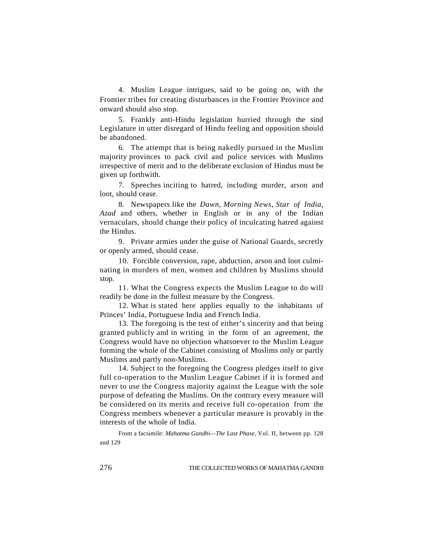4. Muslim League intrigues, said to be going on, with the Frontier tribes for creating disturbances in the Frontier Province and onward should also stop.

5. Frankly anti-Hindu legislation hurried through the sind Legislature in utter disregard of Hindu feeling and opposition should be abandoned.

6. The attempt that is being nakedly pursued in the Muslim majority provinces to pack civil and police services with Muslims irrespective of merit and to the deliberate exclusion of Hindus must be given up forthwith.

7. Speeches inciting to hatred, including murder, arson and loot, should cease.

8. Newspapers like the *Dawn, Morning News, Star of India, Azad* and others, whether in English or in any of the Indian vernaculars, should change their policy of inculcating hatred against the Hindus.

9. Private armies under the guise of National Guards, secretly or openly armed, should cease.

10. Forcible conversion, rape, abduction, arson and loot culminating in murders of men, women and children by Muslims should stop.

11. What the Congress expects the Muslim League to do will readily be done in the fullest measure by the Congress.

12. What is stated here applies equally to the inhabitants of Princes' India, Portuguese India and French India.

13. The foregoing is the test of either's sincerity and that being granted publicly and in writing in the form of an agreement, the Congress would have no objection whatsoever to the Muslim League forming the whole of the Cabinet consisting of Muslims only or partly Muslims and partly non-Muslims.

14. Subject to the foregoing the Congress pledges itself to give full co-operation to the Muslim League Cabinet if it is formed and never to use the Congress majority against the League with the sole purpose of defeating the Muslims. On the contrary every measure will be considered on its merits and receive full co-operation from the Congress members whenever a particular measure is provably in the interests of the whole of India.

From a facsimile: *Mahatma Gandhi—The Last Phase,* Vol. II, between pp. 128 and 129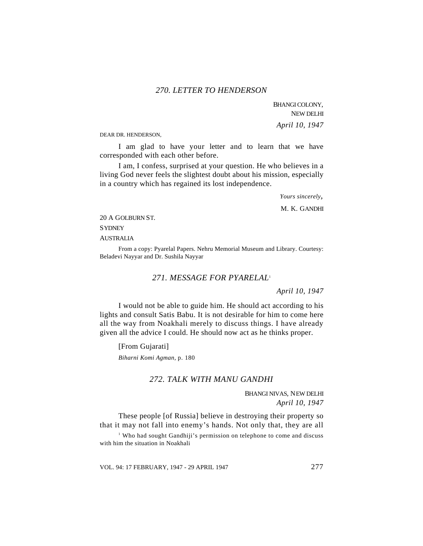# *270. LETTER TO HENDERSON*

BHANGI COLONY, NEW DELHI *April 10, 1947*

DEAR DR. HENDERSON,

I am glad to have your letter and to learn that we have corresponded with each other before.

I am, I confess, surprised at your question. He who believes in a living God never feels the slightest doubt about his mission, especially in a country which has regained its lost independence.

> *Yours sincerely,* M. K. GANDHI

20 A GOLBURN ST.

**SYDNEY** 

#### AUSTRALIA

From a copy: Pyarelal Papers. Nehru Memorial Museum and Library. Courtesy: Beladevi Nayyar and Dr. Sushila Nayyar

### *271. MESSAGE FOR PYARELAL*<sup>1</sup>

*April 10, 1947*

I would not be able to guide him. He should act according to his lights and consult Satis Babu. It is not desirable for him to come here all the way from Noakhali merely to discuss things. I have already given all the advice I could. He should now act as he thinks proper.

[From Gujarati] *Biharni Komi Agman,* p. 180

## *272. TALK WITH MANU GANDHI*

BHANGI NIVAS, NEW DELHI *April 10, 1947*

These people [of Russia] believe in destroying their property so that it may not fall into enemy's hands. Not only that, they are all

<sup>1</sup> Who had sought Gandhiji's permission on telephone to come and discuss with him the situation in Noakhali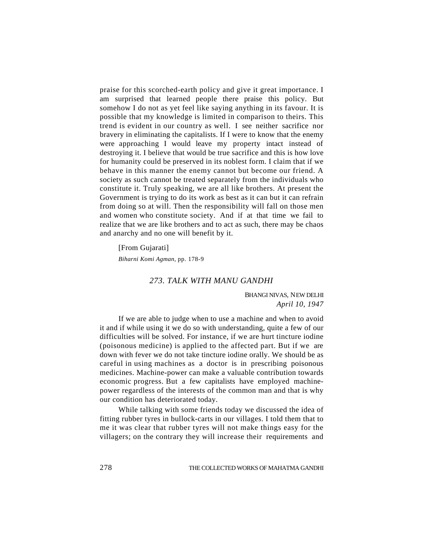praise for this scorched-earth policy and give it great importance. I am surprised that learned people there praise this policy. But somehow I do not as yet feel like saying anything in its favour. It is possible that my knowledge is limited in comparison to theirs. This trend is evident in our country as well. I see neither sacrifice nor bravery in eliminating the capitalists. If I were to know that the enemy were approaching I would leave my property intact instead of destroying it. I believe that would be true sacrifice and this is how love for humanity could be preserved in its noblest form. I claim that if we behave in this manner the enemy cannot but become our friend. A society as such cannot be treated separately from the individuals who constitute it. Truly speaking, we are all like brothers. At present the Government is trying to do its work as best as it can but it can refrain from doing so at will. Then the responsibility will fall on those men and women who constitute society. And if at that time we fail to realize that we are like brothers and to act as such, there may be chaos and anarchy and no one will benefit by it.

[From Gujarati]

*Biharni Komi Agman,* pp. 178-9

# *273. TALK WITH MANU GANDHI*

### BHANGI NIVAS, NEW DELHI *April 10, 1947*

If we are able to judge when to use a machine and when to avoid it and if while using it we do so with understanding, quite a few of our difficulties will be solved. For instance, if we are hurt tincture iodine (poisonous medicine) is applied to the affected part. But if we are down with fever we do not take tincture iodine orally. We should be as careful in using machines as a doctor is in prescribing poisonous medicines. Machine-power can make a valuable contribution towards economic progress. But a few capitalists have employed machinepower regardless of the interests of the common man and that is why our condition has deteriorated today.

While talking with some friends today we discussed the idea of fitting rubber tyres in bullock-carts in our villages. I told them that to me it was clear that rubber tyres will not make things easy for the villagers; on the contrary they will increase their requirements and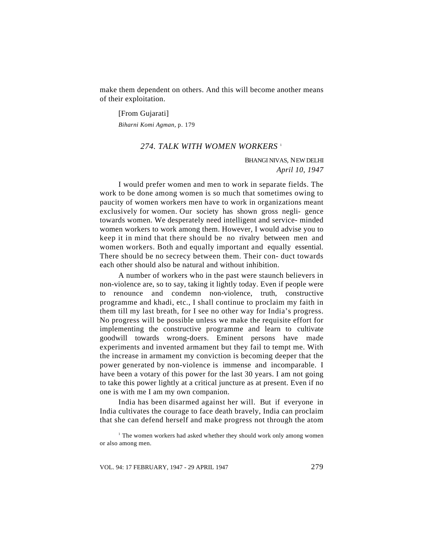make them dependent on others. And this will become another means of their exploitation.

[From Gujarati] *Biharni Komi Agman,* p. 179

# *274. TALK WITH WOMEN WORKERS* <sup>1</sup>

BHANGI NIVAS, NEW DELHI *April 10, 1947*

I would prefer women and men to work in separate fields. The work to be done among women is so much that sometimes owing to paucity of women workers men have to work in organizations meant exclusively for women. Our society has shown gross negli- gence towards women. We desperately need intelligent and service- minded women workers to work among them. However, I would advise you to keep it in mind that there should be no rivalry between men and women workers. Both and equally important and equally essential. There should be no secrecy between them. Their con- duct towards each other should also be natural and without inhibition.

A number of workers who in the past were staunch believers in non-violence are, so to say, taking it lightly today. Even if people were to renounce and condemn non-violence, truth, constructive programme and khadi, etc., I shall continue to proclaim my faith in them till my last breath, for I see no other way for India's progress. No progress will be possible unless we make the requisite effort for implementing the constructive programme and learn to cultivate goodwill towards wrong-doers. Eminent persons have made experiments and invented armament but they fail to tempt me. With the increase in armament my conviction is becoming deeper that the power generated by non-violence is immense and incomparable. I have been a votary of this power for the last 30 years. I am not going to take this power lightly at a critical juncture as at present. Even if no one is with me I am my own companion.

India has been disarmed against her will. But if everyone in India cultivates the courage to face death bravely, India can proclaim that she can defend herself and make progress not through the atom

<sup>&</sup>lt;sup>1</sup> The women workers had asked whether they should work only among women or also among men.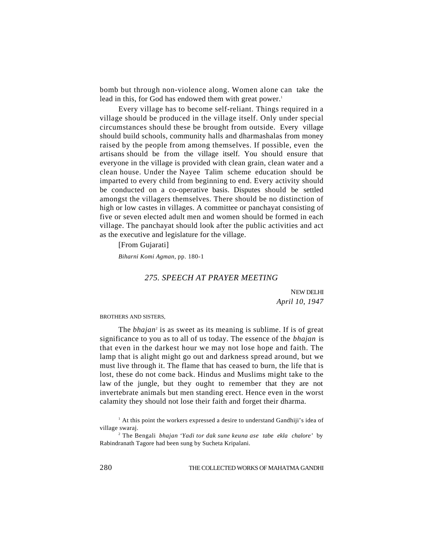bomb but through non-violence along. Women alone can take the lead in this, for God has endowed them with great power.<sup>1</sup>

Every village has to become self-reliant. Things required in a village should be produced in the village itself. Only under special circumstances should these be brought from outside. Every village should build schools, community halls and dharmashalas from money raised by the people from among themselves. If possible, even the artisans should be from the village itself. You should ensure that everyone in the village is provided with clean grain, clean water and a clean house. Under the Nayee Talim scheme education should be imparted to every child from beginning to end. Every activity should be conducted on a co-operative basis. Disputes should be settled amongst the villagers themselves. There should be no distinction of high or low castes in villages. A committee or panchayat consisting of five or seven elected adult men and women should be formed in each village. The panchayat should look after the public activities and act as the executive and legislature for the village.

[From Gujarati]

*Biharni Komi Agman,* pp. 180-1

### *275. SPEECH AT PRAYER MEETING*

 NEW DELHI *April 10, 1947*

#### BROTHERS AND SISTERS,

The *bhajan*<sup>2</sup> is as sweet as its meaning is sublime. If is of great significance to you as to all of us today. The essence of the *bhajan* is that even in the darkest hour we may not lose hope and faith. The lamp that is alight might go out and darkness spread around, but we must live through it. The flame that has ceased to burn, the life that is lost, these do not come back. Hindus and Muslims might take to the law of the jungle, but they ought to remember that they are not invertebrate animals but men standing erect. Hence even in the worst calamity they should not lose their faith and forget their dharma.

<sup>&</sup>lt;sup>1</sup> At this point the workers expressed a desire to understand Gandhiji's idea of village swaraj.

<sup>2</sup> The Bengali *bhajan 'Yadi tor dak sune keuna ase tabe ekla chalore'* by Rabindranath Tagore had been sung by Sucheta Kripalani.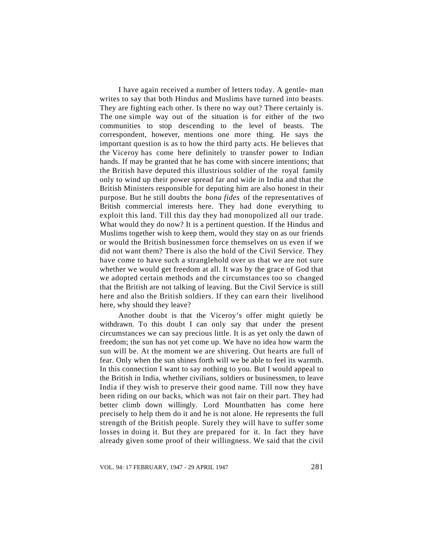I have again received a number of letters today. A gentle- man writes to say that both Hindus and Muslims have turned into beasts. They are fighting each other. Is there no way out? There certainly is. The one simple way out of the situation is for either of the two communities to stop descending to the level of beasts. The correspondent, however, mentions one more thing. He says the important question is as to how the third party acts. He believes that the Viceroy has come here definitely to transfer power to Indian hands. If may be granted that he has come with sincere intentions; that the British have deputed this illustrious soldier of the royal family only to wind up their power spread far and wide in India and that the British Ministers responsible for deputing him are also honest in their purpose. But he still doubts the *bona fides* of the representatives of British commercial interests here. They had done everything to exploit this land. Till this day they had monopolized all our trade. What would they do now? It is a pertinent question. If the Hindus and Muslims together wish to keep them, would they stay on as our friends or would the British businessmen force themselves on us even if we did not want them? There is also the hold of the Civil Service. They have come to have such a stranglehold over us that we are not sure whether we would get freedom at all. It was by the grace of God that we adopted certain methods and the circumstances too so changed that the British are not talking of leaving. But the Civil Service is still here and also the British soldiers. If they can earn their livelihood here, why should they leave?

Another doubt is that the Viceroy's offer might quietly be withdrawn. To this doubt I can only say that under the present circumstances we can say precious little. It is as yet only the dawn of freedom; the sun has not yet come up. We have no idea how warm the sun will be. At the moment we are shivering. Out hearts are full of fear. Only when the sun shines forth will we be able to feel its warmth. In this connection I want to say nothing to you. But I would appeal to the British in India, whether civilians, soldiers or businessmen, to leave India if they wish to preserve their good name. Till now they have been riding on our backs, which was not fair on their part. They had better climb down willingly. Lord Mountbatten has come here precisely to help them do it and he is not alone. He represents the full strength of the British people. Surely they will have to suffer some losses in doing it. But they are prepared for it. In fact they have already given some proof of their willingness. We said that the civil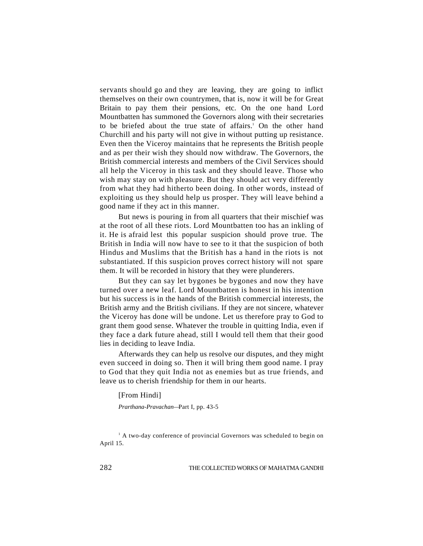servants should go and they are leaving, they are going to inflict themselves on their own countrymen, that is, now it will be for Great Britain to pay them their pensions, etc. On the one hand Lord Mountbatten has summoned the Governors along with their secretaries to be briefed about the true state of affairs.<sup>1</sup> On the other hand Churchill and his party will not give in without putting up resistance. Even then the Viceroy maintains that he represents the British people and as per their wish they should now withdraw. The Governors, the British commercial interests and members of the Civil Services should all help the Viceroy in this task and they should leave. Those who wish may stay on with pleasure. But they should act very differently from what they had hitherto been doing. In other words, instead of exploiting us they should help us prosper. They will leave behind a good name if they act in this manner.

But news is pouring in from all quarters that their mischief was at the root of all these riots. Lord Mountbatten too has an inkling of it. He is afraid lest this popular suspicion should prove true. The British in India will now have to see to it that the suspicion of both Hindus and Muslims that the British has a hand in the riots is not substantiated. If this suspicion proves correct history will not spare them. It will be recorded in history that they were plunderers.

But they can say let bygones be bygones and now they have turned over a new leaf. Lord Mountbatten is honest in his intention but his success is in the hands of the British commercial interests, the British army and the British civilians. If they are not sincere, whatever the Viceroy has done will be undone. Let us therefore pray to God to grant them good sense. Whatever the trouble in quitting India, even if they face a dark future ahead, still I would tell them that their good lies in deciding to leave India.

Afterwards they can help us resolve our disputes, and they might even succeed in doing so. Then it will bring them good name. I pray to God that they quit India not as enemies but as true friends, and leave us to cherish friendship for them in our hearts.

[From Hindi]

*Prarthana-Pravachan—*Part I, pp. 43-5

<sup>1</sup> A two-day conference of provincial Governors was scheduled to begin on April 15.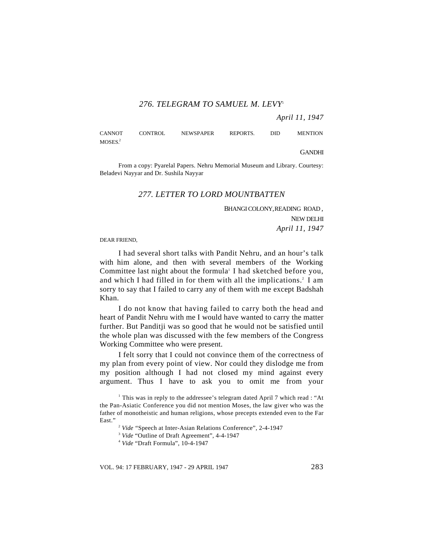# *276. TELEGRAM TO SAMUEL M. LEVY*<sup>1</sup>

*April 11, 1947*

CANNOT CONTROL NEWSPAPER REPORTS. DID MENTION MOSES.<sup>2</sup>

**GANDHI** 

From a copy: Pyarelal Papers. Nehru Memorial Museum and Library. Courtesy: Beladevi Nayyar and Dr. Sushila Nayyar

### *277. LETTER TO LORD MOUNTBATTEN*

BHANGI COLONY,READING ROAD ,

NEW DELHI *April 11, 1947*

DEAR FRIEND,

I had several short talks with Pandit Nehru, and an hour's talk with him alone, and then with several members of the Working Committee last night about the formula<sup>1</sup> I had sketched before you, and which I had filled in for them with all the implications.<sup>2</sup> I am sorry to say that I failed to carry any of them with me except Badshah Khan.

I do not know that having failed to carry both the head and heart of Pandit Nehru with me I would have wanted to carry the matter further. But Panditji was so good that he would not be satisfied until the whole plan was discussed with the few members of the Congress Working Committee who were present.

I felt sorry that I could not convince them of the correctness of my plan from every point of view. Nor could they dislodge me from my position although I had not closed my mind against every argument. Thus I have to ask you to omit me from your

<sup>1</sup> This was in reply to the addressee's telegram dated April 7 which read : "At the Pan-Asiatic Conference you did not mention Moses, the law giver who was the father of monotheistic and human religions, whose precepts extended even to the Far East."

<sup>2</sup> *Vide* "Speech at Inter-Asian Relations Conference", 2-4-1947

<sup>3</sup> *Vide* "Outline of Draft Agreement", 4-4-1947

<sup>4</sup> *Vide* "Draft Formula", 10-4-1947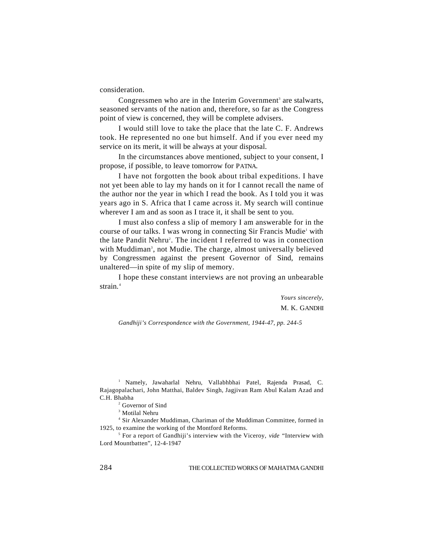consideration.

Congressmen who are in the Interim Government<sup>3</sup> are stalwarts, seasoned servants of the nation and, therefore, so far as the Congress point of view is concerned, they will be complete advisers.

I would still love to take the place that the late C. F. Andrews took. He represented no one but himself. And if you ever need my service on its merit, it will be always at your disposal.

In the circumstances above mentioned, subject to your consent, I propose, if possible, to leave tomorrow for PATNA.

I have not forgotten the book about tribal expeditions. I have not yet been able to lay my hands on it for I cannot recall the name of the author nor the year in which I read the book. As I told you it was years ago in S. Africa that I came across it. My search will continue wherever I am and as soon as I trace it, it shall be sent to you.

I must also confess a slip of memory I am answerable for in the course of our talks. I was wrong in connecting Sir Francis Mudie<sup>1</sup> with the late Pandit Nehru<sup>2</sup>. The incident I referred to was in connection with Muddiman<sup>3</sup>, not Mudie. The charge, almost universally believed by Congressmen against the present Governor of Sind, remains unaltered—in spite of my slip of memory.

I hope these constant interviews are not proving an unbearable strain.<sup>4</sup>

> *Yours sincerely,* M. K. GANDHI

*Gandhiji's Correspondence with the Government, 1944-47, pp. 244-5*

<sup>1</sup> Namely, Jawaharlal Nehru, Vallabhbhai Patel, Rajenda Prasad, C. Rajagopalachari, John Matthai, Baldev Singh, Jagjivan Ram Abul Kalam Azad and C.H. Bhabha

2 Governor of Sind

3 Motilal Nehru

4 Sir Alexander Muddiman, Chariman of the Muddiman Committee, formed in 1925, to examine the working of the Montford Reforms.

5 For a report of Gandhiji's interview with the Viceroy, *vide* "Interview with Lord Mountbatten", 12-4-1947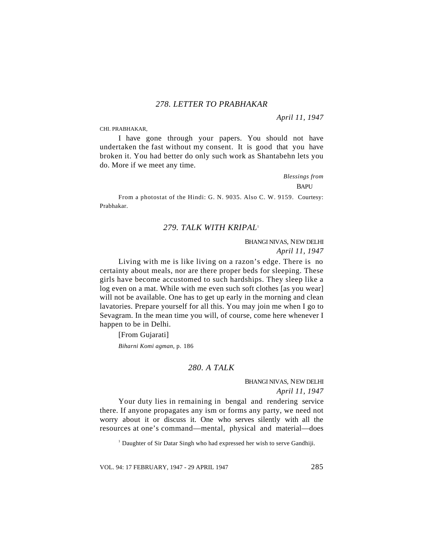*April 11, 1947*

CHI. PRABHAKAR,

I have gone through your papers. You should not have undertaken the fast without my consent. It is good that you have broken it. You had better do only such work as Shantabehn lets you do. More if we meet any time.

*Blessings from*

**BAPU** 

From a photostat of the Hindi: G. N. 9035. Also C. W. 9159. Courtesy: Prabhakar.

# *279. TALK WITH KRIPAL*<sup>1</sup>

BHANGI NIVAS, NEW DELHI

*April 11, 1947*

Living with me is like living on a razon's edge. There is no certainty about meals, nor are there proper beds for sleeping. These girls have become accustomed to such hardships. They sleep like a log even on a mat. While with me even such soft clothes [as you wear] will not be available. One has to get up early in the morning and clean lavatories. Prepare yourself for all this. You may join me when I go to Sevagram. In the mean time you will, of course, come here whenever I happen to be in Delhi.

[From Gujarati] *Biharni Komi agman,* p. 186

### *280. A TALK*

BHANGI NIVAS, NEW DELHI *April 11, 1947*

Your duty lies in remaining in bengal and rendering service there. If anyone propagates any ism or forms any party, we need not worry about it or discuss it. One who serves silently with all the resources at one's command—mental, physical and material—does

<sup>1</sup> Daughter of Sir Datar Singh who had expressed her wish to serve Gandhiji.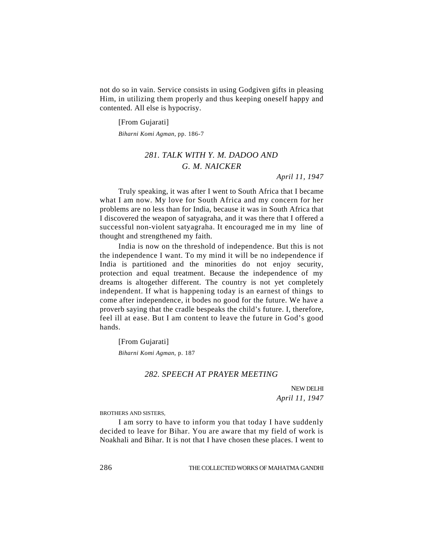not do so in vain. Service consists in using Godgiven gifts in pleasing Him, in utilizing them properly and thus keeping oneself happy and contented. All else is hypocrisy.

[From Gujarati] *Biharni Komi Agman,* pp. 186-7

# *281. TALK WITH Y. M. DADOO AND G. M. NAICKER*

*April 11, 1947*

Truly speaking, it was after I went to South Africa that I became what I am now. My love for South Africa and my concern for her problems are no less than for India, because it was in South Africa that I discovered the weapon of satyagraha, and it was there that I offered a successful non-violent satyagraha. It encouraged me in my line of thought and strengthened my faith.

India is now on the threshold of independence. But this is not the independence I want. To my mind it will be no independence if India is partitioned and the minorities do not enjoy security, protection and equal treatment. Because the independence of my dreams is altogether different. The country is not yet completely independent. If what is happening today is an earnest of things to come after independence, it bodes no good for the future. We have a proverb saying that the cradle bespeaks the child's future. I, therefore, feel ill at ease. But I am content to leave the future in God's good hands.

[From Gujarati] *Biharni Komi Agman*, p. 187

# *282. SPEECH AT PRAYER MEETING*

NEW DELHI *April 11, 1947*

BROTHERS AND SISTERS,

I am sorry to have to inform you that today I have suddenly decided to leave for Bihar. You are aware that my field of work is Noakhali and Bihar. It is not that I have chosen these places. I went to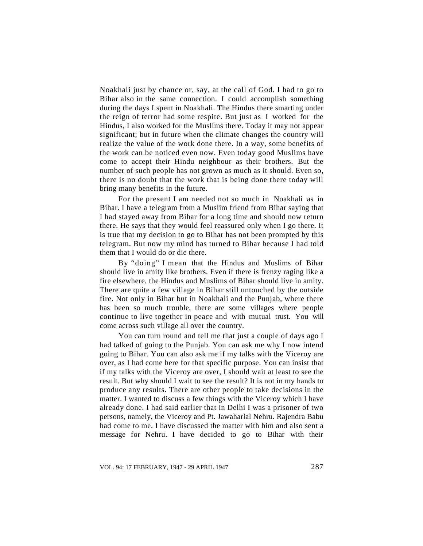Noakhali just by chance or, say, at the call of God. I had to go to Bihar also in the same connection. I could accomplish something during the days I spent in Noakhali. The Hindus there smarting under the reign of terror had some respite. But just as I worked for the Hindus, I also worked for the Muslims there. Today it may not appear significant; but in future when the climate changes the country will realize the value of the work done there. In a way, some benefits of the work can be noticed even now. Even today good Muslims have come to accept their Hindu neighbour as their brothers. But the number of such people has not grown as much as it should. Even so, there is no doubt that the work that is being done there today will bring many benefits in the future.

For the present I am needed not so much in Noakhali as in Bihar. I have a telegram from a Muslim friend from Bihar saying that I had stayed away from Bihar for a long time and should now return there. He says that they would feel reassured only when I go there. It is true that my decision to go to Bihar has not been prompted by this telegram. But now my mind has turned to Bihar because I had told them that I would do or die there.

By "doing" I mean that the Hindus and Muslims of Bihar should live in amity like brothers. Even if there is frenzy raging like a fire elsewhere, the Hindus and Muslims of Bihar should live in amity. There are quite a few village in Bihar still untouched by the outside fire. Not only in Bihar but in Noakhali and the Punjab, where there has been so much trouble, there are some villages where people continue to live together in peace and with mutual trust. You will come across such village all over the country.

You can turn round and tell me that just a couple of days ago I had talked of going to the Punjab. You can ask me why I now intend going to Bihar. You can also ask me if my talks with the Viceroy are over, as I had come here for that specific purpose. You can insist that if my talks with the Viceroy are over, I should wait at least to see the result. But why should I wait to see the result? It is not in my hands to produce any results. There are other people to take decisions in the matter. I wanted to discuss a few things with the Viceroy which I have already done. I had said earlier that in Delhi I was a prisoner of two persons, namely, the Viceroy and Pt. Jawaharlal Nehru. Rajendra Babu had come to me. I have discussed the matter with him and also sent a message for Nehru. I have decided to go to Bihar with their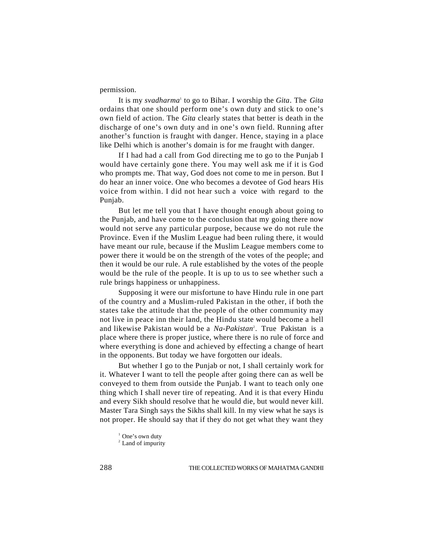permission.

It is my *svadharma*<sup>1</sup> to go to Bihar. I worship the *Gita*. The *Gita* ordains that one should perform one's own duty and stick to one's own field of action. The *Gita* clearly states that better is death in the discharge of one's own duty and in one's own field. Running after another's function is fraught with danger. Hence, staying in a place like Delhi which is another's domain is for me fraught with danger.

If I had had a call from God directing me to go to the Punjab I would have certainly gone there. You may well ask me if it is God who prompts me. That way, God does not come to me in person. But I do hear an inner voice. One who becomes a devotee of God hears His voice from within. I did not hear such a voice with regard to the Punjab.

But let me tell you that I have thought enough about going to the Punjab, and have come to the conclusion that my going there now would not serve any particular purpose, because we do not rule the Province. Even if the Muslim League had been ruling there, it would have meant our rule, because if the Muslim League members come to power there it would be on the strength of the votes of the people; and then it would be our rule. A rule established by the votes of the people would be the rule of the people. It is up to us to see whether such a rule brings happiness or unhappiness.

Supposing it were our misfortune to have Hindu rule in one part of the country and a Muslim-ruled Pakistan in the other, if both the states take the attitude that the people of the other community may not live in peace inn their land, the Hindu state would become a hell and likewise Pakistan would be a *Na-Pakistan*<sup>2</sup>. True Pakistan is a place where there is proper justice, where there is no rule of force and where everything is done and achieved by effecting a change of heart in the opponents. But today we have forgotten our ideals.

But whether I go to the Punjab or not, I shall certainly work for it. Whatever I want to tell the people after going there can as well be conveyed to them from outside the Punjab. I want to teach only one thing which I shall never tire of repeating. And it is that every Hindu and every Sikh should resolve that he would die, but would never kill. Master Tara Singh says the Sikhs shall kill. In my view what he says is not proper. He should say that if they do not get what they want they

<sup>&</sup>lt;sup>1</sup> One's own duty

<sup>&</sup>lt;sup>2</sup> Land of impurity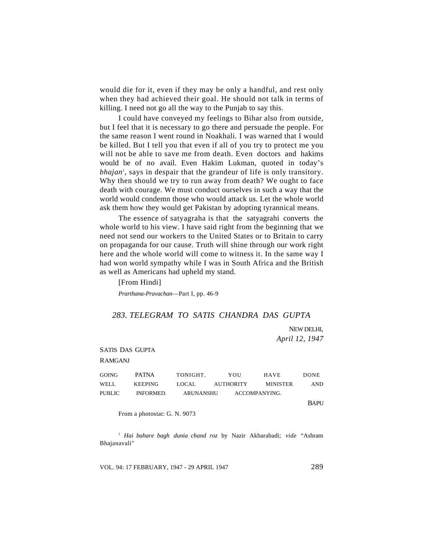would die for it, even if they may be only a handful, and rest only when they had achieved their goal. He should not talk in terms of killing. I need not go all the way to the Punjab to say this.

I could have conveyed my feelings to Bihar also from outside, but I feel that it is necessary to go there and persuade the people. For the same reason I went round in Noakhali. I was warned that I would be killed. But I tell you that even if all of you try to protect me you will not be able to save me from death. Even doctors and hakims would be of no avail. Even Hakim Lukman, quoted in today's bhajan<sup>1</sup>, says in despair that the grandeur of life is only transitory. Why then should we try to run away from death? We ought to face death with courage. We must conduct ourselves in such a way that the world would condemn those who would attack us. Let the whole world ask them how they would get Pakistan by adopting tyrannical means.

The essence of satyagraha is that the satyagrahi converts the whole world to his view. I have said right from the beginning that we need not send our workers to the United States or to Britain to carry on propaganda for our cause. Truth will shine through our work right here and the whole world will come to witness it. In the same way I had won world sympathy while I was in South Africa and the British as well as Americans had upheld my stand.

[From Hindi] *Prarthana-Pravachan*—Part I, pp. 46-9

### *283. TELEGRAM TO SATIS CHANDRA DAS GUPTA*

NEW DELHI, *April 12, 1947*

SATIS DAS GUPTA

#### RAMGANJ

| <b>GOING</b> | <b>PATNA</b>   | TONIGHT.  | YOU              | HAVE            | <b>DONE</b> |
|--------------|----------------|-----------|------------------|-----------------|-------------|
| WELL.        | <b>KEEPING</b> | LOCAL     | <b>AUTHORITY</b> | <b>MINISTER</b> | AND.        |
| PUBLIC       | INFORMED.      | ARUNANSHU |                  | ACCOMPANYING.   |             |

**BAPU** 

From a photostat: G. N. 9073

<sup>1</sup> *Hai bahare bagh dunia chand roz* by Nazir Akbarabadi; *vide* "Ashram Bhajanavali"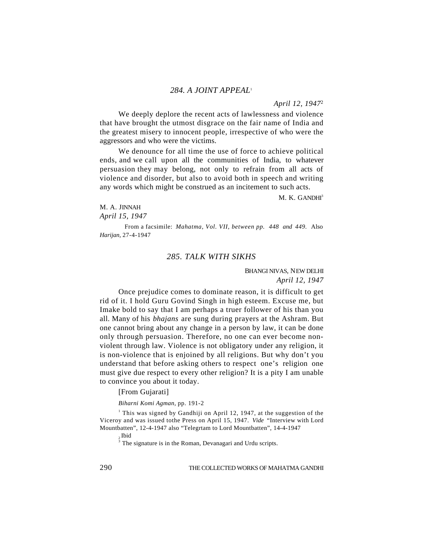### *284. A JOINT APPEAL*<sup>1</sup>

*April 12, 1947*<sup>2</sup>

We deeply deplore the recent acts of lawlessness and violence that have brought the utmost disgrace on the fair name of India and the greatest misery to innocent people, irrespective of who were the aggressors and who were the victims.

We denounce for all time the use of force to achieve political ends, and we call upon all the communities of India, to whatever persuasion they may belong, not only to refrain from all acts of violence and disorder, but also to avoid both in speech and writing any words which might be construed as an incitement to such acts.

M. K. GANDHI<sup>3</sup>

M. A. JINNAH *April 15, 1947*

From a facsimile: *Mahatma, Vol. VII, between pp. 448 and 449.* Also *Harijan,* 27-4-1947

#### *285. TALK WITH SIKHS*

#### BHANGI NIVAS, NEW DELHI

*April 12, 1947*

Once prejudice comes to dominate reason, it is difficult to get rid of it. I hold Guru Govind Singh in high esteem. Excuse me, but Imake bold to say that I am perhaps a truer follower of his than you all. Many of his *bhajans* are sung during prayers at the Ashram. But one cannot bring about any change in a person by law, it can be done only through persuasion. Therefore, no one can ever become nonviolent through law. Violence is not obligatory under any religion, it is non-violence that is enjoined by all religions. But why don't you understand that before asking others to respect one's religion one must give due respect to every other religion? It is a pity I am unable to convince you about it today.

[From Gujarati]

*Biharni Komi Agman,* pp. 191-2

<sup>1</sup> This was signed by Gandhiji on April 12, 1947, at the suggestion of the Viceroy and was issued tothe Press on April 15, 1947. *Vide* "Interview with Lord Mountbatten", 12-4-1947 also "Telegrtam to Lord Mountbatten", 14-4-1947

, Ibid

<sup>3</sup> The signature is in the Roman, Devanagari and Urdu scripts.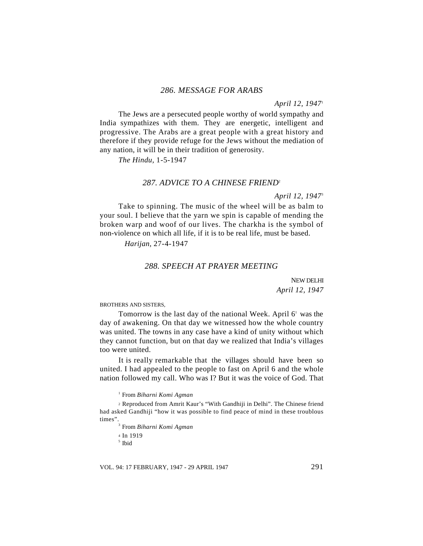### *286. MESSAGE FOR ARABS*

*April 12, 1947*<sup>1</sup>

The Jews are a persecuted people worthy of world sympathy and India sympathizes with them. They are energetic, intelligent and progressive. The Arabs are a great people with a great history and therefore if they provide refuge for the Jews without the mediation of any nation, it will be in their tradition of generosity.

*The Hindu,* 1-5-1947

#### *287. ADVICE TO A CHINESE FRIEND*<sup>2</sup>

*April 12, 1947*<sup>3</sup>

Take to spinning. The music of the wheel will be as balm to your soul. I believe that the yarn we spin is capable of mending the broken warp and woof of our lives. The charkha is the symbol of non-violence on which all life, if it is to be real life, must be based.

*Harijan,* 27-4-1947

#### *288. SPEECH AT PRAYER MEETING*

NEW DELHI *April 12, 1947*

BROTHERS AND SISTERS,

Tomorrow is the last day of the national Week. April  $6<sup>1</sup>$  was the day of awakening. On that day we witnessed how the whole country was united. The towns in any case have a kind of unity without which they cannot function, but on that day we realized that India's villages too were united.

It is really remarkable that the villages should have been so united. I had appealed to the people to fast on April 6 and the whole nation followed my call. Who was I? But it was the voice of God. That

1 From *Biharni Komi Agman*

<sup>2</sup> Reproduced from Amrit Kaur's "With Gandhiji in Delhi". The Chinese friend had asked Gandhiji "how it was possible to find peace of mind in these troublous times".

3 From *Biharni Komi Agman* <sup>4</sup> In 1919 5 Ibid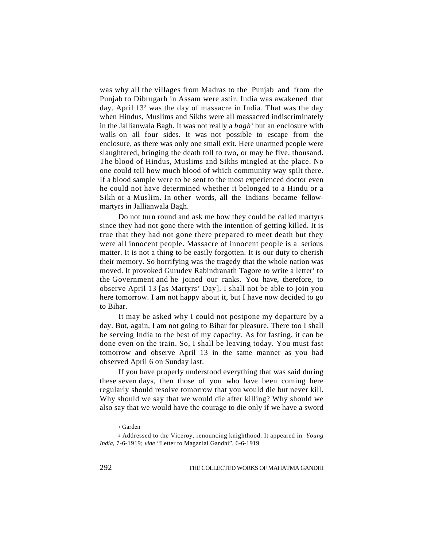was why all the villages from Madras to the Punjab and from the Punjab to Dibrugarh in Assam were astir. India was awakened that day. April 13<sup>2</sup> was the day of massacre in India. That was the day when Hindus, Muslims and Sikhs were all massacred indiscriminately in the Jallianwala Bagh. It was not really a *bagh*<sup>3</sup> but an enclosure with walls on all four sides. It was not possible to escape from the enclosure, as there was only one small exit. Here unarmed people were slaughtered, bringing the death toll to two, or may be five, thousand. The blood of Hindus, Muslims and Sikhs mingled at the place. No one could tell how much blood of which community way spilt there. If a blood sample were to be sent to the most experienced doctor even he could not have determined whether it belonged to a Hindu or a Sikh or a Muslim. In other words, all the Indians became fellowmartyrs in Jallianwala Bagh.

Do not turn round and ask me how they could be called martyrs since they had not gone there with the intention of getting killed. It is true that they had not gone there prepared to meet death but they were all innocent people. Massacre of innocent people is a serious matter. It is not a thing to be easily forgotten. It is our duty to cherish their memory. So horrifying was the tragedy that the whole nation was moved. It provoked Gurudev Rabindranath Tagore to write a letter<sup>1</sup> to the Government and he joined our ranks. You have, therefore, to observe April 13 [as Martyrs' Day]. I shall not be able to join you here tomorrow. I am not happy about it, but I have now decided to go to Bihar.

It may be asked why I could not postpone my departure by a day. But, again, I am not going to Bihar for pleasure. There too I shall be serving India to the best of my capacity. As for fasting, it can be done even on the train. So, I shall be leaving today. You must fast tomorrow and observe April 13 in the same manner as you had observed April 6 on Sunday last.

If you have properly understood everything that was said during these seven days, then those of you who have been coming here regularly should resolve tomorrow that you would die but never kill. Why should we say that we would die after killing? Why should we also say that we would have the courage to die only if we have a sword

<sup>1</sup> Garden

<sup>2</sup> Addressed to the Viceroy, renouncing knighthood. It appeared in *Young India,* 7-6-1919; *vide* "Letter to Maganlal Gandhi", 6-6-1919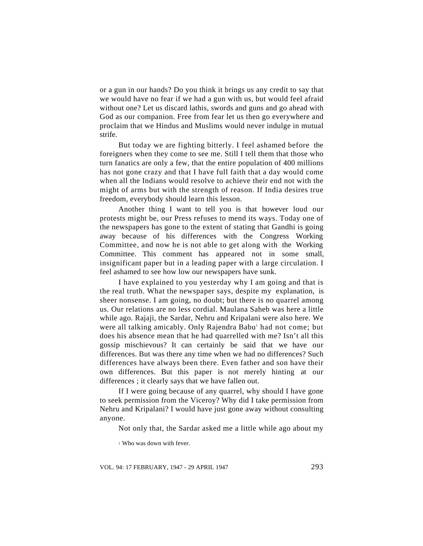or a gun in our hands? Do you think it brings us any credit to say that we would have no fear if we had a gun with us, but would feel afraid without one? Let us discard lathis, swords and guns and go ahead with God as our companion. Free from fear let us then go everywhere and proclaim that we Hindus and Muslims would never indulge in mutual strife.

But today we are fighting bitterly. I feel ashamed before the foreigners when they come to see me. Still I tell them that those who turn fanatics are only a few, that the entire population of 400 millions has not gone crazy and that I have full faith that a day would come when all the Indians would resolve to achieve their end not with the might of arms but with the strength of reason. If India desires true freedom, everybody should learn this lesson.

Another thing I want to tell you is that however loud our protests might be, our Press refuses to mend its ways. Today one of the newspapers has gone to the extent of stating that Gandhi is going away because of his differences with the Congress Working Committee, and now he is not able to get along with the Working Committee. This comment has appeared not in some small, insignificant paper but in a leading paper with a large circulation. I feel ashamed to see how low our newspapers have sunk.

I have explained to you yesterday why I am going and that is the real truth. What the newspaper says, despite my explanation, is sheer nonsense. I am going, no doubt; but there is no quarrel among us. Our relations are no less cordial. Maulana Saheb was here a little while ago. Rajaji, the Sardar, Nehru and Kripalani were also here. We were all talking amicably. Only Rajendra Babu' had not come; but does his absence mean that he had quarrelled with me? Isn't all this gossip mischievous? It can certainly be said that we have our differences. But was there any time when we had no differences? Such differences have always been there. Even father and son have their own differences. But this paper is not merely hinting at our differences ; it clearly says that we have fallen out.

If I were going because of any quarrel, why should I have gone to seek permission from the Viceroy? Why did I take permission from Nehru and Kripalani? I would have just gone away without consulting anyone.

Not only that, the Sardar asked me a little while ago about my

1 Who was down with fever.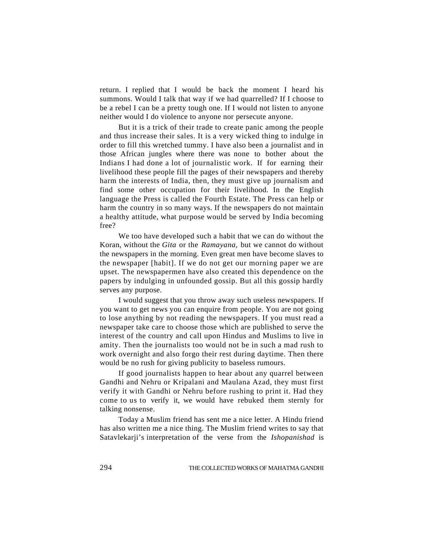return. I replied that I would be back the moment I heard his summons. Would I talk that way if we had quarrelled? If I choose to be a rebel I can be a pretty tough one. If I would not listen to anyone neither would I do violence to anyone nor persecute anyone.

But it is a trick of their trade to create panic among the people and thus increase their sales. It is a very wicked thing to indulge in order to fill this wretched tummy. I have also been a journalist and in those African jungles where there was none to bother about the Indians I had done a lot of journalistic work. If for earning their livelihood these people fill the pages of their newspapers and thereby harm the interests of India, then, they must give up journalism and find some other occupation for their livelihood. In the English language the Press is called the Fourth Estate. The Press can help or harm the country in so many ways. If the newspapers do not maintain a healthy attitude, what purpose would be served by India becoming free?

We too have developed such a habit that we can do without the Koran, without the *Gita* or the *Ramayana,* but we cannot do without the newspapers in the morning. Even great men have become slaves to the newspaper [habit]. If we do not get our morning paper we are upset. The newspapermen have also created this dependence on the papers by indulging in unfounded gossip. But all this gossip hardly serves any purpose.

I would suggest that you throw away such useless newspapers. If you want to get news you can enquire from people. You are not going to lose anything by not reading the newspapers. If you must read a newspaper take care to choose those which are published to serve the interest of the country and call upon Hindus and Muslims to live in amity. Then the journalists too would not be in such a mad rush to work overnight and also forgo their rest during daytime. Then there would be no rush for giving publicity to baseless rumours.

If good journalists happen to hear about any quarrel between Gandhi and Nehru or Kripalani and Maulana Azad, they must first verify it with Gandhi or Nehru before rushing to print it. Had they come to us to verify it, we would have rebuked them sternly for talking nonsense.

Today a Muslim friend has sent me a nice letter. A Hindu friend has also written me a nice thing. The Muslim friend writes to say that Satavlekarji's interpretation of the verse from the *Ishopanishad* is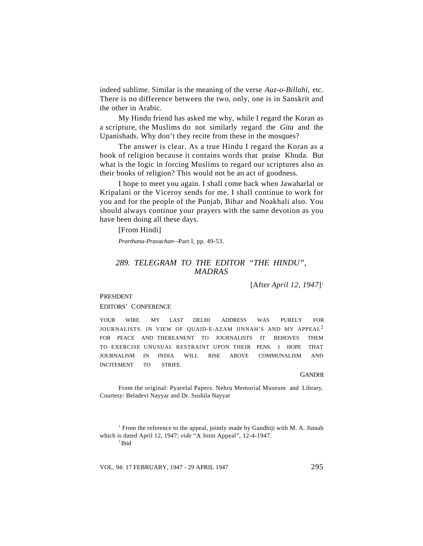indeed sublime. Similar is the meaning of the verse *Auz-o-Billahi,* etc. There is no difference between the two, only, one is in Sanskrit and the other in Arabic.

My Hindu friend has asked me why, while I regard the Koran as a scripture, the Muslims do not similarly regard the *Gita* and the Upanishads. Why don't they recite from these in the mosques?

The answer is clear. As a true Hindu I regard the Koran as a book of religion because it contains words that praise Khuda. But what is the logic in forcing Muslims to regard our scriptures also as their books of religion? This would not be an act of goodness.

I hope to meet you again. I shall come back when Jawaharlal or Kripalani or the Viceroy sends for me. I shall continue to work for you and for the people of the Punjab, Bihar and Noakhali also. You should always continue your prayers with the same devotion as you have been doing all these days.

[From Hindi]

*Prarthana-Pravachan—*Part I, pp. 49-53.

## *289. TELEGRAM TO THE EDITOR "THE HINDU", MADRAS*

[After *April 12, 1947*] 1

PRESIDENT

EDITORS' CONFERENCE

YOUR WIRE. MY LAST DELHI ADDRESS WAS PURELY FOR JOURNALISTS. IN VIEW OF QUAID-E-AZAM JINNAH'S AND MY APPEAL<sup>2</sup> FOR PEACE AND THEREANENT TO JOURNALISTS IT BEHOVES THEM TO EXERCISE UNUSUAL RESTRAINT UPON THEIR PENS. I HOPE THAT JOURNALISM IN INDIA WILL RISE ABOVE COMMUNALISM AND INCITEMENT TO STRIFE.

#### **GANDHI**

From the original: Pyarelal Papers. Nehru Memorial Museum and Library. Courtesy: Beladevi Nayyar and Dr. Sushila Nayyar

<sup>1</sup> From the reference to the appeal, jointly made by Gandhiji with M. A. Jinnah which is dated April 12, 1947; *vide* "A Joint Appeal", 12-4-1947.  $<sup>2</sup>$  Ibid</sup>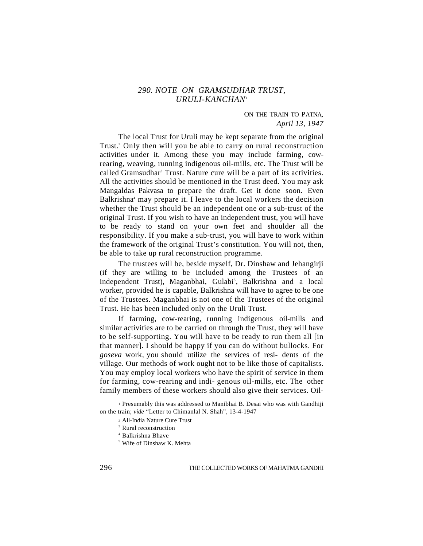### *290. NOTE ON GRAMSUDHAR TRUST, URULI-KANCHAN*<sup>1</sup>

ON THE TRAIN TO PATNA, *April 13, 1947*

The local Trust for Uruli may be kept separate from the original Trust.<sup>2</sup> Only then will you be able to carry on rural reconstruction activities under it. Among these you may include farming, cowrearing, weaving, running indigenous oil-mills, etc. The Trust will be called Gramsudhar<sup>3</sup> Trust. Nature cure will be a part of its activities. All the activities should be mentioned in the Trust deed. You may ask Mangaldas Pakvasa to prepare the draft. Get it done soon. Even Balkrishna<sup>4</sup> may prepare it. I leave to the local workers the decision whether the Trust should be an independent one or a sub-trust of the original Trust. If you wish to have an independent trust, you will have to be ready to stand on your own feet and shoulder all the responsibility. If you make a sub-trust, you will have to work within the framework of the original Trust's constitution. You will not, then, be able to take up rural reconstruction programme.

The trustees will be, beside myself, Dr. Dinshaw and Jehangirji (if they are willing to be included among the Trustees of an independent Trust), Maganbhai, Gulabi<sup>5</sup>, Balkrishna and a local worker, provided he is capable, Balkrishna will have to agree to be one of the Trustees. Maganbhai is not one of the Trustees of the original Trust. He has been included only on the Uruli Trust.

If farming, cow-rearing, running indigenous oil-mills and similar activities are to be carried on through the Trust, they will have to be self-supporting. You will have to be ready to run them all [in that manner]. I should be happy if you can do without bullocks. For *goseva* work, you should utilize the services of resi- dents of the village. Our methods of work ought not to be like those of capitalists. You may employ local workers who have the spirit of service in them for farming, cow-rearing and indi- genous oil-mills, etc. The other family members of these workers should also give their services. Oil-

<sup>1</sup> Presumably this was addressed to Manibhai B. Desai who was with Gandhiji on the train; *vide* "Letter to Chimanlal N. Shah", 13-4-1947

<sup>2</sup> All-India Nature Cure Trust

<sup>&</sup>lt;sup>3</sup> Rural reconstruction

<sup>4</sup> Balkrishna Bhave

<sup>5</sup> Wife of Dinshaw K. Mehta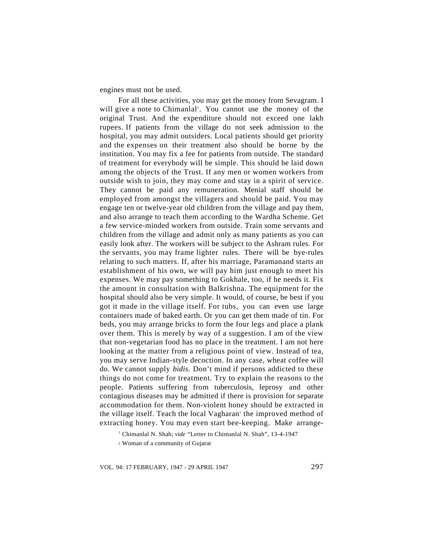engines must not be used.

For all these activities, you may get the money from Sevagram. I will give a note to Chimanlal<sup>1</sup>. You cannot use the money of the original Trust. And the expenditure should not exceed one lakh rupees. If patients from the village do not seek admission to the hospital, you may admit outsiders. Local patients should get priority and the expenses on their treatment also should be borne by the institution. You may fix a fee for patients from outside. The standard of treatment for everybody will be simple. This should be laid down among the objects of the Trust. If any men or women workers from outside wish to join, they may come and stay in a spirit of service. They cannot be paid any remuneration. Menial staff should be employed from amongst the villagers and should be paid. You may engage ten or twelve-year old children from the village and pay them, and also arrange to teach them according to the Wardha Scheme. Get a few service-minded workers from outside. Train some servants and children from the village and admit only as many patients as you can easily look after. The workers will be subject to the Ashram rules. For the servants, you may frame lighter rules. There will be bye-rules relating to such matters. If, after his marriage, Paramanand starts an establishment of his own, we will pay him just enough to meet his expenses. We may pay something to Gokhale, too, if he needs it. Fix the amount in consultation with Balkrishna. The equipment for the hospital should also be very simple. It would, of course, be best if you got it made in the village itself. For tubs, you can even use large containers made of baked earth. Or you can get them made of tin. For beds, you may arrange bricks to form the four legs and place a plank over them. This is merely by way of a suggestion. I am of the view that non-vegetarian food has no place in the treatment. I am not here looking at the matter from a religious point of view. Instead of tea, you may serve Indian-style decoction. In any case, wheat coffee will do. We cannot supply *bidis.* Don't mind if persons addicted to these things do not come for treatment. Try to explain the reasons to the people. Patients suffering from tuberculosis, leprosy and other contagious diseases may be admitted if there is provision for separate accommodation for them. Non-violent honey should be extracted in the village itself. Teach the local Vagharan<sup>1</sup> the improved method of extracting honey. You may even start bee-keeping. Make arrange-

<sup>&</sup>lt;sup>1</sup> Chimanlal N. Shah; vide "Letter to Chimanlal N. Shah", 13-4-1947

<sup>2</sup> Woman of a community of Gujarat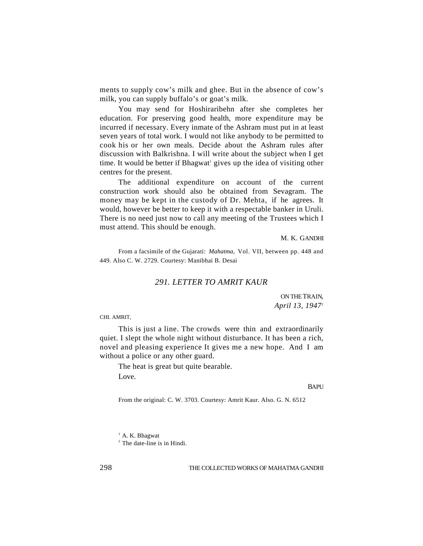ments to supply cow's milk and ghee. But in the absence of cow's milk, you can supply buffalo's or goat's milk.

You may send for Hoshiraribehn after she completes her education. For preserving good health, more expenditure may be incurred if necessary. Every inmate of the Ashram must put in at least seven years of total work. I would not like anybody to be permitted to cook his or her own meals. Decide about the Ashram rules after discussion with Balkrishna. I will write about the subject when I get time. It would be better if Bhagwat' gives up the idea of visiting other centres for the present.

The additional expenditure on account of the current construction work should also be obtained from Sevagram. The money may be kept in the custody of Dr. Mehta, if he agrees. It would, however be better to keep it with a respectable banker in Uruli. There is no need just now to call any meeting of the Trustees which I must attend. This should be enough.

M. K. GANDHI

From a facsimile of the Gujarati: *Mahatma,* Vol. VII, between pp. 448 and 449. Also C. W. 2729. Courtesy: Manibhai B. Desai

## *291. LETTER TO AMRIT KAUR*

ON THE TRAIN, *April 13, 1947*<sup>2</sup>

CHI. AMRIT,

This is just a line. The crowds were thin and extraordinarily quiet. I slept the whole night without disturbance. It has been a rich, novel and pleasing experience It gives me a new hope. And I am without a police or any other guard.

The heat is great but quite bearable. Love.

**BAPU** 

From the original: C. W. 3703. Courtesy: Amrit Kaur. Also. G. N. 6512

<sup>1</sup> A. K. Bhagwat

<sup>2</sup> The date-line is in Hindi.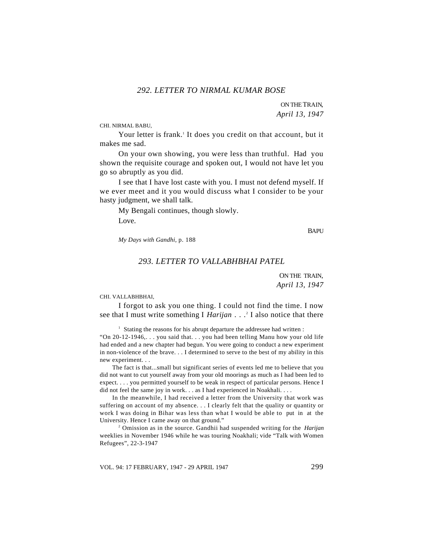ON THE TRAIN, *April 13, 1947*

CHI. NIRMAL BABU,

Your letter is frank.<sup>1</sup> It does you credit on that account, but it makes me sad.

On your own showing, you were less than truthful. Had you shown the requisite courage and spoken out, I would not have let you go so abruptly as you did.

I see that I have lost caste with you. I must not defend myself. If we ever meet and it you would discuss what I consider to be your hasty judgment, we shall talk.

My Bengali continues, though slowly. Love.

**BAPU** 

*My Days with Gandhi,* p. 188

#### *293. LETTER TO VALLABHBHAI PATEL*

ON THE TRAIN, *April 13, 1947*

CHI. VALLABHBHAI,

I forgot to ask you one thing. I could not find the time. I now see that I must write something I *Harijan* . . . 2 I also notice that there

<sup>1</sup> Stating the reasons for his abrupt departure the addressee had written : "On 20-12-1946,. . . you said that. . . you had been telling Manu how your old life had ended and a new chapter had begun. You were going to conduct a new experiment in non-violence of the brave. . . I determined to serve to the best of my ability in this new experiment. . .

The fact is that...small but significant series of events led me to believe that you did not want to cut yourself away from your old moorings as much as I had been led to expect. . . . you permitted yourself to be weak in respect of particular persons. Hence I did not feel the same joy in work. . . as I had experienced in Noakhali. . . .

In the meanwhile, I had received a letter from the University that work was suffering on account of my absence. . . I clearly felt that the quality or quantity or work I was doing in Bihar was less than what I would be able to put in at the University. Hence I came away on that ground."

2 Omission as in the source. Gandhii had suspended writing for the *Harijan* weeklies in November 1946 while he was touring Noakhali; vide "Talk with Women Refugees", 22-3-1947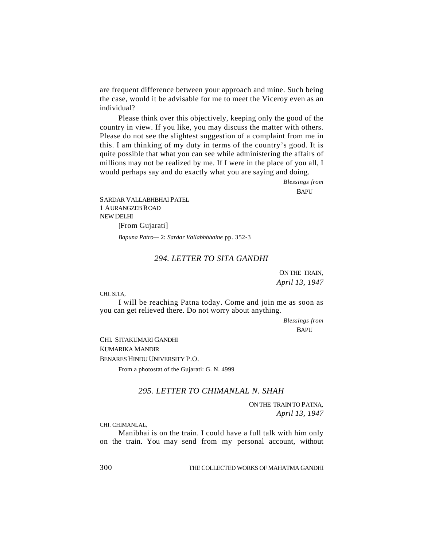are frequent difference between your approach and mine. Such being the case, would it be advisable for me to meet the Viceroy even as an individual?

Please think over this objectively, keeping only the good of the country in view. If you like, you may discuss the matter with others. Please do not see the slightest suggestion of a complaint from me in this. I am thinking of my duty in terms of the country's good. It is quite possible that what you can see while administering the affairs of millions may not be realized by me. If I were in the place of you all, I would perhaps say and do exactly what you are saying and doing.

> *Blessings from* **BAPU**

SARDAR VALLABHBHAI PATEL 1 AURANGZEB ROAD NEW DELHI [From Gujarati]

*Bapuna Patro—* 2: *Sardar Vallabhbhaine* pp. 352-3

## *294. LETTER TO SITA GANDHI*

ON THE TRAIN, *April 13, 1947*

CHI. SITA,

I will be reaching Patna today. Come and join me as soon as you can get relieved there. Do not worry about anything.

> *Blessings from* **BAPU**

CHI. SITAKUMARI GANDHI KUMARIKA MANDIR BENARES HINDU UNIVERSITY P.O.

From a photostat of the Gujarati: G. N. 4999

## *295. LETTER TO CHIMANLAL N. SHAH*

ON THE TRAIN TO PATNA, *April 13, 1947*

CHI. CHIMANLAL,

Manibhai is on the train. I could have a full talk with him only on the train. You may send from my personal account, without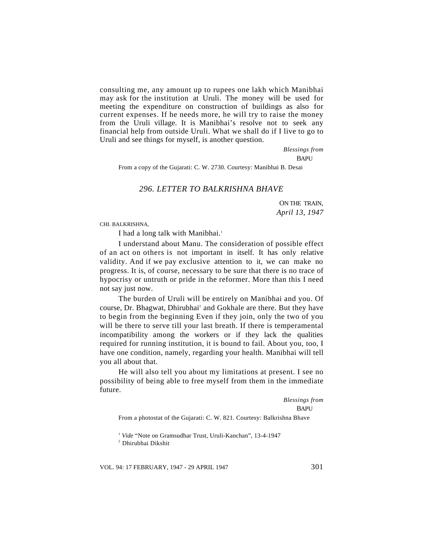consulting me, any amount up to rupees one lakh which Manibhai may ask for the institution at Uruli. The money will be used for meeting the expenditure on construction of buildings as also for current expenses. If he needs more, he will try to raise the money from the Uruli village. It is Manibhai's resolve not to seek any financial help from outside Uruli. What we shall do if I live to go to Uruli and see things for myself, is another question.

*Blessings from*

**BAPU** 

From a copy of the Gujarati: C. W. 2730. Courtesy: Manibhai B. Desai

#### *296. LETTER TO BALKRISHNA BHAVE*

ON THE TRAIN, *April 13, 1947*

CHI. BALKRISHNA,

I had a long talk with Manibhai.<sup>1</sup>

I understand about Manu. The consideration of possible effect of an act on others is not important in itself. It has only relative validity. And if we pay exclusive attention to it, we can make no progress. It is, of course, necessary to be sure that there is no trace of hypocrisy or untruth or pride in the reformer. More than this I need not say just now.

The burden of Uruli will be entirely on Manibhai and you. Of course, Dr. Bhagwat, Dhirubhai<sup>2</sup> and Gokhale are there. But they have to begin from the beginning Even if they join, only the two of you will be there to serve till your last breath. If there is temperamental incompatibility among the workers or if they lack the qualities required for running institution, it is bound to fail. About you, too, I have one condition, namely, regarding your health. Manibhai will tell you all about that.

He will also tell you about my limitations at present. I see no possibility of being able to free myself from them in the immediate future.

*Blessings from*

**BAPU** 

From a photostat of the Gujarati: C. W. 821. Courtesy: Balkrishna Bhave

<sup>1</sup> Vide "Note on Gramsudhar Trust, Uruli-Kanchan", 13-4-1947 2 Dhirubhai Dikshit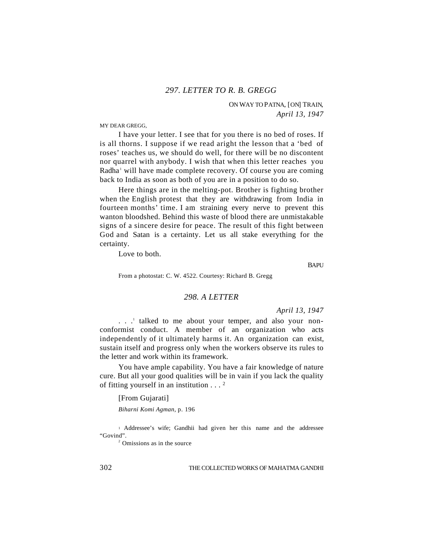ON WAY TO PATNA, [ON] TRAIN, *April 13, 1947*

MY DEAR GREGG,

I have your letter. I see that for you there is no bed of roses. If is all thorns. I suppose if we read aright the lesson that a 'bed of roses' teaches us, we should do well, for there will be no discontent nor quarrel with anybody. I wish that when this letter reaches you Radha<sup>1</sup> will have made complete recovery. Of course you are coming back to India as soon as both of you are in a position to do so.

Here things are in the melting-pot. Brother is fighting brother when the English protest that they are withdrawing from India in fourteen months' time. I am straining every nerve to prevent this wanton bloodshed. Behind this waste of blood there are unmistakable signs of a sincere desire for peace. The result of this fight between God and Satan is a certainty. Let us all stake everything for the certainty.

Love to both.

**BAPU** 

From a photostat: C. W. 4522. Courtesy: Richard B. Gregg

#### *298. A LETTER*

*April 13, 1947*

...<sup>1</sup> talked to me about your temper, and also your nonconformist conduct. A member of an organization who acts independently of it ultimately harms it. An organization can exist, sustain itself and progress only when the workers observe its rules to the letter and work within its framework.

You have ample capability. You have a fair knowledge of nature cure. But all your good qualities will be in vain if you lack the quality of fitting yourself in an institution . . . <sup>2</sup>

[From Gujarati]

*Biharni Komi Agman,* p. 196

<sup>1</sup> Addressee's wife; Gandhii had given her this name and the addressee "Govind".

2 Omissions as in the source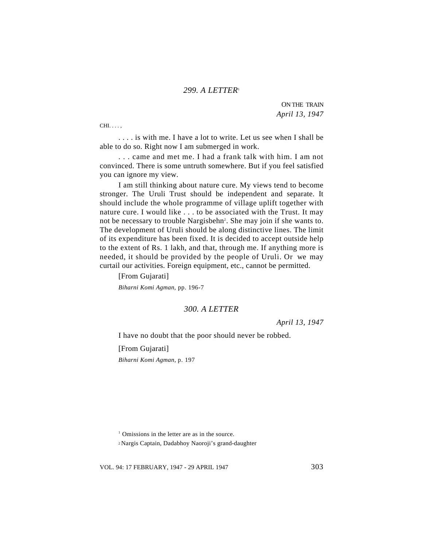ON THE TRAIN *April 13, 1947*

CHI. . . . ,

. . . . is with me. I have a lot to write. Let us see when I shall be able to do so. Right now I am submerged in work.

. . . came and met me. I had a frank talk with him. I am not convinced. There is some untruth somewhere. But if you feel satisfied you can ignore my view.

I am still thinking about nature cure. My views tend to become stronger. The Uruli Trust should be independent and separate. It should include the whole programme of village uplift together with nature cure. I would like . . . to be associated with the Trust. It may not be necessary to trouble Nargisbehn<sup>2</sup>. She may join if she wants to. The development of Uruli should be along distinctive lines. The limit of its expenditure has been fixed. It is decided to accept outside help to the extent of Rs. 1 lakh, and that, through me. If anything more is needed, it should be provided by the people of Uruli. Or we may curtail our activities. Foreign equipment, etc., cannot be permitted.

[From Gujarati] *Biharni Komi Agman*, pp. 196-7

### *300. A LETTER*

*April 13, 1947*

I have no doubt that the poor should never be robbed.

[From Gujarati]

*Biharni Komi Agman,* p. 197

<sup>1</sup> Omissions in the letter are as in the source.

2 Nargis Captain, Dadabhoy Naoroji's grand-daughter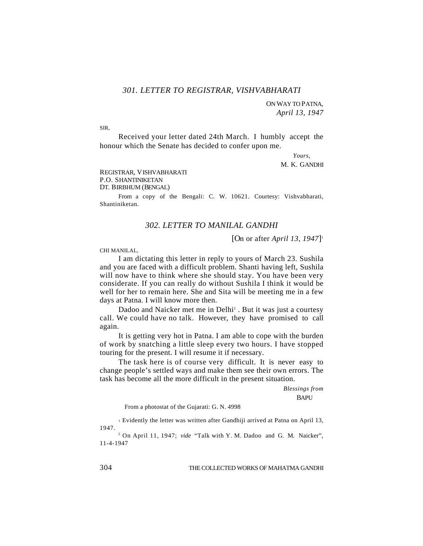#### *301. LETTER TO REGISTRAR, VISHVABHARATI*

ON WAY TO PATNA, *April 13, 1947*

SIR,

Received your letter dated 24th March. I humbly accept the honour which the Senate has decided to confer upon me.

> *Yours,* M. K. GANDHI

#### REGISTRAR, VISHVABHARATI P.O. SHANTINIKETAN DT. BIRBHUM (BENGAL)

From a copy of the Bengali: C. W. 10621. Courtesy: Vishvabharati, Shantiniketan.

## *302. LETTER TO MANILAL GANDHI*

[On or after *April 13, 1947*] 1

CHI MANILAL,

I am dictating this letter in reply to yours of March 23. Sushila and you are faced with a difficult problem. Shanti having left, Sushila will now have to think where she should stay. You have been very considerate. If you can really do without Sushila I think it would be well for her to remain here. She and Sita will be meeting me in a few days at Patna. I will know more then.

Dadoo and Naicker met me in Delhi<sup>2</sup>. But it was just a courtesy call. We could have no talk. However, they have promised to call again.

It is getting very hot in Patna. I am able to cope with the burden of work by snatching a little sleep every two hours. I have stopped touring for the present. I will resume it if necessary.

The task here is of course very difficult. It is never easy to change people's settled ways and make them see their own errors. The task has become all the more difficult in the present situation.

> *Blessings from* **BAPU**

From a photostat of the Gujarati: G. N. 4998

<sup>1</sup> Evidently the letter was written after Gandhiji arrived at Patna on April 13, 1947.

<sup>2</sup> On April 11, 1947; *vide* "Talk with Y. M. Dadoo and G. M. Naicker", 11-4-1947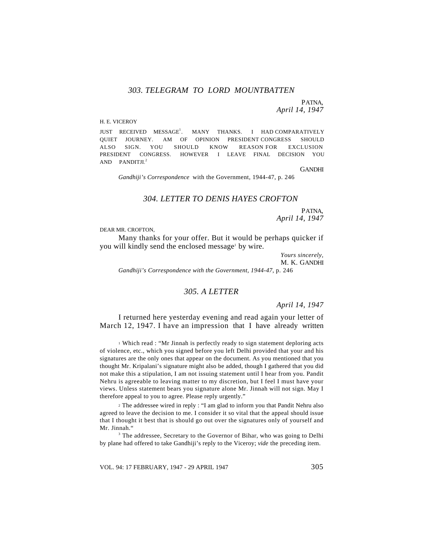### *303. TELEGRAM TO LORD MOUNTBATTEN*

PATNA, *April 14, 1947*

H. E. VICEROY

JUST RECEIVED MESSAGE<sup>1</sup>. . MANY THANKS. I HAD COMPARATIVELY QUIET JOURNEY. AM OF OPINION PRESIDENT CONGRESS SHOULD ALSO SIGN. YOU SHOULD KNOW REASON FOR EXCLUSION PRESIDENT CONGRESS. HOWEVER I LEAVE FINAL DECISION YOU AND PANDITJI. 2

**GANDHI** 

*Gandhiji's Correspondence* with the Government, 1944-47, p. 246

#### *304. LETTER TO DENIS HAYES CROFTON*

PATNA, *April 14, 1947*

DEAR MR. CROFTON,

Many thanks for your offer. But it would be perhaps quicker if you will kindly send the enclosed message<sup>1</sup> by wire.

*Yours sincerely,* M. K. GANDHI *Gandhiji's Correspondence with the Government, 1944-47,* p. 246

## *305. A LETTER*

*April 14, 1947*

I returned here yesterday evening and read again your letter of March 12, 1947. I have an impression that I have already written

<sup>1</sup> Which read : "Mr Jinnah is perfectly ready to sign statement deploring acts of violence, etc., which you signed before you left Delhi provided that your and his signatures are the only ones that appear on the document. As you mentioned that you thought Mr. Kripalani's signature might also be added, though I gathered that you did not make this a stipulation, I am not issuing statement until I hear from you. Pandit Nehru is agreeable to leaving matter to my discretion, but I feel I must have your views. Unless statement bears you signature alone Mr. Jinnah will not sign. May I therefore appeal to you to agree. Please reply urgently."

<sup>2</sup> The addressee wired in reply : "I am glad to inform you that Pandit Nehru also agreed to leave the decision to me. I consider it so vital that the appeal should issue that I thought it best that is should go out over the signatures only of yourself and Mr. Jinnah."

<sup>3</sup> The addressee, Secretary to the Governor of Bihar, who was going to Delhi by plane had offered to take Gandhiji's reply to the Viceroy; *vide* the preceding item.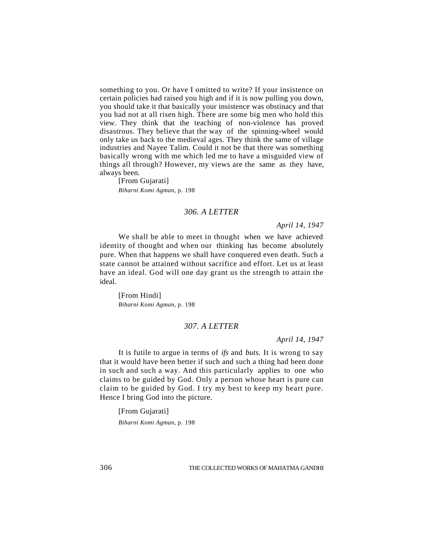something to you. Or have I omitted to write? If your insistence on certain policies had raised you high and if it is now pulling you down, you should take it that basically your insistence was obstinacy and that you had not at all risen high. There are some big men who hold this view. They think that the teaching of non-violence has proved disastrous. They believe that the way of the spinning-wheel would only take us back to the medieval ages. They think the same of village industries and Nayee Talim. Could it not be that there was something basically wrong with me which led me to have a misguided view of things all through? However, my views are the same as they have, always been.

[From Gujarati] *Biharni Komi Agman,* p. 198

#### *306. A LETTER*

*April 14, 1947*

We shall be able to meet in thought when we have achieved identity of thought and when our thinking has become absolutely pure. When that happens we shall have conquered even death. Such a state cannot be attained without sacrifice and effort. Let us at least have an ideal. God will one day grant us the strength to attain the ideal.

[From Hindi] *Biharni Komi Agman,* p. 198

### *307. A LETTER*

*April 14, 1947*

It is futile to argue in terms of *ifs* and *buts.* It is wrong to say that it would have been better if such and such a thing had been done in such and such a way. And this particularly applies to one who claims to be guided by God. Only a person whose heart is pure can claim to be guided by God. I try my best to keep my heart pure. Hence I bring God into the picture.

[From Gujarati] *Biharni Komi Agman,* p. 198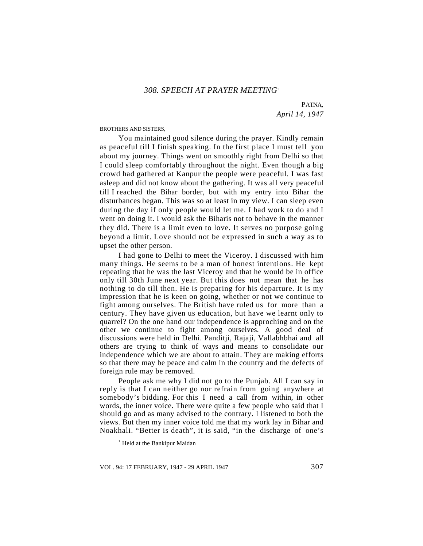### *308. SPEECH AT PRAYER MEETING*<sup>1</sup>

PATNA, *April 14, 1947*

BROTHERS AND SISTERS,

You maintained good silence during the prayer. Kindly remain as peaceful till I finish speaking. In the first place I must tell you about my journey. Things went on smoothly right from Delhi so that I could sleep comfortably throughout the night. Even though a big crowd had gathered at Kanpur the people were peaceful. I was fast asleep and did not know about the gathering. It was all very peaceful till I reached the Bihar border, but with my entry into Bihar the disturbances began. This was so at least in my view. I can sleep even during the day if only people would let me. I had work to do and I went on doing it. I would ask the Biharis not to behave in the manner they did. There is a limit even to love. It serves no purpose going beyond a limit. Love should not be expressed in such a way as to upset the other person.

I had gone to Delhi to meet the Viceroy. I discussed with him many things. He seems to be a man of honest intentions. He kept repeating that he was the last Viceroy and that he would be in office only till 30th June next year. But this does not mean that he has nothing to do till then. He is preparing for his departure. It is my impression that he is keen on going, whether or not we continue to fight among ourselves. The British have ruled us for more than a century. They have given us education, but have we learnt only to quarrel? On the one hand our independence is approching and on the other we continue to fight among ourselves. A good deal of discussions were held in Delhi. Panditji, Rajaji, Vallabhbhai and all others are trying to think of ways and means to consolidate our independence which we are about to attain. They are making efforts so that there may be peace and calm in the country and the defects of foreign rule may be removed.

People ask me why I did not go to the Punjab. All I can say in reply is that I can neither go nor refrain from going anywhere at somebody's bidding. For this I need a call from within, in other words, the inner voice. There were quite a few people who said that I should go and as many advised to the contrary. I listened to both the views. But then my inner voice told me that my work lay in Bihar and Noakhali. "Better is death", it is said, "in the discharge of one's

<sup>1</sup> Held at the Bankipur Maidan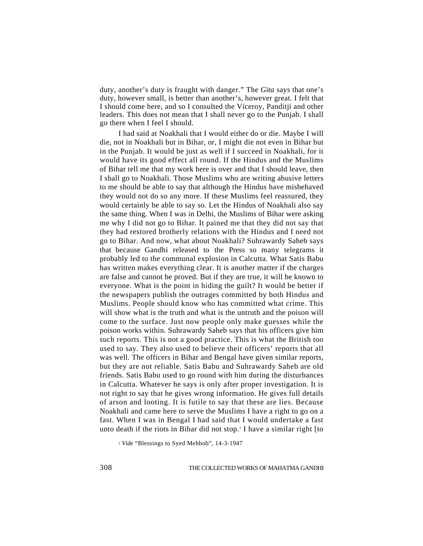duty, another's duty is fraught with danger." The *Gita* says that one's duty, however small, is better than another's, however great. I felt that I should come here, and so I consulted the Viceroy, Panditji and other leaders. This does not mean that I shall never go to the Punjab. I shall go there when I feel I should.

I had said at Noakhali that I would either do or die. Maybe I will die, not in Noakhali but in Bihar, or, I might die not even in Bihar but in the Punjab. It would be just as well if I succeed in Noakhali, for it would have its good effect all round. If the Hindus and the Muslims of Bihar tell me that my work here is over and that I should leave, then I shall go to Noakhali. Those Muslims who are writing abusive letters to me should be able to say that although the Hindus have misbehaved they would not do so any more. If these Muslims feel reassured, they would certainly be able to say so. Let the Hindus of Noakhali also say the same thing. When I was in Delhi, the Muslims of Bihar were asking me why I did not go to Bihar. It pained me that they did not say that they had restored brotherly relations with the Hindus and I need not go to Bihar. And now, what about Noakhali? Suhrawardy Saheb says that because Gandhi released to the Press so many telegrams it probably led to the communal explosion in Calcutta. What Satis Babu has written makes everything clear. It is another matter if the charges are false and cannot be proved. But if they are true, it will be known to everyone. What is the point in hiding the guilt? It would be better if the newspapers publish the outrages committed by both Hindus and Muslims. People should know who has committed what crime. This will show what is the truth and what is the untruth and the poison will come to the surface. Just now people only make guesses while the poison works within. Suhrawardy Saheb says that his officers give him such reports. This is not a good practice. This is what the British too used to say. They also used to believe their officers' reports that all was well. The officers in Bihar and Bengal have given similar reports, but they are not reliable. Satis Babu and Suhrawardy Saheb are old friends. Satis Babu used to go round with him during the disturbances in Calcutta. Whatever he says is only after proper investigation. It is not right to say that he gives wrong information. He gives full details of arson and looting. It is futile to say that these are lies. Because Noakhali and came here to serve the Muslims I have a right to go on a fast. When I was in Bengal I had said that I would undertake a fast unto death if the riots in Bihar did not stop.<sup>1</sup> I have a similar right [to

<sup>1</sup> *Vide* "Blessings to Syed Mehbob", 14-3-1947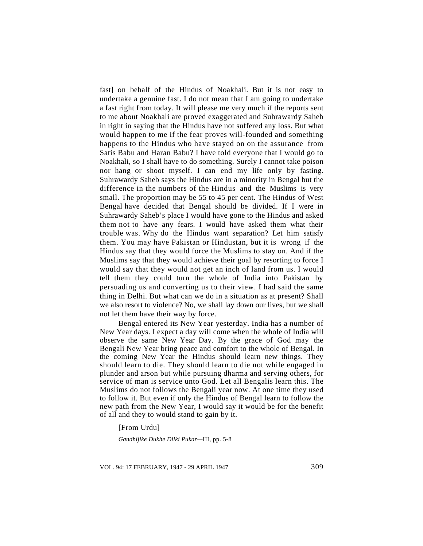fast] on behalf of the Hindus of Noakhali. But it is not easy to undertake a genuine fast. I do not mean that I am going to undertake a fast right from today. It will please me very much if the reports sent to me about Noakhali are proved exaggerated and Suhrawardy Saheb in right in saying that the Hindus have not suffered any loss. But what would happen to me if the fear proves will-founded and something happens to the Hindus who have stayed on on the assurance from Satis Babu and Haran Babu? I have told everyone that I would go to Noakhali, so I shall have to do something. Surely I cannot take poison nor hang or shoot myself. I can end my life only by fasting. Suhrawardy Saheb says the Hindus are in a minority in Bengal but the difference in the numbers of the Hindus and the Muslims is very small. The proportion may be 55 to 45 per cent. The Hindus of West Bengal have decided that Bengal should be divided. If I were in Suhrawardy Saheb's place I would have gone to the Hindus and asked them not to have any fears. I would have asked them what their trouble was. Why do the Hindus want separation? Let him satisfy them. You may have Pakistan or Hindustan, but it is wrong if the Hindus say that they would force the Muslims to stay on. And if the Muslims say that they would achieve their goal by resorting to force I would say that they would not get an inch of land from us. I would tell them they could turn the whole of India into Pakistan by persuading us and converting us to their view. I had said the same thing in Delhi. But what can we do in a situation as at present? Shall we also resort to violence? No, we shall lay down our lives, but we shall not let them have their way by force.

Bengal entered its New Year yesterday. India has a number of New Year days. I expect a day will come when the whole of India will observe the same New Year Day. By the grace of God may the Bengali New Year bring peace and comfort to the whole of Bengal. In the coming New Year the Hindus should learn new things. They should learn to die. They should learn to die not while engaged in plunder and arson but while pursuing dharma and serving others, for service of man is service unto God. Let all Bengalis learn this. The Muslims do not follows the Bengali year now. At one time they used to follow it. But even if only the Hindus of Bengal learn to follow the new path from the New Year, I would say it would be for the benefit of all and they to would stand to gain by it.

[From Urdu] *Gandhijike Dukhe Dilki Pukar—*III, pp. 5-8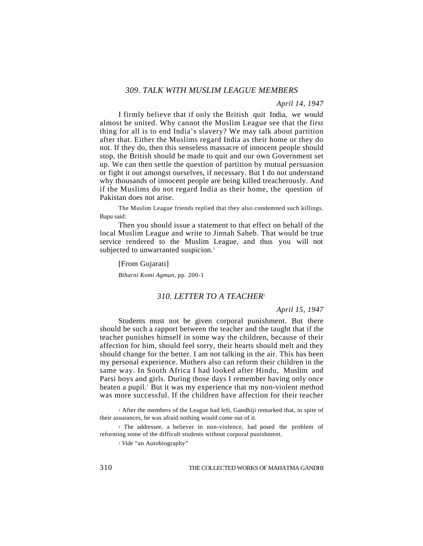### *309. TALK WITH MUSLIM LEAGUE MEMBERS*

### *April 14, 1947*

I firmly believe that if only the British quit India, we would almost be united. Why cannot the Muslim League see that the first thing for all is to end India's slavery? We may talk about partition after that. Either the Muslims regard India as their home or they do not. If they do, then this senseless massacre of innocent people should stop, the British should be made to quit and our own Government set up. We can then settle the question of partition by mutual persuasion or fight it out amongst ourselves, if necessary. But I do not understand why thousands of innocent people are being killed treacherously. And if the Muslims do not regard India as their home, the question of Pakistan does not arise.

The Muslim League friends replied that they also condemned such killings. Bapu said:

Then you should issue a statement to that effect on behalf of the local Muslim League and write to Jinnah Saheb. That would be true service rendered to the Muslim League, and thus you will not subjected to unwarranted suspicion.<sup>1</sup>

[From Gujarati] *Biharni Komi Agman,* pp. 200-1

### *310. LETTER TO A TEACHER*<sup>2</sup>

#### *April 15, 1947*

Students must not be given corporal punishment. But there should be such a rapport between the teacher and the taught that if the teacher punishes himself in some way the children, because of their affection for him, should feel sorry, their hearts should melt and they should change for the better. I am not talking in the air. This has been my personal experience. Mothers also can reform their children in the same way. In South Africa I had looked after Hindu, Muslim and Parsi boys and girls. During those days I remember having only once beaten a pupil.<sup>1</sup> But it was my experience that my non-violent method was more successful. If the children have affection for their teacher

<sup>1</sup> After the members of the League had left, Gandhiji remarked that, in spite of their assurances, he was afraid nothing would come out of it.

<sup>2</sup> The addressee, a believer in non-violence, had posed the problem of reforming some of the difficult students without corporal punishment.

<sup>1</sup> *Vide* "an Autobiography"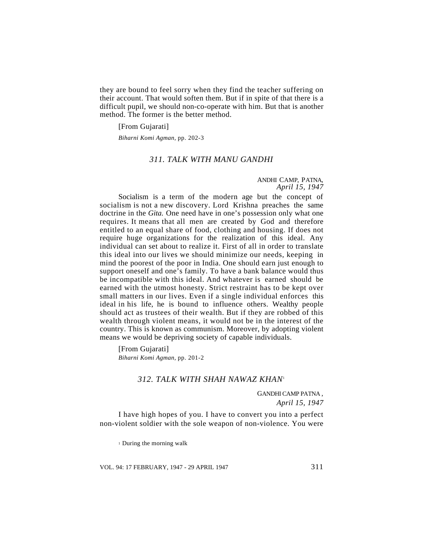they are bound to feel sorry when they find the teacher suffering on their account. That would soften them. But if in spite of that there is a difficult pupil, we should non-co-operate with him. But that is another method. The former is the better method.

[From Gujarati]

*Biharni Komi Agman,* pp. 202-3

### *311. TALK WITH MANU GANDHI*

ANDHI CAMP, PATNA, *April 15, 1947*

Socialism is a term of the modern age but the concept of socialism is not a new discovery. Lord Krishna preaches the same doctrine in the *Gita.* One need have in one's possession only what one requires. It means that all men are created by God and therefore entitled to an equal share of food, clothing and housing. If does not require huge organizations for the realization of this ideal. Any individual can set about to realize it. First of all in order to translate this ideal into our lives we should minimize our needs, keeping in mind the poorest of the poor in India. One should earn just enough to support oneself and one's family. To have a bank balance would thus be incompatible with this ideal. And whatever is earned should be earned with the utmost honesty. Strict restraint has to be kept over small matters in our lives. Even if a single individual enforces this ideal in his life, he is bound to influence others. Wealthy people should act as trustees of their wealth. But if they are robbed of this wealth through violent means, it would not be in the interest of the country. This is known as communism. Moreover, by adopting violent means we would be depriving society of capable individuals.

[From Gujarati] *Biharni Komi Agman,* pp. 201-2

#### *312. TALK WITH SHAH NAWAZ KHAN*<sup>1</sup>

GANDHI CAMP PATNA , *April 15, 1947*

I have high hopes of you. I have to convert you into a perfect non-violent soldier with the sole weapon of non-violence. You were

1 During the morning walk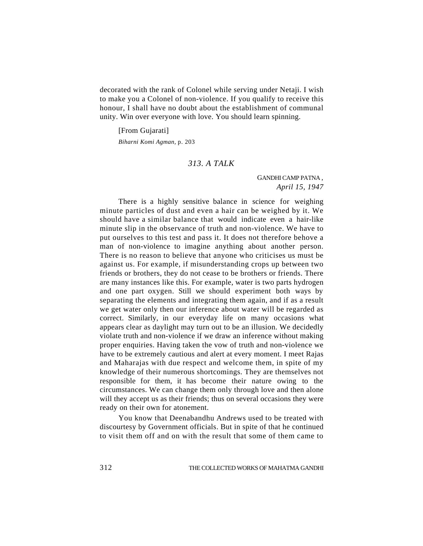decorated with the rank of Colonel while serving under Netaji. I wish to make you a Colonel of non-violence. If you qualify to receive this honour, I shall have no doubt about the establishment of communal unity. Win over everyone with love. You should learn spinning.

[From Gujarati]

*Biharni Komi Agman,* p. 203

### *313. A TALK*

#### GANDHI CAMP PATNA , *April 15, 1947*

There is a highly sensitive balance in science for weighing minute particles of dust and even a hair can be weighed by it. We should have a similar balance that would indicate even a hair-like minute slip in the observance of truth and non-violence. We have to put ourselves to this test and pass it. It does not therefore behove a man of non-violence to imagine anything about another person. There is no reason to believe that anyone who criticises us must be against us. For example, if misunderstanding crops up between two friends or brothers, they do not cease to be brothers or friends. There are many instances like this. For example, water is two parts hydrogen and one part oxygen. Still we should experiment both ways by separating the elements and integrating them again, and if as a result we get water only then our inference about water will be regarded as correct. Similarly, in our everyday life on many occasions what appears clear as daylight may turn out to be an illusion. We decidedly violate truth and non-violence if we draw an inference without making proper enquiries. Having taken the vow of truth and non-violence we have to be extremely cautious and alert at every moment. I meet Rajas and Maharajas with due respect and welcome them, in spite of my knowledge of their numerous shortcomings. They are themselves not responsible for them, it has become their nature owing to the circumstances. We can change them only through love and then alone will they accept us as their friends; thus on several occasions they were ready on their own for atonement.

You know that Deenabandhu Andrews used to be treated with discourtesy by Government officials. But in spite of that he continued to visit them off and on with the result that some of them came to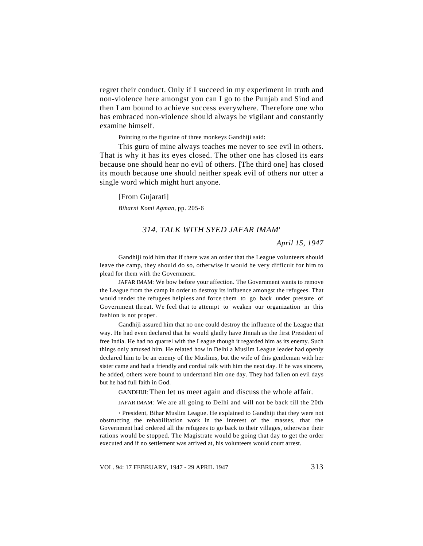regret their conduct. Only if I succeed in my experiment in truth and non-violence here amongst you can I go to the Punjab and Sind and then I am bound to achieve success everywhere. Therefore one who has embraced non-violence should always be vigilant and constantly examine himself.

Pointing to the figurine of three monkeys Gandhiji said:

This guru of mine always teaches me never to see evil in others. That is why it has its eyes closed. The other one has closed its ears because one should hear no evil of others. [The third one] has closed its mouth because one should neither speak evil of others nor utter a single word which might hurt anyone.

[From Gujarati] *Biharni Komi Agman,* pp. 205-6

### *314. TALK WITH SYED JAFAR IMAM*<sup>1</sup>

*April 15, 1947*

Gandhiji told him that if there was an order that the League volunteers should leave the camp, they should do so, otherwise it would be very difficult for him to plead for them with the Government.

JAFAR IMAM: We bow before your affection. The Government wants to remove the League from the camp in order to destroy its influence amongst the refugees. That would render the refugees helpless and force them to go back under pressure of Government threat. We feel that to attempt to weaken our organization in this fashion is not proper.

Gandhiji assured him that no one could destroy the influence of the League that way. He had even declared that he would gladly have Jinnah as the first President of free India. He had no quarrel with the League though it regarded him as its enemy. Such things only amused him. He related how in Delhi a Muslim League leader had openly declared him to be an enemy of the Muslims, but the wife of this gentleman with her sister came and had a friendly and cordial talk with him the next day. If he was sincere, he added, others were bound to understand him one day. They had fallen on evil days but he had full faith in God.

GANDHIJI: Then let us meet again and discuss the whole affair.

JAFAR IMAM: We are all going to Delhi and will not be back till the 20th

<sup>1</sup> President, Bihar Muslim League. He explained to Gandhiji that they were not obstructing the rehabilitation work in the interest of the masses, that the Government had ordered all the refugees to go back to their villages, otherwise their rations would be stopped. The Magistrate would be going that day to get the order executed and if no settlement was arrived at, his volunteers would court arrest.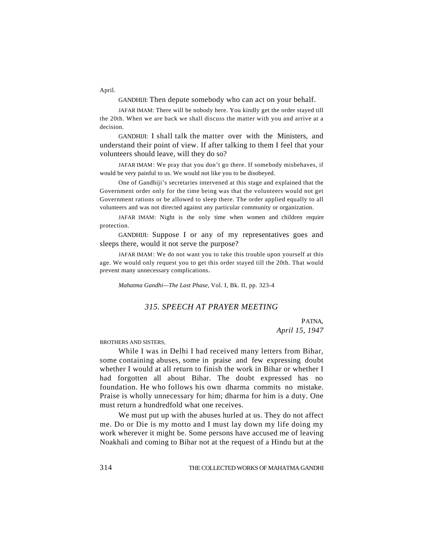April.

GANDHIJI: Then depute somebody who can act on your behalf.

JAFAR IMAM: There will be nobody here. You kindly get the order stayed till the 20th. When we are back we shall discuss the matter with you and arrive at a decision.

GANDHIJI: I shall talk the matter over with the Ministers, and understand their point of view. If after talking to them I feel that your volunteers should leave, will they do so?

JAFAR IMAM: We pray that you don't go there. If somebody misbehaves, if would be very painful to us. We would not like you to be disobeyed.

One of Gandhiji's secretaries intervened at this stage and explained that the Government order only for the time being was that the volunteers would not get Government rations or be allowed to sleep there. The order applied equally to all volunteers and was not directed against any particular community or organization.

JAFAR IMAM: Night is the only time when women and children require protection.

GANDHIJI: Suppose I or any of my representatives goes and sleeps there, would it not serve the purpose?

JAFAR IMAM: We do not want you to take this trouble upon yourself at this age. We would only request you to get this order stayed till the 20th. That would prevent many unnecessary complications.

*Mahatma Gandhi—The Last Phase,* Vol. I, Bk. II, pp. 323-4

### *315. SPEECH AT PRAYER MEETING*

PATNA, *April 15, 1947*

BROTHERS AND SISTERS,

While I was in Delhi I had received many letters from Bihar, some containing abuses, some in praise and few expressing doubt whether I would at all return to finish the work in Bihar or whether I had forgotten all about Bihar. The doubt expressed has no foundation. He who follows his own dharma commits no mistake. Praise is wholly unnecessary for him; dharma for him is a duty. One must return a hundredfold what one receives.

We must put up with the abuses hurled at us. They do not affect me. Do or Die is my motto and I must lay down my life doing my work wherever it might be. Some persons have accused me of leaving Noakhali and coming to Bihar not at the request of a Hindu but at the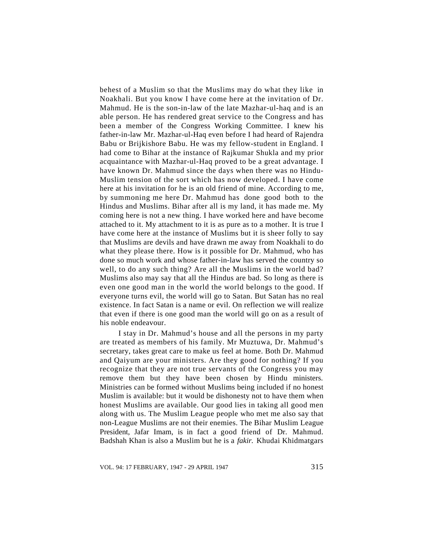behest of a Muslim so that the Muslims may do what they like in Noakhali. But you know I have come here at the invitation of Dr. Mahmud. He is the son-in-law of the late Mazhar-ul-haq and is an able person. He has rendered great service to the Congress and has been a member of the Congress Working Committee. I knew his father-in-law Mr. Mazhar-ul-Haq even before I had heard of Rajendra Babu or Brijkishore Babu. He was my fellow-student in England. I had come to Bihar at the instance of Rajkumar Shukla and my prior acquaintance with Mazhar-ul-Haq proved to be a great advantage. I have known Dr. Mahmud since the days when there was no Hindu-Muslim tension of the sort which has now developed. I have come here at his invitation for he is an old friend of mine. According to me, by summoning me here Dr. Mahmud has done good both to the Hindus and Muslims. Bihar after all is my land, it has made me. My coming here is not a new thing. I have worked here and have become attached to it. My attachment to it is as pure as to a mother. It is true I have come here at the instance of Muslims but it is sheer folly to say that Muslims are devils and have drawn me away from Noakhali to do what they please there. How is it possible for Dr. Mahmud, who has done so much work and whose father-in-law has served the country so well, to do any such thing? Are all the Muslims in the world bad? Muslims also may say that all the Hindus are bad. So long as there is even one good man in the world the world belongs to the good. If everyone turns evil, the world will go to Satan. But Satan has no real existence. In fact Satan is a name or evil. On reflection we will realize that even if there is one good man the world will go on as a result of his noble endeavour.

I stay in Dr. Mahmud's house and all the persons in my party are treated as members of his family. Mr Muztuwa, Dr. Mahmud's secretary, takes great care to make us feel at home. Both Dr. Mahmud and Qaiyum are your ministers. Are they good for nothing? If you recognize that they are not true servants of the Congress you may remove them but they have been chosen by Hindu ministers. Ministries can be formed without Muslims being included if no honest Muslim is available: but it would be dishonesty not to have them when honest Muslims are available. Our good lies in taking all good men along with us. The Muslim League people who met me also say that non-League Muslims are not their enemies. The Bihar Muslim League President, Jafar Imam, is in fact a good friend of Dr. Mahmud. Badshah Khan is also a Muslim but he is a *fakir.* Khudai Khidmatgars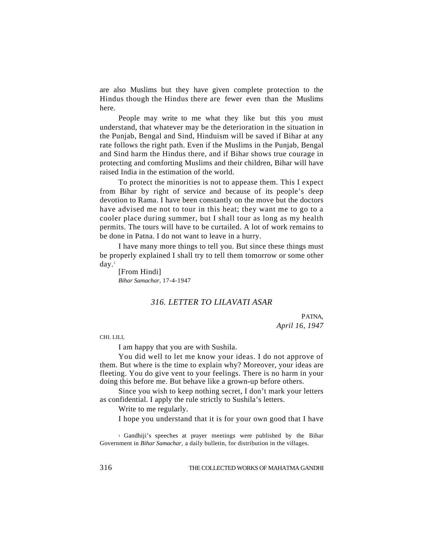are also Muslims but they have given complete protection to the Hindus though the Hindus there are fewer even than the Muslims here.

People may write to me what they like but this you must understand, that whatever may be the deterioration in the situation in the Punjab, Bengal and Sind, Hinduism will be saved if Bihar at any rate follows the right path. Even if the Muslims in the Punjab, Bengal and Sind harm the Hindus there, and if Bihar shows true courage in protecting and comforting Muslims and their children, Bihar will have raised India in the estimation of the world.

To protect the minorities is not to appease them. This I expect from Bihar by right of service and because of its people's deep devotion to Rama. I have been constantly on the move but the doctors have advised me not to tour in this heat; they want me to go to a cooler place during summer, but I shall tour as long as my health permits. The tours will have to be curtailed. A lot of work remains to be done in Patna. I do not want to leave in a hurry.

I have many more things to tell you. But since these things must be properly explained I shall try to tell them tomorrow or some other day.<sup>1</sup>

[From Hindi] *Bihar Samachar,* 17-4-1947

# *316. LETTER TO LILAVATI ASAR*

PATNA, *April 16, 1947*

CHI. LILI,

I am happy that you are with Sushila.

You did well to let me know your ideas. I do not approve of them. But where is the time to explain why? Moreover, your ideas are fleeting. You do give vent to your feelings. There is no harm in your doing this before me. But behave like a grown-up before others.

Since you wish to keep nothing secret, I don't mark your letters as confidential. I apply the rule strictly to Sushila's letters.

Write to me regularly.

I hope you understand that it is for your own good that I have

<sup>1</sup> Gandhiji's speeches at prayer meetings were published by the Bihar Government in *Bihar Samachar,* a daily bulletin, for distribution in the villages.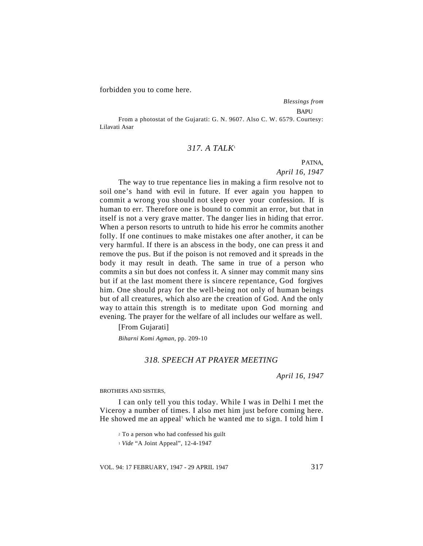forbidden you to come here.

*Blessings from*

**BAPU** 

From a photostat of the Gujarati: G. N. 9607. Also C. W. 6579. Courtesy: Lilavati Asar

# *317. A TALK*<sup>1</sup>

PATNA, *April 16, 1947*

The way to true repentance lies in making a firm resolve not to soil one's hand with evil in future. If ever again you happen to commit a wrong you should not sleep over your confession. If is human to err. Therefore one is bound to commit an error, but that in itself is not a very grave matter. The danger lies in hiding that error. When a person resorts to untruth to hide his error he commits another folly. If one continues to make mistakes one after another, it can be very harmful. If there is an abscess in the body, one can press it and remove the pus. But if the poison is not removed and it spreads in the body it may result in death. The same in true of a person who commits a sin but does not confess it. A sinner may commit many sins but if at the last moment there is sincere repentance, God forgives him. One should pray for the well-being not only of human beings but of all creatures, which also are the creation of God. And the only way to attain this strength is to meditate upon God morning and evening. The prayer for the welfare of all includes our welfare as well.

[From Gujarati]

*Biharni Komi Agman,* pp. 209-10

#### *318. SPEECH AT PRAYER MEETING*

*April 16, 1947*

BROTHERS AND SISTERS,

I can only tell you this today. While I was in Delhi I met the Viceroy a number of times. I also met him just before coming here. He showed me an appeal<sup>1</sup> which he wanted me to sign. I told him I

<sup>2</sup> To a person who had confessed his guilt

<sup>1</sup> *Vide* "A Joint Appeal", 12-4-1947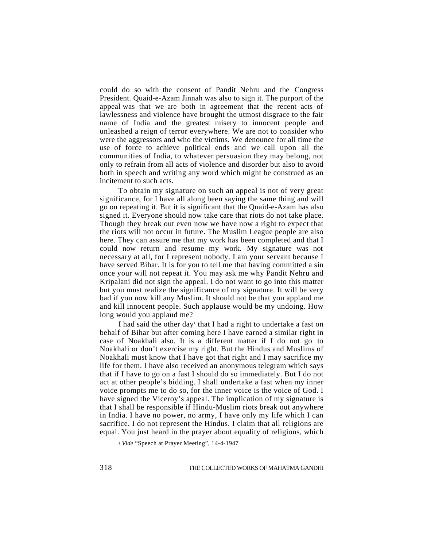could do so with the consent of Pandit Nehru and the Congress President. Quaid-e-Azam Jinnah was also to sign it. The purport of the appeal was that we are both in agreement that the recent acts of lawlessness and violence have brought the utmost disgrace to the fair name of India and the greatest misery to innocent people and unleashed a reign of terror everywhere. We are not to consider who were the aggressors and who the victims. We denounce for all time the use of force to achieve political ends and we call upon all the communities of India, to whatever persuasion they may belong, not only to refrain from all acts of violence and disorder but also to avoid both in speech and writing any word which might be construed as an incitement to such acts.

To obtain my signature on such an appeal is not of very great significance, for I have all along been saying the same thing and will go on repeating it. But it is significant that the Quaid-e-Azam has also signed it. Everyone should now take care that riots do not take place. Though they break out even now we have now a right to expect that the riots will not occur in future. The Muslim League people are also here. They can assure me that my work has been completed and that I could now return and resume my work. My signature was not necessary at all, for I represent nobody. I am your servant because I have served Bihar. It is for you to tell me that having committed a sin once your will not repeat it. You may ask me why Pandit Nehru and Kripalani did not sign the appeal. I do not want to go into this matter but you must realize the significance of my signature. It will be very bad if you now kill any Muslim. It should not be that you applaud me and kill innocent people. Such applause would be my undoing. How long would you applaud me?

I had said the other day<sup>1</sup> that I had a right to undertake a fast on behalf of Bihar but after coming here I have earned a similar right in case of Noakhali also. It is a different matter if I do not go to Noakhali or don't exercise my right. But the Hindus and Muslims of Noakhali must know that I have got that right and I may sacrifice my life for them. I have also received an anonymous telegram which says that if I have to go on a fast I should do so immediately. But I do not act at other people's bidding. I shall undertake a fast when my inner voice prompts me to do so, for the inner voice is the voice of God. I have signed the Viceroy's appeal. The implication of my signature is that I shall be responsible if Hindu-Muslim riots break out anywhere in India. I have no power, no army, I have only my life which I can sacrifice. I do not represent the Hindus. I claim that all religions are equal. You just heard in the prayer about equality of religions, which

<sup>1</sup> *Vide* "Speech at Prayer Meeting", 14-4-1947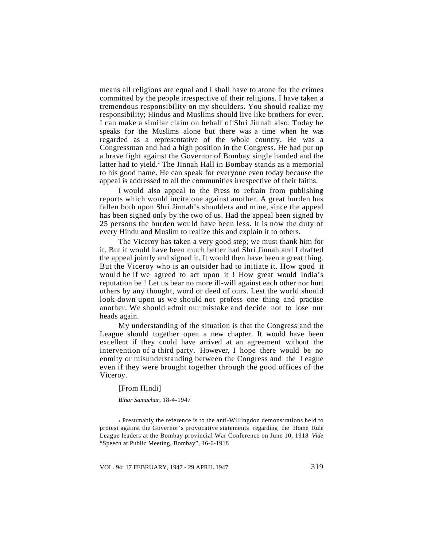means all religions are equal and I shall have to atone for the crimes committed by the people irrespective of their religions. I have taken a tremendous responsibility on my shoulders. You should realize my responsibility; Hindus and Muslims should live like brothers for ever. I can make a similar claim on behalf of Shri Jinnah also. Today he speaks for the Muslims alone but there was a time when he was regarded as a representative of the whole country. He was a Congressman and had a high position in the Congress. He had put up a brave fight against the Governor of Bombay single handed and the latter had to yield.<sup>2</sup> The Jinnah Hall in Bombay stands as a memorial to his good name. He can speak for everyone even today because the appeal is addressed to all the communities irrespective of their faiths.

I would also appeal to the Press to refrain from publishing reports which would incite one against another. A great burden has fallen both upon Shri Jinnah's shoulders and mine, since the appeal has been signed only by the two of us. Had the appeal been signed by 25 persons the burden would have been less. It is now the duty of every Hindu and Muslim to realize this and explain it to others.

The Viceroy has taken a very good step; we must thank him for it. But it would have been much better had Shri Jinnah and I drafted the appeal jointly and signed it. It would then have been a great thing. But the Viceroy who is an outsider had to initiate it. How good it would be if we agreed to act upon it ! How great would India's reputation be ! Let us bear no more ill-will against each other nor hurt others by any thought, word or deed of ours. Lest the world should look down upon us we should not profess one thing and practise another. We should admit our mistake and decide not to lose our heads again.

My understanding of the situation is that the Congress and the League should together open a new chapter. It would have been excellent if they could have arrived at an agreement without the intervention of a third party. However, I hope there would be no enmity or misunderstanding between the Congress and the League even if they were brought together through the good offices of the Viceroy.

[From Hindi] *Bihar Samachar,* 18-4-1947

<sup>1</sup> Presumably the reference is to the anti-Willingdon demonstrations held to protest against the Governor's provocative statements regarding the Home Rule League leaders at the Bombay provincial War Conference on June 10, 1918 *Vide* "Speech at Public Meeting, Bombay", 16-6-1918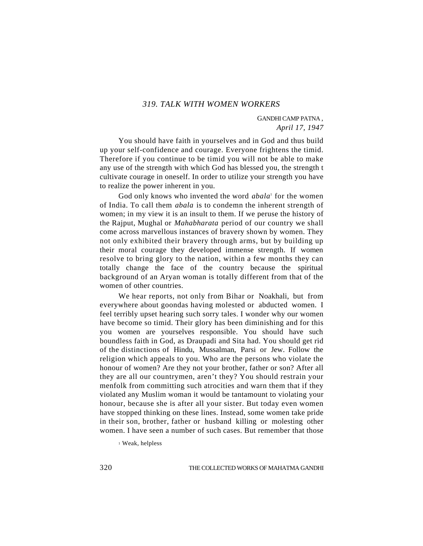#### *319. TALK WITH WOMEN WORKERS*

GANDHI CAMP PATNA , *April 17, 1947*

You should have faith in yourselves and in God and thus build up your self-confidence and courage. Everyone frightens the timid. Therefore if you continue to be timid you will not be able to make any use of the strength with which God has blessed you, the strength t cultivate courage in oneself. In order to utilize your strength you have to realize the power inherent in you.

God only knows who invented the word *abala*<sup>1</sup> for the women of India. To call them *abala* is to condemn the inherent strength of women; in my view it is an insult to them. If we peruse the history of the Rajput, Mughal or *Mahabharata* period of our country we shall come across marvellous instances of bravery shown by women. They not only exhibited their bravery through arms, but by building up their moral courage they developed immense strength. If women resolve to bring glory to the nation, within a few months they can totally change the face of the country because the spiritual background of an Aryan woman is totally different from that of the women of other countries.

We hear reports, not only from Bihar or Noakhali, but from everywhere about goondas having molested or abducted women. I feel terribly upset hearing such sorry tales. I wonder why our women have become so timid. Their glory has been diminishing and for this you women are yourselves responsible. You should have such boundless faith in God, as Draupadi and Sita had. You should get rid of the distinctions of Hindu, Mussalman, Parsi or Jew. Follow the religion which appeals to you. Who are the persons who violate the honour of women? Are they not your brother, father or son? After all they are all our countrymen, aren't they? You should restrain your menfolk from committing such atrocities and warn them that if they violated any Muslim woman it would be tantamount to violating your honour, because she is after all your sister. But today even women have stopped thinking on these lines. Instead, some women take pride in their son, brother, father or husband killing or molesting other women. I have seen a number of such cases. But remember that those

1 Weak, helpless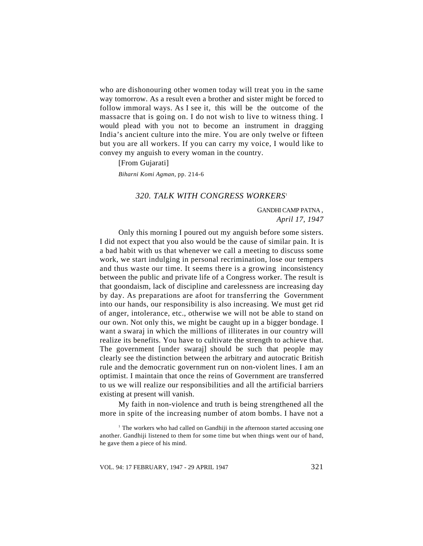who are dishonouring other women today will treat you in the same way tomorrow. As a result even a brother and sister might be forced to follow immoral ways. As I see it, this will be the outcome of the massacre that is going on. I do not wish to live to witness thing. I would plead with you not to become an instrument in dragging India's ancient culture into the mire. You are only twelve or fifteen but you are all workers. If you can carry my voice, I would like to convey my anguish to every woman in the country.

[From Gujarati]

*Biharni Komi Agman,* pp. 214-6

## *320. TALK WITH CONGRESS WORKERS*<sup>1</sup>

#### GANDHI CAMP PATNA , *April 17, 1947*

Only this morning I poured out my anguish before some sisters. I did not expect that you also would be the cause of similar pain. It is a bad habit with us that whenever we call a meeting to discuss some work, we start indulging in personal recrimination, lose our tempers and thus waste our time. It seems there is a growing inconsistency between the public and private life of a Congress worker. The result is that goondaism, lack of discipline and carelessness are increasing day by day. As preparations are afoot for transferring the Government into our hands, our responsibility is also increasing. We must get rid of anger, intolerance, etc., otherwise we will not be able to stand on our own. Not only this, we might be caught up in a bigger bondage. I want a swaraj in which the millions of illiterates in our country will realize its benefits. You have to cultivate the strength to achieve that. The government [under swaraj] should be such that people may clearly see the distinction between the arbitrary and autocratic British rule and the democratic government run on non-violent lines. I am an optimist. I maintain that once the reins of Government are transferred to us we will realize our responsibilities and all the artificial barriers existing at present will vanish.

My faith in non-violence and truth is being strengthened all the more in spite of the increasing number of atom bombs. I have not a

<sup>&</sup>lt;sup>1</sup> The workers who had called on Gandhiji in the afternoon started accusing one another. Gandhiji listened to them for some time but when things went our of hand, he gave them a piece of his mind.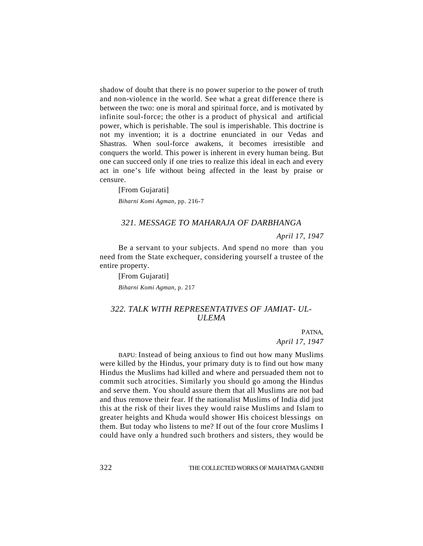shadow of doubt that there is no power superior to the power of truth and non-violence in the world. See what a great difference there is between the two: one is moral and spiritual force, and is motivated by infinite soul-force; the other is a product of physical and artificial power, which is perishable. The soul is imperishable. This doctrine is not my invention; it is a doctrine enunciated in our Vedas and Shastras. When soul-force awakens, it becomes irresistible and conquers the world. This power is inherent in every human being. But one can succeed only if one tries to realize this ideal in each and every act in one's life without being affected in the least by praise or censure.

[From Gujarati] *Biharni Komi Agman,* pp. 216-7

#### *321. MESSAGE TO MAHARAJA OF DARBHANGA*

*April 17, 1947*

Be a servant to your subjects. And spend no more than you need from the State exchequer, considering yourself a trustee of the entire property.

[From Gujarati] *Biharni Komi Agman,* p. 217

## *322. TALK WITH REPRESENTATIVES OF JAMIAT- UL-ULEMA*

PATNA, *April 17, 1947*

BAPU: Instead of being anxious to find out how many Muslims were killed by the Hindus, your primary duty is to find out how many Hindus the Muslims had killed and where and persuaded them not to commit such atrocities. Similarly you should go among the Hindus and serve them. You should assure them that all Muslims are not bad and thus remove their fear. If the nationalist Muslims of India did just this at the risk of their lives they would raise Muslims and Islam to greater heights and Khuda would shower His choicest blessings on them. But today who listens to me? If out of the four crore Muslims I could have only a hundred such brothers and sisters, they would be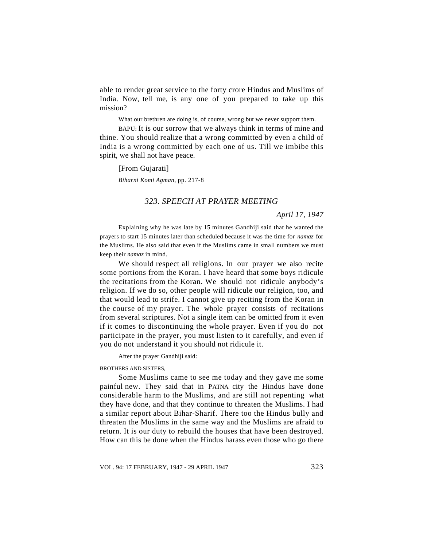able to render great service to the forty crore Hindus and Muslims of India. Now, tell me, is any one of you prepared to take up this mission?

What our brethren are doing is, of course, wrong but we never support them.

BAPU: It is our sorrow that we always think in terms of mine and thine. You should realize that a wrong committed by even a child of India is a wrong committed by each one of us. Till we imbibe this spirit, we shall not have peace.

[From Gujarati]

*Biharni Komi Agman,* pp. 217-8

#### *323. SPEECH AT PRAYER MEETING*

*April 17, 1947*

Explaining why he was late by 15 minutes Gandhiji said that he wanted the prayers to start 15 minutes later than scheduled because it was the time for *namaz* for the Muslims. He also said that even if the Muslims came in small numbers we must keep their *namaz* in mind.

We should respect all religions. In our prayer we also recite some portions from the Koran. I have heard that some boys ridicule the recitations from the Koran. We should not ridicule anybody's religion. If we do so, other people will ridicule our religion, too, and that would lead to strife. I cannot give up reciting from the Koran in the course of my prayer. The whole prayer consists of recitations from several scriptures. Not a single item can be omitted from it even if it comes to discontinuing the whole prayer. Even if you do not participate in the prayer, you must listen to it carefully, and even if you do not understand it you should not ridicule it.

After the prayer Gandhiji said:

BROTHERS AND SISTERS,

Some Muslims came to see me today and they gave me some painful new. They said that in PATNA city the Hindus have done considerable harm to the Muslims, and are still not repenting what they have done, and that they continue to threaten the Muslims. I had a similar report about Bihar-Sharif. There too the Hindus bully and threaten the Muslims in the same way and the Muslims are afraid to return. It is our duty to rebuild the houses that have been destroyed. How can this be done when the Hindus harass even those who go there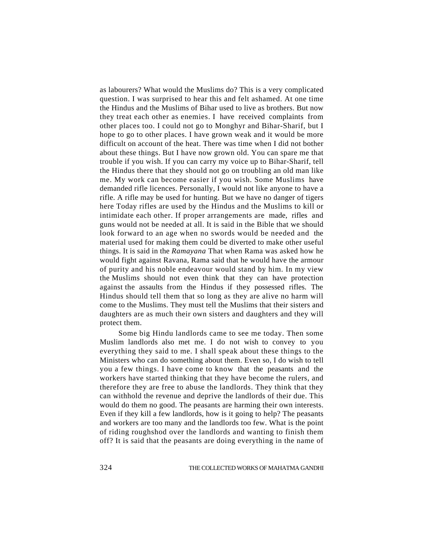as labourers? What would the Muslims do? This is a very complicated question. I was surprised to hear this and felt ashamed. At one time the Hindus and the Muslims of Bihar used to live as brothers. But now they treat each other as enemies. I have received complaints from other places too. I could not go to Monghyr and Bihar-Sharif, but I hope to go to other places. I have grown weak and it would be more difficult on account of the heat. There was time when I did not bother about these things. But I have now grown old. You can spare me that trouble if you wish. If you can carry my voice up to Bihar-Sharif, tell the Hindus there that they should not go on troubling an old man like me. My work can become easier if you wish. Some Muslims have demanded rifle licences. Personally, I would not like anyone to have a rifle. A rifle may be used for hunting. But we have no danger of tigers here Today rifles are used by the Hindus and the Muslims to kill or intimidate each other. If proper arrangements are made, rifles and guns would not be needed at all. It is said in the Bible that we should look forward to an age when no swords would be needed and the material used for making them could be diverted to make other useful things. It is said in the *Ramayana* That when Rama was asked how he would fight against Ravana, Rama said that he would have the armour of purity and his noble endeavour would stand by him. In my view the Muslims should not even think that they can have protection against the assaults from the Hindus if they possessed rifles. The Hindus should tell them that so long as they are alive no harm will come to the Muslims. They must tell the Muslims that their sisters and daughters are as much their own sisters and daughters and they will protect them.

Some big Hindu landlords came to see me today. Then some Muslim landlords also met me. I do not wish to convey to you everything they said to me. I shall speak about these things to the Ministers who can do something about them. Even so, I do wish to tell you a few things. I have come to know that the peasants and the workers have started thinking that they have become the rulers, and therefore they are free to abuse the landlords. They think that they can withhold the revenue and deprive the landlords of their due. This would do them no good. The peasants are harming their own interests. Even if they kill a few landlords, how is it going to help? The peasants and workers are too many and the landlords too few. What is the point of riding roughshod over the landlords and wanting to finish them off? It is said that the peasants are doing everything in the name of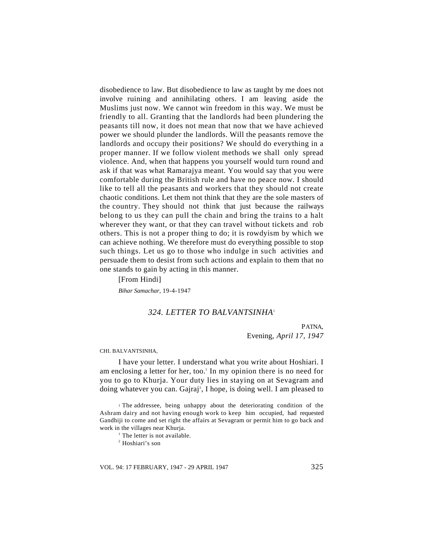disobedience to law. But disobedience to law as taught by me does not involve ruining and annihilating others. I am leaving aside the Muslims just now. We cannot win freedom in this way. We must be friendly to all. Granting that the landlords had been plundering the peasants till now, it does not mean that now that we have achieved power we should plunder the landlords. Will the peasants remove the landlords and occupy their positions? We should do everything in a proper manner. If we follow violent methods we shall only spread violence. And, when that happens you yourself would turn round and ask if that was what Ramarajya meant. You would say that you were comfortable during the British rule and have no peace now. I should like to tell all the peasants and workers that they should not create chaotic conditions. Let them not think that they are the sole masters of the country. They should not think that just because the railways belong to us they can pull the chain and bring the trains to a halt wherever they want, or that they can travel without tickets and rob others. This is not a proper thing to do; it is rowdyism by which we can achieve nothing. We therefore must do everything possible to stop such things. Let us go to those who indulge in such activities and persuade them to desist from such actions and explain to them that no one stands to gain by acting in this manner.

#### [From Hindi]

*Bihar Samachar,* 19-4-1947

# *324. LETTER TO BALVANTSINHA*<sup>1</sup>

PATNA, Evening, *April 17, 1947*

#### CHI. BALVANTSINHA,

I have your letter. I understand what you write about Hoshiari. I am enclosing a letter for her, too.<sup>1</sup> In my opinion there is no need for you to go to Khurja. Your duty lies in staying on at Sevagram and doing whatever you can. Gajraj<sup>3</sup>, I hope, is doing well. I am pleased to

<sup>1</sup> The addressee, being unhappy about the deteriorating condition of the Ashram dairy and not having enough work to keep him occupied, had requested Gandhiji to come and set right the affairs at Sevagram or permit him to go back and work in the villages near Khurja.

<sup>1</sup> The letter is not available.

2 Hoshiari's son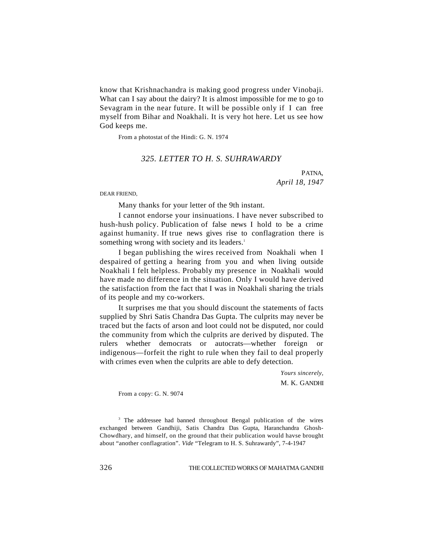know that Krishnachandra is making good progress under Vinobaji. What can I say about the dairy? It is almost impossible for me to go to Sevagram in the near future. It will be possible only if I can free myself from Bihar and Noakhali. It is very hot here. Let us see how God keeps me.

From a photostat of the Hindi: G. N. 1974

#### *325. LETTER TO H. S. SUHRAWARDY*

PATNA, *April 18, 1947*

DEAR FRIEND,

Many thanks for your letter of the 9th instant.

I cannot endorse your insinuations. I have never subscribed to hush-hush policy. Publication of false news I hold to be a crime against humanity. If true news gives rise to conflagration there is something wrong with society and its leaders.<sup>1</sup>

I began publishing the wires received from Noakhali when I despaired of getting a hearing from you and when living outside Noakhali I felt helpless. Probably my presence in Noakhali would have made no difference in the situation. Only I would have derived the satisfaction from the fact that I was in Noakhali sharing the trials of its people and my co-workers.

It surprises me that you should discount the statements of facts supplied by Shri Satis Chandra Das Gupta. The culprits may never be traced but the facts of arson and loot could not be disputed, nor could the community from which the culprits are derived by disputed. The rulers whether democrats or autocrats—whether foreign or indigenous—forfeit the right to rule when they fail to deal properly with crimes even when the culprits are able to defy detection.

> *Yours sincerely,* M. K. GANDHI

From a copy: G. N. 9074

<sup>3</sup> The addressee had banned throughout Bengal publication of the wires exchanged between Gandhiji, Satis Chandra Das Gupta, Haranchandra Ghosh-Chowdhary, and himself, on the ground that their publication would havse brought about "another conflagration". *Vide* "Telegram to H. S. Suhrawardy", 7-4-1947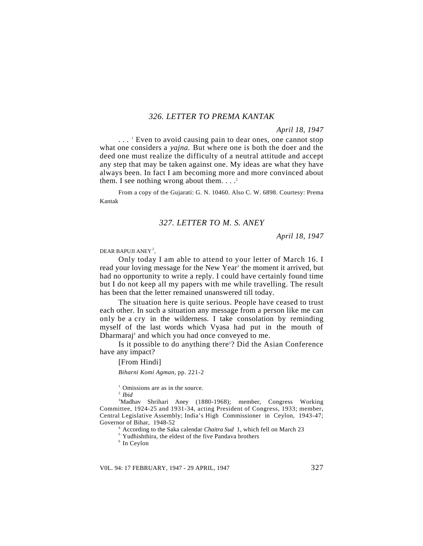# *326. LETTER TO PREMA KANTAK*

#### *April 18, 1947*

...<sup>1</sup> Even to avoid causing pain to dear ones, one cannot stop what one considers a *yajna.* But where one is both the doer and the deed one must realize the difficulty of a neutral attitude and accept any step that may be taken against one. My ideas are what they have always been. In fact I am becoming more and more convinced about them. I see nothing wrong about them.  $\ldots$ <sup>2</sup>

From a copy of the Gujarati: G. N. 10460. Also C. W. 6898. Courtesy: Prema Kantak

#### *327. LETTER TO M. S. ANEY*

*April 18, 1947*

DEAR BAPUJI ANEY $^2$ ,

Only today I am able to attend to your letter of March 16. I read your loving message for the New Year<sup>3</sup> the moment it arrived, but had no opportunity to write a reply. I could have certainly found time but I do not keep all my papers with me while travelling. The result has been that the letter remained unanswered till today.

The situation here is quite serious. People have ceased to trust each other. In such a situation any message from a person like me can only be a cry in the wilderness. I take consolation by reminding myself of the last words which Vyasa had put in the mouth of Dharmaraj<sup>4</sup> and which you had once conveyed to me.

Is it possible to do anything there<sup>5</sup>? Did the Asian Conference have any impact?

[From Hindi]

*Biharni Komi Agman,* pp. 221-2

 $1$  Omissions are as in the source.

2 *Ibid*

<sup>3</sup>Madhav Shrihari Aney (1880-1968); member, Congress Working Committee, 1924-25 and 1931-34, acting President of Congress, 1933; member, Central Legislative Assembly; India's High Commissioner in Ceylon, 1943-47; Governor of Bihar, 1948-52

<sup>4</sup> According to the Saka calendar *Chaitra Sud* 1, which fell on March 23

<sup>5</sup> Yudhishthira, the eldest of the five Pandava brothers

6 In Ceylon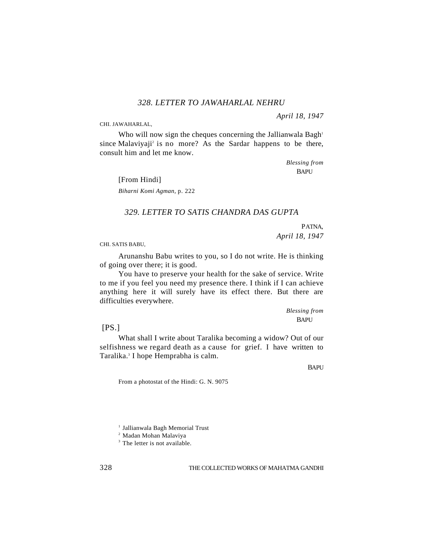*April 18, 1947*

CHI. JAWAHARLAL,

Who will now sign the cheques concerning the Jallianwala Bagh<sup>1</sup> since Malaviyaji<sup>2</sup> is no more? As the Sardar happens to be there, consult him and let me know.

> *Blessing from* **BAPU**

[From Hindi]

*Biharni Komi Agman,* p. 222

# *329. LETTER TO SATIS CHANDRA DAS GUPTA*

PATNA, *April 18, 1947*

CHI. SATIS BABU,

Arunanshu Babu writes to you, so I do not write. He is thinking of going over there; it is good.

You have to preserve your health for the sake of service. Write to me if you feel you need my presence there. I think if I can achieve anything here it will surely have its effect there. But there are difficulties everywhere.

> *Blessing from* BAPU

 $[PS.]$ 

What shall I write about Taralika becoming a widow? Out of our selfishness we regard death as a cause for grief. I have written to Taralika.<sup>3</sup> I hope Hemprabha is calm.

**BAPU** 

From a photostat of the Hindi: G. N. 9075

<sup>1</sup> Jallianwala Bagh Memorial Trust

<sup>2</sup> Madan Mohan Malaviya

 $3$  The letter is not available.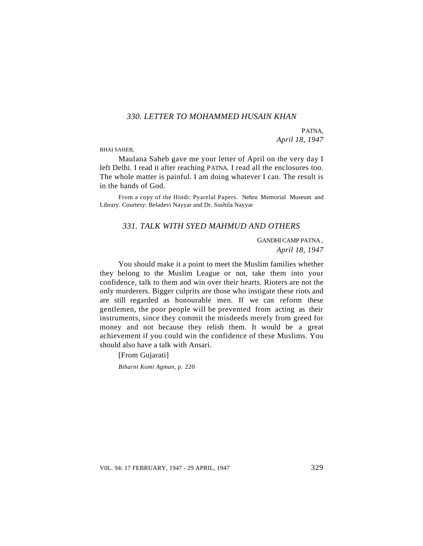# *330. LETTER TO MOHAMMED HUSAIN KHAN*

PATNA, *April 18, 1947*

BHAI SAHEB,

Maulana Saheb gave me your letter of April on the very day I left Delhi. I read it after reaching PATNA. I read all the enclosures too. The whole matter is painful. I am doing whatever I can. The result is in the hands of God.

From a copy of the Hindi: Pyarelal Papers. Nehru Memorial Museum and Library. Courtesy: Beladevi Nayyar and Dr. Sushila Nayyar

# *331. TALK WITH SYED MAHMUD AND OTHERS*

GANDHI CAMP PATNA , *April 18, 1947*

You should make it a point to meet the Muslim families whether they belong to the Muslim League or not, take them into your confidence, talk to them and win over their hearts. Rioters are not the only murderers. Bigger culprits are those who instigate these riots and are still regarded as honourable men. If we can reform these gentlemen, the poor people will be prevented from acting as their instruments, since they commit the misdeeds merely from greed for money and not because they relish them. It would be a great achievement if you could win the confidence of these Muslims. You should also have a talk with Ansari.

[From Gujarati] *Biharni Komi Agman,* p. 220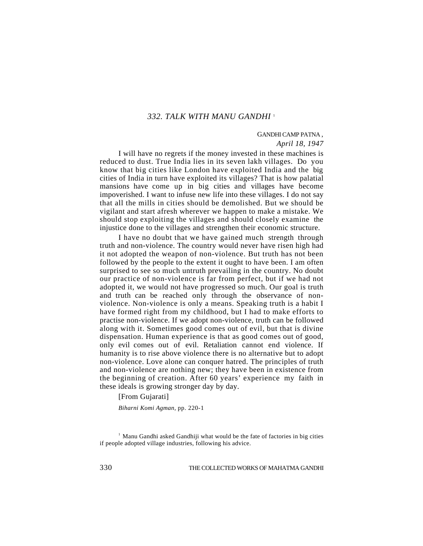### *332. TALK WITH MANU GANDHI* <sup>1</sup>

#### GANDHI CAMP PATNA ,

*April 18, 1947*

I will have no regrets if the money invested in these machines is reduced to dust. True India lies in its seven lakh villages. Do you know that big cities like London have exploited India and the big cities of India in turn have exploited its villages? That is how palatial mansions have come up in big cities and villages have become impoverished. I want to infuse new life into these villages. I do not say that all the mills in cities should be demolished. But we should be vigilant and start afresh wherever we happen to make a mistake. We should stop exploiting the villages and should closely examine the injustice done to the villages and strengthen their economic structure.

I have no doubt that we have gained much strength through truth and non-violence. The country would never have risen high had it not adopted the weapon of non-violence. But truth has not been followed by the people to the extent it ought to have been. I am often surprised to see so much untruth prevailing in the country. No doubt our practice of non-violence is far from perfect, but if we had not adopted it, we would not have progressed so much. Our goal is truth and truth can be reached only through the observance of nonviolence. Non-violence is only a means. Speaking truth is a habit I have formed right from my childhood, but I had to make efforts to practise non-violence. If we adopt non-violence, truth can be followed along with it. Sometimes good comes out of evil, but that is divine dispensation. Human experience is that as good comes out of good, only evil comes out of evil. Retaliation cannot end violence. If humanity is to rise above violence there is no alternative but to adopt non-violence. Love alone can conquer hatred. The principles of truth and non-violence are nothing new; they have been in existence from the beginning of creation. After 60 years' experience my faith in these ideals is growing stronger day by day.

[From Gujarati]

*Biharni Komi Agman,* pp. 220-1

 $1$  Manu Gandhi asked Gandhiji what would be the fate of factories in big cities if people adopted village industries, following his advice.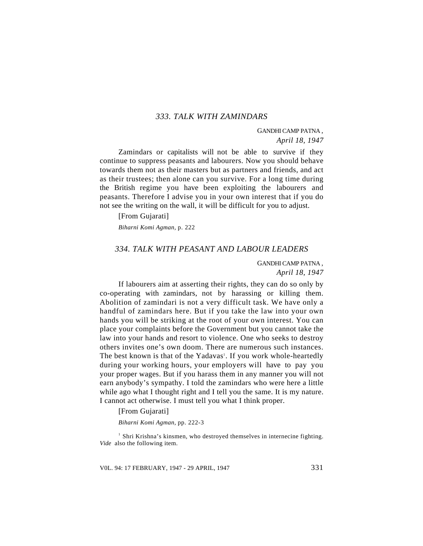#### *333. TALK WITH ZAMINDARS*

GANDHI CAMP PATNA , *April 18, 1947*

Zamindars or capitalists will not be able to survive if they continue to suppress peasants and labourers. Now you should behave towards them not as their masters but as partners and friends, and act as their trustees; then alone can you survive. For a long time during the British regime you have been exploiting the labourers and peasants. Therefore I advise you in your own interest that if you do not see the writing on the wall, it will be difficult for you to adjust.

[From Gujarati] *Biharni Komi Agman,* p. 222

# *334. TALK WITH PEASANT AND LABOUR LEADERS*

#### GANDHI CAMP PATNA , *April 18, 1947*

If labourers aim at asserting their rights, they can do so only by co-operating with zamindars, not by harassing or killing them. Abolition of zamindari is not a very difficult task. We have only a handful of zamindars here. But if you take the law into your own hands you will be striking at the root of your own interest. You can place your complaints before the Government but you cannot take the law into your hands and resort to violence. One who seeks to destroy others invites one's own doom. There are numerous such instances. The best known is that of the Yadavas<sup>1</sup>. If you work whole-heartedly during your working hours, your employers will have to pay you your proper wages. But if you harass them in any manner you will not earn anybody's sympathy. I told the zamindars who were here a little while ago what I thought right and I tell you the same. It is my nature. I cannot act otherwise. I must tell you what I think proper.

[From Gujarati]

*Biharni Komi Agman,* pp. 222-3

<sup>1</sup> Shri Krishna's kinsmen, who destroyed themselves in internecine fighting. *Vide* also the following item.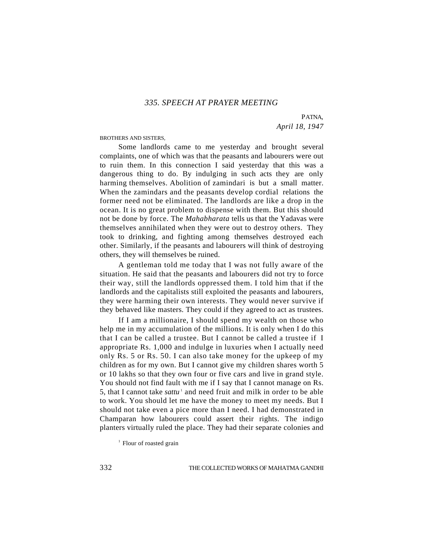PATNA, *April 18, 1947*

BROTHERS AND SISTERS,

Some landlords came to me yesterday and brought several complaints, one of which was that the peasants and labourers were out to ruin them. In this connection I said yesterday that this was a dangerous thing to do. By indulging in such acts they are only harming themselves. Abolition of zamindari is but a small matter. When the zamindars and the peasants develop cordial relations the former need not be eliminated. The landlords are like a drop in the ocean. It is no great problem to dispense with them. But this should not be done by force. The *Mahabharata* tells us that the Yadavas were themselves annihilated when they were out to destroy others. They took to drinking, and fighting among themselves destroyed each other. Similarly, if the peasants and labourers will think of destroying others, they will themselves be ruined.

A gentleman told me today that I was not fully aware of the situation. He said that the peasants and labourers did not try to force their way, still the landlords oppressed them. I told him that if the landlords and the capitalists still exploited the peasants and labourers, they were harming their own interests. They would never survive if they behaved like masters. They could if they agreed to act as trustees.

If I am a millionaire, I should spend my wealth on those who help me in my accumulation of the millions. It is only when I do this that I can be called a trustee. But I cannot be called a trustee if I appropriate Rs. 1,000 and indulge in luxuries when I actually need only Rs. 5 or Rs. 50. I can also take money for the upkeep of my children as for my own. But I cannot give my children shares worth 5 or 10 lakhs so that they own four or five cars and live in grand style. You should not find fault with me if I say that I cannot manage on Rs. 5, that I cannot take *sattu*<sup>1</sup> and need fruit and milk in order to be able to work. You should let me have the money to meet my needs. But I should not take even a pice more than I need. I had demonstrated in Champaran how labourers could assert their rights. The indigo planters virtually ruled the place. They had their separate colonies and

<sup>1</sup> Flour of roasted grain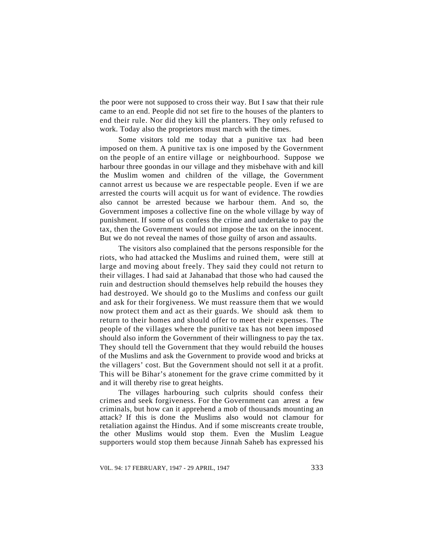the poor were not supposed to cross their way. But I saw that their rule came to an end. People did not set fire to the houses of the planters to end their rule. Nor did they kill the planters. They only refused to work. Today also the proprietors must march with the times.

Some visitors told me today that a punitive tax had been imposed on them. A punitive tax is one imposed by the Government on the people of an entire village or neighbourhood. Suppose we harbour three goondas in our village and they misbehave with and kill the Muslim women and children of the village, the Government cannot arrest us because we are respectable people. Even if we are arrested the courts will acquit us for want of evidence. The rowdies also cannot be arrested because we harbour them. And so, the Government imposes a collective fine on the whole village by way of punishment. If some of us confess the crime and undertake to pay the tax, then the Government would not impose the tax on the innocent. But we do not reveal the names of those guilty of arson and assaults.

The visitors also complained that the persons responsible for the riots, who had attacked the Muslims and ruined them, were still at large and moving about freely. They said they could not return to their villages. I had said at Jahanabad that those who had caused the ruin and destruction should themselves help rebuild the houses they had destroyed. We should go to the Muslims and confess our guilt and ask for their forgiveness. We must reassure them that we would now protect them and act as their guards. We should ask them to return to their homes and should offer to meet their expenses. The people of the villages where the punitive tax has not been imposed should also inform the Government of their willingness to pay the tax. They should tell the Government that they would rebuild the houses of the Muslims and ask the Government to provide wood and bricks at the villagers' cost. But the Government should not sell it at a profit. This will be Bihar's atonement for the grave crime committed by it and it will thereby rise to great heights.

The villages harbouring such culprits should confess their crimes and seek forgiveness. For the Government can arrest a few criminals, but how can it apprehend a mob of thousands mounting an attack? If this is done the Muslims also would not clamour for retaliation against the Hindus. And if some miscreants create trouble, the other Muslims would stop them. Even the Muslim League supporters would stop them because Jinnah Saheb has expressed his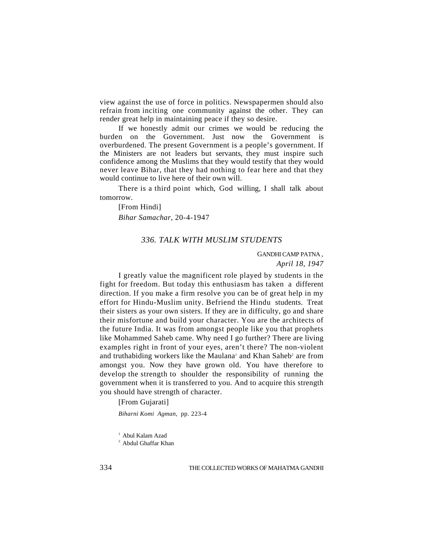view against the use of force in politics. Newspapermen should also refrain from inciting one community against the other. They can render great help in maintaining peace if they so desire.

If we honestly admit our crimes we would be reducing the burden on the Government. Just now the Government is overburdened. The present Government is a people's government. If the Ministers are not leaders but servants, they must inspire such confidence among the Muslims that they would testify that they would never leave Bihar, that they had nothing to fear here and that they would continue to live here of their own will.

There is a third point which, God willing, I shall talk about tomorrow.

[From Hindi] *Bihar Samachar,* 20-4-1947

# *336. TALK WITH MUSLIM STUDENTS*

GANDHI CAMP PATNA , *April 18, 1947*

I greatly value the magnificent role played by students in the fight for freedom. But today this enthusiasm has taken a different direction. If you make a firm resolve you can be of great help in my effort for Hindu-Muslim unity. Befriend the Hindu students. Treat their sisters as your own sisters. If they are in difficulty, go and share their misfortune and build your character. You are the architects of the future India. It was from amongst people like you that prophets like Mohammed Saheb came. Why need I go further? There are living examples right in front of your eyes, aren't there? The non-violent and truthabiding workers like the Maulana<sup>1</sup> and Khan Saheb<sup>2</sup> are from amongst you. Now they have grown old. You have therefore to develop the strength to shoulder the responsibility of running the government when it is transferred to you. And to acquire this strength you should have strength of character.

[From Gujarati] *Biharni Komi Agman,* pp. 223-4

<sup>1</sup> Abul Kalam Azad

<sup>2</sup> Abdul Ghaffar Khan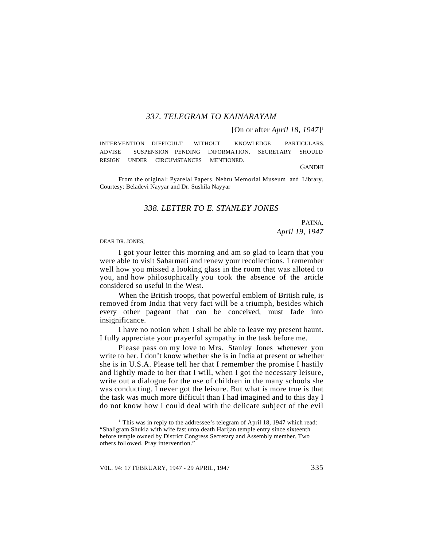#### *337. TELEGRAM TO KAINARAYAM*

[On or after *April 18, 1947*] 1

INTERVENTION DIFFICULT WITHOUT KNOWLEDGE PARTICULARS. ADVISE SUSPENSION PENDING INFORMATION. SECRETARY SHOULD RESIGN UNDER CIRCUMSTANCES MENTIONED.

**GANDHI** 

From the original: Pyarelal Papers. Nehru Memorial Museum and Library. Courtesy: Beladevi Nayyar and Dr. Sushila Nayyar

### *338. LETTER TO E. STANLEY JONES*

PATNA, *April 19, 1947*

DEAR DR. JONES,

I got your letter this morning and am so glad to learn that you were able to visit Sabarmati and renew your recollections. I remember well how you missed a looking glass in the room that was alloted to you, and how philosophically you took the absence of the article considered so useful in the West.

When the British troops, that powerful emblem of British rule, is removed from India that very fact will be a triumph, besides which every other pageant that can be conceived, must fade into insignificance.

I have no notion when I shall be able to leave my present haunt. I fully appreciate your prayerful sympathy in the task before me.

Please pass on my love to Mrs. Stanley Jones whenever you write to her. I don't know whether she is in India at present or whether she is in U.S.A. Please tell her that I remember the promise I hastily and lightly made to her that I will, when I got the necessary leisure, write out a dialogue for the use of children in the many schools she was conducting. I never got the leisure. But what is more true is that the task was much more difficult than I had imagined and to this day I do not know how I could deal with the delicate subject of the evil

 $1$  This was in reply to the addressee's telegram of April 18, 1947 which read: "Shaligram Shukla with wife fast unto death Harijan temple entry since sixteenth before temple owned by District Congress Secretary and Assembly member. Two others followed. Pray intervention."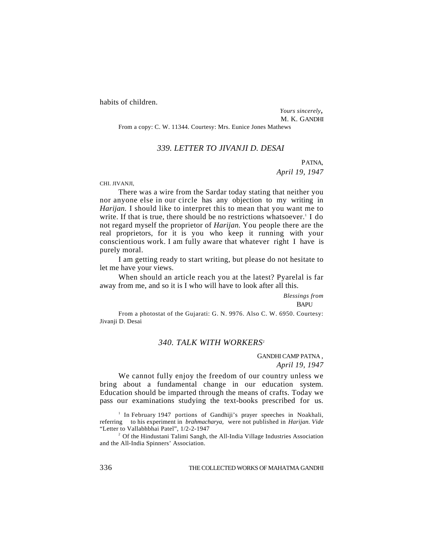habits of children.

*Yours sincerely,* M. K. GANDHI

From a copy: C. W. 11344. Courtesy: Mrs. Eunice Jones Mathews

# *339. LETTER TO JIVANJI D. DESAI*

PATNA, *April 19, 1947*

CHI. JIVANJI,

There was a wire from the Sardar today stating that neither you nor anyone else in our circle has any objection to my writing in *Harijan.* I should like to interpret this to mean that you want me to write. If that is true, there should be no restrictions whatsoever.<sup>1</sup> I do not regard myself the proprietor of *Harijan.* You people there are the real proprietors, for it is you who keep it running with your conscientious work. I am fully aware that whatever right I have is purely moral.

I am getting ready to start writing, but please do not hesitate to let me have your views.

When should an article reach you at the latest? Pyarelal is far away from me, and so it is I who will have to look after all this.

> *Blessings from* **BAPU**

From a photostat of the Gujarati: G. N. 9976. Also C. W. 6950. Courtesy: Jivanii D. Desai

#### *340. TALK WITH WORKERS*<sup>2</sup>

GANDHI CAMP PATNA , *April 19, 1947*

We cannot fully enjoy the freedom of our country unless we bring about a fundamental change in our education system. Education should be imparted through the means of crafts. Today we pass our examinations studying the text-books prescribed for us.

<sup>&</sup>lt;sup>1</sup> In February 1947 portions of Gandhiji's prayer speeches in Noakhali, referring to his experiment in *brahmacharya,* were not published in *Harijan. Vide* "Letter to Vallabhbhai Patel", 1/2-2-1947

<sup>&</sup>lt;sup>2</sup> Of the Hindustani Talimi Sangh, the All-India Village Industries Association and the All-India Spinners' Association.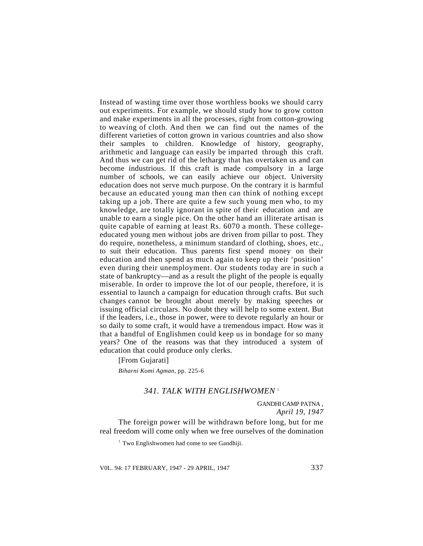Instead of wasting time over those worthless books we should carry out experiments. For example, we should study how to grow cotton and make experiments in all the processes, right from cotton-growing to weaving of cloth. And then we can find out the names of the different varieties of cotton grown in various countries and also show their samples to children. Knowledge of history, geography, arithmetic and language can easily be imparted through this craft. And thus we can get rid of the lethargy that has overtaken us and can become industrious. If this craft is made compulsory in a large number of schools, we can easily achieve our object. University education does not serve much purpose. On the contrary it is harmful because an educated young man then can think of nothing except taking up a job. There are quite a few such young men who, to my knowledge, are totally ignorant in spite of their education and are unable to earn a single pice. On the other hand an illiterate artisan is quite capable of earning at least Rs. 6070 a month. These collegeeducated young men without jobs are driven from pillar to post. They do require, nonetheless, a minimum standard of clothing, shoes, etc., to suit their education. Thus parents first spend money on their education and then spend as much again to keep up their 'position' even during their unemployment. Our students today are in such a state of bankruptcy—and as a result the plight of the people is equally miserable. In order to improve the lot of our people, therefore, it is essential to launch a campaign for education through crafts. But such changes cannot be brought about merely by making speeches or issuing official circulars. No doubt they will help to some extent. But if the leaders, i.e., those in power, were to devote regularly an hour or so daily to some craft, it would have a tremendous impact. How was it that a handful of Englishmen could keep us in bondage for so many years? One of the reasons was that they introduced a system of education that could produce only clerks.

[From Gujarati] *Biharni Komi Agman,* pp. 225-6

# *341. TALK WITH ENGLISHWOMEN* <sup>1</sup>

GANDHI CAMP PATNA , *April 19, 1947*

The foreign power will be withdrawn before long, but for me real freedom will come only when we free ourselves of the domination

 $1$  Two Englishwomen had come to see Gandhiji.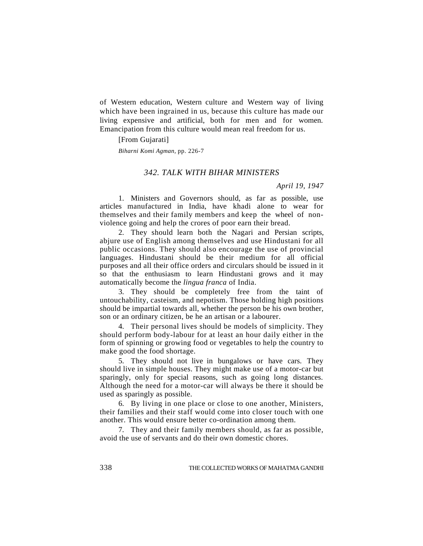of Western education, Western culture and Western way of living which have been ingrained in us, because this culture has made our living expensive and artificial, both for men and for women. Emancipation from this culture would mean real freedom for us.

[From Gujarati]

*Biharni Komi Agman,* pp. 226-7

# *342. TALK WITH BIHAR MINISTERS*

*April 19, 1947*

1. Ministers and Governors should, as far as possible, use articles manufactured in India, have khadi alone to wear for themselves and their family members and keep the wheel of nonviolence going and help the crores of poor earn their bread.

2. They should learn both the Nagari and Persian scripts, abjure use of English among themselves and use Hindustani for all public occasions. They should also encourage the use of provincial languages. Hindustani should be their medium for all official purposes and all their office orders and circulars should be issued in it so that the enthusiasm to learn Hindustani grows and it may automatically become the *lingua franca* of India.

3. They should be completely free from the taint of untouchability, casteism, and nepotism. Those holding high positions should be impartial towards all, whether the person be his own brother, son or an ordinary citizen, be he an artisan or a labourer.

4. Their personal lives should be models of simplicity. They should perform body-labour for at least an hour daily either in the form of spinning or growing food or vegetables to help the country to make good the food shortage.

5. They should not live in bungalows or have cars. They should live in simple houses. They might make use of a motor-car but sparingly, only for special reasons, such as going long distances. Although the need for a motor-car will always be there it should be used as sparingly as possible.

6. By living in one place or close to one another, Ministers, their families and their staff would come into closer touch with one another. This would ensure better co-ordination among them.

7. They and their family members should, as far as possible, avoid the use of servants and do their own domestic chores.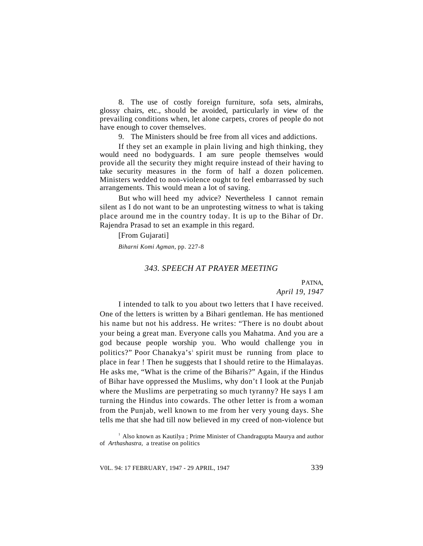8. The use of costly foreign furniture, sofa sets, almirahs, glossy chairs, etc., should be avoided, particularly in view of the prevailing conditions when, let alone carpets, crores of people do not have enough to cover themselves.

9. The Ministers should be free from all vices and addictions.

If they set an example in plain living and high thinking, they would need no bodyguards. I am sure people themselves would provide all the security they might require instead of their having to take security measures in the form of half a dozen policemen. Ministers wedded to non-violence ought to feel embarrassed by such arrangements. This would mean a lot of saving.

But who will heed my advice? Nevertheless I cannot remain silent as I do not want to be an unprotesting witness to what is taking place around me in the country today. It is up to the Bihar of Dr. Rajendra Prasad to set an example in this regard.

[From Gujarati]

*Biharni Komi Agman,* pp. 227-8

# *343. SPEECH AT PRAYER MEETING*

PATNA, *April 19, 1947*

I intended to talk to you about two letters that I have received. One of the letters is written by a Bihari gentleman. He has mentioned his name but not his address. He writes: "There is no doubt about your being a great man. Everyone calls you Mahatma. And you are a god because people worship you. Who would challenge you in politics?" Poor Chanakya's' spirit must be running from place to place in fear ! Then he suggests that I should retire to the Himalayas. He asks me, "What is the crime of the Biharis?" Again, if the Hindus of Bihar have oppressed the Muslims, why don't I look at the Punjab where the Muslims are perpetrating so much tyranny? He says I am turning the Hindus into cowards. The other letter is from a woman from the Punjab, well known to me from her very young days. She tells me that she had till now believed in my creed of non-violence but

 $<sup>1</sup>$  Also known as Kautilya ; Prime Minister of Chandragupta Maurya and author</sup> of *Arthashastra,* a treatise on politics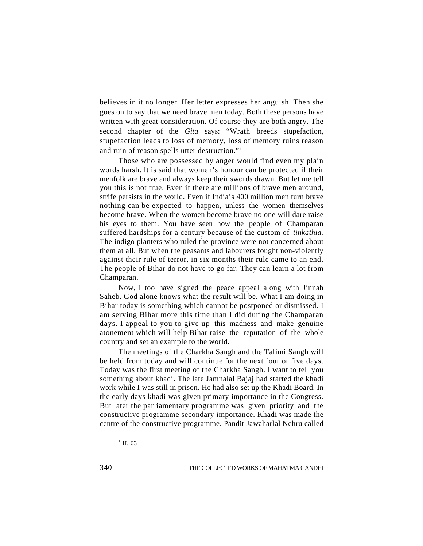believes in it no longer. Her letter expresses her anguish. Then she goes on to say that we need brave men today. Both these persons have written with great consideration. Of course they are both angry. The second chapter of the *Gita* says: "Wrath breeds stupefaction, stupefaction leads to loss of memory, loss of memory ruins reason and ruin of reason spells utter destruction."<sup>1</sup>

Those who are possessed by anger would find even my plain words harsh. It is said that women's honour can be protected if their menfolk are brave and always keep their swords drawn. But let me tell you this is not true. Even if there are millions of brave men around, strife persists in the world. Even if India's 400 million men turn brave nothing can be expected to happen, unless the women themselves become brave. When the women become brave no one will dare raise his eyes to them. You have seen how the people of Champaran suffered hardships for a century because of the custom of *tinkathia.* The indigo planters who ruled the province were not concerned about them at all. But when the peasants and labourers fought non-violently against their rule of terror, in six months their rule came to an end. The people of Bihar do not have to go far. They can learn a lot from Champaran.

Now, I too have signed the peace appeal along with Jinnah Saheb. God alone knows what the result will be. What I am doing in Bihar today is something which cannot be postponed or dismissed. I am serving Bihar more this time than I did during the Champaran days. I appeal to you to give up this madness and make genuine atonement which will help Bihar raise the reputation of the whole country and set an example to the world.

The meetings of the Charkha Sangh and the Talimi Sangh will be held from today and will continue for the next four or five days. Today was the first meeting of the Charkha Sangh. I want to tell you something about khadi. The late Jamnalal Bajaj had started the khadi work while I was still in prison. He had also set up the Khadi Board. In the early days khadi was given primary importance in the Congress. But later the parliamentary programme was given priority and the constructive programme secondary importance. Khadi was made the centre of the constructive programme. Pandit Jawaharlal Nehru called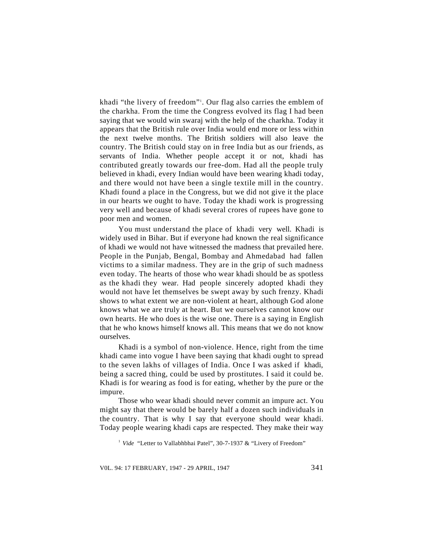khadi "the livery of freedom"<sup>1</sup> . Our flag also carries the emblem of the charkha. From the time the Congress evolved its flag I had been saying that we would win swaraj with the help of the charkha. Today it appears that the British rule over India would end more or less within the next twelve months. The British soldiers will also leave the country. The British could stay on in free India but as our friends, as servants of India. Whether people accept it or not, khadi has contributed greatly towards our free-dom. Had all the people truly believed in khadi, every Indian would have been wearing khadi today, and there would not have been a single textile mill in the country. Khadi found a place in the Congress, but we did not give it the place in our hearts we ought to have. Today the khadi work is progressing very well and because of khadi several crores of rupees have gone to poor men and women.

You must understand the place of khadi very well. Khadi is widely used in Bihar. But if everyone had known the real significance of khadi we would not have witnessed the madness that prevailed here. People in the Punjab, Bengal, Bombay and Ahmedabad had fallen victims to a similar madness. They are in the grip of such madness even today. The hearts of those who wear khadi should be as spotless as the khadi they wear. Had people sincerely adopted khadi they would not have let themselves be swept away by such frenzy. Khadi shows to what extent we are non-violent at heart, although God alone knows what we are truly at heart. But we ourselves cannot know our own hearts. He who does is the wise one. There is a saying in English that he who knows himself knows all. This means that we do not know ourselves.

Khadi is a symbol of non-violence. Hence, right from the time khadi came into vogue I have been saying that khadi ought to spread to the seven lakhs of villages of India. Once I was asked if khadi, being a sacred thing, could be used by prostitutes. I said it could be. Khadi is for wearing as food is for eating, whether by the pure or the impure.

Those who wear khadi should never commit an impure act. You might say that there would be barely half a dozen such individuals in the country. That is why I say that everyone should wear khadi. Today people wearing khadi caps are respected. They make their way

<sup>1</sup> *Vide* "Letter to Vallabhbhai Patel", 30-7-1937 & "Livery of Freedom"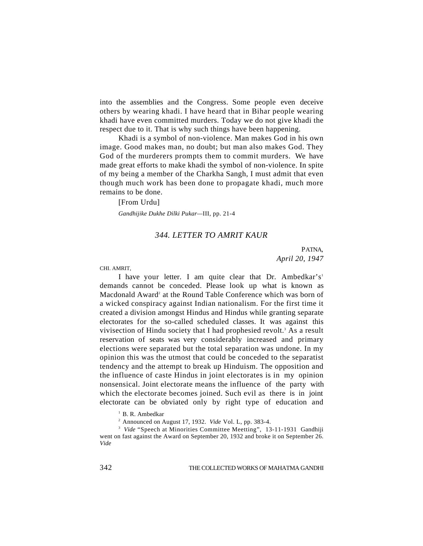into the assemblies and the Congress. Some people even deceive others by wearing khadi. I have heard that in Bihar people wearing khadi have even committed murders. Today we do not give khadi the respect due to it. That is why such things have been happening.

Khadi is a symbol of non-violence. Man makes God in his own image. Good makes man, no doubt; but man also makes God. They God of the murderers prompts them to commit murders. We have made great efforts to make khadi the symbol of non-violence. In spite of my being a member of the Charkha Sangh, I must admit that even though much work has been done to propagate khadi, much more remains to be done.

[From Urdu]

*Gandhijike Dukhe Dilki Pukar—*III, pp. 21-4

# *344. LETTER TO AMRIT KAUR*

PATNA, *April 20, 1947*

CHI. AMRIT,

I have your letter. I am quite clear that Dr. Ambedkar's<sup>1</sup> demands cannot be conceded. Please look up what is known as Macdonald Award<sup>2</sup> at the Round Table Conference which was born of a wicked conspiracy against Indian nationalism. For the first time it created a division amongst Hindus and Hindus while granting separate electorates for the so-called scheduled classes. It was against this vivisection of Hindu society that I had prophesied revolt.<sup>3</sup> As a result reservation of seats was very considerably increased and primary elections were separated but the total separation was undone. In my opinion this was the utmost that could be conceded to the separatist tendency and the attempt to break up Hinduism. The opposition and the influence of caste Hindus in joint electorates is in my opinion nonsensical. Joint electorate means the influence of the party with which the electorate becomes joined. Such evil as there is in joint electorate can be obviated only by right type of education and

 $<sup>1</sup>$  B. R. Ambedkar</sup>

<sup>2</sup> Announced on August 17, 1932. *Vide* Vol. L, pp. 383-4.

<sup>3</sup> *Vide* "Speech at Minorities Committee Meetting", 13-11-1931 Gandhiji went on fast against the Award on September 20, 1932 and broke it on September 26. *Vide*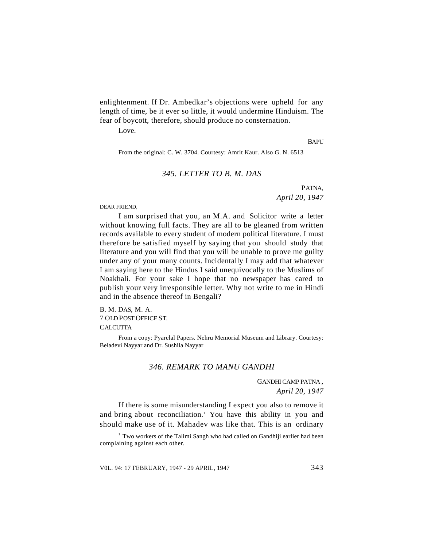enlightenment. If Dr. Ambedkar's objections were upheld for any length of time, be it ever so little, it would undermine Hinduism. The fear of boycott, therefore, should produce no consternation.

 $\overline{\text{L}}$  ove.

**BAPU** 

From the original: C. W. 3704. Courtesy: Amrit Kaur. Also G. N. 6513

# *345. LETTER TO B. M. DAS*

PATNA, *April 20, 1947*

DEAR FRIEND,

I am surprised that you, an M.A. and Solicitor write a letter without knowing full facts. They are all to be gleaned from written records available to every student of modern political literature. I must therefore be satisfied myself by saying that you should study that literature and you will find that you will be unable to prove me guilty under any of your many counts. Incidentally I may add that whatever I am saying here to the Hindus I said unequivocally to the Muslims of Noakhali. For your sake I hope that no newspaper has cared to publish your very irresponsible letter. Why not write to me in Hindi and in the absence thereof in Bengali?

B. M. DAS, M. A. 7 OLD POST OFFICE ST. CALCUTTA

From a copy: Pyarelal Papers. Nehru Memorial Museum and Library. Courtesy: Beladevi Nayyar and Dr. Sushila Nayyar

#### *346. REMARK TO MANU GANDHI*

GANDHI CAMP PATNA , *April 20, 1947*

If there is some misunderstanding I expect you also to remove it and bring about reconciliation.<sup>1</sup> You have this ability in you and should make use of it. Mahadev was like that. This is an ordinary

<sup>1</sup> Two workers of the Talimi Sangh who had called on Gandhiji earlier had been complaining against each other.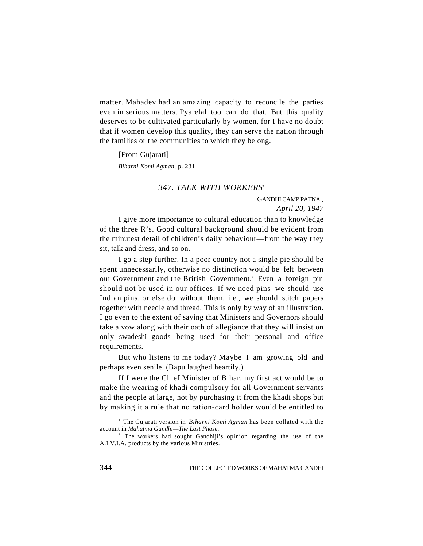matter. Mahadev had an amazing capacity to reconcile the parties even in serious matters. Pyarelal too can do that. But this quality deserves to be cultivated particularly by women, for I have no doubt that if women develop this quality, they can serve the nation through the families or the communities to which they belong.

[From Gujarati] *Biharni Komi Agman*, p. 231

### *347. TALK WITH WORKERS*<sup>1</sup>

GANDHI CAMP PATNA , *April 20, 1947*

I give more importance to cultural education than to knowledge of the three R's. Good cultural background should be evident from the minutest detail of children's daily behaviour—from the way they sit, talk and dress, and so on.

I go a step further. In a poor country not a single pie should be spent unnecessarily, otherwise no distinction would be felt between our Government and the British Government.<sup>2</sup> Even a foreign pin should not be used in our offices. If we need pins we should use Indian pins, or else do without them, i.e., we should stitch papers together with needle and thread. This is only by way of an illustration. I go even to the extent of saying that Ministers and Governors should take a vow along with their oath of allegiance that they will insist on only swadeshi goods being used for their personal and office requirements.

But who listens to me today? Maybe I am growing old and perhaps even senile. (Bapu laughed heartily.)

If I were the Chief Minister of Bihar, my first act would be to make the wearing of khadi compulsory for all Government servants and the people at large, not by purchasing it from the khadi shops but by making it a rule that no ration-card holder would be entitled to

<sup>&</sup>lt;sup>1</sup> The Gujarati version in *Biharni Komi Agman* has been collated with the account in *Mahatma Gandhi—The Last Phase.*

<sup>&</sup>lt;sup>2</sup> The workers had sought Gandhiji's opinion regarding the use of the A.I.V.I.A. products by the various Ministries.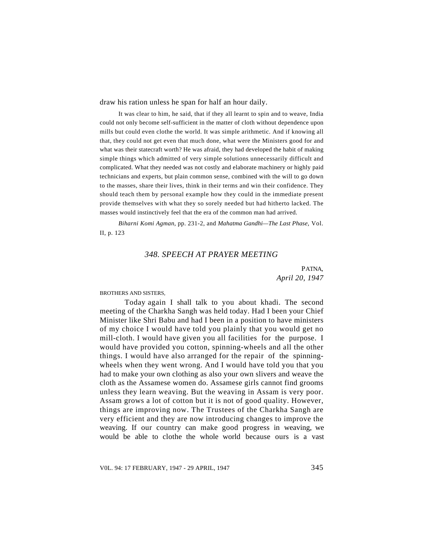draw his ration unless he span for half an hour daily.

It was clear to him, he said, that if they all learnt to spin and to weave, India could not only become self-sufficient in the matter of cloth without dependence upon mills but could even clothe the world. It was simple arithmetic. And if knowing all that, they could not get even that much done, what were the Ministers good for and what was their statecraft worth? He was afraid, they had developed the habit of making simple things which admitted of very simple solutions unnecessarily difficult and complicated. What they needed was not costly and elaborate machinery or highly paid technicians and experts, but plain common sense, combined with the will to go down to the masses, share their lives, think in their terms and win their confidence. They should teach them by personal example how they could in the immediate present provide themselves with what they so sorely needed but had hitherto lacked. The masses would instinctively feel that the era of the common man had arrived.

*Biharni Komi Agman*, pp. 231-2, and *Mahatma Gandhi—The Last Phase*, Vol. II, p. 123

#### *348. SPEECH AT PRAYER MEETING*

PATNA, *April 20, 1947*

BROTHERS AND SISTERS,

Today again I shall talk to you about khadi. The second meeting of the Charkha Sangh was held today. Had I been your Chief Minister like Shri Babu and had I been in a position to have ministers of my choice I would have told you plainly that you would get no mill-cloth. I would have given you all facilities for the purpose. I would have provided you cotton, spinning-wheels and all the other things. I would have also arranged for the repair of the spinningwheels when they went wrong. And I would have told you that you had to make your own clothing as also your own slivers and weave the cloth as the Assamese women do. Assamese girls cannot find grooms unless they learn weaving. But the weaving in Assam is very poor. Assam grows a lot of cotton but it is not of good quality. However, things are improving now. The Trustees of the Charkha Sangh are very efficient and they are now introducing changes to improve the weaving. If our country can make good progress in weaving, we would be able to clothe the whole world because ours is a vast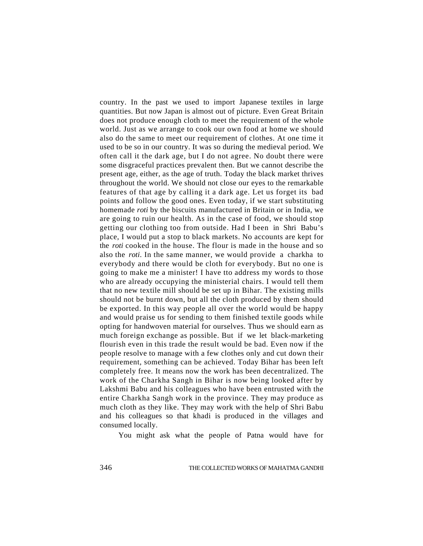country. In the past we used to import Japanese textiles in large quantities. But now Japan is almost out of picture. Even Great Britain does not produce enough cloth to meet the requirement of the whole world. Just as we arrange to cook our own food at home we should also do the same to meet our requirement of clothes. At one time it used to be so in our country. It was so during the medieval period. We often call it the dark age, but I do not agree. No doubt there were some disgraceful practices prevalent then. But we cannot describe the present age, either, as the age of truth. Today the black market thrives throughout the world. We should not close our eyes to the remarkable features of that age by calling it a dark age. Let us forget its bad points and follow the good ones. Even today, if we start substituting homemade *roti* by the biscuits manufactured in Britain or in India, we are going to ruin our health. As in the case of food, we should stop getting our clothing too from outside. Had I been in Shri Babu's place, I would put a stop to black markets. No accounts are kept for the *roti* cooked in the house. The flour is made in the house and so also the *roti*. In the same manner, we would provide a charkha to everybody and there would be cloth for everybody. But no one is going to make me a minister! I have tto address my words to those who are already occupying the ministerial chairs. I would tell them that no new textile mill should be set up in Bihar. The existing mills should not be burnt down, but all the cloth produced by them should be exported. In this way people all over the world would be happy and would praise us for sending to them finished textile goods while opting for handwoven material for ourselves. Thus we should earn as much foreign exchange as possible. But if we let black-marketing flourish even in this trade the result would be bad. Even now if the people resolve to manage with a few clothes only and cut down their requirement, something can be achieved. Today Bihar has been left completely free. It means now the work has been decentralized. The work of the Charkha Sangh in Bihar is now being looked after by Lakshmi Babu and his colleagues who have been entrusted with the entire Charkha Sangh work in the province. They may produce as much cloth as they like. They may work with the help of Shri Babu and his colleagues so that khadi is produced in the villages and consumed locally.

You might ask what the people of Patna would have for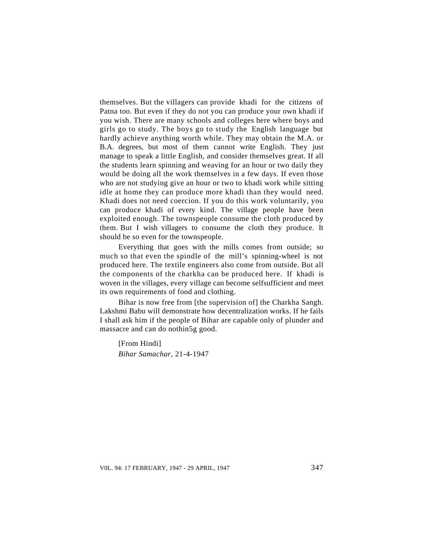themselves. But the villagers can provide khadi for the citizens of Patna too. But even if they do not you can produce your own khadi if you wish. There are many schools and colleges here where boys and girls go to study. The boys go to study the English language but hardly achieve anything worth while. They may obtain the M.A. or B.A. degrees, but most of them cannot write English. They just manage to speak a little English, and consider themselves great. If all the students learn spinning and weaving for an hour or two daily they would be doing all the work themselves in a few days. If even those who are not studying give an hour or two to khadi work while sitting idle at home they can produce more khadi than they would need. Khadi does not need coercion. If you do this work voluntarily, you can produce khadi of every kind. The village people have been exploited enough. The townspeople consume the cloth produced by them. But I wish villagers to consume the cloth they produce. It should be so even for the townspeople.

Everything that goes with the mills comes from outside; so much so that even the spindle of the mill's spinning-wheel is not produced here. The textile engineers also come from outside. But all the components of the charkha can be produced here. If khadi is woven in the villages, every village can become selfsufficient and meet its own requirements of food and clothing.

Bihar is now free from [the supervision of] the Charkha Sangh. Lakshmi Babu will demonstrate how decentralization works. If he fails I shall ask him if the people of Bihar are capable only of plunder and massacre and can do nothin5g good.

[From Hindi] *Bihar Samachar*, 21-4-1947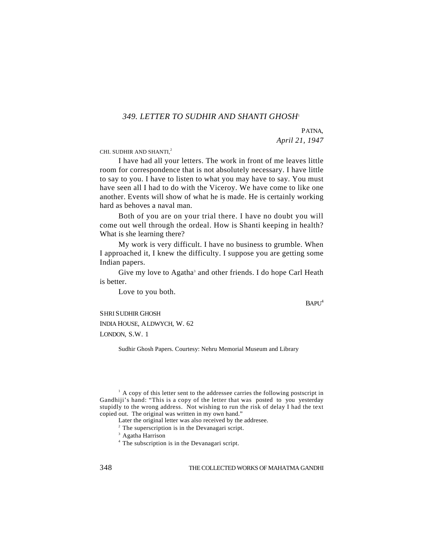# *349. LETTER TO SUDHIR AND SHANTI GHOSH*<sup>1</sup>

PATNA, *April 21, 1947*

# CHI. SUDHIR AND SHANTI.<sup>2</sup>

I have had all your letters. The work in front of me leaves little room for correspondence that is not absolutely necessary. I have little to say to you. I have to listen to what you may have to say. You must have seen all I had to do with the Viceroy. We have come to like one another. Events will show of what he is made. He is certainly working hard as behoves a naval man.

Both of you are on your trial there. I have no doubt you will come out well through the ordeal. How is Shanti keeping in health? What is she learning there?

My work is very difficult. I have no business to grumble. When I approached it, I knew the difficulty. I suppose you are getting some Indian papers.

Give my love to Agatha<sup>3</sup> and other friends. I do hope Carl Heath is better.

Love to you both.

 $BAPI<sup>4</sup>$ 

SHRI SUDHIR GHOSH INDIA HOUSE, ALDWYCH, W. 62 LONDON, S.W. 1

Sudhir Ghosh Papers. Courtesy: Nehru Memorial Museum and Library

 $<sup>1</sup>$  A copy of this letter sent to the addressee carries the following postscript in</sup> Gandhiji's hand: "This is a copy of the letter that was posted to you yesterday stupidly to the wrong address. Not wishing to run the risk of delay I had the text copied out. The original was written in my own hand."

Later the original letter was also received by the addresee.

 $2$  The superscription is in the Devanagari script.

- <sup>3</sup> Agatha Harrison
- <sup>4</sup> The subscription is in the Devanagari script.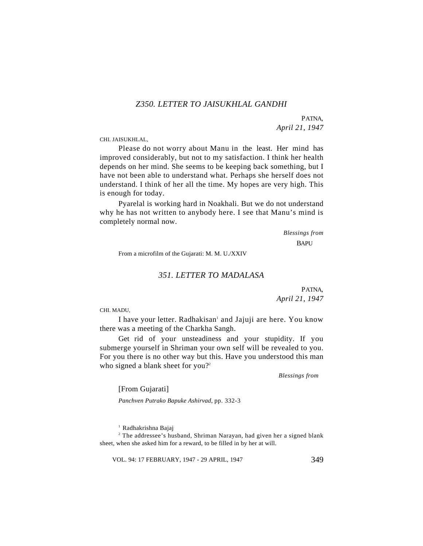# *Z350. LETTER TO JAISUKHLAL GANDHI*

**PATNA** *April 21, 1947*

CHI. JAISUKHLAL,

Please do not worry about Manu in the least. Her mind has improved considerably, but not to my satisfaction. I think her health depends on her mind. She seems to be keeping back something, but I have not been able to understand what. Perhaps she herself does not understand. I think of her all the time. My hopes are very high. This is enough for today.

Pyarelal is working hard in Noakhali. But we do not understand why he has not written to anybody here. I see that Manu's mind is completely normal now.

> *Blessings from* **BAPU**

From a microfilm of the Gujarati: M. M. U./XXIV

#### *351. LETTER TO MADALASA*

PATNA, *April 21, 1947*

CHI. MADU,

I have your letter. Radhakisan<sup>1</sup> and Jajuji are here. You know there was a meeting of the Charkha Sangh.

Get rid of your unsteadiness and your stupidity. If you submerge yourself in Shriman your own self will be revealed to you. For you there is no other way but this. Have you understood this man who signed a blank sheet for you?<sup>2</sup>

*Blessings from*

[From Gujarati]

*Panchven Putrako Bapuke Ashirvad,* pp. 332-3

<sup>1</sup> Radhakrishna Bajaj

<sup>2</sup> The addressee's husband, Shriman Narayan, had given her a signed blank sheet, when she asked him for a reward, to be filled in by her at will.

VOL. 94: 17 FEBRUARY, 1947 - 29 APRIL, 1947 349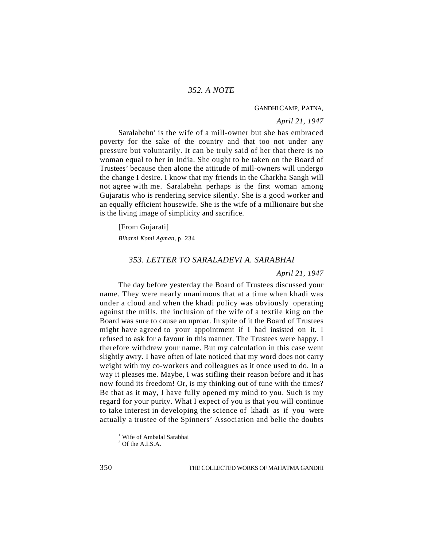#### GANDHI CAMP, PATNA,

#### *April 21, 1947*

Saralabehn<sup>1</sup> is the wife of a mill-owner but she has embraced poverty for the sake of the country and that too not under any pressure but voluntarily. It can be truly said of her that there is no woman equal to her in India. She ought to be taken on the Board of Trustees<sup>2</sup> because then alone the attitude of mill-owners will undergo the change I desire. I know that my friends in the Charkha Sangh will not agree with me. Saralabehn perhaps is the first woman among Gujaratis who is rendering service silently. She is a good worker and an equally efficient housewife. She is the wife of a millionaire but she is the living image of simplicity and sacrifice.

[From Gujarati] *Biharni Komi Agman,* p. 234

#### *353. LETTER TO SARALADEVI A. SARABHAI*

*April 21, 1947*

The day before yesterday the Board of Trustees discussed your name. They were nearly unanimous that at a time when khadi was under a cloud and when the khadi policy was obviously operating against the mills, the inclusion of the wife of a textile king on the Board was sure to cause an uproar. In spite of it the Board of Trustees might have agreed to your appointment if I had insisted on it. I refused to ask for a favour in this manner. The Trustees were happy. I therefore withdrew your name. But my calculation in this case went slightly awry. I have often of late noticed that my word does not carry weight with my co-workers and colleagues as it once used to do. In a way it pleases me. Maybe, I was stifling their reason before and it has now found its freedom! Or, is my thinking out of tune with the times? Be that as it may, I have fully opened my mind to you. Such is my regard for your purity. What I expect of you is that you will continue to take interest in developing the science of khadi as if you were actually a trustee of the Spinners' Association and belie the doubts

<sup>&</sup>lt;sup>1</sup> Wife of Ambalal Sarabhai

<sup>2</sup> Of the A.I.S.A.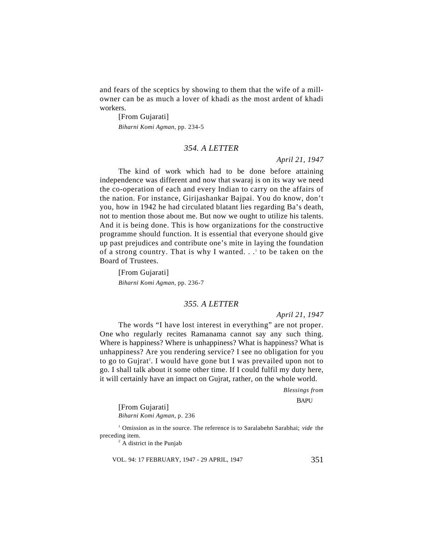and fears of the sceptics by showing to them that the wife of a millowner can be as much a lover of khadi as the most ardent of khadi workers.

[From Gujarati] *Biharni Komi Agman,* pp. 234-5

#### *354. A LETTER*

#### *April 21, 1947*

The kind of work which had to be done before attaining independence was different and now that swaraj is on its way we need the co-operation of each and every Indian to carry on the affairs of the nation. For instance, Girijashankar Bajpai. You do know, don't you, how in 1942 he had circulated blatant lies regarding Ba's death, not to mention those about me. But now we ought to utilize his talents. And it is being done. This is how organizations for the constructive programme should function. It is essential that everyone should give up past prejudices and contribute one's mite in laying the foundation of a strong country. That is why I wanted. . .<sup>1</sup> to be taken on the Board of Trustees.

[From Gujarati] *Biharni Komi Agman,* pp. 236-7

#### *355. A LETTER*

*April 21, 1947*

The words "I have lost interest in everything" are not proper. One who regularly recites Ramanama cannot say any such thing. Where is happiness? Where is unhappiness? What is happiness? What is unhappiness? Are you rendering service? I see no obligation for you to go to Gujrat<sup>2</sup>. I would have gone but I was prevailed upon not to go. I shall talk about it some other time. If I could fulfil my duty here, it will certainly have an impact on Gujrat, rather, on the whole world.

*Blessings from*

#### BAPU

[From Gujarati] *Biharni Komi Agman,* p. 236

1 Omission as in the source. The reference is to Saralabehn Sarabhai; *vide* the preceding item.

 $2$  A district in the Punjab

VOL. 94: 17 FEBRUARY, 1947 - 29 APRIL, 1947 351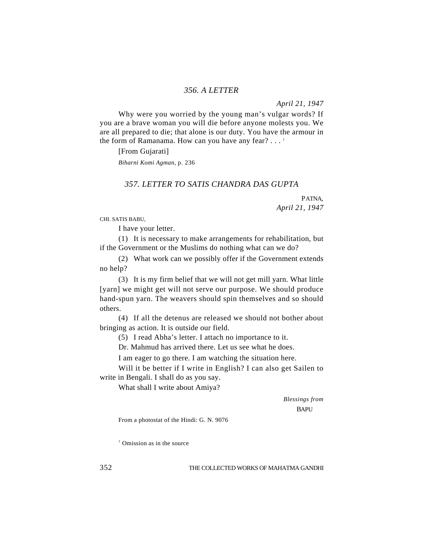# *356. A LETTER*

*April 21, 1947*

Why were you worried by the young man's vulgar words? If you are a brave woman you will die before anyone molests you. We are all prepared to die; that alone is our duty. You have the armour in the form of Ramanama. How can you have any fear?  $\ldots$ <sup>1</sup>

[From Gujarati]

*Biharni Komi Agman,* p. 236

# *357. LETTER TO SATIS CHANDRA DAS GUPTA*

PATNA, *April 21, 1947*

CHI. SATIS BABU,

I have your letter.

(1) It is necessary to make arrangements for rehabilitation, but if the Government or the Muslims do nothing what can we do?

(2) What work can we possibly offer if the Government extends no help?

(3) It is my firm belief that we will not get mill yarn. What little [yarn] we might get will not serve our purpose. We should produce hand-spun yarn. The weavers should spin themselves and so should others.

(4) If all the detenus are released we should not bother about bringing as action. It is outside our field.

(5) I read Abha's letter. I attach no importance to it.

Dr. Mahmud has arrived there. Let us see what he does.

I am eager to go there. I am watching the situation here.

Will it be better if I write in English? I can also get Sailen to write in Bengali. I shall do as you say.

What shall I write about Amiya?

*Blessings from* **BAPU** 

From a photostat of the Hindi: G. N. 9076

<sup>1</sup> Omission as in the source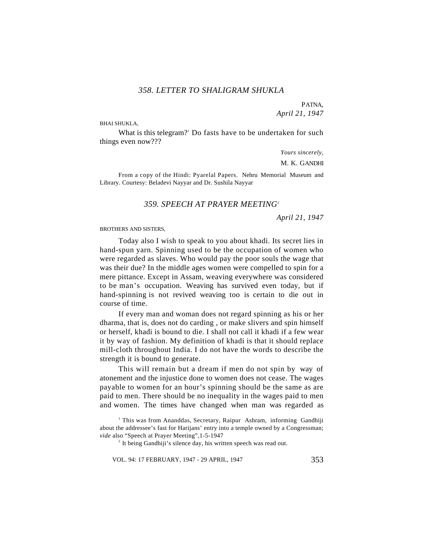PATNA, *April 21, 1947*

BHAI SHUKLA,

What is this telegram?<sup>1</sup> Do fasts have to be undertaken for such things even now???

*Yours sincerely,*

M. K. GANDHI

From a copy of the Hindi: Pyarelal Papers. Nehru Memorial Museum and Library. Courtesy: Beladevi Nayyar and Dr. Sushila Nayyar

#### *359. SPEECH AT PRAYER MEETING*<sup>2</sup>

*April 21, 1947*

BROTHERS AND SISTERS,

Today also I wish to speak to you about khadi. Its secret lies in hand-spun yarn. Spinning used to be the occupation of women who were regarded as slaves. Who would pay the poor souls the wage that was their due? In the middle ages women were compelled to spin for a mere pittance. Except in Assam, weaving everywhere was considered to be man's occupation. Weaving has survived even today, but if hand-spinning is not revived weaving too is certain to die out in course of time.

If every man and woman does not regard spinning as his or her dharma, that is, does not do carding , or make slivers and spin himself or herself, khadi is bound to die. I shall not call it khadi if a few wear it by way of fashion. My definition of khadi is that it should replace mill-cloth throughout India. I do not have the words to describe the strength it is bound to generate.

This will remain but a dream if men do not spin by way of atonement and the injustice done to women does not cease. The wages payable to women for an hour's spinning should be the same as are paid to men. There should be no inequality in the wages paid to men and women. The times have changed when man was regarded as

 $2$  It being Gandhiji's silence day, his written speech was read out.

<sup>&</sup>lt;sup>1</sup> This was from Ananddas, Secretary, Raipur Ashram, informing Gandhiji about the addressee's fast for Harijans' entry into a temple owned by a Congressman; *vide* also "Speech at Prayer Meeting",1-5-1947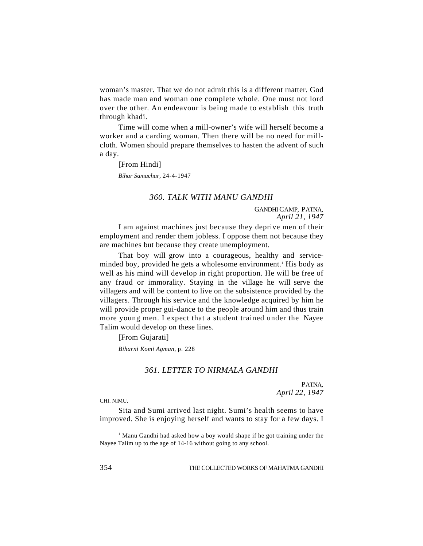woman's master. That we do not admit this is a different matter. God has made man and woman one complete whole. One must not lord over the other. An endeavour is being made to establish this truth through khadi.

Time will come when a mill-owner's wife will herself become a worker and a carding woman. Then there will be no need for millcloth. Women should prepare themselves to hasten the advent of such a day.

[From Hindi]

*Bihar Samachar,* 24-4-1947

# *360. TALK WITH MANU GANDHI*

GANDHI CAMP, PATNA, *April 21, 1947*

I am against machines just because they deprive men of their employment and render them jobless. I oppose them not because they are machines but because they create unemployment.

That boy will grow into a courageous, healthy and serviceminded boy, provided he gets a wholesome environment.<sup>1</sup> His body as well as his mind will develop in right proportion. He will be free of any fraud or immorality. Staying in the village he will serve the villagers and will be content to live on the subsistence provided by the villagers. Through his service and the knowledge acquired by him he will provide proper gui-dance to the people around him and thus train more young men. I expect that a student trained under the Nayee Talim would develop on these lines.

[From Gujarati]

*Biharni Komi Agman,* p. 228

# *361. LETTER TO NIRMALA GANDHI*

PATNA, *April 22, 1947*

CHI. NIMU,

Sita and Sumi arrived last night. Sumi's health seems to have improved. She is enjoying herself and wants to stay for a few days. I

<sup>1</sup> Manu Gandhi had asked how a boy would shape if he got training under the Nayee Talim up to the age of 14-16 without going to any school.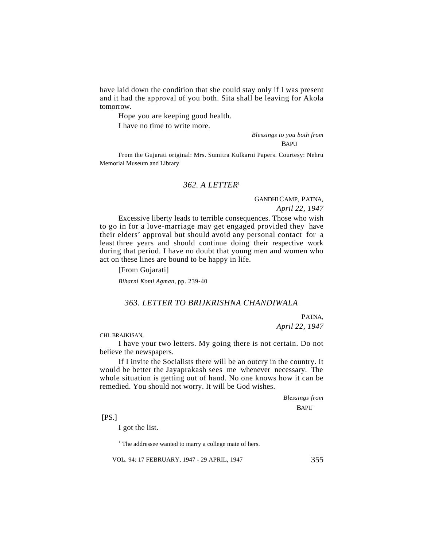have laid down the condition that she could stay only if I was present and it had the approval of you both. Sita shall be leaving for Akola tomorrow.

Hope you are keeping good health.

I have no time to write more.

*Blessings to you both from* **BAPU** 

From the Gujarati original: Mrs. Sumitra Kulkarni Papers. Courtesy: Nehru Memorial Museum and Library

# *362. A LETTER*<sup>1</sup>

GANDHI CAMP, PATNA,

*April 22, 1947*

Excessive liberty leads to terrible consequences. Those who wish to go in for a love-marriage may get engaged provided they have their elders' approval but should avoid any personal contact for a least three years and should continue doing their respective work during that period. I have no doubt that young men and women who act on these lines are bound to be happy in life.

[From Gujarati]

*Biharni Komi Agman,* pp. 239-40

### *363. LETTER TO BRIJKRISHNA CHANDIWALA*

PATNA, *April 22, 1947*

CHI. BRAJKISAN,

I have your two letters. My going there is not certain. Do not believe the newspapers.

If I invite the Socialists there will be an outcry in the country. It would be better the Jayaprakash sees me whenever necessary. The whole situation is getting out of hand. No one knows how it can be remedied. You should not worry. It will be God wishes.

*Blessings from*

**BAPU** 

 $[PS.]$ 

I got the list.

<sup>1</sup> The addressee wanted to marry a college mate of hers.

VOL. 94: 17 FEBRUARY, 1947 - 29 APRIL, 1947 355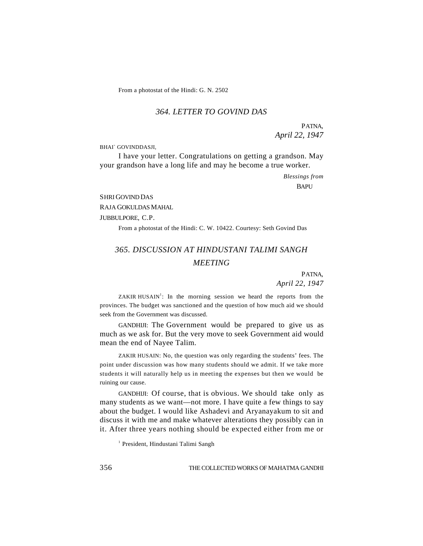From a photostat of the Hindi: G. N. 2502

#### *364. LETTER TO GOVIND DAS*

PATNA, *April 22, 1947*

BHAI` GOVINDDASJI,

I have your letter. Congratulations on getting a grandson. May your grandson have a long life and may he become a true worker.

> *Blessings from* **BAPU**

SHRI GOVIND DAS RAJA GOKULDAS MAHAL JUBBULPORE, C.P.

From a photostat of the Hindi: C. W. 10422. Courtesy: Seth Govind Das

# *365. DISCUSSION AT HINDUSTANI TALIMI SANGH MEETING*

PATNA, *April 22, 1947*

ZAKIR HUSAIN<sup>1</sup>: In the morning session we heard the reports from the provinces. The budget was sanctioned and the question of how much aid we should seek from the Government was discussed.

GANDHIJI: The Government would be prepared to give us as much as we ask for. But the very move to seek Government aid would mean the end of Nayee Talim.

ZAKIR HUSAIN: No, the question was only regarding the students' fees. The point under discussion was how many students should we admit. If we take more students it will naturally help us in meeting the expenses but then we would be ruining our cause.

GANDHIJI: Of course, that is obvious. We should take only as many students as we want—not more. I have quite a few things to say about the budget. I would like Ashadevi and Aryanayakum to sit and discuss it with me and make whatever alterations they possibly can in it. After three years nothing should be expected either from me or

<sup>1</sup> President, Hindustani Talimi Sangh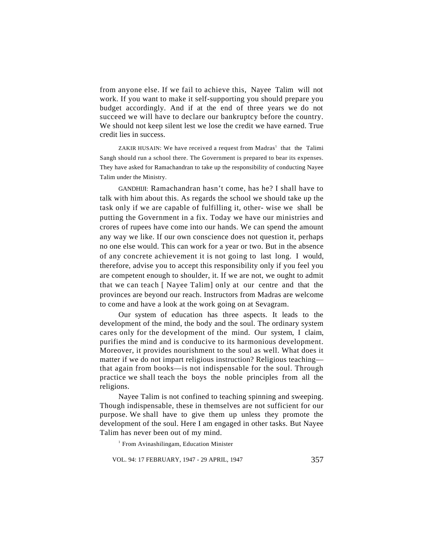from anyone else. If we fail to achieve this, Nayee Talim will not work. If you want to make it self-supporting you should prepare you budget accordingly. And if at the end of three years we do not succeed we will have to declare our bankruptcy before the country. We should not keep silent lest we lose the credit we have earned. True credit lies in success.

ZAKIR HUSAIN: We have received a request from Madras<sup>1</sup> that the Talimi Sangh should run a school there. The Government is prepared to bear its expenses. They have asked for Ramachandran to take up the responsibility of conducting Nayee Talim under the Ministry.

GANDHIJI: Ramachandran hasn't come, has he? I shall have to talk with him about this. As regards the school we should take up the task only if we are capable of fulfilling it, other- wise we shall be putting the Government in a fix. Today we have our ministries and crores of rupees have come into our hands. We can spend the amount any way we like. If our own conscience does not question it, perhaps no one else would. This can work for a year or two. But in the absence of any concrete achievement it is not going to last long. I would, therefore, advise you to accept this responsibility only if you feel you are competent enough to shoulder, it. If we are not, we ought to admit that we can teach [ Nayee Talim] only at our centre and that the provinces are beyond our reach. Instructors from Madras are welcome to come and have a look at the work going on at Sevagram.

Our system of education has three aspects. It leads to the development of the mind, the body and the soul. The ordinary system cares only for the development of the mind. Our system, I claim, purifies the mind and is conducive to its harmonious development. Moreover, it provides nourishment to the soul as well. What does it matter if we do not impart religious instruction? Religious teaching that again from books—is not indispensable for the soul. Through practice we shall teach the boys the noble principles from all the religions.

Nayee Talim is not confined to teaching spinning and sweeping. Though indispensable, these in themselves are not sufficient for our purpose. We shall have to give them up unless they promote the development of the soul. Here I am engaged in other tasks. But Nayee Talim has never been out of my mind.

<sup>1</sup> From Avinashilingam, Education Minister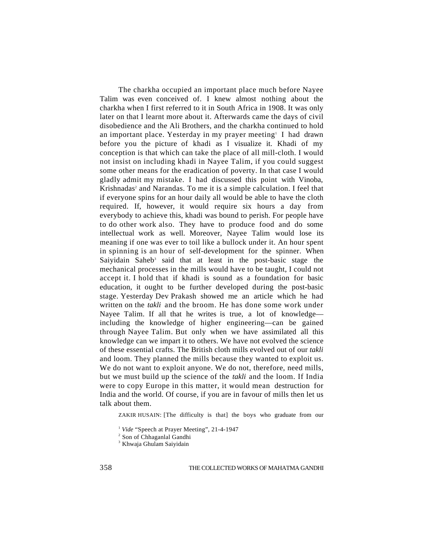The charkha occupied an important place much before Nayee Talim was even conceived of. I knew almost nothing about the charkha when I first referred to it in South Africa in 1908. It was only later on that I learnt more about it. Afterwards came the days of civil disobedience and the Ali Brothers, and the charkha continued to hold an important place. Yesterday in my prayer meeting<sup>1</sup> I had drawn before you the picture of khadi as I visualize it. Khadi of my conception is that which can take the place of all mill-cloth. I would not insist on including khadi in Nayee Talim, if you could suggest some other means for the eradication of poverty. In that case I would gladly admit my mistake. I had discussed this point with Vinoba, Krishnadas<sup>2</sup> and Narandas. To me it is a simple calculation. I feel that if everyone spins for an hour daily all would be able to have the cloth required. If, however, it would require six hours a day from everybody to achieve this, khadi was bound to perish. For people have to do other work also. They have to produce food and do some intellectual work as well. Moreover, Nayee Talim would lose its meaning if one was ever to toil like a bullock under it. An hour spent in spinning is an hour of self-development for the spinner. When Saiyidain Saheb<sup>3</sup> said that at least in the post-basic stage the mechanical processes in the mills would have to be taught, I could not accept it. I hold that if khadi is sound as a foundation for basic education, it ought to be further developed during the post-basic stage. Yesterday Dev Prakash showed me an article which he had written on the *takli* and the broom. He has done some work under Nayee Talim. If all that he writes is true, a lot of knowledge including the knowledge of higher engineering—can be gained through Nayee Talim. But only when we have assimilated all this knowledge can we impart it to others. We have not evolved the science of these essential crafts. The British cloth mills evolved out of our *takli* and loom. They planned the mills because they wanted to exploit us. We do not want to exploit anyone. We do not, therefore, need mills, but we must build up the science of the *takli* and the loom. If India were to copy Europe in this matter, it would mean destruction for India and the world. Of course, if you are in favour of mills then let us talk about them.

ZAKIR HUSAIN: [The difficulty is that] the boys who graduate from our

<sup>1</sup> *Vide* "Speech at Prayer Meeting", 21-4-1947

<sup>2</sup> Son of Chhaganlal Gandhi

3 Khwaja Ghulam Saiyidain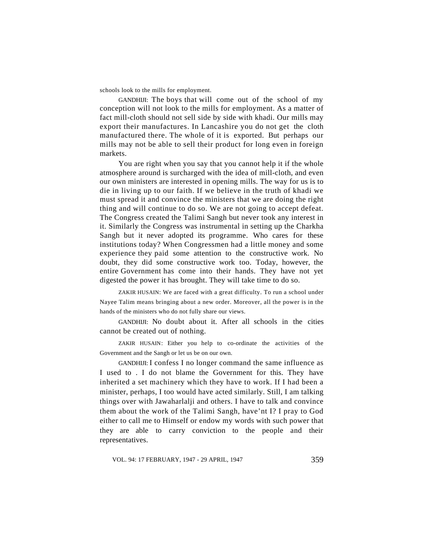schools look to the mills for employment.

GANDHIJI: The boys that will come out of the school of my conception will not look to the mills for employment. As a matter of fact mill-cloth should not sell side by side with khadi. Our mills may export their manufactures. In Lancashire you do not get the cloth manufactured there. The whole of it is exported. But perhaps our mills may not be able to sell their product for long even in foreign markets.

You are right when you say that you cannot help it if the whole atmosphere around is surcharged with the idea of mill-cloth, and even our own ministers are interested in opening mills. The way for us is to die in living up to our faith. If we believe in the truth of khadi we must spread it and convince the ministers that we are doing the right thing and will continue to do so. We are not going to accept defeat. The Congress created the Talimi Sangh but never took any interest in it. Similarly the Congress was instrumental in setting up the Charkha Sangh but it never adopted its programme. Who cares for these institutions today? When Congressmen had a little money and some experience they paid some attention to the constructive work. No doubt, they did some constructive work too. Today, however, the entire Government has come into their hands. They have not yet digested the power it has brought. They will take time to do so.

ZAKIR HUSAIN: We are faced with a great difficulty. To run a school under Nayee Talim means bringing about a new order. Moreover, all the power is in the hands of the ministers who do not fully share our views.

GANDHIJI: No doubt about it. After all schools in the cities cannot be created out of nothing.

ZAKIR HUSAIN: Either you help to co-ordinate the activities of the Government and the Sangh or let us be on our own.

GANDHIJI: I confess I no longer command the same influence as I used to . I do not blame the Government for this. They have inherited a set machinery which they have to work. If I had been a minister, perhaps, I too would have acted similarly. Still, I am talking things over with Jawaharlalji and others. I have to talk and convince them about the work of the Talimi Sangh, have'nt I? I pray to God either to call me to Himself or endow my words with such power that they are able to carry conviction to the people and their representatives.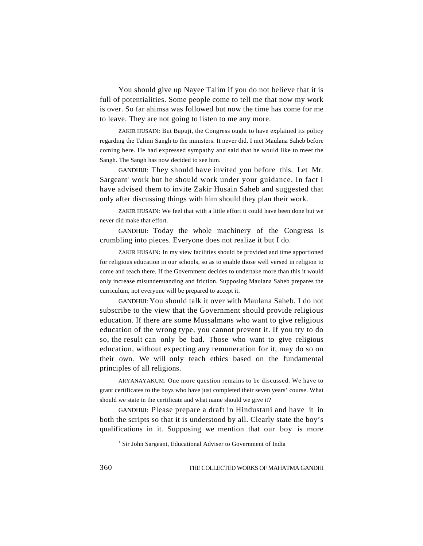You should give up Nayee Talim if you do not believe that it is full of potentialities. Some people come to tell me that now my work is over. So far ahimsa was followed but now the time has come for me to leave. They are not going to listen to me any more.

ZAKIR HUSAIN: But Bapuji, the Congress ought to have explained its policy regarding the Talimi Sangh to the ministers. It never did. I met Maulana Saheb before coming here. He had expressed sympathy and said that he would like to meet the Sangh. The Sangh has now decided to see him.

GANDHIJI: They should have invited you before this. Let Mr. Sargeant' work but he should work under your guidance. In fact I have advised them to invite Zakir Husain Saheb and suggested that only after discussing things with him should they plan their work.

ZAKIR HUSAIN: We feel that with a little effort it could have been done but we never did make that effort.

GANDHIJI: Today the whole machinery of the Congress is crumbling into pieces. Everyone does not realize it but I do.

ZAKIR HUSAIN: In my view facilities should be provided and time apportioned for religious education in our schools, so as to enable those well versed in religion to come and teach there. If the Government decides to undertake more than this it would only increase misunderstanding and friction. Supposing Maulana Saheb prepares the curriculum, not everyone will be prepared to accept it.

GANDHIJI: You should talk it over with Maulana Saheb. I do not subscribe to the view that the Government should provide religious education. If there are some Mussalmans who want to give religious education of the wrong type, you cannot prevent it. If you try to do so, the result can only be bad. Those who want to give religious education, without expecting any remuneration for it, may do so on their own. We will only teach ethics based on the fundamental principles of all religions.

ARYANAYAKUM: One more question remains to be discussed. We have to grant certificates to the boys who have just completed their seven years' course. What should we state in the certificate and what name should we give it?

GANDHIJI: Please prepare a draft in Hindustani and have it in both the scripts so that it is understood by all. Clearly state the boy's qualifications in it. Supposing we mention that our boy is more

<sup>1</sup> Sir John Sargeant, Educational Adviser to Government of India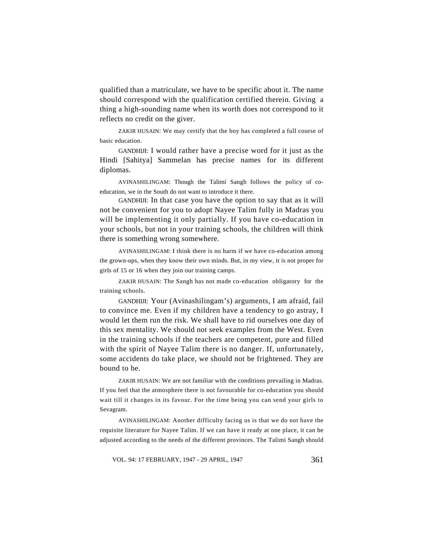qualified than a matriculate, we have to be specific about it. The name should correspond with the qualification certified therein. Giving a thing a high-sounding name when its worth does not correspond to it reflects no credit on the giver.

ZAKIR HUSAIN: We may certify that the boy has completed a full course of basic education.

GANDHIJI: I would rather have a precise word for it just as the Hindi [Sahitya] Sammelan has precise names for its different diplomas.

AVINASHILINGAM: Though the Talimi Sangh follows the policy of coeducation, we in the South do not want to introduce it there.

GANDHIJI: In that case you have the option to say that as it will not be convenient for you to adopt Nayee Talim fully in Madras you will be implementing it only partially. If you have co-education in your schools, but not in your training schools, the children will think there is something wrong somewhere.

AVINASHILINGAM: I think there is no harm if we have co-education among the grown-ups, when they know their own minds. But, in my view, it is not proper for girls of 15 or 16 when they join our training camps.

ZAKIR HUSAIN: The Sangh has not made co-education obligatory for the training schools.

GANDHIJI: Your (Avinashilingam's) arguments, I am afraid, fail to convince me. Even if my children have a tendency to go astray, I would let them run the risk. We shall have to rid ourselves one day of this sex mentality. We should not seek examples from the West. Even in the training schools if the teachers are competent, pure and filled with the spirit of Nayee Talim there is no danger. If, unfortunately, some accidents do take place, we should not be frightened. They are bound to be.

ZAKIR HUSAIN: We are not familiar with the conditions prevailing in Madras. If you feel that the atmosphere there is not favourable for co-education you should wait till it changes in its favour. For the time being you can send your girls to Sevagram.

AVINASHILINGAM: Another difficulty facing us is that we do not have the requisite literature for Nayee Talim. If we can have it ready at one place, it can be adjusted according to the needs of the different provinces. The Talimi Sangh should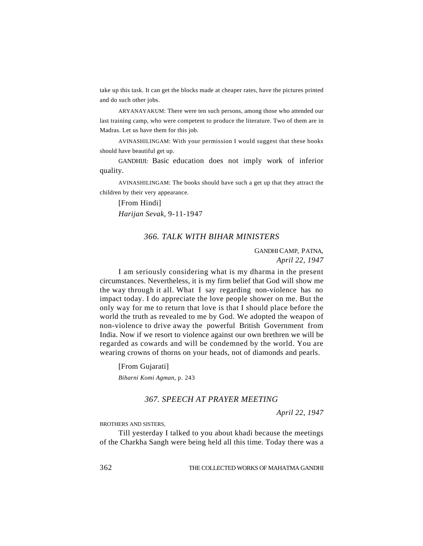take up this task. It can get the blocks made at cheaper rates, have the pictures printed and do such other jobs.

ARYANAYAKUM: There were ten such persons, among those who attended our last training camp, who were competent to produce the literature. Two of them are in Madras. Let us have them for this job.

AVINASHILINGAM: With your permission I would suggest that these books should have beautiful get up.

GANDHIJI: Basic education does not imply work of inferior quality.

AVINASHILINGAM: The books should have such a get up that they attract the children by their very appearance.

[From Hindi] *Harijan Sevak,* 9-11-1947

# *366. TALK WITH BIHAR MINISTERS*

### GANDHI CAMP, PATNA, *April 22, 1947*

I am seriously considering what is my dharma in the present circumstances. Nevertheless, it is my firm belief that God will show me the way through it all. What I say regarding non-violence has no impact today. I do appreciate the love people shower on me. But the only way for me to return that love is that I should place before the world the truth as revealed to me by God. We adopted the weapon of non-violence to drive away the powerful British Government from India. Now if we resort to violence against our own brethren we will be regarded as cowards and will be condemned by the world. You are wearing crowns of thorns on your heads, not of diamonds and pearls.

[From Gujarati] *Biharni Komi Agman,* p. 243

# *367. SPEECH AT PRAYER MEETING*

*April 22, 1947*

BROTHERS AND SISTERS,

Till yesterday I talked to you about khadi because the meetings of the Charkha Sangh were being held all this time. Today there was a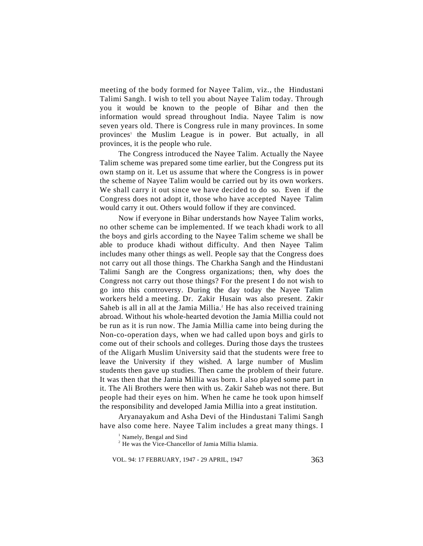meeting of the body formed for Nayee Talim, viz., the Hindustani Talimi Sangh. I wish to tell you about Nayee Talim today. Through you it would be known to the people of Bihar and then the information would spread throughout India. Nayee Talim is now seven years old. There is Congress rule in many provinces. In some provinces<sup>1</sup> the Muslim League is in power. But actually, in all provinces, it is the people who rule.

The Congress introduced the Nayee Talim. Actually the Nayee Talim scheme was prepared some time earlier, but the Congress put its own stamp on it. Let us assume that where the Congress is in power the scheme of Nayee Talim would be carried out by its own workers. We shall carry it out since we have decided to do so. Even if the Congress does not adopt it, those who have accepted Nayee Talim would carry it out. Others would follow if they are convinced.

Now if everyone in Bihar understands how Nayee Talim works, no other scheme can be implemented. If we teach khadi work to all the boys and girls according to the Nayee Talim scheme we shall be able to produce khadi without difficulty. And then Nayee Talim includes many other things as well. People say that the Congress does not carry out all those things. The Charkha Sangh and the Hindustani Talimi Sangh are the Congress organizations; then, why does the Congress not carry out those things? For the present I do not wish to go into this controversy. During the day today the Nayee Talim workers held a meeting. Dr. Zakir Husain was also present. Zakir Saheb is all in all at the Jamia Millia.<sup>2</sup> He has also received training abroad. Without his whole-hearted devotion the Jamia Millia could not be run as it is run now. The Jamia Millia came into being during the Non-co-operation days, when we had called upon boys and girls to come out of their schools and colleges. During those days the trustees of the Aligarh Muslim University said that the students were free to leave the University if they wished. A large number of Muslim students then gave up studies. Then came the problem of their future. It was then that the Jamia Millia was born. I also played some part in it. The Ali Brothers were then with us. Zakir Saheb was not there. But people had their eyes on him. When he came he took upon himself the responsibility and developed Jamia Millia into a great institution.

Aryanayakum and Asha Devi of the Hindustani Talimi Sangh have also come here. Nayee Talim includes a great many things. I

<sup>1</sup> Namely, Bengal and Sind

2 He was the Vice-Chancellor of Jamia Millia Islamia.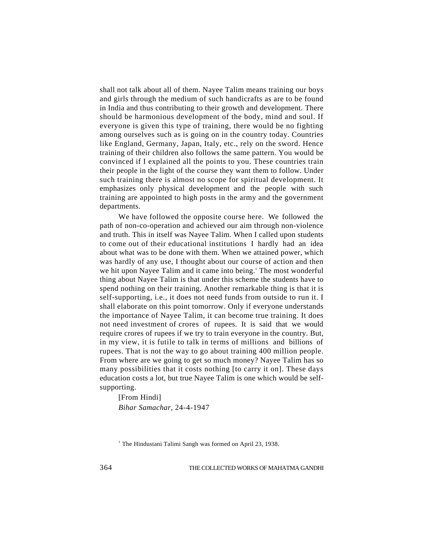shall not talk about all of them. Nayee Talim means training our boys and girls through the medium of such handicrafts as are to be found in India and thus contributing to their growth and development. There should be harmonious development of the body, mind and soul. If everyone is given this type of training, there would be no fighting among ourselves such as is going on in the country today. Countries like England, Germany, Japan, Italy, etc., rely on the sword. Hence training of their children also follows the same pattern. You would be convinced if I explained all the points to you. These countries train their people in the light of the course they want them to follow. Under such training there is almost no scope for spiritual development. It emphasizes only physical development and the people with such training are appointed to high posts in the army and the government departments.

We have followed the opposite course here. We followed the path of non-co-operation and achieved our aim through non-violence and truth. This in itself was Nayee Talim. When I called upon students to come out of their educational institutions I hardly had an idea about what was to be done with them. When we attained power, which was hardly of any use, I thought about our course of action and then we hit upon Nayee Talim and it came into being.<sup>1</sup> The most wonderful thing about Nayee Talim is that under this scheme the students have to spend nothing on their training. Another remarkable thing is that it is self-supporting, i.e., it does not need funds from outside to run it. I shall elaborate on this point tomorrow. Only if everyone understands the importance of Nayee Talim, it can become true training. It does not need investment of crores of rupees. It is said that we would require crores of rupees if we try to train everyone in the country. But, in my view, it is futile to talk in terms of millions and billions of rupees. That is not the way to go about training 400 million people. From where are we going to get so much money? Nayee Talim has so many possibilities that it costs nothing [to carry it on]. These days education costs a lot, but true Nayee Talim is one which would be selfsupporting.

[From Hindi] *Bihar Samachar,* 24-4-1947

<sup>&</sup>lt;sup>1</sup> The Hindustani Talimi Sangh was formed on April 23, 1938.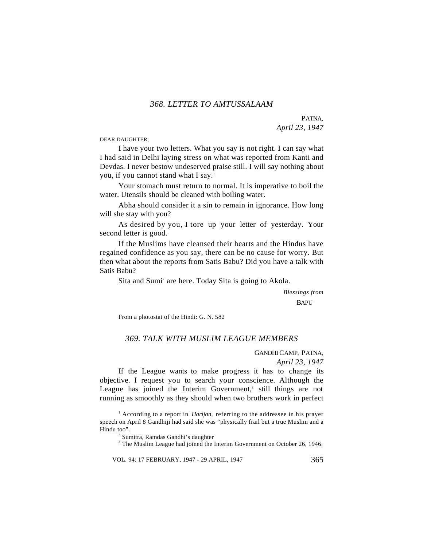### *368. LETTER TO AMTUSSALAAM*

**PATNA** *April 23, 1947*

DEAR DAUGHTER,

I have your two letters. What you say is not right. I can say what I had said in Delhi laying stress on what was reported from Kanti and Devdas. I never bestow undeserved praise still. I will say nothing about you, if you cannot stand what I say.<sup>1</sup>

Your stomach must return to normal. It is imperative to boil the water. Utensils should be cleaned with boiling water.

Abha should consider it a sin to remain in ignorance. How long will she stay with you?

As desired by you, I tore up your letter of yesterday. Your second letter is good.

If the Muslims have cleansed their hearts and the Hindus have regained confidence as you say, there can be no cause for worry. But then what about the reports from Satis Babu? Did you have a talk with Satis Babu?

Sita and Sumi<sup>2</sup> are here. Today Sita is going to Akola.

*Blessings from* **BAPU** 

From a photostat of the Hindi: G. N. 582

### *369. TALK WITH MUSLIM LEAGUE MEMBERS*

GANDHI CAMP, PATNA,

*April 23, 1947*

If the League wants to make progress it has to change its objective. I request you to search your conscience. Although the League has joined the Interim Government,<sup>3</sup> still things are not running as smoothly as they should when two brothers work in perfect

<sup>&</sup>lt;sup>1</sup> According to a report in *Harijan*, referring to the addressee in his prayer speech on April 8 Gandhiji had said she was "physically frail but a true Muslim and a Hindu too".

<sup>2</sup> Sumitra, Ramdas Gandhi's daughter

<sup>&</sup>lt;sup>3</sup> The Muslim League had joined the Interim Government on October 26, 1946.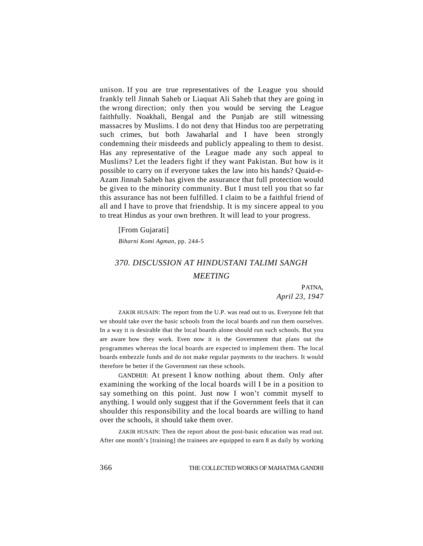unison. If you are true representatives of the League you should frankly tell Jinnah Saheb or Liaquat Ali Saheb that they are going in the wrong direction; only then you would be serving the League faithfully. Noakhali, Bengal and the Punjab are still witnessing massacres by Muslims. I do not deny that Hindus too are perpetrating such crimes, but both Jawaharlal and I have been strongly condemning their misdeeds and publicly appealing to them to desist. Has any representative of the League made any such appeal to Muslims? Let the leaders fight if they want Pakistan. But how is it possible to carry on if everyone takes the law into his hands? Quaid-e-Azam Jinnah Saheb has given the assurance that full protection would be given to the minority community. But I must tell you that so far this assurance has not been fulfilled. I claim to be a faithful friend of all and I have to prove that friendship. It is my sincere appeal to you to treat Hindus as your own brethren. It will lead to your progress.

[From Gujarati]

*Biharni Komi Agman,* pp. 244-5

# *370. DISCUSSION AT HINDUSTANI TALIMI SANGH MEETING*

PATNA, *April 23, 1947*

ZAKIR HUSAIN: The report from the U.P. was read out to us. Everyone felt that we should take over the basic schools from the local boards and run them ourselves. In a way it is desirable that the local boards alone should run such schools. But you are aware how they work. Even now it is the Government that plans out the programmes whereas the local boards are expected to implement them. The local boards embezzle funds and do not make regular payments to the teachers. It would therefore be better if the Government ran these schools.

GANDHIJI: At present I know nothing about them. Only after examining the working of the local boards will I be in a position to say something on this point. Just now I won't commit myself to anything. I would only suggest that if the Government feels that it can shoulder this responsibility and the local boards are willing to hand over the schools, it should take them over.

ZAKIR HUSAIN: Then the report about the post-basic education was read out. After one month's [training] the trainees are equipped to earn 8 as daily by working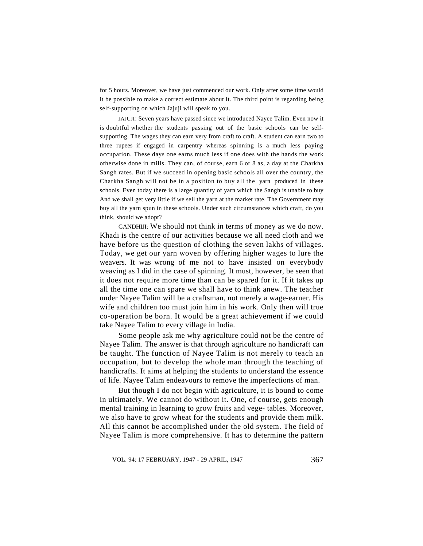for 5 hours. Moreover, we have just commenced our work. Only after some time would it be possible to make a correct estimate about it. The third point is regarding being self-supporting on which Jajuji will speak to you.

JAJUJI: Seven years have passed since we introduced Nayee Talim. Even now it is doubtful whether the students passing out of the basic schools can be selfsupporting. The wages they can earn very from craft to craft. A student can earn two to three rupees if engaged in carpentry whereas spinning is a much less paying occupation. These days one earns much less if one does with the hands the work otherwise done in mills. They can, of course, earn 6 or 8 as, a day at the Charkha Sangh rates. But if we succeed in opening basic schools all over the country, the Charkha Sangh will not be in a position to buy all the yarn produced in these schools. Even today there is a large quantity of yarn which the Sangh is unable to buy And we shall get very little if we sell the yarn at the market rate. The Government may buy all the yarn spun in these schools. Under such circumstances which craft, do you think, should we adopt?

GANDHIJI: We should not think in terms of money as we do now. Khadi is the centre of our activities because we all need cloth and we have before us the question of clothing the seven lakhs of villages. Today, we get our yarn woven by offering higher wages to lure the weavers. It was wrong of me not to have insisted on everybody weaving as I did in the case of spinning. It must, however, be seen that it does not require more time than can be spared for it. If it takes up all the time one can spare we shall have to think anew. The teacher under Nayee Talim will be a craftsman, not merely a wage-earner. His wife and children too must join him in his work. Only then will true co-operation be born. It would be a great achievement if we could take Nayee Talim to every village in India.

Some people ask me why agriculture could not be the centre of Nayee Talim. The answer is that through agriculture no handicraft can be taught. The function of Nayee Talim is not merely to teach an occupation, but to develop the whole man through the teaching of handicrafts. It aims at helping the students to understand the essence of life. Nayee Talim endeavours to remove the imperfections of man.

But though I do not begin with agriculture, it is bound to come in ultimately. We cannot do without it. One, of course, gets enough mental training in learning to grow fruits and vege- tables. Moreover, we also have to grow wheat for the students and provide them milk. All this cannot be accomplished under the old system. The field of Nayee Talim is more comprehensive. It has to determine the pattern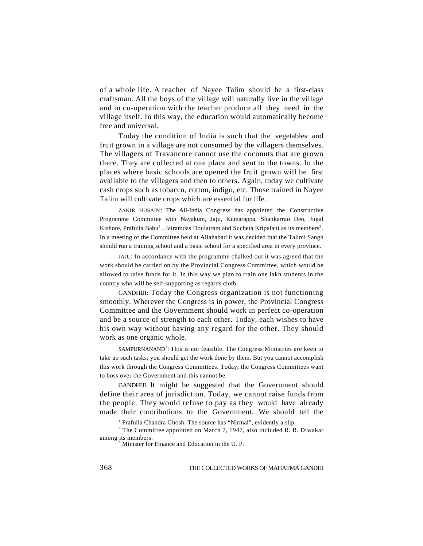of a whole life. A teacher of Nayee Talim should be a first-class craftsman. All the boys of the village will naturally live in the village and in co-operation with the teacher produce all they need in the village itself. In this way, the education would automatically become free and universal.

Today the condition of India is such that the vegetables and fruit grown in a village are not consumed by the villagers themselves. The villagers of Travancore cannot use the coconuts that are grown there. They are collected at one place and sent to the towns. In the places where basic schools are opened the fruit grown will be first available to the villagers and then to others. Again, today we cultivate cash crops such as tobacco, cotton, indigo, etc. Those trained in Nayee Talim will cultivate crops which are essential for life.

ZAKIR HUSAIN: The All-India Congress has appointed the Constructive Programme Committee with Nayakum, Jaju, Kumarappa, Shankarrao Deo, Jugal Kishore, Prafulla Babu<sup>1</sup>, Jairamdas Doulatram and Sucheta Kripalani as its members<sup>2</sup>. In a meeting of the Committee held at Allahabad it was decided that the Talimi Sangh should run a training school and a basic school for a specified area in every province.

JAJU: In accordance with the programme chalked out it was agreed that the work should be carried on by the Provincial Congress Committee, which would be allowed to raise funds for it. In this way we plan to train one lakh students in the country who will be self-supporting as regards cloth.

GANDHIJI: Today the Congress organization is not functioning smoothly. Wherever the Congress is in power, the Provincial Congress Committee and the Government should work in perfect co-operation and be a source of strength to each other. Today, each wishes to have his own way without having any regard for the other. They should work as one organic whole.

SAMPURNANAND<sup>3</sup>: This is not feasible. The Congress Ministries are keen to take up such tasks; you should get the work done by them. But you cannot accomplish this work through the Congress Committees. Today, the Congress Committees want to boss over the Government and this cannot be.

GANDHIJI: It might be suggested that the Government should define their area of jurisdiction. Today, we cannot raise funds from the people. They would refuse to pay as they would have already made their contributions to the Government. We should tell the

<sup>1</sup> Prafulla Chandra Ghosh. The source has "Nirmal", evidently a slip.

 $2$  The Committee appointed on March 7, 1947, also included R. R. Diwakar among its members.

3 Minister for Finance and Education in the U. P.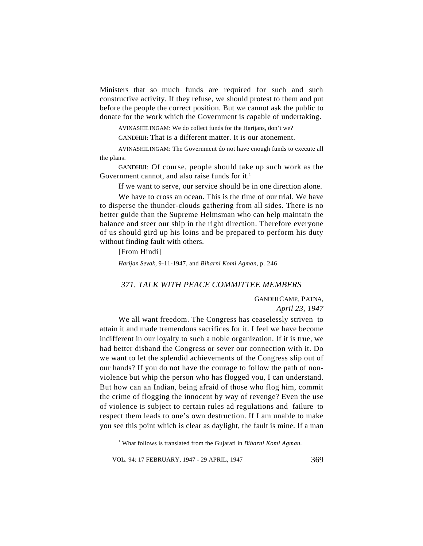Ministers that so much funds are required for such and such constructive activity. If they refuse, we should protest to them and put before the people the correct position. But we cannot ask the public to donate for the work which the Government is capable of undertaking.

AVINASHILINGAM: We do collect funds for the Harijans, don't we?

GANDHIJI: That is a different matter. It is our atonement.

AVINASHILINGAM: The Government do not have enough funds to execute all the plans.

GANDHIJI: Of course, people should take up such work as the Government cannot, and also raise funds for  $it$ .<sup>1</sup>

If we want to serve, our service should be in one direction alone.

We have to cross an ocean. This is the time of our trial. We have to disperse the thunder-clouds gathering from all sides. There is no better guide than the Supreme Helmsman who can help maintain the balance and steer our ship in the right direction. Therefore everyone of us should gird up his loins and be prepared to perform his duty without finding fault with others.

[From Hindi]

*Harijan Sevak,* 9-11-1947, and *Biharni Komi Agman,* p. 246

### *371. TALK WITH PEACE COMMITTEE MEMBERS*

### GANDHI CAMP, PATNA, *April 23, 1947*

We all want freedom. The Congress has ceaselessly striven to attain it and made tremendous sacrifices for it. I feel we have become indifferent in our loyalty to such a noble organization. If it is true, we had better disband the Congress or sever our connection with it. Do we want to let the splendid achievements of the Congress slip out of our hands? If you do not have the courage to follow the path of nonviolence but whip the person who has flogged you, I can understand. But how can an Indian, being afraid of those who flog him, commit the crime of flogging the innocent by way of revenge? Even the use of violence is subject to certain rules ad regulations and failure to respect them leads to one's own destruction. If I am unable to make you see this point which is clear as daylight, the fault is mine. If a man

<sup>1</sup> What follows is translated from the Gujarati in *Biharni Komi Agman*.

VOL. 94: 17 FEBRUARY, 1947 - 29 APRIL, 1947 369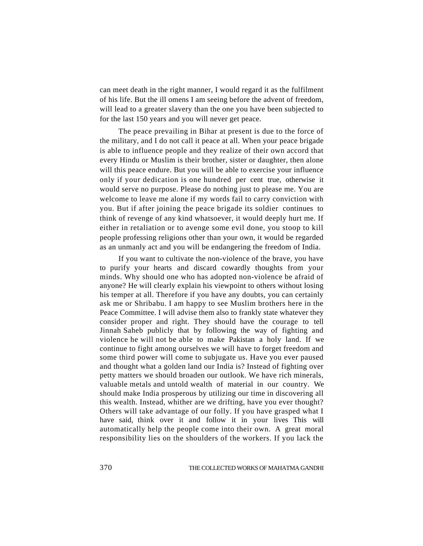can meet death in the right manner, I would regard it as the fulfilment of his life. But the ill omens I am seeing before the advent of freedom, will lead to a greater slavery than the one you have been subjected to for the last 150 years and you will never get peace.

The peace prevailing in Bihar at present is due to the force of the military, and I do not call it peace at all. When your peace brigade is able to influence people and they realize of their own accord that every Hindu or Muslim is their brother, sister or daughter, then alone will this peace endure. But you will be able to exercise your influence only if your dedication is one hundred per cent true, otherwise it would serve no purpose. Please do nothing just to please me. You are welcome to leave me alone if my words fail to carry conviction with you. But if after joining the peace brigade its soldier continues to think of revenge of any kind whatsoever, it would deeply hurt me. If either in retaliation or to avenge some evil done, you stoop to kill people professing religions other than your own, it would be regarded as an unmanly act and you will be endangering the freedom of India.

If you want to cultivate the non-violence of the brave, you have to purify your hearts and discard cowardly thoughts from your minds. Why should one who has adopted non-violence be afraid of anyone? He will clearly explain his viewpoint to others without losing his temper at all. Therefore if you have any doubts, you can certainly ask me or Shribabu. I am happy to see Muslim brothers here in the Peace Committee. I will advise them also to frankly state whatever they consider proper and right. They should have the courage to tell Jinnah Saheb publicly that by following the way of fighting and violence he will not be able to make Pakistan a holy land. If we continue to fight among ourselves we will have to forget freedom and some third power will come to subjugate us. Have you ever paused and thought what a golden land our India is? Instead of fighting over petty matters we should broaden our outlook. We have rich minerals, valuable metals and untold wealth of material in our country. We should make India prosperous by utilizing our time in discovering all this wealth. Instead, whither are we drifting, have you ever thought? Others will take advantage of our folly. If you have grasped what I have said, think over it and follow it in your lives This will automatically help the people come into their own. A great moral responsibility lies on the shoulders of the workers. If you lack the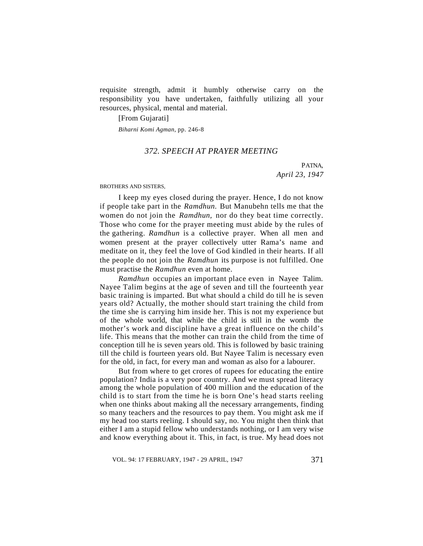requisite strength, admit it humbly otherwise carry on the responsibility you have undertaken, faithfully utilizing all your resources, physical, mental and material.

[From Gujarati]

*Biharni Komi Agman,* pp. 246-8

### *372. SPEECH AT PRAYER MEETING*

PATNA, *April 23, 1947*

#### BROTHERS AND SISTERS,

I keep my eyes closed during the prayer. Hence, I do not know if people take part in the *Ramdhun.* But Manubehn tells me that the women do not join the *Ramdhun,* nor do they beat time correctly. Those who come for the prayer meeting must abide by the rules of the gathering. *Ramdhun* is a collective prayer. When all men and women present at the prayer collectively utter Rama's name and meditate on it, they feel the love of God kindled in their hearts. If all the people do not join the *Ramdhun* its purpose is not fulfilled. One must practise the *Ramdhun* even at home.

*Ramdhun* occupies an important place even in Nayee Talim. Nayee Talim begins at the age of seven and till the fourteenth year basic training is imparted. But what should a child do till he is seven years old? Actually, the mother should start training the child from the time she is carrying him inside her. This is not my experience but of the whole world, that while the child is still in the womb the mother's work and discipline have a great influence on the child's life. This means that the mother can train the child from the time of conception till he is seven years old. This is followed by basic training till the child is fourteen years old. But Nayee Talim is necessary even for the old, in fact, for every man and woman as also for a labourer.

But from where to get crores of rupees for educating the entire population? India is a very poor country. And we must spread literacy among the whole population of 400 million and the education of the child is to start from the time he is born One's head starts reeling when one thinks about making all the necessary arrangements, finding so many teachers and the resources to pay them. You might ask me if my head too starts reeling. I should say, no. You might then think that either I am a stupid fellow who understands nothing, or I am very wise and know everything about it. This, in fact, is true. My head does not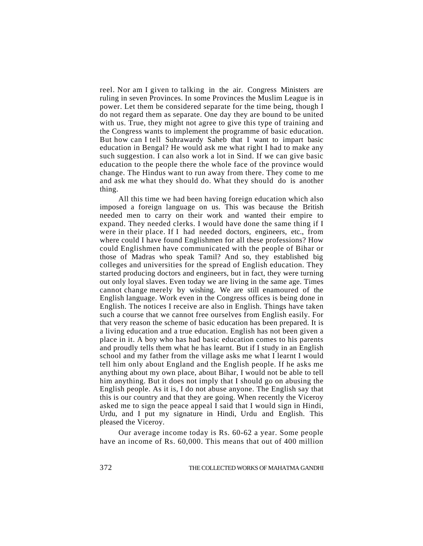reel. Nor am I given to talking in the air. Congress Ministers are ruling in seven Provinces. In some Provinces the Muslim League is in power. Let them be considered separate for the time being, though I do not regard them as separate. One day they are bound to be united with us. True, they might not agree to give this type of training and the Congress wants to implement the programme of basic education. But how can I tell Suhrawardy Saheb that I want to impart basic education in Bengal? He would ask me what right I had to make any such suggestion. I can also work a lot in Sind. If we can give basic education to the people there the whole face of the province would change. The Hindus want to run away from there. They come to me and ask me what they should do. What they should do is another thing.

All this time we had been having foreign education which also imposed a foreign language on us. This was because the British needed men to carry on their work and wanted their empire to expand. They needed clerks. I would have done the same thing if I were in their place. If I had needed doctors, engineers, etc., from where could I have found Englishmen for all these professions? How could Englishmen have communicated with the people of Bihar or those of Madras who speak Tamil? And so, they established big colleges and universities for the spread of English education. They started producing doctors and engineers, but in fact, they were turning out only loyal slaves. Even today we are living in the same age. Times cannot change merely by wishing. We are still enamoured of the English language. Work even in the Congress offices is being done in English. The notices I receive are also in English. Things have taken such a course that we cannot free ourselves from English easily. For that very reason the scheme of basic education has been prepared. It is a living education and a true education. English has not been given a place in it. A boy who has had basic education comes to his parents and proudly tells them what he has learnt. But if I study in an English school and my father from the village asks me what I learnt I would tell him only about England and the English people. If he asks me anything about my own place, about Bihar, I would not be able to tell him anything. But it does not imply that I should go on abusing the English people. As it is, I do not abuse anyone. The English say that this is our country and that they are going. When recently the Viceroy asked me to sign the peace appeal I said that I would sign in Hindi, Urdu, and I put my signature in Hindi, Urdu and English. This pleased the Viceroy.

Our average income today is Rs. 60-62 a year. Some people have an income of Rs. 60,000. This means that out of 400 million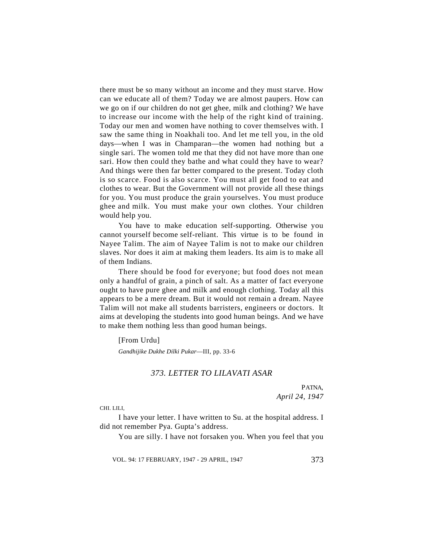there must be so many without an income and they must starve. How can we educate all of them? Today we are almost paupers. How can we go on if our children do not get ghee, milk and clothing? We have to increase our income with the help of the right kind of training. Today our men and women have nothing to cover themselves with. I saw the same thing in Noakhali too. And let me tell you, in the old days—when I was in Champaran—the women had nothing but a single sari. The women told me that they did not have more than one sari. How then could they bathe and what could they have to wear? And things were then far better compared to the present. Today cloth is so scarce. Food is also scarce. You must all get food to eat and clothes to wear. But the Government will not provide all these things for you. You must produce the grain yourselves. You must produce ghee and milk. You must make your own clothes. Your children would help you.

You have to make education self-supporting. Otherwise you cannot yourself become self-reliant. This virtue is to be found in Nayee Talim. The aim of Nayee Talim is not to make our children slaves. Nor does it aim at making them leaders. Its aim is to make all of them Indians.

There should be food for everyone; but food does not mean only a handful of grain, a pinch of salt. As a matter of fact everyone ought to have pure ghee and milk and enough clothing. Today all this appears to be a mere dream. But it would not remain a dream. Nayee Talim will not make all students barristers, engineers or doctors. It aims at developing the students into good human beings. And we have to make them nothing less than good human beings.

[From Urdu] *Gandhijike Dukhe Dilki Pukar*—III, pp. 33-6

# *373. LETTER TO LILAVATI ASAR*

PATNA, *April 24, 1947*

CHI. LILI,

I have your letter. I have written to Su. at the hospital address. I did not remember Pya. Gupta's address.

You are silly. I have not forsaken you. When you feel that you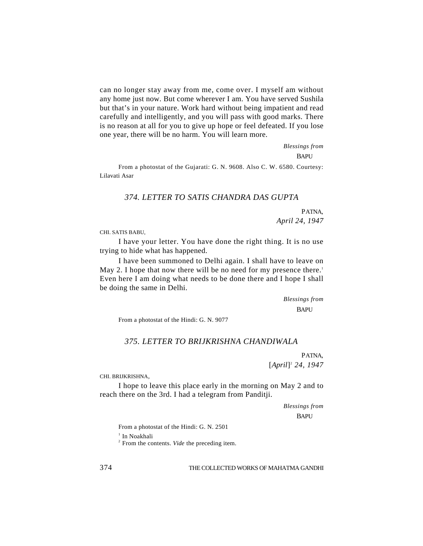can no longer stay away from me, come over. I myself am without any home just now. But come wherever I am. You have served Sushila but that's in your nature. Work hard without being impatient and read carefully and intelligently, and you will pass with good marks. There is no reason at all for you to give up hope or feel defeated. If you lose one year, there will be no harm. You will learn more.

*Blessings from*

**BAPU** 

From a photostat of the Gujarati: G. N. 9608. Also C. W. 6580. Courtesy: Lilavati Asar

### *374. LETTER TO SATIS CHANDRA DAS GUPTA*

PATNA, *April 24, 1947*

CHI. SATIS BABU,

I have your letter. You have done the right thing. It is no use trying to hide what has happened.

I have been summoned to Delhi again. I shall have to leave on May 2. I hope that now there will be no need for my presence there.<sup>1</sup> Even here I am doing what needs to be done there and I hope I shall be doing the same in Delhi.

> *Blessings from* **BAPU**

From a photostat of the Hindi: G. N. 9077

### *375. LETTER TO BRIJKRISHNA CHANDIWALA*

PATNA, [*April*] <sup>2</sup> *24, 1947*

CHI. BRIJKRISHNA,

I hope to leave this place early in the morning on May 2 and to reach there on the 3rd. I had a telegram from Panditji.

> *Blessings from* **BAPU**

From a photostat of the Hindi: G. N. 2501

<sup>1</sup> In Noakhali

2 From the contents. *Vide* the preceding item.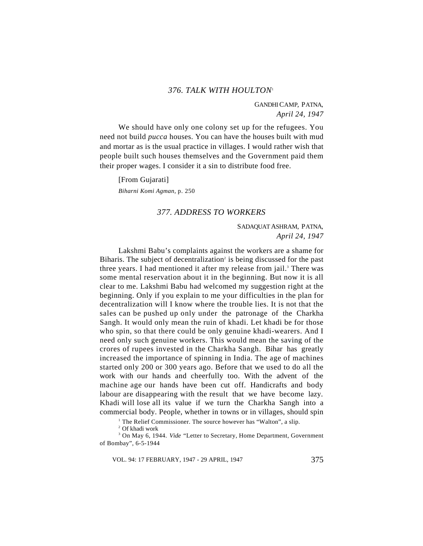### *376. TALK WITH HOULTON*<sup>1</sup>

GANDHI CAMP, PATNA, *April 24, 1947*

We should have only one colony set up for the refugees. You need not build *pucca* houses. You can have the houses built with mud and mortar as is the usual practice in villages. I would rather wish that people built such houses themselves and the Government paid them their proper wages. I consider it a sin to distribute food free.

[From Gujarati] *Biharni Komi Agman,* p. 250

### *377. ADDRESS TO WORKERS*

### SADAQUAT ASHRAM, PATNA, *April 24, 1947*

Lakshmi Babu's complaints against the workers are a shame for Biharis. The subject of decentralization<sup>2</sup> is being discussed for the past three years. I had mentioned it after my release from jail.<sup>3</sup> There was some mental reservation about it in the beginning. But now it is all clear to me. Lakshmi Babu had welcomed my suggestion right at the beginning. Only if you explain to me your difficulties in the plan for decentralization will I know where the trouble lies. It is not that the sales can be pushed up only under the patronage of the Charkha Sangh. It would only mean the ruin of khadi. Let khadi be for those who spin, so that there could be only genuine khadi-wearers. And I need only such genuine workers. This would mean the saving of the crores of rupees invested in the Charkha Sangh. Bihar has greatly increased the importance of spinning in India. The age of machines started only 200 or 300 years ago. Before that we used to do all the work with our hands and cheerfully too. With the advent of the machine age our hands have been cut off. Handicrafts and body labour are disappearing with the result that we have become lazy. Khadi will lose all its value if we turn the Charkha Sangh into a commercial body. People, whether in towns or in villages, should spin

<sup>1</sup> The Relief Commissioner. The source however has "Walton", a slip.

2 Of khadi work

<sup>3</sup> On May 6, 1944. *Vide* "Letter to Secretary, Home Department, Government of Bombay", 6-5-1944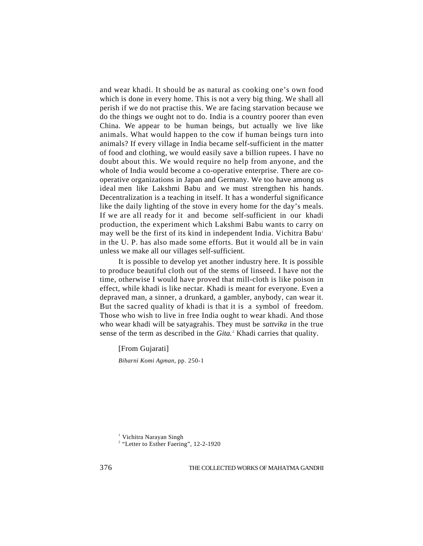and wear khadi. It should be as natural as cooking one's own food which is done in every home. This is not a very big thing. We shall all perish if we do not practise this. We are facing starvation because we do the things we ought not to do. India is a country poorer than even China. We appear to be human beings, but actually we live like animals. What would happen to the cow if human beings turn into animals? If every village in India became self-sufficient in the matter of food and clothing, we would easily save a billion rupees. I have no doubt about this. We would require no help from anyone, and the whole of India would become a co-operative enterprise. There are cooperative organizations in Japan and Germany. We too have among us ideal men like Lakshmi Babu and we must strengthen his hands. Decentralization is a teaching in itself. It has a wonderful significance like the daily lighting of the stove in every home for the day's meals. If we are all ready for it and become self-sufficient in our khadi production, the experiment which Lakshmi Babu wants to carry on may well be the first of its kind in independent India. Vichitra Babu<sup>1</sup> in the U. P. has also made some efforts. But it would all be in vain unless we make all our villages self-sufficient.

It is possible to develop yet another industry here. It is possible to produce beautiful cloth out of the stems of linseed. I have not the time, otherwise I would have proved that mill-cloth is like poison in effect, while khadi is like nectar. Khadi is meant for everyone. Even a depraved man, a sinner, a drunkard, a gambler, anybody, can wear it. But the sacred quality of khadi is that it is a symbol of freedom. Those who wish to live in free India ought to wear khadi. And those who wear khadi will be satyagrahis. They must be *sattvika* in the true sense of the term as described in the Gita.<sup>2</sup> Khadi carries that quality.

[From Gujarati] *Biharni Komi Agman,* pp. 250-1

<sup>1</sup> Vichitra Narayan Singh

<sup>2</sup> "Letter to Esther Faering", 12-2-1920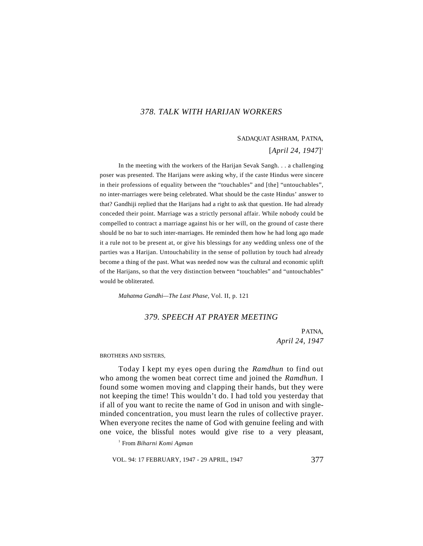### *378. TALK WITH HARIJAN WORKERS*

#### SADAQUAT ASHRAM, PATNA,

### [*April 24, 1947*] 1

In the meeting with the workers of the Harijan Sevak Sangh. . . a challenging poser was presented. The Harijans were asking why, if the caste Hindus were sincere in their professions of equality between the "touchables" and [the] "untouchables", no inter-marriages were being celebrated. What should be the caste Hindus' answer to that? Gandhiji replied that the Harijans had a right to ask that question. He had already conceded their point. Marriage was a strictly personal affair. While nobody could be compelled to contract a marriage against his or her will, on the ground of caste there should be no bar to such inter-marriages. He reminded them how he had long ago made it a rule not to be present at, or give his blessings for any wedding unless one of the parties was a Harijan. Untouchability in the sense of pollution by touch had already become a thing of the past. What was needed now was the cultural and economic uplift of the Harijans, so that the very distinction between "touchables" and "untouchables" would be obliterated.

*Mahatma Gandhi—The Last Phase,* Vol. II, p. 121

### *379. SPEECH AT PRAYER MEETING*

**PATNA** *April 24, 1947*

#### BROTHERS AND SISTERS,

Today I kept my eyes open during the *Ramdhun* to find out who among the women beat correct time and joined the *Ramdhun.* I found some women moving and clapping their hands, but they were not keeping the time! This wouldn't do. I had told you yesterday that if all of you want to recite the name of God in unison and with singleminded concentration, you must learn the rules of collective prayer. When everyone recites the name of God with genuine feeling and with one voice, the blissful notes would give rise to a very pleasant,

1 From *Biharni Komi Agman*

VOL. 94: 17 FEBRUARY, 1947 - 29 APRIL, 1947 377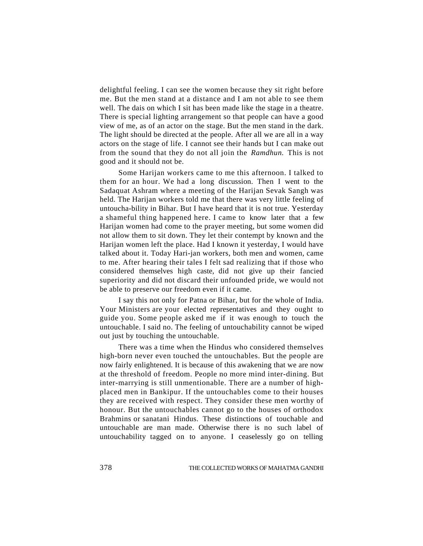delightful feeling. I can see the women because they sit right before me. But the men stand at a distance and I am not able to see them well. The dais on which I sit has been made like the stage in a theatre. There is special lighting arrangement so that people can have a good view of me, as of an actor on the stage. But the men stand in the dark. The light should be directed at the people. After all we are all in a way actors on the stage of life. I cannot see their hands but I can make out from the sound that they do not all join the *Ramdhun.* This is not good and it should not be.

Some Harijan workers came to me this afternoon. I talked to them for an hour. We had a long discussion. Then I went to the Sadaquat Ashram where a meeting of the Harijan Sevak Sangh was held. The Harijan workers told me that there was very little feeling of untoucha-bility in Bihar. But I have heard that it is not true. Yesterday a shameful thing happened here. I came to know later that a few Harijan women had come to the prayer meeting, but some women did not allow them to sit down. They let their contempt by known and the Harijan women left the place. Had I known it yesterday, I would have talked about it. Today Hari-jan workers, both men and women, came to me. After hearing their tales I felt sad realizing that if those who considered themselves high caste, did not give up their fancied superiority and did not discard their unfounded pride, we would not be able to preserve our freedom even if it came.

I say this not only for Patna or Bihar, but for the whole of India. Your Ministers are your elected representatives and they ought to guide you. Some people asked me if it was enough to touch the untouchable. I said no. The feeling of untouchability cannot be wiped out just by touching the untouchable.

There was a time when the Hindus who considered themselves high-born never even touched the untouchables. But the people are now fairly enlightened. It is because of this awakening that we are now at the threshold of freedom. People no more mind inter-dining. But inter-marrying is still unmentionable. There are a number of highplaced men in Bankipur. If the untouchables come to their houses they are received with respect. They consider these men worthy of honour. But the untouchables cannot go to the houses of orthodox Brahmins or sanatani Hindus. These distinctions of touchable and untouchable are man made. Otherwise there is no such label of untouchability tagged on to anyone. I ceaselessly go on telling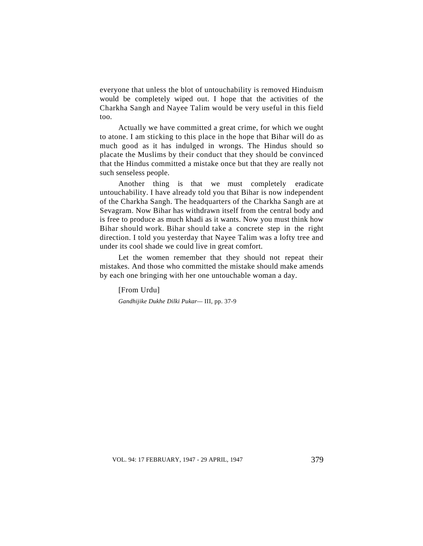everyone that unless the blot of untouchability is removed Hinduism would be completely wiped out. I hope that the activities of the Charkha Sangh and Nayee Talim would be very useful in this field too.

Actually we have committed a great crime, for which we ought to atone. I am sticking to this place in the hope that Bihar will do as much good as it has indulged in wrongs. The Hindus should so placate the Muslims by their conduct that they should be convinced that the Hindus committed a mistake once but that they are really not such senseless people.

Another thing is that we must completely eradicate untouchability. I have already told you that Bihar is now independent of the Charkha Sangh. The headquarters of the Charkha Sangh are at Sevagram. Now Bihar has withdrawn itself from the central body and is free to produce as much khadi as it wants. Now you must think how Bihar should work. Bihar should take a concrete step in the right direction. I told you yesterday that Nayee Talim was a lofty tree and under its cool shade we could live in great comfort.

Let the women remember that they should not repeat their mistakes. And those who committed the mistake should make amends by each one bringing with her one untouchable woman a day.

[From Urdu] *Gandhijike Dukhe Dilki Pukar—* III, pp. 37-9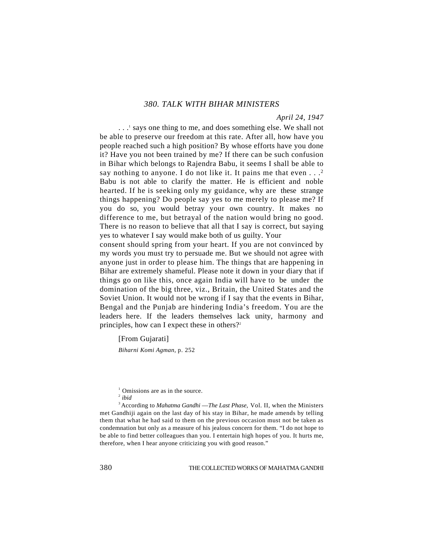### *380. TALK WITH BIHAR MINISTERS*

### *April 24, 1947*

... says one thing to me, and does something else. We shall not be able to preserve our freedom at this rate. After all, how have you people reached such a high position? By whose efforts have you done it? Have you not been trained by me? If there can be such confusion in Bihar which belongs to Rajendra Babu, it seems I shall be able to say nothing to anyone. I do not like it. It pains me that even  $\ldots$ <sup>2</sup> Babu is not able to clarify the matter. He is efficient and noble hearted. If he is seeking only my guidance, why are these strange things happening? Do people say yes to me merely to please me? If you do so, you would betray your own country. It makes no difference to me, but betrayal of the nation would bring no good. There is no reason to believe that all that I say is correct, but saying yes to whatever I say would make both of us guilty. Your

consent should spring from your heart. If you are not convinced by my words you must try to persuade me. But we should not agree with anyone just in order to please him. The things that are happening in Bihar are extremely shameful. Please note it down in your diary that if things go on like this, once again India will have to be under the domination of the big three, viz., Britain, the United States and the Soviet Union. It would not be wrong if I say that the events in Bihar, Bengal and the Punjab are hindering India's freedom. You are the leaders here. If the leaders themselves lack unity, harmony and principles, how can I expect these in others?<sup>2</sup>

[From Gujarati] *Biharni Komi Agman,* p. 252

- <sup>1</sup> Omissions are as in the source.
- 2 *ibid*

<sup>3</sup> According to *Mahatma Gandhi* —*The Last Phase*, Vol. II, when the Ministers met Gandhiji again on the last day of his stay in Bihar, he made amends by telling them that what he had said to them on the previous occasion must not be taken as condemnation but only as a measure of his jealous concern for them. "I do not hope to be able to find better colleagues than you. I entertain high hopes of you. It hurts me, therefore, when I hear anyone criticizing you with good reason."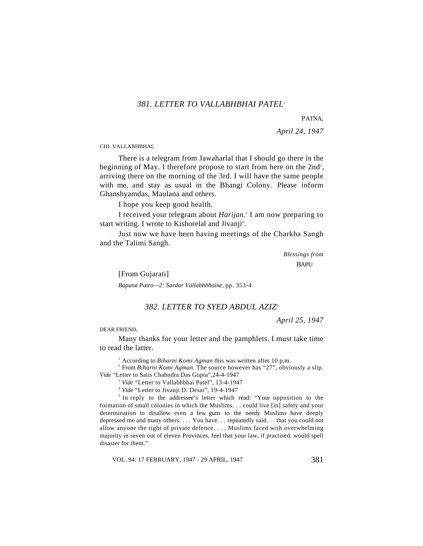# *381. LETTER TO VALLABHBHAI PATEL*<sup>1</sup>

**PATNA** 

*April 24, 1947*

#### CHI. VALLABHBHAI,

There is a telegram from Jawaharlal that I should go there in the beginning of May. I therefore propose to start from here on the 2nd<sup>2</sup>, arriving there on the morning of the 3rd. I will have the same people with me, and stay as usual in the Bhangi Colony. Please inform Ghanshyamdas, Maulana and others.

I hope you keep good health.

I received your telegram about *Harijan.*<sup>3</sup> I am now preparing to start writing. I wrote to Kishorelal and Jivanji<sup>4</sup>.

Just now we have been having meetings of the Charkha Sangh and the Talimi Sangh.

> *Blessings from* **BAPU**

[From Gujarati]

*Bapuna Patro—2*: *Sardar Vallabhbhaine,* pp. 353-4

### *382. LETTER TO SYED ABDUL AZIZ<sup>5</sup>*

*April 25, 1947*

DEAR FRIEND,

Many thanks for your letter and the pamphlets. I must take time to read the latter.

<sup>1</sup> According to *Biharni Komi Agman* this was written after 10 p.m.

<sup>2</sup> From *Biharni Komi Agman*. The source however has "27", obviously a slip. *Vide* "Letter to Satis Chabndra Das Gupta",24-4-1947

<sup>3</sup> Vide "Letter to Vallabhbhai Patel", 13-4-1947

<sup>4</sup> *Vide* "Letter to Jivanji D. Desai", 19-4-1947

<sup>5</sup> In reply to the addressee's letter which read: "Your opposition to the formation of small colonies in which the Muslims. . . could live [in] safety and your determination to disallow even a few guns to the needy Muslims have deeply depressed me and many others. . . . You have. . . repeatedly said. . . that you could not allow anyone the right of private defence. . . . Muslims faced with overwhelming majority in seven out of eleven Provinces, feel that your law, if practised, would spell disaster for them."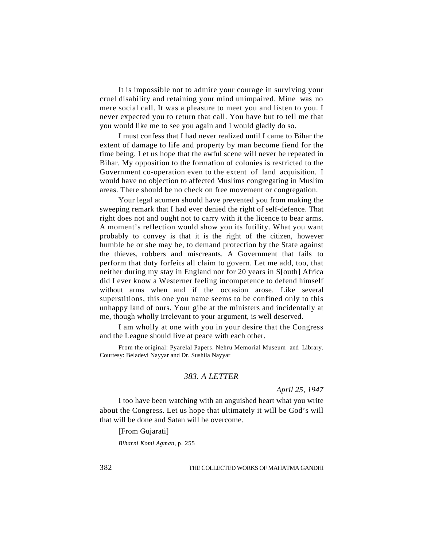It is impossible not to admire your courage in surviving your cruel disability and retaining your mind unimpaired. Mine was no mere social call. It was a pleasure to meet you and listen to you. I never expected you to return that call. You have but to tell me that you would like me to see you again and I would gladly do so.

I must confess that I had never realized until I came to Bihar the extent of damage to life and property by man become fiend for the time being. Let us hope that the awful scene will never be repeated in Bihar. My opposition to the formation of colonies is restricted to the Government co-operation even to the extent of land acquisition. I would have no objection to affected Muslims congregating in Muslim areas. There should be no check on free movement or congregation.

Your legal acumen should have prevented you from making the sweeping remark that I had ever denied the right of self-defence. That right does not and ought not to carry with it the licence to bear arms. A moment's reflection would show you its futility. What you want probably to convey is that it is the right of the citizen, however humble he or she may be, to demand protection by the State against the thieves, robbers and miscreants. A Government that fails to perform that duty forfeits all claim to govern. Let me add, too, that neither during my stay in England nor for 20 years in S[outh] Africa did I ever know a Westerner feeling incompetence to defend himself without arms when and if the occasion arose. Like several superstitions, this one you name seems to be confined only to this unhappy land of ours. Your gibe at the ministers and incidentally at me, though wholly irrelevant to your argument, is well deserved.

I am wholly at one with you in your desire that the Congress and the League should live at peace with each other.

From the original: Pyarelal Papers. Nehru Memorial Museum and Library. Courtesy: Beladevi Nayyar and Dr. Sushila Nayyar

# *383. A LETTER*

*April 25, 1947*

I too have been watching with an anguished heart what you write about the Congress. Let us hope that ultimately it will be God's will that will be done and Satan will be overcome.

[From Gujarati] *Biharni Komi Agman,* p. 255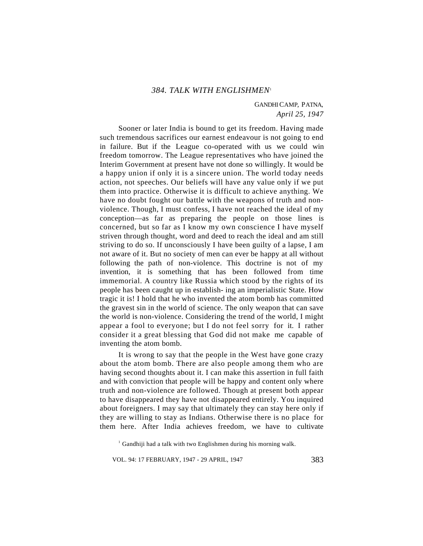### *384. TALK WITH ENGLISHMEN*<sup>1</sup>

GANDHI CAMP, PATNA, *April 25, 1947*

Sooner or later India is bound to get its freedom. Having made such tremendous sacrifices our earnest endeavour is not going to end in failure. But if the League co-operated with us we could win freedom tomorrow. The League representatives who have joined the Interim Government at present have not done so willingly. It would be a happy union if only it is a sincere union. The world today needs action, not speeches. Our beliefs will have any value only if we put them into practice. Otherwise it is difficult to achieve anything. We have no doubt fought our battle with the weapons of truth and nonviolence. Though, I must confess, I have not reached the ideal of my conception—as far as preparing the people on those lines is concerned, but so far as I know my own conscience I have myself striven through thought, word and deed to reach the ideal and am still striving to do so. If unconsciously I have been guilty of a lapse, I am not aware of it. But no society of men can ever be happy at all without following the path of non-violence. This doctrine is not of my invention, it is something that has been followed from time immemorial. A country like Russia which stood by the rights of its people has been caught up in establish- ing an imperialistic State. How tragic it is! I hold that he who invented the atom bomb has committed the gravest sin in the world of science. The only weapon that can save the world is non-violence. Considering the trend of the world, I might appear a fool to everyone; but I do not feel sorry for it. I rather consider it a great blessing that God did not make me capable of inventing the atom bomb.

It is wrong to say that the people in the West have gone crazy about the atom bomb. There are also people among them who are having second thoughts about it. I can make this assertion in full faith and with conviction that people will be happy and content only where truth and non-violence are followed. Though at present both appear to have disappeared they have not disappeared entirely. You inquired about foreigners. I may say that ultimately they can stay here only if they are willing to stay as Indians. Otherwise there is no place for them here. After India achieves freedom, we have to cultivate

<sup>1</sup> Gandhiji had a talk with two Englishmen during his morning walk.

VOL. 94: 17 FEBRUARY, 1947 - 29 APRIL, 1947 383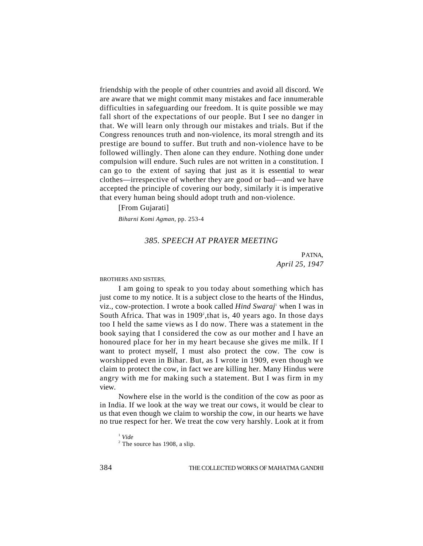friendship with the people of other countries and avoid all discord. We are aware that we might commit many mistakes and face innumerable difficulties in safeguarding our freedom. It is quite possible we may fall short of the expectations of our people. But I see no danger in that. We will learn only through our mistakes and trials. But if the Congress renounces truth and non-violence, its moral strength and its prestige are bound to suffer. But truth and non-violence have to be followed willingly. Then alone can they endure. Nothing done under compulsion will endure. Such rules are not written in a constitution. I can go to the extent of saying that just as it is essential to wear clothes—irrespective of whether they are good or bad—and we have accepted the principle of covering our body, similarly it is imperative that every human being should adopt truth and non-violence.

[From Gujarati]

*Biharni Komi Agman,* pp. 253-4

# *385. SPEECH AT PRAYER MEETING*

PATNA, *April 25, 1947*

BROTHERS AND SISTERS,

I am going to speak to you today about something which has just come to my notice. It is a subject close to the hearts of the Hindus, viz., cow-protection. I wrote a book called *Hind Swaraj*<sup>1</sup> when I was in South Africa. That was in 1909<sup>2</sup>, that is, 40 years ago. In those days too I held the same views as I do now. There was a statement in the book saying that I considered the cow as our mother and I have an honoured place for her in my heart because she gives me milk. If I want to protect myself, I must also protect the cow. The cow is worshipped even in Bihar. But, as I wrote in 1909, even though we claim to protect the cow, in fact we are killing her. Many Hindus were angry with me for making such a statement. But I was firm in my view.

Nowhere else in the world is the condition of the cow as poor as in India. If we look at the way we treat our cows, it would be clear to us that even though we claim to worship the cow, in our hearts we have no true respect for her. We treat the cow very harshly. Look at it from

<sup>1</sup> *Vide* <sup>2</sup> The source has 1908, a slip.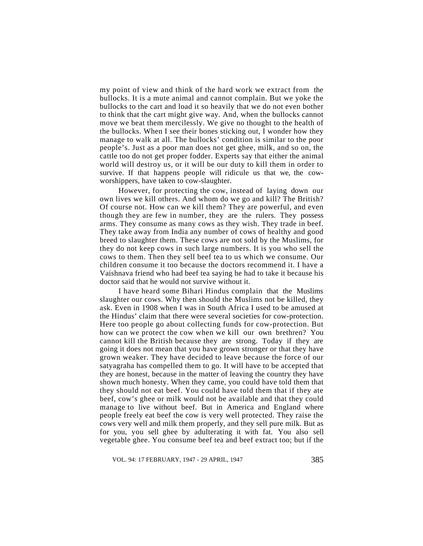my point of view and think of the hard work we extract from the bullocks. It is a mute animal and cannot complain. But we yoke the bullocks to the cart and load it so heavily that we do not even bother to think that the cart might give way. And, when the bullocks cannot move we beat them mercilessly. We give no thought to the health of the bullocks. When I see their bones sticking out, I wonder how they manage to walk at all. The bullocks' condition is similar to the poor people's. Just as a poor man does not get ghee, milk, and so on, the cattle too do not get proper fodder. Experts say that either the animal world will destroy us, or it will be our duty to kill them in order to survive. If that happens people will ridicule us that we, the cowworshippers, have taken to cow-slaughter.

However, for protecting the cow, instead of laying down our own lives we kill others. And whom do we go and kill? The British? Of course not. How can we kill them? They are powerful, and even though they are few in number, they are the rulers. They possess arms. They consume as many cows as they wish. They trade in beef. They take away from India any number of cows of healthy and good breed to slaughter them. These cows are not sold by the Muslims, for they do not keep cows in such large numbers. It is you who sell the cows to them. Then they sell beef tea to us which we consume. Our children consume it too because the doctors recommend it. I have a Vaishnava friend who had beef tea saying he had to take it because his doctor said that he would not survive without it.

I have heard some Bihari Hindus complain that the Muslims slaughter our cows. Why then should the Muslims not be killed, they ask. Even in 1908 when I was in South Africa I used to be amused at the Hindus' claim that there were several societies for cow-protection. Here too people go about collecting funds for cow-protection. But how can we protect the cow when we kill our own brethren? You cannot kill the British because they are strong. Today if they are going it does not mean that you have grown stronger or that they have grown weaker. They have decided to leave because the force of our satyagraha has compelled them to go. It will have to be accepted that they are honest, because in the matter of leaving the country they have shown much honesty. When they came, you could have told them that they should not eat beef. You could have told them that if they ate beef, cow's ghee or milk would not be available and that they could manage to live without beef. But in America and England where people freely eat beef the cow is very well protected. They raise the cows very well and milk them properly, and they sell pure milk. But as for you, you sell ghee by adulterating it with fat. You also sell vegetable ghee. You consume beef tea and beef extract too; but if the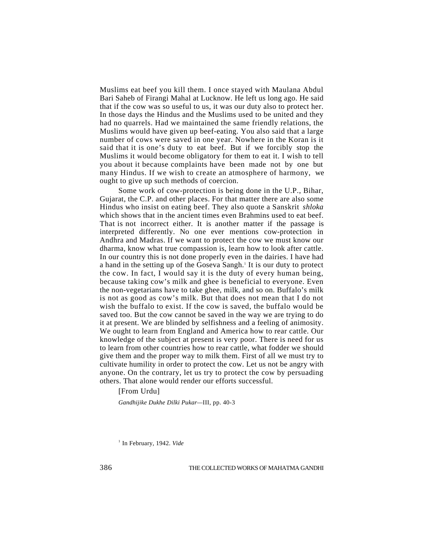Muslims eat beef you kill them. I once stayed with Maulana Abdul Bari Saheb of Firangi Mahal at Lucknow. He left us long ago. He said that if the cow was so useful to us, it was our duty also to protect her. In those days the Hindus and the Muslims used to be united and they had no quarrels. Had we maintained the same friendly relations, the Muslims would have given up beef-eating. You also said that a large number of cows were saved in one year. Nowhere in the Koran is it said that it is one's duty to eat beef. But if we forcibly stop the Muslims it would become obligatory for them to eat it. I wish to tell you about it because complaints have been made not by one but many Hindus. If we wish to create an atmosphere of harmony, we ought to give up such methods of coercion.

Some work of cow-protection is being done in the U.P., Bihar, Gujarat, the C.P. and other places. For that matter there are also some Hindus who insist on eating beef. They also quote a Sanskrit *shloka* which shows that in the ancient times even Brahmins used to eat beef. That is not incorrect either. It is another matter if the passage is interpreted differently. No one ever mentions cow-protection in Andhra and Madras. If we want to protect the cow we must know our dharma, know what true compassion is, learn how to look after cattle. In our country this is not done properly even in the dairies. I have had a hand in the setting up of the Goseva Sangh.<sup>1</sup> It is our duty to protect the cow. In fact, I would say it is the duty of every human being, because taking cow's milk and ghee is beneficial to everyone. Even the non-vegetarians have to take ghee, milk, and so on. Buffalo's milk is not as good as cow's milk. But that does not mean that I do not wish the buffalo to exist. If the cow is saved, the buffalo would be saved too. But the cow cannot be saved in the way we are trying to do it at present. We are blinded by selfishness and a feeling of animosity. We ought to learn from England and America how to rear cattle. Our knowledge of the subject at present is very poor. There is need for us to learn from other countries how to rear cattle, what fodder we should give them and the proper way to milk them. First of all we must try to cultivate humility in order to protect the cow. Let us not be angry with anyone. On the contrary, let us try to protect the cow by persuading others. That alone would render our efforts successful.

[From Urdu]

*Gandhijike Dukhe Dilki Pukar—*III, pp. 40-3

<sup>1</sup> In February, 1942. Vide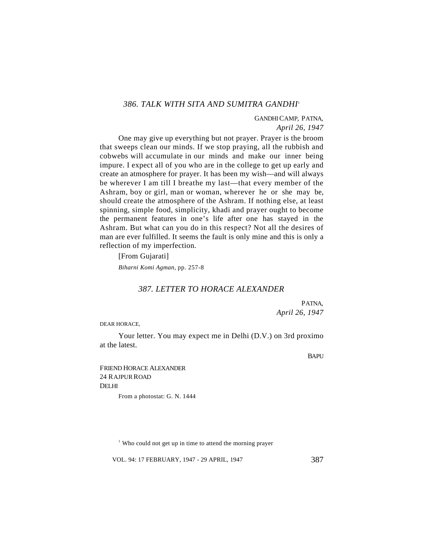### *386. TALK WITH SITA AND SUMITRA GANDHI*<sup>1</sup>

### GANDHI CAMP, PATNA, *April 26, 1947*

One may give up everything but not prayer. Prayer is the broom that sweeps clean our minds. If we stop praying, all the rubbish and cobwebs will accumulate in our minds and make our inner being impure. I expect all of you who are in the college to get up early and create an atmosphere for prayer. It has been my wish—and will always be wherever I am till I breathe my last—that every member of the Ashram, boy or girl, man or woman, wherever he or she may be, should create the atmosphere of the Ashram. If nothing else, at least spinning, simple food, simplicity, khadi and prayer ought to become the permanent features in one's life after one has stayed in the Ashram. But what can you do in this respect? Not all the desires of man are ever fulfilled. It seems the fault is only mine and this is only a reflection of my imperfection.

[From Gujarati] *Biharni Komi Agman,* pp. 257-8

# *387. LETTER TO HORACE ALEXANDER*

PATNA, *April 26, 1947*

DEAR HORACE,

Your letter. You may expect me in Delhi (D.V.) on 3rd proximo at the latest.

**BAPU** 

# FRIEND HORACE ALEXANDER 24 RAJPUR ROAD DELHI

From a photostat: G. N. 1444

<sup>1</sup> Who could not get up in time to attend the morning prayer

VOL. 94: 17 FEBRUARY, 1947 - 29 APRIL, 1947 387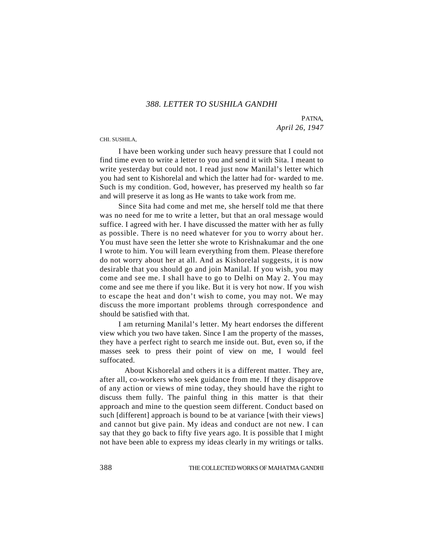### *388. LETTER TO SUSHILA GANDHI*

**PATNA** *April 26, 1947*

#### CHI. SUSHILA,

I have been working under such heavy pressure that I could not find time even to write a letter to you and send it with Sita. I meant to write yesterday but could not. I read just now Manilal's letter which you had sent to Kishorelal and which the latter had for- warded to me. Such is my condition. God, however, has preserved my health so far and will preserve it as long as He wants to take work from me.

Since Sita had come and met me, she herself told me that there was no need for me to write a letter, but that an oral message would suffice. I agreed with her. I have discussed the matter with her as fully as possible. There is no need whatever for you to worry about her. You must have seen the letter she wrote to Krishnakumar and the one I wrote to him. You will learn everything from them. Please therefore do not worry about her at all. And as Kishorelal suggests, it is now desirable that you should go and join Manilal. If you wish, you may come and see me. I shall have to go to Delhi on May 2. You may come and see me there if you like. But it is very hot now. If you wish to escape the heat and don't wish to come, you may not. We may discuss the more important problems through correspondence and should be satisfied with that.

I am returning Manilal's letter. My heart endorses the different view which you two have taken. Since I am the property of the masses, they have a perfect right to search me inside out. But, even so, if the masses seek to press their point of view on me, I would feel suffocated.

About Kishorelal and others it is a different matter. They are, after all, co-workers who seek guidance from me. If they disapprove of any action or views of mine today, they should have the right to discuss them fully. The painful thing in this matter is that their approach and mine to the question seem different. Conduct based on such [different] approach is bound to be at variance [with their views] and cannot but give pain. My ideas and conduct are not new. I can say that they go back to fifty five years ago. It is possible that I might not have been able to express my ideas clearly in my writings or talks.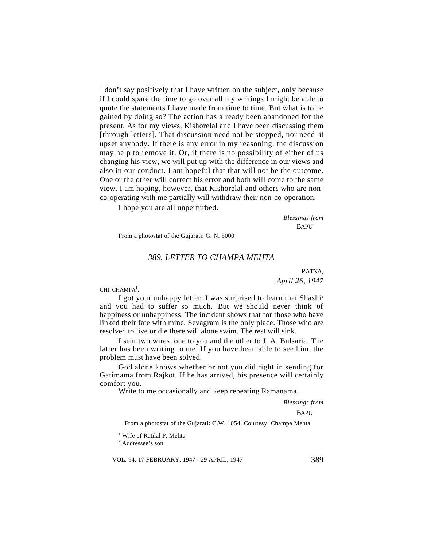I don't say positively that I have written on the subject, only because if I could spare the time to go over all my writings I might be able to quote the statements I have made from time to time. But what is to be gained by doing so? The action has already been abandoned for the present. As for my views, Kishorelal and I have been discussing them [through letters]. That discussion need not be stopped, nor need it upset anybody. If there is any error in my reasoning, the discussion may help to remove it. Or, if there is no possibility of either of us changing his view, we will put up with the difference in our views and also in our conduct. I am hopeful that that will not be the outcome. One or the other will correct his error and both will come to the same view. I am hoping, however, that Kishorelal and others who are nonco-operating with me partially will withdraw their non-co-operation.

I hope you are all unperturbed.

*Blessings from* BAPU

From a photostat of the Gujarati: G. N. 5000

## *389. LETTER TO CHAMPA MEHTA*

PATNA, *April 26, 1947*

CHI. CHAMP $A^1$ ,

I got your unhappy letter. I was surprised to learn that Shashi<sup>2</sup> and you had to suffer so much. But we should never think of happiness or unhappiness. The incident shows that for those who have linked their fate with mine, Sevagram is the only place. Those who are resolved to live or die there will alone swim. The rest will sink.

I sent two wires, one to you and the other to J. A. Bulsaria. The latter has been writing to me. If you have been able to see him, the problem must have been solved.

God alone knows whether or not you did right in sending for Gatimama from Rajkot. If he has arrived, his presence will certainly comfort you.

Write to me occasionally and keep repeating Ramanama.

*Blessings from*

BAPU

From a photostat of the Gujarati: C.W. 1054. Courtesy: Champa Mehta

<sup>1</sup> Wife of Ratilal P. Mehta

2 Addressee's son

VOL. 94: 17 FEBRUARY, 1947 - 29 APRIL, 1947 389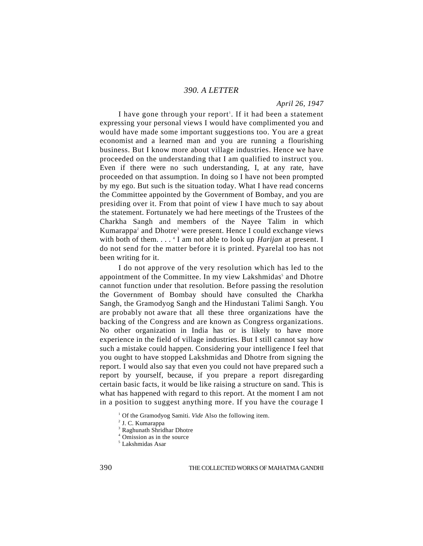*April 26, 1947*

I have gone through your report<sup>1</sup>. If it had been a statement expressing your personal views I would have complimented you and would have made some important suggestions too. You are a great economist and a learned man and you are running a flourishing business. But I know more about village industries. Hence we have proceeded on the understanding that I am qualified to instruct you. Even if there were no such understanding, I, at any rate, have proceeded on that assumption. In doing so I have not been prompted by my ego. But such is the situation today. What I have read concerns the Committee appointed by the Government of Bombay, and you are presiding over it. From that point of view I have much to say about the statement. Fortunately we had here meetings of the Trustees of the Charkha Sangh and members of the Nayee Talim in which Kumarappa<sup>2</sup> and Dhotre<sup>3</sup> were present. Hence I could exchange views with both of them. . . . <sup>4</sup> I am not able to look up *Harijan* at present. I do not send for the matter before it is printed. Pyarelal too has not been writing for it.

I do not approve of the very resolution which has led to the appointment of the Committee. In my view Lakshmidas<sup>5</sup> and Dhotre cannot function under that resolution. Before passing the resolution the Government of Bombay should have consulted the Charkha Sangh, the Gramodyog Sangh and the Hindustani Talimi Sangh. You are probably not aware that all these three organizations have the backing of the Congress and are known as Congress organizations. No other organization in India has or is likely to have more experience in the field of village industries. But I still cannot say how such a mistake could happen. Considering your intelligence I feel that you ought to have stopped Lakshmidas and Dhotre from signing the report. I would also say that even you could not have prepared such a report by yourself, because, if you prepare a report disregarding certain basic facts, it would be like raising a structure on sand. This is what has happened with regard to this report. At the moment I am not in a position to suggest anything more. If you have the courage I

<sup>&</sup>lt;sup>1</sup> Of the Gramodyog Samiti. *Vide* Also the following item.

<sup>2</sup> J. C. Kumarappa

<sup>&</sup>lt;sup>3</sup> Raghunath Shridhar Dhotre

<sup>4</sup> Omission as in the source

<sup>5</sup> Lakshmidas Asar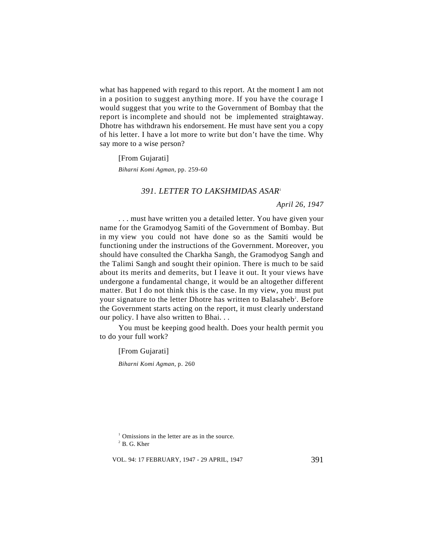what has happened with regard to this report. At the moment I am not in a position to suggest anything more. If you have the courage I would suggest that you write to the Government of Bombay that the report is incomplete and should not be implemented straightaway. Dhotre has withdrawn his endorsement. He must have sent you a copy of his letter. I have a lot more to write but don't have the time. Why say more to a wise person?

[From Gujarati]

*Biharni Komi Agman,* pp. 259-60

### *391. LETTER TO LAKSHMIDAS ASAR*<sup>1</sup>

*April 26, 1947*

. . . must have written you a detailed letter. You have given your name for the Gramodyog Samiti of the Government of Bombay. But in my view you could not have done so as the Samiti would be functioning under the instructions of the Government. Moreover, you should have consulted the Charkha Sangh, the Gramodyog Sangh and the Talimi Sangh and sought their opinion. There is much to be said about its merits and demerits, but I leave it out. It your views have undergone a fundamental change, it would be an altogether different matter. But I do not think this is the case. In my view, you must put your signature to the letter Dhotre has written to Balasaheb<sup>2</sup>. Before the Government starts acting on the report, it must clearly understand our policy. I have also written to Bhai. . .

You must be keeping good health. Does your health permit you to do your full work?

[From Gujarati] *Biharni Komi Agman,* p. 260

<sup>&</sup>lt;sup>1</sup> Omissions in the letter are as in the source.

 $2$  B. G. Kher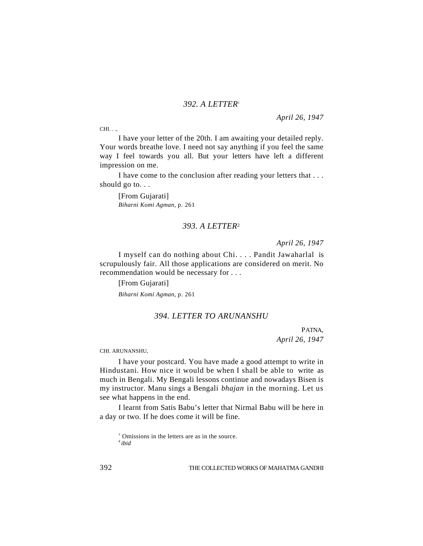*April 26, 1947*

 $CHI$ .

I have your letter of the 20th. I am awaiting your detailed reply. Your words breathe love. I need not say anything if you feel the same way I feel towards you all. But your letters have left a different impression on me.

I have come to the conclusion after reading your letters that ... should go to. . .

[From Gujarati] *Biharni Komi Agman,* p. 261

### *393. A LETTER*<sup>2</sup>

*April 26, 1947*

I myself can do nothing about Chi. . . . Pandit Jawaharlal is scrupulously fair. All those applications are considered on merit. No recommendation would be necessary for . . .

[From Gujarati] *Biharni Komi Agman,* p. 261

### *394. LETTER TO ARUNANSHU*

PATNA, *April 26, 1947*

CHI. ARUNANSHU,

I have your postcard. You have made a good attempt to write in Hindustani. How nice it would be when I shall be able to write as much in Bengali. My Bengali lessons continue and nowadays Bisen is my instructor. Manu sings a Bengali *bhajan* in the morning. Let us see what happens in the end.

I learnt from Satis Babu's letter that Nirmal Babu will be here in a day or two. If he does come it will be fine.

<sup>&</sup>lt;sup>1</sup> Omissions in the letters are as in the source. <sup>4</sup>*ibid*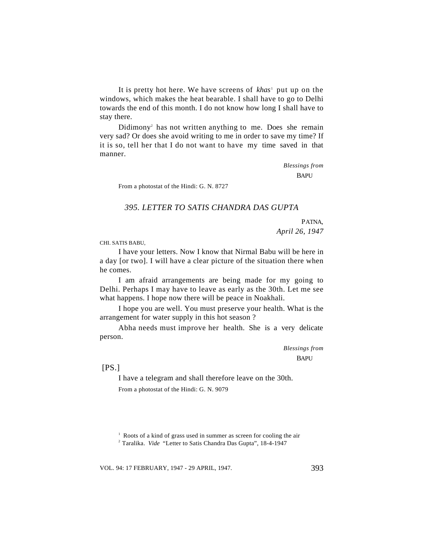It is pretty hot here. We have screens of *khas* put up on the windows, which makes the heat bearable. I shall have to go to Delhi towards the end of this month. I do not know how long I shall have to stay there.

Didimony<sup>2</sup> has not written anything to me. Does she remain very sad? Or does she avoid writing to me in order to save my time? If it is so, tell her that I do not want to have my time saved in that manner.

> *Blessings from* BAPU

From a photostat of the Hindi: G. N. 8727

### *395. LETTER TO SATIS CHANDRA DAS GUPTA*

PATNA, *April 26, 1947*

CHI. SATIS BABU,

I have your letters. Now I know that Nirmal Babu will be here in a day [or two]. I will have a clear picture of the situation there when he comes.

I am afraid arrangements are being made for my going to Delhi. Perhaps I may have to leave as early as the 30th. Let me see what happens. I hope now there will be peace in Noakhali.

I hope you are well. You must preserve your health. What is the arrangement for water supply in this hot season ?

Abha needs must improve her health. She is a very delicate person.

> *Blessings from* **BAPU**

 $[PS.]$ 

I have a telegram and shall therefore leave on the 30th.

From a photostat of the Hindi: G. N. 9079

<sup>&</sup>lt;sup>1</sup> Roots of a kind of grass used in summer as screen for cooling the air

<sup>2</sup> Taralika. *Vide* "Letter to Satis Chandra Das Gupta", 18-4-1947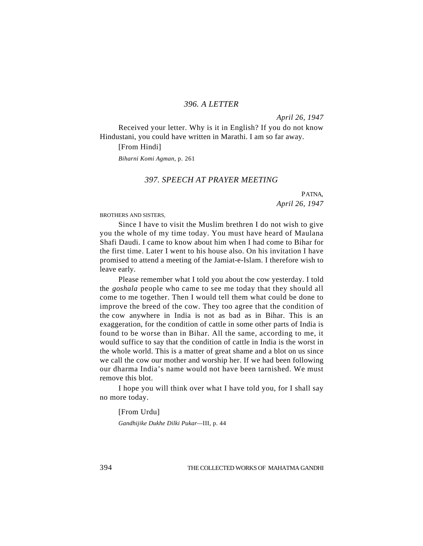### *396. A LETTER*

*April 26, 1947*

Received your letter. Why is it in English? If you do not know Hindustani, you could have written in Marathi. I am so far away.

[From Hindi]

*Biharni Komi Agman,* p. 261

### *397. SPEECH AT PRAYER MEETING*

PATNA, *April 26, 1947*

BROTHERS AND SISTERS,

Since I have to visit the Muslim brethren I do not wish to give you the whole of my time today. You must have heard of Maulana Shafi Daudi. I came to know about him when I had come to Bihar for the first time. Later I went to his house also. On his invitation I have promised to attend a meeting of the Jamiat-e-Islam. I therefore wish to leave early.

Please remember what I told you about the cow yesterday. I told the *goshala* people who came to see me today that they should all come to me together. Then I would tell them what could be done to improve the breed of the cow. They too agree that the condition of the cow anywhere in India is not as bad as in Bihar. This is an exaggeration, for the condition of cattle in some other parts of India is found to be worse than in Bihar. All the same, according to me, it would suffice to say that the condition of cattle in India is the worst in the whole world. This is a matter of great shame and a blot on us since we call the cow our mother and worship her. If we had been following our dharma India's name would not have been tarnished. We must remove this blot.

I hope you will think over what I have told you, for I shall say no more today.

[From Urdu] *Gandhijike Dukhe Dilki Pukar—*III, p. 44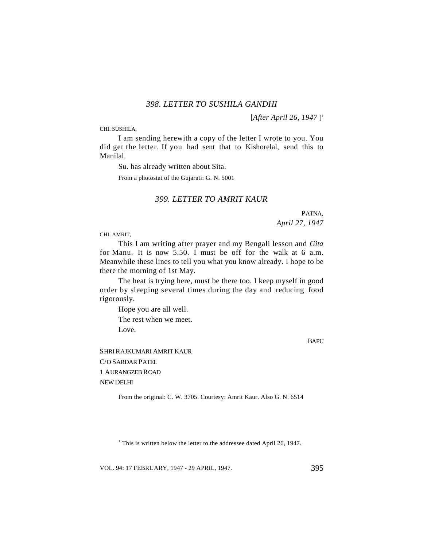[*After April 26, 1947* ] 1

CHI. SUSHILA,

I am sending herewith a copy of the letter I wrote to you. You did get the letter. If you had sent that to Kishorelal, send this to Manilal.

Su. has already written about Sita.

From a photostat of the Gujarati: G. N. 5001

# *399. LETTER TO AMRIT KAUR*

PATNA, *April 27, 1947*

CHI. AMRIT,

This I am writing after prayer and my Bengali lesson and *Gita* for Manu. It is now 5.50. I must be off for the walk at 6 a.m. Meanwhile these lines to tell you what you know already. I hope to be there the morning of 1st May.

The heat is trying here, must be there too. I keep myself in good order by sleeping several times during the day and reducing food rigorously.

Hope you are all well. The rest when we meet. Love.

BAPU

SHRI RAJKUMARI AMRIT KAUR C/O SARDAR PATEL 1 AURANGZEB ROAD NEW DELHI

From the original: C. W. 3705. Courtesy: Amrit Kaur. Also G. N. 6514

<sup>1</sup> This is written below the letter to the addressee dated April 26, 1947.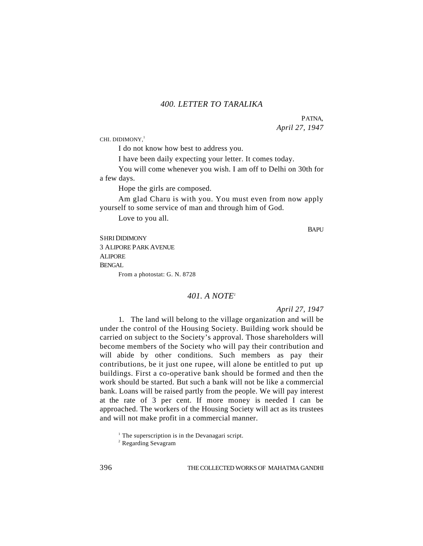### *400. LETTER TO TARALIKA*

**PATNA** *April 27, 1947*

CHI. DIDIMONY $<sup>1</sup>$ </sup>

I do not know how best to address you.

I have been daily expecting your letter. It comes today.

You will come whenever you wish. I am off to Delhi on 30th for a few days.

Hope the girls are composed.

Am glad Charu is with you. You must even from now apply yourself to some service of man and through him of God.

Love to you all.

BAPU

SHRI DIDIMONY 3 ALIPORE PARK AVENUE ALIPORE BENGAL

From a photostat: G. N. 8728

# *401. A NOTE*<sup>2</sup>

*April 27, 1947*

1. The land will belong to the village organization and will be under the control of the Housing Society. Building work should be carried on subject to the Society's approval. Those shareholders will become members of the Society who will pay their contribution and will abide by other conditions. Such members as pay their contributions, be it just one rupee, will alone be entitled to put up buildings. First a co-operative bank should be formed and then the work should be started. But such a bank will not be like a commercial bank. Loans will be raised partly from the people. We will pay interest at the rate of 3 per cent. If more money is needed I can be approached. The workers of the Housing Society will act as its trustees and will not make profit in a commercial manner.

<sup>1</sup> The superscription is in the Devanagari script.

2 Regarding Sevagram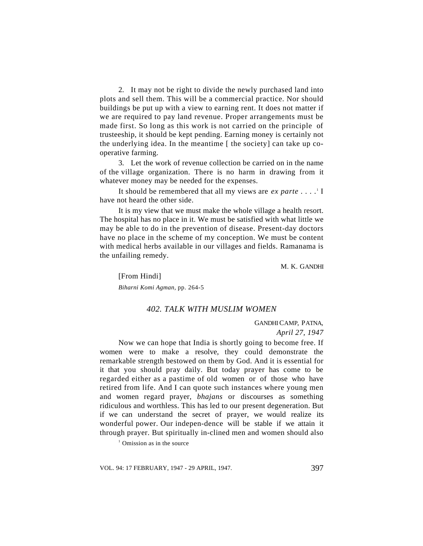2. It may not be right to divide the newly purchased land into plots and sell them. This will be a commercial practice. Nor should buildings be put up with a view to earning rent. It does not matter if we are required to pay land revenue. Proper arrangements must be made first. So long as this work is not carried on the principle of trusteeship, it should be kept pending. Earning money is certainly not the underlying idea. In the meantime [ the society] can take up cooperative farming.

3. Let the work of revenue collection be carried on in the name of the village organization. There is no harm in drawing from it whatever money may be needed for the expenses.

It should be remembered that all my views are *ex parte . . . .*<sup>1</sup> I have not heard the other side.

It is my view that we must make the whole village a health resort. The hospital has no place in it. We must be satisfied with what little we may be able to do in the prevention of disease. Present-day doctors have no place in the scheme of my conception. We must be content with medical herbs available in our villages and fields. Ramanama is the unfailing remedy.

M. K. GANDHI

[From Hindi] *Biharni Komi Agman,* pp. 264-5

# *402. TALK WITH MUSLIM WOMEN*

GANDHI CAMP, PATNA,

*April 27, 1947*

Now we can hope that India is shortly going to become free. If women were to make a resolve, they could demonstrate the remarkable strength bestowed on them by God. And it is essential for it that you should pray daily. But today prayer has come to be regarded either as a pastime of old women or of those who have retired from life. And I can quote such instances where young men and women regard prayer, *bhajans* or discourses as something ridiculous and worthless. This has led to our present degeneration. But if we can understand the secret of prayer, we would realize its wonderful power. Our indepen-dence will be stable if we attain it through prayer. But spiritually in-clined men and women should also

<sup>1</sup> Omission as in the source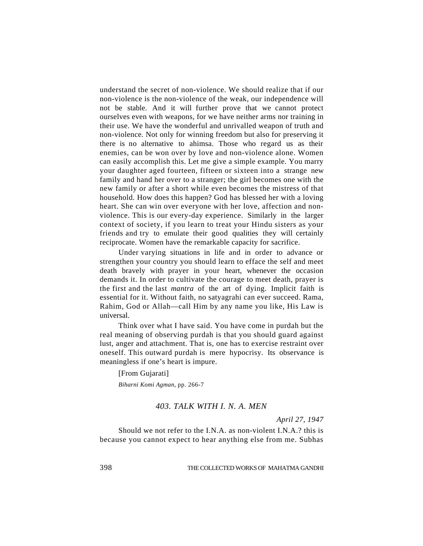understand the secret of non-violence. We should realize that if our non-violence is the non-violence of the weak, our independence will not be stable. And it will further prove that we cannot protect ourselves even with weapons, for we have neither arms nor training in their use. We have the wonderful and unrivalled weapon of truth and non-violence. Not only for winning freedom but also for preserving it there is no alternative to ahimsa. Those who regard us as their enemies, can be won over by love and non-violence alone. Women can easily accomplish this. Let me give a simple example. You marry your daughter aged fourteen, fifteen or sixteen into a strange new family and hand her over to a stranger; the girl becomes one with the new family or after a short while even becomes the mistress of that household. How does this happen? God has blessed her with a loving heart. She can win over everyone with her love, affection and nonviolence. This is our every-day experience. Similarly in the larger context of society, if you learn to treat your Hindu sisters as your friends and try to emulate their good qualities they will certainly reciprocate. Women have the remarkable capacity for sacrifice.

Under varying situations in life and in order to advance or strengthen your country you should learn to efface the self and meet death bravely with prayer in your heart, whenever the occasion demands it. In order to cultivate the courage to meet death, prayer is the first and the last *mantra* of the art of dying. Implicit faith is essential for it. Without faith, no satyagrahi can ever succeed. Rama, Rahim, God or Allah—call Him by any name you like, His Law is universal.

Think over what I have said. You have come in purdah but the real meaning of observing purdah is that you should guard against lust, anger and attachment. That is, one has to exercise restraint over oneself. This outward purdah is mere hypocrisy. Its observance is meaningless if one's heart is impure.

[From Gujarati] *Biharni Komi Agman,* pp. 266-7

# *403. TALK WITH I. N. A. MEN*

*April 27, 1947*

Should we not refer to the INA as non-violent INA? this is because you cannot expect to hear anything else from me. Subhas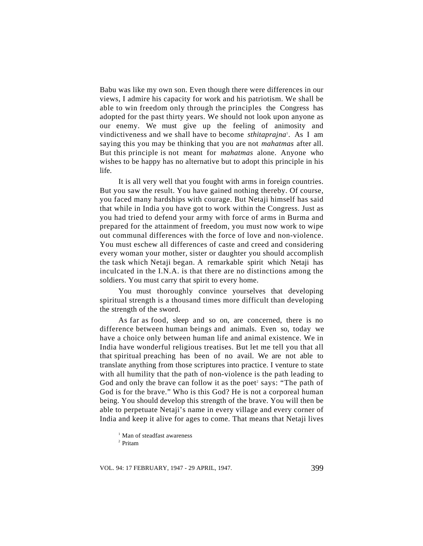Babu was like my own son. Even though there were differences in our views, I admire his capacity for work and his patriotism. We shall be able to win freedom only through the principles the Congress has adopted for the past thirty years. We should not look upon anyone as our enemy. We must give up the feeling of animosity and vindictiveness and we shall have to become *sthitaprajna*<sup>1</sup> . As I am saying this you may be thinking that you are not *mahatmas* after all. But this principle is not meant for *mahatmas* alone. Anyone who wishes to be happy has no alternative but to adopt this principle in his life.

It is all very well that you fought with arms in foreign countries. But you saw the result. You have gained nothing thereby. Of course, you faced many hardships with courage. But Netaji himself has said that while in India you have got to work within the Congress. Just as you had tried to defend your army with force of arms in Burma and prepared for the attainment of freedom, you must now work to wipe out communal differences with the force of love and non-violence. You must eschew all differences of caste and creed and considering every woman your mother, sister or daughter you should accomplish the task which Netaji began. A remarkable spirit which Netaji has inculcated in the I.N.A. is that there are no distinctions among the soldiers. You must carry that spirit to every home.

You must thoroughly convince yourselves that developing spiritual strength is a thousand times more difficult than developing the strength of the sword.

As far as food, sleep and so on, are concerned, there is no difference between human beings and animals. Even so, today we have a choice only between human life and animal existence. We in India have wonderful religious treatises. But let me tell you that all that spiritual preaching has been of no avail. We are not able to translate anything from those scriptures into practice. I venture to state with all humility that the path of non-violence is the path leading to God and only the brave can follow it as the poet<sup>2</sup> says: "The path of God is for the brave." Who is this God? He is not a corporeal human being. You should develop this strength of the brave. You will then be able to perpetuate Netaji's name in every village and every corner of India and keep it alive for ages to come. That means that Netaji lives

2 Pritam

<sup>&</sup>lt;sup>1</sup> Man of steadfast awareness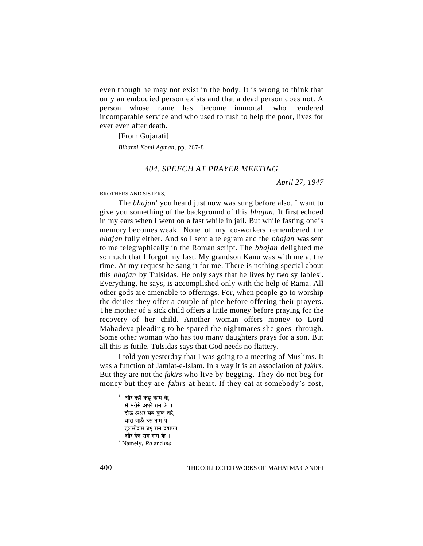even though he may not exist in the body. It is wrong to think that only an embodied person exists and that a dead person does not. A person whose name has become immortal, who rendered incomparable service and who used to rush to help the poor, lives for ever even after death.

[From Gujarati]

*Biharni Komi Agman,* pp. 267-8

# *404. SPEECH AT PRAYER MEETING*

*April 27, 1947*

BROTHERS AND SISTERS,

The *bhajan*<sup>1</sup> you heard just now was sung before also. I want to give you something of the background of this *bhajan.* It first echoed in my ears when I went on a fast while in jail. But while fasting one's memory becomes weak. None of my co-workers remembered the *bhajan* fully either. And so I sent a telegram and the *bhajan* was sent to me telegraphically in the Roman script. The *bhajan* delighted me so much that I forgot my fast. My grandson Kanu was with me at the time. At my request he sang it for me. There is nothing special about this *bhajan* by Tulsidas. He only says that he lives by two syllables<sup>2</sup>. Everything, he says, is accomplished only with the help of Rama. All other gods are amenable to offerings. For, when people go to worship the deities they offer a couple of pice before offering their prayers. The mother of a sick child offers a little money before praying for the recovery of her child. Another woman offers money to Lord Mahadeva pleading to be spared the nightmares she goes through. Some other woman who has too many daughters prays for a son. But all this is futile. Tulsidas says that God needs no flattery.

I told you yesterday that I was going to a meeting of Muslims. It was a function of Jamiat-e-Islam. In a way it is an association of *fakirs.* But they are not the *fakirs* who live by begging. They do not beg for money but they are *fakirs* at heart. If they eat at somebody's cost,

 $^1$  और नहीं कछ काम के, मैं भरोसे अपने राम के । दोऊ अक्षर सब कल तारे. वारी जाऊँ उस नाम पे । तुलसीदास प्रभु राम दयाघन, और देव सब दाम के । 2 Namely, *Ra* and *ma*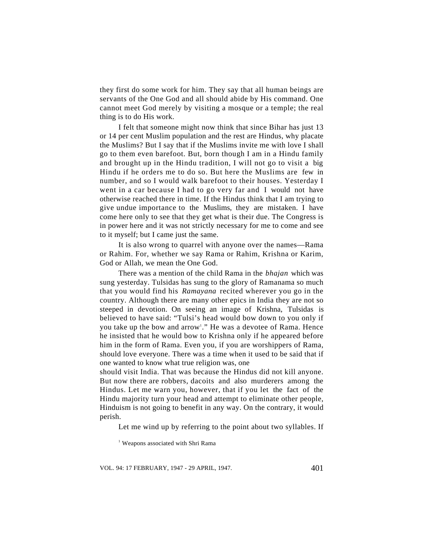they first do some work for him. They say that all human beings are servants of the One God and all should abide by His command. One cannot meet God merely by visiting a mosque or a temple; the real thing is to do His work.

I felt that someone might now think that since Bihar has just 13 or 14 per cent Muslim population and the rest are Hindus, why placate the Muslims? But I say that if the Muslims invite me with love I shall go to them even barefoot. But, born though I am in a Hindu family and brought up in the Hindu tradition, I will not go to visit a big Hindu if he orders me to do so. But here the Muslims are few in number, and so I would walk barefoot to their houses. Yesterday I went in a car because I had to go very far and I would not have otherwise reached there in time. If the Hindus think that I am trying to give undue importance to the Muslims, they are mistaken. I have come here only to see that they get what is their due. The Congress is in power here and it was not strictly necessary for me to come and see to it myself; but I came just the same.

It is also wrong to quarrel with anyone over the names—Rama or Rahim. For, whether we say Rama or Rahim, Krishna or Karim, God or Allah, we mean the One God.

There was a mention of the child Rama in the *bhajan* which was sung yesterday. Tulsidas has sung to the glory of Ramanama so much that you would find his *Ramayana* recited wherever you go in the country. Although there are many other epics in India they are not so steeped in devotion. On seeing an image of Krishna, Tulsidas is believed to have said: "Tulsi's head would bow down to you only if you take up the bow and arrow<sup>1</sup>." He was a devotee of Rama. Hence he insisted that he would bow to Krishna only if he appeared before him in the form of Rama. Even you, if you are worshippers of Rama, should love everyone. There was a time when it used to be said that if one wanted to know what true religion was, one

should visit India. That was because the Hindus did not kill anyone. But now there are robbers, dacoits and also murderers among the Hindus. Let me warn you, however, that if you let the fact of the Hindu majority turn your head and attempt to eliminate other people, Hinduism is not going to benefit in any way. On the contrary, it would perish.

Let me wind up by referring to the point about two syllables. If

<sup>1</sup> Weapons associated with Shri Rama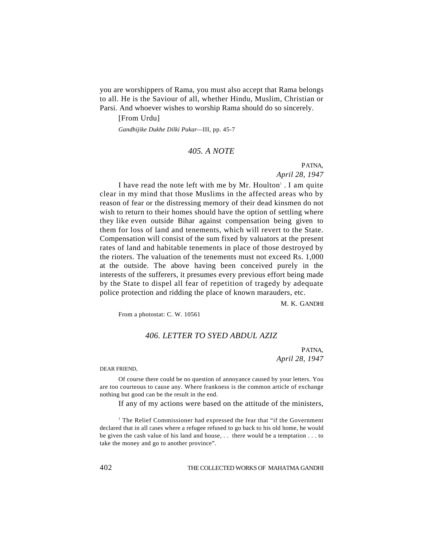you are worshippers of Rama, you must also accept that Rama belongs to all. He is the Saviour of all, whether Hindu, Muslim, Christian or Parsi. And whoever wishes to worship Rama should do so sincerely.

[From Urdu]

*Gandhijike Dukhe Dilki Pukar—*III, pp. 45-7

# *405. A NOTE*

PATNA, *April 28, 1947*

I have read the note left with me by Mr. Houlton<sup>1</sup>. I am quite clear in my mind that those Muslims in the affected areas who by reason of fear or the distressing memory of their dead kinsmen do not wish to return to their homes should have the option of settling where they like even outside Bihar against compensation being given to them for loss of land and tenements, which will revert to the State. Compensation will consist of the sum fixed by valuators at the present rates of land and habitable tenements in place of those destroyed by the rioters. The valuation of the tenements must not exceed Rs. 1,000 at the outside. The above having been conceived purely in the interests of the sufferers, it presumes every previous effort being made by the State to dispel all fear of repetition of tragedy by adequate police protection and ridding the place of known marauders, etc.

M. K. GANDHI

From a photostat: C. W. 10561

## *406. LETTER TO SYED ABDUL AZIZ*

PATNA, *April 28, 1947*

DEAR FRIEND,

Of course there could be no question of annoyance caused by your letters. You are too courteous to cause any. Where frankness is the common article of exchange nothing but good can be the result in the end.

If any of my actions were based on the attitude of the ministers,

<sup>1</sup> The Relief Commissioner had expressed the fear that "if the Government declared that in all cases where a refugee refused to go back to his old home, he would be given the cash value of his land and house, . . there would be a temptation . . . to take the money and go to another province".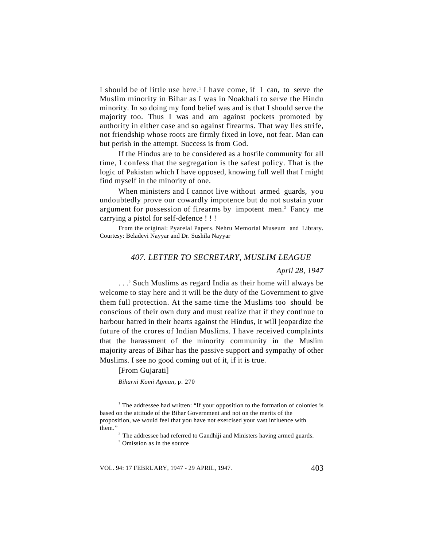I should be of little use here.<sup>1</sup> I have come, if I can, to serve the Muslim minority in Bihar as I was in Noakhali to serve the Hindu minority. In so doing my fond belief was and is that I should serve the majority too. Thus I was and am against pockets promoted by authority in either case and so against firearms. That way lies strife, not friendship whose roots are firmly fixed in love, not fear. Man can but perish in the attempt. Success is from God.

If the Hindus are to be considered as a hostile community for all time, I confess that the segregation is the safest policy. That is the logic of Pakistan which I have opposed, knowing full well that I might find myself in the minority of one.

When ministers and I cannot live without armed guards, you undoubtedly prove our cowardly impotence but do not sustain your argument for possession of firearms by impotent men.<sup>2</sup> Fancy me carrying a pistol for self-defence ! ! !

From the original: Pyarelal Papers. Nehru Memorial Museum and Library. Courtesy: Beladevi Nayyar and Dr. Sushila Nayyar

## *407. LETTER TO SECRETARY, MUSLIM LEAGUE*

*April 28, 1947*

. . . 3 Such Muslims as regard India as their home will always be welcome to stay here and it will be the duty of the Government to give them full protection. At the same time the Muslims too should be conscious of their own duty and must realize that if they continue to harbour hatred in their hearts against the Hindus, it will jeopardize the future of the crores of Indian Muslims. I have received complaints that the harassment of the minority community in the Muslim majority areas of Bihar has the passive support and sympathy of other Muslims. I see no good coming out of it, if it is true.

[From Gujarati]

*Biharni Komi Agman,* p. 270

<sup>1</sup> The addressee had written: "If your opposition to the formation of colonies is based on the attitude of the Bihar Government and not on the merits of the proposition, we would feel that you have not exercised your vast influence with them."

 $2$  The addressee had referred to Gandhiji and Ministers having armed guards. 3 Omission as in the source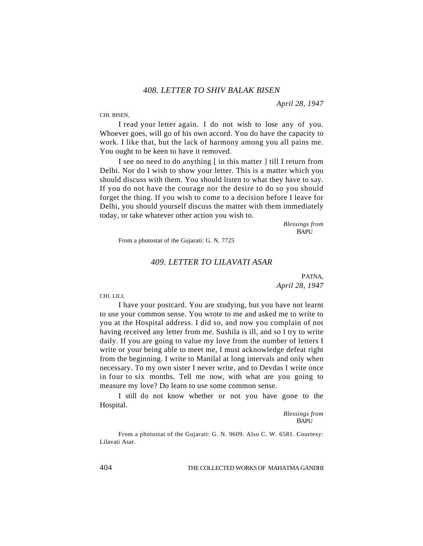*April 28, 1947*

CHI. BISEN,

I read your letter again. I do not wish to lose any of you. Whoever goes, will go of his own accord. You do have the capacity to work. I like that, but the lack of harmony among you all pains me. You ought to be keen to have it removed.

I see no need to do anything [ in this matter ] till I return from Delhi. Nor do I wish to show your letter. This is a matter which you should discuss with them. You should listen to what they have to say. If you do not have the courage nor the desire to do so you should forget the thing. If you wish to come to a decision before I leave for Delhi, you should yourself discuss the matter with them immediately today, or take whatever other action you wish to.

> *Blessings from* **BAPU**

From a photostat of the Gujarati: G. N. 7725

## *409. LETTER TO LILAVATI ASAR*

PATNA, *April 28, 1947*

CHI. LILI,

I have your postcard. You are studying, but you have not learnt to use your common sense. You wrote to me and asked me to write to you at the Hospital address. I did so, and now you complain of not having received any letter from me. Sushila is ill, and so I try to write daily. If you are going to value my love from the number of letters I write or your being able to meet me, I must acknowledge defeat right from the beginning. I write to Manilal at long intervals and only when necessary. To my own sister I never write, and to Devdas I write once in four to six months. Tell me now, with what are you going to measure my love? Do learn to use some common sense.

I still do not know whether or not you have gone to the Hospital.

> *Blessings from* **BAPU**

From a photostat of the Gujarati: G. N. 9609. Also C. W. 6581. Courtesy: Lilavati Asar.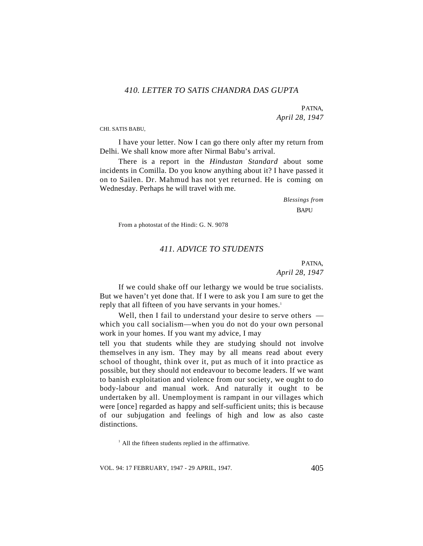# *410. LETTER TO SATIS CHANDRA DAS GUPTA*

PATNA, *April 28, 1947*

CHI. SATIS BABU,

I have your letter. Now I can go there only after my return from Delhi. We shall know more after Nirmal Babu's arrival.

There is a report in the *Hindustan Standard* about some incidents in Comilla. Do you know anything about it? I have passed it on to Sailen. Dr. Mahmud has not yet returned. He is coming on Wednesday. Perhaps he will travel with me.

> *Blessings from* BAPU

From a photostat of the Hindi: G. N. 9078

# *411. ADVICE TO STUDENTS*

**PATNA** *April 28, 1947*

If we could shake off our lethargy we would be true socialists. But we haven't yet done that. If I were to ask you I am sure to get the reply that all fifteen of you have servants in your homes.<sup>1</sup>

Well, then I fail to understand your desire to serve others which you call socialism—when you do not do your own personal work in your homes. If you want my advice, I may

tell you that students while they are studying should not involve themselves in any ism. They may by all means read about every school of thought, think over it, put as much of it into practice as possible, but they should not endeavour to become leaders. If we want to banish exploitation and violence from our society, we ought to do body-labour and manual work. And naturally it ought to be undertaken by all. Unemployment is rampant in our villages which were [once] regarded as happy and self-sufficient units; this is because of our subjugation and feelings of high and low as also caste distinctions.

<sup>1</sup> All the fifteen students replied in the affirmative.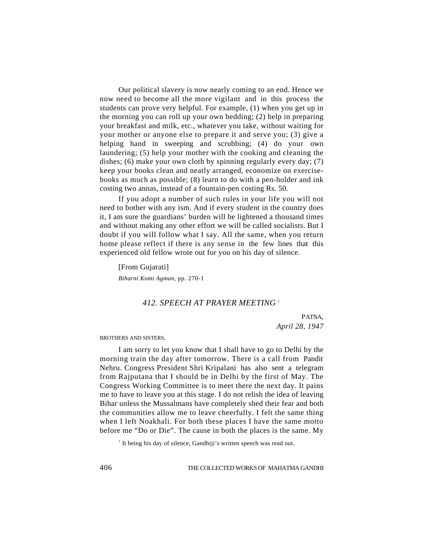Our political slavery is now nearly coming to an end. Hence we now need to become all the more vigilant and in this process the students can prove very helpful. For example, (1) when you get up in the morning you can roll up your own bedding; (2) help in preparing your breakfast and milk, etc., whatever you take, without waiting for your mother or anyone else to prepare it and serve you; (3) give a helping hand in sweeping and scrubbing; (4) do your own laundering; (5) help your mother with the cooking and cleaning the dishes; (6) make your own cloth by spinning regularly every day; (7) keep your books clean and neatly arranged, economize on exercisebooks as much as possible; (8) learn to do with a pen-holder and ink costing two annas, instead of a fountain-pen costing Rs. 50.

If you adopt a number of such rules in your life you will not need to bother with any ism. And if every student in the country does it, I am sure the guardians' burden will be lightened a thousand times and without making any other effort we will be called socialists. But I doubt if you will follow what I say. All the same, when you return home please reflect if there is any sense in the few lines that this experienced old fellow wrote out for you on his day of silence.

[From Gujarati] *Biharni Komi Agman,* pp. 270-1

# *412. SPEECH AT PRAYER MEETING* <sup>1</sup>

PATNA, *April 28, 1947*

BROTHERS AND SISTERS,

I am sorry to let you know that I shall have to go to Delhi by the morning train the day after tomorrow. There is a call from Pandit Nehru. Congress President Shri Kripalani has also sent a telegram from Rajputana that I should be in Delhi by the first of May. The Congress Working Committee is to meet there the next day. It pains me to have to leave you at this stage. I do not relish the idea of leaving Bihar unless the Mussalmans have completely shed their fear and both the communities allow me to leave cheerfully. I felt the same thing when I left Noakhali. For both these places I have the same motto before me "Do or Die". The cause in both the places is the same. My

<sup>1</sup> It being his day of silence, Gandhiji's written speech was read out.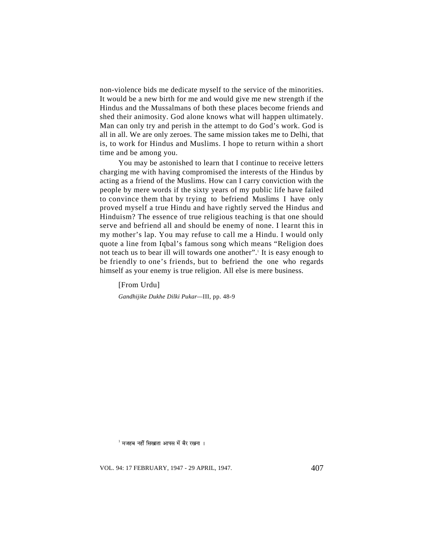non-violence bids me dedicate myself to the service of the minorities. It would be a new birth for me and would give me new strength if the Hindus and the Mussalmans of both these places become friends and shed their animosity. God alone knows what will happen ultimately. Man can only try and perish in the attempt to do God's work. God is all in all. We are only zeroes. The same mission takes me to Delhi, that is, to work for Hindus and Muslims. I hope to return within a short time and be among you.

You may be astonished to learn that I continue to receive letters charging me with having compromised the interests of the Hindus by acting as a friend of the Muslims. How can I carry conviction with the people by mere words if the sixty years of my public life have failed to convince them that by trying to befriend Muslims I have only proved myself a true Hindu and have rightly served the Hindus and Hinduism? The essence of true religious teaching is that one should serve and befriend all and should be enemy of none. I learnt this in my mother's lap. You may refuse to call me a Hindu. I would only quote a line from Iqbal's famous song which means "Religion does not teach us to bear ill will towards one another".<sup>1</sup> It is easy enough to be friendly to one's friends, but to befriend the one who regards himself as your enemy is true religion. All else is mere business.

[From Urdu] *Gandhijike Dukhe Dilki Pukar—*III, pp. 48-9

<sup>1</sup> मजहब नहीं सिखाता आपस में बैर रखना ।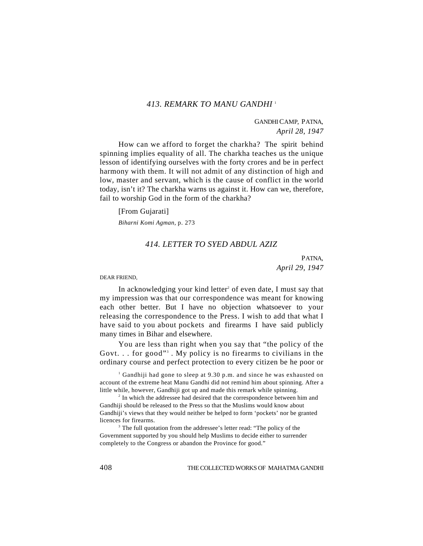# *413. REMARK TO MANU GANDHI* <sup>1</sup>

GANDHI CAMP, PATNA, *April 28, 1947*

How can we afford to forget the charkha? The spirit behind spinning implies equality of all. The charkha teaches us the unique lesson of identifying ourselves with the forty crores and be in perfect harmony with them. It will not admit of any distinction of high and low, master and servant, which is the cause of conflict in the world today, isn't it? The charkha warns us against it. How can we, therefore, fail to worship God in the form of the charkha?

[From Gujarati]

*Biharni Komi Agman,* p. 273

# *414. LETTER TO SYED ABDUL AZIZ*

PATNA, *April 29, 1947*

DEAR FRIEND,

In acknowledging your kind letter<sup>2</sup> of even date, I must say that my impression was that our correspondence was meant for knowing each other better. But I have no objection whatsoever to your releasing the correspondence to the Press. I wish to add that what I have said to you about pockets and firearms I have said publicly many times in Bihar and elsewhere.

You are less than right when you say that "the policy of the Govt. . . for good"<sup>3</sup>. My policy is no firearms to civilians in the ordinary course and perfect protection to every citizen be he poor or

<sup>1</sup> Gandhiji had gone to sleep at 9.30 p.m. and since he was exhausted on account of the extreme heat Manu Gandhi did not remind him about spinning. After a little while, however, Gandhiji got up and made this remark while spinning.

<sup>2</sup> In which the addressee had desired that the correspondence between him and Gandhiji should be released to the Press so that the Muslims would know about Gandhiji's views that they would neither be helped to form 'pockets' nor be granted licences for firearms.

<sup>3</sup> The full quotation from the addressee's letter read: "The policy of the Government supported by you should help Muslims to decide either to surrender completely to the Congress or abandon the Province for good."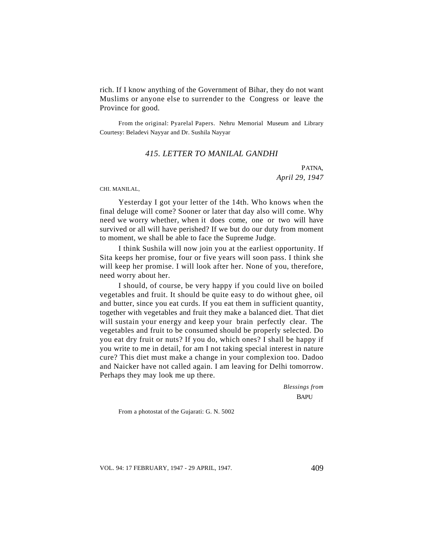# rich. If I know anything of the Government of Bihar, they do not want Muslims or anyone else to surrender to the Congress or leave the Province for good.

From the original: Pyarelal Papers. Nehru Memorial Museum and Library Courtesy: Beladevi Nayyar and Dr. Sushila Nayyar

## *415. LETTER TO MANILAL GANDHI*

PATNA, *April 29, 1947*

CHI. MANILAL,

Yesterday I got your letter of the 14th. Who knows when the final deluge will come? Sooner or later that day also will come. Why need we worry whether, when it does come, one or two will have survived or all will have perished? If we but do our duty from moment to moment, we shall be able to face the Supreme Judge.

I think Sushila will now join you at the earliest opportunity. If Sita keeps her promise, four or five years will soon pass. I think she will keep her promise. I will look after her. None of you, therefore, need worry about her.

I should, of course, be very happy if you could live on boiled vegetables and fruit. It should be quite easy to do without ghee, oil and butter, since you eat curds. If you eat them in sufficient quantity, together with vegetables and fruit they make a balanced diet. That diet will sustain your energy and keep your brain perfectly clear. The vegetables and fruit to be consumed should be properly selected. Do you eat dry fruit or nuts? If you do, which ones? I shall be happy if you write to me in detail, for am I not taking special interest in nature cure? This diet must make a change in your complexion too. Dadoo and Naicker have not called again. I am leaving for Delhi tomorrow. Perhaps they may look me up there.

> *Blessings from* **BAPU**

From a photostat of the Gujarati: G. N. 5002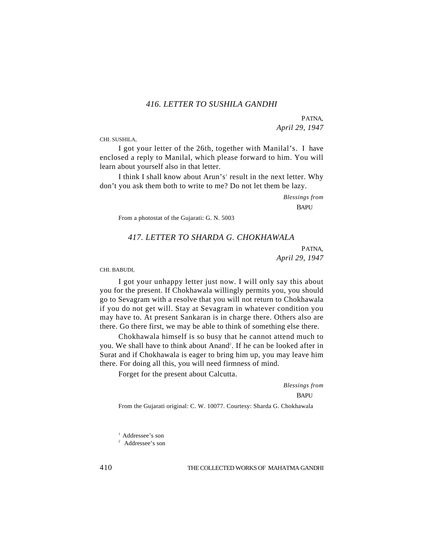# *416. LETTER TO SUSHILA GANDHI*

**PATNA** *April 29, 1947*

CHI. SUSHILA,

I got your letter of the 26th, together with Manilal's. I have enclosed a reply to Manilal, which please forward to him. You will learn about yourself also in that letter.

I think I shall know about Arun's<sup>1</sup> result in the next letter. Why don't you ask them both to write to me? Do not let them be lazy.

*Blessings from*

**BAPU** 

From a photostat of the Gujarati: G. N. 5003

## *417. LETTER TO SHARDA G. CHOKHAWALA*

**PATNA** *April 29, 1947*

CHI. BABUDI,

I got your unhappy letter just now. I will only say this about you for the present. If Chokhawala willingly permits you, you should go to Sevagram with a resolve that you will not return to Chokhawala if you do not get will. Stay at Sevagram in whatever condition you may have to. At present Sankaran is in charge there. Others also are there. Go there first, we may be able to think of something else there.

Chokhawala himself is so busy that he cannot attend much to you. We shall have to think about Anand<sup>2</sup>. If he can be looked after in Surat and if Chokhawala is eager to bring him up, you may leave him there. For doing all this, you will need firmness of mind.

Forget for the present about Calcutta.

*Blessings from*

**BAPU** 

From the Gujarati original: C. W. 10077. Courtesy: Sharda G. Chokhawala

<sup>1</sup> Addressee's son

<sup>2</sup> Addressee's son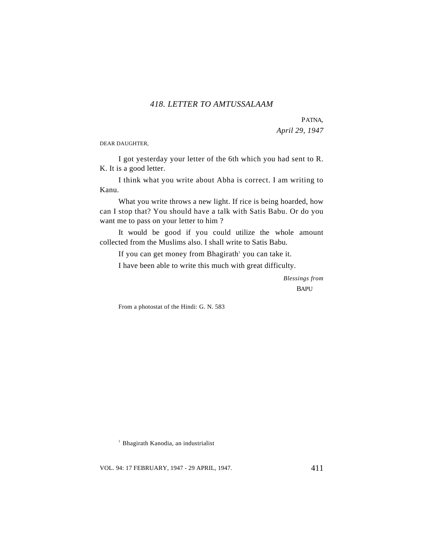# *418. LETTER TO AMTUSSALAAM*

PATNA, *April 29, 1947*

DEAR DAUGHTER,

I got yesterday your letter of the 6th which you had sent to R. K. It is a good letter.

I think what you write about Abha is correct. I am writing to Kanu.

What you write throws a new light. If rice is being hoarded, how can I stop that? You should have a talk with Satis Babu. Or do you want me to pass on your letter to him ?

It would be good if you could utilize the whole amount collected from the Muslims also. I shall write to Satis Babu.

If you can get money from Bhagirath<sup>1</sup> you can take it.

I have been able to write this much with great difficulty.

*Blessings from* BAPU

From a photostat of the Hindi: G. N. 583

<sup>1</sup> Bhagirath Kanodia, an industrialist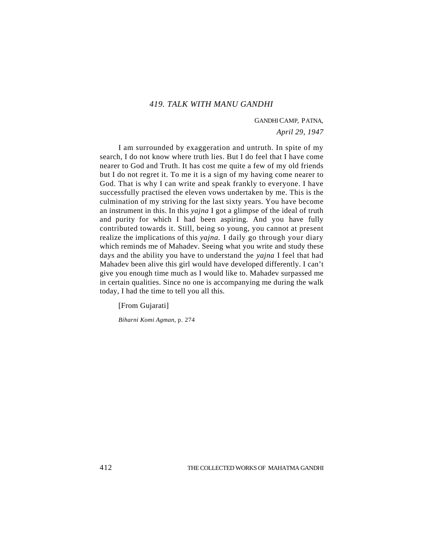# *419. TALK WITH MANU GANDHI*

GANDHI CAMP, PATNA, *April 29, 1947*

I am surrounded by exaggeration and untruth. In spite of my search, I do not know where truth lies. But I do feel that I have come nearer to God and Truth. It has cost me quite a few of my old friends but I do not regret it. To me it is a sign of my having come nearer to God. That is why I can write and speak frankly to everyone. I have successfully practised the eleven vows undertaken by me. This is the culmination of my striving for the last sixty years. You have become an instrument in this. In this *yajna* I got a glimpse of the ideal of truth and purity for which I had been aspiring. And you have fully contributed towards it. Still, being so young, you cannot at present realize the implications of this *yajna.* I daily go through your diary which reminds me of Mahadev. Seeing what you write and study these days and the ability you have to understand the *yajna* I feel that had Mahadev been alive this girl would have developed differently. I can't give you enough time much as I would like to. Mahadev surpassed me in certain qualities. Since no one is accompanying me during the walk today, I had the time to tell you all this.

[From Gujarati]

*Biharni Komi Agman,* p. 274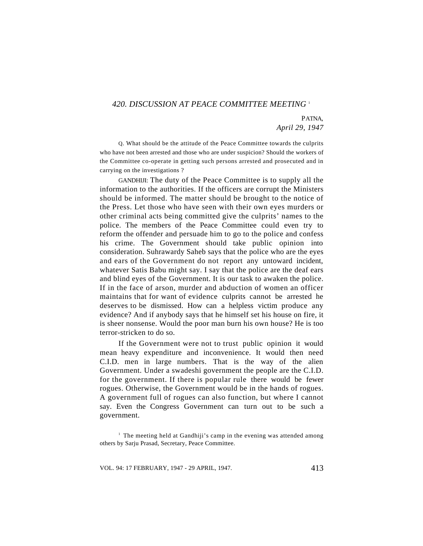# *420. DISCUSSION AT PEACE COMMITTEE MEETING* <sup>1</sup>

**PATNA** *April 29, 1947*

Q. What should be the attitude of the Peace Committee towards the culprits who have not been arrested and those who are under suspicion? Should the workers of the Committee co-operate in getting such persons arrested and prosecuted and in carrying on the investigations ?

GANDHIJI: The duty of the Peace Committee is to supply all the information to the authorities. If the officers are corrupt the Ministers should be informed. The matter should be brought to the notice of the Press. Let those who have seen with their own eyes murders or other criminal acts being committed give the culprits' names to the police. The members of the Peace Committee could even try to reform the offender and persuade him to go to the police and confess his crime. The Government should take public opinion into consideration. Suhrawardy Saheb says that the police who are the eyes and ears of the Government do not report any untoward incident, whatever Satis Babu might say. I say that the police are the deaf ears and blind eyes of the Government. It is our task to awaken the police. If in the face of arson, murder and abduction of women an officer maintains that for want of evidence culprits cannot be arrested he deserves to be dismissed. How can a helpless victim produce any evidence? And if anybody says that he himself set his house on fire, it is sheer nonsense. Would the poor man burn his own house? He is too terror-stricken to do so.

If the Government were not to trust public opinion it would mean heavy expenditure and inconvenience. It would then need C.I.D. men in large numbers. That is the way of the alien Government. Under a swadeshi government the people are the C.I.D. for the government. If there is popular rule there would be fewer rogues. Otherwise, the Government would be in the hands of rogues. A government full of rogues can also function, but where I cannot say. Even the Congress Government can turn out to be such a government.

<sup>&</sup>lt;sup>1</sup> The meeting held at Gandhiji's camp in the evening was attended among others by Sarju Prasad, Secretary, Peace Committee.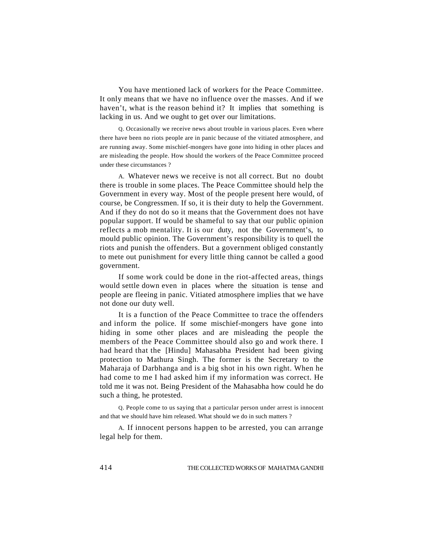You have mentioned lack of workers for the Peace Committee. It only means that we have no influence over the masses. And if we haven't, what is the reason behind it? It implies that something is lacking in us. And we ought to get over our limitations.

Q. Occasionally we receive news about trouble in various places. Even where there have been no riots people are in panic because of the vitiated atmosphere, and are running away. Some mischief-mongers have gone into hiding in other places and are misleading the people. How should the workers of the Peace Committee proceed under these circumstances ?

A. Whatever news we receive is not all correct. But no doubt there is trouble in some places. The Peace Committee should help the Government in every way. Most of the people present here would, of course, be Congressmen. If so, it is their duty to help the Government. And if they do not do so it means that the Government does not have popular support. If would be shameful to say that our public opinion reflects a mob mentality. It is our duty, not the Government's, to mould public opinion. The Government's responsibility is to quell the riots and punish the offenders. But a government obliged constantly to mete out punishment for every little thing cannot be called a good government.

If some work could be done in the riot-affected areas, things would settle down even in places where the situation is tense and people are fleeing in panic. Vitiated atmosphere implies that we have not done our duty well.

It is a function of the Peace Committee to trace the offenders and inform the police. If some mischief-mongers have gone into hiding in some other places and are misleading the people the members of the Peace Committee should also go and work there. I had heard that the [Hindu] Mahasabha President had been giving protection to Mathura Singh. The former is the Secretary to the Maharaja of Darbhanga and is a big shot in his own right. When he had come to me I had asked him if my information was correct. He told me it was not. Being President of the Mahasabha how could he do such a thing, he protested.

Q. People come to us saying that a particular person under arrest is innocent and that we should have him released. What should we do in such matters ?

A. If innocent persons happen to be arrested, you can arrange legal help for them.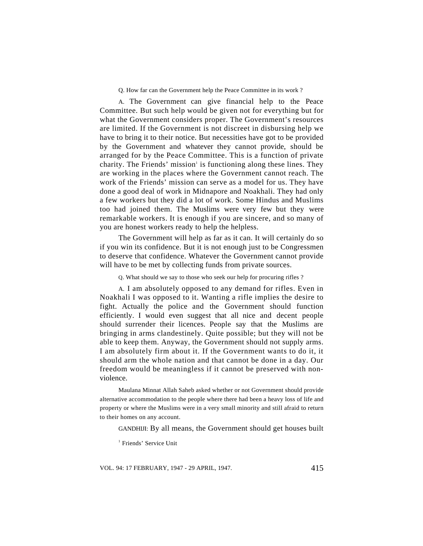Q. How far can the Government help the Peace Committee in its work ?

A. The Government can give financial help to the Peace Committee. But such help would be given not for everything but for what the Government considers proper. The Government's resources are limited. If the Government is not discreet in disbursing help we have to bring it to their notice. But necessities have got to be provided by the Government and whatever they cannot provide, should be arranged for by the Peace Committee. This is a function of private charity. The Friends' mission' is functioning along these lines. They are working in the places where the Government cannot reach. The work of the Friends' mission can serve as a model for us. They have done a good deal of work in Midnapore and Noakhali. They had only a few workers but they did a lot of work. Some Hindus and Muslims too had joined them. The Muslims were very few but they were remarkable workers. It is enough if you are sincere, and so many of you are honest workers ready to help the helpless.

The Government will help as far as it can. It will certainly do so if you win its confidence. But it is not enough just to be Congressmen to deserve that confidence. Whatever the Government cannot provide will have to be met by collecting funds from private sources.

Q. What should we say to those who seek our help for procuring rifles ?

A. I am absolutely opposed to any demand for rifles. Even in Noakhali I was opposed to it. Wanting a rifle implies the desire to fight. Actually the police and the Government should function efficiently. I would even suggest that all nice and decent people should surrender their licences. People say that the Muslims are bringing in arms clandestinely. Quite possible; but they will not be able to keep them. Anyway, the Government should not supply arms. I am absolutely firm about it. If the Government wants to do it, it should arm the whole nation and that cannot be done in a day. Our freedom would be meaningless if it cannot be preserved with nonviolence.

Maulana Minnat Allah Saheb asked whether or not Government should provide alternative accommodation to the people where there had been a heavy loss of life and property or where the Muslims were in a very small minority and still afraid to return to their homes on any account.

GANDHIJI: By all means, the Government should get houses built

<sup>1</sup> Friends' Service Unit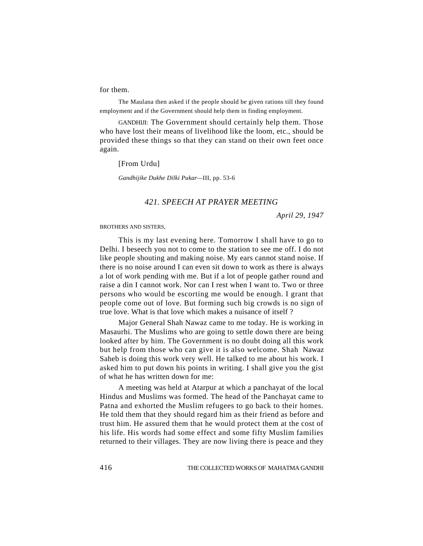for them.

The Maulana then asked if the people should be given rations till they found employment and if the Government should help them in finding employment.

GANDHIJI: The Government should certainly help them. Those who have lost their means of livelihood like the loom, etc., should be provided these things so that they can stand on their own feet once again.

[From Urdu]

*Gandhijike Dukhe Dilki Pukar—*III, pp. 53-6

# *421. SPEECH AT PRAYER MEETING*

*April 29, 1947*

BROTHERS AND SISTERS,

This is my last evening here. Tomorrow I shall have to go to Delhi. I beseech you not to come to the station to see me off. I do not like people shouting and making noise. My ears cannot stand noise. If there is no noise around I can even sit down to work as there is always a lot of work pending with me. But if a lot of people gather round and raise a din I cannot work. Nor can I rest when I want to. Two or three persons who would be escorting me would be enough. I grant that people come out of love. But forming such big crowds is no sign of true love. What is that love which makes a nuisance of itself ?

Major General Shah Nawaz came to me today. He is working in Masaurhi. The Muslims who are going to settle down there are being looked after by him. The Government is no doubt doing all this work but help from those who can give it is also welcome. Shah Nawaz Saheb is doing this work very well. He talked to me about his work. I asked him to put down his points in writing. I shall give you the gist of what he has written down for me:

A meeting was held at Atarpur at which a panchayat of the local Hindus and Muslims was formed. The head of the Panchayat came to Patna and exhorted the Muslim refugees to go back to their homes. He told them that they should regard him as their friend as before and trust him. He assured them that he would protect them at the cost of his life. His words had some effect and some fifty Muslim families returned to their villages. They are now living there is peace and they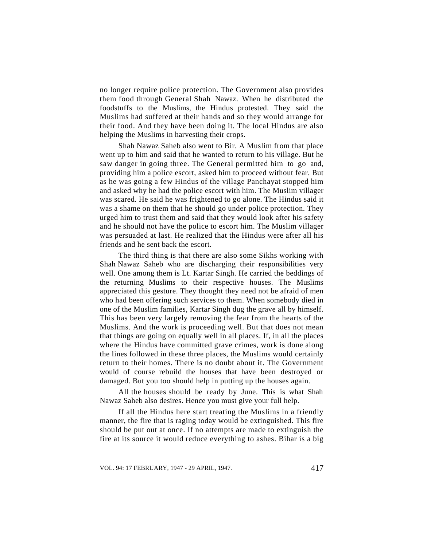no longer require police protection. The Government also provides them food through General Shah Nawaz. When he distributed the foodstuffs to the Muslims, the Hindus protested. They said the Muslims had suffered at their hands and so they would arrange for their food. And they have been doing it. The local Hindus are also helping the Muslims in harvesting their crops.

Shah Nawaz Saheb also went to Bir. A Muslim from that place went up to him and said that he wanted to return to his village. But he saw danger in going three. The General permitted him to go and, providing him a police escort, asked him to proceed without fear. But as he was going a few Hindus of the village Panchayat stopped him and asked why he had the police escort with him. The Muslim villager was scared. He said he was frightened to go alone. The Hindus said it was a shame on them that he should go under police protection. They urged him to trust them and said that they would look after his safety and he should not have the police to escort him. The Muslim villager was persuaded at last. He realized that the Hindus were after all his friends and he sent back the escort.

The third thing is that there are also some Sikhs working with Shah Nawaz Saheb who are discharging their responsibilities very well. One among them is Lt. Kartar Singh. He carried the beddings of the returning Muslims to their respective houses. The Muslims appreciated this gesture. They thought they need not be afraid of men who had been offering such services to them. When somebody died in one of the Muslim families, Kartar Singh dug the grave all by himself. This has been very largely removing the fear from the hearts of the Muslims. And the work is proceeding well. But that does not mean that things are going on equally well in all places. If, in all the places where the Hindus have committed grave crimes, work is done along the lines followed in these three places, the Muslims would certainly return to their homes. There is no doubt about it. The Government would of course rebuild the houses that have been destroyed or damaged. But you too should help in putting up the houses again.

All the houses should be ready by June. This is what Shah Nawaz Saheb also desires. Hence you must give your full help.

If all the Hindus here start treating the Muslims in a friendly manner, the fire that is raging today would be extinguished. This fire should be put out at once. If no attempts are made to extinguish the fire at its source it would reduce everything to ashes. Bihar is a big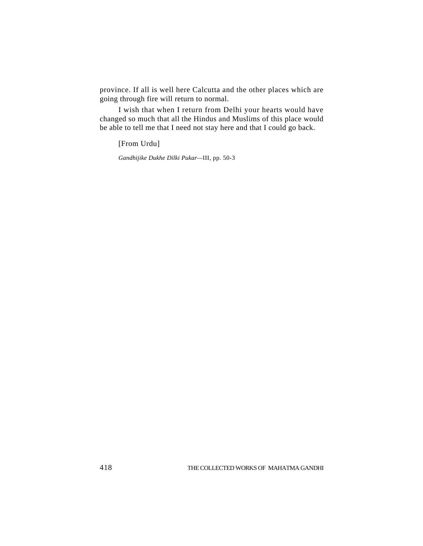province. If all is well here Calcutta and the other places which are going through fire will return to normal.

I wish that when I return from Delhi your hearts would have changed so much that all the Hindus and Muslims of this place would be able to tell me that I need not stay here and that I could go back.

[From Urdu]

*Gandhijike Dukhe Dilki Pukar—*III, pp. 50-3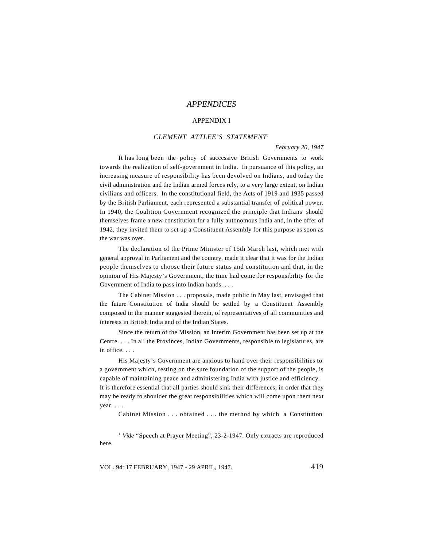## *APPENDICES*

## APPENDIX I

## *CLEMENT ATTLEE'S STATEMENT<sup>1</sup>*

#### *February 20, 1947*

It has long been the policy of successive British Governments to work towards the realization of self-government in India. In pursuance of this policy, an increasing measure of responsibility has been devolved on Indians, and today the civil administration and the Indian armed forces rely, to a very large extent, on Indian civilians and officers. In the constitutional field, the Acts of 1919 and 1935 passed by the British Parliament, each represented a substantial transfer of political power. In 1940, the Coalition Government recognized the principle that Indians should themselves frame a new constitution for a fully autonomous India and, in the offer of 1942, they invited them to set up a Constituent Assembly for this purpose as soon as the war was over.

The declaration of the Prime Minister of 15th March last, which met with general approval in Parliament and the country, made it clear that it was for the Indian people themselves to choose their future status and constitution and that, in the opinion of His Majesty's Government, the time had come for responsibility for the Government of India to pass into Indian hands. . . .

The Cabinet Mission . . . proposals, made public in May last, envisaged that the future Constitution of India should be settled by a Constituent Assembly composed in the manner suggested therein, of representatives of all communities and interests in British India and of the Indian States.

Since the return of the Mission, an Interim Government has been set up at the Centre. . . . In all the Provinces, Indian Governments, responsible to legislatures, are in office. . . .

His Majesty's Government are anxious to hand over their responsibilities to a government which, resting on the sure foundation of the support of the people, is capable of maintaining peace and administering India with justice and efficiency. It is therefore essential that all parties should sink their differences, in order that they may be ready to shoulder the great responsibilities which will come upon them next year. . . .

Cabinet Mission . . . obtained . . . the method by which a Constitution

<sup>1</sup> Vide "Speech at Prayer Meeting", 23-2-1947. Only extracts are reproduced here.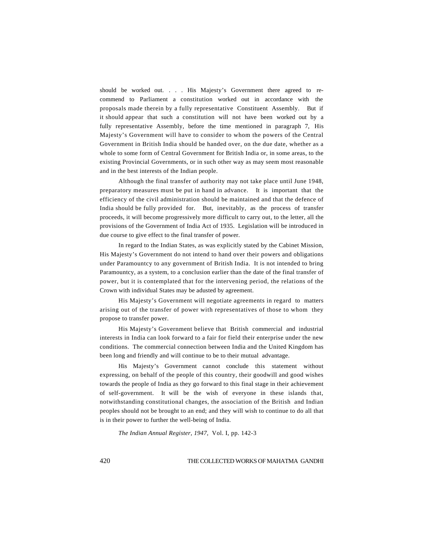should be worked out. . . . His Majesty's Government there agreed to recommend to Parliament a constitution worked out in accordance with the proposals made therein by a fully representative Constituent Assembly. But if it should appear that such a constitution will not have been worked out by a fully representative Assembly, before the time mentioned in paragraph 7, His Majesty's Government will have to consider to whom the powers of the Central Government in British India should be handed over, on the due date, whether as a whole to some form of Central Government for British India or, in some areas, to the existing Provincial Governments, or in such other way as may seem most reasonable and in the best interests of the Indian people.

Although the final transfer of authority may not take place until June 1948, preparatory measures must be put in hand in advance. It is important that the efficiency of the civil administration should be maintained and that the defence of India should be fully provided for. But, inevitably, as the process of transfer proceeds, it will become progressively more difficult to carry out, to the letter, all the provisions of the Government of India Act of 1935. Legislation will be introduced in due course to give effect to the final transfer of power.

In regard to the Indian States, as was explicitly stated by the Cabinet Mission, His Majesty's Government do not intend to hand over their powers and obligations under Paramountcy to any government of British India. It is not intended to bring Paramountcy, as a system, to a conclusion earlier than the date of the final transfer of power, but it is contemplated that for the intervening period, the relations of the Crown with individual States may be adusted by agreement.

His Majesty's Government will negotiate agreements in regard to matters arising out of the transfer of power with representatives of those to whom they propose to transfer power.

His Majesty's Government believe that British commercial and industrial interests in India can look forward to a fair for field their enterprise under the new conditions. The commercial connection between India and the United Kingdom has been long and friendly and will continue to be to their mutual advantage.

His Majesty's Government cannot conclude this statement without expressing, on behalf of the people of this country, their goodwill and good wishes towards the people of India as they go forward to this final stage in their achievement of self-government. It will be the wish of everyone in these islands that, notwithstanding constitutional changes, the association of the British and Indian peoples should not be brought to an end; and they will wish to continue to do all that is in their power to further the well-being of India.

*The Indian Annual Register, 1947,* Vol. I, pp. 142-3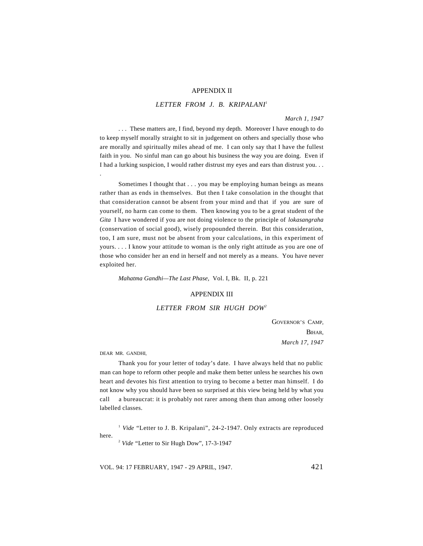### APPENDIX II

## *LETTER FROM J. B. KRIPALANI<sup>1</sup>*

#### *March 1, 1947*

. . . These matters are, I find, beyond my depth. Moreover I have enough to do to keep myself morally straight to sit in judgement on others and specially those who are morally and spiritually miles ahead of me. I can only say that I have the fullest faith in you. No sinful man can go about his business the way you are doing. Even if I had a lurking suspicion, I would rather distrust my eyes and ears than distrust you. . .

Sometimes I thought that . . . you may be employing human beings as means rather than as ends in themselves. But then I take consolation in the thought that that consideration cannot be absent from your mind and that if you are sure of yourself, no harm can come to them. Then knowing you to be a great student of the *Gita* I have wondered if you are not doing violence to the principle of *lokasangraha* (conservation of social good), wisely propounded therein. But this consideration, too, I am sure, must not be absent from your calculations, in this experiment of yours. . . . I know your attitude to woman is the only right attitude as you are one of those who consider her an end in herself and not merely as a means. You have never exploited her.

*Mahatma Gandhi—The Last Phase,* Vol. I, Bk. II, p. 221

#### APPENDIX III

### *LETTER FROM SIR HUGH DOW<sup>2</sup>*

GOVERNOR'S CAMP, BIHAR, *March 17, 1947*

DEAR MR. GANDHI,

.

Thank you for your letter of today's date. I have always held that no public man can hope to reform other people and make them better unless he searches his own heart and devotes his first attention to trying to become a better man himself. I do not know why you should have been so surprised at this view being held by what you call a bureaucrat: it is probably not rarer among them than among other loosely labelled classes.

<sup>1</sup> *Vide* "Letter to J. B. Kripalani", 24-2-1947. Only extracts are reproduced here.

<sup>2</sup> *Vide* "Letter to Sir Hugh Dow", 17-3-1947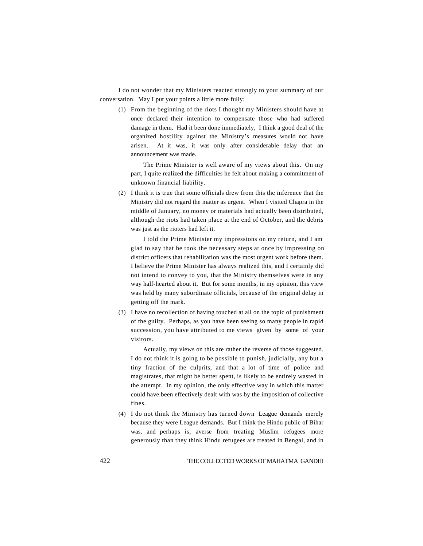I do not wonder that my Ministers reacted strongly to your summary of our conversation. May I put your points a little more fully:

(1) From the beginning of the riots I thought my Ministers should have at once declared their intention to compensate those who had suffered damage in them. Had it been done immediately, I think a good deal of the organized hostility against the Ministry's measures would not have arisen. At it was, it was only after considerable delay that an announcement was made.

The Prime Minister is well aware of my views about this. On my part, I quite realized the difficulties he felt about making a commitment of unknown financial liability.

(2) I think it is true that some officials drew from this the inference that the Ministry did not regard the matter as urgent. When I visited Chapra in the middle of January, no money or materials had actually been distributed, although the riots had taken place at the end of October, and the debris was just as the rioters had left it.

I told the Prime Minister my impressions on my return, and I am glad to say that he took the necessary steps at once by impressing on district officers that rehabilitation was the most urgent work before them. I believe the Prime Minister has always realized this, and I certainly did not intend to convey to you, that the Ministry themselves were in any way half-hearted about it. But for some months, in my opinion, this view was held by many subordinate officials, because of the original delay in getting off the mark.

(3) I have no recollection of having touched at all on the topic of punishment of the guilty. Perhaps, as you have been seeing so many people in rapid succession, you have attributed to me views given by some of your visitors.

Actually, my views on this are rather the reverse of those suggested. I do not think it is going to be possible to punish, judicially, any but a tiny fraction of the culprits, and that a lot of time of police and magistrates, that might be better spent, is likely to be entirely wasted in the attempt. In my opinion, the only effective way in which this matter could have been effectively dealt with was by the imposition of collective fines.

(4) I do not think the Ministry has turned down League demands merely because they were League demands. But I think the Hindu public of Bihar was, and perhaps is, averse from treating Muslim refugees more generously than they think Hindu refugees are treated in Bengal, and in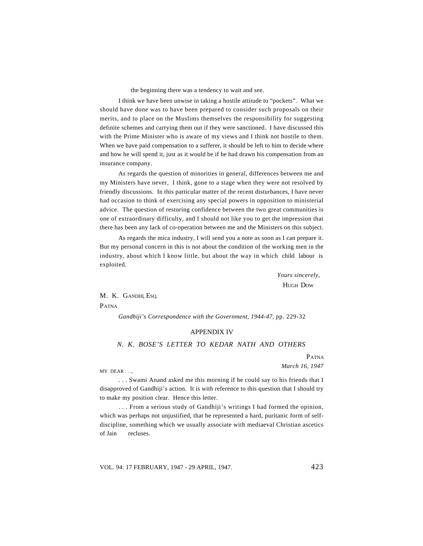the beginning there was a tendency to wait and see.

I think we have been unwise in taking a hostile attitude to "pockets". What we should have done was to have been prepared to consider such proposals on their merits, and to place on the Muslims themselves the responsibility for suggesting definite schemes and carrying them out if they were sanctioned. I have discussed this with the Prime Minister who is aware of my views and I think not hostile to them. When we have paid compensation to a sufferer, it should be left to him to decide where and how he will spend it, just as it would be if he had drawn his compensation from an insurance company.

As regards the question of minorities in general, differences between me and my Ministers have never, I think, gone to a stage when they were not resolved by friendly discussions. In this particular matter of the recent disturbances, I have never had occasion to think of exercising any special powers in opposition to ministerial advice. The question of restoring confidence between the two great communities is one of extraordinary difficulty, and I should not like you to get the impression that there has been any lack of co-operation between me and the Ministers on this subject.

As regards the mica industry, I will send you a note as soon as I can prepare it. But my personal concern in this is not about the condition of the working men in the industry, about which I know little, but about the way in which child labour is exploited.

> *Yours sincerely,* HUGH DOW

M. K. GANDHI, Eso. PATNA

*Gandhiji's Correspondence with the Government, 1944-47,* pp. 229-32

### APPENDIX IV

#### *N. K. BOSE'S LETTER TO KEDAR NATH AND OTHERS*

PATNA *March 16, 1947*

MY DEAR . . ..

. . . Swami Anand asked me this morning if he could say to his friends that I disapproved of Gandhiji's action. It is with reference to this question that I should try to make my position clear. Hence this letter.

. . . From a serious study of Gandhiji's writings I had formed the opinion, which was perhaps not unjustified, that he represented a hard, puritanic form of selfdiscipline, something which we usually associate with mediaeval Christian ascetics of Jain recluses.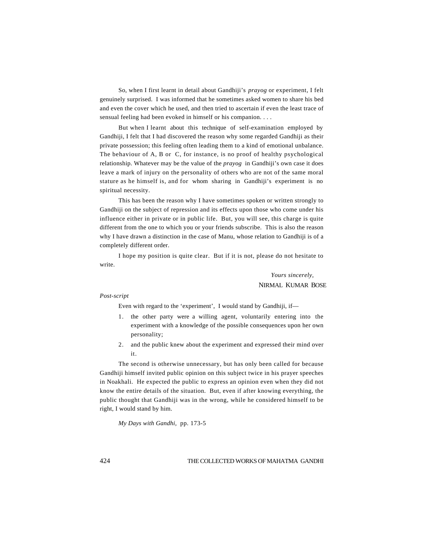So, when I first learnt in detail about Gandhiji's *prayog* or experiment, I felt genuinely surprised. I was informed that he sometimes asked women to share his bed and even the cover which he used, and then tried to ascertain if even the least trace of sensual feeling had been evoked in himself or his companion. . . .

But when I learnt about this technique of self-examination employed by Gandhiji, I felt that I had discovered the reason why some regarded Gandhiji as their private possession; this feeling often leading them to a kind of emotional unbalance. The behaviour of A, B or C, for instance, is no proof of healthy psychological relationship. Whatever may be the value of the *prayog* in Gandhiji's own case it does leave a mark of injury on the personality of others who are not of the same moral stature as he himself is, and for whom sharing in Gandhiji's experiment is no spiritual necessity.

This has been the reason why I have sometimes spoken or written strongly to Gandhiji on the subject of repression and its effects upon those who come under his influence either in private or in public life. But, you will see, this charge is quite different from the one to which you or your friends subscribe. This is also the reason why I have drawn a distinction in the case of Manu, whose relation to Gandhiji is of a completely different order.

I hope my position is quite clear. But if it is not, please do not hesitate to write.

## *Yours sincerely,* NIRMAL KUMAR BOSE

*Post-script*

Even with regard to the 'experiment', I would stand by Gandhiji, if—

- 1. the other party were a willing agent, voluntarily entering into the experiment with a knowledge of the possible consequences upon her own personality;
- 2. and the public knew about the experiment and expressed their mind over it.

The second is otherwise unnecessary, but has only been called for because Gandhiji himself invited public opinion on this subject twice in his prayer speeches in Noakhali. He expected the public to express an opinion even when they did not know the entire details of the situation. But, even if after knowing everything, the public thought that Gandhiji was in the wrong, while he considered himself to be right, I would stand by him.

*My Days with Gandhi,* pp. 173-5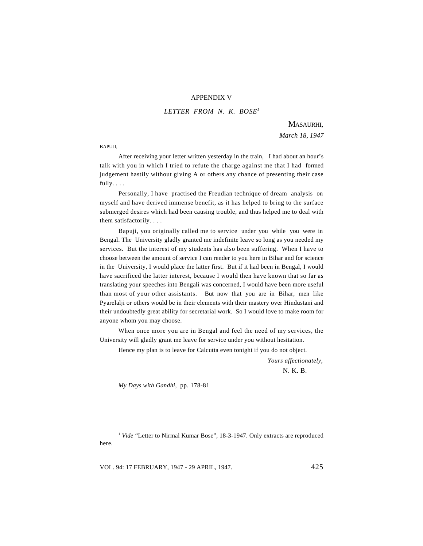### APPENDIX V

## *LETTER FROM N. K. BOSE<sup>1</sup>*

**MASAURHI** *March 18, 1947*

#### BAPUJI,

After receiving your letter written yesterday in the train, I had about an hour's talk with you in which I tried to refute the charge against me that I had formed judgement hastily without giving A or others any chance of presenting their case fully. . . .

Personally, I have practised the Freudian technique of dream analysis on myself and have derived immense benefit, as it has helped to bring to the surface submerged desires which had been causing trouble, and thus helped me to deal with them satisfactorily. . . .

Bapuji, you originally called me to service under you while you were in Bengal. The University gladly granted me indefinite leave so long as you needed my services. But the interest of my students has also been suffering. When I have to choose between the amount of service I can render to you here in Bihar and for science in the University, I would place the latter first. But if it had been in Bengal, I would have sacrificed the latter interest, because I would then have known that so far as translating your speeches into Bengali was concerned, I would have been more useful than most of your other assistants. But now that you are in Bihar, men like Pyarelalji or others would be in their elements with their mastery over Hindustani and their undoubtedly great ability for secretarial work. So I would love to make room for anyone whom you may choose.

When once more you are in Bengal and feel the need of my services, the University will gladly grant me leave for service under you without hesitation.

Hence my plan is to leave for Calcutta even tonight if you do not object.

*Yours affectionately,*

N. K. B.

*My Days with Gandhi,* pp. 178-81

<sup>1</sup> Vide "Letter to Nirmal Kumar Bose", 18-3-1947. Only extracts are reproduced here.

VOL. 94: 17 FEBRUARY, 1947 - 29 APRIL, 1947. 425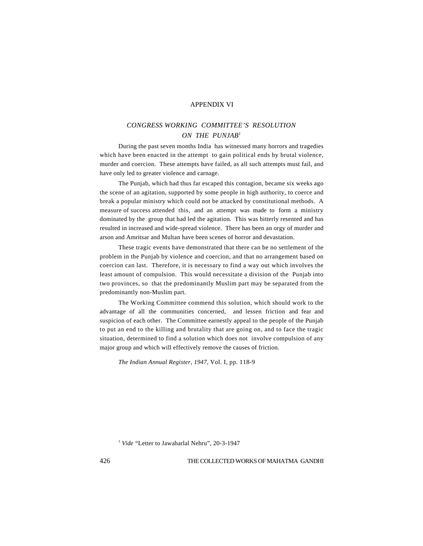### APPENDIX VI

# *CONGRESS WORKING COMMITTEE'S RESOLUTION ON THE PUNJAB<sup>1</sup>*

During the past seven months India has witnessed many horrors and tragedies which have been enacted in the attempt to gain political ends by brutal violence, murder and coercion. These attempts have failed, as all such attempts must fail, and have only led to greater violence and carnage.

The Punjab, which had thus far escaped this contagion, became six weeks ago the scene of an agitation, supported by some people in high authority, to coerce and break a popular ministry which could not be attacked by constitutional methods. A measure of success attended this, and an attempt was made to form a ministry dominated by the group that had led the agitation. This was bitterly resented and has resulted in increased and wide-spread violence. There has been an orgy of murder and arson and Amritsar and Multan have been scenes of horror and devastation.

These tragic events have demonstrated that there can be no settlement of the problem in the Punjab by violence and coercion, and that no arrangement based on coercion can last. Therefore, it is necessary to find a way out which involves the least amount of compulsion. This would necessitate a division of the Punjab into two provinces, so that the predominantly Muslim part may be separated from the predominantly non-Muslim part.

The Working Committee commend this solution, which should work to the advantage of all the communities concerned, and lessen friction and fear and suspicion of each other. The Committee earnestly appeal to the people of the Punjab to put an end to the killing and brutality that are going on, and to face the tragic situation, determined to find a solution which does not involve compulsion of any major group and which will effectively remove the causes of friction.

*The Indian Annual Register, 1947,* Vol. I, pp. 118-9

<sup>1</sup> *Vide* "Letter to Jawaharlal Nehru", 20-3-1947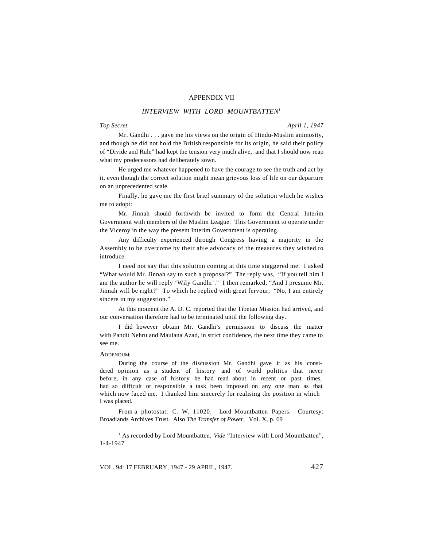#### APPENDIX VII

## *INTERVIEW WITH LORD MOUNTBATTEN<sup>1</sup>*

#### *Top Secret April 1, 1947*

Mr. Gandhi . . . gave me his views on the origin of Hindu-Muslim animosity, and though he did not hold the British responsible for its origin, he said their policy of "Divide and Rule" had kept the tension very much alive, and that I should now reap what my predecessors had deliberately sown.

He urged me whatever happened to have the courage to see the truth and act by it, even though the correct solution might mean grievous loss of life on our departure on an unprecedented scale.

Finally, he gave me the first brief summary of the solution which he wishes me to adopt:

Mr. Jinnah should forthwith be invited to form the Central Interim Government with members of the Muslim League. This Government to operate under the Viceroy in the way the present Interim Government is operating.

Any difficulty experienced through Congress having a majority in the Assembly to be overcome by their able advocacy of the measures they wished to introduce.

I need not say that this solution coming at this time staggered me. I asked "What would Mr. Jinnah say to such a proposal?" The reply was, "If you tell him I am the author he will reply 'Wily Gandhi'." I then remarked, "And I presume Mr. Jinnah will be right?" To which he replied with great fervour, "No, I am entirely sincere in my suggestion."

At this moment the A. D. C. reported that the Tibetan Mission had arrived, and our conversation therefore had to be terminated until the following day.

I did however obtain Mr. Gandhi's permission to discuss the matter with Pandit Nehru and Maulana Azad, in strict confidence, the next time they came to see me.

#### ADDENDUM:

During the course of the discussion Mr. Gandhi gave it as his considered opinion as a student of history and of world politics that never before, in any case of history he had read about in recent or past times, had so difficult or responsible a task been imposed on any one man as that which now faced me. I thanked him sincerely for realising the position in which I was placed.

From a photostat: C. W. 11020. Lord Mountbatten Papers. Courtesy: Broadlands Archives Trust. Also *The Transfer of Power,* Vol. X, p. 69

<sup>1</sup> As recorded by Lord Mountbatten. *Vide* "Interview with Lord Mountbatten", 1-4-1947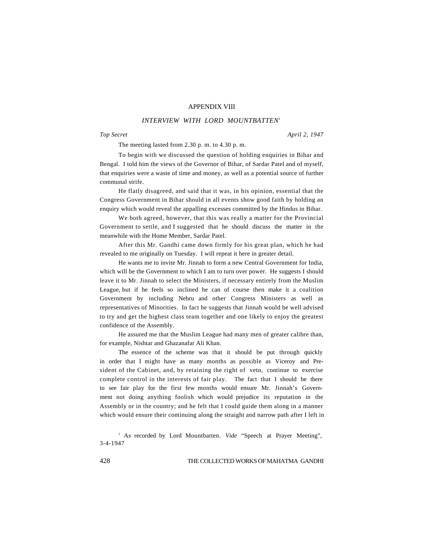### APPENDIX VIII

#### *INTERVIEW WITH LORD MOUNTBATTEN<sup>1</sup>*

*Top Secret April 2, 1947*

The meeting lasted from 2.30 p. m. to 4.30 p. m.

To begin with we discussed the question of holding enquiries in Bihar and Bengal. I told him the views of the Governor of Bihar, of Sardar Patel and of myself, that enquiries were a waste of time and money, as well as a potential source of further communal strife.

He flatly disagreed, and said that it was, in his opinion, essential that the Congress Government in Bihar should in all events show good faith by holding an enquiry which would reveal the appalling excesses committed by the Hindus in Bihar.

We both agreed, however, that this was really a matter for the Provincial Government to settle, and I suggested that he should discuss the matter in the meanwhile with the Home Member, Sardar Patel.

After this Mr. Gandhi came down firmly for his great plan, which he had revealed to me originally on Tuesday. I will repeat it here in greater detail.

He wants me to invite Mr. Jinnah to form a new Central Government for India, which will be the Government to which I am to turn over power. He suggests I should leave it to Mr. Jinnah to select the Ministers, if necessary entirely from the Muslim League, but if he feels so inclined he can of course then make it a coalition Government by including Nehru and other Congress Ministers as well as representatives of Minorities. In fact he suggests that Jinnah would be well advised to try and get the highest class team together and one likely to enjoy the greatest confidence of the Assembly.

He assured me that the Muslim League had many men of greater calibre than, for example, Nishtar and Ghazanafar Ali Khan.

The essence of the scheme was that it should be put through quickly in order that I might have as many months as possible as Viceroy and President of the Cabinet, and, by retaining the right of veto, continue to exercise complete control in the interests of fair play. The fact that I should be there to see fair play for the first few months would ensure Mr. Jinnah's Government not doing anything foolish which would prejudice its reputation in the Assembly or in the country; and he felt that I could guide them along in a manner which would ensure their continuing along the straight and narrow path after I left in

<sup>1</sup> As recorded by Lord Mountbatten. *Vide* "Speech at Prayer Meeting", 3-4-1947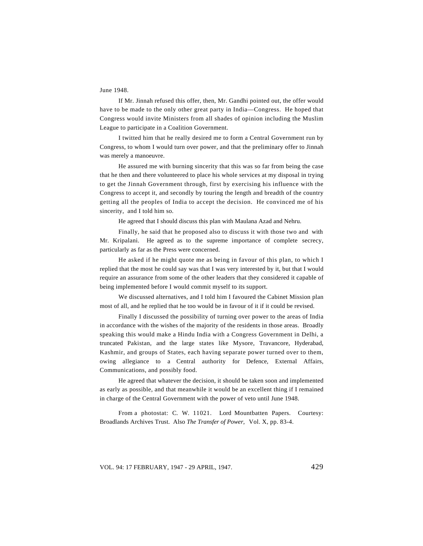June 1948.

If Mr. Jinnah refused this offer, then, Mr. Gandhi pointed out, the offer would have to be made to the only other great party in India—Congress. He hoped that Congress would invite Ministers from all shades of opinion including the Muslim League to participate in a Coalition Government.

I twitted him that he really desired me to form a Central Government run by Congress, to whom I would turn over power, and that the preliminary offer to Jinnah was merely a manoeuvre.

He assured me with burning sincerity that this was so far from being the case that he then and there volunteered to place his whole services at my disposal in trying to get the Jinnah Government through, first by exercising his influence with the Congress to accept it, and secondly by touring the length and breadth of the country getting all the peoples of India to accept the decision. He convinced me of his sincerity, and I told him so.

He agreed that I should discuss this plan with Maulana Azad and Nehru.

Finally, he said that he proposed also to discuss it with those two and with Mr. Kripalani. He agreed as to the supreme importance of complete secrecy, particularly as far as the Press were concerned.

He asked if he might quote me as being in favour of this plan, to which I replied that the most he could say was that I was very interested by it, but that I would require an assurance from some of the other leaders that they considered it capable of being implemented before I would commit myself to its support.

We discussed alternatives, and I told him I favoured the Cabinet Mission plan most of all, and he replied that he too would be in favour of it if it could be revised.

Finally I discussed the possibility of turning over power to the areas of India in accordance with the wishes of the majority of the residents in those areas. Broadly speaking this would make a Hindu India with a Congress Government in Delhi, a truncated Pakistan, and the large states like Mysore, Travancore, Hyderabad, Kashmir, and groups of States, each having separate power turned over to them, owing allegiance to a Central authority for Defence, External Affairs, Communications, and possibly food.

He agreed that whatever the decision, it should be taken soon and implemented as early as possible, and that meanwhile it would be an excellent thing if I remained in charge of the Central Government with the power of veto until June 1948.

From a photostat: C. W. 11021. Lord Mountbatten Papers. Courtesy: Broadlands Archives Trust. Also *The Transfer of Power,* Vol. X, pp. 83-4.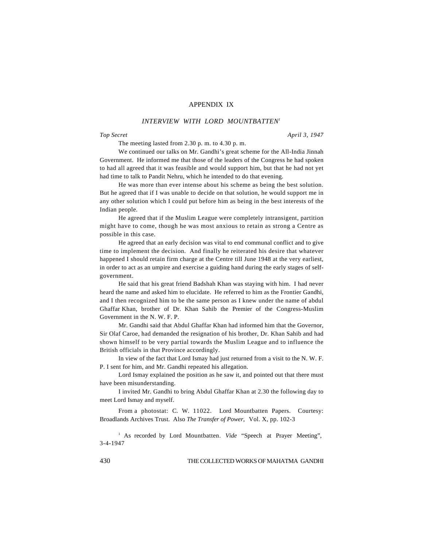## APPENDIX IX

## *INTERVIEW WITH LORD MOUNTBATTEN<sup>1</sup>*

*Top Secret April 3, 1947*

The meeting lasted from 2.30 p. m. to 4.30 p. m.

We continued our talks on Mr. Gandhi's great scheme for the All-India Jinnah Government. He informed me that those of the leaders of the Congress he had spoken to had all agreed that it was feasible and would support him, but that he had not yet had time to talk to Pandit Nehru, which he intended to do that evening.

He was more than ever intense about his scheme as being the best solution. But he agreed that if I was unable to decide on that solution, he would support me in any other solution which I could put before him as being in the best interests of the Indian people.

He agreed that if the Muslim League were completely intransigent, partition might have to come, though he was most anxious to retain as strong a Centre as possible in this case.

He agreed that an early decision was vital to end communal conflict and to give time to implement the decision. And finally he reiterated his desire that whatever happened I should retain firm charge at the Centre till June 1948 at the very earliest, in order to act as an umpire and exercise a guiding hand during the early stages of selfgovernment.

He said that his great friend Badshah Khan was staying with him. I had never heard the name and asked him to elucidate. He referred to him as the Frontier Gandhi, and I then recognized him to be the same person as I knew under the name of abdul Ghaffar Khan, brother of Dr. Khan Sahib the Premier of the Congress-Muslim Government in the N. W. F. P.

Mr. Gandhi said that Abdul Ghaffar Khan had informed him that the Governor, Sir Olaf Caroe, had demanded the resignation of his brother, Dr. Khan Sahib and had shown himself to be very partial towards the Muslim League and to influence the British officials in that Province accordingly.

In view of the fact that Lord Ismay had just returned from a visit to the N. W. F. P. I sent for him, and Mr. Gandhi repeated his allegation.

Lord Ismay explained the position as he saw it, and pointed out that there must have been misunderstanding.

I invited Mr. Gandhi to bring Abdul Ghaffar Khan at 2.30 the following day to meet Lord Ismay and myself.

From a photostat: C. W. 11022. Lord Mountbatten Papers. Courtesy: Broadlands Archives Trust. Also *The Transfer of Power,* Vol. X, pp. 102-3

<sup>1</sup> As recorded by Lord Mountbatten. *Vide* "Speech at Prayer Meeting", 3-4-1947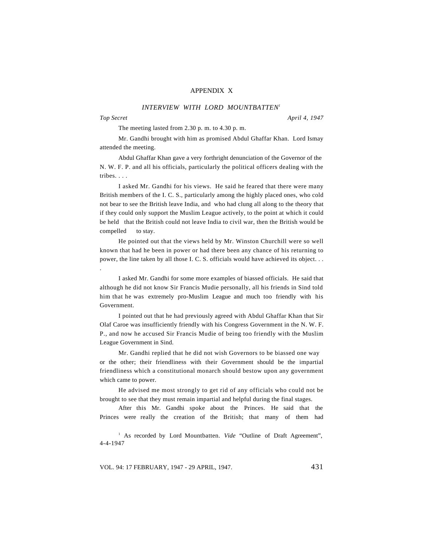## APPENDIX X

## *INTERVIEW WITH LORD MOUNTBATTEN<sup>1</sup>*

.

*Top Secret April 4, 1947*

The meeting lasted from 2.30 p. m. to 4.30 p. m.

Mr. Gandhi brought with him as promised Abdul Ghaffar Khan. Lord Ismay attended the meeting.

Abdul Ghaffar Khan gave a very forthright denunciation of the Governor of the N. W. F. P. and all his officials, particularly the political officers dealing with the tribes. . . .

I asked Mr. Gandhi for his views. He said he feared that there were many British members of the I. C. S., particularly among the highly placed ones, who cold not bear to see the British leave India, and who had clung all along to the theory that if they could only support the Muslim League actively, to the point at which it could be held that the British could not leave India to civil war, then the British would be compelled to stay.

He pointed out that the views held by Mr. Winston Churchill were so well known that had he been in power or had there been any chance of his returning to power, the line taken by all those I. C. S. officials would have achieved its object. . .

I asked Mr. Gandhi for some more examples of biassed officials. He said that although he did not know Sir Francis Mudie personally, all his friends in Sind told him that he was extremely pro-Muslim League and much too friendly with his Government.

I pointed out that he had previously agreed with Abdul Ghaffar Khan that Sir Olaf Caroe was insufficiently friendly with his Congress Government in the N. W. F. P., and now he accused Sir Francis Mudie of being too friendly with the Muslim League Government in Sind.

Mr. Gandhi replied that he did not wish Governors to be biassed one way or the other; their friendliness with their Government should be the impartial friendliness which a constitutional monarch should bestow upon any government which came to power.

He advised me most strongly to get rid of any officials who could not be brought to see that they must remain impartial and helpful during the final stages.

After this Mr. Gandhi spoke about the Princes. He said that the Princes were really the creation of the British; that many of them had

<sup>1</sup> As recorded by Lord Mountbatten. *Vide* "Outline of Draft Agreement", 4-4-1947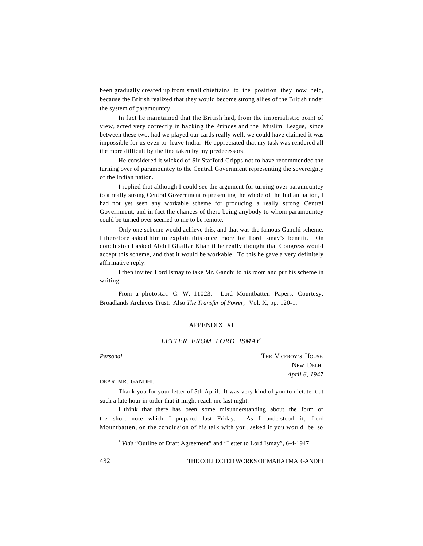been gradually created up from small chieftains to the position they now held, because the British realized that they would become strong allies of the British under the system of paramountcy

In fact he maintained that the British had, from the imperialistic point of view, acted very correctly in backing the Princes and the Muslim League, since between these two, had we played our cards really well, we could have claimed it was impossible for us even to leave India. He appreciated that my task was rendered all the more difficult by the line taken by my predecessors.

He considered it wicked of Sir Stafford Cripps not to have recommended the turning over of paramountcy to the Central Government representing the sovereignty of the Indian nation.

I replied that although I could see the argument for turning over paramountcy to a really strong Central Government representing the whole of the Indian nation, I had not yet seen any workable scheme for producing a really strong Central Government, and in fact the chances of there being anybody to whom paramountcy could be turned over seemed to me to be remote.

Only one scheme would achieve this, and that was the famous Gandhi scheme. I therefore asked him to explain this once more for Lord Ismay's benefit. On conclusion I asked Abdul Ghaffar Khan if he really thought that Congress would accept this scheme, and that it would be workable. To this he gave a very definitely affirmative reply.

I then invited Lord Ismay to take Mr. Gandhi to his room and put his scheme in writing.

From a photostat: C. W. 11023. Lord Mountbatten Papers. Courtesy: Broadlands Archives Trust. Also *The Transfer of Power,* Vol. X, pp. 120-1.

## APPENDIX XI

### *LETTER FROM LORD ISMAY<sup>1</sup>*

*Personal* THE VICEROY'S HOUSE NEW DELHI, *April 6, 1947*

DEAR MR. GANDHI,

Thank you for your letter of 5th April. It was very kind of you to dictate it at such a late hour in order that it might reach me last night.

I think that there has been some misunderstanding about the form of the short note which I prepared last Friday. As I understood it, Lord Mountbatten, on the conclusion of his talk with you, asked if you would be so

<sup>1</sup> *Vide* "Outline of Draft Agreement" and "Letter to Lord Ismay", 6-4-1947

432 THE COLLECTED WORKS OF MAHATMA GANDHI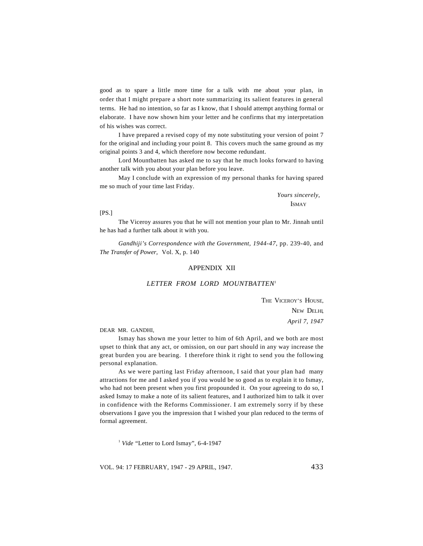good as to spare a little more time for a talk with me about your plan, in order that I might prepare a short note summarizing its salient features in general terms. He had no intention, so far as I know, that I should attempt anything formal or elaborate. I have now shown him your letter and he confirms that my interpretation of his wishes was correct.

I have prepared a revised copy of my note substituting your version of point 7 for the original and including your point 8. This covers much the same ground as my original points 3 and 4, which therefore now become redundant.

Lord Mountbatten has asked me to say that he much looks forward to having another talk with you about your plan before you leave.

May I conclude with an expression of my personal thanks for having spared me so much of your time last Friday.

> *Yours sincerely,* ISMAY

#### $[PS.]$

The Viceroy assures you that he will not mention your plan to Mr. Jinnah until he has had a further talk about it with you.

*Gandhiji's Correspondence with the Government, 1944-47*, pp. 239-40, and *The Transfer of Power,* Vol. X, p. 140

### APPENDIX XII

## *LETTER FROM LORD MOUNTBATTEN<sup>1</sup>*

THE VICEROY'S HOUSE NEW DELHI, *April 7, 1947*

DEAR MR. GANDHI,

Ismay has shown me your letter to him of 6th April, and we both are most upset to think that any act, or omission, on our part should in any way increase the great burden you are bearing. I therefore think it right to send you the following personal explanation.

As we were parting last Friday afternoon, I said that your plan had many attractions for me and I asked you if you would be so good as to explain it to Ismay, who had not been present when you first propounded it. On your agreeing to do so, I asked Ismay to make a note of its salient features, and I authorized him to talk it over in confidence with the Reforms Commissioner. I am extremely sorry if by these observations I gave you the impression that I wished your plan reduced to the terms of formal agreement.

<sup>1</sup> *Vide* "Letter to Lord Ismay", 6-4-1947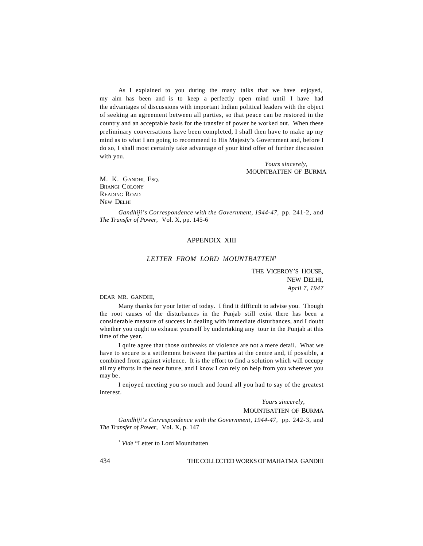As I explained to you during the many talks that we have enjoyed, my aim has been and is to keep a perfectly open mind until I have had the advantages of discussions with important Indian political leaders with the object of seeking an agreement between all parties, so that peace can be restored in the country and an acceptable basis for the transfer of power be worked out. When these preliminary conversations have been completed, I shall then have to make up my mind as to what I am going to recommend to His Majesty's Government and, before I do so, I shall most certainly take advantage of your kind offer of further discussion with you.

> *Yours sincerely,* MOUNTBATTEN OF BURMA

M. K. GANDHI, ESO. BHANGI COLONY READING ROAD NEW DELHI

*Gandhiji's Correspondence with the Government, 1944-47,* pp. 241-2, and *The Transfer of Power,* Vol. X, pp. 145-6

# APPENDIX XIII

# *LETTER FROM LORD MOUNTBATTEN<sup>1</sup>*

THE VICEROY'S HOUSE, NEW DELHI, *April 7, 1947*

DEAR MR. GANDHI,

Many thanks for your letter of today. I find it difficult to advise you. Though the root causes of the disturbances in the Punjab still exist there has been a considerable measure of success in dealing with immediate disturbances, and I doubt whether you ought to exhaust yourself by undertaking any tour in the Punjab at this time of the year.

I quite agree that those outbreaks of violence are not a mere detail. What we have to secure is a settlement between the parties at the centre and, if possible, a combined front against violence. It is the effort to find a solution which will occupy all my efforts in the near future, and I know I can rely on help from you wherever you may be.

I enjoyed meeting you so much and found all you had to say of the greatest interest.

*Yours sincerely,*

MOUNTBATTEN OF BURMA

*Gandhiji's Correspondence with the Government, 1944-47,* pp. 242-3, and *The Transfer of Power,* Vol. X, p. 147

<sup>1</sup> *Vide* "Letter to Lord Mountbatten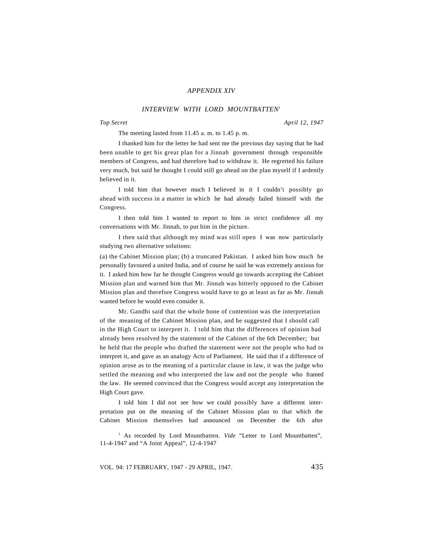### *APPENDIX XIV*

# *INTERVIEW WITH LORD MOUNTBATTEN<sup>1</sup>*

*Top Secret April 12, 1947*

The meeting lasted from 11.45 a. m. to 1.45 p. m.

I thanked him for the letter he had sent me the previous day saying that he had been unable to get his great plan for a Jinnah government through responsible members of Congress, and had therefore had to withdraw it. He regretted his failure very much, but said he thought I could still go ahead on the plan myself if I ardently believed in it.

I told him that however much I believed in it I couldn't possibly go ahead with success in a matter in which he had already failed himself with the Congress.

I then told him I wanted to report to him in strict confidence all my conversations with Mr. Jinnah, to put him in the picture.

I then said that although my mind was still open I was now particularly studying two alternative solutions:

(a) the Cabinet Mission plan; (b) a truncated Pakistan. I asked him how much he personally favoured a united India, and of course he said he was extremely anxious for it. I asked him how far he thought Congress would go towards accepting the Cabinet Mission plan and warned him that Mr. Jinnah was bitterly opposed to the Cabinet Mission plan and therefore Congress would have to go at least as far as Mr. Jinnah wanted before he would even consider it.

Mr. Gandhi said that the whole bone of contention was the interpretation of the meaning of the Cabinet Mission plan, and he suggested that I should call in the High Court to interpret it. I told him that the differences of opinion had already been resolved by the statement of the Cabinet of the 6th December; but he held that the people who drafted the statement were not the people who had to interpret it, and gave as an analogy Acts of Parliament. He said that if a difference of opinion arose as to the meaning of a particular clause in law, it was the judge who settled the meaning and who interpreted the law and not the people who framed the law. He seemed convinced that the Congress would accept any interpretation the High Court gave.

I told him I did not see how we could possibly have a different interpretation put on the meaning of the Cabinet Mission plan to that which the Cabinet Mission themselves had announced on December the 6th after

<sup>1</sup> As recorded by Lord Mountbatten. *Vide* "Letter to Lord Mountbatten", 11-4-1947 and "A Joint Appeal", 12-4-1947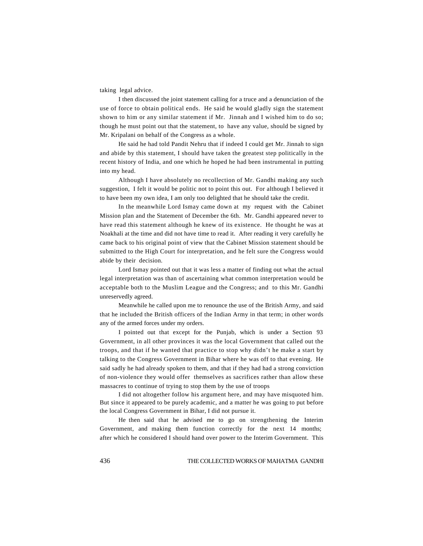taking legal advice.

I then discussed the joint statement calling for a truce and a denunciation of the use of force to obtain political ends. He said he would gladly sign the statement shown to him or any similar statement if Mr. Jinnah and I wished him to do so; though he must point out that the statement, to have any value, should be signed by Mr. Kripalani on behalf of the Congress as a whole.

He said he had told Pandit Nehru that if indeed I could get Mr. Jinnah to sign and abide by this statement, I should have taken the greatest step politically in the recent history of India, and one which he hoped he had been instrumental in putting into my head.

Although I have absolutely no recollection of Mr. Gandhi making any such suggestion, I felt it would be politic not to point this out. For although I believed it to have been my own idea, I am only too delighted that he should take the credit.

In the meanwhile Lord Ismay came down at my request with the Cabinet Mission plan and the Statement of December the 6th. Mr. Gandhi appeared never to have read this statement although he knew of its existence. He thought he was at Noakhali at the time and did not have time to read it. After reading it very carefully he came back to his original point of view that the Cabinet Mission statement should be submitted to the High Court for interpretation, and he felt sure the Congress would abide by their decision.

Lord Ismay pointed out that it was less a matter of finding out what the actual legal interpretation was than of ascertaining what common interpretation would be acceptable both to the Muslim League and the Congress; and to this Mr. Gandhi unreservedly agreed.

Meanwhile he called upon me to renounce the use of the British Army, and said that he included the British officers of the Indian Army in that term; in other words any of the armed forces under my orders.

I pointed out that except for the Punjab, which is under a Section 93 Government, in all other provinces it was the local Government that called out the troops, and that if he wanted that practice to stop why didn't he make a start by talking to the Congress Government in Bihar where he was off to that evening. He said sadly he had already spoken to them, and that if they had had a strong conviction of non-violence they would offer themselves as sacrifices rather than allow these massacres to continue of trying to stop them by the use of troops

I did not altogether follow his argument here, and may have misquoted him. But since it appeared to be purely academic, and a matter he was going to put before the local Congress Government in Bihar, I did not pursue it.

He then said that he advised me to go on strengthening the Interim Government, and making them function correctly for the next 14 months; after which he considered I should hand over power to the Interim Government. This